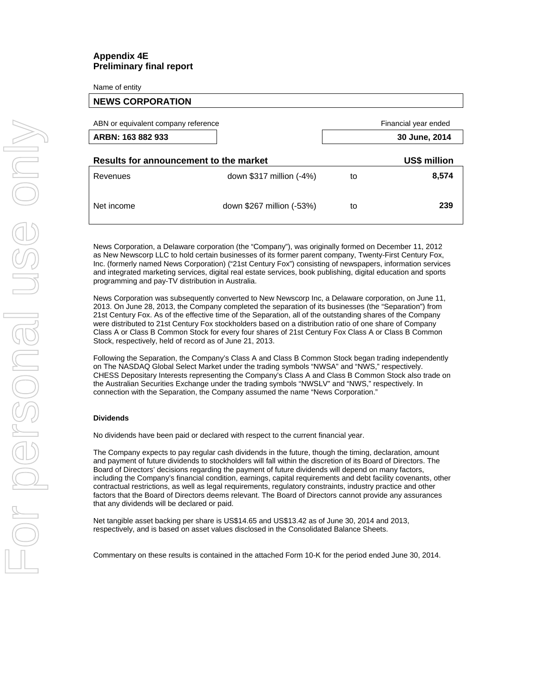# **Appendix 4E Preliminary final report**

Name of entity

# **NEWS CORPORATION**

| ABN or equivalent company reference    |                           |    | Financial year ended |  |
|----------------------------------------|---------------------------|----|----------------------|--|
| ARBN: 163 882 933                      |                           |    | 30 June, 2014        |  |
| Results for announcement to the market |                           |    | US\$ million         |  |
| Revenues                               | down \$317 million (-4%)  | to | 8,574                |  |
| Net income                             | down \$267 million (-53%) | to | 239                  |  |

News Corporation, a Delaware corporation (the "Company"), was originally formed on December 11, 2012 as New Newscorp LLC to hold certain businesses of its former parent company, Twenty-First Century Fox, Inc. (formerly named News Corporation) ("21st Century Fox") consisting of newspapers, information services and integrated marketing services, digital real estate services, book publishing, digital education and sports programming and pay-TV distribution in Australia.

News Corporation was subsequently converted to New Newscorp Inc, a Delaware corporation, on June 11, 2013. On June 28, 2013, the Company completed the separation of its businesses (the "Separation") from 21st Century Fox. As of the effective time of the Separation, all of the outstanding shares of the Company were distributed to 21st Century Fox stockholders based on a distribution ratio of one share of Company Class A or Class B Common Stock for every four shares of 21st Century Fox Class A or Class B Common Stock, respectively, held of record as of June 21, 2013.

Following the Separation, the Company's Class A and Class B Common Stock began trading independently on The NASDAQ Global Select Market under the trading symbols "NWSA" and "NWS," respectively. CHESS Depositary Interests representing the Company's Class A and Class B Common Stock also trade on the Australian Securities Exchange under the trading symbols "NWSLV" and "NWS," respectively. In connection with the Separation, the Company assumed the name "News Corporation."

# **Dividends**

No dividends have been paid or declared with respect to the current financial year.

The Company expects to pay regular cash dividends in the future, though the timing, declaration, amount and payment of future dividends to stockholders will fall within the discretion of its Board of Directors. The Board of Directors' decisions regarding the payment of future dividends will depend on many factors, including the Company's financial condition, earnings, capital requirements and debt facility covenants, other contractual restrictions, as well as legal requirements, regulatory constraints, industry practice and other factors that the Board of Directors deems relevant. The Board of Directors cannot provide any assurances that any dividends will be declared or paid.

Net tangible asset backing per share is US\$14.65 and US\$13.42 as of June 30, 2014 and 2013, respectively, and is based on asset values disclosed in the Consolidated Balance Sheets.

Commentary on these results is contained in the attached Form 10-K for the period ended June 30, 2014.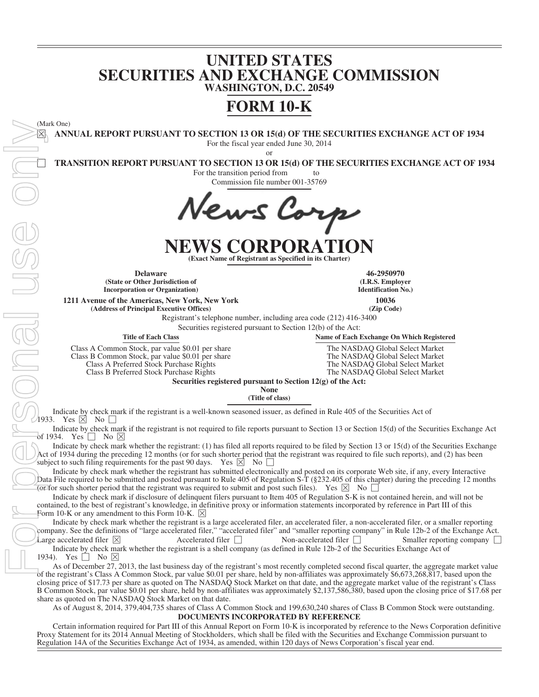# **UNITED STATES SECURITIES AND EXCHANGE COMMISSION WASHINGTON, D.C. 20549**

# **FORM 10-K**

(Mark One)

 $\boxtimes$  ANNUAL REPORT PURSUANT TO SECTION 13 OR 15(d) OF THE SECURITIES EXCHANGE ACT OF 1934 For the fiscal year ended June 30, 2014

or

' **TRANSITION REPORT PURSUANT TO SECTION 13 OR 15(d) OF THE SECURITIES EXCHANGE ACT OF 1934**

For the transition period from to Commission file number 001-35769



**NEWS CORPORATION (Exact Name of Registrant as Specified in its Charter)**

**Delaware 46-2950970 (State or Other Jurisdiction of Incorporation or Organization)**

**1211 Avenue of the Americas, New York, New York 10036**<br>(Address of Principal Executive Offices) (Zip Code) **(Address of Principal Executive Offices)** 

**(I.R.S. Employer Identification No.)**

Registrant's telephone number, including area code (212) 416-3400

Securities registered pursuant to Section 12(b) of the Act:

# **Title of Each Class Name of Each Exchange On Which Registered**

Class A Common Stock, par value \$0.01 per share The NASDAQ Global Select Market Class B Common Stock, par value \$0.01 per share The NASDAQ Global Select Market Class B Common Stock, par value \$0.01 per share The NASDAQ Global Select Market<br>Class A Preferred Stock Purchase Rights The NASDAQ Global Select Market Class A Preferred Stock Purchase Rights The NASDAQ Global Select Market<br>Class B Preferred Stock Purchase Rights The NASDAQ Global Select Market Class B Preferred Stock Purchase Rights

**Securities registered pursuant to Section 12(g) of the Act:**

**None (Title of class)**

Indicate by check mark if the registrant is a well-known seasoned issuer, as defined in Rule 405 of the Securities Act of 1933. Yes  $\overline{\boxtimes}$  No  $\overline{\boxtimes}$ Yes  $\boxtimes$  No  $\Box$ 

Indicate by check mark if the registrant is not required to file reports pursuant to Section 13 or Section 15(d) of the Securities Exchange Act of 1934. Yes  $\Box$  No  $\boxtimes$ 

Indicate by check mark whether the registrant: (1) has filed all reports required to be filed by Section 13 or 15(d) of the Securities Exchange Act of 1934 during the preceding 12 months (or for such shorter period that the registrant was required to file such reports), and (2) has been subject to such filing requirements for the past 90 days. Yes  $\boxtimes$  No  $\Box$ 

Indicate by check mark whether the registrant has submitted electronically and posted on its corporate Web site, if any, every Interactive Data File required to be submitted and posted pursuant to Rule 405 of Regulation S-T (§232.405 of this chapter) during the preceding 12 months (or for such shorter period that the registrant was required to submit and post such files). Yes  $\boxtimes$  No  $\Box$ 

Indicate by check mark if disclosure of delinquent filers pursuant to Item 405 of Regulation S-K is not contained herein, and will not be contained, to the best of registrant's knowledge, in definitive proxy or information statements incorporated by reference in Part III of this Form 10-K or any amendment to this Form 10-K.  $\boxtimes$ 

Indicate by check mark whether the registrant is a large accelerated filer, an accelerated filer, a non-accelerated filer, or a smaller reporting company. See the definitions of "large accelerated filer," "accelerated filer" and "smaller reporting company" in Rule 12b-2 of the Exchange Act. Large accelerated filer  $\boxtimes$  Accelerated filer  $\Box$  Non-accelerated filer  $\Box$  Smaller reporting company  $\Box$ Indicate by check mark whether the registrant is a shell company (as defined in Rule 12b-2 of the Securities Exchange Act of

1934). Yes  $\Box$  No  $\boxtimes$ 

As of December 27, 2013, the last business day of the registrant's most recently completed second fiscal quarter, the aggregate market value of the registrant's Class A Common Stock, par value \$0.01 per share, held by non-affiliates was approximately \$6,673,268,817, based upon the closing price of \$17.73 per share as quoted on The NASDAQ Stock Market on that date, and the aggregate market value of the registrant's Class B Common Stock, par value \$0.01 per share, held by non-affiliates was approximately \$2,137,586,380, based upon the closing price of \$17.68 per share as quoted on The NASDAQ Stock Market on that date.

As of August 8, 2014, 379,404,735 shares of Class A Common Stock and 199,630,240 shares of Class B Common Stock were outstanding.

**DOCUMENTS INCORPORATED BY REFERENCE**

Certain information required for Part III of this Annual Report on Form 10-K is incorporated by reference to the News Corporation definitive Proxy Statement for its 2014 Annual Meeting of Stockholders, which shall be filed with the Securities and Exchange Commission pursuant to Regulation 14A of the Securities Exchange Act of 1934, as amended, within 120 days o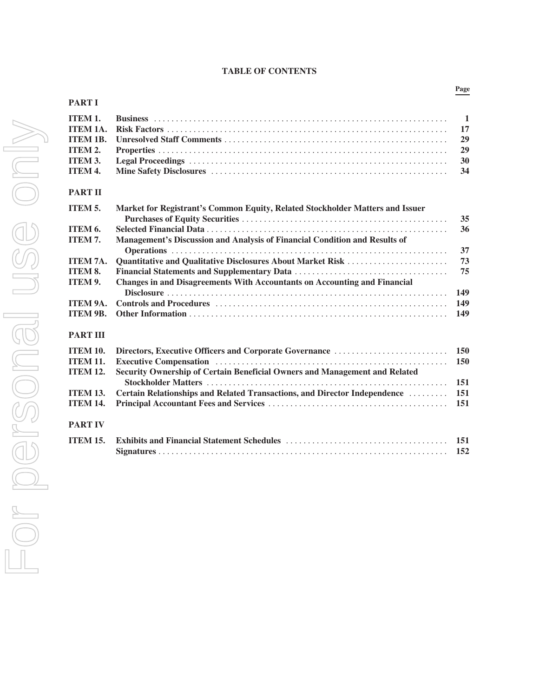# **TABLE OF CONTENTS**

# USE ONIV For personal use onlyFor personel

| <b>PARTI</b>               |                                                                                  |                    |
|----------------------------|----------------------------------------------------------------------------------|--------------------|
| ITEM 1.<br><b>ITEM 1A.</b> |                                                                                  | $\mathbf{1}$<br>17 |
| <b>ITEM 1B.</b>            |                                                                                  | 29                 |
| ITEM 2.                    |                                                                                  | 29                 |
| ITEM 3.                    |                                                                                  | 30                 |
| <b>ITEM 4.</b>             |                                                                                  | 34                 |
| <b>PART II</b>             |                                                                                  |                    |
| ITEM 5.                    | Market for Registrant's Common Equity, Related Stockholder Matters and Issuer    | 35                 |
| ITEM 6.                    |                                                                                  | 36                 |
| ITEM 7.                    | Management's Discussion and Analysis of Financial Condition and Results of       |                    |
|                            |                                                                                  | 37                 |
| ITEM 7A.                   | <b>Quantitative and Qualitative Disclosures About Market Risk </b>               | 73                 |
| ITEM 8.                    |                                                                                  | 75                 |
| <b>ITEM 9.</b>             | <b>Changes in and Disagreements With Accountants on Accounting and Financial</b> |                    |
|                            |                                                                                  | 149                |
| <b>ITEM 9A.</b>            |                                                                                  | 149                |
| <b>ITEM 9B.</b>            |                                                                                  | 149                |
| <b>PART III</b>            |                                                                                  |                    |
| <b>ITEM 10.</b>            | Directors, Executive Officers and Corporate Governance                           | 150                |
| <b>ITEM 11.</b>            |                                                                                  | 150                |
| <b>ITEM 12.</b>            | Security Ownership of Certain Beneficial Owners and Management and Related       | 151                |
| <b>ITEM 13.</b>            | Certain Relationships and Related Transactions, and Director Independence        | 151                |
| <b>ITEM 14.</b>            |                                                                                  | 151                |
| <b>PART IV</b>             |                                                                                  |                    |
| <b>ITEM 15.</b>            |                                                                                  | 151<br>152         |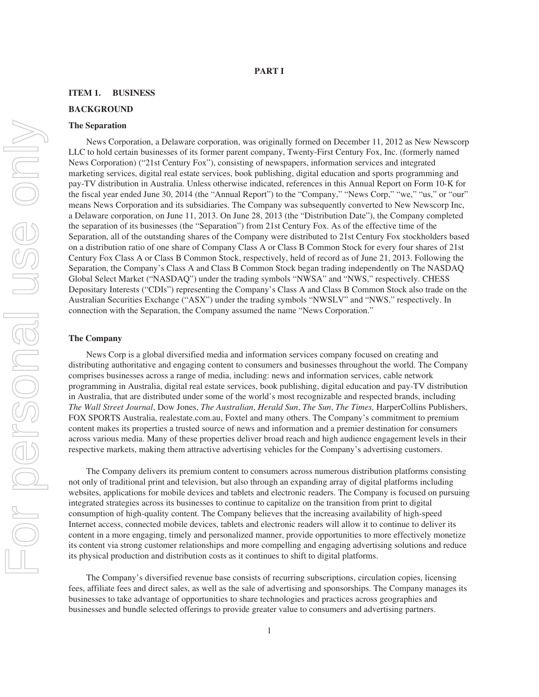# **PART I**

# **ITEM 1. BUSINESS**

# **BACKGROUND**

# **The Separation**

News Corporation, a Delaware corporation, was originally formed on December 11, 2012 as New Newscorp LLC to hold certain businesses of its former parent company, Twenty-First Century Fox, Inc. (formerly named News Corporation) ("21st Century Fox"), consisting of newspapers, information services and integrated marketing services, digital real estate services, book publishing, digital education and sports programming and pay-TV distribution in Australia. Unless otherwise indicated, references in this Annual Report on Form 10-K for the fiscal year ended June 30, 2014 (the "Annual Report") to the "Company," "News Corp," "we," "us," or "our" means News Corporation and its subsidiaries. The Company was subsequently converted to New Newscorp Inc, a Delaware corporation, on June 11, 2013. On June 28, 2013 (the "Distribution Date"), the Company completed the separation of its businesses (the "Separation") from 21st Century Fox. As of the effective time of the Separation, all of the outstanding shares of the Company were distributed to 21st Century Fox stockholders based on a distribution ratio of one share of Company Class A or Class B Common Stock for every four shares of 21st Century Fox Class A or Class B Common Stock, respectively, held of record as of June 21, 2013. Following the Separation, the Company's Class A and Class B Common Stock began trading independently on The NASDAQ Global Select Market ("NASDAQ") under the trading symbols "NWSA" and "NWS," respectively. CHESS Depositary Interests ("CDIs") representing the Company's Class A and Class B Common Stock also trade on the Australian Securities Exchange ("ASX") under the trading symbols "NWSLV" and "NWS," respectively. In connection with the Separation, the Company assumed the name "News Corporation."

#### **The Company**

News Corp is a global diversified media and information services company focused on creating and distributing authoritative and engaging content to consumers and businesses throughout the world. The Company comprises businesses across a range of media, including: news and information services, cable network programming in Australia, digital real estate services, book publishing, digital education and pay-TV distribution in Australia, that are distributed under some of the world's most recognizable and respected brands, including *The Wall Street Journal*, Dow Jones, *The Australian*, *Herald Sun*, *The Sun*, *The Times,* HarperCollins Publishers, FOX SPORTS Australia, realestate.com.au, Foxtel and many others. The Company's commitment to premium content makes its properties a trusted source of news and information and a premier destination for consumers across various media. Many of these properties deliver broad reach and high audience engagement levels in their respective markets, making them attractive advertising vehicles for the Company's advertising customers.

The Company delivers its premium content to consumers across numerous distribution platforms consisting not only of traditional print and television, but also through an expanding array of digital platforms including websites, applications for mobile devices and tablets and electronic readers. The Company is focused on pursuing integrated strategies across its businesses to continue to capitalize on the transition from print to digital consumption of high-quality content. The Company believes that the increasing availability of high-speed Internet access, connected mobile devices, tablets and electronic readers will allow it to continue to deliver its content in a more engaging, timely and personalized manner, provide opportunities to more effectively monetize its content via strong customer relationships and more compelling and engaging advertising solutions and reduce its physical production and distribution costs as it continues to shift to digital platforms.

The Company's diversified revenue base consists of recurring subscriptions, circulation copies, licensing fees, affiliate fees and direct sales, as well as the sale of advertising and sponsorships. The Company manages its businesses to take advantage of opportunities to share technologies and practices across geographies and businesses and bundle selected offerings to provide greater value to consumers and advertising partners.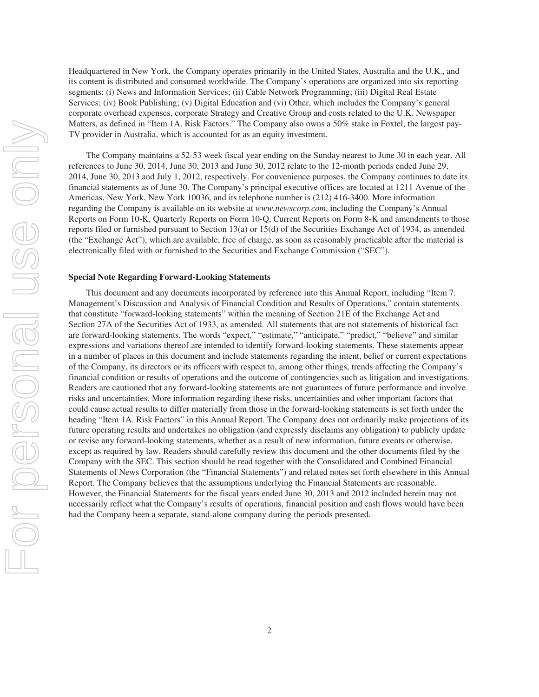Headquartered in New York, the Company operates primarily in the United States, Australia and the U.K., and its content is distributed and consumed worldwide. The Company's operations are organized into six reporting segments: (i) News and Information Services; (ii) Cable Network Programming; (iii) Digital Real Estate Services; (iv) Book Publishing; (v) Digital Education and (vi) Other, which includes the Company's general corporate overhead expenses, corporate Strategy and Creative Group and costs related to the U.K. Newspaper Matters, as defined in "Item 1A. Risk Factors." The Company also owns a 50% stake in Foxtel, the largest pay-TV provider in Australia, which is accounted for as an equity investment.

The Company maintains a 52-53 week fiscal year ending on the Sunday nearest to June 30 in each year. All references to June 30, 2014, June 30, 2013 and June 30, 2012 relate to the 12-month periods ended June 29, 2014, June 30, 2013 and July 1, 2012, respectively. For convenience purposes, the Company continues to date its financial statements as of June 30. The Company's principal executive offices are located at 1211 Avenue of the Americas, New York, New York 10036, and its telephone number is (212) 416-3400. More information regarding the Company is available on its website at *www.newscorp.com*, including the Company's Annual Reports on Form 10-K, Quarterly Reports on Form 10-Q, Current Reports on Form 8-K and amendments to those reports filed or furnished pursuant to Section 13(a) or 15(d) of the Securities Exchange Act of 1934, as amended (the "Exchange Act"), which are available, free of charge, as soon as reasonably practicable after the material is electronically filed with or furnished to the Securities and Exchange Commission ("SEC").

# **Special Note Regarding Forward-Looking Statements**

This document and any documents incorporated by reference into this Annual Report, including "Item 7. Management's Discussion and Analysis of Financial Condition and Results of Operations," contain statements that constitute "forward-looking statements" within the meaning of Section 21E of the Exchange Act and Section 27A of the Securities Act of 1933, as amended. All statements that are not statements of historical fact are forward-looking statements. The words "expect," "estimate," "anticipate," "predict," "believe" and similar expressions and variations thereof are intended to identify forward-looking statements. These statements appear in a number of places in this document and include statements regarding the intent, belief or current expectations of the Company, its directors or its officers with respect to, among other things, trends affecting the Company's financial condition or results of operations and the outcome of contingencies such as litigation and investigations. Readers are cautioned that any forward-looking statements are not guarantees of future performance and involve risks and uncertainties. More information regarding these risks, uncertainties and other important factors that could cause actual results to differ materially from those in the forward-looking statements is set forth under the heading "Item 1A. Risk Factors" in this Annual Report. The Company does not ordinarily make projections of its future operating results and undertakes no obligation (and expressly disclaims any obligation) to publicly update or revise any forward-looking statements, whether as a result of new information, future events or otherwise, except as required by law. Readers should carefully review this document and the other documents filed by the Company with the SEC. This section should be read together with the Consolidated and Combined Financial Statements of News Corporation (the "Financial Statements") and related notes set forth elsewhere in this Annual Report. The Company believes that the assumptions underlying the Financial Statements are reasonable. However, the Financial Statements for the fiscal years ended June 30, 2013 and 2012 included herein may not necessarily reflect what the Company's results of operations, financial position and cash flows would have been had the Company been a separate, stand-alone company during the periods presented.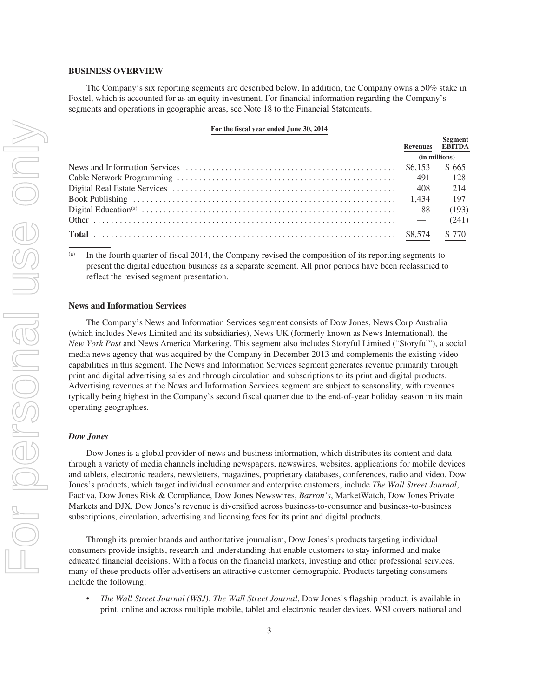# **BUSINESS OVERVIEW**

The Company's six reporting segments are described below. In addition, the Company owns a 50% stake in Foxtel, which is accounted for as an equity investment. For financial information regarding the Company's segments and operations in geographic areas, see Note 18 to the Financial Statements.

#### **For the fiscal year ended June 30, 2014**

| Revenues EBITDA | <b>Segment</b> |
|-----------------|----------------|
| (in millions)   |                |
|                 | \$665          |
|                 | 128            |
|                 | 214            |
|                 | 197            |
|                 | (193)          |
|                 | (241)          |
|                 | \$770          |

(a) In the fourth quarter of fiscal 2014, the Company revised the composition of its reporting segments to present the digital education business as a separate segment. All prior periods have been reclassified to reflect the revised segment presentation.

#### **News and Information Services**

The Company's News and Information Services segment consists of Dow Jones, News Corp Australia (which includes News Limited and its subsidiaries), News UK (formerly known as News International), the *New York Post* and News America Marketing. This segment also includes Storyful Limited ("Storyful"), a social media news agency that was acquired by the Company in December 2013 and complements the existing video capabilities in this segment. The News and Information Services segment generates revenue primarily through print and digital advertising sales and through circulation and subscriptions to its print and digital products. Advertising revenues at the News and Information Services segment are subject to seasonality, with revenues typically being highest in the Company's second fiscal quarter due to the end-of-year holiday season in its main operating geographies.

# *Dow Jones*

Dow Jones is a global provider of news and business information, which distributes its content and data through a variety of media channels including newspapers, newswires, websites, applications for mobile devices and tablets, electronic readers, newsletters, magazines, proprietary databases, conferences, radio and video. Dow Jones's products, which target individual consumer and enterprise customers, include *The Wall Street Journal*, Factiva, Dow Jones Risk & Compliance, Dow Jones Newswires, *Barron's*, MarketWatch, Dow Jones Private Markets and DJX. Dow Jones's revenue is diversified across business-to-consumer and business-to-business subscriptions, circulation, advertising and licensing fees for its print and digital products.

Through its premier brands and authoritative journalism, Dow Jones's products targeting individual consumers provide insights, research and understanding that enable customers to stay informed and make educated financial decisions. With a focus on the financial markets, investing and other professional services, many of these products offer advertisers an attractive customer demographic. Products targeting consumers include the following:

• *The Wall Street Journal (WSJ)*. *The Wall Street Journal*, Dow Jones's flagship product, is available in print, online and across multiple mobile, tablet and electronic reader devices. WSJ covers national and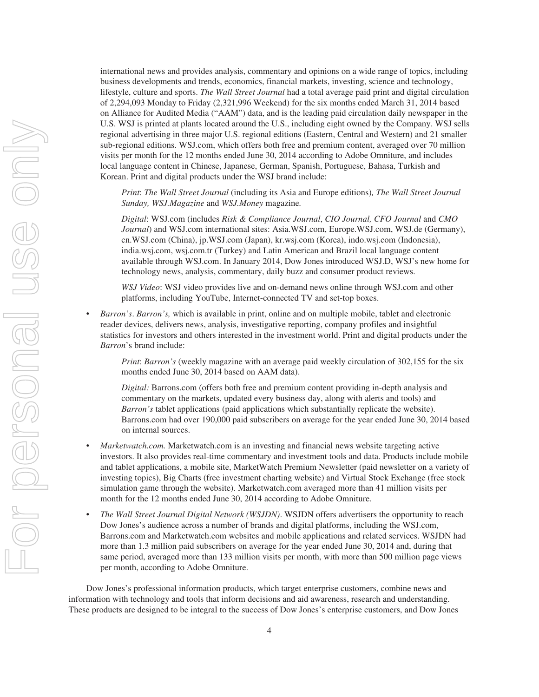international news and provides analysis, commentary and opinions on a wide range of topics, including business developments and trends, economics, financial markets, investing, science and technology, lifestyle, culture and sports. *The Wall Street Journal* had a total average paid print and digital circulation of 2,294,093 Monday to Friday (2,321,996 Weekend) for the six months ended March 31, 2014 based on Alliance for Audited Media ("AAM") data, and is the leading paid circulation daily newspaper in the U.S. WSJ is printed at plants located around the U.S., including eight owned by the Company. WSJ sells regional advertising in three major U.S. regional editions (Eastern, Central and Western) and 21 smaller sub-regional editions. WSJ.com, which offers both free and premium content, averaged over 70 million visits per month for the 12 months ended June 30, 2014 according to Adobe Omniture, and includes local language content in Chinese, Japanese, German, Spanish, Portuguese, Bahasa, Turkish and Korean. Print and digital products under the WSJ brand include:

*Print*: *The Wall Street Journal* (including its Asia and Europe editions)*, The Wall Street Journal Sunday, WSJ.Magazine* and *WSJ.Money* magazine*.*

*Digital*: WSJ.com (includes *Risk & Compliance Journal*, *CIO Journal, CFO Journal* and *CMO Journal*) and WSJ.com international sites: Asia.WSJ.com, Europe.WSJ.com, WSJ.de (Germany), cn.WSJ.com (China), jp.WSJ.com (Japan), kr.wsj.com (Korea), indo.wsj.com (Indonesia), india.wsj.com, wsj.com.tr (Turkey) and Latin American and Brazil local language content available through WSJ.com. In January 2014, Dow Jones introduced WSJ.D, WSJ's new home for technology news, analysis, commentary, daily buzz and consumer product reviews.

*WSJ Video*: WSJ video provides live and on-demand news online through WSJ.com and other platforms, including YouTube, Internet-connected TV and set-top boxes.

• *Barron's*. *Barron's,* which is available in print, online and on multiple mobile, tablet and electronic reader devices, delivers news, analysis, investigative reporting, company profiles and insightful statistics for investors and others interested in the investment world. Print and digital products under the *Barron*'s brand include:

*Print*: *Barron's* (weekly magazine with an average paid weekly circulation of 302,155 for the six months ended June 30, 2014 based on AAM data).

*Digital:* Barrons.com (offers both free and premium content providing in-depth analysis and commentary on the markets, updated every business day, along with alerts and tools) and *Barron's* tablet applications (paid applications which substantially replicate the website). Barrons.com had over 190,000 paid subscribers on average for the year ended June 30, 2014 based on internal sources.

- *Marketwatch.com.* Marketwatch.com is an investing and financial news website targeting active investors. It also provides real-time commentary and investment tools and data. Products include mobile and tablet applications, a mobile site, MarketWatch Premium Newsletter (paid newsletter on a variety of investing topics), Big Charts (free investment charting website) and Virtual Stock Exchange (free stock simulation game through the website). Marketwatch.com averaged more than 41 million visits per month for the 12 months ended June 30, 2014 according to Adobe Omniture.
- *The Wall Street Journal Digital Network (WSJDN)*. WSJDN offers advertisers the opportunity to reach Dow Jones's audience across a number of brands and digital platforms, including the WSJ.com, Barrons.com and Marketwatch.com websites and mobile applications and related services. WSJDN had more than 1.3 million paid subscribers on average for the year ended June 30, 2014 and, during that same period, averaged more than 133 million visits per month, with more than 500 million page views per month, according to Adobe Omniture.

Dow Jones's professional information products, which target enterprise customers, combine news and information with technology and tools that inform decisions and aid awareness, research and understanding. These products are designed to be integral to the success of Dow Jones's enterprise customers, and Dow Jones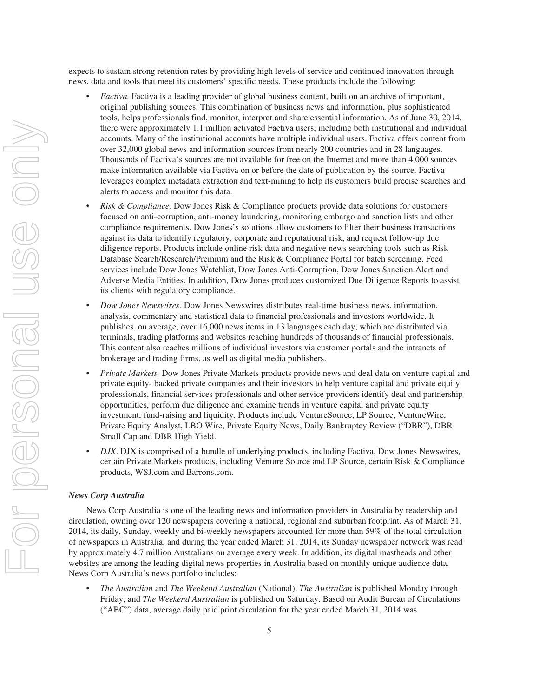expects to sustain strong retention rates by providing high levels of service and continued innovation through news, data and tools that meet its customers' specific needs. These products include the following:

- *Factiva.* Factiva is a leading provider of global business content, built on an archive of important, original publishing sources. This combination of business news and information, plus sophisticated tools, helps professionals find, monitor, interpret and share essential information. As of June 30, 2014, there were approximately 1.1 million activated Factiva users, including both institutional and individual accounts. Many of the institutional accounts have multiple individual users. Factiva offers content from over 32,000 global news and information sources from nearly 200 countries and in 28 languages. Thousands of Factiva's sources are not available for free on the Internet and more than 4,000 sources make information available via Factiva on or before the date of publication by the source. Factiva leverages complex metadata extraction and text-mining to help its customers build precise searches and alerts to access and monitor this data.
- *Risk & Compliance*. Dow Jones Risk & Compliance products provide data solutions for customers focused on anti-corruption, anti-money laundering, monitoring embargo and sanction lists and other compliance requirements. Dow Jones's solutions allow customers to filter their business transactions against its data to identify regulatory, corporate and reputational risk, and request follow-up due diligence reports. Products include online risk data and negative news searching tools such as Risk Database Search/Research/Premium and the Risk & Compliance Portal for batch screening. Feed services include Dow Jones Watchlist, Dow Jones Anti-Corruption, Dow Jones Sanction Alert and Adverse Media Entities. In addition, Dow Jones produces customized Due Diligence Reports to assist its clients with regulatory compliance.
- *Dow Jones Newswires.* Dow Jones Newswires distributes real-time business news, information, analysis, commentary and statistical data to financial professionals and investors worldwide. It publishes, on average, over 16,000 news items in 13 languages each day, which are distributed via terminals, trading platforms and websites reaching hundreds of thousands of financial professionals. This content also reaches millions of individual investors via customer portals and the intranets of brokerage and trading firms, as well as digital media publishers.
- *Private Markets.* Dow Jones Private Markets products provide news and deal data on venture capital and private equity- backed private companies and their investors to help venture capital and private equity professionals, financial services professionals and other service providers identify deal and partnership opportunities, perform due diligence and examine trends in venture capital and private equity investment, fund-raising and liquidity. Products include VentureSource, LP Source, VentureWire, Private Equity Analyst, LBO Wire, Private Equity News, Daily Bankruptcy Review ("DBR"), DBR Small Cap and DBR High Yield.
- *DJX*. DJX is comprised of a bundle of underlying products, including Factiva, Dow Jones Newswires, certain Private Markets products, including Venture Source and LP Source, certain Risk & Compliance products, WSJ.com and Barrons.com.

# *News Corp Australia*

News Corp Australia is one of the leading news and information providers in Australia by readership and circulation, owning over 120 newspapers covering a national, regional and suburban footprint. As of March 31, 2014, its daily, Sunday, weekly and bi-weekly newspapers accounted for more than 59% of the total circulation of newspapers in Australia, and during the year ended March 31, 2014, its Sunday newspaper network was read by approximately 4.7 million Australians on average every week. In addition, its digital mastheads and other websites are among the leading digital news properties in Australia based on monthly unique audience data. News Corp Australia's news portfolio includes:

• *The Australian* and *The Weekend Australian* (National). *The Australian* is published Monday through Friday, and *The Weekend Australian* is published on Saturday. Based on Audit Bureau of Circulations ("ABC") data, average daily paid print circulation for the year ended March 31, 2014 was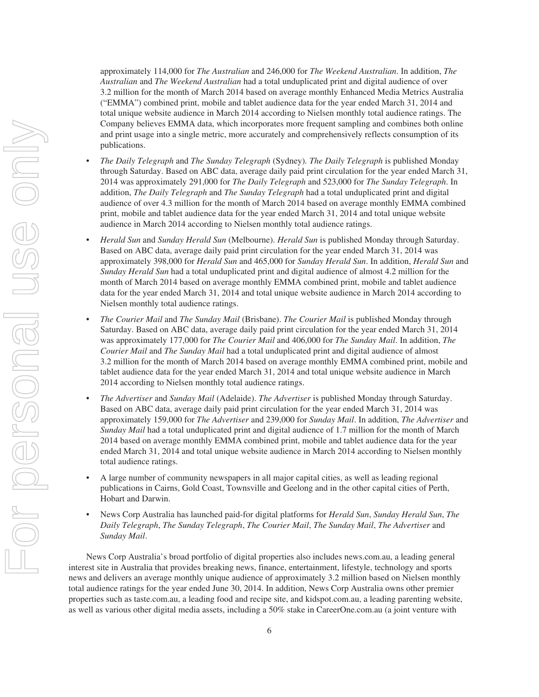approximately 114,000 for *The Australian* and 246,000 for *The Weekend Australian*. In addition, *The Australian* and *The Weekend Australian* had a total unduplicated print and digital audience of over 3.2 million for the month of March 2014 based on average monthly Enhanced Media Metrics Australia ("EMMA") combined print, mobile and tablet audience data for the year ended March 31, 2014 and total unique website audience in March 2014 according to Nielsen monthly total audience ratings. The Company believes EMMA data, which incorporates more frequent sampling and combines both online and print usage into a single metric, more accurately and comprehensively reflects consumption of its publications.

- *The Daily Telegraph* and *The Sunday Telegraph* (Sydney)*. The Daily Telegraph* is published Monday through Saturday. Based on ABC data, average daily paid print circulation for the year ended March 31, 2014 was approximately 291,000 for *The Daily Telegraph* and 523,000 for *The Sunday Telegraph*. In addition, *The Daily Telegraph* and *The Sunday Telegraph* had a total unduplicated print and digital audience of over 4.3 million for the month of March 2014 based on average monthly EMMA combined print, mobile and tablet audience data for the year ended March 31, 2014 and total unique website audience in March 2014 according to Nielsen monthly total audience ratings.
- *Herald Sun* and *Sunday Herald Sun* (Melbourne). *Herald Sun* is published Monday through Saturday. Based on ABC data, average daily paid print circulation for the year ended March 31, 2014 was approximately 398,000 for *Herald Sun* and 465,000 for *Sunday Herald Sun*. In addition, *Herald Sun* and *Sunday Herald Sun* had a total unduplicated print and digital audience of almost 4.2 million for the month of March 2014 based on average monthly EMMA combined print, mobile and tablet audience data for the year ended March 31, 2014 and total unique website audience in March 2014 according to Nielsen monthly total audience ratings.
- *The Courier Mail* and *The Sunday Mail* (Brisbane). *The Courier Mail* is published Monday through Saturday. Based on ABC data, average daily paid print circulation for the year ended March 31, 2014 was approximately 177,000 for *The Courier Mail* and 406,000 for *The Sunday Mail*. In addition, *The Courier Mail* and *The Sunday Mail* had a total unduplicated print and digital audience of almost 3.2 million for the month of March 2014 based on average monthly EMMA combined print, mobile and tablet audience data for the year ended March 31, 2014 and total unique website audience in March 2014 according to Nielsen monthly total audience ratings.
- *The Advertiser* and *Sunday Mail* (Adelaide). *The Advertiser* is published Monday through Saturday. Based on ABC data, average daily paid print circulation for the year ended March 31, 2014 was approximately 159,000 for *The Advertiser* and 239,000 for *Sunday Mail*. In addition, *The Advertiser* and *Sunday Mail* had a total unduplicated print and digital audience of 1.7 million for the month of March 2014 based on average monthly EMMA combined print, mobile and tablet audience data for the year ended March 31, 2014 and total unique website audience in March 2014 according to Nielsen monthly total audience ratings.
- A large number of community newspapers in all major capital cities, as well as leading regional publications in Cairns, Gold Coast, Townsville and Geelong and in the other capital cities of Perth, Hobart and Darwin.
- News Corp Australia has launched paid-for digital platforms for *Herald Sun*, *Sunday Herald Sun*, *The Daily Telegraph*, *The Sunday Telegraph*, *The Courier Mail*, *The Sunday Mail*, *The Advertiser* and *Sunday Mail*.

News Corp Australia's broad portfolio of digital properties also includes news.com.au, a leading general interest site in Australia that provides breaking news, finance, entertainment, lifestyle, technology and sports news and delivers an average monthly unique audience of approximately 3.2 million based on Nielsen monthly total audience ratings for the year ended June 30, 2014. In addition, News Corp Australia owns other premier properties such as taste.com.au, a leading food and recipe site, and kidspot.com.au, a leading parenting website, as well as various other digital media assets, including a 50% stake in CareerOne.com.au (a joint venture with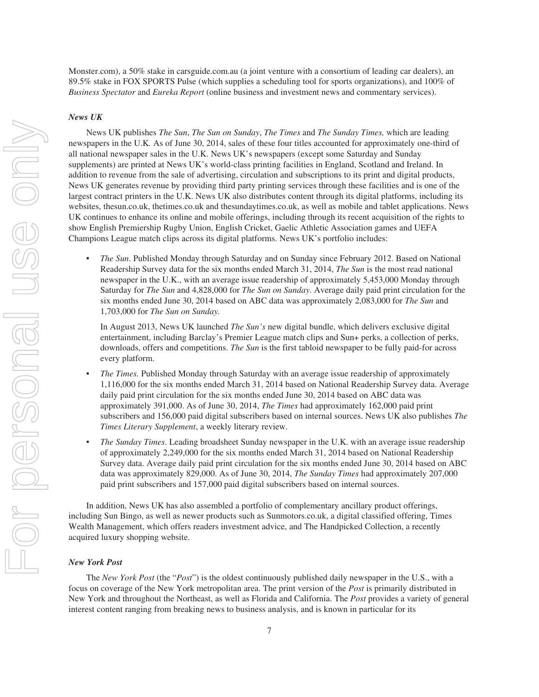Monster.com), a 50% stake in carsguide.com.au (a joint venture with a consortium of leading car dealers), an 89.5% stake in FOX SPORTS Pulse (which supplies a scheduling tool for sports organizations), and 100% of *Business Spectator* and *Eureka Report* (online business and investment news and commentary services).

# *News UK*

News UK publishes *The Sun*, *The Sun on Sunday*, *The Times* and *The Sunday Times,* which are leading newspapers in the U.K*.* As of June 30, 2014, sales of these four titles accounted for approximately one-third of all national newspaper sales in the U.K. News UK's newspapers (except some Saturday and Sunday supplements) are printed at News UK's world-class printing facilities in England, Scotland and Ireland. In addition to revenue from the sale of advertising, circulation and subscriptions to its print and digital products, News UK generates revenue by providing third party printing services through these facilities and is one of the largest contract printers in the U.K. News UK also distributes content through its digital platforms, including its websites, thesun.co.uk, thetimes.co.uk and thesundaytimes.co.uk, as well as mobile and tablet applications. News UK continues to enhance its online and mobile offerings, including through its recent acquisition of the rights to show English Premiership Rugby Union, English Cricket, Gaelic Athletic Association games and UEFA Champions League match clips across its digital platforms. News UK's portfolio includes:

• *The Sun*. Published Monday through Saturday and on Sunday since February 2012. Based on National Readership Survey data for the six months ended March 31, 2014, *The Sun* is the most read national newspaper in the U.K., with an average issue readership of approximately 5,453,000 Monday through Saturday for *The Sun* and 4,828,000 for *The Sun on Sunday*. Average daily paid print circulation for the six months ended June 30, 2014 based on ABC data was approximately 2,083,000 for *The Sun* and 1,703,000 for *The Sun on Sunday.*

In August 2013, News UK launched *The Sun's* new digital bundle, which delivers exclusive digital entertainment, including Barclay's Premier League match clips and Sun+ perks, a collection of perks, downloads, offers and competitions. *The Sun* is the first tabloid newspaper to be fully paid-for across every platform.

- *The Times.* Published Monday through Saturday with an average issue readership of approximately 1,116,000 for the six months ended March 31, 2014 based on National Readership Survey data. Average daily paid print circulation for the six months ended June 30, 2014 based on ABC data was approximately 391,000. As of June 30, 2014, *The Times* had approximately 162,000 paid print subscribers and 156,000 paid digital subscribers based on internal sources. News UK also publishes *The Times Literary Supplement*, a weekly literary review.
- *The Sunday Times*. Leading broadsheet Sunday newspaper in the U.K. with an average issue readership of approximately 2,249,000 for the six months ended March 31, 2014 based on National Readership Survey data. Average daily paid print circulation for the six months ended June 30, 2014 based on ABC data was approximately 829,000. As of June 30, 2014, *The Sunday Times* had approximately 207,000 paid print subscribers and 157,000 paid digital subscribers based on internal sources.

In addition, News UK has also assembled a portfolio of complementary ancillary product offerings, including Sun Bingo, as well as newer products such as Sunmotors.co.uk, a digital classified offering, Times Wealth Management, which offers readers investment advice, and The Handpicked Collection, a recently acquired luxury shopping website.

### *New York Post*

The *New York Post* (the "*Post*") is the oldest continuously published daily newspaper in the U.S., with a focus on coverage of the New York metropolitan area. The print version of the *Post* is primarily distributed in New York and throughout the Northeast, as well as Florida and California. The *Post* provides a variety of general interest content ranging from breaking news to business analysis, and is known in particular for its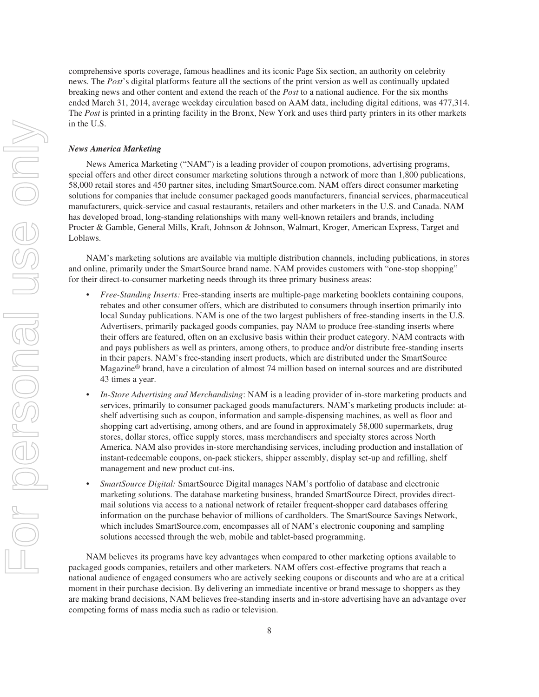comprehensive sports coverage, famous headlines and its iconic Page Six section, an authority on celebrity news. The *Post*'s digital platforms feature all the sections of the print version as well as continually updated breaking news and other content and extend the reach of the *Post* to a national audience. For the six months ended March 31, 2014, average weekday circulation based on AAM data, including digital editions, was 477,314. The *Post* is printed in a printing facility in the Bronx, New York and uses third party printers in its other markets in the U.S.

# *News America Marketing*

News America Marketing ("NAM") is a leading provider of coupon promotions, advertising programs, special offers and other direct consumer marketing solutions through a network of more than 1,800 publications, 58,000 retail stores and 450 partner sites, including SmartSource.com. NAM offers direct consumer marketing solutions for companies that include consumer packaged goods manufacturers, financial services, pharmaceutical manufacturers, quick-service and casual restaurants, retailers and other marketers in the U.S. and Canada. NAM has developed broad, long-standing relationships with many well-known retailers and brands, including Procter & Gamble, General Mills, Kraft, Johnson & Johnson, Walmart, Kroger, American Express, Target and Loblaws.

NAM's marketing solutions are available via multiple distribution channels, including publications, in stores and online, primarily under the SmartSource brand name. NAM provides customers with "one-stop shopping" for their direct-to-consumer marketing needs through its three primary business areas:

- *Free-Standing Inserts:* Free-standing inserts are multiple-page marketing booklets containing coupons, rebates and other consumer offers, which are distributed to consumers through insertion primarily into local Sunday publications. NAM is one of the two largest publishers of free-standing inserts in the U.S. Advertisers, primarily packaged goods companies, pay NAM to produce free-standing inserts where their offers are featured, often on an exclusive basis within their product category. NAM contracts with and pays publishers as well as printers, among others, to produce and/or distribute free-standing inserts in their papers. NAM's free-standing insert products, which are distributed under the SmartSource Magazine® brand, have a circulation of almost 74 million based on internal sources and are distributed 43 times a year.
- *In-Store Advertising and Merchandising*: NAM is a leading provider of in-store marketing products and services, primarily to consumer packaged goods manufacturers. NAM's marketing products include: atshelf advertising such as coupon, information and sample-dispensing machines, as well as floor and shopping cart advertising, among others, and are found in approximately 58,000 supermarkets, drug stores, dollar stores, office supply stores, mass merchandisers and specialty stores across North America. NAM also provides in-store merchandising services, including production and installation of instant-redeemable coupons, on-pack stickers, shipper assembly, display set-up and refilling, shelf management and new product cut-ins.
- *SmartSource Digital:* SmartSource Digital manages NAM's portfolio of database and electronic marketing solutions. The database marketing business, branded SmartSource Direct, provides directmail solutions via access to a national network of retailer frequent-shopper card databases offering information on the purchase behavior of millions of cardholders. The SmartSource Savings Network, which includes SmartSource.com, encompasses all of NAM's electronic couponing and sampling solutions accessed through the web, mobile and tablet-based programming.

NAM believes its programs have key advantages when compared to other marketing options available to packaged goods companies, retailers and other marketers. NAM offers cost-effective programs that reach a national audience of engaged consumers who are actively seeking coupons or discounts and who are at a critical moment in their purchase decision. By delivering an immediate incentive or brand message to shoppers as they are making brand decisions, NAM believes free-standing inserts and in-store advertising have an advantage over competing forms of mass media such as radio or television.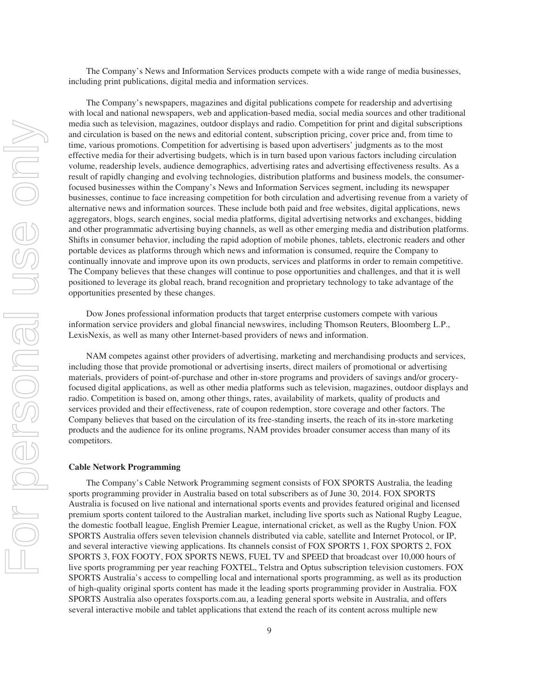The Company's News and Information Services products compete with a wide range of media businesses, including print publications, digital media and information services.

The Company's newspapers, magazines and digital publications compete for readership and advertising with local and national newspapers, web and application-based media, social media sources and other traditional media such as television, magazines, outdoor displays and radio. Competition for print and digital subscriptions and circulation is based on the news and editorial content, subscription pricing, cover price and, from time to time, various promotions. Competition for advertising is based upon advertisers' judgments as to the most effective media for their advertising budgets, which is in turn based upon various factors including circulation volume, readership levels, audience demographics, advertising rates and advertising effectiveness results. As a result of rapidly changing and evolving technologies, distribution platforms and business models, the consumerfocused businesses within the Company's News and Information Services segment, including its newspaper businesses, continue to face increasing competition for both circulation and advertising revenue from a variety of alternative news and information sources. These include both paid and free websites, digital applications, news aggregators, blogs, search engines, social media platforms, digital advertising networks and exchanges, bidding and other programmatic advertising buying channels, as well as other emerging media and distribution platforms. Shifts in consumer behavior, including the rapid adoption of mobile phones, tablets, electronic readers and other portable devices as platforms through which news and information is consumed, require the Company to continually innovate and improve upon its own products, services and platforms in order to remain competitive. The Company believes that these changes will continue to pose opportunities and challenges, and that it is well positioned to leverage its global reach, brand recognition and proprietary technology to take advantage of the opportunities presented by these changes.

Dow Jones professional information products that target enterprise customers compete with various information service providers and global financial newswires, including Thomson Reuters, Bloomberg L.P., LexisNexis, as well as many other Internet-based providers of news and information.

NAM competes against other providers of advertising, marketing and merchandising products and services, including those that provide promotional or advertising inserts, direct mailers of promotional or advertising materials, providers of point-of-purchase and other in-store programs and providers of savings and/or groceryfocused digital applications, as well as other media platforms such as television, magazines, outdoor displays and radio. Competition is based on, among other things, rates, availability of markets, quality of products and services provided and their effectiveness, rate of coupon redemption, store coverage and other factors. The Company believes that based on the circulation of its free-standing inserts, the reach of its in-store marketing products and the audience for its online programs, NAM provides broader consumer access than many of its competitors.

#### **Cable Network Programming**

The Company's Cable Network Programming segment consists of FOX SPORTS Australia, the leading sports programming provider in Australia based on total subscribers as of June 30, 2014. FOX SPORTS Australia is focused on live national and international sports events and provides featured original and licensed premium sports content tailored to the Australian market, including live sports such as National Rugby League, the domestic football league, English Premier League, international cricket, as well as the Rugby Union. FOX SPORTS Australia offers seven television channels distributed via cable, satellite and Internet Protocol, or IP, and several interactive viewing applications. Its channels consist of FOX SPORTS 1, FOX SPORTS 2, FOX SPORTS 3, FOX FOOTY, FOX SPORTS NEWS, FUEL TV and SPEED that broadcast over 10,000 hours of live sports programming per year reaching FOXTEL, Telstra and Optus subscription television customers. FOX SPORTS Australia's access to compelling local and international sports programming, as well as its production of high-quality original sports content has made it the leading sports programming provider in Australia. FOX SPORTS Australia also operates foxsports.com.au, a leading general sports website in Australia, and offers several interactive mobile and tablet applications that extend the reach of its content across multiple new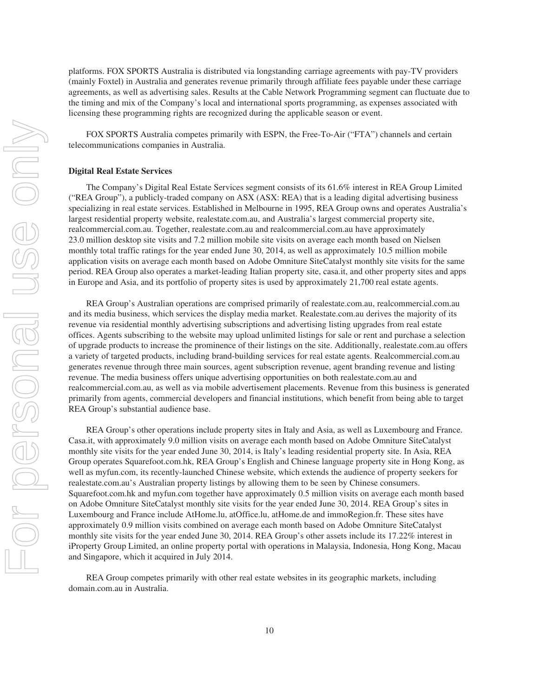platforms. FOX SPORTS Australia is distributed via longstanding carriage agreements with pay-TV providers (mainly Foxtel) in Australia and generates revenue primarily through affiliate fees payable under these carriage agreements, as well as advertising sales. Results at the Cable Network Programming segment can fluctuate due to the timing and mix of the Company's local and international sports programming, as expenses associated with licensing these programming rights are recognized during the applicable season or event.

FOX SPORTS Australia competes primarily with ESPN, the Free-To-Air ("FTA") channels and certain telecommunications companies in Australia.

#### **Digital Real Estate Services**

The Company's Digital Real Estate Services segment consists of its 61.6% interest in REA Group Limited ("REA Group"), a publicly-traded company on ASX (ASX: REA) that is a leading digital advertising business specializing in real estate services. Established in Melbourne in 1995, REA Group owns and operates Australia's largest residential property website, realestate.com.au, and Australia's largest commercial property site, realcommercial.com.au. Together, realestate.com.au and realcommercial.com.au have approximately 23.0 million desktop site visits and 7.2 million mobile site visits on average each month based on Nielsen monthly total traffic ratings for the year ended June 30, 2014, as well as approximately 10.5 million mobile application visits on average each month based on Adobe Omniture SiteCatalyst monthly site visits for the same period. REA Group also operates a market-leading Italian property site, casa.it, and other property sites and apps in Europe and Asia, and its portfolio of property sites is used by approximately 21,700 real estate agents.

REA Group's Australian operations are comprised primarily of realestate.com.au, realcommercial.com.au and its media business, which services the display media market. Realestate.com.au derives the majority of its revenue via residential monthly advertising subscriptions and advertising listing upgrades from real estate offices. Agents subscribing to the website may upload unlimited listings for sale or rent and purchase a selection of upgrade products to increase the prominence of their listings on the site. Additionally, realestate.com.au offers a variety of targeted products, including brand-building services for real estate agents. Realcommercial.com.au generates revenue through three main sources, agent subscription revenue, agent branding revenue and listing revenue. The media business offers unique advertising opportunities on both realestate.com.au and realcommercial.com.au, as well as via mobile advertisement placements. Revenue from this business is generated primarily from agents, commercial developers and financial institutions, which benefit from being able to target REA Group's substantial audience base.

REA Group's other operations include property sites in Italy and Asia, as well as Luxembourg and France. Casa.it, with approximately 9.0 million visits on average each month based on Adobe Omniture SiteCatalyst monthly site visits for the year ended June 30, 2014, is Italy's leading residential property site. In Asia, REA Group operates Squarefoot.com.hk, REA Group's English and Chinese language property site in Hong Kong, as well as myfun.com, its recently-launched Chinese website, which extends the audience of property seekers for realestate.com.au's Australian property listings by allowing them to be seen by Chinese consumers. Squarefoot.com.hk and myfun.com together have approximately 0.5 million visits on average each month based on Adobe Omniture SiteCatalyst monthly site visits for the year ended June 30, 2014. REA Group's sites in Luxembourg and France include AtHome.lu, atOffice.lu, atHome.de and immoRegion.fr. These sites have approximately 0.9 million visits combined on average each month based on Adobe Omniture SiteCatalyst monthly site visits for the year ended June 30, 2014. REA Group's other assets include its 17.22% interest in iProperty Group Limited, an online property portal with operations in Malaysia, Indonesia, Hong Kong, Macau and Singapore, which it acquired in July 2014.

REA Group competes primarily with other real estate websites in its geographic markets, including domain.com.au in Australia.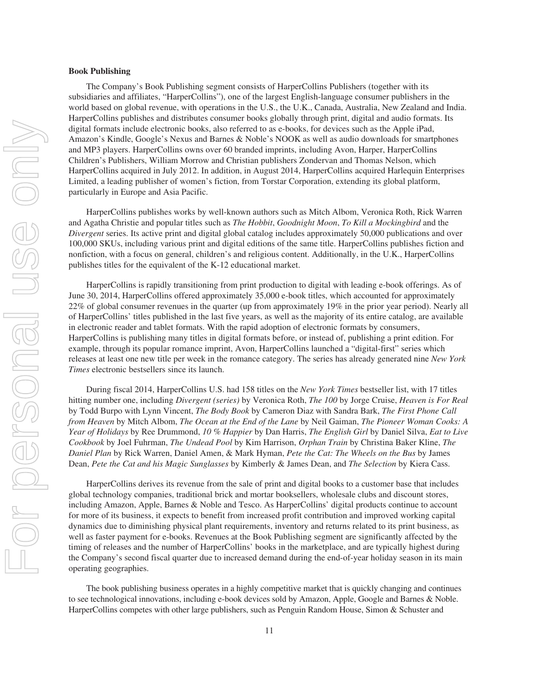# **Book Publishing**

The Company's Book Publishing segment consists of HarperCollins Publishers (together with its subsidiaries and affiliates, "HarperCollins"), one of the largest English-language consumer publishers in the world based on global revenue, with operations in the U.S., the U.K., Canada, Australia, New Zealand and India. HarperCollins publishes and distributes consumer books globally through print, digital and audio formats. Its digital formats include electronic books, also referred to as e-books, for devices such as the Apple iPad, Amazon's Kindle, Google's Nexus and Barnes & Noble's NOOK as well as audio downloads for smartphones and MP3 players. HarperCollins owns over 60 branded imprints, including Avon, Harper, HarperCollins Children's Publishers, William Morrow and Christian publishers Zondervan and Thomas Nelson, which HarperCollins acquired in July 2012. In addition, in August 2014, HarperCollins acquired Harlequin Enterprises Limited, a leading publisher of women's fiction, from Torstar Corporation, extending its global platform, particularly in Europe and Asia Pacific.

HarperCollins publishes works by well-known authors such as Mitch Albom, Veronica Roth, Rick Warren and Agatha Christie and popular titles such as *The Hobbit*, *Goodnight Moon*, *To Kill a Mockingbird* and the *Divergent* series. Its active print and digital global catalog includes approximately 50,000 publications and over 100,000 SKUs, including various print and digital editions of the same title. HarperCollins publishes fiction and nonfiction, with a focus on general, children's and religious content. Additionally, in the U.K., HarperCollins publishes titles for the equivalent of the K-12 educational market.

HarperCollins is rapidly transitioning from print production to digital with leading e-book offerings. As of June 30, 2014, HarperCollins offered approximately 35,000 e-book titles, which accounted for approximately 22% of global consumer revenues in the quarter (up from approximately 19% in the prior year period). Nearly all of HarperCollins' titles published in the last five years, as well as the majority of its entire catalog, are available in electronic reader and tablet formats. With the rapid adoption of electronic formats by consumers, HarperCollins is publishing many titles in digital formats before, or instead of, publishing a print edition. For example, through its popular romance imprint, Avon, HarperCollins launched a "digital-first" series which releases at least one new title per week in the romance category. The series has already generated nine *New York Times* electronic bestsellers since its launch.

During fiscal 2014, HarperCollins U.S. had 158 titles on the *New York Times* bestseller list, with 17 titles hitting number one, including *Divergent (series)* by Veronica Roth, *The 100* by Jorge Cruise, *Heaven is For Real* by Todd Burpo with Lynn Vincent, *The Body Book* by Cameron Diaz with Sandra Bark, *The First Phone Call from Heaven* by Mitch Albom, *The Ocean at the End of the Lane* by Neil Gaiman, *The Pioneer Woman Cooks: A Year of Holidays* by Ree Drummond, *10 % Happier* by Dan Harris, *The English Girl* by Daniel Silva, *Eat to Live Cookbook* by Joel Fuhrman, *The Undead Pool* by Kim Harrison, *Orphan Train* by Christina Baker Kline, *The Daniel Plan* by Rick Warren, Daniel Amen, & Mark Hyman, *Pete the Cat: The Wheels on the Bus* by James Dean, *Pete the Cat and his Magic Sunglasses* by Kimberly & James Dean, and *The Selection* by Kiera Cass.

HarperCollins derives its revenue from the sale of print and digital books to a customer base that includes global technology companies, traditional brick and mortar booksellers, wholesale clubs and discount stores, including Amazon, Apple, Barnes & Noble and Tesco. As HarperCollins' digital products continue to account for more of its business, it expects to benefit from increased profit contribution and improved working capital dynamics due to diminishing physical plant requirements, inventory and returns related to its print business, as well as faster payment for e-books. Revenues at the Book Publishing segment are significantly affected by the timing of releases and the number of HarperCollins' books in the marketplace, and are typically highest during the Company's second fiscal quarter due to increased demand during the end-of-year holiday season in its main operating geographies.

The book publishing business operates in a highly competitive market that is quickly changing and continues to see technological innovations, including e-book devices sold by Amazon, Apple, Google and Barnes & Noble. HarperCollins competes with other large publishers, such as Penguin Random House, Simon & Schuster and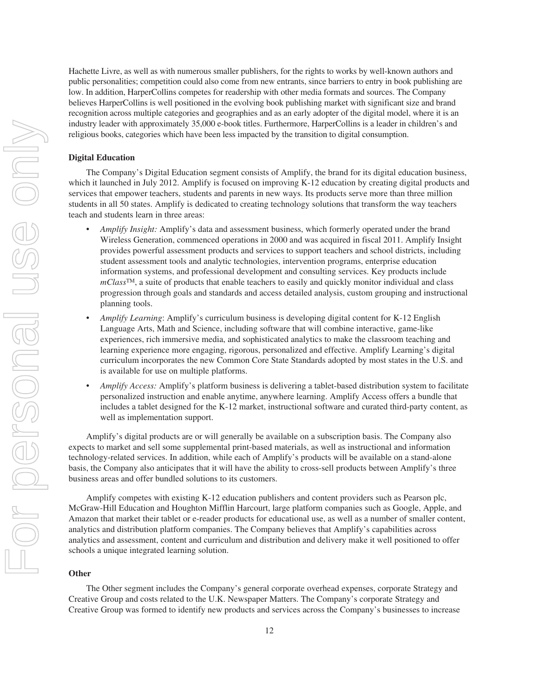Hachette Livre, as well as with numerous smaller publishers, for the rights to works by well-known authors and public personalities; competition could also come from new entrants, since barriers to entry in book publishing are low. In addition, HarperCollins competes for readership with other media formats and sources. The Company believes HarperCollins is well positioned in the evolving book publishing market with significant size and brand recognition across multiple categories and geographies and as an early adopter of the digital model, where it is an industry leader with approximately 35,000 e-book titles. Furthermore, HarperCollins is a leader in children's and religious books, categories which have been less impacted by the transition to digital consumption.

# **Digital Education**

The Company's Digital Education segment consists of Amplify, the brand for its digital education business, which it launched in July 2012. Amplify is focused on improving K-12 education by creating digital products and services that empower teachers, students and parents in new ways. Its products serve more than three million students in all 50 states. Amplify is dedicated to creating technology solutions that transform the way teachers teach and students learn in three areas:

- *Amplify Insight:* Amplify's data and assessment business, which formerly operated under the brand Wireless Generation, commenced operations in 2000 and was acquired in fiscal 2011. Amplify Insight provides powerful assessment products and services to support teachers and school districts, including student assessment tools and analytic technologies, intervention programs, enterprise education information systems, and professional development and consulting services. Key products include *mClass*TM, a suite of products that enable teachers to easily and quickly monitor individual and class progression through goals and standards and access detailed analysis, custom grouping and instructional planning tools.
- *Amplify Learning*: Amplify's curriculum business is developing digital content for K-12 English Language Arts, Math and Science, including software that will combine interactive, game-like experiences, rich immersive media, and sophisticated analytics to make the classroom teaching and learning experience more engaging, rigorous, personalized and effective. Amplify Learning's digital curriculum incorporates the new Common Core State Standards adopted by most states in the U.S. and is available for use on multiple platforms.
- *Amplify Access:* Amplify's platform business is delivering a tablet-based distribution system to facilitate personalized instruction and enable anytime, anywhere learning. Amplify Access offers a bundle that includes a tablet designed for the K-12 market, instructional software and curated third-party content, as well as implementation support.

Amplify's digital products are or will generally be available on a subscription basis. The Company also expects to market and sell some supplemental print-based materials, as well as instructional and information technology-related services. In addition, while each of Amplify's products will be available on a stand-alone basis, the Company also anticipates that it will have the ability to cross-sell products between Amplify's three business areas and offer bundled solutions to its customers.

Amplify competes with existing K-12 education publishers and content providers such as Pearson plc, McGraw-Hill Education and Houghton Mifflin Harcourt, large platform companies such as Google, Apple, and Amazon that market their tablet or e-reader products for educational use, as well as a number of smaller content, analytics and distribution platform companies. The Company believes that Amplify's capabilities across analytics and assessment, content and curriculum and distribution and delivery make it well positioned to offer schools a unique integrated learning solution.

## **Other**

The Other segment includes the Company's general corporate overhead expenses, corporate Strategy and Creative Group and costs related to the U.K. Newspaper Matters. The Company's corporate Strategy and Creative Group was formed to identify new products and services across the Company's businesses to increase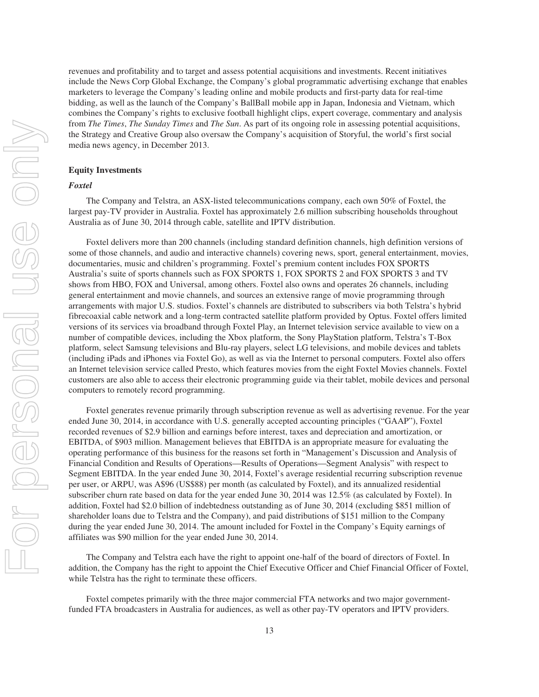revenues and profitability and to target and assess potential acquisitions and investments. Recent initiatives include the News Corp Global Exchange, the Company's global programmatic advertising exchange that enables marketers to leverage the Company's leading online and mobile products and first-party data for real-time bidding, as well as the launch of the Company's BallBall mobile app in Japan, Indonesia and Vietnam, which combines the Company's rights to exclusive football highlight clips, expert coverage, commentary and analysis from *The Times*, *The Sunday Times* and *The Sun*. As part of its ongoing role in assessing potential acquisitions, the Strategy and Creative Group also oversaw the Company's acquisition of Storyful, the world's first social media news agency, in December 2013.

### **Equity Investments**

#### *Foxtel*

The Company and Telstra, an ASX-listed telecommunications company, each own 50% of Foxtel, the largest pay-TV provider in Australia. Foxtel has approximately 2.6 million subscribing households throughout Australia as of June 30, 2014 through cable, satellite and IPTV distribution.

Foxtel delivers more than 200 channels (including standard definition channels, high definition versions of some of those channels, and audio and interactive channels) covering news, sport, general entertainment, movies, documentaries, music and children's programming. Foxtel's premium content includes FOX SPORTS Australia's suite of sports channels such as FOX SPORTS 1, FOX SPORTS 2 and FOX SPORTS 3 and TV shows from HBO, FOX and Universal, among others. Foxtel also owns and operates 26 channels, including general entertainment and movie channels, and sources an extensive range of movie programming through arrangements with major U.S. studios. Foxtel's channels are distributed to subscribers via both Telstra's hybrid fibrecoaxial cable network and a long-term contracted satellite platform provided by Optus. Foxtel offers limited versions of its services via broadband through Foxtel Play, an Internet television service available to view on a number of compatible devices, including the Xbox platform, the Sony PlayStation platform, Telstra's T-Box platform, select Samsung televisions and Blu-ray players, select LG televisions, and mobile devices and tablets (including iPads and iPhones via Foxtel Go), as well as via the Internet to personal computers. Foxtel also offers an Internet television service called Presto, which features movies from the eight Foxtel Movies channels. Foxtel customers are also able to access their electronic programming guide via their tablet, mobile devices and personal computers to remotely record programming.

Foxtel generates revenue primarily through subscription revenue as well as advertising revenue. For the year ended June 30, 2014, in accordance with U.S. generally accepted accounting principles ("GAAP"), Foxtel recorded revenues of \$2.9 billion and earnings before interest, taxes and depreciation and amortization, or EBITDA, of \$903 million. Management believes that EBITDA is an appropriate measure for evaluating the operating performance of this business for the reasons set forth in "Management's Discussion and Analysis of Financial Condition and Results of Operations—Results of Operations—Segment Analysis" with respect to Segment EBITDA. In the year ended June 30, 2014, Foxtel's average residential recurring subscription revenue per user, or ARPU, was A\$96 (US\$88) per month (as calculated by Foxtel), and its annualized residential subscriber churn rate based on data for the year ended June 30, 2014 was 12.5% (as calculated by Foxtel). In addition, Foxtel had \$2.0 billion of indebtedness outstanding as of June 30, 2014 (excluding \$851 million of shareholder loans due to Telstra and the Company), and paid distributions of \$151 million to the Company during the year ended June 30, 2014. The amount included for Foxtel in the Company's Equity earnings of affiliates was \$90 million for the year ended June 30, 2014.

The Company and Telstra each have the right to appoint one-half of the board of directors of Foxtel. In addition, the Company has the right to appoint the Chief Executive Officer and Chief Financial Officer of Foxtel, while Telstra has the right to terminate these officers.

Foxtel competes primarily with the three major commercial FTA networks and two major governmentfunded FTA broadcasters in Australia for audiences, as well as other pay-TV operators and IPTV providers.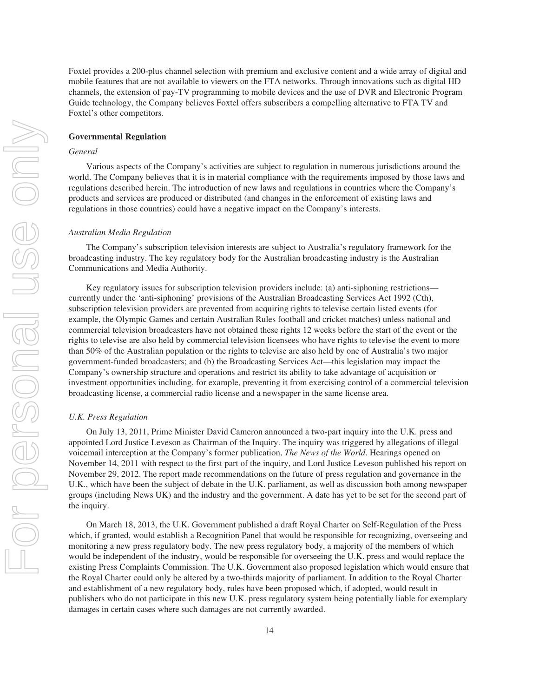Foxtel provides a 200-plus channel selection with premium and exclusive content and a wide array of digital and mobile features that are not available to viewers on the FTA networks. Through innovations such as digital HD channels, the extension of pay-TV programming to mobile devices and the use of DVR and Electronic Program Guide technology, the Company believes Foxtel offers subscribers a compelling alternative to FTA TV and Foxtel's other competitors.

# **Governmental Regulation**

# *General*

Various aspects of the Company's activities are subject to regulation in numerous jurisdictions around the world. The Company believes that it is in material compliance with the requirements imposed by those laws and regulations described herein. The introduction of new laws and regulations in countries where the Company's products and services are produced or distributed (and changes in the enforcement of existing laws and regulations in those countries) could have a negative impact on the Company's interests.

# *Australian Media Regulation*

The Company's subscription television interests are subject to Australia's regulatory framework for the broadcasting industry. The key regulatory body for the Australian broadcasting industry is the Australian Communications and Media Authority.

Key regulatory issues for subscription television providers include: (a) anti-siphoning restrictions currently under the 'anti-siphoning' provisions of the Australian Broadcasting Services Act 1992 (Cth), subscription television providers are prevented from acquiring rights to televise certain listed events (for example, the Olympic Games and certain Australian Rules football and cricket matches) unless national and commercial television broadcasters have not obtained these rights 12 weeks before the start of the event or the rights to televise are also held by commercial television licensees who have rights to televise the event to more than 50% of the Australian population or the rights to televise are also held by one of Australia's two major government-funded broadcasters; and (b) the Broadcasting Services Act—this legislation may impact the Company's ownership structure and operations and restrict its ability to take advantage of acquisition or investment opportunities including, for example, preventing it from exercising control of a commercial television broadcasting license, a commercial radio license and a newspaper in the same license area.

#### *U.K. Press Regulation*

On July 13, 2011, Prime Minister David Cameron announced a two-part inquiry into the U.K. press and appointed Lord Justice Leveson as Chairman of the Inquiry. The inquiry was triggered by allegations of illegal voicemail interception at the Company's former publication, *The News of the World*. Hearings opened on November 14, 2011 with respect to the first part of the inquiry, and Lord Justice Leveson published his report on November 29, 2012. The report made recommendations on the future of press regulation and governance in the U.K., which have been the subject of debate in the U.K. parliament, as well as discussion both among newspaper groups (including News UK) and the industry and the government. A date has yet to be set for the second part of the inquiry.

On March 18, 2013, the U.K. Government published a draft Royal Charter on Self-Regulation of the Press which, if granted, would establish a Recognition Panel that would be responsible for recognizing, overseeing and monitoring a new press regulatory body. The new press regulatory body, a majority of the members of which would be independent of the industry, would be responsible for overseeing the U.K. press and would replace the existing Press Complaints Commission. The U.K. Government also proposed legislation which would ensure that the Royal Charter could only be altered by a two-thirds majority of parliament. In addition to the Royal Charter and establishment of a new regulatory body, rules have been proposed which, if adopted, would result in publishers who do not participate in this new U.K. press regulatory system being potentially liable for exemplary damages in certain cases where such damages are not currently awarded.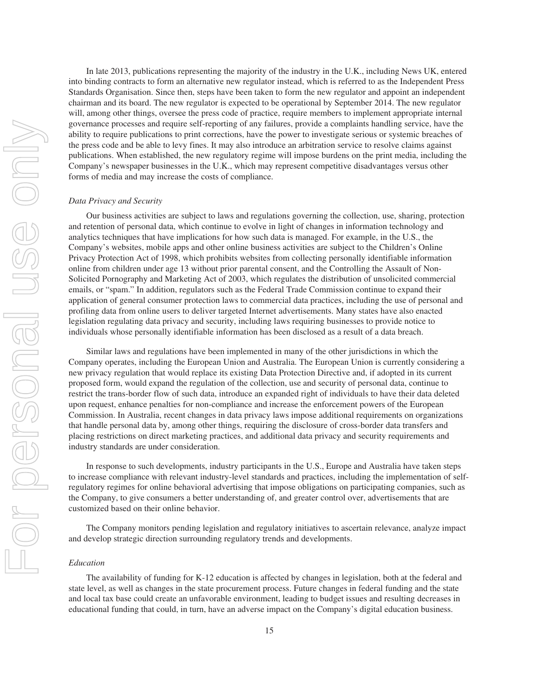In late 2013, publications representing the majority of the industry in the U.K., including News UK, entered into binding contracts to form an alternative new regulator instead, which is referred to as the Independent Press Standards Organisation. Since then, steps have been taken to form the new regulator and appoint an independent chairman and its board. The new regulator is expected to be operational by September 2014. The new regulator will, among other things, oversee the press code of practice, require members to implement appropriate internal governance processes and require self-reporting of any failures, provide a complaints handling service, have the ability to require publications to print corrections, have the power to investigate serious or systemic breaches of the press code and be able to levy fines. It may also introduce an arbitration service to resolve claims against publications. When established, the new regulatory regime will impose burdens on the print media, including the Company's newspaper businesses in the U.K., which may represent competitive disadvantages versus other forms of media and may increase the costs of compliance.

# *Data Privacy and Security*

Our business activities are subject to laws and regulations governing the collection, use, sharing, protection and retention of personal data, which continue to evolve in light of changes in information technology and analytics techniques that have implications for how such data is managed. For example, in the U.S., the Company's websites, mobile apps and other online business activities are subject to the Children's Online Privacy Protection Act of 1998, which prohibits websites from collecting personally identifiable information online from children under age 13 without prior parental consent, and the Controlling the Assault of Non-Solicited Pornography and Marketing Act of 2003, which regulates the distribution of unsolicited commercial emails, or "spam." In addition, regulators such as the Federal Trade Commission continue to expand their application of general consumer protection laws to commercial data practices, including the use of personal and profiling data from online users to deliver targeted Internet advertisements. Many states have also enacted legislation regulating data privacy and security, including laws requiring businesses to provide notice to individuals whose personally identifiable information has been disclosed as a result of a data breach.

Similar laws and regulations have been implemented in many of the other jurisdictions in which the Company operates, including the European Union and Australia. The European Union is currently considering a new privacy regulation that would replace its existing Data Protection Directive and, if adopted in its current proposed form, would expand the regulation of the collection, use and security of personal data, continue to restrict the trans-border flow of such data, introduce an expanded right of individuals to have their data deleted upon request, enhance penalties for non-compliance and increase the enforcement powers of the European Commission. In Australia, recent changes in data privacy laws impose additional requirements on organizations that handle personal data by, among other things, requiring the disclosure of cross-border data transfers and placing restrictions on direct marketing practices, and additional data privacy and security requirements and industry standards are under consideration.

In response to such developments, industry participants in the U.S., Europe and Australia have taken steps to increase compliance with relevant industry-level standards and practices, including the implementation of selfregulatory regimes for online behavioral advertising that impose obligations on participating companies, such as the Company, to give consumers a better understanding of, and greater control over, advertisements that are customized based on their online behavior.

The Company monitors pending legislation and regulatory initiatives to ascertain relevance, analyze impact and develop strategic direction surrounding regulatory trends and developments.

# *Education*

The availability of funding for K-12 education is affected by changes in legislation, both at the federal and state level, as well as changes in the state procurement process. Future changes in federal funding and the state and local tax base could create an unfavorable environment, leading to budget issues and resulting decreases in educational funding that could, in turn, have an adverse impact on the Company's digital education business.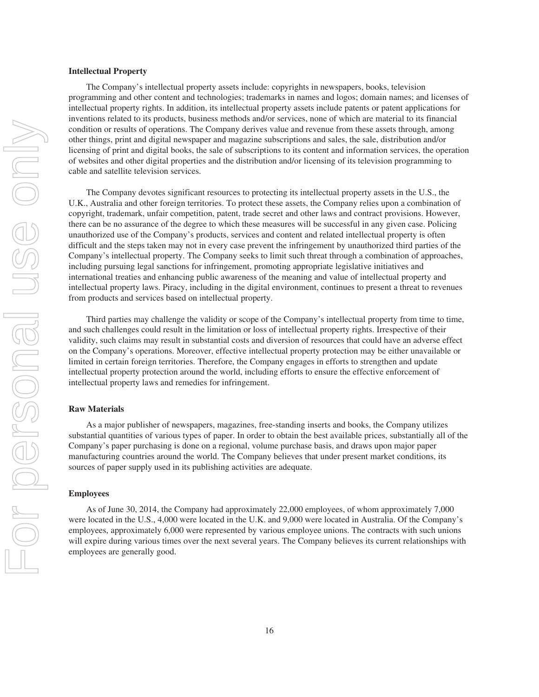# **Intellectual Property**

The Company's intellectual property assets include: copyrights in newspapers, books, television programming and other content and technologies; trademarks in names and logos; domain names; and licenses of intellectual property rights. In addition, its intellectual property assets include patents or patent applications for inventions related to its products, business methods and/or services, none of which are material to its financial condition or results of operations. The Company derives value and revenue from these assets through, among other things, print and digital newspaper and magazine subscriptions and sales, the sale, distribution and/or licensing of print and digital books, the sale of subscriptions to its content and information services, the operation of websites and other digital properties and the distribution and/or licensing of its television programming to cable and satellite television services.

The Company devotes significant resources to protecting its intellectual property assets in the U.S., the U.K., Australia and other foreign territories. To protect these assets, the Company relies upon a combination of copyright, trademark, unfair competition, patent, trade secret and other laws and contract provisions. However, there can be no assurance of the degree to which these measures will be successful in any given case. Policing unauthorized use of the Company's products, services and content and related intellectual property is often difficult and the steps taken may not in every case prevent the infringement by unauthorized third parties of the Company's intellectual property. The Company seeks to limit such threat through a combination of approaches, including pursuing legal sanctions for infringement, promoting appropriate legislative initiatives and international treaties and enhancing public awareness of the meaning and value of intellectual property and intellectual property laws. Piracy, including in the digital environment, continues to present a threat to revenues from products and services based on intellectual property.

Third parties may challenge the validity or scope of the Company's intellectual property from time to time, and such challenges could result in the limitation or loss of intellectual property rights. Irrespective of their validity, such claims may result in substantial costs and diversion of resources that could have an adverse effect on the Company's operations. Moreover, effective intellectual property protection may be either unavailable or limited in certain foreign territories. Therefore, the Company engages in efforts to strengthen and update intellectual property protection around the world, including efforts to ensure the effective enforcement of intellectual property laws and remedies for infringement.

#### **Raw Materials**

As a major publisher of newspapers, magazines, free-standing inserts and books, the Company utilizes substantial quantities of various types of paper. In order to obtain the best available prices, substantially all of the Company's paper purchasing is done on a regional, volume purchase basis, and draws upon major paper manufacturing countries around the world. The Company believes that under present market conditions, its sources of paper supply used in its publishing activities are adequate.

# **Employees**

As of June 30, 2014, the Company had approximately 22,000 employees, of whom approximately 7,000 were located in the U.S., 4,000 were located in the U.K. and 9,000 were located in Australia. Of the Company's employees, approximately 6,000 were represented by various employee unions. The contracts with such unions will expire during various times over the next several years. The Company believes its current relationships with employees are generally good.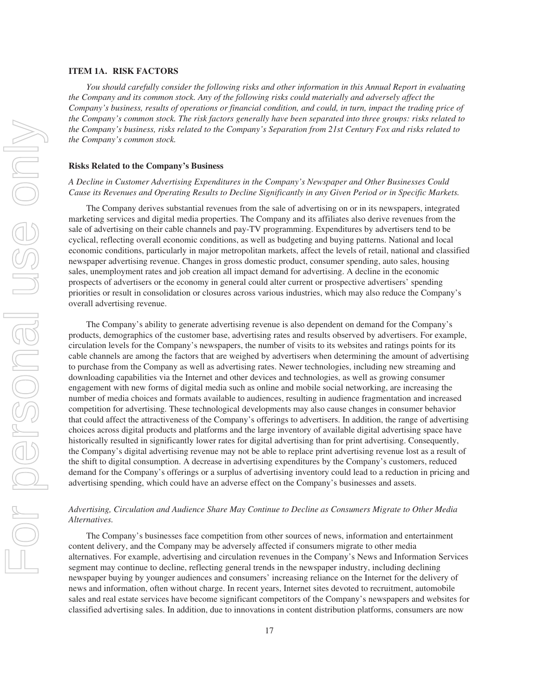#### **ITEM 1A. RISK FACTORS**

*You should carefully consider the following risks and other information in this Annual Report in evaluating the Company and its common stock. Any of the following risks could materially and adversely affect the Company's business, results of operations or financial condition, and could, in turn, impact the trading price of the Company's common stock. The risk factors generally have been separated into three groups: risks related to the Company's business, risks related to the Company's Separation from 21st Century Fox and risks related to the Company's common stock.*

#### **Risks Related to the Company's Business**

# *A Decline in Customer Advertising Expenditures in the Company's Newspaper and Other Businesses Could Cause its Revenues and Operating Results to Decline Significantly in any Given Period or in Specific Markets.*

The Company derives substantial revenues from the sale of advertising on or in its newspapers, integrated marketing services and digital media properties. The Company and its affiliates also derive revenues from the sale of advertising on their cable channels and pay-TV programming. Expenditures by advertisers tend to be cyclical, reflecting overall economic conditions, as well as budgeting and buying patterns. National and local economic conditions, particularly in major metropolitan markets, affect the levels of retail, national and classified newspaper advertising revenue. Changes in gross domestic product, consumer spending, auto sales, housing sales, unemployment rates and job creation all impact demand for advertising. A decline in the economic prospects of advertisers or the economy in general could alter current or prospective advertisers' spending priorities or result in consolidation or closures across various industries, which may also reduce the Company's overall advertising revenue.

The Company's ability to generate advertising revenue is also dependent on demand for the Company's products, demographics of the customer base, advertising rates and results observed by advertisers. For example, circulation levels for the Company's newspapers, the number of visits to its websites and ratings points for its cable channels are among the factors that are weighed by advertisers when determining the amount of advertising to purchase from the Company as well as advertising rates. Newer technologies, including new streaming and downloading capabilities via the Internet and other devices and technologies, as well as growing consumer engagement with new forms of digital media such as online and mobile social networking, are increasing the number of media choices and formats available to audiences, resulting in audience fragmentation and increased competition for advertising. These technological developments may also cause changes in consumer behavior that could affect the attractiveness of the Company's offerings to advertisers. In addition, the range of advertising choices across digital products and platforms and the large inventory of available digital advertising space have historically resulted in significantly lower rates for digital advertising than for print advertising. Consequently, the Company's digital advertising revenue may not be able to replace print advertising revenue lost as a result of the shift to digital consumption. A decrease in advertising expenditures by the Company's customers, reduced demand for the Company's offerings or a surplus of advertising inventory could lead to a reduction in pricing and advertising spending, which could have an adverse effect on the Company's businesses and assets.

# *Advertising, Circulation and Audience Share May Continue to Decline as Consumers Migrate to Other Media Alternatives.*

The Company's businesses face competition from other sources of news, information and entertainment content delivery, and the Company may be adversely affected if consumers migrate to other media alternatives. For example, advertising and circulation revenues in the Company's News and Information Services segment may continue to decline, reflecting general trends in the newspaper industry, including declining newspaper buying by younger audiences and consumers' increasing reliance on the Internet for the delivery of news and information, often without charge. In recent years, Internet sites devoted to recruitment, automobile sales and real estate services have become significant competitors of the Company's newspapers and websites for classified advertising sales. In addition, due to innovations in content distribution platforms, consumers are now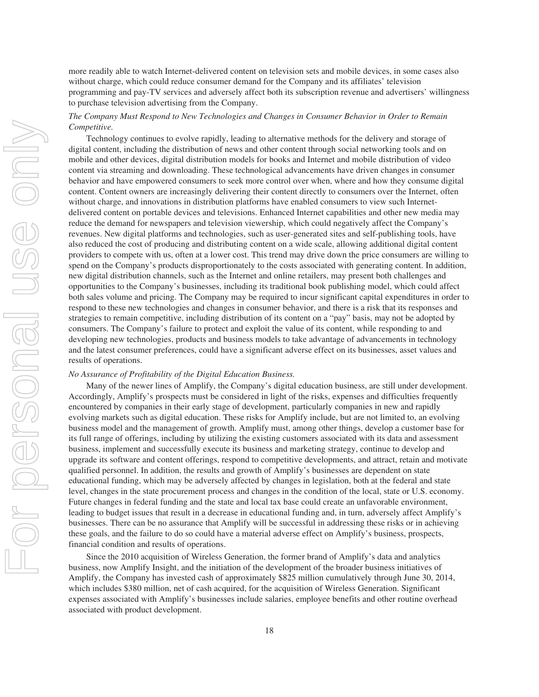more readily able to watch Internet-delivered content on television sets and mobile devices, in some cases also without charge, which could reduce consumer demand for the Company and its affiliates' television programming and pay-TV services and adversely affect both its subscription revenue and advertisers' willingness to purchase television advertising from the Company.

# *The Company Must Respond to New Technologies and Changes in Consumer Behavior in Order to Remain Competitive.*

Technology continues to evolve rapidly, leading to alternative methods for the delivery and storage of digital content, including the distribution of news and other content through social networking tools and on mobile and other devices, digital distribution models for books and Internet and mobile distribution of video content via streaming and downloading. These technological advancements have driven changes in consumer behavior and have empowered consumers to seek more control over when, where and how they consume digital content. Content owners are increasingly delivering their content directly to consumers over the Internet, often without charge, and innovations in distribution platforms have enabled consumers to view such Internetdelivered content on portable devices and televisions. Enhanced Internet capabilities and other new media may reduce the demand for newspapers and television viewership, which could negatively affect the Company's revenues. New digital platforms and technologies, such as user-generated sites and self-publishing tools, have also reduced the cost of producing and distributing content on a wide scale, allowing additional digital content providers to compete with us, often at a lower cost. This trend may drive down the price consumers are willing to spend on the Company's products disproportionately to the costs associated with generating content. In addition, new digital distribution channels, such as the Internet and online retailers, may present both challenges and opportunities to the Company's businesses, including its traditional book publishing model, which could affect both sales volume and pricing. The Company may be required to incur significant capital expenditures in order to respond to these new technologies and changes in consumer behavior, and there is a risk that its responses and strategies to remain competitive, including distribution of its content on a "pay" basis, may not be adopted by consumers. The Company's failure to protect and exploit the value of its content, while responding to and developing new technologies, products and business models to take advantage of advancements in technology and the latest consumer preferences, could have a significant adverse effect on its businesses, asset values and results of operations.

# *No Assurance of Profitability of the Digital Education Business.*

Many of the newer lines of Amplify, the Company's digital education business, are still under development. Accordingly, Amplify's prospects must be considered in light of the risks, expenses and difficulties frequently encountered by companies in their early stage of development, particularly companies in new and rapidly evolving markets such as digital education. These risks for Amplify include, but are not limited to, an evolving business model and the management of growth. Amplify must, among other things, develop a customer base for its full range of offerings, including by utilizing the existing customers associated with its data and assessment business, implement and successfully execute its business and marketing strategy, continue to develop and upgrade its software and content offerings, respond to competitive developments, and attract, retain and motivate qualified personnel. In addition, the results and growth of Amplify's businesses are dependent on state educational funding, which may be adversely affected by changes in legislation, both at the federal and state level, changes in the state procurement process and changes in the condition of the local, state or U.S. economy. Future changes in federal funding and the state and local tax base could create an unfavorable environment, leading to budget issues that result in a decrease in educational funding and, in turn, adversely affect Amplify's businesses. There can be no assurance that Amplify will be successful in addressing these risks or in achieving these goals, and the failure to do so could have a material adverse effect on Amplify's business, prospects, financial condition and results of operations.

Since the 2010 acquisition of Wireless Generation, the former brand of Amplify's data and analytics business, now Amplify Insight, and the initiation of the development of the broader business initiatives of Amplify, the Company has invested cash of approximately \$825 million cumulatively through June 30, 2014, which includes \$380 million, net of cash acquired, for the acquisition of Wireless Generation. Significant expenses associated with Amplify's businesses include salaries, employee benefits and other routine overhead associated with product development.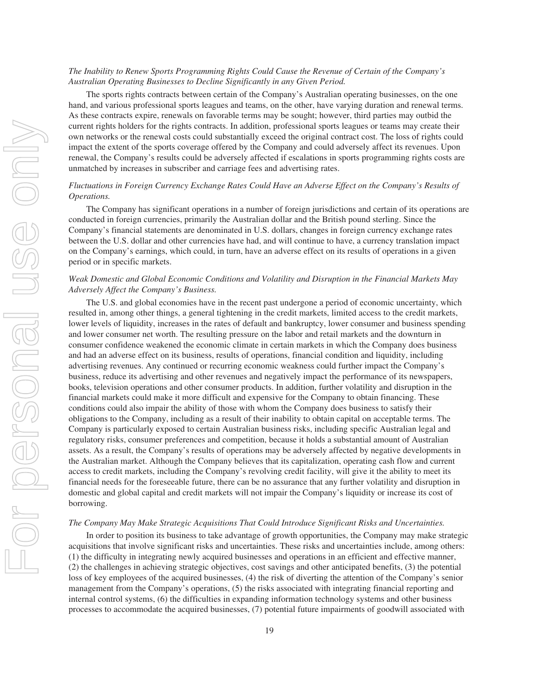# *The Inability to Renew Sports Programming Rights Could Cause the Revenue of Certain of the Company's Australian Operating Businesses to Decline Significantly in any Given Period.*

The sports rights contracts between certain of the Company's Australian operating businesses, on the one hand, and various professional sports leagues and teams, on the other, have varying duration and renewal terms. As these contracts expire, renewals on favorable terms may be sought; however, third parties may outbid the current rights holders for the rights contracts. In addition, professional sports leagues or teams may create their own networks or the renewal costs could substantially exceed the original contract cost. The loss of rights could impact the extent of the sports coverage offered by the Company and could adversely affect its revenues. Upon renewal, the Company's results could be adversely affected if escalations in sports programming rights costs are unmatched by increases in subscriber and carriage fees and advertising rates.

# *Fluctuations in Foreign Currency Exchange Rates Could Have an Adverse Effect on the Company's Results of Operations.*

The Company has significant operations in a number of foreign jurisdictions and certain of its operations are conducted in foreign currencies, primarily the Australian dollar and the British pound sterling. Since the Company's financial statements are denominated in U.S. dollars, changes in foreign currency exchange rates between the U.S. dollar and other currencies have had, and will continue to have, a currency translation impact on the Company's earnings, which could, in turn, have an adverse effect on its results of operations in a given period or in specific markets.

# *Weak Domestic and Global Economic Conditions and Volatility and Disruption in the Financial Markets May Adversely Affect the Company's Business.*

The U.S. and global economies have in the recent past undergone a period of economic uncertainty, which resulted in, among other things, a general tightening in the credit markets, limited access to the credit markets, lower levels of liquidity, increases in the rates of default and bankruptcy, lower consumer and business spending and lower consumer net worth. The resulting pressure on the labor and retail markets and the downturn in consumer confidence weakened the economic climate in certain markets in which the Company does business and had an adverse effect on its business, results of operations, financial condition and liquidity, including advertising revenues. Any continued or recurring economic weakness could further impact the Company's business, reduce its advertising and other revenues and negatively impact the performance of its newspapers, books, television operations and other consumer products. In addition, further volatility and disruption in the financial markets could make it more difficult and expensive for the Company to obtain financing. These conditions could also impair the ability of those with whom the Company does business to satisfy their obligations to the Company, including as a result of their inability to obtain capital on acceptable terms. The Company is particularly exposed to certain Australian business risks, including specific Australian legal and regulatory risks, consumer preferences and competition, because it holds a substantial amount of Australian assets. As a result, the Company's results of operations may be adversely affected by negative developments in the Australian market. Although the Company believes that its capitalization, operating cash flow and current access to credit markets, including the Company's revolving credit facility, will give it the ability to meet its financial needs for the foreseeable future, there can be no assurance that any further volatility and disruption in domestic and global capital and credit markets will not impair the Company's liquidity or increase its cost of borrowing.

# *The Company May Make Strategic Acquisitions That Could Introduce Significant Risks and Uncertainties.*

In order to position its business to take advantage of growth opportunities, the Company may make strategic acquisitions that involve significant risks and uncertainties. These risks and uncertainties include, among others: (1) the difficulty in integrating newly acquired businesses and operations in an efficient and effective manner, (2) the challenges in achieving strategic objectives, cost savings and other anticipated benefits, (3) the potential loss of key employees of the acquired businesses, (4) the risk of diverting the attention of the Company's senior management from the Company's operations, (5) the risks associated with integrating financial reporting and internal control systems, (6) the difficulties in expanding information technology systems and other business processes to accommodate the acquired businesses, (7) potential future impairments of goodwill associated with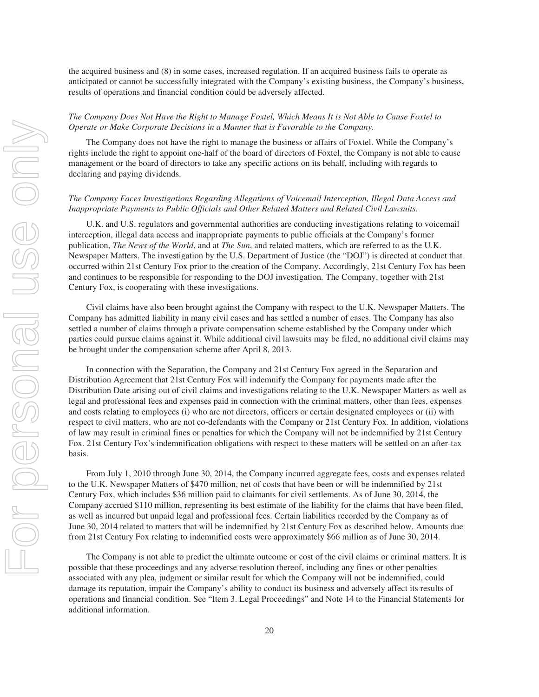the acquired business and (8) in some cases, increased regulation. If an acquired business fails to operate as anticipated or cannot be successfully integrated with the Company's existing business, the Company's business, results of operations and financial condition could be adversely affected.

# *The Company Does Not Have the Right to Manage Foxtel, Which Means It is Not Able to Cause Foxtel to Operate or Make Corporate Decisions in a Manner that is Favorable to the Company.*

The Company does not have the right to manage the business or affairs of Foxtel. While the Company's rights include the right to appoint one-half of the board of directors of Foxtel, the Company is not able to cause management or the board of directors to take any specific actions on its behalf, including with regards to declaring and paying dividends.

# *The Company Faces Investigations Regarding Allegations of Voicemail Interception, Illegal Data Access and Inappropriate Payments to Public Officials and Other Related Matters and Related Civil Lawsuits.*

U.K. and U.S. regulators and governmental authorities are conducting investigations relating to voicemail interception, illegal data access and inappropriate payments to public officials at the Company's former publication, *The News of the World*, and at *The Sun*, and related matters, which are referred to as the U.K. Newspaper Matters. The investigation by the U.S. Department of Justice (the "DOJ") is directed at conduct that occurred within 21st Century Fox prior to the creation of the Company. Accordingly, 21st Century Fox has been and continues to be responsible for responding to the DOJ investigation. The Company, together with 21st Century Fox, is cooperating with these investigations.

Civil claims have also been brought against the Company with respect to the U.K. Newspaper Matters. The Company has admitted liability in many civil cases and has settled a number of cases. The Company has also settled a number of claims through a private compensation scheme established by the Company under which parties could pursue claims against it. While additional civil lawsuits may be filed, no additional civil claims may be brought under the compensation scheme after April 8, 2013.

In connection with the Separation, the Company and 21st Century Fox agreed in the Separation and Distribution Agreement that 21st Century Fox will indemnify the Company for payments made after the Distribution Date arising out of civil claims and investigations relating to the U.K. Newspaper Matters as well as legal and professional fees and expenses paid in connection with the criminal matters, other than fees, expenses and costs relating to employees (i) who are not directors, officers or certain designated employees or (ii) with respect to civil matters, who are not co-defendants with the Company or 21st Century Fox. In addition, violations of law may result in criminal fines or penalties for which the Company will not be indemnified by 21st Century Fox. 21st Century Fox's indemnification obligations with respect to these matters will be settled on an after-tax basis.

From July 1, 2010 through June 30, 2014, the Company incurred aggregate fees, costs and expenses related to the U.K. Newspaper Matters of \$470 million, net of costs that have been or will be indemnified by 21st Century Fox, which includes \$36 million paid to claimants for civil settlements. As of June 30, 2014, the Company accrued \$110 million, representing its best estimate of the liability for the claims that have been filed, as well as incurred but unpaid legal and professional fees. Certain liabilities recorded by the Company as of June 30, 2014 related to matters that will be indemnified by 21st Century Fox as described below. Amounts due from 21st Century Fox relating to indemnified costs were approximately \$66 million as of June 30, 2014.

The Company is not able to predict the ultimate outcome or cost of the civil claims or criminal matters. It is possible that these proceedings and any adverse resolution thereof, including any fines or other penalties associated with any plea, judgment or similar result for which the Company will not be indemnified, could damage its reputation, impair the Company's ability to conduct its business and adversely affect its results of operations and financial condition. See "Item 3. Legal Proceedings" and Note 14 to the Financial Statements for additional information.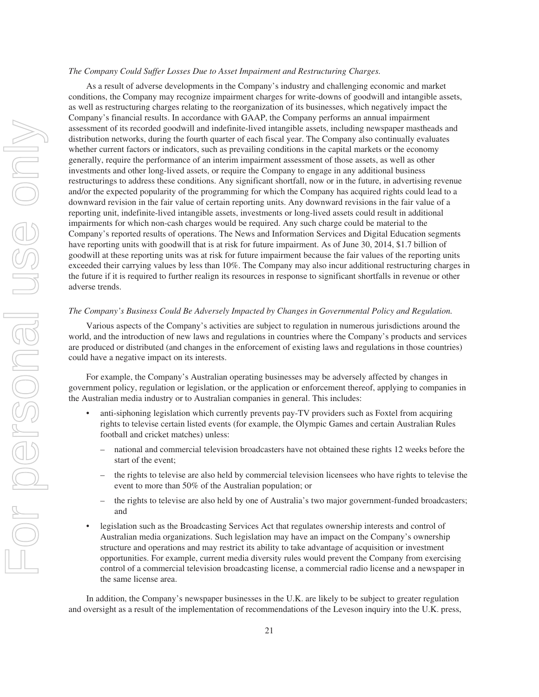# *The Company Could Suffer Losses Due to Asset Impairment and Restructuring Charges.*

As a result of adverse developments in the Company's industry and challenging economic and market conditions, the Company may recognize impairment charges for write-downs of goodwill and intangible assets, as well as restructuring charges relating to the reorganization of its businesses, which negatively impact the Company's financial results. In accordance with GAAP, the Company performs an annual impairment assessment of its recorded goodwill and indefinite-lived intangible assets, including newspaper mastheads and distribution networks, during the fourth quarter of each fiscal year. The Company also continually evaluates whether current factors or indicators, such as prevailing conditions in the capital markets or the economy generally, require the performance of an interim impairment assessment of those assets, as well as other investments and other long-lived assets, or require the Company to engage in any additional business restructurings to address these conditions. Any significant shortfall, now or in the future, in advertising revenue and/or the expected popularity of the programming for which the Company has acquired rights could lead to a downward revision in the fair value of certain reporting units. Any downward revisions in the fair value of a reporting unit, indefinite-lived intangible assets, investments or long-lived assets could result in additional impairments for which non-cash charges would be required. Any such charge could be material to the Company's reported results of operations. The News and Information Services and Digital Education segments have reporting units with goodwill that is at risk for future impairment. As of June 30, 2014, \$1.7 billion of goodwill at these reporting units was at risk for future impairment because the fair values of the reporting units exceeded their carrying values by less than 10%. The Company may also incur additional restructuring charges in the future if it is required to further realign its resources in response to significant shortfalls in revenue or other adverse trends.

#### *The Company's Business Could Be Adversely Impacted by Changes in Governmental Policy and Regulation.*

Various aspects of the Company's activities are subject to regulation in numerous jurisdictions around the world, and the introduction of new laws and regulations in countries where the Company's products and services are produced or distributed (and changes in the enforcement of existing laws and regulations in those countries) could have a negative impact on its interests.

For example, the Company's Australian operating businesses may be adversely affected by changes in government policy, regulation or legislation, or the application or enforcement thereof, applying to companies in the Australian media industry or to Australian companies in general. This includes:

- anti-siphoning legislation which currently prevents pay-TV providers such as Foxtel from acquiring rights to televise certain listed events (for example, the Olympic Games and certain Australian Rules football and cricket matches) unless:
	- national and commercial television broadcasters have not obtained these rights 12 weeks before the start of the event;
	- the rights to televise are also held by commercial television licensees who have rights to televise the event to more than 50% of the Australian population; or
	- the rights to televise are also held by one of Australia's two major government-funded broadcasters; and
- legislation such as the Broadcasting Services Act that regulates ownership interests and control of Australian media organizations. Such legislation may have an impact on the Company's ownership structure and operations and may restrict its ability to take advantage of acquisition or investment opportunities. For example, current media diversity rules would prevent the Company from exercising control of a commercial television broadcasting license, a commercial radio license and a newspaper in the same license area.

In addition, the Company's newspaper businesses in the U.K. are likely to be subject to greater regulation and oversight as a result of the implementation of recommendations of the Leveson inquiry into the U.K. press,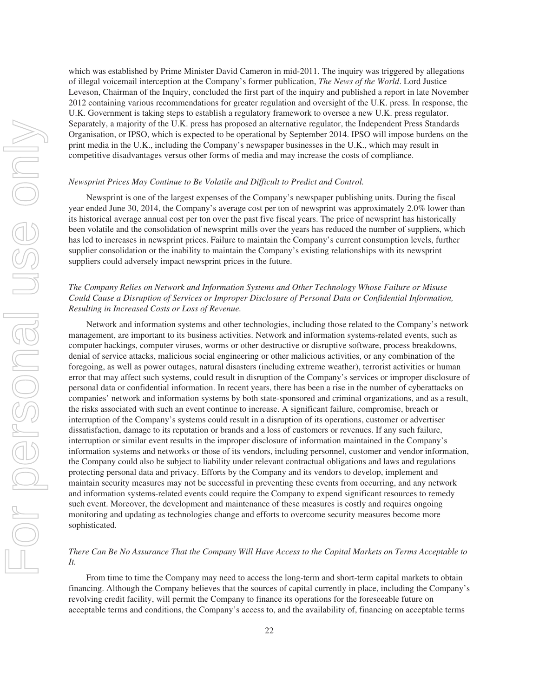which was established by Prime Minister David Cameron in mid-2011. The inquiry was triggered by allegations of illegal voicemail interception at the Company's former publication, *The News of the World*. Lord Justice Leveson, Chairman of the Inquiry, concluded the first part of the inquiry and published a report in late November 2012 containing various recommendations for greater regulation and oversight of the U.K. press. In response, the U.K. Government is taking steps to establish a regulatory framework to oversee a new U.K. press regulator. Separately, a majority of the U.K. press has proposed an alternative regulator, the Independent Press Standards Organisation, or IPSO, which is expected to be operational by September 2014. IPSO will impose burdens on the print media in the U.K., including the Company's newspaper businesses in the U.K., which may result in competitive disadvantages versus other forms of media and may increase the costs of compliance.

# *Newsprint Prices May Continue to Be Volatile and Difficult to Predict and Control.*

Newsprint is one of the largest expenses of the Company's newspaper publishing units. During the fiscal year ended June 30, 2014, the Company's average cost per ton of newsprint was approximately 2.0% lower than its historical average annual cost per ton over the past five fiscal years. The price of newsprint has historically been volatile and the consolidation of newsprint mills over the years has reduced the number of suppliers, which has led to increases in newsprint prices. Failure to maintain the Company's current consumption levels, further supplier consolidation or the inability to maintain the Company's existing relationships with its newsprint suppliers could adversely impact newsprint prices in the future.

# *The Company Relies on Network and Information Systems and Other Technology Whose Failure or Misuse Could Cause a Disruption of Services or Improper Disclosure of Personal Data or Confidential Information, Resulting in Increased Costs or Loss of Revenue.*

Network and information systems and other technologies, including those related to the Company's network management, are important to its business activities. Network and information systems-related events, such as computer hackings, computer viruses, worms or other destructive or disruptive software, process breakdowns, denial of service attacks, malicious social engineering or other malicious activities, or any combination of the foregoing, as well as power outages, natural disasters (including extreme weather), terrorist activities or human error that may affect such systems, could result in disruption of the Company's services or improper disclosure of personal data or confidential information. In recent years, there has been a rise in the number of cyberattacks on companies' network and information systems by both state-sponsored and criminal organizations, and as a result, the risks associated with such an event continue to increase. A significant failure, compromise, breach or interruption of the Company's systems could result in a disruption of its operations, customer or advertiser dissatisfaction, damage to its reputation or brands and a loss of customers or revenues. If any such failure, interruption or similar event results in the improper disclosure of information maintained in the Company's information systems and networks or those of its vendors, including personnel, customer and vendor information, the Company could also be subject to liability under relevant contractual obligations and laws and regulations protecting personal data and privacy. Efforts by the Company and its vendors to develop, implement and maintain security measures may not be successful in preventing these events from occurring, and any network and information systems-related events could require the Company to expend significant resources to remedy such event. Moreover, the development and maintenance of these measures is costly and requires ongoing monitoring and updating as technologies change and efforts to overcome security measures become more sophisticated.

# *There Can Be No Assurance That the Company Will Have Access to the Capital Markets on Terms Acceptable to It.*

From time to time the Company may need to access the long-term and short-term capital markets to obtain financing. Although the Company believes that the sources of capital currently in place, including the Company's revolving credit facility, will permit the Company to finance its operations for the foreseeable future on acceptable terms and conditions, the Company's access to, and the availability of, financing on acceptable terms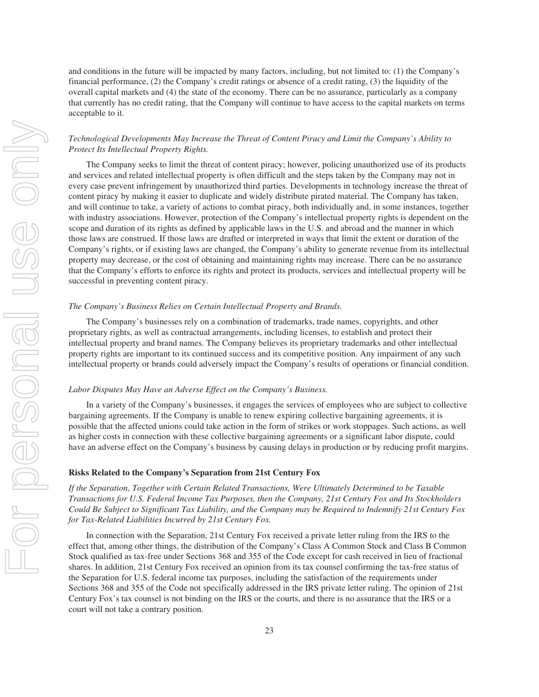and conditions in the future will be impacted by many factors, including, but not limited to: (1) the Company's financial performance, (2) the Company's credit ratings or absence of a credit rating, (3) the liquidity of the overall capital markets and (4) the state of the economy. There can be no assurance, particularly as a company that currently has no credit rating, that the Company will continue to have access to the capital markets on terms acceptable to it.

# *Technological Developments May Increase the Threat of Content Piracy and Limit the Company's Ability to Protect Its Intellectual Property Rights.*

The Company seeks to limit the threat of content piracy; however, policing unauthorized use of its products and services and related intellectual property is often difficult and the steps taken by the Company may not in every case prevent infringement by unauthorized third parties. Developments in technology increase the threat of content piracy by making it easier to duplicate and widely distribute pirated material. The Company has taken, and will continue to take, a variety of actions to combat piracy, both individually and, in some instances, together with industry associations. However, protection of the Company's intellectual property rights is dependent on the scope and duration of its rights as defined by applicable laws in the U.S. and abroad and the manner in which those laws are construed. If those laws are drafted or interpreted in ways that limit the extent or duration of the Company's rights, or if existing laws are changed, the Company's ability to generate revenue from its intellectual property may decrease, or the cost of obtaining and maintaining rights may increase. There can be no assurance that the Company's efforts to enforce its rights and protect its products, services and intellectual property will be successful in preventing content piracy.

# *The Company's Business Relies on Certain Intellectual Property and Brands.*

The Company's businesses rely on a combination of trademarks, trade names, copyrights, and other proprietary rights, as well as contractual arrangements, including licenses, to establish and protect their intellectual property and brand names. The Company believes its proprietary trademarks and other intellectual property rights are important to its continued success and its competitive position. Any impairment of any such intellectual property or brands could adversely impact the Company's results of operations or financial condition.

#### *Labor Disputes May Have an Adverse Effect on the Company's Business.*

In a variety of the Company's businesses, it engages the services of employees who are subject to collective bargaining agreements. If the Company is unable to renew expiring collective bargaining agreements, it is possible that the affected unions could take action in the form of strikes or work stoppages. Such actions, as well as higher costs in connection with these collective bargaining agreements or a significant labor dispute, could have an adverse effect on the Company's business by causing delays in production or by reducing profit margins.

# **Risks Related to the Company's Separation from 21st Century Fox**

*If the Separation, Together with Certain Related Transactions, Were Ultimately Determined to be Taxable Transactions for U.S. Federal Income Tax Purposes, then the Company, 21st Century Fox and Its Stockholders Could Be Subject to Significant Tax Liability, and the Company may be Required to Indemnify 21st Century Fox for Tax-Related Liabilities Incurred by 21st Century Fox.*

In connection with the Separation, 21st Century Fox received a private letter ruling from the IRS to the effect that, among other things, the distribution of the Company's Class A Common Stock and Class B Common Stock qualified as tax-free under Sections 368 and 355 of the Code except for cash received in lieu of fractional shares. In addition, 21st Century Fox received an opinion from its tax counsel confirming the tax-free status of the Separation for U.S. federal income tax purposes, including the satisfaction of the requirements under Sections 368 and 355 of the Code not specifically addressed in the IRS private letter ruling. The opinion of 21st Century Fox's tax counsel is not binding on the IRS or the courts, and there is no assurance that the IRS or a court will not take a contrary position.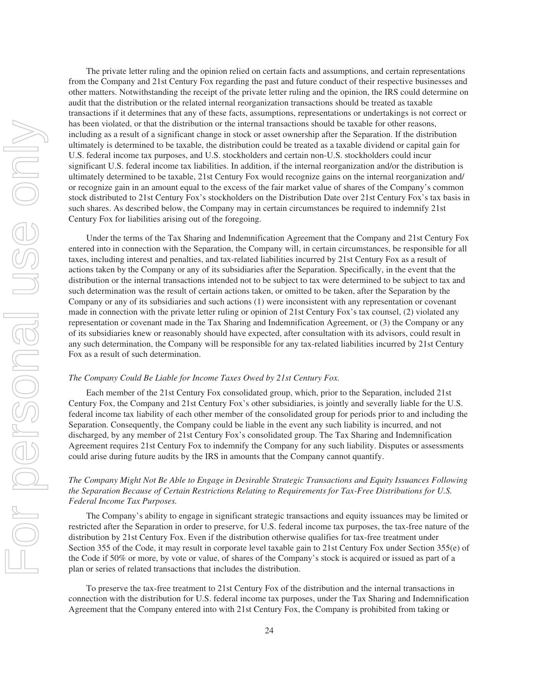The private letter ruling and the opinion relied on certain facts and assumptions, and certain representations from the Company and 21st Century Fox regarding the past and future conduct of their respective businesses and other matters. Notwithstanding the receipt of the private letter ruling and the opinion, the IRS could determine on audit that the distribution or the related internal reorganization transactions should be treated as taxable transactions if it determines that any of these facts, assumptions, representations or undertakings is not correct or has been violated, or that the distribution or the internal transactions should be taxable for other reasons, including as a result of a significant change in stock or asset ownership after the Separation. If the distribution ultimately is determined to be taxable, the distribution could be treated as a taxable dividend or capital gain for U.S. federal income tax purposes, and U.S. stockholders and certain non-U.S. stockholders could incur significant U.S. federal income tax liabilities. In addition, if the internal reorganization and/or the distribution is ultimately determined to be taxable, 21st Century Fox would recognize gains on the internal reorganization and/ or recognize gain in an amount equal to the excess of the fair market value of shares of the Company's common stock distributed to 21st Century Fox's stockholders on the Distribution Date over 21st Century Fox's tax basis in such shares. As described below, the Company may in certain circumstances be required to indemnify 21st Century Fox for liabilities arising out of the foregoing.

Under the terms of the Tax Sharing and Indemnification Agreement that the Company and 21st Century Fox entered into in connection with the Separation, the Company will, in certain circumstances, be responsible for all taxes, including interest and penalties, and tax-related liabilities incurred by 21st Century Fox as a result of actions taken by the Company or any of its subsidiaries after the Separation. Specifically, in the event that the distribution or the internal transactions intended not to be subject to tax were determined to be subject to tax and such determination was the result of certain actions taken, or omitted to be taken, after the Separation by the Company or any of its subsidiaries and such actions (1) were inconsistent with any representation or covenant made in connection with the private letter ruling or opinion of 21st Century Fox's tax counsel, (2) violated any representation or covenant made in the Tax Sharing and Indemnification Agreement, or (3) the Company or any of its subsidiaries knew or reasonably should have expected, after consultation with its advisors, could result in any such determination, the Company will be responsible for any tax-related liabilities incurred by 21st Century Fox as a result of such determination.

#### *The Company Could Be Liable for Income Taxes Owed by 21st Century Fox.*

Each member of the 21st Century Fox consolidated group, which, prior to the Separation, included 21st Century Fox, the Company and 21st Century Fox's other subsidiaries, is jointly and severally liable for the U.S. federal income tax liability of each other member of the consolidated group for periods prior to and including the Separation. Consequently, the Company could be liable in the event any such liability is incurred, and not discharged, by any member of 21st Century Fox's consolidated group. The Tax Sharing and Indemnification Agreement requires 21st Century Fox to indemnify the Company for any such liability. Disputes or assessments could arise during future audits by the IRS in amounts that the Company cannot quantify.

# *The Company Might Not Be Able to Engage in Desirable Strategic Transactions and Equity Issuances Following the Separation Because of Certain Restrictions Relating to Requirements for Tax-Free Distributions for U.S. Federal Income Tax Purposes.*

The Company's ability to engage in significant strategic transactions and equity issuances may be limited or restricted after the Separation in order to preserve, for U.S. federal income tax purposes, the tax-free nature of the distribution by 21st Century Fox. Even if the distribution otherwise qualifies for tax-free treatment under Section 355 of the Code, it may result in corporate level taxable gain to 21st Century Fox under Section 355(e) of the Code if 50% or more, by vote or value, of shares of the Company's stock is acquired or issued as part of a plan or series of related transactions that includes the distribution.

To preserve the tax-free treatment to 21st Century Fox of the distribution and the internal transactions in connection with the distribution for U.S. federal income tax purposes, under the Tax Sharing and Indemnification Agreement that the Company entered into with 21st Century Fox, the Company is prohibited from taking or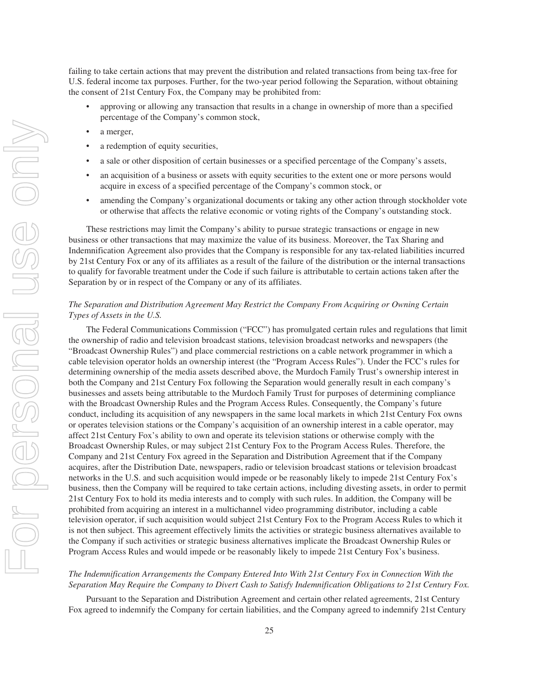failing to take certain actions that may prevent the distribution and related transactions from being tax-free for U.S. federal income tax purposes. Further, for the two-year period following the Separation, without obtaining the consent of 21st Century Fox, the Company may be prohibited from:

- approving or allowing any transaction that results in a change in ownership of more than a specified percentage of the Company's common stock,
- a merger,
- a redemption of equity securities,
- a sale or other disposition of certain businesses or a specified percentage of the Company's assets,
- an acquisition of a business or assets with equity securities to the extent one or more persons would acquire in excess of a specified percentage of the Company's common stock, or
- amending the Company's organizational documents or taking any other action through stockholder vote or otherwise that affects the relative economic or voting rights of the Company's outstanding stock.

These restrictions may limit the Company's ability to pursue strategic transactions or engage in new business or other transactions that may maximize the value of its business. Moreover, the Tax Sharing and Indemnification Agreement also provides that the Company is responsible for any tax-related liabilities incurred by 21st Century Fox or any of its affiliates as a result of the failure of the distribution or the internal transactions to qualify for favorable treatment under the Code if such failure is attributable to certain actions taken after the Separation by or in respect of the Company or any of its affiliates.

# *The Separation and Distribution Agreement May Restrict the Company From Acquiring or Owning Certain Types of Assets in the U.S.*

The Federal Communications Commission ("FCC") has promulgated certain rules and regulations that limit the ownership of radio and television broadcast stations, television broadcast networks and newspapers (the "Broadcast Ownership Rules") and place commercial restrictions on a cable network programmer in which a cable television operator holds an ownership interest (the "Program Access Rules"). Under the FCC's rules for determining ownership of the media assets described above, the Murdoch Family Trust's ownership interest in both the Company and 21st Century Fox following the Separation would generally result in each company's businesses and assets being attributable to the Murdoch Family Trust for purposes of determining compliance with the Broadcast Ownership Rules and the Program Access Rules. Consequently, the Company's future conduct, including its acquisition of any newspapers in the same local markets in which 21st Century Fox owns or operates television stations or the Company's acquisition of an ownership interest in a cable operator, may affect 21st Century Fox's ability to own and operate its television stations or otherwise comply with the Broadcast Ownership Rules, or may subject 21st Century Fox to the Program Access Rules. Therefore, the Company and 21st Century Fox agreed in the Separation and Distribution Agreement that if the Company acquires, after the Distribution Date, newspapers, radio or television broadcast stations or television broadcast networks in the U.S. and such acquisition would impede or be reasonably likely to impede 21st Century Fox's business, then the Company will be required to take certain actions, including divesting assets, in order to permit 21st Century Fox to hold its media interests and to comply with such rules. In addition, the Company will be prohibited from acquiring an interest in a multichannel video programming distributor, including a cable television operator, if such acquisition would subject 21st Century Fox to the Program Access Rules to which it is not then subject. This agreement effectively limits the activities or strategic business alternatives available to the Company if such activities or strategic business alternatives implicate the Broadcast Ownership Rules or Program Access Rules and would impede or be reasonably likely to impede 21st Century Fox's business.

# *The Indemnification Arrangements the Company Entered Into With 21st Century Fox in Connection With the Separation May Require the Company to Divert Cash to Satisfy Indemnification Obligations to 21st Century Fox.*

Pursuant to the Separation and Distribution Agreement and certain other related agreements, 21st Century Fox agreed to indemnify the Company for certain liabilities, and the Company agreed to indemnify 21st Century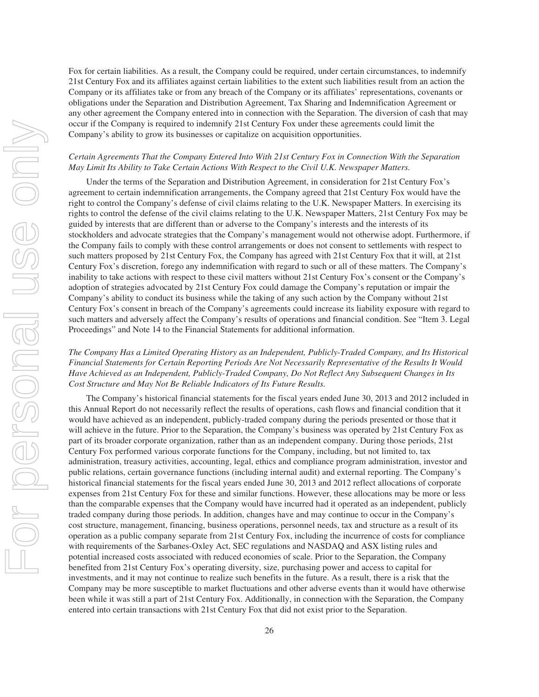Fox for certain liabilities. As a result, the Company could be required, under certain circumstances, to indemnify 21st Century Fox and its affiliates against certain liabilities to the extent such liabilities result from an action the Company or its affiliates take or from any breach of the Company or its affiliates' representations, covenants or obligations under the Separation and Distribution Agreement, Tax Sharing and Indemnification Agreement or any other agreement the Company entered into in connection with the Separation. The diversion of cash that may occur if the Company is required to indemnify 21st Century Fox under these agreements could limit the Company's ability to grow its businesses or capitalize on acquisition opportunities.

# *Certain Agreements That the Company Entered Into With 21st Century Fox in Connection With the Separation May Limit Its Ability to Take Certain Actions With Respect to the Civil U.K. Newspaper Matters.*

Under the terms of the Separation and Distribution Agreement, in consideration for 21st Century Fox's agreement to certain indemnification arrangements, the Company agreed that 21st Century Fox would have the right to control the Company's defense of civil claims relating to the U.K. Newspaper Matters. In exercising its rights to control the defense of the civil claims relating to the U.K. Newspaper Matters, 21st Century Fox may be guided by interests that are different than or adverse to the Company's interests and the interests of its stockholders and advocate strategies that the Company's management would not otherwise adopt. Furthermore, if the Company fails to comply with these control arrangements or does not consent to settlements with respect to such matters proposed by 21st Century Fox, the Company has agreed with 21st Century Fox that it will, at 21st Century Fox's discretion, forego any indemnification with regard to such or all of these matters. The Company's inability to take actions with respect to these civil matters without 21st Century Fox's consent or the Company's adoption of strategies advocated by 21st Century Fox could damage the Company's reputation or impair the Company's ability to conduct its business while the taking of any such action by the Company without 21st Century Fox's consent in breach of the Company's agreements could increase its liability exposure with regard to such matters and adversely affect the Company's results of operations and financial condition. See "Item 3. Legal Proceedings" and Note 14 to the Financial Statements for additional information.

# *The Company Has a Limited Operating History as an Independent, Publicly-Traded Company, and Its Historical Financial Statements for Certain Reporting Periods Are Not Necessarily Representative of the Results It Would Have Achieved as an Independent, Publicly-Traded Company, Do Not Reflect Any Subsequent Changes in Its Cost Structure and May Not Be Reliable Indicators of Its Future Results.*

The Company's historical financial statements for the fiscal years ended June 30, 2013 and 2012 included in this Annual Report do not necessarily reflect the results of operations, cash flows and financial condition that it would have achieved as an independent, publicly-traded company during the periods presented or those that it will achieve in the future. Prior to the Separation, the Company's business was operated by 21st Century Fox as part of its broader corporate organization, rather than as an independent company. During those periods, 21st Century Fox performed various corporate functions for the Company, including, but not limited to, tax administration, treasury activities, accounting, legal, ethics and compliance program administration, investor and public relations, certain governance functions (including internal audit) and external reporting. The Company's historical financial statements for the fiscal years ended June 30, 2013 and 2012 reflect allocations of corporate expenses from 21st Century Fox for these and similar functions. However, these allocations may be more or less than the comparable expenses that the Company would have incurred had it operated as an independent, publicly traded company during those periods. In addition, changes have and may continue to occur in the Company's cost structure, management, financing, business operations, personnel needs, tax and structure as a result of its operation as a public company separate from 21st Century Fox, including the incurrence of costs for compliance with requirements of the Sarbanes-Oxley Act, SEC regulations and NASDAQ and ASX listing rules and potential increased costs associated with reduced economies of scale. Prior to the Separation, the Company benefited from 21st Century Fox's operating diversity, size, purchasing power and access to capital for investments, and it may not continue to realize such benefits in the future. As a result, there is a risk that the Company may be more susceptible to market fluctuations and other adverse events than it would have otherwise been while it was still a part of 21st Century Fox. Additionally, in connection with the Separation, the Company entered into certain transactions with 21st Century Fox that did not exist prior to the Separation.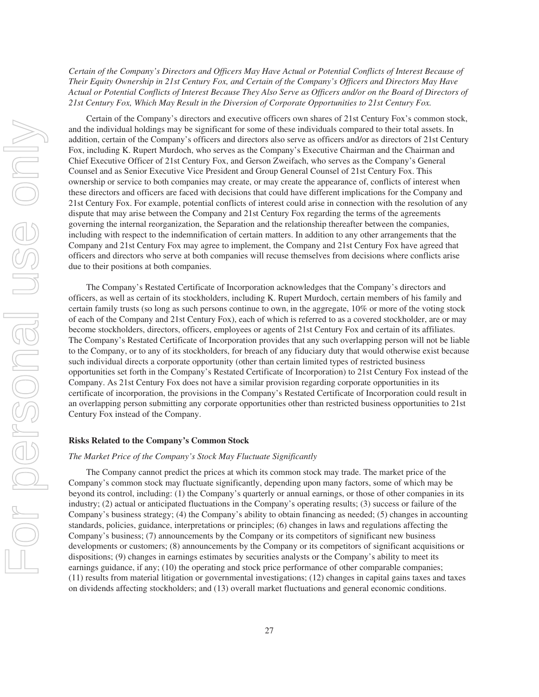*Certain of the Company's Directors and Officers May Have Actual or Potential Conflicts of Interest Because of Their Equity Ownership in 21st Century Fox, and Certain of the Company's Officers and Directors May Have Actual or Potential Conflicts of Interest Because They Also Serve as Officers and/or on the Board of Directors of 21st Century Fox, Which May Result in the Diversion of Corporate Opportunities to 21st Century Fox.*

Certain of the Company's directors and executive officers own shares of 21st Century Fox's common stock, and the individual holdings may be significant for some of these individuals compared to their total assets. In addition, certain of the Company's officers and directors also serve as officers and/or as directors of 21st Century Fox, including K. Rupert Murdoch, who serves as the Company's Executive Chairman and the Chairman and Chief Executive Officer of 21st Century Fox, and Gerson Zweifach, who serves as the Company's General Counsel and as Senior Executive Vice President and Group General Counsel of 21st Century Fox. This ownership or service to both companies may create, or may create the appearance of, conflicts of interest when these directors and officers are faced with decisions that could have different implications for the Company and 21st Century Fox. For example, potential conflicts of interest could arise in connection with the resolution of any dispute that may arise between the Company and 21st Century Fox regarding the terms of the agreements governing the internal reorganization, the Separation and the relationship thereafter between the companies, including with respect to the indemnification of certain matters. In addition to any other arrangements that the Company and 21st Century Fox may agree to implement, the Company and 21st Century Fox have agreed that officers and directors who serve at both companies will recuse themselves from decisions where conflicts arise due to their positions at both companies.

The Company's Restated Certificate of Incorporation acknowledges that the Company's directors and officers, as well as certain of its stockholders, including K. Rupert Murdoch, certain members of his family and certain family trusts (so long as such persons continue to own, in the aggregate, 10% or more of the voting stock of each of the Company and 21st Century Fox), each of which is referred to as a covered stockholder, are or may become stockholders, directors, officers, employees or agents of 21st Century Fox and certain of its affiliates. The Company's Restated Certificate of Incorporation provides that any such overlapping person will not be liable to the Company, or to any of its stockholders, for breach of any fiduciary duty that would otherwise exist because such individual directs a corporate opportunity (other than certain limited types of restricted business opportunities set forth in the Company's Restated Certificate of Incorporation) to 21st Century Fox instead of the Company. As 21st Century Fox does not have a similar provision regarding corporate opportunities in its certificate of incorporation, the provisions in the Company's Restated Certificate of Incorporation could result in an overlapping person submitting any corporate opportunities other than restricted business opportunities to 21st Century Fox instead of the Company.

# **Risks Related to the Company's Common Stock**

# *The Market Price of the Company's Stock May Fluctuate Significantly*

The Company cannot predict the prices at which its common stock may trade. The market price of the Company's common stock may fluctuate significantly, depending upon many factors, some of which may be beyond its control, including: (1) the Company's quarterly or annual earnings, or those of other companies in its industry; (2) actual or anticipated fluctuations in the Company's operating results; (3) success or failure of the Company's business strategy; (4) the Company's ability to obtain financing as needed; (5) changes in accounting standards, policies, guidance, interpretations or principles; (6) changes in laws and regulations affecting the Company's business; (7) announcements by the Company or its competitors of significant new business developments or customers; (8) announcements by the Company or its competitors of significant acquisitions or dispositions; (9) changes in earnings estimates by securities analysts or the Company's ability to meet its earnings guidance, if any; (10) the operating and stock price performance of other comparable companies; (11) results from material litigation or governmental investigations; (12) changes in capital gains taxes and taxes on dividends affecting stockholders; and (13) overall market fluctuations and general economic conditions.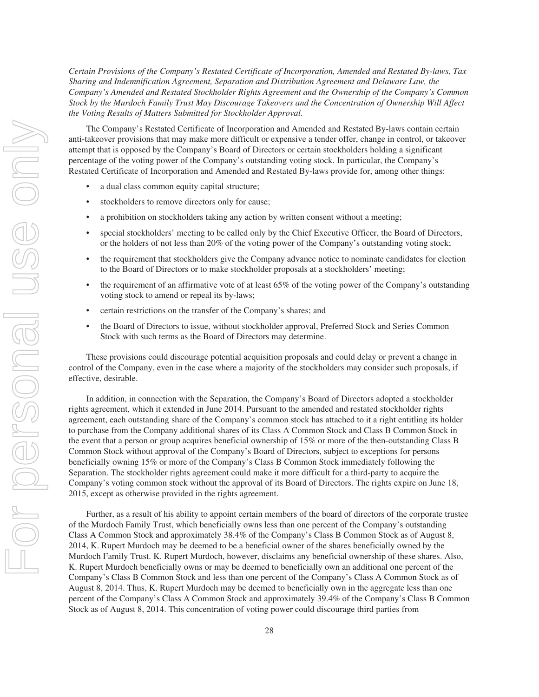*Certain Provisions of the Company's Restated Certificate of Incorporation, Amended and Restated By-laws, Tax Sharing and Indemnification Agreement, Separation and Distribution Agreement and Delaware Law, the Company's Amended and Restated Stockholder Rights Agreement and the Ownership of the Company's Common Stock by the Murdoch Family Trust May Discourage Takeovers and the Concentration of Ownership Will Affect the Voting Results of Matters Submitted for Stockholder Approval.*

The Company's Restated Certificate of Incorporation and Amended and Restated By-laws contain certain anti-takeover provisions that may make more difficult or expensive a tender offer, change in control, or takeover attempt that is opposed by the Company's Board of Directors or certain stockholders holding a significant percentage of the voting power of the Company's outstanding voting stock. In particular, the Company's Restated Certificate of Incorporation and Amended and Restated By-laws provide for, among other things:

- a dual class common equity capital structure;
- stockholders to remove directors only for cause;
- a prohibition on stockholders taking any action by written consent without a meeting;
- special stockholders' meeting to be called only by the Chief Executive Officer, the Board of Directors, or the holders of not less than 20% of the voting power of the Company's outstanding voting stock;
- the requirement that stockholders give the Company advance notice to nominate candidates for election to the Board of Directors or to make stockholder proposals at a stockholders' meeting;
- the requirement of an affirmative vote of at least 65% of the voting power of the Company's outstanding voting stock to amend or repeal its by-laws;
- certain restrictions on the transfer of the Company's shares; and
- the Board of Directors to issue, without stockholder approval, Preferred Stock and Series Common Stock with such terms as the Board of Directors may determine.

These provisions could discourage potential acquisition proposals and could delay or prevent a change in control of the Company, even in the case where a majority of the stockholders may consider such proposals, if effective, desirable.

In addition, in connection with the Separation, the Company's Board of Directors adopted a stockholder rights agreement, which it extended in June 2014. Pursuant to the amended and restated stockholder rights agreement, each outstanding share of the Company's common stock has attached to it a right entitling its holder to purchase from the Company additional shares of its Class A Common Stock and Class B Common Stock in the event that a person or group acquires beneficial ownership of 15% or more of the then-outstanding Class B Common Stock without approval of the Company's Board of Directors, subject to exceptions for persons beneficially owning 15% or more of the Company's Class B Common Stock immediately following the Separation. The stockholder rights agreement could make it more difficult for a third-party to acquire the Company's voting common stock without the approval of its Board of Directors. The rights expire on June 18, 2015, except as otherwise provided in the rights agreement.

Further, as a result of his ability to appoint certain members of the board of directors of the corporate trustee of the Murdoch Family Trust, which beneficially owns less than one percent of the Company's outstanding Class A Common Stock and approximately 38.4% of the Company's Class B Common Stock as of August 8, 2014, K. Rupert Murdoch may be deemed to be a beneficial owner of the shares beneficially owned by the Murdoch Family Trust. K. Rupert Murdoch, however, disclaims any beneficial ownership of these shares. Also, K. Rupert Murdoch beneficially owns or may be deemed to beneficially own an additional one percent of the Company's Class B Common Stock and less than one percent of the Company's Class A Common Stock as of August 8, 2014. Thus, K. Rupert Murdoch may be deemed to beneficially own in the aggregate less than one percent of the Company's Class A Common Stock and approximately 39.4% of the Company's Class B Common Stock as of August 8, 2014. This concentration of voting power could discourage third parties from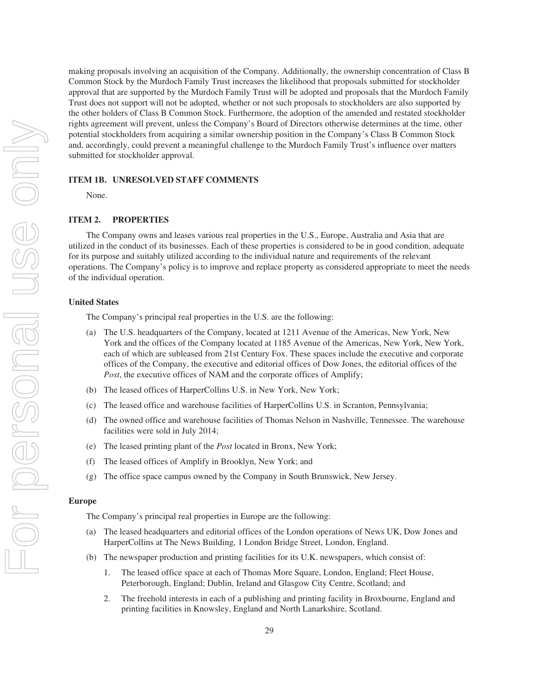making proposals involving an acquisition of the Company. Additionally, the ownership concentration of Class B Common Stock by the Murdoch Family Trust increases the likelihood that proposals submitted for stockholder approval that are supported by the Murdoch Family Trust will be adopted and proposals that the Murdoch Family Trust does not support will not be adopted, whether or not such proposals to stockholders are also supported by the other holders of Class B Common Stock. Furthermore, the adoption of the amended and restated stockholder rights agreement will prevent, unless the Company's Board of Directors otherwise determines at the time, other potential stockholders from acquiring a similar ownership position in the Company's Class B Common Stock and, accordingly, could prevent a meaningful challenge to the Murdoch Family Trust's influence over matters submitted for stockholder approval.

# **ITEM 1B. UNRESOLVED STAFF COMMENTS**

None.

# **ITEM 2. PROPERTIES**

The Company owns and leases various real properties in the U.S., Europe, Australia and Asia that are utilized in the conduct of its businesses. Each of these properties is considered to be in good condition, adequate for its purpose and suitably utilized according to the individual nature and requirements of the relevant operations. The Company's policy is to improve and replace property as considered appropriate to meet the needs of the individual operation.

#### **United States**

The Company's principal real properties in the U.S. are the following:

- (a) The U.S. headquarters of the Company, located at 1211 Avenue of the Americas, New York, New York and the offices of the Company located at 1185 Avenue of the Americas, New York, New York, each of which are subleased from 21st Century Fox. These spaces include the executive and corporate offices of the Company, the executive and editorial offices of Dow Jones, the editorial offices of the *Post*, the executive offices of NAM and the corporate offices of Amplify;
- (b) The leased offices of HarperCollins U.S. in New York, New York;
- (c) The leased office and warehouse facilities of HarperCollins U.S. in Scranton, Pennsylvania;
- (d) The owned office and warehouse facilities of Thomas Nelson in Nashville, Tennessee. The warehouse facilities were sold in July 2014;
- (e) The leased printing plant of the *Post* located in Bronx, New York;
- (f) The leased offices of Amplify in Brooklyn, New York; and
- (g) The office space campus owned by the Company in South Brunswick, New Jersey.

#### **Europe**

The Company's principal real properties in Europe are the following:

- (a) The leased headquarters and editorial offices of the London operations of News UK, Dow Jones and HarperCollins at The News Building, 1 London Bridge Street, London, England.
- (b) The newspaper production and printing facilities for its U.K. newspapers, which consist of:
	- 1. The leased office space at each of Thomas More Square, London, England; Fleet House, Peterborough, England; Dublin, Ireland and Glasgow City Centre, Scotland; and
	- 2. The freehold interests in each of a publishing and printing facility in Broxbourne, England and printing facilities in Knowsley, England and North Lanarkshire, Scotland.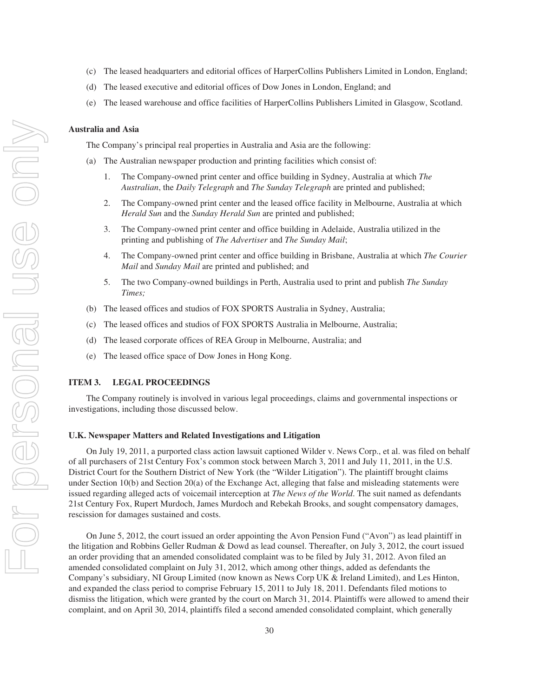- (c) The leased headquarters and editorial offices of HarperCollins Publishers Limited in London, England;
- (d) The leased executive and editorial offices of Dow Jones in London, England; and
- (e) The leased warehouse and office facilities of HarperCollins Publishers Limited in Glasgow, Scotland.

# **Australia and Asia**

The Company's principal real properties in Australia and Asia are the following:

- (a) The Australian newspaper production and printing facilities which consist of:
	- 1. The Company-owned print center and office building in Sydney, Australia at which *The Australian*, the *Daily Telegraph* and *The Sunday Telegraph* are printed and published;
	- 2. The Company-owned print center and the leased office facility in Melbourne, Australia at which *Herald Sun* and the *Sunday Herald Sun* are printed and published;
	- 3. The Company-owned print center and office building in Adelaide, Australia utilized in the printing and publishing of *The Advertiser* and *The Sunday Mail*;
	- 4. The Company-owned print center and office building in Brisbane, Australia at which *The Courier Mail* and *Sunday Mail* are printed and published; and
	- 5. The two Company-owned buildings in Perth, Australia used to print and publish *The Sunday Times;*
- (b) The leased offices and studios of FOX SPORTS Australia in Sydney, Australia;
- (c) The leased offices and studios of FOX SPORTS Australia in Melbourne, Australia;
- (d) The leased corporate offices of REA Group in Melbourne, Australia; and
- (e) The leased office space of Dow Jones in Hong Kong.

# **ITEM 3. LEGAL PROCEEDINGS**

The Company routinely is involved in various legal proceedings, claims and governmental inspections or investigations, including those discussed below.

### **U.K. Newspaper Matters and Related Investigations and Litigation**

On July 19, 2011, a purported class action lawsuit captioned Wilder v. News Corp., et al. was filed on behalf of all purchasers of 21st Century Fox's common stock between March 3, 2011 and July 11, 2011, in the U.S. District Court for the Southern District of New York (the "Wilder Litigation"). The plaintiff brought claims under Section 10(b) and Section 20(a) of the Exchange Act, alleging that false and misleading statements were issued regarding alleged acts of voicemail interception at *The News of the World*. The suit named as defendants 21st Century Fox, Rupert Murdoch, James Murdoch and Rebekah Brooks, and sought compensatory damages, rescission for damages sustained and costs.

On June 5, 2012, the court issued an order appointing the Avon Pension Fund ("Avon") as lead plaintiff in the litigation and Robbins Geller Rudman & Dowd as lead counsel. Thereafter, on July 3, 2012, the court issued an order providing that an amended consolidated complaint was to be filed by July 31, 2012. Avon filed an amended consolidated complaint on July 31, 2012, which among other things, added as defendants the Company's subsidiary, NI Group Limited (now known as News Corp UK & Ireland Limited), and Les Hinton, and expanded the class period to comprise February 15, 2011 to July 18, 2011. Defendants filed motions to dismiss the litigation, which were granted by the court on March 31, 2014. Plaintiffs were allowed to amend their complaint, and on April 30, 2014, plaintiffs filed a second amended consolidated complaint, which generally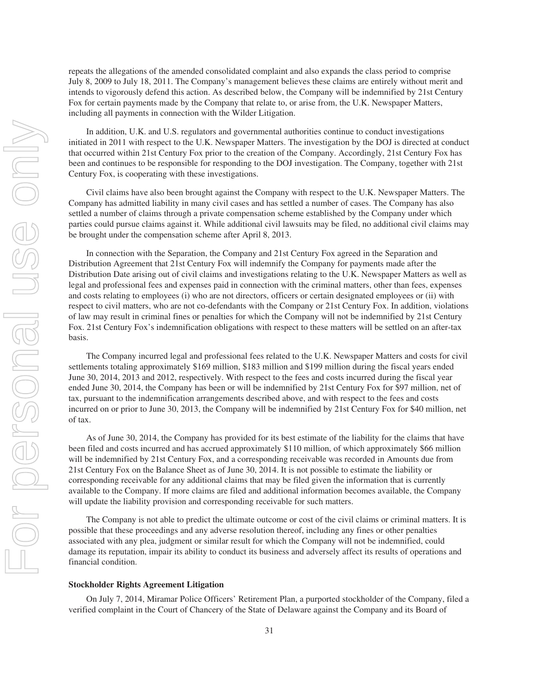repeats the allegations of the amended consolidated complaint and also expands the class period to comprise July 8, 2009 to July 18, 2011. The Company's management believes these claims are entirely without merit and intends to vigorously defend this action. As described below, the Company will be indemnified by 21st Century Fox for certain payments made by the Company that relate to, or arise from, the U.K. Newspaper Matters, including all payments in connection with the Wilder Litigation.

In addition, U.K. and U.S. regulators and governmental authorities continue to conduct investigations initiated in 2011 with respect to the U.K. Newspaper Matters. The investigation by the DOJ is directed at conduct that occurred within 21st Century Fox prior to the creation of the Company. Accordingly, 21st Century Fox has been and continues to be responsible for responding to the DOJ investigation. The Company, together with 21st Century Fox, is cooperating with these investigations.

Civil claims have also been brought against the Company with respect to the U.K. Newspaper Matters. The Company has admitted liability in many civil cases and has settled a number of cases. The Company has also settled a number of claims through a private compensation scheme established by the Company under which parties could pursue claims against it. While additional civil lawsuits may be filed, no additional civil claims may be brought under the compensation scheme after April 8, 2013.

In connection with the Separation, the Company and 21st Century Fox agreed in the Separation and Distribution Agreement that 21st Century Fox will indemnify the Company for payments made after the Distribution Date arising out of civil claims and investigations relating to the U.K. Newspaper Matters as well as legal and professional fees and expenses paid in connection with the criminal matters, other than fees, expenses and costs relating to employees (i) who are not directors, officers or certain designated employees or (ii) with respect to civil matters, who are not co-defendants with the Company or 21st Century Fox. In addition, violations of law may result in criminal fines or penalties for which the Company will not be indemnified by 21st Century Fox. 21st Century Fox's indemnification obligations with respect to these matters will be settled on an after-tax basis.

The Company incurred legal and professional fees related to the U.K. Newspaper Matters and costs for civil settlements totaling approximately \$169 million, \$183 million and \$199 million during the fiscal years ended June 30, 2014, 2013 and 2012, respectively. With respect to the fees and costs incurred during the fiscal year ended June 30, 2014, the Company has been or will be indemnified by 21st Century Fox for \$97 million, net of tax, pursuant to the indemnification arrangements described above, and with respect to the fees and costs incurred on or prior to June 30, 2013, the Company will be indemnified by 21st Century Fox for \$40 million, net of tax.

As of June 30, 2014, the Company has provided for its best estimate of the liability for the claims that have been filed and costs incurred and has accrued approximately \$110 million, of which approximately \$66 million will be indemnified by 21st Century Fox, and a corresponding receivable was recorded in Amounts due from 21st Century Fox on the Balance Sheet as of June 30, 2014. It is not possible to estimate the liability or corresponding receivable for any additional claims that may be filed given the information that is currently available to the Company. If more claims are filed and additional information becomes available, the Company will update the liability provision and corresponding receivable for such matters.

The Company is not able to predict the ultimate outcome or cost of the civil claims or criminal matters. It is possible that these proceedings and any adverse resolution thereof, including any fines or other penalties associated with any plea, judgment or similar result for which the Company will not be indemnified, could damage its reputation, impair its ability to conduct its business and adversely affect its results of operations and financial condition.

# **Stockholder Rights Agreement Litigation**

On July 7, 2014, Miramar Police Officers' Retirement Plan, a purported stockholder of the Company, filed a verified complaint in the Court of Chancery of the State of Delaware against the Company and its Board of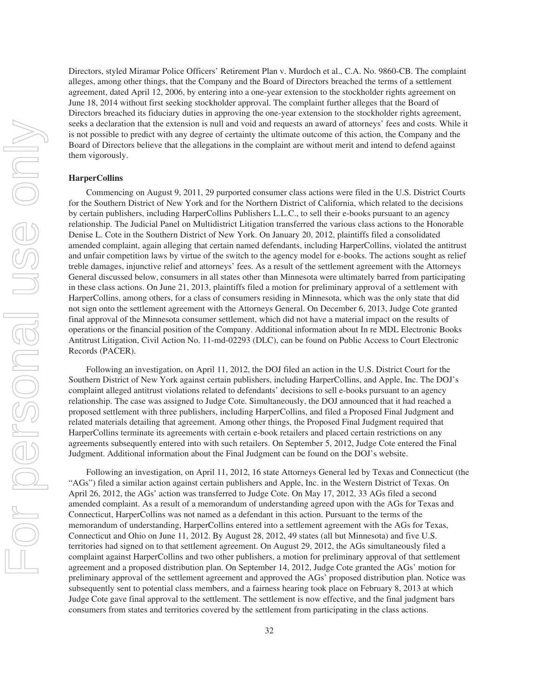Directors, styled Miramar Police Officers' Retirement Plan v. Murdoch et al., C.A. No. 9860-CB. The complaint alleges, among other things, that the Company and the Board of Directors breached the terms of a settlement agreement, dated April 12, 2006, by entering into a one-year extension to the stockholder rights agreement on June 18, 2014 without first seeking stockholder approval. The complaint further alleges that the Board of Directors breached its fiduciary duties in approving the one-year extension to the stockholder rights agreement, seeks a declaration that the extension is null and void and requests an award of attorneys' fees and costs. While it is not possible to predict with any degree of certainty the ultimate outcome of this action, the Company and the Board of Directors believe that the allegations in the complaint are without merit and intend to defend against them vigorously.

# **HarperCollins**

Commencing on August 9, 2011, 29 purported consumer class actions were filed in the U.S. District Courts for the Southern District of New York and for the Northern District of California, which related to the decisions by certain publishers, including HarperCollins Publishers L.L.C., to sell their e-books pursuant to an agency relationship. The Judicial Panel on Multidistrict Litigation transferred the various class actions to the Honorable Denise L. Cote in the Southern District of New York. On January 20, 2012, plaintiffs filed a consolidated amended complaint, again alleging that certain named defendants, including HarperCollins, violated the antitrust and unfair competition laws by virtue of the switch to the agency model for e-books. The actions sought as relief treble damages, injunctive relief and attorneys' fees. As a result of the settlement agreement with the Attorneys General discussed below, consumers in all states other than Minnesota were ultimately barred from participating in these class actions. On June 21, 2013, plaintiffs filed a motion for preliminary approval of a settlement with HarperCollins, among others, for a class of consumers residing in Minnesota, which was the only state that did not sign onto the settlement agreement with the Attorneys General. On December 6, 2013, Judge Cote granted final approval of the Minnesota consumer settlement, which did not have a material impact on the results of operations or the financial position of the Company. Additional information about In re MDL Electronic Books Antitrust Litigation, Civil Action No. 11-md-02293 (DLC), can be found on Public Access to Court Electronic Records (PACER).

Following an investigation, on April 11, 2012, the DOJ filed an action in the U.S. District Court for the Southern District of New York against certain publishers, including HarperCollins, and Apple, Inc. The DOJ's complaint alleged antitrust violations related to defendants' decisions to sell e-books pursuant to an agency relationship. The case was assigned to Judge Cote. Simultaneously, the DOJ announced that it had reached a proposed settlement with three publishers, including HarperCollins, and filed a Proposed Final Judgment and related materials detailing that agreement. Among other things, the Proposed Final Judgment required that HarperCollins terminate its agreements with certain e-book retailers and placed certain restrictions on any agreements subsequently entered into with such retailers. On September 5, 2012, Judge Cote entered the Final Judgment. Additional information about the Final Judgment can be found on the DOJ's website.

Following an investigation, on April 11, 2012, 16 state Attorneys General led by Texas and Connecticut (the "AGs") filed a similar action against certain publishers and Apple, Inc. in the Western District of Texas. On April 26, 2012, the AGs' action was transferred to Judge Cote. On May 17, 2012, 33 AGs filed a second amended complaint. As a result of a memorandum of understanding agreed upon with the AGs for Texas and Connecticut, HarperCollins was not named as a defendant in this action. Pursuant to the terms of the memorandum of understanding, HarperCollins entered into a settlement agreement with the AGs for Texas, Connecticut and Ohio on June 11, 2012. By August 28, 2012, 49 states (all but Minnesota) and five U.S. territories had signed on to that settlement agreement. On August 29, 2012, the AGs simultaneously filed a complaint against HarperCollins and two other publishers, a motion for preliminary approval of that settlement agreement and a proposed distribution plan. On September 14, 2012, Judge Cote granted the AGs' motion for preliminary approval of the settlement agreement and approved the AGs' proposed distribution plan. Notice was subsequently sent to potential class members, and a fairness hearing took place on February 8, 2013 at which Judge Cote gave final approval to the settlement. The settlement is now effective, and the final judgment bars consumers from states and territories covered by the settlement from participating in the class actions.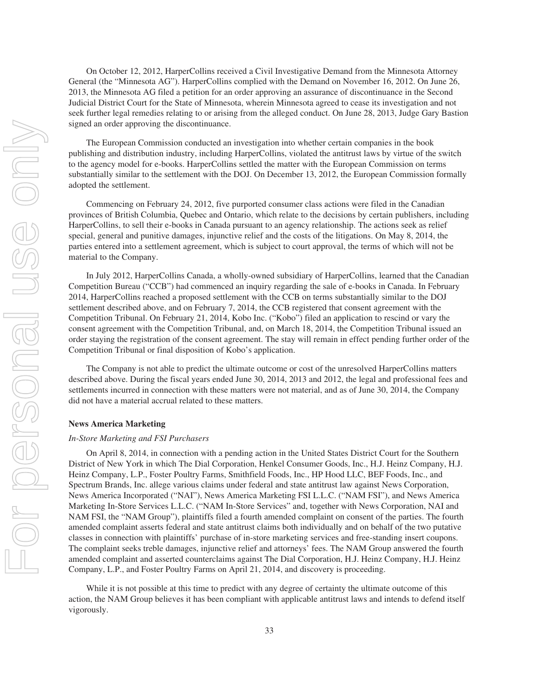On October 12, 2012, HarperCollins received a Civil Investigative Demand from the Minnesota Attorney General (the "Minnesota AG"). HarperCollins complied with the Demand on November 16, 2012. On June 26, 2013, the Minnesota AG filed a petition for an order approving an assurance of discontinuance in the Second Judicial District Court for the State of Minnesota, wherein Minnesota agreed to cease its investigation and not seek further legal remedies relating to or arising from the alleged conduct. On June 28, 2013, Judge Gary Bastion signed an order approving the discontinuance.

The European Commission conducted an investigation into whether certain companies in the book publishing and distribution industry, including HarperCollins, violated the antitrust laws by virtue of the switch to the agency model for e-books. HarperCollins settled the matter with the European Commission on terms substantially similar to the settlement with the DOJ. On December 13, 2012, the European Commission formally adopted the settlement.

Commencing on February 24, 2012, five purported consumer class actions were filed in the Canadian provinces of British Columbia, Quebec and Ontario, which relate to the decisions by certain publishers, including HarperCollins, to sell their e-books in Canada pursuant to an agency relationship. The actions seek as relief special, general and punitive damages, injunctive relief and the costs of the litigations. On May 8, 2014, the parties entered into a settlement agreement, which is subject to court approval, the terms of which will not be material to the Company.

In July 2012, HarperCollins Canada, a wholly-owned subsidiary of HarperCollins, learned that the Canadian Competition Bureau ("CCB") had commenced an inquiry regarding the sale of e-books in Canada. In February 2014, HarperCollins reached a proposed settlement with the CCB on terms substantially similar to the DOJ settlement described above, and on February 7, 2014, the CCB registered that consent agreement with the Competition Tribunal. On February 21, 2014, Kobo Inc. ("Kobo") filed an application to rescind or vary the consent agreement with the Competition Tribunal, and, on March 18, 2014, the Competition Tribunal issued an order staying the registration of the consent agreement. The stay will remain in effect pending further order of the Competition Tribunal or final disposition of Kobo's application.

The Company is not able to predict the ultimate outcome or cost of the unresolved HarperCollins matters described above. During the fiscal years ended June 30, 2014, 2013 and 2012, the legal and professional fees and settlements incurred in connection with these matters were not material, and as of June 30, 2014, the Company did not have a material accrual related to these matters.

#### **News America Marketing**

# *In-Store Marketing and FSI Purchasers*

On April 8, 2014, in connection with a pending action in the United States District Court for the Southern District of New York in which The Dial Corporation, Henkel Consumer Goods, Inc., H.J. Heinz Company, H.J. Heinz Company, L.P., Foster Poultry Farms, Smithfield Foods, Inc., HP Hood LLC, BEF Foods, Inc., and Spectrum Brands, Inc. allege various claims under federal and state antitrust law against News Corporation, News America Incorporated ("NAI"), News America Marketing FSI L.L.C. ("NAM FSI"), and News America Marketing In-Store Services L.L.C. ("NAM In-Store Services" and, together with News Corporation, NAI and NAM FSI, the "NAM Group"), plaintiffs filed a fourth amended complaint on consent of the parties. The fourth amended complaint asserts federal and state antitrust claims both individually and on behalf of the two putative classes in connection with plaintiffs' purchase of in-store marketing services and free-standing insert coupons. The complaint seeks treble damages, injunctive relief and attorneys' fees. The NAM Group answered the fourth amended complaint and asserted counterclaims against The Dial Corporation, H.J. Heinz Company, H.J. Heinz Company, L.P., and Foster Poultry Farms on April 21, 2014, and discovery is proceeding.

While it is not possible at this time to predict with any degree of certainty the ultimate outcome of this action, the NAM Group believes it has been compliant with applicable antitrust laws and intends to defend itself vigorously.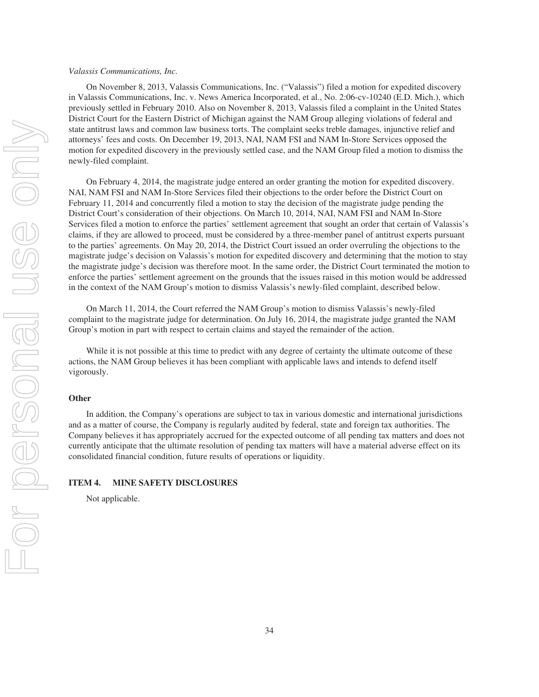*Valassis Communications, Inc.*

On November 8, 2013, Valassis Communications, Inc. ("Valassis") filed a motion for expedited discovery in Valassis Communications, Inc. v. News America Incorporated, et al., No. 2:06-cv-10240 (E.D. Mich.), which previously settled in February 2010. Also on November 8, 2013, Valassis filed a complaint in the United States District Court for the Eastern District of Michigan against the NAM Group alleging violations of federal and state antitrust laws and common law business torts. The complaint seeks treble damages, injunctive relief and attorneys' fees and costs. On December 19, 2013, NAI, NAM FSI and NAM In-Store Services opposed the motion for expedited discovery in the previously settled case, and the NAM Group filed a motion to dismiss the newly-filed complaint.

On February 4, 2014, the magistrate judge entered an order granting the motion for expedited discovery. NAI, NAM FSI and NAM In-Store Services filed their objections to the order before the District Court on February 11, 2014 and concurrently filed a motion to stay the decision of the magistrate judge pending the District Court's consideration of their objections. On March 10, 2014, NAI, NAM FSI and NAM In-Store Services filed a motion to enforce the parties' settlement agreement that sought an order that certain of Valassis's claims, if they are allowed to proceed, must be considered by a three-member panel of antitrust experts pursuant to the parties' agreements. On May 20, 2014, the District Court issued an order overruling the objections to the magistrate judge's decision on Valassis's motion for expedited discovery and determining that the motion to stay the magistrate judge's decision was therefore moot. In the same order, the District Court terminated the motion to enforce the parties' settlement agreement on the grounds that the issues raised in this motion would be addressed in the context of the NAM Group's motion to dismiss Valassis's newly-filed complaint, described below.

On March 11, 2014, the Court referred the NAM Group's motion to dismiss Valassis's newly-filed complaint to the magistrate judge for determination. On July 16, 2014, the magistrate judge granted the NAM Group's motion in part with respect to certain claims and stayed the remainder of the action.

While it is not possible at this time to predict with any degree of certainty the ultimate outcome of these actions, the NAM Group believes it has been compliant with applicable laws and intends to defend itself vigorously.

### **Other**

In addition, the Company's operations are subject to tax in various domestic and international jurisdictions and as a matter of course, the Company is regularly audited by federal, state and foreign tax authorities. The Company believes it has appropriately accrued for the expected outcome of all pending tax matters and does not currently anticipate that the ultimate resolution of pending tax matters will have a material adverse effect on its consolidated financial condition, future results of operations or liquidity.

### **ITEM 4. MINE SAFETY DISCLOSURES**

Not applicable.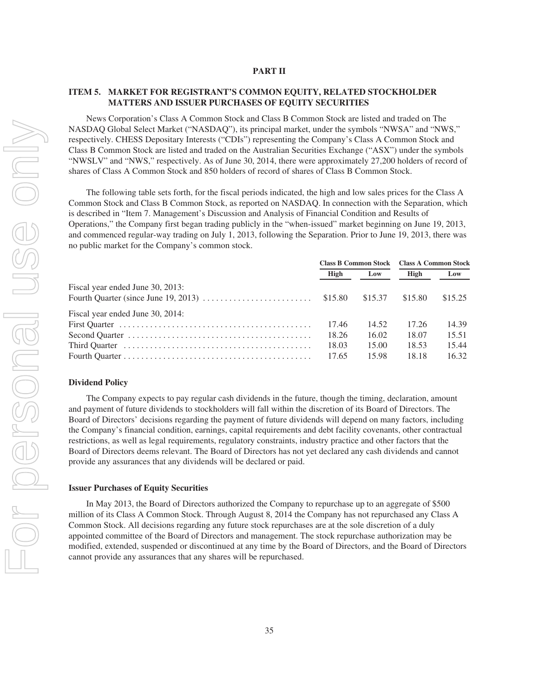## **PART II**

# **ITEM 5. MARKET FOR REGISTRANT'S COMMON EQUITY, RELATED STOCKHOLDER MATTERS AND ISSUER PURCHASES OF EQUITY SECURITIES**

News Corporation's Class A Common Stock and Class B Common Stock are listed and traded on The NASDAQ Global Select Market ("NASDAQ"), its principal market, under the symbols "NWSA" and "NWS," respectively. CHESS Depositary Interests ("CDIs") representing the Company's Class A Common Stock and Class B Common Stock are listed and traded on the Australian Securities Exchange ("ASX") under the symbols "NWSLV" and "NWS," respectively. As of June 30, 2014, there were approximately 27,200 holders of record of shares of Class A Common Stock and 850 holders of record of shares of Class B Common Stock.

The following table sets forth, for the fiscal periods indicated, the high and low sales prices for the Class A Common Stock and Class B Common Stock, as reported on NASDAQ. In connection with the Separation, which is described in "Item 7. Management's Discussion and Analysis of Financial Condition and Results of Operations," the Company first began trading publicly in the "when-issued" market beginning on June 19, 2013, and commenced regular-way trading on July 1, 2013, following the Separation. Prior to June 19, 2013, there was no public market for the Company's common stock.

|                                                                                                                          | <b>Class B Common Stock Class A Common Stock</b> |         |         |         |
|--------------------------------------------------------------------------------------------------------------------------|--------------------------------------------------|---------|---------|---------|
|                                                                                                                          | High                                             | Low     | High    | Low     |
| Fiscal year ended June 30, 2013:                                                                                         |                                                  |         |         |         |
| Fourth Quarter (since June 19, 2013) $\ldots$ $\ldots$ $\ldots$ $\ldots$ $\ldots$ $\ldots$ $\ddot{\hspace{1cm}}$ \$15.80 |                                                  | \$15.37 | \$15.80 | \$15.25 |
| Fiscal year ended June 30, 2014:                                                                                         |                                                  |         |         |         |
|                                                                                                                          | 17.46                                            | 14.52   | 17.26   | 14.39   |
|                                                                                                                          | 18.26                                            | 16.02   | 18.07   | 15.51   |
| Third Quarter $\ldots \ldots \ldots \ldots \ldots \ldots \ldots \ldots \ldots \ldots \ldots \ldots \ldots$               | 18.03                                            | 15.00   | 18.53   | 15.44   |
|                                                                                                                          | 17.65                                            | 15.98   | 18.18   | 16.32   |
|                                                                                                                          |                                                  |         |         |         |

### **Dividend Policy**

The Company expects to pay regular cash dividends in the future, though the timing, declaration, amount and payment of future dividends to stockholders will fall within the discretion of its Board of Directors. The Board of Directors' decisions regarding the payment of future dividends will depend on many factors, including the Company's financial condition, earnings, capital requirements and debt facility covenants, other contractual restrictions, as well as legal requirements, regulatory constraints, industry practice and other factors that the Board of Directors deems relevant. The Board of Directors has not yet declared any cash dividends and cannot provide any assurances that any dividends will be declared or paid.

### **Issuer Purchases of Equity Securities**

In May 2013, the Board of Directors authorized the Company to repurchase up to an aggregate of \$500 million of its Class A Common Stock. Through August 8, 2014 the Company has not repurchased any Class A Common Stock. All decisions regarding any future stock repurchases are at the sole discretion of a duly appointed committee of the Board of Directors and management. The stock repurchase authorization may be modified, extended, suspended or discontinued at any time by the Board of Directors, and the Board of Directors cannot provide any assurances that any shares will be repurchased.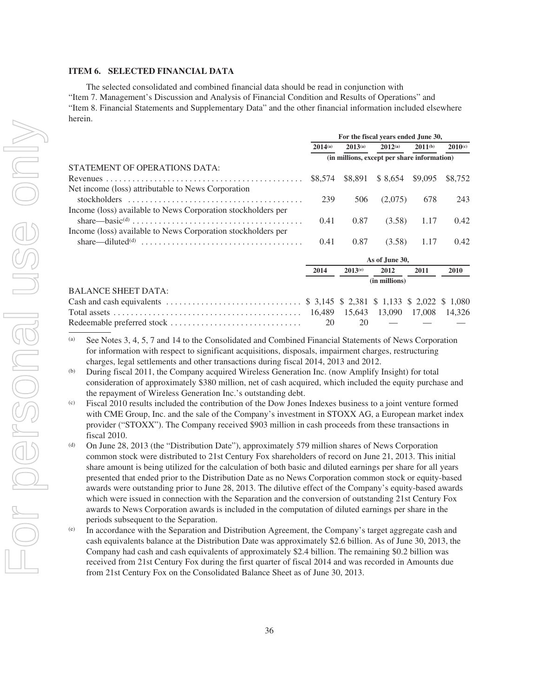## **ITEM 6. SELECTED FINANCIAL DATA**

The selected consolidated and combined financial data should be read in conjunction with "Item 7. Management's Discussion and Analysis of Financial Condition and Results of Operations" and "Item 8. Financial Statements and Supplementary Data" and the other financial information included elsewhere herein.

|                                                              | For the fiscal years ended June 30, |              |                                             |              |                     |
|--------------------------------------------------------------|-------------------------------------|--------------|---------------------------------------------|--------------|---------------------|
|                                                              | $2014^{(a)}$                        | $2013^{(a)}$ | $2012^{(a)}$                                | $2011^{(b)}$ | 2010 <sup>(c)</sup> |
|                                                              |                                     |              | (in millions, except per share information) |              |                     |
| STATEMENT OF OPERATIONS DATA:                                |                                     |              |                                             |              |                     |
|                                                              | \$8,574                             | \$8,891      | \$8,654                                     | \$9,095      | \$8,752             |
| Net income (loss) attributable to News Corporation           |                                     |              |                                             |              |                     |
|                                                              | 239                                 | 506          | (2,075)                                     | 678          | 243                 |
| Income (loss) available to News Corporation stockholders per |                                     |              |                                             |              |                     |
|                                                              | 0.41                                | 0.87         | (3.58)                                      | 1.17         | 0.42                |
| Income (loss) available to News Corporation stockholders per |                                     |              |                                             |              |                     |
|                                                              | 0.41                                | 0.87         | (3.58)                                      | 1.17         | 0.42                |
|                                                              |                                     |              | As of June 30,                              |              |                     |
|                                                              | 2014                                | $2013^{(e)}$ | 2012                                        | 2011         | 2010                |
|                                                              |                                     |              | (in millions)                               |              |                     |
| <b>BALANCE SHEET DATA:</b>                                   |                                     |              |                                             |              |                     |
|                                                              |                                     |              |                                             |              |                     |
|                                                              |                                     | 15,643       | 13,090                                      | 17,008       | 14,326              |
|                                                              | 20                                  | 20           |                                             |              |                     |

- (a) See Notes 3, 4, 5, 7 and 14 to the Consolidated and Combined Financial Statements of News Corporation for information with respect to significant acquisitions, disposals, impairment charges, restructuring charges, legal settlements and other transactions during fiscal 2014, 2013 and 2012.
- (b) During fiscal 2011, the Company acquired Wireless Generation Inc. (now Amplify Insight) for total consideration of approximately \$380 million, net of cash acquired, which included the equity purchase and the repayment of Wireless Generation Inc.'s outstanding debt.
- (c) Fiscal 2010 results included the contribution of the Dow Jones Indexes business to a joint venture formed with CME Group, Inc. and the sale of the Company's investment in STOXX AG, a European market index provider ("STOXX"). The Company received \$903 million in cash proceeds from these transactions in fiscal 2010.
- (d) On June 28, 2013 (the "Distribution Date"), approximately 579 million shares of News Corporation common stock were distributed to 21st Century Fox shareholders of record on June 21, 2013. This initial share amount is being utilized for the calculation of both basic and diluted earnings per share for all years presented that ended prior to the Distribution Date as no News Corporation common stock or equity-based awards were outstanding prior to June 28, 2013. The dilutive effect of the Company's equity-based awards which were issued in connection with the Separation and the conversion of outstanding 21st Century Fox awards to News Corporation awards is included in the computation of diluted earnings per share in the periods subsequent to the Separation.
- (e) In accordance with the Separation and Distribution Agreement, the Company's target aggregate cash and cash equivalents balance at the Distribution Date was approximately \$2.6 billion. As of June 30, 2013, the Company had cash and cash equivalents of approximately \$2.4 billion. The remaining \$0.2 billion was received from 21st Century Fox during the first quarter of fiscal 2014 and was recorded in Amounts due from 21st Century Fox on the Consolidated Balance Sheet as of June 30, 2013.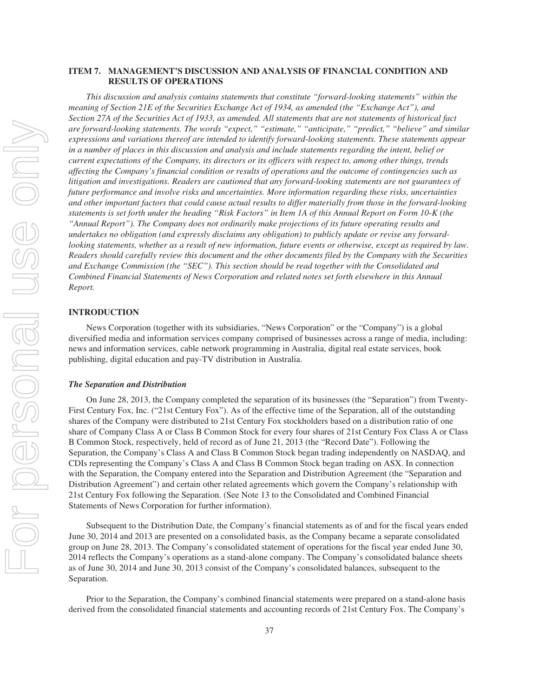# **ITEM 7. MANAGEMENT'S DISCUSSION AND ANALYSIS OF FINANCIAL CONDITION AND RESULTS OF OPERATIONS**

*This discussion and analysis contains statements that constitute "forward-looking statements" within the meaning of Section 21E of the Securities Exchange Act of 1934, as amended (the "Exchange Act"), and Section 27A of the Securities Act of 1933, as amended. All statements that are not statements of historical fact are forward-looking statements. The words "expect," "estimate," "anticipate," "predict," "believe" and similar expressions and variations thereof are intended to identify forward-looking statements. These statements appear in a number of places in this discussion and analysis and include statements regarding the intent, belief or current expectations of the Company, its directors or its officers with respect to, among other things, trends affecting the Company's financial condition or results of operations and the outcome of contingencies such as litigation and investigations. Readers are cautioned that any forward-looking statements are not guarantees of future performance and involve risks and uncertainties. More information regarding these risks, uncertainties and other important factors that could cause actual results to differ materially from those in the forward-looking statements is set forth under the heading "Risk Factors" in Item 1A of this Annual Report on Form 10-K (the "Annual Report"). The Company does not ordinarily make projections of its future operating results and undertakes no obligation (and expressly disclaims any obligation) to publicly update or revise any forwardlooking statements, whether as a result of new information, future events or otherwise, except as required by law. Readers should carefully review this document and the other documents filed by the Company with the Securities and Exchange Commission (the "SEC"). This section should be read together with the Consolidated and Combined Financial Statements of News Corporation and related notes set forth elsewhere in this Annual Report.*

## **INTRODUCTION**

News Corporation (together with its subsidiaries, "News Corporation" or the "Company") is a global diversified media and information services company comprised of businesses across a range of media, including: news and information services, cable network programming in Australia, digital real estate services, book publishing, digital education and pay-TV distribution in Australia.

#### *The Separation and Distribution*

On June 28, 2013, the Company completed the separation of its businesses (the "Separation") from Twenty-First Century Fox, Inc. ("21st Century Fox"). As of the effective time of the Separation, all of the outstanding shares of the Company were distributed to 21st Century Fox stockholders based on a distribution ratio of one share of Company Class A or Class B Common Stock for every four shares of 21st Century Fox Class A or Class B Common Stock, respectively, held of record as of June 21, 2013 (the "Record Date"). Following the Separation, the Company's Class A and Class B Common Stock began trading independently on NASDAQ, and CDIs representing the Company's Class A and Class B Common Stock began trading on ASX. In connection with the Separation, the Company entered into the Separation and Distribution Agreement (the "Separation and Distribution Agreement") and certain other related agreements which govern the Company's relationship with 21st Century Fox following the Separation. (See Note 13 to the Consolidated and Combined Financial Statements of News Corporation for further information).

Subsequent to the Distribution Date, the Company's financial statements as of and for the fiscal years ended June 30, 2014 and 2013 are presented on a consolidated basis, as the Company became a separate consolidated group on June 28, 2013. The Company's consolidated statement of operations for the fiscal year ended June 30, 2014 reflects the Company's operations as a stand-alone company. The Company's consolidated balance sheets as of June 30, 2014 and June 30, 2013 consist of the Company's consolidated balances, subsequent to the Separation.

Prior to the Separation, the Company's combined financial statements were prepared on a stand-alone basis derived from the consolidated financial statements and accounting records of 21st Century Fox. The Company's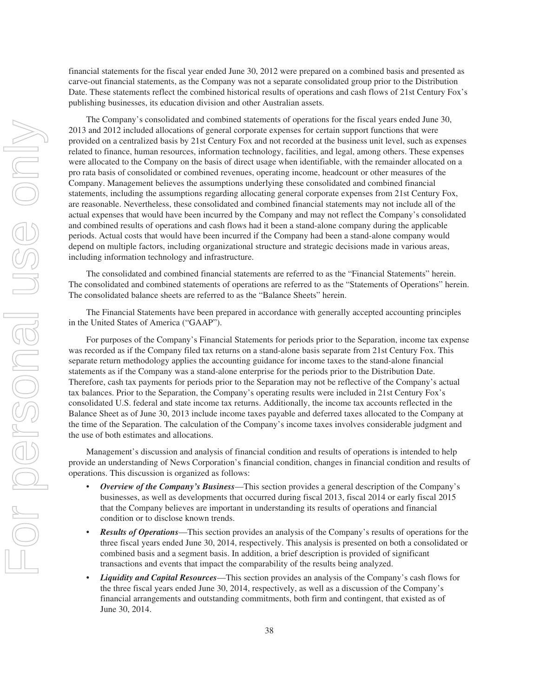financial statements for the fiscal year ended June 30, 2012 were prepared on a combined basis and presented as carve-out financial statements, as the Company was not a separate consolidated group prior to the Distribution Date. These statements reflect the combined historical results of operations and cash flows of 21st Century Fox's publishing businesses, its education division and other Australian assets.

The Company's consolidated and combined statements of operations for the fiscal years ended June 30, 2013 and 2012 included allocations of general corporate expenses for certain support functions that were provided on a centralized basis by 21st Century Fox and not recorded at the business unit level, such as expenses related to finance, human resources, information technology, facilities, and legal, among others. These expenses were allocated to the Company on the basis of direct usage when identifiable, with the remainder allocated on a pro rata basis of consolidated or combined revenues, operating income, headcount or other measures of the Company. Management believes the assumptions underlying these consolidated and combined financial statements, including the assumptions regarding allocating general corporate expenses from 21st Century Fox, are reasonable. Nevertheless, these consolidated and combined financial statements may not include all of the actual expenses that would have been incurred by the Company and may not reflect the Company's consolidated and combined results of operations and cash flows had it been a stand-alone company during the applicable periods. Actual costs that would have been incurred if the Company had been a stand-alone company would depend on multiple factors, including organizational structure and strategic decisions made in various areas, including information technology and infrastructure.

The consolidated and combined financial statements are referred to as the "Financial Statements" herein. The consolidated and combined statements of operations are referred to as the "Statements of Operations" herein. The consolidated balance sheets are referred to as the "Balance Sheets" herein.

The Financial Statements have been prepared in accordance with generally accepted accounting principles in the United States of America ("GAAP").

For purposes of the Company's Financial Statements for periods prior to the Separation, income tax expense was recorded as if the Company filed tax returns on a stand-alone basis separate from 21st Century Fox. This separate return methodology applies the accounting guidance for income taxes to the stand-alone financial statements as if the Company was a stand-alone enterprise for the periods prior to the Distribution Date. Therefore, cash tax payments for periods prior to the Separation may not be reflective of the Company's actual tax balances. Prior to the Separation, the Company's operating results were included in 21st Century Fox's consolidated U.S. federal and state income tax returns. Additionally, the income tax accounts reflected in the Balance Sheet as of June 30, 2013 include income taxes payable and deferred taxes allocated to the Company at the time of the Separation. The calculation of the Company's income taxes involves considerable judgment and the use of both estimates and allocations.

Management's discussion and analysis of financial condition and results of operations is intended to help provide an understanding of News Corporation's financial condition, changes in financial condition and results of operations. This discussion is organized as follows:

- *Overview of the Company's Business*—This section provides a general description of the Company's businesses, as well as developments that occurred during fiscal 2013, fiscal 2014 or early fiscal 2015 that the Company believes are important in understanding its results of operations and financial condition or to disclose known trends.
- *Results of Operations*—This section provides an analysis of the Company's results of operations for the three fiscal years ended June 30, 2014, respectively. This analysis is presented on both a consolidated or combined basis and a segment basis. In addition, a brief description is provided of significant transactions and events that impact the comparability of the results being analyzed.
- *Liquidity and Capital Resources*—This section provides an analysis of the Company's cash flows for the three fiscal years ended June 30, 2014, respectively, as well as a discussion of the Company's financial arrangements and outstanding commitments, both firm and contingent, that existed as of June 30, 2014.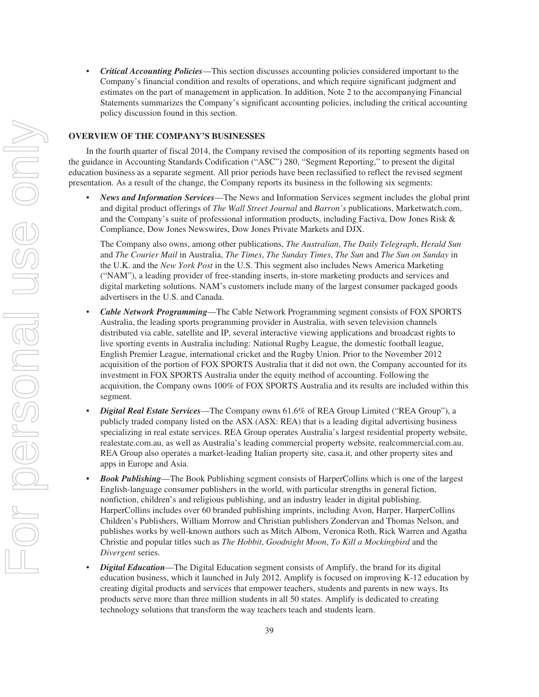• *Critical Accounting Policies*—This section discusses accounting policies considered important to the Company's financial condition and results of operations, and which require significant judgment and estimates on the part of management in application. In addition, Note 2 to the accompanying Financial Statements summarizes the Company's significant accounting policies, including the critical accounting policy discussion found in this section.

## **OVERVIEW OF THE COMPANY'S BUSINESSES**

In the fourth quarter of fiscal 2014, the Company revised the composition of its reporting segments based on the guidance in Accounting Standards Codification ("ASC") 280, "Segment Reporting," to present the digital education business as a separate segment. All prior periods have been reclassified to reflect the revised segment presentation. As a result of the change, the Company reports its business in the following six segments:

• *News and Information Services*—The News and Information Services segment includes the global print and digital product offerings of *The Wall Street Journal* and *Barron's* publications, Marketwatch.com, and the Company's suite of professional information products, including Factiva, Dow Jones Risk & Compliance, Dow Jones Newswires, Dow Jones Private Markets and DJX.

The Company also owns, among other publications, *The Australian*, *The Daily Telegraph*, *Herald Sun* and *The Courier Mail* in Australia, *The Times*, *The Sunday Times*, *The Sun* and *The Sun on Sunday* in the U.K. and the *New York Post* in the U.S. This segment also includes News America Marketing ("NAM"), a leading provider of free-standing inserts, in-store marketing products and services and digital marketing solutions. NAM's customers include many of the largest consumer packaged goods advertisers in the U.S. and Canada.

- *Cable Network Programming*—The Cable Network Programming segment consists of FOX SPORTS Australia, the leading sports programming provider in Australia, with seven television channels distributed via cable, satellite and IP, several interactive viewing applications and broadcast rights to live sporting events in Australia including: National Rugby League, the domestic football league, English Premier League, international cricket and the Rugby Union. Prior to the November 2012 acquisition of the portion of FOX SPORTS Australia that it did not own, the Company accounted for its investment in FOX SPORTS Australia under the equity method of accounting. Following the acquisition, the Company owns 100% of FOX SPORTS Australia and its results are included within this segment.
- *Digital Real Estate Services*—The Company owns 61.6% of REA Group Limited ("REA Group"), a publicly traded company listed on the ASX (ASX: REA) that is a leading digital advertising business specializing in real estate services. REA Group operates Australia's largest residential property website, realestate.com.au, as well as Australia's leading commercial property website, realcommercial.com.au. REA Group also operates a market-leading Italian property site, casa.it, and other property sites and apps in Europe and Asia.
- *Book Publishing*—The Book Publishing segment consists of HarperCollins which is one of the largest English-language consumer publishers in the world, with particular strengths in general fiction, nonfiction, children's and religious publishing, and an industry leader in digital publishing. HarperCollins includes over 60 branded publishing imprints, including Avon, Harper, HarperCollins Children's Publishers, William Morrow and Christian publishers Zondervan and Thomas Nelson, and publishes works by well-known authors such as Mitch Albom, Veronica Roth, Rick Warren and Agatha Christie and popular titles such as *The Hobbit*, *Goodnight Moon*, *To Kill a Mockingbird* and the *Divergent* series.
- *Digital Education*—The Digital Education segment consists of Amplify, the brand for its digital education business, which it launched in July 2012. Amplify is focused on improving K-12 education by creating digital products and services that empower teachers, students and parents in new ways. Its products serve more than three million students in all 50 states. Amplify is dedicated to creating technology solutions that transform the way teachers teach and students learn.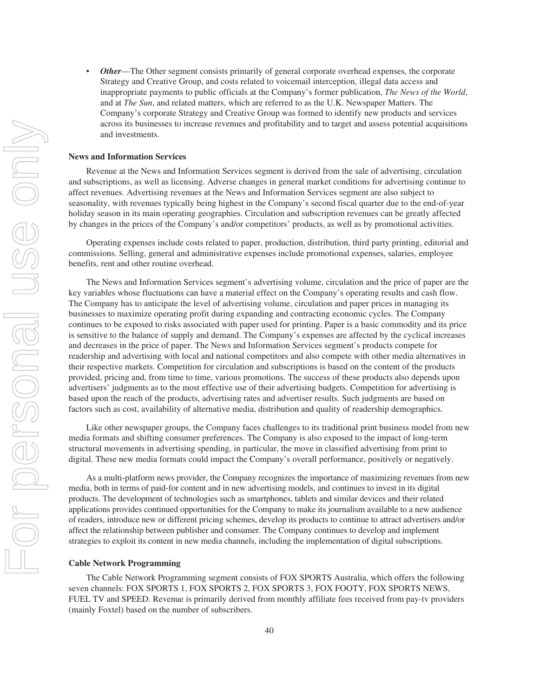• *Other*—The Other segment consists primarily of general corporate overhead expenses, the corporate Strategy and Creative Group, and costs related to voicemail interception, illegal data access and inappropriate payments to public officials at the Company's former publication, *The News of the World*, and at *The Sun*, and related matters, which are referred to as the U.K. Newspaper Matters. The Company's corporate Strategy and Creative Group was formed to identify new products and services across its businesses to increase revenues and profitability and to target and assess potential acquisitions and investments.

### **News and Information Services**

Revenue at the News and Information Services segment is derived from the sale of advertising, circulation and subscriptions, as well as licensing. Adverse changes in general market conditions for advertising continue to affect revenues. Advertising revenues at the News and Information Services segment are also subject to seasonality, with revenues typically being highest in the Company's second fiscal quarter due to the end-of-year holiday season in its main operating geographies. Circulation and subscription revenues can be greatly affected by changes in the prices of the Company's and/or competitors' products, as well as by promotional activities.

Operating expenses include costs related to paper, production, distribution, third party printing, editorial and commissions. Selling, general and administrative expenses include promotional expenses, salaries, employee benefits, rent and other routine overhead.

The News and Information Services segment's advertising volume, circulation and the price of paper are the key variables whose fluctuations can have a material effect on the Company's operating results and cash flow. The Company has to anticipate the level of advertising volume, circulation and paper prices in managing its businesses to maximize operating profit during expanding and contracting economic cycles. The Company continues to be exposed to risks associated with paper used for printing. Paper is a basic commodity and its price is sensitive to the balance of supply and demand. The Company's expenses are affected by the cyclical increases and decreases in the price of paper. The News and Information Services segment's products compete for readership and advertising with local and national competitors and also compete with other media alternatives in their respective markets. Competition for circulation and subscriptions is based on the content of the products provided, pricing and, from time to time, various promotions. The success of these products also depends upon advertisers' judgments as to the most effective use of their advertising budgets. Competition for advertising is based upon the reach of the products, advertising rates and advertiser results. Such judgments are based on factors such as cost, availability of alternative media, distribution and quality of readership demographics.

Like other newspaper groups, the Company faces challenges to its traditional print business model from new media formats and shifting consumer preferences. The Company is also exposed to the impact of long-term structural movements in advertising spending, in particular, the move in classified advertising from print to digital. These new media formats could impact the Company's overall performance, positively or negatively.

As a multi-platform news provider, the Company recognizes the importance of maximizing revenues from new media, both in terms of paid-for content and in new advertising models, and continues to invest in its digital products. The development of technologies such as smartphones, tablets and similar devices and their related applications provides continued opportunities for the Company to make its journalism available to a new audience of readers, introduce new or different pricing schemes, develop its products to continue to attract advertisers and/or affect the relationship between publisher and consumer. The Company continues to develop and implement strategies to exploit its content in new media channels, including the implementation of digital subscriptions.

#### **Cable Network Programming**

The Cable Network Programming segment consists of FOX SPORTS Australia, which offers the following seven channels: FOX SPORTS 1, FOX SPORTS 2, FOX SPORTS 3, FOX FOOTY, FOX SPORTS NEWS, FUEL TV and SPEED. Revenue is primarily derived from monthly affiliate fees received from pay-tv providers (mainly Foxtel) based on the number of subscribers.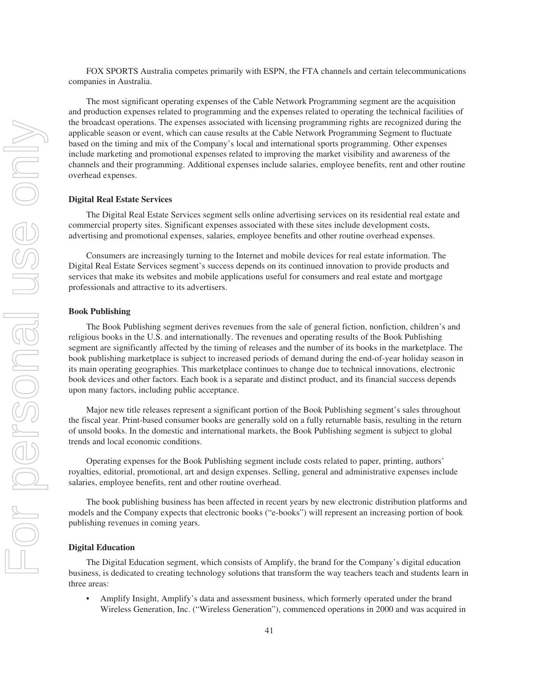For personal use onlyFor personal use only

FOX SPORTS Australia competes primarily with ESPN, the FTA channels and certain telecommunications companies in Australia.

The most significant operating expenses of the Cable Network Programming segment are the acquisition and production expenses related to programming and the expenses related to operating the technical facilities of the broadcast operations. The expenses associated with licensing programming rights are recognized during the applicable season or event, which can cause results at the Cable Network Programming Segment to fluctuate based on the timing and mix of the Company's local and international sports programming. Other expenses include marketing and promotional expenses related to improving the market visibility and awareness of the channels and their programming. Additional expenses include salaries, employee benefits, rent and other routine overhead expenses.

### **Digital Real Estate Services**

The Digital Real Estate Services segment sells online advertising services on its residential real estate and commercial property sites. Significant expenses associated with these sites include development costs, advertising and promotional expenses, salaries, employee benefits and other routine overhead expenses.

Consumers are increasingly turning to the Internet and mobile devices for real estate information. The Digital Real Estate Services segment's success depends on its continued innovation to provide products and services that make its websites and mobile applications useful for consumers and real estate and mortgage professionals and attractive to its advertisers.

#### **Book Publishing**

The Book Publishing segment derives revenues from the sale of general fiction, nonfiction, children's and religious books in the U.S. and internationally. The revenues and operating results of the Book Publishing segment are significantly affected by the timing of releases and the number of its books in the marketplace. The book publishing marketplace is subject to increased periods of demand during the end-of-year holiday season in its main operating geographies. This marketplace continues to change due to technical innovations, electronic book devices and other factors. Each book is a separate and distinct product, and its financial success depends upon many factors, including public acceptance.

Major new title releases represent a significant portion of the Book Publishing segment's sales throughout the fiscal year. Print-based consumer books are generally sold on a fully returnable basis, resulting in the return of unsold books. In the domestic and international markets, the Book Publishing segment is subject to global trends and local economic conditions.

Operating expenses for the Book Publishing segment include costs related to paper, printing, authors' royalties, editorial, promotional, art and design expenses. Selling, general and administrative expenses include salaries, employee benefits, rent and other routine overhead.

The book publishing business has been affected in recent years by new electronic distribution platforms and models and the Company expects that electronic books ("e-books") will represent an increasing portion of book publishing revenues in coming years.

#### **Digital Education**

The Digital Education segment, which consists of Amplify, the brand for the Company's digital education business, is dedicated to creating technology solutions that transform the way teachers teach and students learn in three areas:

• Amplify Insight, Amplify's data and assessment business, which formerly operated under the brand Wireless Generation, Inc. ("Wireless Generation"), commenced operations in 2000 and was acquired in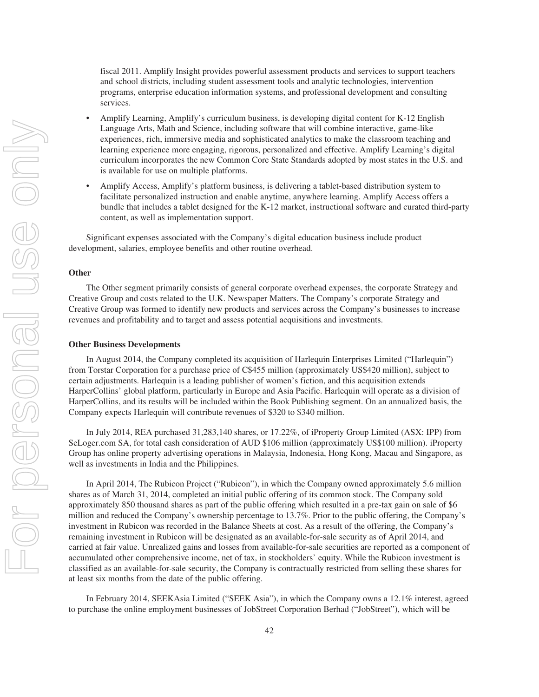fiscal 2011. Amplify Insight provides powerful assessment products and services to support teachers and school districts, including student assessment tools and analytic technologies, intervention programs, enterprise education information systems, and professional development and consulting services.

- Amplify Learning, Amplify's curriculum business, is developing digital content for K-12 English Language Arts, Math and Science, including software that will combine interactive, game-like experiences, rich, immersive media and sophisticated analytics to make the classroom teaching and learning experience more engaging, rigorous, personalized and effective. Amplify Learning's digital curriculum incorporates the new Common Core State Standards adopted by most states in the U.S. and is available for use on multiple platforms.
- Amplify Access, Amplify's platform business, is delivering a tablet-based distribution system to facilitate personalized instruction and enable anytime, anywhere learning. Amplify Access offers a bundle that includes a tablet designed for the K-12 market, instructional software and curated third-party content, as well as implementation support.

Significant expenses associated with the Company's digital education business include product development, salaries, employee benefits and other routine overhead.

#### **Other**

The Other segment primarily consists of general corporate overhead expenses, the corporate Strategy and Creative Group and costs related to the U.K. Newspaper Matters. The Company's corporate Strategy and Creative Group was formed to identify new products and services across the Company's businesses to increase revenues and profitability and to target and assess potential acquisitions and investments.

### **Other Business Developments**

In August 2014, the Company completed its acquisition of Harlequin Enterprises Limited ("Harlequin") from Torstar Corporation for a purchase price of C\$455 million (approximately US\$420 million), subject to certain adjustments. Harlequin is a leading publisher of women's fiction, and this acquisition extends HarperCollins' global platform, particularly in Europe and Asia Pacific. Harlequin will operate as a division of HarperCollins, and its results will be included within the Book Publishing segment. On an annualized basis, the Company expects Harlequin will contribute revenues of \$320 to \$340 million.

In July 2014, REA purchased 31,283,140 shares, or 17.22%, of iProperty Group Limited (ASX: IPP) from SeLoger.com SA, for total cash consideration of AUD \$106 million (approximately US\$100 million). iProperty Group has online property advertising operations in Malaysia, Indonesia, Hong Kong, Macau and Singapore, as well as investments in India and the Philippines.

In April 2014, The Rubicon Project ("Rubicon"), in which the Company owned approximately 5.6 million shares as of March 31, 2014, completed an initial public offering of its common stock. The Company sold approximately 850 thousand shares as part of the public offering which resulted in a pre-tax gain on sale of \$6 million and reduced the Company's ownership percentage to 13.7%. Prior to the public offering, the Company's investment in Rubicon was recorded in the Balance Sheets at cost. As a result of the offering, the Company's remaining investment in Rubicon will be designated as an available-for-sale security as of April 2014, and carried at fair value. Unrealized gains and losses from available-for-sale securities are reported as a component of accumulated other comprehensive income, net of tax, in stockholders' equity. While the Rubicon investment is classified as an available-for-sale security, the Company is contractually restricted from selling these shares for at least six months from the date of the public offering.

In February 2014, SEEKAsia Limited ("SEEK Asia"), in which the Company owns a 12.1% interest, agreed to purchase the online employment businesses of JobStreet Corporation Berhad ("JobStreet"), which will be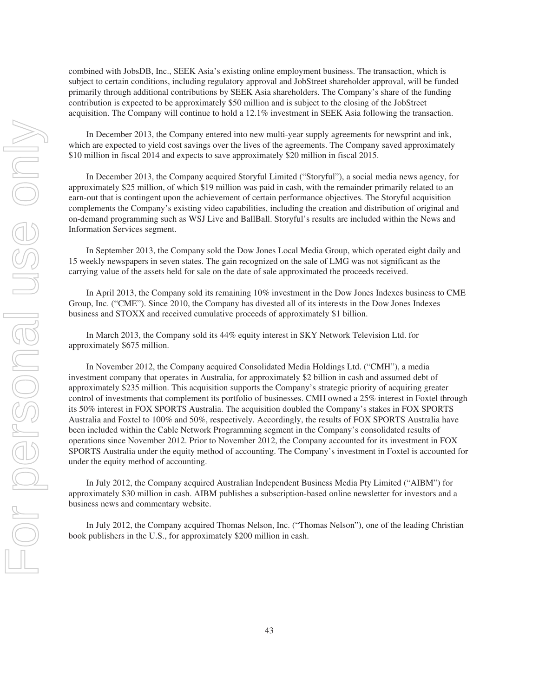combined with JobsDB, Inc., SEEK Asia's existing online employment business. The transaction, which is subject to certain conditions, including regulatory approval and JobStreet shareholder approval, will be funded primarily through additional contributions by SEEK Asia shareholders. The Company's share of the funding contribution is expected to be approximately \$50 million and is subject to the closing of the JobStreet acquisition. The Company will continue to hold a 12.1% investment in SEEK Asia following the transaction.

In December 2013, the Company entered into new multi-year supply agreements for newsprint and ink, which are expected to yield cost savings over the lives of the agreements. The Company saved approximately \$10 million in fiscal 2014 and expects to save approximately \$20 million in fiscal 2015.

In December 2013, the Company acquired Storyful Limited ("Storyful"), a social media news agency, for approximately \$25 million, of which \$19 million was paid in cash, with the remainder primarily related to an earn-out that is contingent upon the achievement of certain performance objectives. The Storyful acquisition complements the Company's existing video capabilities, including the creation and distribution of original and on-demand programming such as WSJ Live and BallBall. Storyful's results are included within the News and Information Services segment.

In September 2013, the Company sold the Dow Jones Local Media Group, which operated eight daily and 15 weekly newspapers in seven states. The gain recognized on the sale of LMG was not significant as the carrying value of the assets held for sale on the date of sale approximated the proceeds received.

In April 2013, the Company sold its remaining 10% investment in the Dow Jones Indexes business to CME Group, Inc. ("CME"). Since 2010, the Company has divested all of its interests in the Dow Jones Indexes business and STOXX and received cumulative proceeds of approximately \$1 billion.

In March 2013, the Company sold its 44% equity interest in SKY Network Television Ltd. for approximately \$675 million.

In November 2012, the Company acquired Consolidated Media Holdings Ltd. ("CMH"), a media investment company that operates in Australia, for approximately \$2 billion in cash and assumed debt of approximately \$235 million. This acquisition supports the Company's strategic priority of acquiring greater control of investments that complement its portfolio of businesses. CMH owned a 25% interest in Foxtel through its 50% interest in FOX SPORTS Australia. The acquisition doubled the Company's stakes in FOX SPORTS Australia and Foxtel to 100% and 50%, respectively. Accordingly, the results of FOX SPORTS Australia have been included within the Cable Network Programming segment in the Company's consolidated results of operations since November 2012. Prior to November 2012, the Company accounted for its investment in FOX SPORTS Australia under the equity method of accounting. The Company's investment in Foxtel is accounted for under the equity method of accounting.

In July 2012, the Company acquired Australian Independent Business Media Pty Limited ("AIBM") for approximately \$30 million in cash. AIBM publishes a subscription-based online newsletter for investors and a business news and commentary website.

In July 2012, the Company acquired Thomas Nelson, Inc. ("Thomas Nelson"), one of the leading Christian book publishers in the U.S., for approximately \$200 million in cash.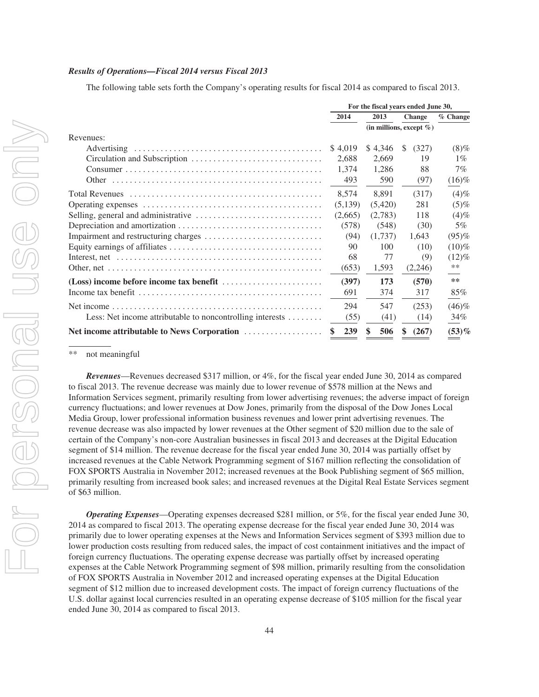## *Results of Operations—Fiscal 2014 versus Fiscal 2013*

The following table sets forth the Company's operating results for fiscal 2014 as compared to fiscal 2013.

|                                                                                       | For the fiscal vears ended June 30, |            |                             |            |  |
|---------------------------------------------------------------------------------------|-------------------------------------|------------|-----------------------------|------------|--|
|                                                                                       | 2014                                | 2013       | Change                      | $%$ Change |  |
|                                                                                       |                                     |            | (in millions, except $\%$ ) |            |  |
| Revenues:                                                                             |                                     |            |                             |            |  |
|                                                                                       | \$4,019                             | \$4,346    | (327)<br>\$.                | $(8)\%$    |  |
|                                                                                       | 2,688                               | 2,669      | 19                          | $1\%$      |  |
|                                                                                       | 1,374                               | 1,286      | 88                          | $7\%$      |  |
|                                                                                       | 493                                 | 590        | (97)                        | $(16)$ %   |  |
|                                                                                       | 8,574                               | 8,891      | (317)                       | (4)%       |  |
|                                                                                       | (5,139)                             | (5,420)    | 281                         | (5)%       |  |
|                                                                                       | (2,665)                             | (2,783)    | 118                         | $(4)\%$    |  |
|                                                                                       | (578)                               | (548)      | (30)                        | 5%         |  |
|                                                                                       | (94)                                | (1,737)    | 1,643                       | (95)%      |  |
|                                                                                       | 90                                  | 100        | (10)                        | $(10)\%$   |  |
|                                                                                       | 68                                  | 77         | (9)                         | $(12)\%$   |  |
|                                                                                       | (653)                               | 1,593      | (2,246)                     | **         |  |
| $(Loss)$ income before income tax benefit $\ldots \ldots \ldots \ldots \ldots \ldots$ | (397)                               | 173        | (570)                       | **         |  |
|                                                                                       | 691                                 | 374        | 317                         | 85%        |  |
|                                                                                       | 294                                 | 547        | (253)                       | $(46)\%$   |  |
| Less: Net income attributable to noncontrolling interests $\dots \dots$               | (55)                                | (41)       | (14)                        | 34%        |  |
| Net income attributable to News Corporation                                           | 239<br>\$                           | 506<br>\$. | (267)                       | (53)%      |  |

\*\* not meaningful

*Revenues*—Revenues decreased \$317 million, or 4%, for the fiscal year ended June 30, 2014 as compared to fiscal 2013. The revenue decrease was mainly due to lower revenue of \$578 million at the News and Information Services segment, primarily resulting from lower advertising revenues; the adverse impact of foreign currency fluctuations; and lower revenues at Dow Jones, primarily from the disposal of the Dow Jones Local Media Group, lower professional information business revenues and lower print advertising revenues. The revenue decrease was also impacted by lower revenues at the Other segment of \$20 million due to the sale of certain of the Company's non-core Australian businesses in fiscal 2013 and decreases at the Digital Education segment of \$14 million. The revenue decrease for the fiscal year ended June 30, 2014 was partially offset by increased revenues at the Cable Network Programming segment of \$167 million reflecting the consolidation of FOX SPORTS Australia in November 2012; increased revenues at the Book Publishing segment of \$65 million, primarily resulting from increased book sales; and increased revenues at the Digital Real Estate Services segment of \$63 million.

*Operating Expenses*—Operating expenses decreased \$281 million, or 5%, for the fiscal year ended June 30, 2014 as compared to fiscal 2013. The operating expense decrease for the fiscal year ended June 30, 2014 was primarily due to lower operating expenses at the News and Information Services segment of \$393 million due to lower production costs resulting from reduced sales, the impact of cost containment initiatives and the impact of foreign currency fluctuations. The operating expense decrease was partially offset by increased operating expenses at the Cable Network Programming segment of \$98 million, primarily resulting from the consolidation of FOX SPORTS Australia in November 2012 and increased operating expenses at the Digital Education segment of \$12 million due to increased development costs. The impact of foreign currency fluctuations of the U.S. dollar against local currencies resulted in an operating expense decrease of \$105 million for the fiscal year ended June 30, 2014 as compared to fiscal 2013.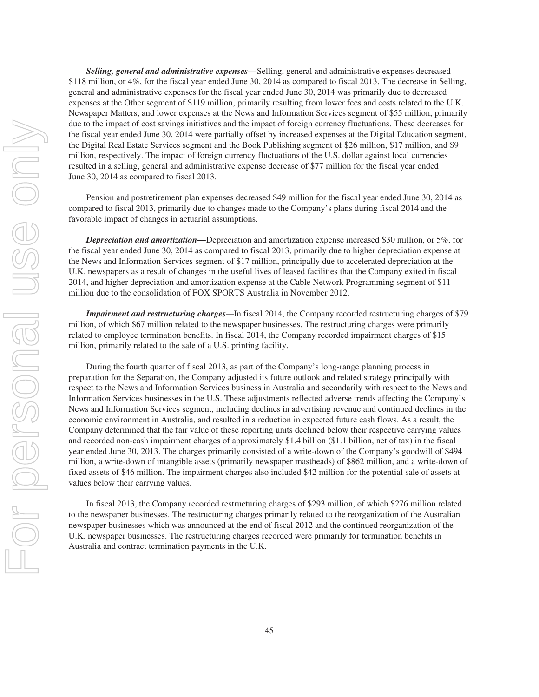*Selling, general and administrative expenses—*Selling, general and administrative expenses decreased \$118 million, or 4%, for the fiscal year ended June 30, 2014 as compared to fiscal 2013. The decrease in Selling, general and administrative expenses for the fiscal year ended June 30, 2014 was primarily due to decreased expenses at the Other segment of \$119 million, primarily resulting from lower fees and costs related to the U.K. Newspaper Matters, and lower expenses at the News and Information Services segment of \$55 million, primarily due to the impact of cost savings initiatives and the impact of foreign currency fluctuations. These decreases for the fiscal year ended June 30, 2014 were partially offset by increased expenses at the Digital Education segment, the Digital Real Estate Services segment and the Book Publishing segment of \$26 million, \$17 million, and \$9 million, respectively. The impact of foreign currency fluctuations of the U.S. dollar against local currencies resulted in a selling, general and administrative expense decrease of \$77 million for the fiscal year ended June 30, 2014 as compared to fiscal 2013.

Pension and postretirement plan expenses decreased \$49 million for the fiscal year ended June 30, 2014 as compared to fiscal 2013, primarily due to changes made to the Company's plans during fiscal 2014 and the favorable impact of changes in actuarial assumptions.

*Depreciation and amortization—*Depreciation and amortization expense increased \$30 million, or 5%, for the fiscal year ended June 30, 2014 as compared to fiscal 2013, primarily due to higher depreciation expense at the News and Information Services segment of \$17 million, principally due to accelerated depreciation at the U.K. newspapers as a result of changes in the useful lives of leased facilities that the Company exited in fiscal 2014, and higher depreciation and amortization expense at the Cable Network Programming segment of \$11 million due to the consolidation of FOX SPORTS Australia in November 2012.

*Impairment and restructuring charges—*In fiscal 2014, the Company recorded restructuring charges of \$79 million, of which \$67 million related to the newspaper businesses. The restructuring charges were primarily related to employee termination benefits. In fiscal 2014, the Company recorded impairment charges of \$15 million, primarily related to the sale of a U.S. printing facility.

During the fourth quarter of fiscal 2013, as part of the Company's long-range planning process in preparation for the Separation, the Company adjusted its future outlook and related strategy principally with respect to the News and Information Services business in Australia and secondarily with respect to the News and Information Services businesses in the U.S. These adjustments reflected adverse trends affecting the Company's News and Information Services segment, including declines in advertising revenue and continued declines in the economic environment in Australia, and resulted in a reduction in expected future cash flows. As a result, the Company determined that the fair value of these reporting units declined below their respective carrying values and recorded non-cash impairment charges of approximately \$1.4 billion (\$1.1 billion, net of tax) in the fiscal year ended June 30, 2013. The charges primarily consisted of a write-down of the Company's goodwill of \$494 million, a write-down of intangible assets (primarily newspaper mastheads) of \$862 million, and a write-down of fixed assets of \$46 million. The impairment charges also included \$42 million for the potential sale of assets at values below their carrying values.

In fiscal 2013, the Company recorded restructuring charges of \$293 million, of which \$276 million related to the newspaper businesses. The restructuring charges primarily related to the reorganization of the Australian newspaper businesses which was announced at the end of fiscal 2012 and the continued reorganization of the U.K. newspaper businesses. The restructuring charges recorded were primarily for termination benefits in Australia and contract termination payments in the U.K.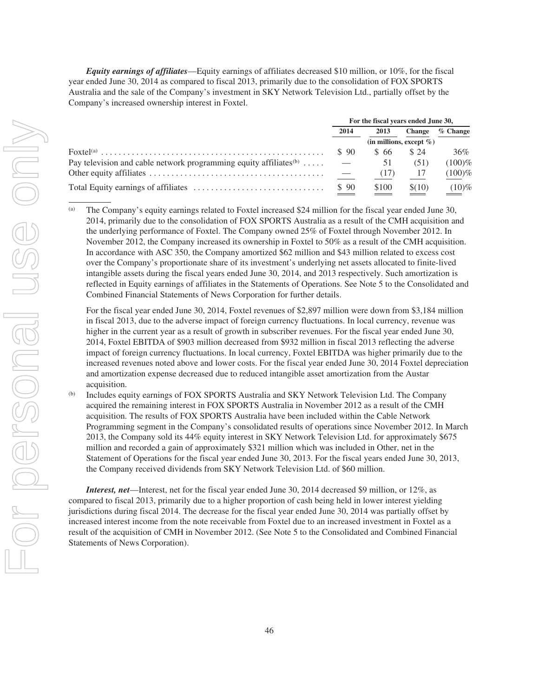*Equity earnings of affiliates*—Equity earnings of affiliates decreased \$10 million, or 10%, for the fiscal year ended June 30, 2014 as compared to fiscal 2013, primarily due to the consolidation of FOX SPORTS Australia and the sale of the Company's investment in SKY Network Television Ltd., partially offset by the Company's increased ownership interest in Foxtel.

|                                                                      | For the fiscal years ended June 30, |       |               |            |  |
|----------------------------------------------------------------------|-------------------------------------|-------|---------------|------------|--|
|                                                                      | 2014                                | 2013  | <b>Change</b> | $%$ Change |  |
|                                                                      | (in millions, except $\%$ )         |       |               |            |  |
|                                                                      | \$90                                | \$66  | \$24          | $36\%$     |  |
| Pay television and cable network programming equity affiliates $(b)$ | $\overline{\phantom{a}}$            |       | (51)          | $(100)\%$  |  |
|                                                                      |                                     | (17)  | 17            | (100)%     |  |
|                                                                      | \$90                                | \$100 | \$(10)        | $(10)\%$   |  |

(a) The Company's equity earnings related to Foxtel increased \$24 million for the fiscal year ended June 30, 2014, primarily due to the consolidation of FOX SPORTS Australia as a result of the CMH acquisition and the underlying performance of Foxtel. The Company owned 25% of Foxtel through November 2012. In November 2012, the Company increased its ownership in Foxtel to 50% as a result of the CMH acquisition. In accordance with ASC 350, the Company amortized \$62 million and \$43 million related to excess cost over the Company's proportionate share of its investment's underlying net assets allocated to finite-lived intangible assets during the fiscal years ended June 30, 2014, and 2013 respectively. Such amortization is reflected in Equity earnings of affiliates in the Statements of Operations. See Note 5 to the Consolidated and Combined Financial Statements of News Corporation for further details.

For the fiscal year ended June 30, 2014, Foxtel revenues of \$2,897 million were down from \$3,184 million in fiscal 2013, due to the adverse impact of foreign currency fluctuations. In local currency, revenue was higher in the current year as a result of growth in subscriber revenues. For the fiscal year ended June 30, 2014, Foxtel EBITDA of \$903 million decreased from \$932 million in fiscal 2013 reflecting the adverse impact of foreign currency fluctuations. In local currency, Foxtel EBITDA was higher primarily due to the increased revenues noted above and lower costs. For the fiscal year ended June 30, 2014 Foxtel depreciation and amortization expense decreased due to reduced intangible asset amortization from the Austar acquisition.

(b) Includes equity earnings of FOX SPORTS Australia and SKY Network Television Ltd. The Company acquired the remaining interest in FOX SPORTS Australia in November 2012 as a result of the CMH acquisition. The results of FOX SPORTS Australia have been included within the Cable Network Programming segment in the Company's consolidated results of operations since November 2012. In March 2013, the Company sold its 44% equity interest in SKY Network Television Ltd. for approximately \$675 million and recorded a gain of approximately \$321 million which was included in Other, net in the Statement of Operations for the fiscal year ended June 30, 2013. For the fiscal years ended June 30, 2013, the Company received dividends from SKY Network Television Ltd. of \$60 million.

*Interest, net*—Interest, net for the fiscal year ended June 30, 2014 decreased \$9 million, or 12%, as compared to fiscal 2013, primarily due to a higher proportion of cash being held in lower interest yielding jurisdictions during fiscal 2014. The decrease for the fiscal year ended June 30, 2014 was partially offset by increased interest income from the note receivable from Foxtel due to an increased investment in Foxtel as a result of the acquisition of CMH in November 2012. (See Note 5 to the Consolidated and Combined Financial Statements of News Corporation).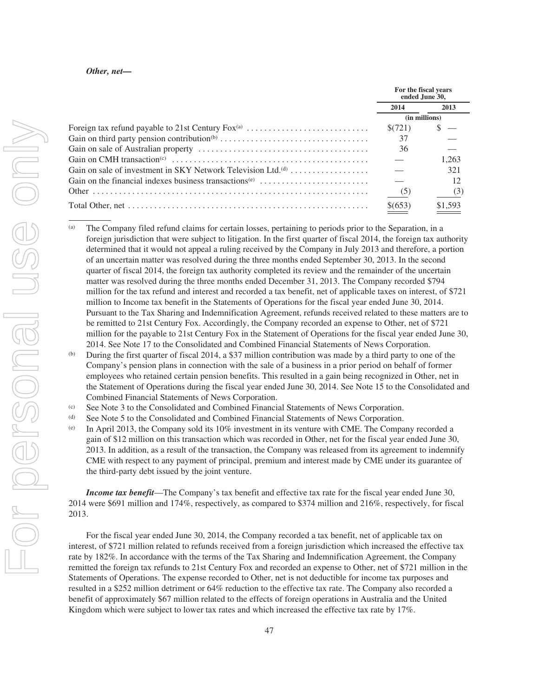*Other, net—*

|                                                                   | For the fiscal years<br>ended June 30, |         |
|-------------------------------------------------------------------|----------------------------------------|---------|
|                                                                   | 2014                                   | 2013    |
|                                                                   | (in millions)                          |         |
|                                                                   | \$(721)                                |         |
|                                                                   | 37                                     |         |
|                                                                   | 36                                     |         |
|                                                                   |                                        | 1,263   |
| Gain on sale of investment in SKY Network Television Ltd. $(d)$ , |                                        | 321     |
|                                                                   |                                        | 12      |
|                                                                   | (5)                                    | (3)     |
|                                                                   | \$(653)                                | \$1,593 |

- (a) The Company filed refund claims for certain losses, pertaining to periods prior to the Separation, in a foreign jurisdiction that were subject to litigation. In the first quarter of fiscal 2014, the foreign tax authority determined that it would not appeal a ruling received by the Company in July 2013 and therefore, a portion of an uncertain matter was resolved during the three months ended September 30, 2013. In the second quarter of fiscal 2014, the foreign tax authority completed its review and the remainder of the uncertain matter was resolved during the three months ended December 31, 2013. The Company recorded \$794 million for the tax refund and interest and recorded a tax benefit, net of applicable taxes on interest, of \$721 million to Income tax benefit in the Statements of Operations for the fiscal year ended June 30, 2014. Pursuant to the Tax Sharing and Indemnification Agreement, refunds received related to these matters are to be remitted to 21st Century Fox. Accordingly, the Company recorded an expense to Other, net of \$721 million for the payable to 21st Century Fox in the Statement of Operations for the fiscal year ended June 30, 2014. See Note 17 to the Consolidated and Combined Financial Statements of News Corporation.
- (b) During the first quarter of fiscal 2014, a \$37 million contribution was made by a third party to one of the Company's pension plans in connection with the sale of a business in a prior period on behalf of former employees who retained certain pension benefits. This resulted in a gain being recognized in Other, net in the Statement of Operations during the fiscal year ended June 30, 2014. See Note 15 to the Consolidated and Combined Financial Statements of News Corporation.
- (c) See Note 3 to the Consolidated and Combined Financial Statements of News Corporation.
- (d) See Note 5 to the Consolidated and Combined Financial Statements of News Corporation.
- (e) In April 2013, the Company sold its 10% investment in its venture with CME. The Company recorded a gain of \$12 million on this transaction which was recorded in Other, net for the fiscal year ended June 30, 2013. In addition, as a result of the transaction, the Company was released from its agreement to indemnify CME with respect to any payment of principal, premium and interest made by CME under its guarantee of the third-party debt issued by the joint venture.

*Income tax benefit*—The Company's tax benefit and effective tax rate for the fiscal year ended June 30, 2014 were \$691 million and 174%, respectively, as compared to \$374 million and 216%, respectively, for fiscal 2013.

For the fiscal year ended June 30, 2014, the Company recorded a tax benefit, net of applicable tax on interest, of \$721 million related to refunds received from a foreign jurisdiction which increased the effective tax rate by 182%. In accordance with the terms of the Tax Sharing and Indemnification Agreement, the Company remitted the foreign tax refunds to 21st Century Fox and recorded an expense to Other, net of \$721 million in the Statements of Operations. The expense recorded to Other, net is not deductible for income tax purposes and resulted in a \$252 million detriment or 64% reduction to the effective tax rate. The Company also recorded a benefit of approximately \$67 million related to the effects of foreign operations in Australia and the United Kingdom which were subject to lower tax rates and which increased the effective tax rate by 17%.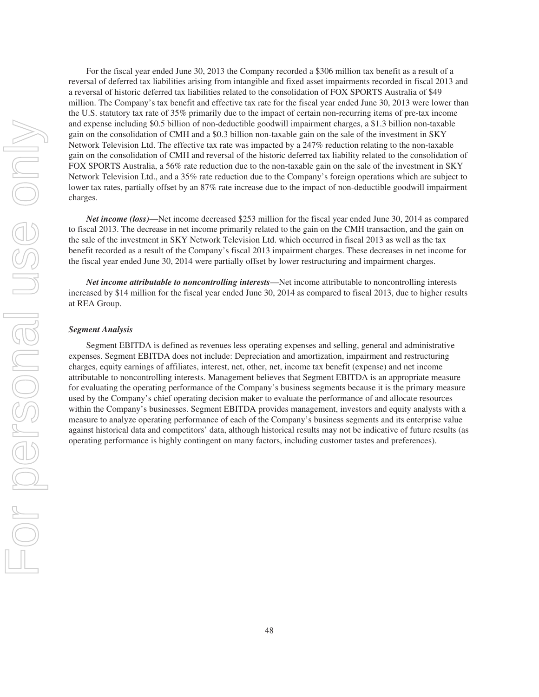For the fiscal year ended June 30, 2013 the Company recorded a \$306 million tax benefit as a result of a reversal of deferred tax liabilities arising from intangible and fixed asset impairments recorded in fiscal 2013 and a reversal of historic deferred tax liabilities related to the consolidation of FOX SPORTS Australia of \$49 million. The Company's tax benefit and effective tax rate for the fiscal year ended June 30, 2013 were lower than the U.S. statutory tax rate of 35% primarily due to the impact of certain non-recurring items of pre-tax income and expense including \$0.5 billion of non-deductible goodwill impairment charges, a \$1.3 billion non-taxable gain on the consolidation of CMH and a \$0.3 billion non-taxable gain on the sale of the investment in SKY Network Television Ltd. The effective tax rate was impacted by a 247% reduction relating to the non-taxable gain on the consolidation of CMH and reversal of the historic deferred tax liability related to the consolidation of FOX SPORTS Australia, a 56% rate reduction due to the non-taxable gain on the sale of the investment in SKY Network Television Ltd., and a 35% rate reduction due to the Company's foreign operations which are subject to lower tax rates, partially offset by an 87% rate increase due to the impact of non-deductible goodwill impairment charges.

*Net income (loss)*—Net income decreased \$253 million for the fiscal year ended June 30, 2014 as compared to fiscal 2013. The decrease in net income primarily related to the gain on the CMH transaction, and the gain on the sale of the investment in SKY Network Television Ltd. which occurred in fiscal 2013 as well as the tax benefit recorded as a result of the Company's fiscal 2013 impairment charges. These decreases in net income for the fiscal year ended June 30, 2014 were partially offset by lower restructuring and impairment charges.

*Net income attributable to noncontrolling interests*—Net income attributable to noncontrolling interests increased by \$14 million for the fiscal year ended June 30, 2014 as compared to fiscal 2013, due to higher results at REA Group.

### *Segment Analysis*

Segment EBITDA is defined as revenues less operating expenses and selling, general and administrative expenses. Segment EBITDA does not include: Depreciation and amortization, impairment and restructuring charges, equity earnings of affiliates, interest, net, other, net, income tax benefit (expense) and net income attributable to noncontrolling interests. Management believes that Segment EBITDA is an appropriate measure for evaluating the operating performance of the Company's business segments because it is the primary measure used by the Company's chief operating decision maker to evaluate the performance of and allocate resources within the Company's businesses. Segment EBITDA provides management, investors and equity analysts with a measure to analyze operating performance of each of the Company's business segments and its enterprise value against historical data and competitors' data, although historical results may not be indicative of future results (as operating performance is highly contingent on many factors, including customer tastes and preferences).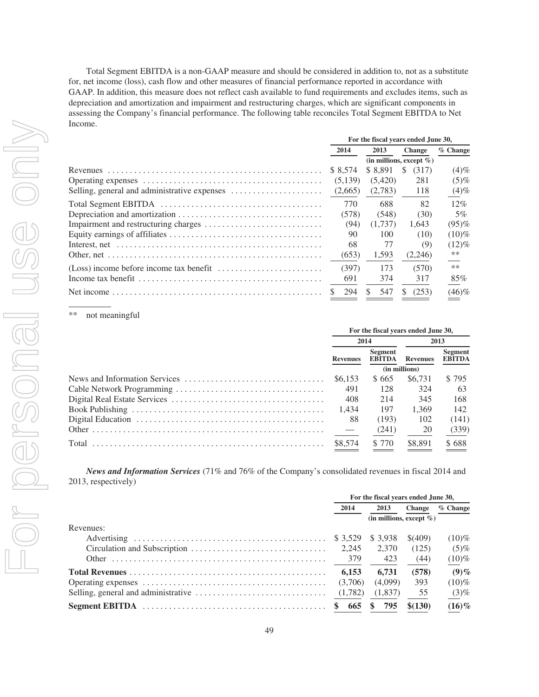Total Segment EBITDA is a non-GAAP measure and should be considered in addition to, not as a substitute for, net income (loss), cash flow and other measures of financial performance reported in accordance with GAAP. In addition, this measure does not reflect cash available to fund requirements and excludes items, such as depreciation and amortization and impairment and restructuring charges, which are significant components in assessing the Company's financial performance. The following table reconciles Total Segment EBITDA to Net Income.

|                                                                                       | For the fiscal years ended June 30, |          |                             |            |
|---------------------------------------------------------------------------------------|-------------------------------------|----------|-----------------------------|------------|
|                                                                                       | 2014                                | 2013     | <b>Change</b>               | $%$ Change |
|                                                                                       |                                     |          | (in millions, except $\%$ ) |            |
|                                                                                       | \$ 8.574                            | \$ 8.891 | <sup>S</sup><br>(317)       | $(4)\%$    |
|                                                                                       | (5.139)                             | (5.420)  | 281                         | (5)%       |
|                                                                                       | (2,665)                             | (2,783)  | 118                         | $(4)\%$    |
|                                                                                       | 770                                 | 688      | 82                          | $12\%$     |
|                                                                                       | (578)                               | (548)    | (30)                        | 5%         |
|                                                                                       | (94)                                | (1.737)  | 1.643                       | $(95)\%$   |
|                                                                                       | 90                                  | 100      | (10)                        | $(10)\%$   |
|                                                                                       | 68                                  | 77       | (9)                         | $(12)\%$   |
|                                                                                       | (653)                               | 1,593    | (2,246)                     | **         |
| $(Loss)$ income before income tax benefit $\ldots \ldots \ldots \ldots \ldots \ldots$ | (397)                               | 173      | (570)                       | $***$      |
|                                                                                       | 691                                 | 374      | 317                         | 85%        |
|                                                                                       | 294                                 | 547      | (253)<br>S.                 | $(46)\%$   |

\*\* not meaningful

|       |                 |                                 | For the fiscal years ended June 30, |                                 |
|-------|-----------------|---------------------------------|-------------------------------------|---------------------------------|
|       |                 | 2014                            | 2013                                |                                 |
|       | <b>Revenues</b> | <b>Segment</b><br><b>EBITDA</b> | <b>Revenues</b>                     | <b>Segment</b><br><b>EBITDA</b> |
|       |                 |                                 | (in millions)                       |                                 |
|       | \$6,153         | \$665                           | \$6,731                             | \$795                           |
|       | 491             | 128                             | 324                                 | 63                              |
|       | 408             | 214                             | 345                                 | 168                             |
|       | 1.434           | 197                             | 1.369                               | 142                             |
|       | 88              | (193)                           | 102                                 | (141)                           |
|       |                 | (241)                           | 20                                  | (339)                           |
| Total | \$8,574         | \$770                           | \$8,891                             | \$688                           |
|       |                 |                                 |                                     |                                 |

*News and Information Services* (71% and 76% of the Company's consolidated revenues in fiscal 2014 and 2013, respectively)

|           | For the fiscal years ended June 30, |           |               |            |  |  |
|-----------|-------------------------------------|-----------|---------------|------------|--|--|
|           | 2014                                | 2013      | <b>Change</b> | $%$ Change |  |  |
|           | (in millions, except $\%$ )         |           |               |            |  |  |
| Revenues: |                                     |           |               |            |  |  |
|           |                                     | \$ 3.938  | \$(409)       | $(10)\%$   |  |  |
|           | 2.245                               | 2.370     | (125)         | $(5)\%$    |  |  |
|           | 379                                 | 423       | (44)          | $(10)\%$   |  |  |
|           | 6.153                               | 6.731     | (578)         | $(9)$ %    |  |  |
|           | (3.706)                             | (4.099)   | 393           | $(10)\%$   |  |  |
|           | (1,782)                             | (1,837)   | 55            | $(3)\%$    |  |  |
|           | SS.<br>665                          | 795<br>-S | \$(130)       | $(16)\%$   |  |  |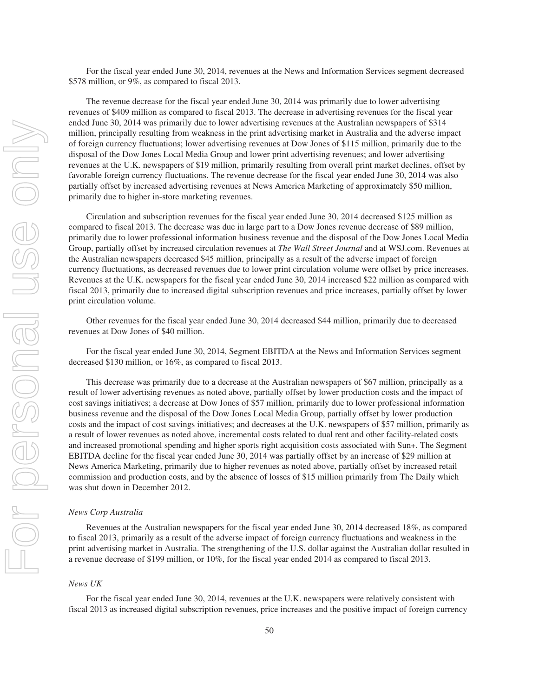For the fiscal year ended June 30, 2014, revenues at the News and Information Services segment decreased \$578 million, or 9%, as compared to fiscal 2013.

The revenue decrease for the fiscal year ended June 30, 2014 was primarily due to lower advertising revenues of \$409 million as compared to fiscal 2013. The decrease in advertising revenues for the fiscal year ended June 30, 2014 was primarily due to lower advertising revenues at the Australian newspapers of \$314 million, principally resulting from weakness in the print advertising market in Australia and the adverse impact of foreign currency fluctuations; lower advertising revenues at Dow Jones of \$115 million, primarily due to the disposal of the Dow Jones Local Media Group and lower print advertising revenues; and lower advertising revenues at the U.K. newspapers of \$19 million, primarily resulting from overall print market declines, offset by favorable foreign currency fluctuations. The revenue decrease for the fiscal year ended June 30, 2014 was also partially offset by increased advertising revenues at News America Marketing of approximately \$50 million, primarily due to higher in-store marketing revenues.

Circulation and subscription revenues for the fiscal year ended June 30, 2014 decreased \$125 million as compared to fiscal 2013. The decrease was due in large part to a Dow Jones revenue decrease of \$89 million, primarily due to lower professional information business revenue and the disposal of the Dow Jones Local Media Group, partially offset by increased circulation revenues at *The Wall Street Journal* and at WSJ.com. Revenues at the Australian newspapers decreased \$45 million, principally as a result of the adverse impact of foreign currency fluctuations, as decreased revenues due to lower print circulation volume were offset by price increases. Revenues at the U.K. newspapers for the fiscal year ended June 30, 2014 increased \$22 million as compared with fiscal 2013, primarily due to increased digital subscription revenues and price increases, partially offset by lower print circulation volume.

Other revenues for the fiscal year ended June 30, 2014 decreased \$44 million, primarily due to decreased revenues at Dow Jones of \$40 million.

For the fiscal year ended June 30, 2014, Segment EBITDA at the News and Information Services segment decreased \$130 million, or 16%, as compared to fiscal 2013.

This decrease was primarily due to a decrease at the Australian newspapers of \$67 million, principally as a result of lower advertising revenues as noted above, partially offset by lower production costs and the impact of cost savings initiatives; a decrease at Dow Jones of \$57 million, primarily due to lower professional information business revenue and the disposal of the Dow Jones Local Media Group, partially offset by lower production costs and the impact of cost savings initiatives; and decreases at the U.K. newspapers of \$57 million, primarily as a result of lower revenues as noted above, incremental costs related to dual rent and other facility-related costs and increased promotional spending and higher sports right acquisition costs associated with Sun+. The Segment EBITDA decline for the fiscal year ended June 30, 2014 was partially offset by an increase of \$29 million at News America Marketing, primarily due to higher revenues as noted above, partially offset by increased retail commission and production costs, and by the absence of losses of \$15 million primarily from The Daily which was shut down in December 2012.

#### *News Corp Australia*

Revenues at the Australian newspapers for the fiscal year ended June 30, 2014 decreased 18%, as compared to fiscal 2013, primarily as a result of the adverse impact of foreign currency fluctuations and weakness in the print advertising market in Australia. The strengthening of the U.S. dollar against the Australian dollar resulted in a revenue decrease of \$199 million, or 10%, for the fiscal year ended 2014 as compared to fiscal 2013.

#### *News UK*

For the fiscal year ended June 30, 2014, revenues at the U.K. newspapers were relatively consistent with fiscal 2013 as increased digital subscription revenues, price increases and the positive impact of foreign currency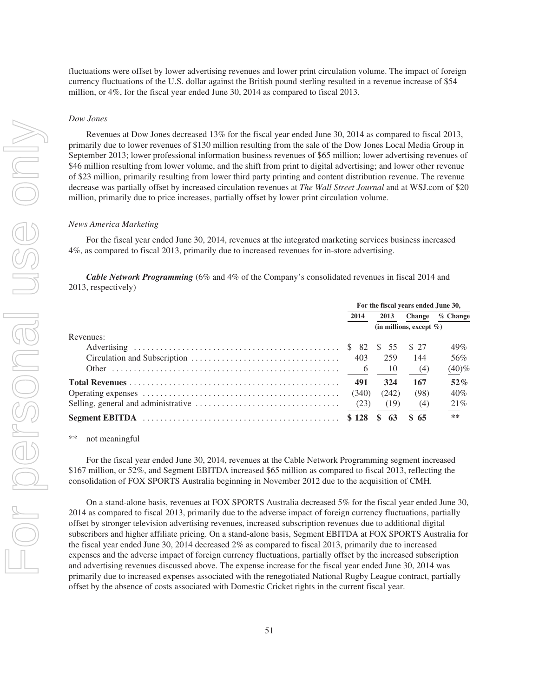fluctuations were offset by lower advertising revenues and lower print circulation volume. The impact of foreign currency fluctuations of the U.S. dollar against the British pound sterling resulted in a revenue increase of \$54 million, or 4%, for the fiscal year ended June 30, 2014 as compared to fiscal 2013.

#### *Dow Jones*

Revenues at Dow Jones decreased 13% for the fiscal year ended June 30, 2014 as compared to fiscal 2013, primarily due to lower revenues of \$130 million resulting from the sale of the Dow Jones Local Media Group in September 2013; lower professional information business revenues of \$65 million; lower advertising revenues of \$46 million resulting from lower volume, and the shift from print to digital advertising; and lower other revenue of \$23 million, primarily resulting from lower third party printing and content distribution revenue. The revenue decrease was partially offset by increased circulation revenues at *The Wall Street Journal* and at WSJ.com of \$20 million, primarily due to price increases, partially offset by lower print circulation volume.

#### *News America Marketing*

For the fiscal year ended June 30, 2014, revenues at the integrated marketing services business increased 4%, as compared to fiscal 2013, primarily due to increased revenues for in-store advertising.

*Cable Network Programming* (6% and 4% of the Company's consolidated revenues in fiscal 2014 and 2013, respectively)

|           | For the fiscal years ended June 30, |       |                             |            |
|-----------|-------------------------------------|-------|-----------------------------|------------|
|           | 2014                                | 2013  | <b>Change</b>               | $%$ Change |
|           |                                     |       | (in millions, except $\%$ ) |            |
| Revenues: |                                     |       |                             |            |
|           |                                     |       | \$ 27                       | 49%        |
|           |                                     | 259   | 144                         | 56%        |
|           |                                     | - 10  | (4)                         | (40)%      |
|           | 491                                 | 324   | 167                         | $52\%$     |
|           | (340)                               | (242) | (98)                        | 40%        |
|           | (23)                                | (19)  | (4)                         | 21\%       |
|           | \$128                               | 63    | \$65                        | **         |

\*\* not meaningful

For the fiscal year ended June 30, 2014, revenues at the Cable Network Programming segment increased \$167 million, or 52%, and Segment EBITDA increased \$65 million as compared to fiscal 2013, reflecting the consolidation of FOX SPORTS Australia beginning in November 2012 due to the acquisition of CMH.

On a stand-alone basis, revenues at FOX SPORTS Australia decreased 5% for the fiscal year ended June 30, 2014 as compared to fiscal 2013, primarily due to the adverse impact of foreign currency fluctuations, partially offset by stronger television advertising revenues, increased subscription revenues due to additional digital subscribers and higher affiliate pricing. On a stand-alone basis, Segment EBITDA at FOX SPORTS Australia for the fiscal year ended June 30, 2014 decreased 2% as compared to fiscal 2013, primarily due to increased expenses and the adverse impact of foreign currency fluctuations, partially offset by the increased subscription and advertising revenues discussed above. The expense increase for the fiscal year ended June 30, 2014 was primarily due to increased expenses associated with the renegotiated National Rugby League contract, partially offset by the absence of costs associated with Domestic Cricket rights in the current fiscal year.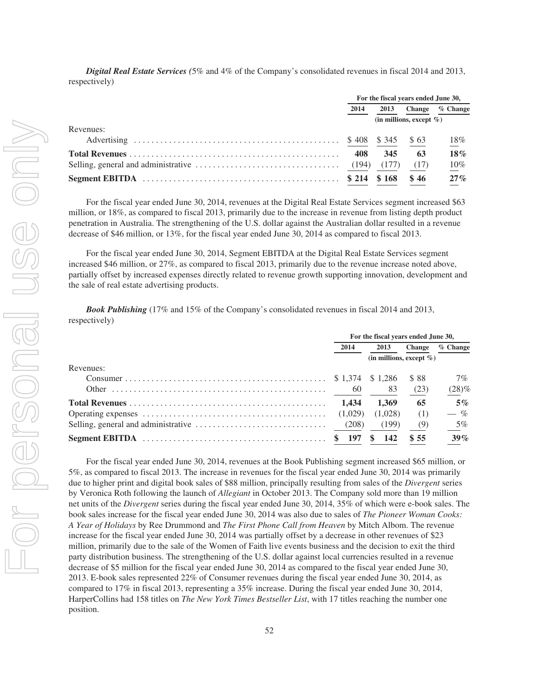*Digital Real Estate Services (*5% and 4% of the Company's consolidated revenues in fiscal 2014 and 2013, respectively)

|                                                                                                                                                                                                                                | For the fiscal years ended June 30, |                             |               |            |
|--------------------------------------------------------------------------------------------------------------------------------------------------------------------------------------------------------------------------------|-------------------------------------|-----------------------------|---------------|------------|
|                                                                                                                                                                                                                                | 2014                                | 2013                        | <b>Change</b> | $%$ Change |
|                                                                                                                                                                                                                                |                                     | (in millions, except $\%$ ) |               |            |
| Revenues:                                                                                                                                                                                                                      |                                     |                             |               |            |
|                                                                                                                                                                                                                                |                                     |                             |               | 18%        |
|                                                                                                                                                                                                                                | 408                                 | 345                         | 63            | 18%        |
|                                                                                                                                                                                                                                | (194)                               | (177)                       | (17)          | $10\%$     |
| Segment EBITDA (and the contract of the contract of the contract of the contract of the contract of the contract of the contract of the contract of the contract of the contract of the contract of the contract of the contra | \$214                               | \$168                       | \$46          | 27%        |

For the fiscal year ended June 30, 2014, revenues at the Digital Real Estate Services segment increased \$63 million, or 18%, as compared to fiscal 2013, primarily due to the increase in revenue from listing depth product penetration in Australia. The strengthening of the U.S. dollar against the Australian dollar resulted in a revenue decrease of \$46 million, or 13%, for the fiscal year ended June 30, 2014 as compared to fiscal 2013.

For the fiscal year ended June 30, 2014, Segment EBITDA at the Digital Real Estate Services segment increased \$46 million, or 27%, as compared to fiscal 2013, primarily due to the revenue increase noted above, partially offset by increased expenses directly related to revenue growth supporting innovation, development and the sale of real estate advertising products.

*Book Publishing* (17% and 15% of the Company's consolidated revenues in fiscal 2014 and 2013, respectively)

|           | For the fiscal years ended June 30, |         |               |            |  |
|-----------|-------------------------------------|---------|---------------|------------|--|
|           | 2014                                | 2013    | <b>Change</b> | $%$ Change |  |
|           | (in millions, except $\%$ )         |         |               |            |  |
| Revenues: |                                     |         |               |            |  |
|           |                                     | \$1.286 | \$88          | $7\%$      |  |
|           | - 60                                | 83      | (23)          | $(28)\%$   |  |
|           | 1.434                               | 1.369   | 65            | $5\%$      |  |
|           | (1.029)                             | (1,028) | (1)           | $-$ %      |  |
|           | (208)                               | (199)   | (9)           | 5%         |  |
|           | 197                                 | 142     | \$55          | $39\%$     |  |

For the fiscal year ended June 30, 2014, revenues at the Book Publishing segment increased \$65 million, or 5%, as compared to fiscal 2013. The increase in revenues for the fiscal year ended June 30, 2014 was primarily due to higher print and digital book sales of \$88 million, principally resulting from sales of the *Divergent* series by Veronica Roth following the launch of *Allegiant* in October 2013. The Company sold more than 19 million net units of the *Divergent* series during the fiscal year ended June 30, 2014, 35% of which were e-book sales. The book sales increase for the fiscal year ended June 30, 2014 was also due to sales of *The Pioneer Woman Cooks: A Year of Holidays* by Ree Drummond and *The First Phone Call from Heaven* by Mitch Albom. The revenue increase for the fiscal year ended June 30, 2014 was partially offset by a decrease in other revenues of \$23 million, primarily due to the sale of the Women of Faith live events business and the decision to exit the third party distribution business. The strengthening of the U.S. dollar against local currencies resulted in a revenue decrease of \$5 million for the fiscal year ended June 30, 2014 as compared to the fiscal year ended June 30, 2013. E-book sales represented 22% of Consumer revenues during the fiscal year ended June 30, 2014, as compared to 17% in fiscal 2013, representing a 35% increase. During the fiscal year ended June 30, 2014, HarperCollins had 158 titles on *The New York Times Bestseller List*, with 17 titles reaching the number one position.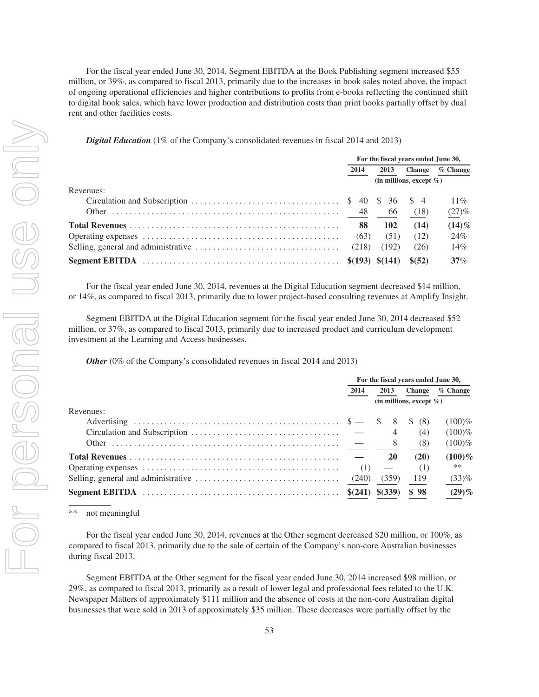to digital book sales, which have lower production and distribution costs than print books partially offset by dual rent and other facilities costs. *Digital Education* (1% of the Company's consolidated revenues in fiscal 2014 and 2013) Revenues: Circulation and Subscription . . . . . . . . . . . . . . . . . . . . . . . . . . . . . . . . . . \$ 40 \$ 36 \$ 4 11% Other . . . . . . . . . . . . . . . . . . . . . . . . . . . . . . . . . . . . . . . . . . . . . . . . . . . . 48 66 (18) (27)% **Total Revenues** ................................................ **88 102 (14) (14)%** Operating expenses ............................................. (63) (51) (12) 24% Selling, general and administrative ................................. (218) (192) (26) 14% **Segment EBITDA** ............................................. **\$(193) \$(141) \$(52) 37**% For the fiscal year ended June 30, 2014, revenues at the Digital Education segment decreased \$14 million, or 14%, as compared to fiscal 2013, primarily due to lower project-based consulting revenues at Amplify Insight.

> Segment EBITDA at the Digital Education segment for the fiscal year ended June 30, 2014 decreased \$52 million, or 37%, as compared to fiscal 2013, primarily due to increased product and curriculum development investment at the Learning and Access businesses.

For the fiscal year ended June 30, 2014, Segment EBITDA at the Book Publishing segment increased \$55 million, or 39%, as compared to fiscal 2013, primarily due to the increases in book sales noted above, the impact of ongoing operational efficiencies and higher contributions to profits from e-books reflecting the continued shift

> **For the fiscal years ended June 30, 2014 2013 Change % Change (in millions, except %)**

*Other* (0% of the Company's consolidated revenues in fiscal 2014 and 2013)

|           | For the fiscal years ended June 30, |                             |               |            |  |
|-----------|-------------------------------------|-----------------------------|---------------|------------|--|
|           | 2014                                | 2013                        | <b>Change</b> | $%$ Change |  |
|           |                                     | (in millions, except $\%$ ) |               |            |  |
| Revenues: |                                     |                             |               |            |  |
|           |                                     |                             |               | $(100)\%$  |  |
|           |                                     |                             | (4)           | $(100)\%$  |  |
|           |                                     | -8                          | (8)           | $(100)\%$  |  |
|           |                                     | 20                          | (20)          | $(100)\%$  |  |
|           | (1)                                 |                             | (1)           | $***$      |  |
|           | (240)                               | (359)                       | 119           | $(33)\%$   |  |
|           | \$(241)                             |                             | \$98          | $(29)$ %   |  |

\*\* not meaningful

For the fiscal year ended June 30, 2014, revenues at the Other segment decreased \$20 million, or 100%, as compared to fiscal 2013, primarily due to the sale of certain of the Company's non-core Australian businesses during fiscal 2013.

Segment EBITDA at the Other segment for the fiscal year ended June 30, 2014 increased \$98 million, or 29%, as compared to fiscal 2013, primarily as a result of lower legal and professional fees related to the U.K. Newspaper Matters of approximately \$111 million and the absence of costs at the non-core Australian digital businesses that were sold in 2013 of approximately \$35 million. These decreases were partially offset by the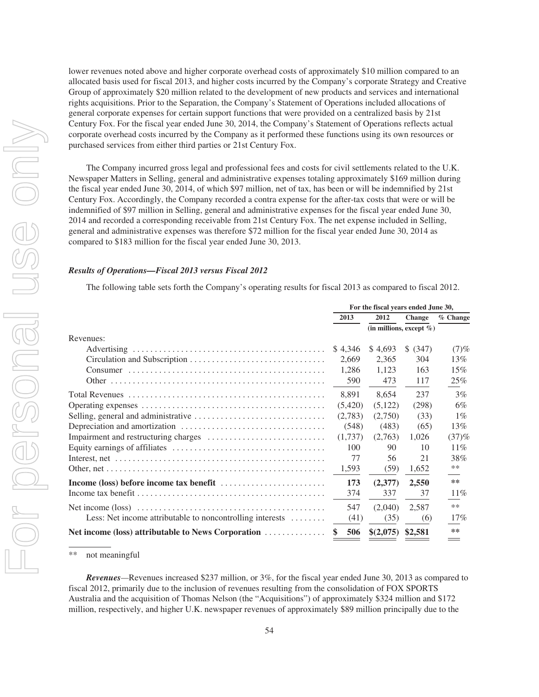lower revenues noted above and higher corporate overhead costs of approximately \$10 million compared to an allocated basis used for fiscal 2013, and higher costs incurred by the Company's corporate Strategy and Creative Group of approximately \$20 million related to the development of new products and services and international rights acquisitions. Prior to the Separation, the Company's Statement of Operations included allocations of general corporate expenses for certain support functions that were provided on a centralized basis by 21st Century Fox. For the fiscal year ended June 30, 2014, the Company's Statement of Operations reflects actual corporate overhead costs incurred by the Company as it performed these functions using its own resources or purchased services from either third parties or 21st Century Fox.

The Company incurred gross legal and professional fees and costs for civil settlements related to the U.K. Newspaper Matters in Selling, general and administrative expenses totaling approximately \$169 million during the fiscal year ended June 30, 2014, of which \$97 million, net of tax, has been or will be indemnified by 21st Century Fox. Accordingly, the Company recorded a contra expense for the after-tax costs that were or will be indemnified of \$97 million in Selling, general and administrative expenses for the fiscal year ended June 30, 2014 and recorded a corresponding receivable from 21st Century Fox. The net expense included in Selling, general and administrative expenses was therefore \$72 million for the fiscal year ended June 30, 2014 as compared to \$183 million for the fiscal year ended June 30, 2013.

## *Results of Operations—Fiscal 2013 versus Fiscal 2012*

The following table sets forth the Company's operating results for fiscal 2013 as compared to fiscal 2012.

|                                                                        | For the fiscal years ended June 30, |                             |          |            |  |
|------------------------------------------------------------------------|-------------------------------------|-----------------------------|----------|------------|--|
|                                                                        | 2013                                | 2012                        | Change   | $%$ Change |  |
|                                                                        |                                     | (in millions, except $\%$ ) |          |            |  |
| Revenues:                                                              |                                     |                             |          |            |  |
|                                                                        | \$4,346                             | \$4,693                     | \$ (347) | (7)%       |  |
|                                                                        | 2,669                               | 2,365                       | 304      | 13%        |  |
|                                                                        | 1,286                               | 1,123                       | 163      | 15%        |  |
|                                                                        | 590                                 | 473                         | 117      | 25%        |  |
|                                                                        | 8,891                               | 8,654                       | 237      | $3\%$      |  |
|                                                                        | (5,420)                             | (5,122)                     | (298)    | 6%         |  |
|                                                                        | (2,783)                             | (2,750)                     | (33)     | $1\%$      |  |
|                                                                        | (548)                               | (483)                       | (65)     | 13%        |  |
|                                                                        | (1,737)                             | (2,763)                     | 1,026    | (37)%      |  |
|                                                                        | 100                                 | 90                          | 10       | $11\%$     |  |
|                                                                        | 77                                  | 56                          | 21       | 38%        |  |
|                                                                        | 1,593                               | (59)                        | 1,652    | **         |  |
|                                                                        | 173                                 | (2,377)                     | 2,550    | **         |  |
|                                                                        | 374                                 | 337                         | 37       | 11%        |  |
|                                                                        | 547                                 | (2,040)                     | 2,587    | $***$      |  |
| Less: Net income attributable to noncontrolling interests $\dots\dots$ | (41)                                | (35)                        | (6)      | $17\%$     |  |
| Net income (loss) attributable to News Corporation                     | \$<br>506                           | \$(2,075)                   | \$2,581  | **         |  |

\*\* not meaningful

*Revenues—*Revenues increased \$237 million, or 3%, for the fiscal year ended June 30, 2013 as compared to fiscal 2012, primarily due to the inclusion of revenues resulting from the consolidation of FOX SPORTS Australia and the acquisition of Thomas Nelson (the "Acquisitions") of approximately \$324 million and \$172 million, respectively, and higher U.K. newspaper revenues of approximately \$89 million principally due to the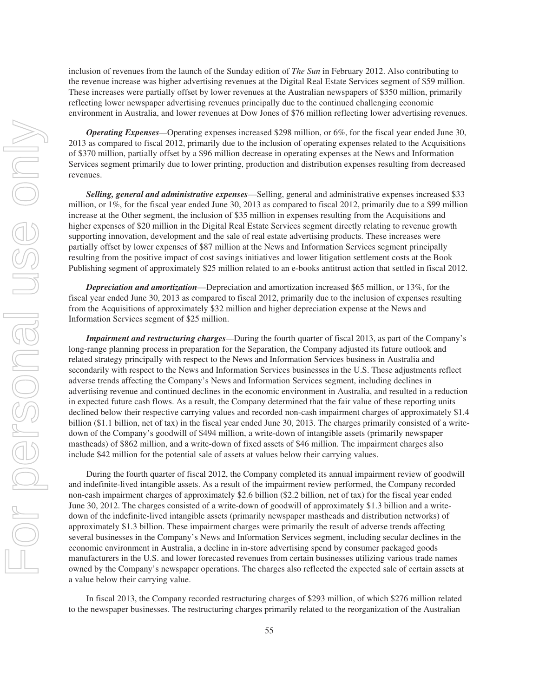inclusion of revenues from the launch of the Sunday edition of *The Sun* in February 2012. Also contributing to the revenue increase was higher advertising revenues at the Digital Real Estate Services segment of \$59 million. These increases were partially offset by lower revenues at the Australian newspapers of \$350 million, primarily reflecting lower newspaper advertising revenues principally due to the continued challenging economic environment in Australia, and lower revenues at Dow Jones of \$76 million reflecting lower advertising revenues.

*Operating Expenses—*Operating expenses increased \$298 million, or 6%, for the fiscal year ended June 30, 2013 as compared to fiscal 2012, primarily due to the inclusion of operating expenses related to the Acquisitions of \$370 million, partially offset by a \$96 million decrease in operating expenses at the News and Information Services segment primarily due to lower printing, production and distribution expenses resulting from decreased revenues.

*Selling, general and administrative expenses*—Selling, general and administrative expenses increased \$33 million, or 1%, for the fiscal year ended June 30, 2013 as compared to fiscal 2012, primarily due to a \$99 million increase at the Other segment, the inclusion of \$35 million in expenses resulting from the Acquisitions and higher expenses of \$20 million in the Digital Real Estate Services segment directly relating to revenue growth supporting innovation, development and the sale of real estate advertising products. These increases were partially offset by lower expenses of \$87 million at the News and Information Services segment principally resulting from the positive impact of cost savings initiatives and lower litigation settlement costs at the Book Publishing segment of approximately \$25 million related to an e-books antitrust action that settled in fiscal 2012.

*Depreciation and amortization*—Depreciation and amortization increased \$65 million, or 13%, for the fiscal year ended June 30, 2013 as compared to fiscal 2012, primarily due to the inclusion of expenses resulting from the Acquisitions of approximately \$32 million and higher depreciation expense at the News and Information Services segment of \$25 million.

*Impairment and restructuring charges—*During the fourth quarter of fiscal 2013, as part of the Company's long-range planning process in preparation for the Separation, the Company adjusted its future outlook and related strategy principally with respect to the News and Information Services business in Australia and secondarily with respect to the News and Information Services businesses in the U.S. These adjustments reflect adverse trends affecting the Company's News and Information Services segment, including declines in advertising revenue and continued declines in the economic environment in Australia, and resulted in a reduction in expected future cash flows. As a result, the Company determined that the fair value of these reporting units declined below their respective carrying values and recorded non-cash impairment charges of approximately \$1.4 billion (\$1.1 billion, net of tax) in the fiscal year ended June 30, 2013. The charges primarily consisted of a writedown of the Company's goodwill of \$494 million, a write-down of intangible assets (primarily newspaper mastheads) of \$862 million, and a write-down of fixed assets of \$46 million. The impairment charges also include \$42 million for the potential sale of assets at values below their carrying values.

During the fourth quarter of fiscal 2012, the Company completed its annual impairment review of goodwill and indefinite-lived intangible assets. As a result of the impairment review performed, the Company recorded non-cash impairment charges of approximately \$2.6 billion (\$2.2 billion, net of tax) for the fiscal year ended June 30, 2012. The charges consisted of a write-down of goodwill of approximately \$1.3 billion and a writedown of the indefinite-lived intangible assets (primarily newspaper mastheads and distribution networks) of approximately \$1.3 billion. These impairment charges were primarily the result of adverse trends affecting several businesses in the Company's News and Information Services segment, including secular declines in the economic environment in Australia, a decline in in-store advertising spend by consumer packaged goods manufacturers in the U.S. and lower forecasted revenues from certain businesses utilizing various trade names owned by the Company's newspaper operations. The charges also reflected the expected sale of certain assets at a value below their carrying value.

In fiscal 2013, the Company recorded restructuring charges of \$293 million, of which \$276 million related to the newspaper businesses. The restructuring charges primarily related to the reorganization of the Australian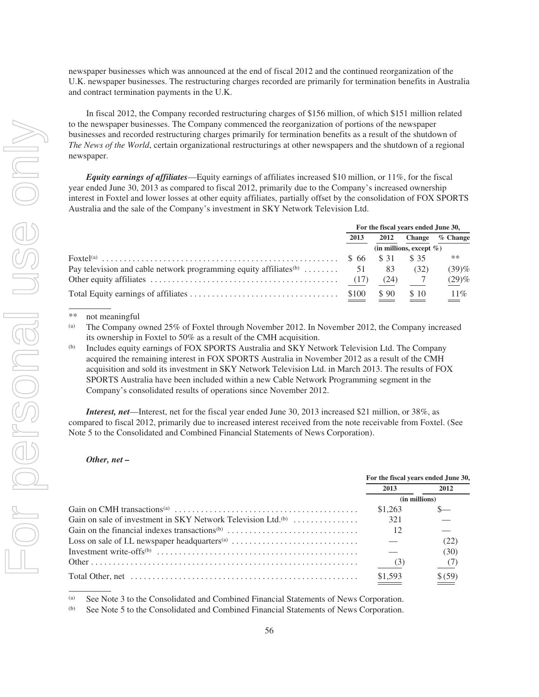newspaper businesses which was announced at the end of fiscal 2012 and the continued reorganization of the U.K. newspaper businesses. The restructuring charges recorded are primarily for termination benefits in Australia and contract termination payments in the U.K.

In fiscal 2012, the Company recorded restructuring charges of \$156 million, of which \$151 million related to the newspaper businesses. The Company commenced the reorganization of portions of the newspaper businesses and recorded restructuring charges primarily for termination benefits as a result of the shutdown of *The News of the World*, certain organizational restructurings at other newspapers and the shutdown of a regional newspaper.

*Equity earnings of affiliates*—Equity earnings of affiliates increased \$10 million, or 11%, for the fiscal year ended June 30, 2013 as compared to fiscal 2012, primarily due to the Company's increased ownership interest in Foxtel and lower losses at other equity affiliates, partially offset by the consolidation of FOX SPORTS Australia and the sale of the Company's investment in SKY Network Television Ltd.

|                                                                         |           | For the fiscal years ended June 30, |       |                    |  |
|-------------------------------------------------------------------------|-----------|-------------------------------------|-------|--------------------|--|
|                                                                         | 2013      | 2012                                |       | Change % Change    |  |
|                                                                         |           | (in millions, except $\%$ )         |       |                    |  |
|                                                                         | \$66 \$31 |                                     | \$ 35 | **                 |  |
| Pay television and cable network programming equity affiliates $(6)$ 51 |           | 83                                  | (32)  | (39)%              |  |
|                                                                         | (17)      | (24)                                |       | (29)%              |  |
|                                                                         | \$100     | \$90                                | \$10  | $11\%$<br>$\equiv$ |  |

\*\* not meaningful

(a) The Company owned 25% of Foxtel through November 2012. In November 2012, the Company increased its ownership in Foxtel to 50% as a result of the CMH acquisition.

(b) Includes equity earnings of FOX SPORTS Australia and SKY Network Television Ltd. The Company acquired the remaining interest in FOX SPORTS Australia in November 2012 as a result of the CMH acquisition and sold its investment in SKY Network Television Ltd. in March 2013. The results of FOX SPORTS Australia have been included within a new Cable Network Programming segment in the Company's consolidated results of operations since November 2012.

*Interest, net*—Interest, net for the fiscal year ended June 30, 2013 increased \$21 million, or 38%, as compared to fiscal 2012, primarily due to increased interest received from the note receivable from Foxtel. (See Note 5 to the Consolidated and Combined Financial Statements of News Corporation).

### *Other, net –*

|                                                                          | For the fiscal years ended June 30. |         |
|--------------------------------------------------------------------------|-------------------------------------|---------|
|                                                                          | 2013                                | 2012    |
|                                                                          | (in millions)                       |         |
|                                                                          | \$1.263                             |         |
| Gain on sale of investment in SKY Network Television Ltd. <sup>(b)</sup> | 321                                 |         |
| Gain on the financial indexes transactions <sup>(b)</sup>                | - 12                                |         |
|                                                                          |                                     | (22)    |
|                                                                          |                                     | (30)    |
|                                                                          | (3)                                 | (7)     |
|                                                                          | \$1,593                             | \$ (59) |

(a) See Note 3 to the Consolidated and Combined Financial Statements of News Corporation.

(b) See Note 5 to the Consolidated and Combined Financial Statements of News Corporation.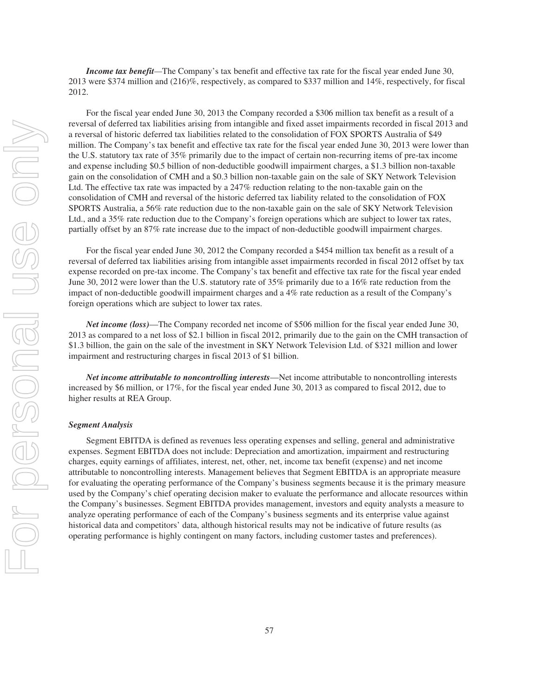*Income tax benefit*—The Company's tax benefit and effective tax rate for the fiscal year ended June 30, 2013 were \$374 million and (216)%, respectively, as compared to \$337 million and 14%, respectively, for fiscal 2012.

For the fiscal year ended June 30, 2013 the Company recorded a \$306 million tax benefit as a result of a reversal of deferred tax liabilities arising from intangible and fixed asset impairments recorded in fiscal 2013 and a reversal of historic deferred tax liabilities related to the consolidation of FOX SPORTS Australia of \$49 million. The Company's tax benefit and effective tax rate for the fiscal year ended June 30, 2013 were lower than the U.S. statutory tax rate of 35% primarily due to the impact of certain non-recurring items of pre-tax income and expense including \$0.5 billion of non-deductible goodwill impairment charges, a \$1.3 billion non-taxable gain on the consolidation of CMH and a \$0.3 billion non-taxable gain on the sale of SKY Network Television Ltd. The effective tax rate was impacted by a 247% reduction relating to the non-taxable gain on the consolidation of CMH and reversal of the historic deferred tax liability related to the consolidation of FOX SPORTS Australia, a 56% rate reduction due to the non-taxable gain on the sale of SKY Network Television Ltd., and a 35% rate reduction due to the Company's foreign operations which are subject to lower tax rates, partially offset by an 87% rate increase due to the impact of non-deductible goodwill impairment charges.

For the fiscal year ended June 30, 2012 the Company recorded a \$454 million tax benefit as a result of a reversal of deferred tax liabilities arising from intangible asset impairments recorded in fiscal 2012 offset by tax expense recorded on pre-tax income. The Company's tax benefit and effective tax rate for the fiscal year ended June 30, 2012 were lower than the U.S. statutory rate of 35% primarily due to a 16% rate reduction from the impact of non-deductible goodwill impairment charges and a 4% rate reduction as a result of the Company's foreign operations which are subject to lower tax rates.

*Net income (loss)*—The Company recorded net income of \$506 million for the fiscal year ended June 30, 2013 as compared to a net loss of \$2.1 billion in fiscal 2012, primarily due to the gain on the CMH transaction of \$1.3 billion, the gain on the sale of the investment in SKY Network Television Ltd. of \$321 million and lower impairment and restructuring charges in fiscal 2013 of \$1 billion.

*Net income attributable to noncontrolling interests*—Net income attributable to noncontrolling interests increased by \$6 million, or 17%, for the fiscal year ended June 30, 2013 as compared to fiscal 2012, due to higher results at REA Group.

### *Segment Analysis*

Segment EBITDA is defined as revenues less operating expenses and selling, general and administrative expenses. Segment EBITDA does not include: Depreciation and amortization, impairment and restructuring charges, equity earnings of affiliates, interest, net, other, net, income tax benefit (expense) and net income attributable to noncontrolling interests. Management believes that Segment EBITDA is an appropriate measure for evaluating the operating performance of the Company's business segments because it is the primary measure used by the Company's chief operating decision maker to evaluate the performance and allocate resources within the Company's businesses. Segment EBITDA provides management, investors and equity analysts a measure to analyze operating performance of each of the Company's business segments and its enterprise value against historical data and competitors' data, although historical results may not be indicative of future results (as operating performance is highly contingent on many factors, including customer tastes and preferences).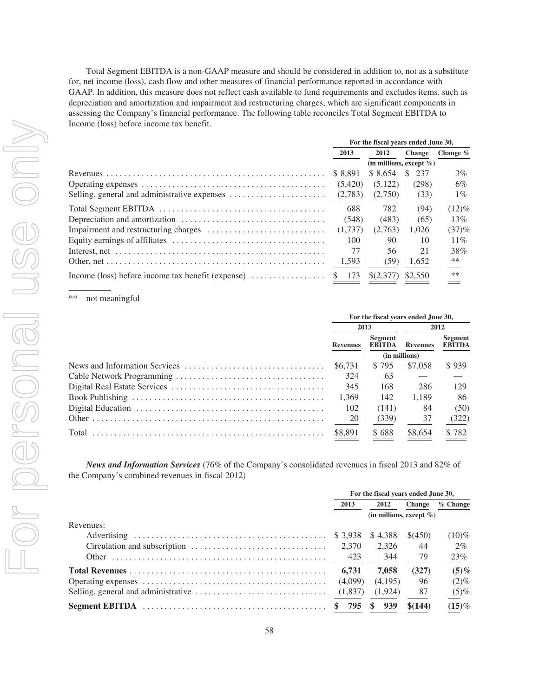Total Segment EBITDA is a non-GAAP measure and should be considered in addition to, not as a substitute for, net income (loss), cash flow and other measures of financial performance reported in accordance with GAAP. In addition, this measure does not reflect cash available to fund requirements and excludes items, such as depreciation and amortization and impairment and restructuring charges, which are significant components in assessing the Company's financial performance. The following table reconciles Total Segment EBITDA to Income (loss) before income tax benefit.

| For the fiscal years ended June 30, |                             |               |            |  |
|-------------------------------------|-----------------------------|---------------|------------|--|
| 2013                                | 2012                        | <b>Change</b> | Change $%$ |  |
|                                     | (in millions, except $\%$ ) |               |            |  |
| \$ 8.891                            | \$ 8.654 \$ 237             |               | $3\%$      |  |
| (5.420)                             | (5,122)                     | (298)         | 6%         |  |
| (2,783)                             | (2,750)                     | (33)          | $1\%$      |  |
| 688                                 | 782                         | (94)          | $(12)\%$   |  |
| (548)                               | (483)                       | (65)          | 13%        |  |
| (1.737)                             | (2.763)                     | 1.026         | (37)%      |  |
| 100                                 | 90                          | 10            | $11\%$     |  |
| 77                                  | 56                          | 21            | 38%        |  |
| 1.593                               | (59)                        | 1.652         | **         |  |
|                                     | \$(2,377)                   | \$2.550       | $***$      |  |

\*\* not meaningful

|       | For the fiscal years ended June 30, |                          |                 |                                 |  |
|-------|-------------------------------------|--------------------------|-----------------|---------------------------------|--|
|       |                                     | 2013                     | 2012            |                                 |  |
|       | <b>Revenues</b>                     | Segment<br><b>EBITDA</b> | <b>Revenues</b> | <b>Segment</b><br><b>EBITDA</b> |  |
|       |                                     |                          | (in millions)   |                                 |  |
|       | \$6,731                             | \$795                    | \$7,058         | \$939                           |  |
|       | 324                                 | 63                       |                 |                                 |  |
|       | 345                                 | 168                      | 286             | 129                             |  |
|       | 1.369                               | 142                      | 1.189           | 86                              |  |
|       | 102                                 | (141)                    | -84             | (50)                            |  |
|       | 20                                  | (339)                    | 37              | (322)                           |  |
| Total | \$8,891                             | \$688                    | \$8,654         | \$782                           |  |
|       |                                     |                          |                 |                                 |  |

*News and Information Services* (76% of the Company's consolidated revenues in fiscal 2013 and 82% of the Company's combined revenues in fiscal 2012)

|                                                                                                                                                                                                                                | For the fiscal years ended June 30, |            |               |            |  |  |
|--------------------------------------------------------------------------------------------------------------------------------------------------------------------------------------------------------------------------------|-------------------------------------|------------|---------------|------------|--|--|
|                                                                                                                                                                                                                                | 2013                                | 2012       | <b>Change</b> | $%$ Change |  |  |
|                                                                                                                                                                                                                                | (in millions, except $\%$ )         |            |               |            |  |  |
| Revenues:                                                                                                                                                                                                                      |                                     |            |               |            |  |  |
|                                                                                                                                                                                                                                |                                     | \$4.388    | \$(450)       | $(10)\%$   |  |  |
|                                                                                                                                                                                                                                | 2.370                               | 2.326      | 44            | $2\%$      |  |  |
|                                                                                                                                                                                                                                | 423                                 | 344        | 79            | 23%        |  |  |
|                                                                                                                                                                                                                                | 6.731                               | 7.058      | (327)         | $(5)\%$    |  |  |
|                                                                                                                                                                                                                                | (4.099)                             | (4.195)    | 96            | $(2)\%$    |  |  |
|                                                                                                                                                                                                                                | (1,837)                             | (1,924)    | 87            | (5)%       |  |  |
| Segment EBITDA (and the contract of the contract of the contract of the contract of the contract of the contract of the contract of the contract of the contract of the contract of the contract of the contract of the contra | SS.<br>795                          | 939<br>-SS | \$(144)       | $(15)\%$   |  |  |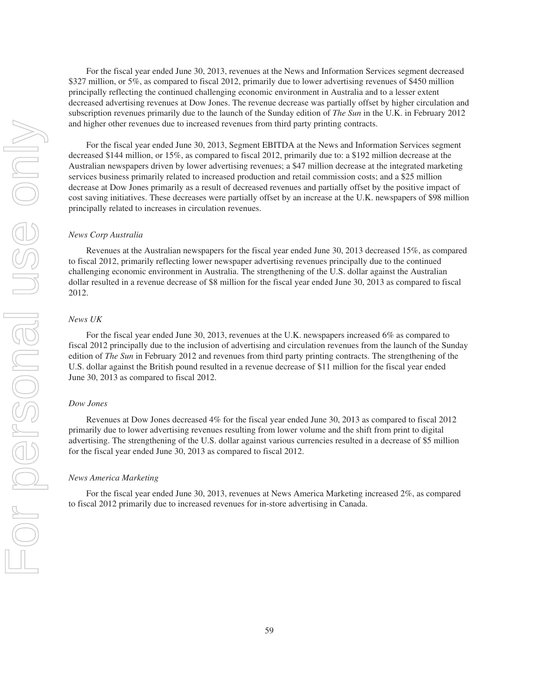For the fiscal year ended June 30, 2013, revenues at the News and Information Services segment decreased \$327 million, or 5%, as compared to fiscal 2012, primarily due to lower advertising revenues of \$450 million principally reflecting the continued challenging economic environment in Australia and to a lesser extent decreased advertising revenues at Dow Jones. The revenue decrease was partially offset by higher circulation and subscription revenues primarily due to the launch of the Sunday edition of *The Sun* in the U.K. in February 2012 and higher other revenues due to increased revenues from third party printing contracts.

For the fiscal year ended June 30, 2013, Segment EBITDA at the News and Information Services segment decreased \$144 million, or 15%, as compared to fiscal 2012, primarily due to: a \$192 million decrease at the Australian newspapers driven by lower advertising revenues; a \$47 million decrease at the integrated marketing services business primarily related to increased production and retail commission costs; and a \$25 million decrease at Dow Jones primarily as a result of decreased revenues and partially offset by the positive impact of cost saving initiatives. These decreases were partially offset by an increase at the U.K. newspapers of \$98 million principally related to increases in circulation revenues.

## *News Corp Australia*

Revenues at the Australian newspapers for the fiscal year ended June 30, 2013 decreased 15%, as compared to fiscal 2012, primarily reflecting lower newspaper advertising revenues principally due to the continued challenging economic environment in Australia. The strengthening of the U.S. dollar against the Australian dollar resulted in a revenue decrease of \$8 million for the fiscal year ended June 30, 2013 as compared to fiscal 2012.

# *News UK*

For the fiscal year ended June 30, 2013, revenues at the U.K. newspapers increased 6% as compared to fiscal 2012 principally due to the inclusion of advertising and circulation revenues from the launch of the Sunday edition of *The Sun* in February 2012 and revenues from third party printing contracts. The strengthening of the U.S. dollar against the British pound resulted in a revenue decrease of \$11 million for the fiscal year ended June 30, 2013 as compared to fiscal 2012.

#### *Dow Jones*

Revenues at Dow Jones decreased 4% for the fiscal year ended June 30, 2013 as compared to fiscal 2012 primarily due to lower advertising revenues resulting from lower volume and the shift from print to digital advertising. The strengthening of the U.S. dollar against various currencies resulted in a decrease of \$5 million for the fiscal year ended June 30, 2013 as compared to fiscal 2012.

#### *News America Marketing*

For the fiscal year ended June 30, 2013, revenues at News America Marketing increased 2%, as compared to fiscal 2012 primarily due to increased revenues for in-store advertising in Canada.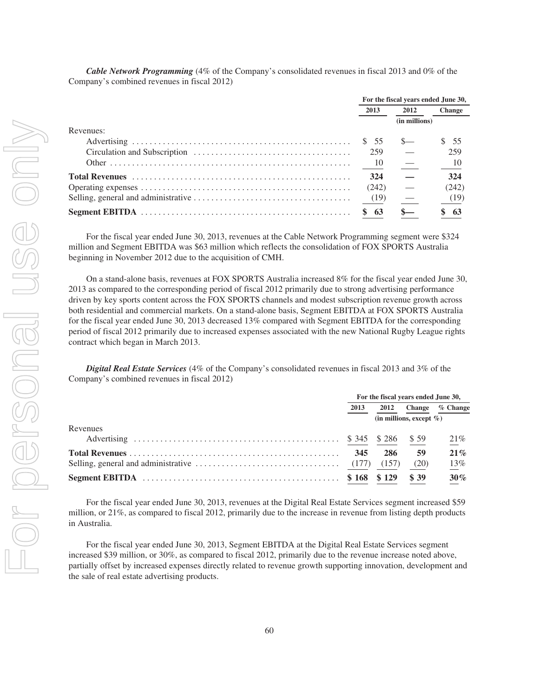*Cable Network Programming* (4% of the Company's consolidated revenues in fiscal 2013 and 0% of the Company's combined revenues in fiscal 2012)

|           |       | For the fiscal years ended June 30, |               |
|-----------|-------|-------------------------------------|---------------|
|           | 2013  | 2012                                | <b>Change</b> |
|           |       | (in millions)                       |               |
| Revenues: |       |                                     |               |
|           | \$ 55 | $S-$                                | \$55          |
|           | 259   |                                     | 259           |
|           | 10    |                                     | - 10          |
|           | 324   |                                     | 324           |
|           | (242) |                                     | (242)         |
|           | (19)  |                                     | (19)          |
|           | -63   |                                     |               |

For the fiscal year ended June 30, 2013, revenues at the Cable Network Programming segment were \$324 million and Segment EBITDA was \$63 million which reflects the consolidation of FOX SPORTS Australia beginning in November 2012 due to the acquisition of CMH.

On a stand-alone basis, revenues at FOX SPORTS Australia increased 8% for the fiscal year ended June 30, 2013 as compared to the corresponding period of fiscal 2012 primarily due to strong advertising performance driven by key sports content across the FOX SPORTS channels and modest subscription revenue growth across both residential and commercial markets. On a stand-alone basis, Segment EBITDA at FOX SPORTS Australia for the fiscal year ended June 30, 2013 decreased 13% compared with Segment EBITDA for the corresponding period of fiscal 2012 primarily due to increased expenses associated with the new National Rugby League rights contract which began in March 2013.

*Digital Real Estate Services* (4% of the Company's consolidated revenues in fiscal 2013 and 3% of the Company's combined revenues in fiscal 2012)

|                                                                                                                                     | For the fiscal years ended June 30, |       |                             |                 |  |  |
|-------------------------------------------------------------------------------------------------------------------------------------|-------------------------------------|-------|-----------------------------|-----------------|--|--|
|                                                                                                                                     | 2013                                | 2012  |                             | Change % Change |  |  |
|                                                                                                                                     |                                     |       | (in millions, except $\%$ ) |                 |  |  |
| Revenues                                                                                                                            |                                     |       |                             |                 |  |  |
|                                                                                                                                     |                                     |       |                             | 21\%            |  |  |
|                                                                                                                                     | 345                                 | 286   | 59                          | $21\%$          |  |  |
| Selling, general and administrative $\dots \dots \dots \dots \dots \dots \dots \dots \dots \dots \dots \dots \dots \dots \tag{177}$ |                                     | (157) | (20)                        | 13%             |  |  |
|                                                                                                                                     |                                     |       | \$ 39                       | $30\%$          |  |  |

For the fiscal year ended June 30, 2013, revenues at the Digital Real Estate Services segment increased \$59 million, or 21%, as compared to fiscal 2012, primarily due to the increase in revenue from listing depth products in Australia.

For the fiscal year ended June 30, 2013, Segment EBITDA at the Digital Real Estate Services segment increased \$39 million, or 30%, as compared to fiscal 2012, primarily due to the revenue increase noted above, partially offset by increased expenses directly related to revenue growth supporting innovation, development and the sale of real estate advertising products.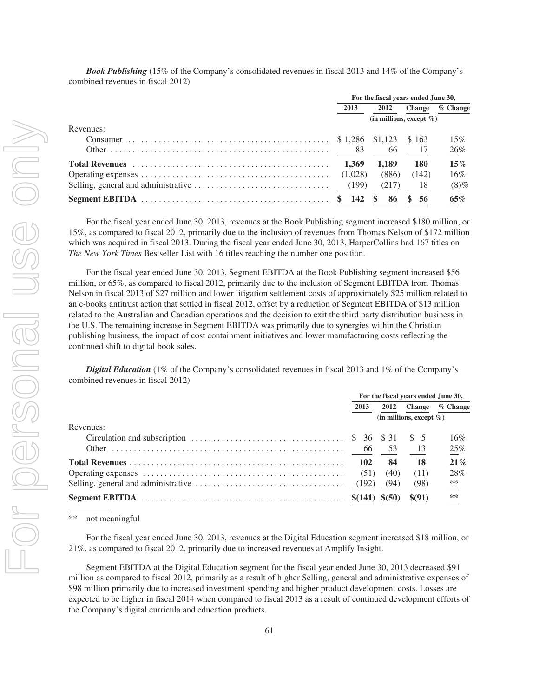*Book Publishing* (15% of the Company's consolidated revenues in fiscal 2013 and 14% of the Company's combined revenues in fiscal 2012)

|                                                                                                             | For the fiscal vears ended June 30, |                             |               |            |  |  |
|-------------------------------------------------------------------------------------------------------------|-------------------------------------|-----------------------------|---------------|------------|--|--|
|                                                                                                             | 2013                                | 2012                        | <b>Change</b> | $%$ Change |  |  |
|                                                                                                             |                                     | (in millions, except $\%$ ) |               |            |  |  |
| Revenues:                                                                                                   |                                     |                             |               |            |  |  |
| $\text{Cosumer } \dots \dots \dots \dots \dots \dots \dots \dots \dots \dots \dots \dots \dots \dots \dots$ | \$1,286                             | \$1,123                     | \$163         | 15%        |  |  |
|                                                                                                             |                                     | 66                          | 17            | 26%        |  |  |
|                                                                                                             | 1.369                               | 1.189                       | 180           | $15\%$     |  |  |
|                                                                                                             | (1.028)                             | (886)                       | (142)         | 16%        |  |  |
|                                                                                                             | (199)                               | (217)                       | 18            | $(8)\%$    |  |  |
|                                                                                                             | 142                                 | 86<br>S                     | 56            | 65%        |  |  |

For the fiscal year ended June 30, 2013, revenues at the Book Publishing segment increased \$180 million, or 15%, as compared to fiscal 2012, primarily due to the inclusion of revenues from Thomas Nelson of \$172 million which was acquired in fiscal 2013. During the fiscal year ended June 30, 2013, HarperCollins had 167 titles on *The New York Times* Bestseller List with 16 titles reaching the number one position.

For the fiscal year ended June 30, 2013, Segment EBITDA at the Book Publishing segment increased \$56 million, or 65%, as compared to fiscal 2012, primarily due to the inclusion of Segment EBITDA from Thomas Nelson in fiscal 2013 of \$27 million and lower litigation settlement costs of approximately \$25 million related to an e-books antitrust action that settled in fiscal 2012, offset by a reduction of Segment EBITDA of \$13 million related to the Australian and Canadian operations and the decision to exit the third party distribution business in the U.S. The remaining increase in Segment EBITDA was primarily due to synergies within the Christian publishing business, the impact of cost containment initiatives and lower manufacturing costs reflecting the continued shift to digital book sales.

*Digital Education* (1% of the Company's consolidated revenues in fiscal 2013 and 1% of the Company's combined revenues in fiscal 2012)

|                                                                                                                               | For the fiscal years ended June 30, |      |                             |            |  |
|-------------------------------------------------------------------------------------------------------------------------------|-------------------------------------|------|-----------------------------|------------|--|
|                                                                                                                               | 2013                                | 2012 | <b>Change</b>               | $%$ Change |  |
|                                                                                                                               |                                     |      | (in millions, except $\%$ ) |            |  |
| Revenues:                                                                                                                     |                                     |      |                             |            |  |
| Circulation and subscription $\ldots \ldots \ldots \ldots \ldots \ldots \ldots \ldots$ \$ 36 \$ 31 \$ 5                       |                                     |      |                             | 16%        |  |
|                                                                                                                               |                                     |      | - 13                        | 25%        |  |
|                                                                                                                               | 102                                 | 84   | 18                          | 21%        |  |
|                                                                                                                               | (51)                                | (40) | (11)                        | 28%        |  |
| Selling, general and administrative $\dots \dots \dots \dots \dots \dots \dots \dots \dots \dots \dots \dots \dots \tag{192}$ |                                     | (94) | (98)                        | $***$      |  |
|                                                                                                                               |                                     |      | \$(91)                      | **         |  |

\*\* not meaningful

For the fiscal year ended June 30, 2013, revenues at the Digital Education segment increased \$18 million, or 21%, as compared to fiscal 2012, primarily due to increased revenues at Amplify Insight.

Segment EBITDA at the Digital Education segment for the fiscal year ended June 30, 2013 decreased \$91 million as compared to fiscal 2012, primarily as a result of higher Selling, general and administrative expenses of \$98 million primarily due to increased investment spending and higher product development costs. Losses are expected to be higher in fiscal 2014 when compared to fiscal 2013 as a result of continued development efforts of the Company's digital curricula and education products.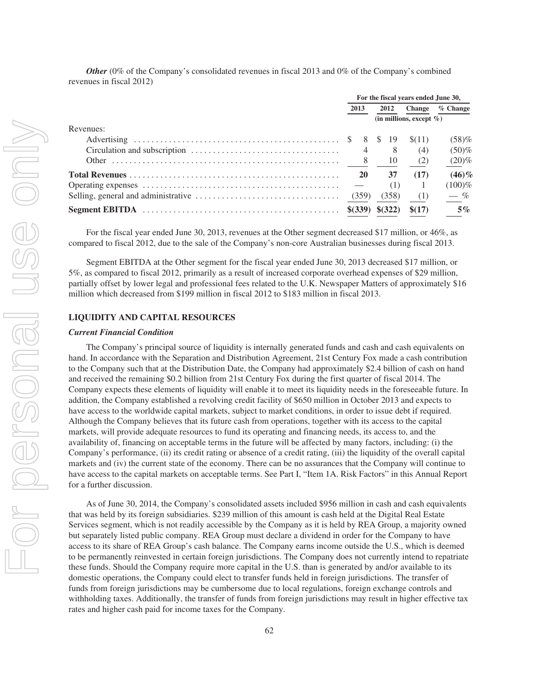*Other* (0% of the Company's consolidated revenues in fiscal 2013 and 0% of the Company's combined revenues in fiscal 2012)

|                                                                                                                                                                                                                                | For the fiscal years ended June 30, |                |               |       |                             |           |  |
|--------------------------------------------------------------------------------------------------------------------------------------------------------------------------------------------------------------------------------|-------------------------------------|----------------|---------------|-------|-----------------------------|-----------|--|
|                                                                                                                                                                                                                                | 2013<br>2012                        |                | <b>Change</b> |       | $%$ Change                  |           |  |
|                                                                                                                                                                                                                                |                                     |                |               |       | (in millions, except $\%$ ) |           |  |
| Revenues:                                                                                                                                                                                                                      |                                     |                |               |       |                             |           |  |
|                                                                                                                                                                                                                                |                                     |                |               |       | \$(11)                      | (58)%     |  |
|                                                                                                                                                                                                                                |                                     |                |               | 8     | (4)                         | (50)%     |  |
|                                                                                                                                                                                                                                |                                     | 8 <sup>8</sup> |               | 10    | (2)                         | (20)%     |  |
|                                                                                                                                                                                                                                |                                     | <b>20</b>      |               | 37    | (17)                        | $(46)\%$  |  |
|                                                                                                                                                                                                                                |                                     |                |               | (1)   |                             | $(100)\%$ |  |
|                                                                                                                                                                                                                                |                                     | (359)          |               | (358) |                             | $-$ %     |  |
| Segment EBITDA (and the contract of the contract of the contract of the contract of the contract of the contract of the contract of the contract of the contract of the contract of the contract of the contract of the contra |                                     | $$^{(339)}$    |               |       | \$(17)                      | $5\%$     |  |

For the fiscal year ended June 30, 2013, revenues at the Other segment decreased \$17 million, or 46%, as compared to fiscal 2012, due to the sale of the Company's non-core Australian businesses during fiscal 2013.

Segment EBITDA at the Other segment for the fiscal year ended June 30, 2013 decreased \$17 million, or 5%, as compared to fiscal 2012, primarily as a result of increased corporate overhead expenses of \$29 million, partially offset by lower legal and professional fees related to the U.K. Newspaper Matters of approximately \$16 million which decreased from \$199 million in fiscal 2012 to \$183 million in fiscal 2013.

# **LIQUIDITY AND CAPITAL RESOURCES**

## *Current Financial Condition*

The Company's principal source of liquidity is internally generated funds and cash and cash equivalents on hand. In accordance with the Separation and Distribution Agreement, 21st Century Fox made a cash contribution to the Company such that at the Distribution Date, the Company had approximately \$2.4 billion of cash on hand and received the remaining \$0.2 billion from 21st Century Fox during the first quarter of fiscal 2014. The Company expects these elements of liquidity will enable it to meet its liquidity needs in the foreseeable future. In addition, the Company established a revolving credit facility of \$650 million in October 2013 and expects to have access to the worldwide capital markets, subject to market conditions, in order to issue debt if required. Although the Company believes that its future cash from operations, together with its access to the capital markets, will provide adequate resources to fund its operating and financing needs, its access to, and the availability of, financing on acceptable terms in the future will be affected by many factors, including: (i) the Company's performance, (ii) its credit rating or absence of a credit rating, (iii) the liquidity of the overall capital markets and (iv) the current state of the economy. There can be no assurances that the Company will continue to have access to the capital markets on acceptable terms. See Part I, "Item 1A. Risk Factors" in this Annual Report for a further discussion.

As of June 30, 2014, the Company's consolidated assets included \$956 million in cash and cash equivalents that was held by its foreign subsidiaries. \$239 million of this amount is cash held at the Digital Real Estate Services segment, which is not readily accessible by the Company as it is held by REA Group, a majority owned but separately listed public company. REA Group must declare a dividend in order for the Company to have access to its share of REA Group's cash balance. The Company earns income outside the U.S., which is deemed to be permanently reinvested in certain foreign jurisdictions. The Company does not currently intend to repatriate these funds. Should the Company require more capital in the U.S. than is generated by and/or available to its domestic operations, the Company could elect to transfer funds held in foreign jurisdictions. The transfer of funds from foreign jurisdictions may be cumbersome due to local regulations, foreign exchange controls and withholding taxes. Additionally, the transfer of funds from foreign jurisdictions may result in higher effective tax rates and higher cash paid for income taxes for the Company.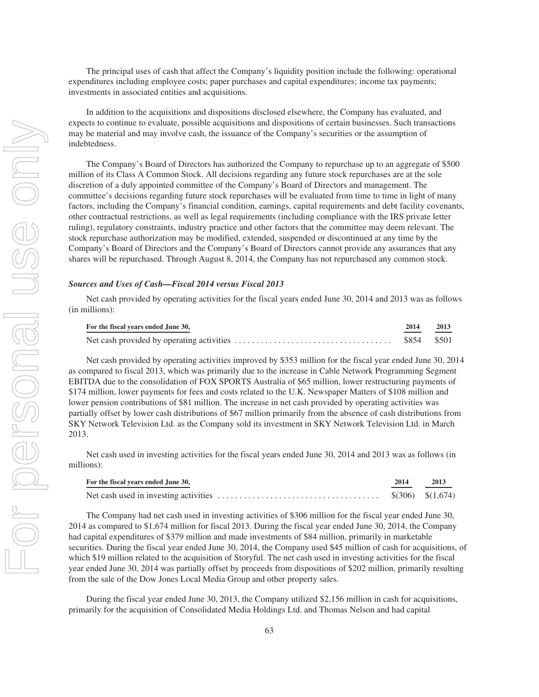For personal use onlyFor personal use only

The principal uses of cash that affect the Company's liquidity position include the following: operational expenditures including employee costs; paper purchases and capital expenditures; income tax payments; investments in associated entities and acquisitions.

In addition to the acquisitions and dispositions disclosed elsewhere, the Company has evaluated, and expects to continue to evaluate, possible acquisitions and dispositions of certain businesses. Such transactions may be material and may involve cash, the issuance of the Company's securities or the assumption of indebtedness.

The Company's Board of Directors has authorized the Company to repurchase up to an aggregate of \$500 million of its Class A Common Stock. All decisions regarding any future stock repurchases are at the sole discretion of a duly appointed committee of the Company's Board of Directors and management. The committee's decisions regarding future stock repurchases will be evaluated from time to time in light of many factors, including the Company's financial condition, earnings, capital requirements and debt facility covenants, other contractual restrictions, as well as legal requirements (including compliance with the IRS private letter ruling), regulatory constraints, industry practice and other factors that the committee may deem relevant. The stock repurchase authorization may be modified, extended, suspended or discontinued at any time by the Company's Board of Directors and the Company's Board of Directors cannot provide any assurances that any shares will be repurchased. Through August 8, 2014, the Company has not repurchased any common stock.

## *Sources and Uses of Cash—Fiscal 2014 versus Fiscal 2013*

Net cash provided by operating activities for the fiscal years ended June 30, 2014 and 2013 was as follows (in millions):

| For the fiscal vears ended June 30, | 2014        | 2013<br>____ |
|-------------------------------------|-------------|--------------|
|                                     | \$854 \$501 |              |

Net cash provided by operating activities improved by \$353 million for the fiscal year ended June 30, 2014 as compared to fiscal 2013, which was primarily due to the increase in Cable Network Programming Segment EBITDA due to the consolidation of FOX SPORTS Australia of \$65 million, lower restructuring payments of \$174 million, lower payments for fees and costs related to the U.K. Newspaper Matters of \$108 million and lower pension contributions of \$81 million. The increase in net cash provided by operating activities was partially offset by lower cash distributions of \$67 million primarily from the absence of cash distributions from SKY Network Television Ltd. as the Company sold its investment in SKY Network Television Ltd. in March 2013.

Net cash used in investing activities for the fiscal years ended June 30, 2014 and 2013 was as follows (in millions):

| For the fiscal vears ended June 30, | 2014 | 2013 |
|-------------------------------------|------|------|
|                                     |      |      |

The Company had net cash used in investing activities of \$306 million for the fiscal year ended June 30, 2014 as compared to \$1,674 million for fiscal 2013. During the fiscal year ended June 30, 2014, the Company had capital expenditures of \$379 million and made investments of \$84 million, primarily in marketable securities. During the fiscal year ended June 30, 2014, the Company used \$45 million of cash for acquisitions, of which \$19 million related to the acquisition of Storyful. The net cash used in investing activities for the fiscal year ended June 30, 2014 was partially offset by proceeds from dispositions of \$202 million, primarily resulting from the sale of the Dow Jones Local Media Group and other property sales.

During the fiscal year ended June 30, 2013, the Company utilized \$2,156 million in cash for acquisitions, primarily for the acquisition of Consolidated Media Holdings Ltd. and Thomas Nelson and had capital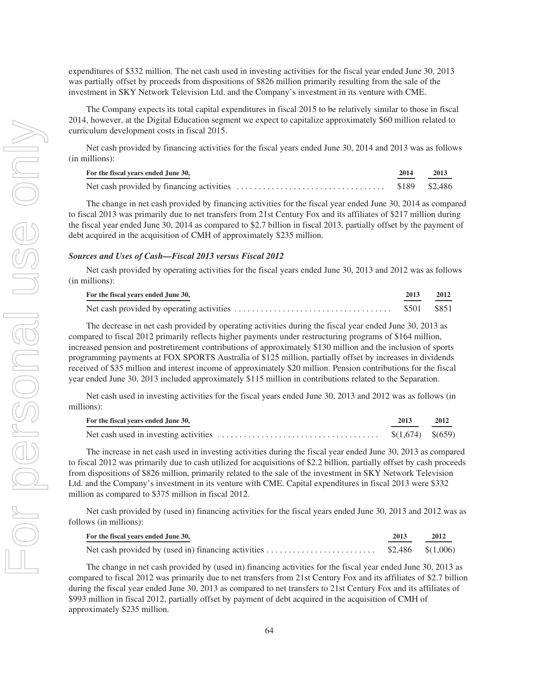expenditures of \$332 million. The net cash used in investing activities for the fiscal year ended June 30, 2013 was partially offset by proceeds from dispositions of \$826 million primarily resulting from the sale of the investment in SKY Network Television Ltd. and the Company's investment in its venture with CME.

The Company expects its total capital expenditures in fiscal 2015 to be relatively similar to those in fiscal 2014, however, at the Digital Education segment we expect to capitalize approximately \$60 million related to curriculum development costs in fiscal 2015.

Net cash provided by financing activities for the fiscal years ended June 30, 2014 and 2013 was as follows (in millions):

| For the fiscal vears ended June 30, | 2014 | 2013            |
|-------------------------------------|------|-----------------|
|                                     |      | $$189$ $$2,486$ |

The change in net cash provided by financing activities for the fiscal year ended June 30, 2014 as compared to fiscal 2013 was primarily due to net transfers from 21st Century Fox and its affiliates of \$217 million during the fiscal year ended June 30, 2014 as compared to \$2.7 billion in fiscal 2013, partially offset by the payment of debt acquired in the acquisition of CMH of approximately \$235 million.

### *Sources and Uses of Cash—Fiscal 2013 versus Fiscal 2012*

Net cash provided by operating activities for the fiscal years ended June 30, 2013 and 2012 was as follows (in millions):

| For the fiscal years ended June 30, | 2013        | 2012<br>____ |
|-------------------------------------|-------------|--------------|
|                                     | \$501 \$851 |              |

The decrease in net cash provided by operating activities during the fiscal year ended June 30, 2013 as compared to fiscal 2012 primarily reflects higher payments under restructuring programs of \$164 million, increased pension and postretirement contributions of approximately \$130 million and the inclusion of sports programming payments at FOX SPORTS Australia of \$125 million, partially offset by increases in dividends received of \$35 million and interest income of approximately \$20 million. Pension contributions for the fiscal year ended June 30, 2013 included approximately \$115 million in contributions related to the Separation.

Net cash used in investing activities for the fiscal years ended June 30, 2013 and 2012 was as follows (in millions):

| For the fiscal years ended June 30, | 2013 | 2012<br>$\overline{\phantom{a}}$ |
|-------------------------------------|------|----------------------------------|
|                                     |      |                                  |

The increase in net cash used in investing activities during the fiscal year ended June 30, 2013 as compared to fiscal 2012 was primarily due to cash utilized for acquisitions of \$2.2 billion, partially offset by cash proceeds from dispositions of \$826 million, primarily related to the sale of the investment in SKY Network Television Ltd. and the Company's investment in its venture with CME. Capital expenditures in fiscal 2013 were \$332 million as compared to \$375 million in fiscal 2012.

Net cash provided by (used in) financing activities for the fiscal years ended June 30, 2013 and 2012 was as follows (in millions):

| For the fiscal vears ended June 30,                                                            | 2013 | 2012                |
|------------------------------------------------------------------------------------------------|------|---------------------|
| Net cash provided by (used in) financing activities $\dots\dots\dots\dots\dots\dots\dots\dots$ |      | $$2,486$ $$(1,006)$ |

The change in net cash provided by (used in) financing activities for the fiscal year ended June 30, 2013 as compared to fiscal 2012 was primarily due to net transfers from 21st Century Fox and its affiliates of \$2.7 billion during the fiscal year ended June 30, 2013 as compared to net transfers to 21st Century Fox and its affiliates of \$993 million in fiscal 2012, partially offset by payment of debt acquired in the acquisition of CMH of approximately \$235 million.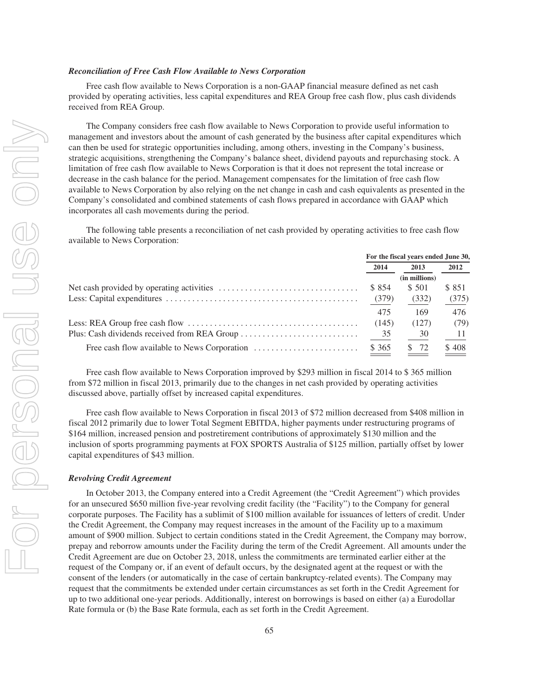## *Reconciliation of Free Cash Flow Available to News Corporation*

Free cash flow available to News Corporation is a non-GAAP financial measure defined as net cash provided by operating activities, less capital expenditures and REA Group free cash flow, plus cash dividends received from REA Group.

The Company considers free cash flow available to News Corporation to provide useful information to management and investors about the amount of cash generated by the business after capital expenditures which can then be used for strategic opportunities including, among others, investing in the Company's business, strategic acquisitions, strengthening the Company's balance sheet, dividend payouts and repurchasing stock. A limitation of free cash flow available to News Corporation is that it does not represent the total increase or decrease in the cash balance for the period. Management compensates for the limitation of free cash flow available to News Corporation by also relying on the net change in cash and cash equivalents as presented in the Company's consolidated and combined statements of cash flows prepared in accordance with GAAP which incorporates all cash movements during the period.

The following table presents a reconciliation of net cash provided by operating activities to free cash flow available to News Corporation:

|                                              |        | For the fiscal years ended June 30, |       |  |
|----------------------------------------------|--------|-------------------------------------|-------|--|
|                                              | 2014   | 2013                                | 2012  |  |
|                                              |        | (in millions)                       |       |  |
|                                              | \$854  | \$501                               | \$851 |  |
|                                              | (379)  | (332)                               | (375) |  |
|                                              | 475    | 169                                 | 476   |  |
|                                              | (145)  | (127)                               | (79)  |  |
| Plus: Cash dividends received from REA Group | 35     | 30                                  | 11    |  |
|                                              | \$ 365 | $\frac{1}{2}$                       | \$408 |  |
|                                              |        |                                     |       |  |

Free cash flow available to News Corporation improved by \$293 million in fiscal 2014 to \$ 365 million from \$72 million in fiscal 2013, primarily due to the changes in net cash provided by operating activities discussed above, partially offset by increased capital expenditures.

Free cash flow available to News Corporation in fiscal 2013 of \$72 million decreased from \$408 million in fiscal 2012 primarily due to lower Total Segment EBITDA, higher payments under restructuring programs of \$164 million, increased pension and postretirement contributions of approximately \$130 million and the inclusion of sports programming payments at FOX SPORTS Australia of \$125 million, partially offset by lower capital expenditures of \$43 million.

## *Revolving Credit Agreement*

In October 2013, the Company entered into a Credit Agreement (the "Credit Agreement") which provides for an unsecured \$650 million five-year revolving credit facility (the "Facility") to the Company for general corporate purposes. The Facility has a sublimit of \$100 million available for issuances of letters of credit. Under the Credit Agreement, the Company may request increases in the amount of the Facility up to a maximum amount of \$900 million. Subject to certain conditions stated in the Credit Agreement, the Company may borrow, prepay and reborrow amounts under the Facility during the term of the Credit Agreement. All amounts under the Credit Agreement are due on October 23, 2018, unless the commitments are terminated earlier either at the request of the Company or, if an event of default occurs, by the designated agent at the request or with the consent of the lenders (or automatically in the case of certain bankruptcy-related events). The Company may request that the commitments be extended under certain circumstances as set forth in the Credit Agreement for up to two additional one-year periods. Additionally, interest on borrowings is based on either (a) a Eurodollar Rate formula or (b) the Base Rate formula, each as set forth in the Credit Agreement.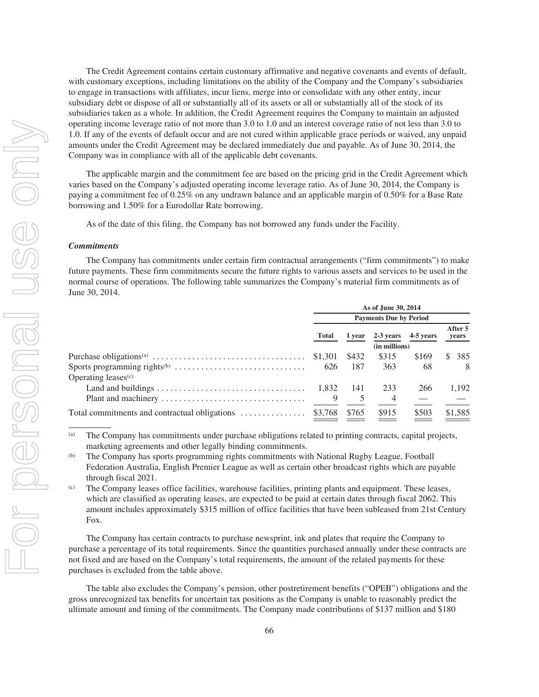The Credit Agreement contains certain customary affirmative and negative covenants and events of default, with customary exceptions, including limitations on the ability of the Company and the Company's subsidiaries to engage in transactions with affiliates, incur liens, merge into or consolidate with any other entity, incur subsidiary debt or dispose of all or substantially all of its assets or all or substantially all of the stock of its subsidiaries taken as a whole. In addition, the Credit Agreement requires the Company to maintain an adjusted operating income leverage ratio of not more than 3.0 to 1.0 and an interest coverage ratio of not less than 3.0 to 1.0. If any of the events of default occur and are not cured within applicable grace periods or waived, any unpaid amounts under the Credit Agreement may be declared immediately due and payable. As of June 30, 2014, the Company was in compliance with all of the applicable debt covenants.

The applicable margin and the commitment fee are based on the pricing grid in the Credit Agreement which varies based on the Company's adjusted operating income leverage ratio. As of June 30, 2014, the Company is paying a commitment fee of 0.25% on any undrawn balance and an applicable margin of 0.50% for a Base Rate borrowing and 1.50% for a Eurodollar Rate borrowing.

As of the date of this filing, the Company has not borrowed any funds under the Facility.

## *Commitments*

The Company has commitments under certain firm contractual arrangements ("firm commitments") to make future payments. These firm commitments secure the future rights to various assets and services to be used in the normal course of operations. The following table summarizes the Company's material firm commitments as of June 30, 2014.

|                                               | As of June 30, 2014           |        |                |                         |                     |
|-----------------------------------------------|-------------------------------|--------|----------------|-------------------------|---------------------|
|                                               | <b>Payments Due by Period</b> |        |                |                         |                     |
|                                               | <b>Total</b>                  | 1 year |                | $2-3$ years $4-5$ years | After 5<br>years    |
|                                               | (in millions)                 |        |                |                         |                     |
|                                               | \$1,301                       | \$432  | \$315          | \$169                   | 385<br><sup>S</sup> |
|                                               | 626                           | 187    | 363            | -68                     | - 8                 |
| Operating leases $(c)$                        |                               |        |                |                         |                     |
|                                               | 1.832                         | 141    | 233            | 266                     | 1.192               |
|                                               | 9                             |        | $\overline{4}$ |                         |                     |
| Total commitments and contractual obligations | \$3,768                       | \$765  | \$915          | \$503                   | \$1,585             |
|                                               |                               |        |                |                         |                     |

(a) The Company has commitments under purchase obligations related to printing contracts, capital projects, marketing agreements and other legally binding commitments.

(b) The Company has sports programming rights commitments with National Rugby League, Football Federation Australia, English Premier League as well as certain other broadcast rights which are payable through fiscal 2021.

(c) The Company leases office facilities, warehouse facilities, printing plants and equipment. These leases, which are classified as operating leases, are expected to be paid at certain dates through fiscal 2062. This amount includes approximately \$315 million of office facilities that have been subleased from 21st Century Fox.

The Company has certain contracts to purchase newsprint, ink and plates that require the Company to purchase a percentage of its total requirements. Since the quantities purchased annually under these contracts are not fixed and are based on the Company's total requirements, the amount of the related payments for these purchases is excluded from the table above.

The table also excludes the Company's pension, other postretirement benefits ("OPEB") obligations and the gross unrecognized tax benefits for uncertain tax positions as the Company is unable to reasonably predict the ultimate amount and timing of the commitments. The Company made contributions of \$137 million and \$180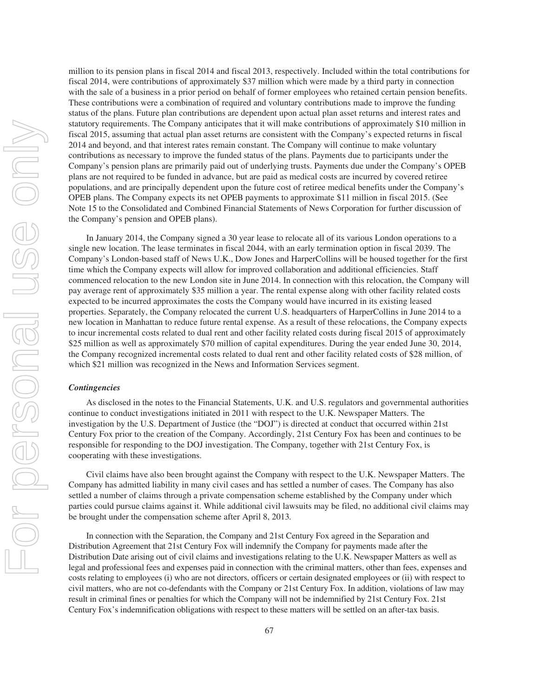million to its pension plans in fiscal 2014 and fiscal 2013, respectively. Included within the total contributions for fiscal 2014, were contributions of approximately \$37 million which were made by a third party in connection with the sale of a business in a prior period on behalf of former employees who retained certain pension benefits. These contributions were a combination of required and voluntary contributions made to improve the funding status of the plans. Future plan contributions are dependent upon actual plan asset returns and interest rates and statutory requirements. The Company anticipates that it will make contributions of approximately \$10 million in fiscal 2015, assuming that actual plan asset returns are consistent with the Company's expected returns in fiscal 2014 and beyond, and that interest rates remain constant. The Company will continue to make voluntary contributions as necessary to improve the funded status of the plans. Payments due to participants under the Company's pension plans are primarily paid out of underlying trusts. Payments due under the Company's OPEB plans are not required to be funded in advance, but are paid as medical costs are incurred by covered retiree populations, and are principally dependent upon the future cost of retiree medical benefits under the Company's OPEB plans. The Company expects its net OPEB payments to approximate \$11 million in fiscal 2015. (See Note 15 to the Consolidated and Combined Financial Statements of News Corporation for further discussion of the Company's pension and OPEB plans).

In January 2014, the Company signed a 30 year lease to relocate all of its various London operations to a single new location. The lease terminates in fiscal 2044, with an early termination option in fiscal 2039. The Company's London-based staff of News U.K., Dow Jones and HarperCollins will be housed together for the first time which the Company expects will allow for improved collaboration and additional efficiencies. Staff commenced relocation to the new London site in June 2014. In connection with this relocation, the Company will pay average rent of approximately \$35 million a year. The rental expense along with other facility related costs expected to be incurred approximates the costs the Company would have incurred in its existing leased properties. Separately, the Company relocated the current U.S. headquarters of HarperCollins in June 2014 to a new location in Manhattan to reduce future rental expense. As a result of these relocations, the Company expects to incur incremental costs related to dual rent and other facility related costs during fiscal 2015 of approximately \$25 million as well as approximately \$70 million of capital expenditures. During the year ended June 30, 2014, the Company recognized incremental costs related to dual rent and other facility related costs of \$28 million, of which \$21 million was recognized in the News and Information Services segment.

#### *Contingencies*

As disclosed in the notes to the Financial Statements, U.K. and U.S. regulators and governmental authorities continue to conduct investigations initiated in 2011 with respect to the U.K. Newspaper Matters. The investigation by the U.S. Department of Justice (the "DOJ") is directed at conduct that occurred within 21st Century Fox prior to the creation of the Company. Accordingly, 21st Century Fox has been and continues to be responsible for responding to the DOJ investigation. The Company, together with 21st Century Fox, is cooperating with these investigations.

Civil claims have also been brought against the Company with respect to the U.K. Newspaper Matters. The Company has admitted liability in many civil cases and has settled a number of cases. The Company has also settled a number of claims through a private compensation scheme established by the Company under which parties could pursue claims against it. While additional civil lawsuits may be filed, no additional civil claims may be brought under the compensation scheme after April 8, 2013*.*

In connection with the Separation, the Company and 21st Century Fox agreed in the Separation and Distribution Agreement that 21st Century Fox will indemnify the Company for payments made after the Distribution Date arising out of civil claims and investigations relating to the U.K. Newspaper Matters as well as legal and professional fees and expenses paid in connection with the criminal matters, other than fees, expenses and costs relating to employees (i) who are not directors, officers or certain designated employees or (ii) with respect to civil matters, who are not co-defendants with the Company or 21st Century Fox. In addition, violations of law may result in criminal fines or penalties for which the Company will not be indemnified by 21st Century Fox. 21st Century Fox's indemnification obligations with respect to these matters will be settled on an after-tax basis.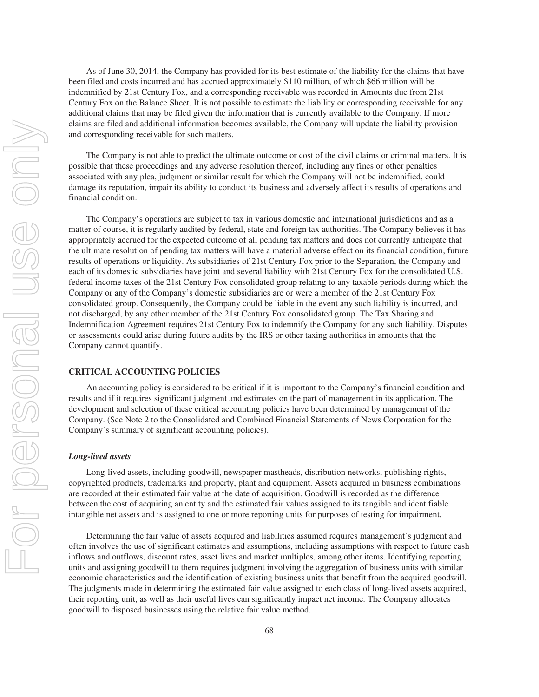As of June 30, 2014, the Company has provided for its best estimate of the liability for the claims that have been filed and costs incurred and has accrued approximately \$110 million, of which \$66 million will be indemnified by 21st Century Fox, and a corresponding receivable was recorded in Amounts due from 21st Century Fox on the Balance Sheet. It is not possible to estimate the liability or corresponding receivable for any additional claims that may be filed given the information that is currently available to the Company. If more claims are filed and additional information becomes available, the Company will update the liability provision and corresponding receivable for such matters.

The Company is not able to predict the ultimate outcome or cost of the civil claims or criminal matters. It is possible that these proceedings and any adverse resolution thereof, including any fines or other penalties associated with any plea, judgment or similar result for which the Company will not be indemnified, could damage its reputation, impair its ability to conduct its business and adversely affect its results of operations and financial condition.

The Company's operations are subject to tax in various domestic and international jurisdictions and as a matter of course, it is regularly audited by federal, state and foreign tax authorities. The Company believes it has appropriately accrued for the expected outcome of all pending tax matters and does not currently anticipate that the ultimate resolution of pending tax matters will have a material adverse effect on its financial condition, future results of operations or liquidity. As subsidiaries of 21st Century Fox prior to the Separation, the Company and each of its domestic subsidiaries have joint and several liability with 21st Century Fox for the consolidated U.S. federal income taxes of the 21st Century Fox consolidated group relating to any taxable periods during which the Company or any of the Company's domestic subsidiaries are or were a member of the 21st Century Fox consolidated group. Consequently, the Company could be liable in the event any such liability is incurred, and not discharged, by any other member of the 21st Century Fox consolidated group. The Tax Sharing and Indemnification Agreement requires 21st Century Fox to indemnify the Company for any such liability. Disputes or assessments could arise during future audits by the IRS or other taxing authorities in amounts that the Company cannot quantify.

# **CRITICAL ACCOUNTING POLICIES**

An accounting policy is considered to be critical if it is important to the Company's financial condition and results and if it requires significant judgment and estimates on the part of management in its application. The development and selection of these critical accounting policies have been determined by management of the Company. (See Note 2 to the Consolidated and Combined Financial Statements of News Corporation for the Company's summary of significant accounting policies).

### *Long-lived assets*

Long-lived assets, including goodwill, newspaper mastheads, distribution networks, publishing rights, copyrighted products, trademarks and property, plant and equipment. Assets acquired in business combinations are recorded at their estimated fair value at the date of acquisition. Goodwill is recorded as the difference between the cost of acquiring an entity and the estimated fair values assigned to its tangible and identifiable intangible net assets and is assigned to one or more reporting units for purposes of testing for impairment.

Determining the fair value of assets acquired and liabilities assumed requires management's judgment and often involves the use of significant estimates and assumptions, including assumptions with respect to future cash inflows and outflows, discount rates, asset lives and market multiples, among other items. Identifying reporting units and assigning goodwill to them requires judgment involving the aggregation of business units with similar economic characteristics and the identification of existing business units that benefit from the acquired goodwill. The judgments made in determining the estimated fair value assigned to each class of long-lived assets acquired, their reporting unit, as well as their useful lives can significantly impact net income. The Company allocates goodwill to disposed businesses using the relative fair value method.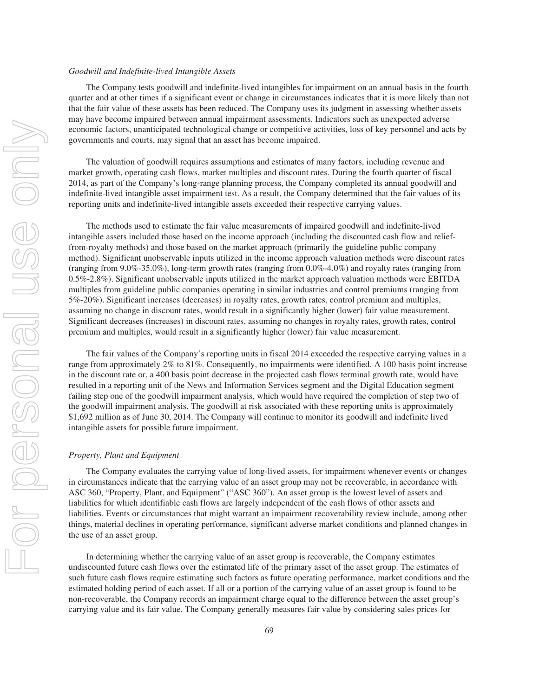#### *Goodwill and Indefinite-lived Intangible Assets*

The Company tests goodwill and indefinite-lived intangibles for impairment on an annual basis in the fourth quarter and at other times if a significant event or change in circumstances indicates that it is more likely than not that the fair value of these assets has been reduced. The Company uses its judgment in assessing whether assets may have become impaired between annual impairment assessments. Indicators such as unexpected adverse economic factors, unanticipated technological change or competitive activities, loss of key personnel and acts by governments and courts, may signal that an asset has become impaired.

The valuation of goodwill requires assumptions and estimates of many factors, including revenue and market growth, operating cash flows, market multiples and discount rates. During the fourth quarter of fiscal 2014, as part of the Company's long-range planning process, the Company completed its annual goodwill and indefinite-lived intangible asset impairment test. As a result, the Company determined that the fair values of its reporting units and indefinite-lived intangible assets exceeded their respective carrying values.

The methods used to estimate the fair value measurements of impaired goodwill and indefinite-lived intangible assets included those based on the income approach (including the discounted cash flow and relieffrom-royalty methods) and those based on the market approach (primarily the guideline public company method). Significant unobservable inputs utilized in the income approach valuation methods were discount rates (ranging from 9.0%-35.0%), long-term growth rates (ranging from 0.0%-4.0%) and royalty rates (ranging from 0.5%-2.8%). Significant unobservable inputs utilized in the market approach valuation methods were EBITDA multiples from guideline public companies operating in similar industries and control premiums (ranging from 5%-20%). Significant increases (decreases) in royalty rates, growth rates, control premium and multiples, assuming no change in discount rates, would result in a significantly higher (lower) fair value measurement. Significant decreases (increases) in discount rates, assuming no changes in royalty rates, growth rates, control premium and multiples, would result in a significantly higher (lower) fair value measurement.

The fair values of the Company's reporting units in fiscal 2014 exceeded the respective carrying values in a range from approximately 2% to 81%. Consequently, no impairments were identified. A 100 basis point increase in the discount rate or, a 400 basis point decrease in the projected cash flows terminal growth rate, would have resulted in a reporting unit of the News and Information Services segment and the Digital Education segment failing step one of the goodwill impairment analysis, which would have required the completion of step two of the goodwill impairment analysis. The goodwill at risk associated with these reporting units is approximately \$1,692 million as of June 30, 2014. The Company will continue to monitor its goodwill and indefinite lived intangible assets for possible future impairment.

## *Property, Plant and Equipment*

The Company evaluates the carrying value of long-lived assets, for impairment whenever events or changes in circumstances indicate that the carrying value of an asset group may not be recoverable, in accordance with ASC 360, "Property, Plant, and Equipment" ("ASC 360"). An asset group is the lowest level of assets and liabilities for which identifiable cash flows are largely independent of the cash flows of other assets and liabilities. Events or circumstances that might warrant an impairment recoverability review include, among other things, material declines in operating performance, significant adverse market conditions and planned changes in the use of an asset group.

In determining whether the carrying value of an asset group is recoverable, the Company estimates undiscounted future cash flows over the estimated life of the primary asset of the asset group. The estimates of such future cash flows require estimating such factors as future operating performance, market conditions and the estimated holding period of each asset. If all or a portion of the carrying value of an asset group is found to be non-recoverable, the Company records an impairment charge equal to the difference between the asset group's carrying value and its fair value. The Company generally measures fair value by considering sales prices for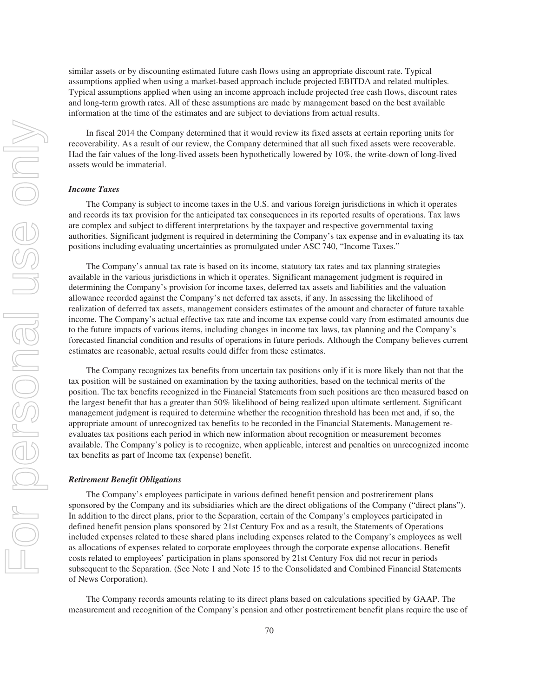similar assets or by discounting estimated future cash flows using an appropriate discount rate. Typical assumptions applied when using a market-based approach include projected EBITDA and related multiples. Typical assumptions applied when using an income approach include projected free cash flows, discount rates and long-term growth rates. All of these assumptions are made by management based on the best available information at the time of the estimates and are subject to deviations from actual results.

In fiscal 2014 the Company determined that it would review its fixed assets at certain reporting units for recoverability. As a result of our review, the Company determined that all such fixed assets were recoverable. Had the fair values of the long-lived assets been hypothetically lowered by 10%, the write-down of long-lived assets would be immaterial.

#### *Income Taxes*

The Company is subject to income taxes in the U.S. and various foreign jurisdictions in which it operates and records its tax provision for the anticipated tax consequences in its reported results of operations. Tax laws are complex and subject to different interpretations by the taxpayer and respective governmental taxing authorities. Significant judgment is required in determining the Company's tax expense and in evaluating its tax positions including evaluating uncertainties as promulgated under ASC 740, "Income Taxes."

The Company's annual tax rate is based on its income, statutory tax rates and tax planning strategies available in the various jurisdictions in which it operates. Significant management judgment is required in determining the Company's provision for income taxes, deferred tax assets and liabilities and the valuation allowance recorded against the Company's net deferred tax assets, if any. In assessing the likelihood of realization of deferred tax assets, management considers estimates of the amount and character of future taxable income. The Company's actual effective tax rate and income tax expense could vary from estimated amounts due to the future impacts of various items, including changes in income tax laws, tax planning and the Company's forecasted financial condition and results of operations in future periods. Although the Company believes current estimates are reasonable, actual results could differ from these estimates.

The Company recognizes tax benefits from uncertain tax positions only if it is more likely than not that the tax position will be sustained on examination by the taxing authorities, based on the technical merits of the position. The tax benefits recognized in the Financial Statements from such positions are then measured based on the largest benefit that has a greater than 50% likelihood of being realized upon ultimate settlement. Significant management judgment is required to determine whether the recognition threshold has been met and, if so, the appropriate amount of unrecognized tax benefits to be recorded in the Financial Statements. Management reevaluates tax positions each period in which new information about recognition or measurement becomes available. The Company's policy is to recognize, when applicable, interest and penalties on unrecognized income tax benefits as part of Income tax (expense) benefit.

#### *Retirement Benefit Obligations*

The Company's employees participate in various defined benefit pension and postretirement plans sponsored by the Company and its subsidiaries which are the direct obligations of the Company ("direct plans"). In addition to the direct plans, prior to the Separation, certain of the Company's employees participated in defined benefit pension plans sponsored by 21st Century Fox and as a result, the Statements of Operations included expenses related to these shared plans including expenses related to the Company's employees as well as allocations of expenses related to corporate employees through the corporate expense allocations. Benefit costs related to employees' participation in plans sponsored by 21st Century Fox did not recur in periods subsequent to the Separation. (See Note 1 and Note 15 to the Consolidated and Combined Financial Statements of News Corporation).

The Company records amounts relating to its direct plans based on calculations specified by GAAP. The measurement and recognition of the Company's pension and other postretirement benefit plans require the use of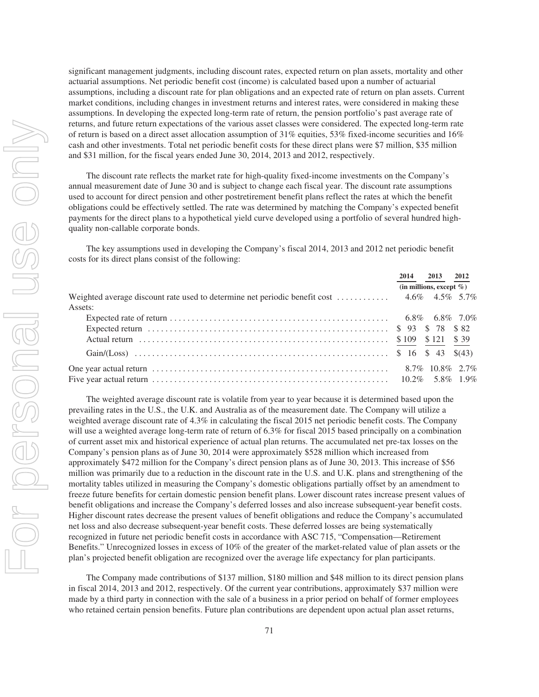significant management judgments, including discount rates, expected return on plan assets, mortality and other actuarial assumptions. Net periodic benefit cost (income) is calculated based upon a number of actuarial assumptions, including a discount rate for plan obligations and an expected rate of return on plan assets. Current market conditions, including changes in investment returns and interest rates, were considered in making these assumptions. In developing the expected long-term rate of return, the pension portfolio's past average rate of returns, and future return expectations of the various asset classes were considered. The expected long-term rate of return is based on a direct asset allocation assumption of 31% equities, 53% fixed-income securities and 16% cash and other investments. Total net periodic benefit costs for these direct plans were \$7 million, \$35 million and \$31 million, for the fiscal years ended June 30, 2014, 2013 and 2012, respectively.

The discount rate reflects the market rate for high-quality fixed-income investments on the Company's annual measurement date of June 30 and is subject to change each fiscal year. The discount rate assumptions used to account for direct pension and other postretirement benefit plans reflect the rates at which the benefit obligations could be effectively settled. The rate was determined by matching the Company's expected benefit payments for the direct plans to a hypothetical yield curve developed using a portfolio of several hundred highquality non-callable corporate bonds.

The key assumptions used in developing the Company's fiscal 2014, 2013 and 2012 net periodic benefit costs for its direct plans consist of the following:

|                                                                                            | 2014 2013 2012              |  |
|--------------------------------------------------------------------------------------------|-----------------------------|--|
|                                                                                            | (in millions, except $\%$ ) |  |
| Weighted average discount rate used to determine net periodic benefit cost  4.6% 4.5% 5.7% |                             |  |
| Assets:                                                                                    |                             |  |
|                                                                                            |                             |  |
|                                                                                            |                             |  |
|                                                                                            |                             |  |
|                                                                                            |                             |  |
|                                                                                            |                             |  |
|                                                                                            |                             |  |

The weighted average discount rate is volatile from year to year because it is determined based upon the prevailing rates in the U.S., the U.K. and Australia as of the measurement date. The Company will utilize a weighted average discount rate of 4.3% in calculating the fiscal 2015 net periodic benefit costs. The Company will use a weighted average long-term rate of return of 6.3% for fiscal 2015 based principally on a combination of current asset mix and historical experience of actual plan returns. The accumulated net pre-tax losses on the Company's pension plans as of June 30, 2014 were approximately \$528 million which increased from approximately \$472 million for the Company's direct pension plans as of June 30, 2013. This increase of \$56 million was primarily due to a reduction in the discount rate in the U.S. and U.K. plans and strengthening of the mortality tables utilized in measuring the Company's domestic obligations partially offset by an amendment to freeze future benefits for certain domestic pension benefit plans. Lower discount rates increase present values of benefit obligations and increase the Company's deferred losses and also increase subsequent-year benefit costs. Higher discount rates decrease the present values of benefit obligations and reduce the Company's accumulated net loss and also decrease subsequent-year benefit costs. These deferred losses are being systematically recognized in future net periodic benefit costs in accordance with ASC 715, "Compensation—Retirement Benefits." Unrecognized losses in excess of 10% of the greater of the market-related value of plan assets or the plan's projected benefit obligation are recognized over the average life expectancy for plan participants.

The Company made contributions of \$137 million, \$180 million and \$48 million to its direct pension plans in fiscal 2014, 2013 and 2012, respectively. Of the current year contributions, approximately \$37 million were made by a third party in connection with the sale of a business in a prior period on behalf of former employees who retained certain pension benefits. Future plan contributions are dependent upon actual plan asset returns,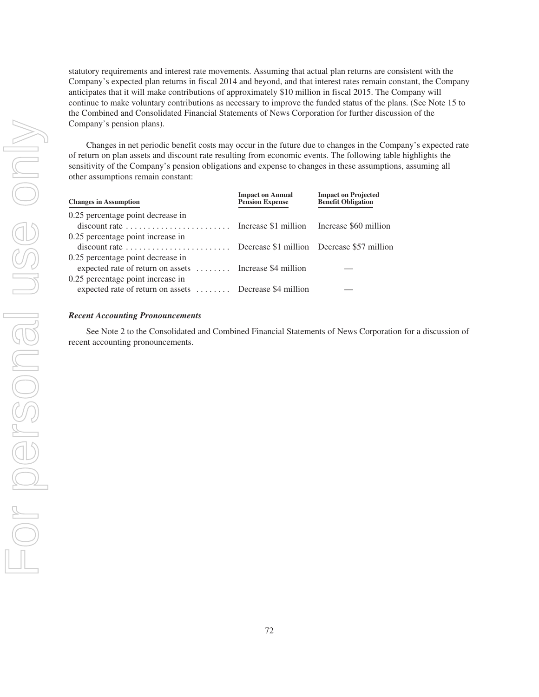statutory requirements and interest rate movements. Assuming that actual plan returns are consistent with the Company's expected plan returns in fiscal 2014 and beyond, and that interest rates remain constant, the Company anticipates that it will make contributions of approximately \$10 million in fiscal 2015. The Company will continue to make voluntary contributions as necessary to improve the funded status of the plans. (See Note 15 to the Combined and Consolidated Financial Statements of News Corporation for further discussion of the Company's pension plans).

Changes in net periodic benefit costs may occur in the future due to changes in the Company's expected rate of return on plan assets and discount rate resulting from economic events. The following table highlights the sensitivity of the Company's pension obligations and expense to changes in these assumptions, assuming all other assumptions remain constant:

| <b>Changes in Assumption</b>                            | <b>Impact on Annual</b><br><b>Pension Expense</b> | <b>Impact on Projected</b><br><b>Benefit Obligation</b> |
|---------------------------------------------------------|---------------------------------------------------|---------------------------------------------------------|
| 0.25 percentage point decrease in                       |                                                   |                                                         |
|                                                         |                                                   |                                                         |
| 0.25 percentage point increase in                       |                                                   |                                                         |
|                                                         |                                                   |                                                         |
| 0.25 percentage point decrease in                       |                                                   |                                                         |
| expected rate of return on assets  Increase \$4 million |                                                   |                                                         |
| 0.25 percentage point increase in                       |                                                   |                                                         |
| expected rate of return on assets  Decrease \$4 million |                                                   |                                                         |

# *Recent Accounting Pronouncements*

See Note 2 to the Consolidated and Combined Financial Statements of News Corporation for a discussion of recent accounting pronouncements.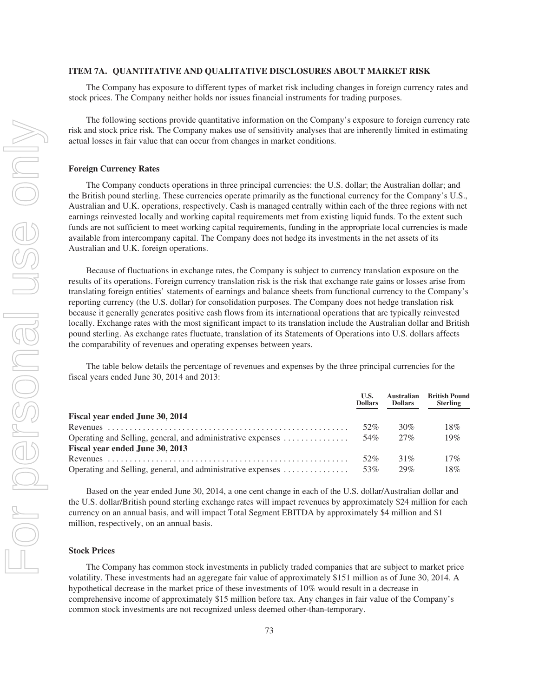#### **ITEM 7A. QUANTITATIVE AND QUALITATIVE DISCLOSURES ABOUT MARKET RISK**

The Company has exposure to different types of market risk including changes in foreign currency rates and stock prices. The Company neither holds nor issues financial instruments for trading purposes.

The following sections provide quantitative information on the Company's exposure to foreign currency rate risk and stock price risk. The Company makes use of sensitivity analyses that are inherently limited in estimating actual losses in fair value that can occur from changes in market conditions.

#### **Foreign Currency Rates**

The Company conducts operations in three principal currencies: the U.S. dollar; the Australian dollar; and the British pound sterling. These currencies operate primarily as the functional currency for the Company's U.S., Australian and U.K. operations, respectively. Cash is managed centrally within each of the three regions with net earnings reinvested locally and working capital requirements met from existing liquid funds. To the extent such funds are not sufficient to meet working capital requirements, funding in the appropriate local currencies is made available from intercompany capital. The Company does not hedge its investments in the net assets of its Australian and U.K. foreign operations.

Because of fluctuations in exchange rates, the Company is subject to currency translation exposure on the results of its operations. Foreign currency translation risk is the risk that exchange rate gains or losses arise from translating foreign entities' statements of earnings and balance sheets from functional currency to the Company's reporting currency (the U.S. dollar) for consolidation purposes. The Company does not hedge translation risk because it generally generates positive cash flows from its international operations that are typically reinvested locally. Exchange rates with the most significant impact to its translation include the Australian dollar and British pound sterling. As exchange rates fluctuate, translation of its Statements of Operations into U.S. dollars affects the comparability of revenues and operating expenses between years.

The table below details the percentage of revenues and expenses by the three principal currencies for the fiscal years ended June 30, 2014 and 2013:

|                                                             | U.S.<br><b>Dollars</b> | Australian<br><b>Dollars</b> | <b>British Pound</b><br><b>Sterling</b> |
|-------------------------------------------------------------|------------------------|------------------------------|-----------------------------------------|
| <b>Fiscal year ended June 30, 2014</b>                      |                        |                              |                                         |
|                                                             | 52%                    | 30%                          | 18%                                     |
| Operating and Selling, general, and administrative expenses | 54%                    | 27%                          | 19%                                     |
| Fiscal year ended June 30, 2013                             |                        |                              |                                         |
|                                                             | 52%                    | 31%                          | 17%                                     |
| Operating and Selling, general, and administrative expenses | 53%                    | 29%                          | 18%                                     |

Based on the year ended June 30, 2014, a one cent change in each of the U.S. dollar/Australian dollar and the U.S. dollar/British pound sterling exchange rates will impact revenues by approximately \$24 million for each currency on an annual basis, and will impact Total Segment EBITDA by approximately \$4 million and \$1 million, respectively, on an annual basis.

#### **Stock Prices**

The Company has common stock investments in publicly traded companies that are subject to market price volatility. These investments had an aggregate fair value of approximately \$151 million as of June 30, 2014. A hypothetical decrease in the market price of these investments of 10% would result in a decrease in comprehensive income of approximately \$15 million before tax. Any changes in fair value of the Company's common stock investments are not recognized unless deemed other-than-temporary.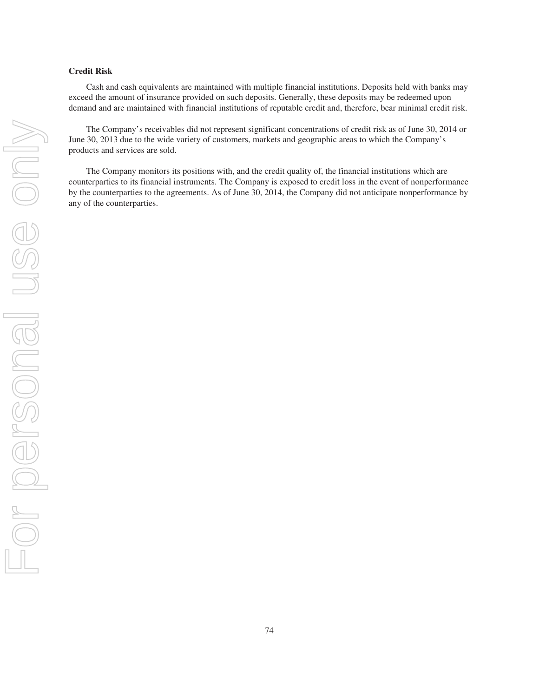# **Credit Risk**

Cash and cash equivalents are maintained with multiple financial institutions. Deposits held with banks may exceed the amount of insurance provided on such deposits. Generally, these deposits may be redeemed upon demand and are maintained with financial institutions of reputable credit and, therefore, bear minimal credit risk.

The Company's receivables did not represent significant concentrations of credit risk as of June 30, 2014 or June 30, 2013 due to the wide variety of customers, markets and geographic areas to which the Company's products and services are sold.

The Company monitors its positions with, and the credit quality of, the financial institutions which are counterparties to its financial instruments. The Company is exposed to credit loss in the event of nonperformance by the counterparties to the agreements. As of June 30, 2014, the Company did not anticipate nonperformance by any of the counterparties.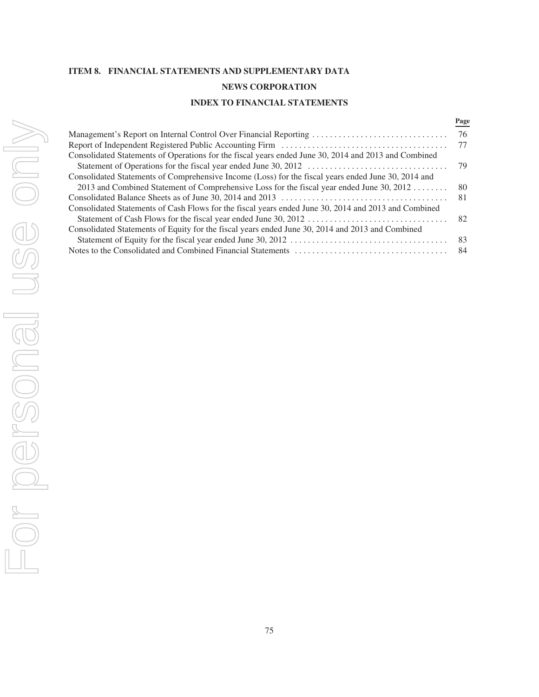# **ITEM 8. FINANCIAL STATEMENTS AND SUPPLEMENTARY DATA NEWS CORPORATION INDEX TO FINANCIAL STATEMENTS**

|                                                                                                      | Page |
|------------------------------------------------------------------------------------------------------|------|
| Management's Report on Internal Control Over Financial Reporting                                     | 76   |
|                                                                                                      | 77   |
| Consolidated Statements of Operations for the fiscal years ended June 30, 2014 and 2013 and Combined |      |
|                                                                                                      | 79   |
| Consolidated Statements of Comprehensive Income (Loss) for the fiscal years ended June 30, 2014 and  |      |
| 2013 and Combined Statement of Comprehensive Loss for the fiscal year ended June 30, 2012            | 80   |
|                                                                                                      | 81   |
| Consolidated Statements of Cash Flows for the fiscal years ended June 30, 2014 and 2013 and Combined |      |
|                                                                                                      | 82   |
| Consolidated Statements of Equity for the fiscal years ended June 30, 2014 and 2013 and Combined     |      |
|                                                                                                      | 83   |
|                                                                                                      | 84   |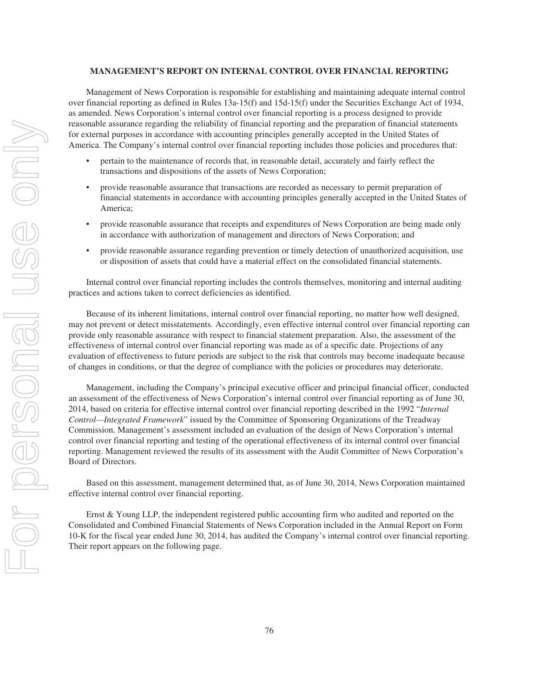#### **MANAGEMENT'S REPORT ON INTERNAL CONTROL OVER FINANCIAL REPORTING**

Management of News Corporation is responsible for establishing and maintaining adequate internal control over financial reporting as defined in Rules 13a-15(f) and 15d-15(f) under the Securities Exchange Act of 1934, as amended. News Corporation's internal control over financial reporting is a process designed to provide reasonable assurance regarding the reliability of financial reporting and the preparation of financial statements for external purposes in accordance with accounting principles generally accepted in the United States of America. The Company's internal control over financial reporting includes those policies and procedures that:

- pertain to the maintenance of records that, in reasonable detail, accurately and fairly reflect the transactions and dispositions of the assets of News Corporation;
- provide reasonable assurance that transactions are recorded as necessary to permit preparation of financial statements in accordance with accounting principles generally accepted in the United States of America;
- provide reasonable assurance that receipts and expenditures of News Corporation are being made only in accordance with authorization of management and directors of News Corporation; and
- provide reasonable assurance regarding prevention or timely detection of unauthorized acquisition, use or disposition of assets that could have a material effect on the consolidated financial statements.

Internal control over financial reporting includes the controls themselves, monitoring and internal auditing practices and actions taken to correct deficiencies as identified.

Because of its inherent limitations, internal control over financial reporting, no matter how well designed, may not prevent or detect misstatements. Accordingly, even effective internal control over financial reporting can provide only reasonable assurance with respect to financial statement preparation. Also, the assessment of the effectiveness of internal control over financial reporting was made as of a specific date. Projections of any evaluation of effectiveness to future periods are subject to the risk that controls may become inadequate because of changes in conditions, or that the degree of compliance with the policies or procedures may deteriorate.

Management, including the Company's principal executive officer and principal financial officer, conducted an assessment of the effectiveness of News Corporation's internal control over financial reporting as of June 30, 2014, based on criteria for effective internal control over financial reporting described in the 1992 "*Internal Control—Integrated Framework*" issued by the Committee of Sponsoring Organizations of the Treadway Commission. Management's assessment included an evaluation of the design of News Corporation's internal control over financial reporting and testing of the operational effectiveness of its internal control over financial reporting. Management reviewed the results of its assessment with the Audit Committee of News Corporation's Board of Directors.

Based on this assessment, management determined that, as of June 30, 2014, News Corporation maintained effective internal control over financial reporting.

Ernst & Young LLP, the independent registered public accounting firm who audited and reported on the Consolidated and Combined Financial Statements of News Corporation included in the Annual Report on Form 10-K for the fiscal year ended June 30, 2014, has audited the Company's internal control over financial reporting. Their report appears on the following page.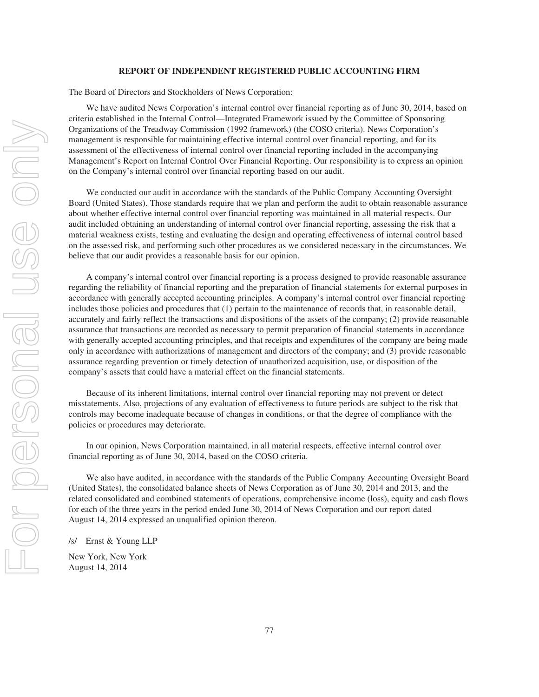### **REPORT OF INDEPENDENT REGISTERED PUBLIC ACCOUNTING FIRM**

The Board of Directors and Stockholders of News Corporation:

We have audited News Corporation's internal control over financial reporting as of June 30, 2014, based on criteria established in the Internal Control—Integrated Framework issued by the Committee of Sponsoring Organizations of the Treadway Commission (1992 framework) (the COSO criteria). News Corporation's management is responsible for maintaining effective internal control over financial reporting, and for its assessment of the effectiveness of internal control over financial reporting included in the accompanying Management's Report on Internal Control Over Financial Reporting. Our responsibility is to express an opinion on the Company's internal control over financial reporting based on our audit.

We conducted our audit in accordance with the standards of the Public Company Accounting Oversight Board (United States). Those standards require that we plan and perform the audit to obtain reasonable assurance about whether effective internal control over financial reporting was maintained in all material respects. Our audit included obtaining an understanding of internal control over financial reporting, assessing the risk that a material weakness exists, testing and evaluating the design and operating effectiveness of internal control based on the assessed risk, and performing such other procedures as we considered necessary in the circumstances. We believe that our audit provides a reasonable basis for our opinion.

A company's internal control over financial reporting is a process designed to provide reasonable assurance regarding the reliability of financial reporting and the preparation of financial statements for external purposes in accordance with generally accepted accounting principles. A company's internal control over financial reporting includes those policies and procedures that (1) pertain to the maintenance of records that, in reasonable detail, accurately and fairly reflect the transactions and dispositions of the assets of the company; (2) provide reasonable assurance that transactions are recorded as necessary to permit preparation of financial statements in accordance with generally accepted accounting principles, and that receipts and expenditures of the company are being made only in accordance with authorizations of management and directors of the company; and (3) provide reasonable assurance regarding prevention or timely detection of unauthorized acquisition, use, or disposition of the company's assets that could have a material effect on the financial statements.

Because of its inherent limitations, internal control over financial reporting may not prevent or detect misstatements. Also, projections of any evaluation of effectiveness to future periods are subject to the risk that controls may become inadequate because of changes in conditions, or that the degree of compliance with the policies or procedures may deteriorate.

In our opinion, News Corporation maintained, in all material respects, effective internal control over financial reporting as of June 30, 2014, based on the COSO criteria.

We also have audited, in accordance with the standards of the Public Company Accounting Oversight Board (United States), the consolidated balance sheets of News Corporation as of June 30, 2014 and 2013, and the related consolidated and combined statements of operations, comprehensive income (loss), equity and cash flows for each of the three years in the period ended June 30, 2014 of News Corporation and our report dated August 14, 2014 expressed an unqualified opinion thereon.

/s/ Ernst & Young LLP

New York, New York August 14, 2014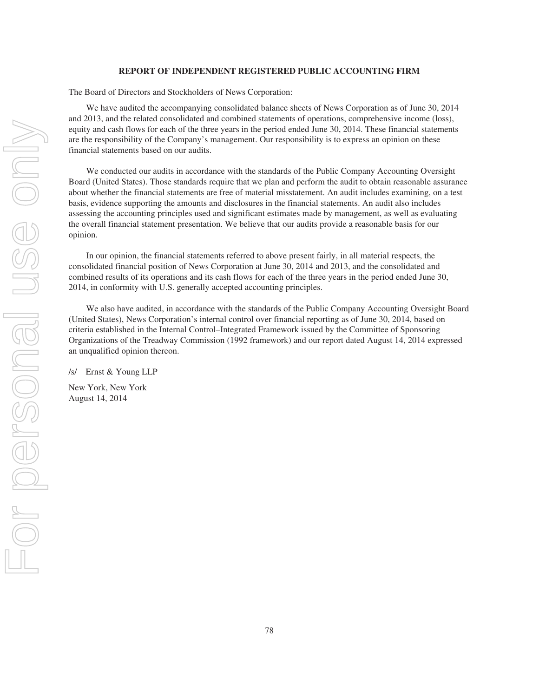#### **REPORT OF INDEPENDENT REGISTERED PUBLIC ACCOUNTING FIRM**

The Board of Directors and Stockholders of News Corporation:

We have audited the accompanying consolidated balance sheets of News Corporation as of June 30, 2014 and 2013, and the related consolidated and combined statements of operations, comprehensive income (loss), equity and cash flows for each of the three years in the period ended June 30, 2014. These financial statements are the responsibility of the Company's management. Our responsibility is to express an opinion on these financial statements based on our audits.

We conducted our audits in accordance with the standards of the Public Company Accounting Oversight Board (United States). Those standards require that we plan and perform the audit to obtain reasonable assurance about whether the financial statements are free of material misstatement. An audit includes examining, on a test basis, evidence supporting the amounts and disclosures in the financial statements. An audit also includes assessing the accounting principles used and significant estimates made by management, as well as evaluating the overall financial statement presentation. We believe that our audits provide a reasonable basis for our opinion.

In our opinion, the financial statements referred to above present fairly, in all material respects, the consolidated financial position of News Corporation at June 30, 2014 and 2013, and the consolidated and combined results of its operations and its cash flows for each of the three years in the period ended June 30, 2014, in conformity with U.S. generally accepted accounting principles.

We also have audited, in accordance with the standards of the Public Company Accounting Oversight Board (United States), News Corporation's internal control over financial reporting as of June 30, 2014, based on criteria established in the Internal Control–Integrated Framework issued by the Committee of Sponsoring Organizations of the Treadway Commission (1992 framework) and our report dated August 14, 2014 expressed an unqualified opinion thereon.

/s/ Ernst & Young LLP

New York, New York August 14, 2014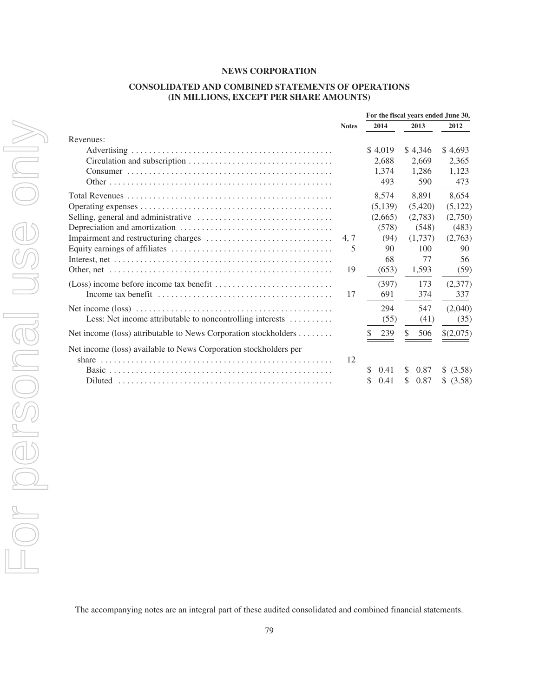# **CONSOLIDATED AND COMBINED STATEMENTS OF OPERATIONS (IN MILLIONS, EXCEPT PER SHARE AMOUNTS)**

|                                                                  |              |            | For the fiscal years ended June 30, |           |
|------------------------------------------------------------------|--------------|------------|-------------------------------------|-----------|
|                                                                  | <b>Notes</b> | 2014       | 2013                                | 2012      |
| Revenues:                                                        |              |            |                                     |           |
|                                                                  |              | \$4,019    | \$4,346                             | \$4,693   |
|                                                                  |              | 2.688      | 2.669                               | 2,365     |
|                                                                  |              | 1,374      | 1,286                               | 1,123     |
|                                                                  |              | 493        | 590                                 | 473       |
|                                                                  |              | 8,574      | 8,891                               | 8,654     |
|                                                                  |              | (5,139)    | (5,420)                             | (5, 122)  |
|                                                                  |              | (2,665)    | (2,783)                             | (2,750)   |
|                                                                  |              | (578)      | (548)                               | (483)     |
|                                                                  | 4, 7         | (94)       | (1,737)                             | (2,763)   |
|                                                                  | 5            | 90         | 100                                 | 90        |
|                                                                  |              | 68         | 77                                  | 56        |
|                                                                  | 19           | (653)      | 1,593                               | (59)      |
|                                                                  |              | (397)      | 173                                 | (2,377)   |
|                                                                  | 17           | 691        | 374                                 | 337       |
|                                                                  |              | 294        | 547                                 | (2,040)   |
| Less: Net income attributable to noncontrolling interests        |              | (55)       | (41)                                | (35)      |
| Net income (loss) attributable to News Corporation stockholders  |              | 239        | \$<br>506                           | \$(2,075) |
| Net income (loss) available to News Corporation stockholders per |              |            |                                     |           |
|                                                                  | 12           |            |                                     |           |
|                                                                  |              | 0.41<br>S. | S.<br>0.87                          | \$ (3.58) |
|                                                                  |              | S<br>0.41  | \$<br>0.87                          | \$ (3.58) |
|                                                                  |              |            |                                     |           |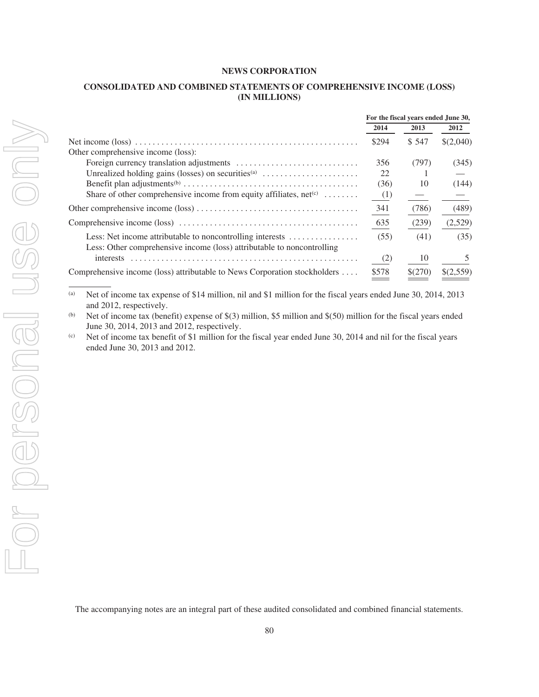# **CONSOLIDATED AND COMBINED STATEMENTS OF COMPREHENSIVE INCOME (LOSS) (IN MILLIONS)**

|                                                                           |       | For the fiscal years ended June 30, |           |
|---------------------------------------------------------------------------|-------|-------------------------------------|-----------|
|                                                                           | 2014  | 2013                                | 2012      |
|                                                                           | \$294 | \$547                               | \$(2,040) |
| Other comprehensive income (loss):                                        |       |                                     |           |
|                                                                           | 356   | (797)                               | (345)     |
|                                                                           | 22    |                                     |           |
|                                                                           | (36)  | 10                                  | (144)     |
| Share of other comprehensive income from equity affiliates, $net^{(c)}$   | (1)   |                                     |           |
|                                                                           | 341   | (786)                               | (489)     |
|                                                                           | 635   | (239)                               | (2,529)   |
| Less: Net income attributable to noncontrolling interests                 | (55)  | (41)                                | (35)      |
| Less: Other comprehensive income (loss) attributable to noncontrolling    |       |                                     |           |
|                                                                           | (2)   | 10                                  |           |
| Comprehensive income (loss) attributable to News Corporation stockholders | \$578 | \$(270)                             | \$(2,559) |

(a) Net of income tax expense of \$14 million, nil and \$1 million for the fiscal years ended June 30, 2014, 2013 and 2012, respectively.

(b) Net of income tax (benefit) expense of  $\S(3)$  million, \$5 million and  $\S(50)$  million for the fiscal years ended June 30, 2014, 2013 and 2012, respectively.

(c) Net of income tax benefit of \$1 million for the fiscal year ended June 30, 2014 and nil for the fiscal years ended June 30, 2013 and 2012.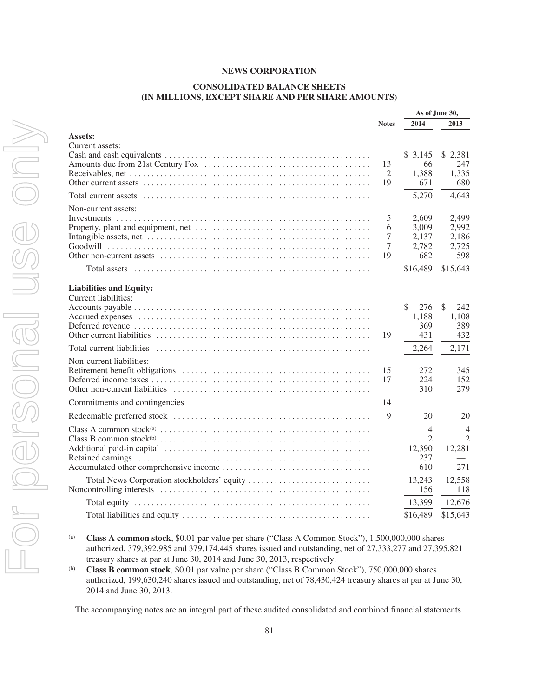# **CONSOLIDATED BALANCE SHEETS (IN MILLIONS, EXCEPT SHARE AND PER SHARE AMOUNTS**)

|                                |              |                | As of June 30, |
|--------------------------------|--------------|----------------|----------------|
|                                | <b>Notes</b> | 2014           | 2013           |
| Assets:                        |              |                |                |
| Current assets:                |              |                |                |
|                                |              | \$3,145        | \$ 2,381       |
|                                | 13           | 66             | 247            |
|                                | 2<br>19      | 1,388          | 1,335          |
|                                |              | 671            | 680            |
|                                |              | 5,270          | 4,643          |
| Non-current assets:            |              |                |                |
|                                | 5            | 2,609          | 2,499          |
|                                | 6            | 3,009          | 2,992          |
|                                | 7<br>7       | 2,137<br>2,782 | 2,186          |
|                                | 19           | 682            | 2,725<br>598   |
|                                |              |                |                |
|                                |              | \$16,489       | \$15,643       |
| <b>Liabilities and Equity:</b> |              |                |                |
| Current liabilities:           |              |                |                |
|                                |              | \$<br>276      | \$<br>242      |
|                                |              | 1,188          | 1,108          |
|                                |              | 369            | 389            |
|                                | 19           | 431            | 432            |
| Total current liabilities      |              | 2,264          | 2,171          |
| Non-current liabilities:       |              |                |                |
|                                | 15           | 272            | 345            |
|                                | 17           | 224            | 152            |
|                                |              | 310            | 279            |
| Commitments and contingencies  | 14           |                |                |
|                                | 9            | 20             | 20             |
|                                |              | $\overline{4}$ | 4              |
|                                |              | $\overline{2}$ | $\overline{2}$ |
|                                |              | 12,390         | 12,281         |
|                                |              | 237            |                |
|                                |              | 610            | 271            |
|                                |              | 13,243         | 12,558         |
|                                |              | 156            | 118            |
|                                |              | 13,399         | 12,676         |
|                                |              | \$16,489       | \$15,643       |

<sup>(</sup>a) **Class A common stock**, \$0.01 par value per share ("Class A Common Stock"), 1,500,000,000 shares authorized, 379,392,985 and 379,174,445 shares issued and outstanding, net of 27,333,277 and 27,395,821 treasury shares at par at June 30, 2014 and June 30, 2013, respectively.

<sup>(</sup>b) **Class B common stock**, \$0.01 par value per share ("Class B Common Stock"), 750,000,000 shares authorized, 199,630,240 shares issued and outstanding, net of 78,430,424 treasury shares at par at June 30, 2014 and June 30, 2013.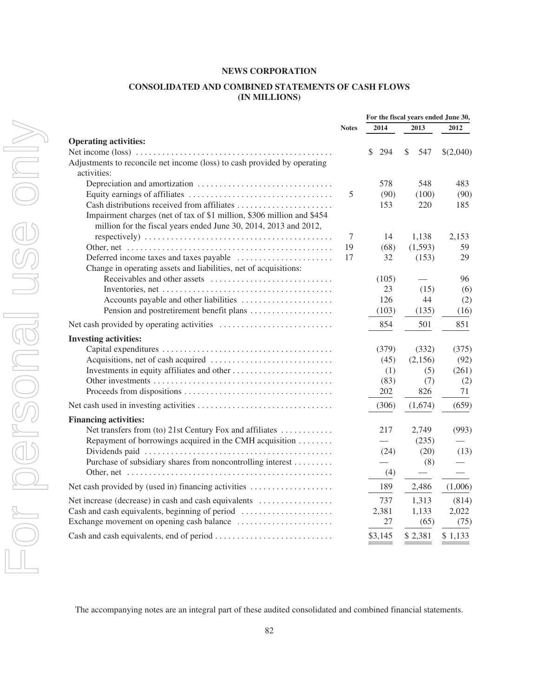# **CONSOLIDATED AND COMBINED STATEMENTS OF CASH FLOWS (IN MILLIONS)**

|                                                                                                           |              |           | For the fiscal years ended June 30, |           |
|-----------------------------------------------------------------------------------------------------------|--------------|-----------|-------------------------------------|-----------|
|                                                                                                           | <b>Notes</b> | 2014      | 2013                                | 2012      |
| <b>Operating activities:</b>                                                                              |              |           |                                     |           |
|                                                                                                           |              | 294<br>\$ | \$<br>547                           | \$(2,040) |
| Adjustments to reconcile net income (loss) to cash provided by operating                                  |              |           |                                     |           |
| activities:                                                                                               |              |           |                                     |           |
|                                                                                                           |              | 578       | 548                                 | 483       |
|                                                                                                           | 5            | (90)      | (100)                               | (90)      |
|                                                                                                           |              | 153       | 220                                 | 185       |
| Impairment charges (net of tax of \$1 million, \$306 million and \$454                                    |              |           |                                     |           |
| million for the fiscal years ended June 30, 2014, 2013 and 2012,                                          |              |           |                                     |           |
| respectively) $\dots \dots \dots \dots \dots \dots \dots \dots \dots \dots \dots \dots \dots \dots \dots$ | 7            | 14        | 1,138                               | 2,153     |
|                                                                                                           | 19           | (68)      | (1,593)                             | 59        |
| Deferred income taxes and taxes payable                                                                   | 17           | 32        | (153)                               | 29        |
| Change in operating assets and liabilities, net of acquisitions:                                          |              |           |                                     |           |
|                                                                                                           |              | (105)     |                                     | 96        |
| Inventories, net $\dots\dots\dots\dots\dots\dots\dots\dots\dots\dots\dots\dots\dots\dots\dots$            |              | 23        | (15)                                | (6)       |
|                                                                                                           |              | 126       | 44                                  | (2)       |
|                                                                                                           |              | (103)     | (135)                               | (16)      |
|                                                                                                           |              | 854       | 501                                 | 851       |
| <b>Investing activities:</b>                                                                              |              |           |                                     |           |
|                                                                                                           |              | (379)     | (332)                               | (375)     |
|                                                                                                           |              | (45)      | (2,156)                             | (92)      |
|                                                                                                           |              | (1)       | (5)                                 | (261)     |
|                                                                                                           |              | (83)      | (7)                                 | (2)       |
|                                                                                                           |              | 202       | 826                                 | 71        |
|                                                                                                           |              | (306)     | (1,674)                             | (659)     |
| <b>Financing activities:</b>                                                                              |              |           |                                     |           |
| Net transfers from (to) 21st Century Fox and affiliates                                                   |              | 217       | 2,749                               | (993)     |
| Repayment of borrowings acquired in the CMH acquisition                                                   |              |           | (235)                               |           |
|                                                                                                           |              | (24)      | (20)                                | (13)      |
| Purchase of subsidiary shares from noncontrolling interest                                                |              |           | (8)                                 |           |
|                                                                                                           |              | (4)       |                                     |           |
| Net cash provided by (used in) financing activities                                                       |              | 189       | 2,486                               | (1,006)   |
|                                                                                                           |              |           |                                     |           |
| Net increase (decrease) in cash and cash equivalents                                                      |              | 737       | 1,313                               | (814)     |
| Cash and cash equivalents, beginning of period                                                            |              | 2,381     | 1,133                               | 2,022     |
|                                                                                                           |              | 27        | (65)                                | (75)      |
|                                                                                                           |              | \$3,145   | \$2,381                             | \$1,133   |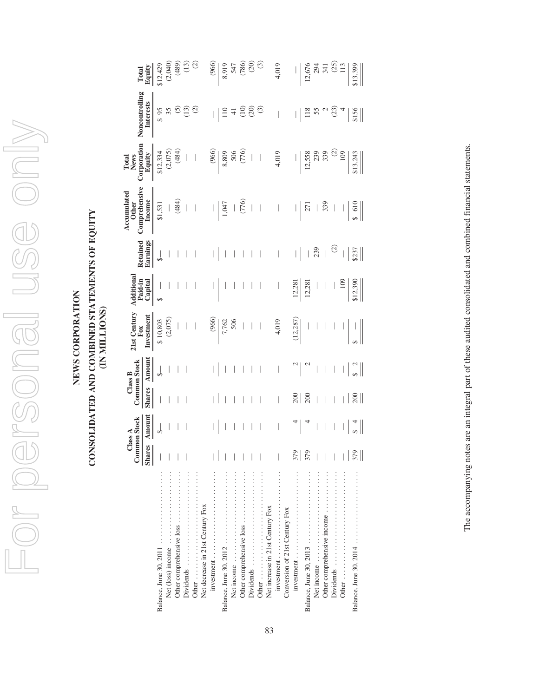For personal use only For personal use only

# NEWS CORPORATION **NEWS CORPORATION**

# CONSOLIDATED AND COMBINED STATEMENTS OF EQUITY<br>(IN MILLIONS) **CONSOLIDATED AND COMBINED STATEMENTS OF EQUITY (IN MILLIONS)**

|                                                    |                                         | Class A<br>Common Stock  |                          | Class B<br>Common Stock  |                                       |                                       |                            | Accumulated<br>Other                                                                                                                                                            |                                                                                            |                                           |                                                                    |
|----------------------------------------------------|-----------------------------------------|--------------------------|--------------------------|--------------------------|---------------------------------------|---------------------------------------|----------------------------|---------------------------------------------------------------------------------------------------------------------------------------------------------------------------------|--------------------------------------------------------------------------------------------|-------------------------------------------|--------------------------------------------------------------------|
|                                                    | $\overline{\phantom{a}}$                | Shares Amount            |                          | Shares Amount            | $21st CenturyForInvestment$           | Additional<br>Paid-in<br>Capital      | Retained<br>Earnings<br>\$ | Comprehensive<br>Income                                                                                                                                                         | Total<br>News<br>Corporation<br>Equity                                                     | Noncontrolling<br>Interests               | Total                                                              |
| Balance, June 30, 2011                             |                                         | $\downarrow$             |                          | $\overline{\mathcal{S}}$ | $$10,803$<br>(2,075)<br>$-$           |                                       |                            | \$1,531                                                                                                                                                                         |                                                                                            |                                           | Equity<br>$$12,429$<br>$(2,040)$<br>$(489)$<br>$(13)$              |
| Net $(loss)$ income $\ldots \ldots \ldots \ldots$  |                                         |                          |                          |                          |                                       |                                       | $\mid$                     |                                                                                                                                                                                 |                                                                                            |                                           |                                                                    |
| Other comprehensive loss                           | $\bar{1}$ + $\bar{1}$ + $\bar{1}$       |                          |                          |                          |                                       |                                       |                            |                                                                                                                                                                                 | $$12,334$<br>(2,075)<br>(484)                                                              |                                           |                                                                    |
|                                                    |                                         |                          |                          |                          |                                       | $\vert \vert$                         | $\vert \ \vert \ \vert$    | $\begin{array}{c} \sqrt{3} & 0 \\ 0 & 0 \\ 0 & 0 \end{array}$                                                                                                                   | $\begin{array}{c} \hline \end{array}$                                                      | $\frac{6}{9}$ 35 6 6 9 $\frac{6}{9}$ 95 9 |                                                                    |
| Net decrease in 21st Century Fox<br>Other $\ldots$ |                                         |                          |                          |                          |                                       |                                       |                            |                                                                                                                                                                                 | $\overline{\phantom{a}}$                                                                   |                                           | $\odot$                                                            |
|                                                    |                                         |                          |                          |                          | $\frac{(966)}{7,762}$                 | $\begin{array}{c} \hline \end{array}$ |                            | $\frac{1}{1,047}$                                                                                                                                                               | $\frac{(966)}{8,809}$<br>506<br>506<br>500                                                 |                                           | (966)                                                              |
|                                                    |                                         |                          |                          |                          |                                       |                                       |                            |                                                                                                                                                                                 |                                                                                            | 110                                       | $8,919547(786)(20)$                                                |
|                                                    |                                         |                          |                          |                          |                                       |                                       |                            |                                                                                                                                                                                 |                                                                                            | $\overline{4}$                            |                                                                    |
| Other comprehensive loss                           |                                         |                          |                          |                          | $\begin{array}{c} \hline \end{array}$ | $\frac{1}{2}$                         | $\left\vert -\right\vert$  | $\frac{1}{(776)}$                                                                                                                                                               |                                                                                            | $\begin{array}{c} 0 \\ 20 \end{array}$    |                                                                    |
|                                                    |                                         |                          |                          |                          | $\frac{1}{2}$                         |                                       |                            |                                                                                                                                                                                 |                                                                                            |                                           |                                                                    |
| Other $\ldots \ldots \ldots$                       |                                         |                          |                          | $\overline{\phantom{a}}$ | $\overline{\phantom{a}}$              | $\overline{\phantom{a}}$              | $\overline{\phantom{a}}$   |                                                                                                                                                                                 | $\begin{array}{c} \hline \end{array}$                                                      | $\odot$                                   | $\overline{c}$                                                     |
| Net increase in 21st Century Fox                   |                                         |                          |                          |                          |                                       |                                       | $\sim 1$                   |                                                                                                                                                                                 | 4,019                                                                                      |                                           |                                                                    |
| investment                                         |                                         | $\mid$                   |                          | $\bigg $                 | 4,019                                 | $\begin{array}{c} \hline \end{array}$ |                            |                                                                                                                                                                                 |                                                                                            |                                           | 4,019                                                              |
| Conversion of 21st Century Fox                     |                                         |                          |                          |                          |                                       |                                       |                            |                                                                                                                                                                                 |                                                                                            |                                           |                                                                    |
|                                                    |                                         |                          | $\frac{8}{20}$           | $\frac{2}{3}$            | (12, 287)                             | $\frac{12,281}{12,281}$               | $\left  \ \right $         | $\begin{array}{c c} \hline \begin{array}{ccc} & \hline \end{array} & & \hline \end{array} \begin{array}{c} \hline \begin{array}{ccc} \hline \end{array} & & \hline \end{array}$ |                                                                                            |                                           |                                                                    |
|                                                    |                                         |                          |                          |                          |                                       |                                       |                            |                                                                                                                                                                                 |                                                                                            | 118                                       | $\frac{1}{12,676}$ $\frac{6}{294}$ $\frac{6}{394}$ $\frac{6}{313}$ |
|                                                    |                                         |                          | $\overline{\phantom{a}}$ |                          |                                       | $\frac{1}{2}$                         | 239                        | $\begin{array}{c} \hline \end{array}$                                                                                                                                           |                                                                                            | 55                                        |                                                                    |
| Other comprehensive income                         |                                         |                          |                          |                          |                                       |                                       |                            | 339                                                                                                                                                                             |                                                                                            |                                           |                                                                    |
| $Dividends \ldots \ldots \ldots$                   |                                         | $\bigg $                 | $\bigg $                 | $\overline{\phantom{a}}$ |                                       |                                       | $\odot$                    |                                                                                                                                                                                 |                                                                                            | (23)                                      |                                                                    |
|                                                    |                                         | $\bigg  \hspace{0.1 cm}$ |                          |                          |                                       | 109                                   |                            |                                                                                                                                                                                 | $\begin{array}{c c} \hline 1,558 & 239 \\ 12,539 & 339 \\ 339 & 239 \\ \hline \end{array}$ |                                           |                                                                    |
|                                                    | $\frac{1}{25}$           $\frac{1}{25}$ | $\frac{3}{4}$            | $\frac{1}{200}$          | $\frac{1}{2}$            |                                       | \$12,390                              | $\frac{1}{237}$            | $\frac{1}{2}$ $\frac{1}{2}$ $\frac{1}{6}$                                                                                                                                       | \$13,243                                                                                   | \$156                                     | \$13,399                                                           |

The accompanying notes are an integral part of these audited consolidated and combined financial statements. The accompanying notes are an integral part of these audited consolidated and combined financial statements.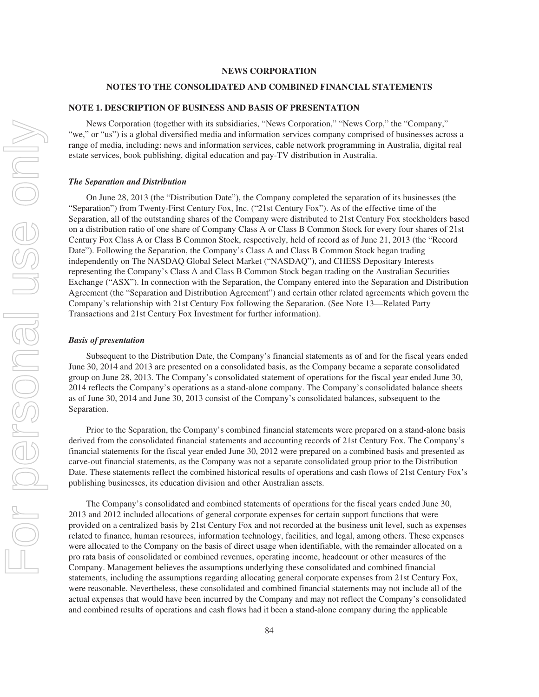# **NOTES TO THE CONSOLIDATED AND COMBINED FINANCIAL STATEMENTS**

#### **NOTE 1. DESCRIPTION OF BUSINESS AND BASIS OF PRESENTATION**

News Corporation (together with its subsidiaries, "News Corporation," "News Corp," the "Company," "we," or "us") is a global diversified media and information services company comprised of businesses across a range of media, including: news and information services, cable network programming in Australia, digital real estate services, book publishing, digital education and pay-TV distribution in Australia.

#### *The Separation and Distribution*

On June 28, 2013 (the "Distribution Date"), the Company completed the separation of its businesses (the "Separation") from Twenty-First Century Fox, Inc. ("21st Century Fox"). As of the effective time of the Separation, all of the outstanding shares of the Company were distributed to 21st Century Fox stockholders based on a distribution ratio of one share of Company Class A or Class B Common Stock for every four shares of 21st Century Fox Class A or Class B Common Stock, respectively, held of record as of June 21, 2013 (the "Record Date"). Following the Separation, the Company's Class A and Class B Common Stock began trading independently on The NASDAQ Global Select Market ("NASDAQ"), and CHESS Depositary Interests representing the Company's Class A and Class B Common Stock began trading on the Australian Securities Exchange ("ASX"). In connection with the Separation, the Company entered into the Separation and Distribution Agreement (the "Separation and Distribution Agreement") and certain other related agreements which govern the Company's relationship with 21st Century Fox following the Separation. (See Note 13—Related Party Transactions and 21st Century Fox Investment for further information).

#### *Basis of presentation*

Subsequent to the Distribution Date, the Company's financial statements as of and for the fiscal years ended June 30, 2014 and 2013 are presented on a consolidated basis, as the Company became a separate consolidated group on June 28, 2013. The Company's consolidated statement of operations for the fiscal year ended June 30, 2014 reflects the Company's operations as a stand-alone company. The Company's consolidated balance sheets as of June 30, 2014 and June 30, 2013 consist of the Company's consolidated balances, subsequent to the Separation.

Prior to the Separation, the Company's combined financial statements were prepared on a stand-alone basis derived from the consolidated financial statements and accounting records of 21st Century Fox. The Company's financial statements for the fiscal year ended June 30, 2012 were prepared on a combined basis and presented as carve-out financial statements, as the Company was not a separate consolidated group prior to the Distribution Date. These statements reflect the combined historical results of operations and cash flows of 21st Century Fox's publishing businesses, its education division and other Australian assets.

The Company's consolidated and combined statements of operations for the fiscal years ended June 30, 2013 and 2012 included allocations of general corporate expenses for certain support functions that were provided on a centralized basis by 21st Century Fox and not recorded at the business unit level, such as expenses related to finance, human resources, information technology, facilities, and legal, among others. These expenses were allocated to the Company on the basis of direct usage when identifiable, with the remainder allocated on a pro rata basis of consolidated or combined revenues, operating income, headcount or other measures of the Company. Management believes the assumptions underlying these consolidated and combined financial statements, including the assumptions regarding allocating general corporate expenses from 21st Century Fox, were reasonable. Nevertheless, these consolidated and combined financial statements may not include all of the actual expenses that would have been incurred by the Company and may not reflect the Company's consolidated and combined results of operations and cash flows had it been a stand-alone company during the applicable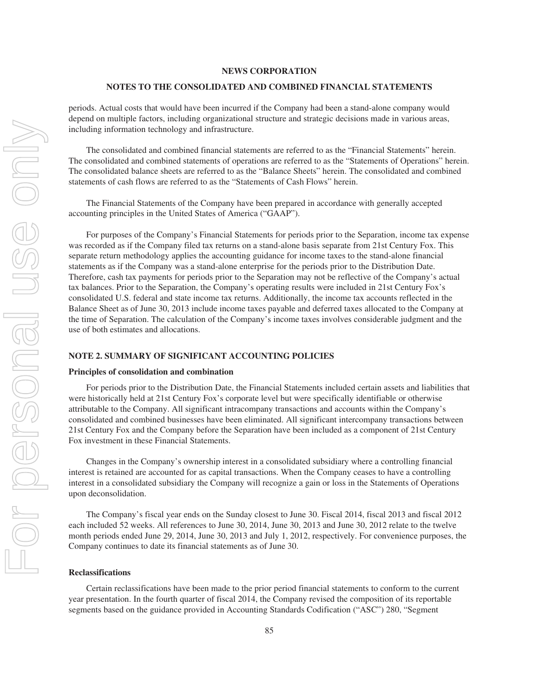# **NOTES TO THE CONSOLIDATED AND COMBINED FINANCIAL STATEMENTS**

periods. Actual costs that would have been incurred if the Company had been a stand-alone company would depend on multiple factors, including organizational structure and strategic decisions made in various areas, including information technology and infrastructure.

The consolidated and combined financial statements are referred to as the "Financial Statements" herein. The consolidated and combined statements of operations are referred to as the "Statements of Operations" herein. The consolidated balance sheets are referred to as the "Balance Sheets" herein. The consolidated and combined statements of cash flows are referred to as the "Statements of Cash Flows" herein.

The Financial Statements of the Company have been prepared in accordance with generally accepted accounting principles in the United States of America ("GAAP").

For purposes of the Company's Financial Statements for periods prior to the Separation, income tax expense was recorded as if the Company filed tax returns on a stand-alone basis separate from 21st Century Fox. This separate return methodology applies the accounting guidance for income taxes to the stand-alone financial statements as if the Company was a stand-alone enterprise for the periods prior to the Distribution Date. Therefore, cash tax payments for periods prior to the Separation may not be reflective of the Company's actual tax balances. Prior to the Separation, the Company's operating results were included in 21st Century Fox's consolidated U.S. federal and state income tax returns. Additionally, the income tax accounts reflected in the Balance Sheet as of June 30, 2013 include income taxes payable and deferred taxes allocated to the Company at the time of Separation. The calculation of the Company's income taxes involves considerable judgment and the use of both estimates and allocations.

## **NOTE 2. SUMMARY OF SIGNIFICANT ACCOUNTING POLICIES**

#### **Principles of consolidation and combination**

For periods prior to the Distribution Date, the Financial Statements included certain assets and liabilities that were historically held at 21st Century Fox's corporate level but were specifically identifiable or otherwise attributable to the Company. All significant intracompany transactions and accounts within the Company's consolidated and combined businesses have been eliminated. All significant intercompany transactions between 21st Century Fox and the Company before the Separation have been included as a component of 21st Century Fox investment in these Financial Statements.

Changes in the Company's ownership interest in a consolidated subsidiary where a controlling financial interest is retained are accounted for as capital transactions. When the Company ceases to have a controlling interest in a consolidated subsidiary the Company will recognize a gain or loss in the Statements of Operations upon deconsolidation.

The Company's fiscal year ends on the Sunday closest to June 30. Fiscal 2014, fiscal 2013 and fiscal 2012 each included 52 weeks. All references to June 30, 2014, June 30, 2013 and June 30, 2012 relate to the twelve month periods ended June 29, 2014, June 30, 2013 and July 1, 2012, respectively. For convenience purposes, the Company continues to date its financial statements as of June 30.

#### **Reclassifications**

Certain reclassifications have been made to the prior period financial statements to conform to the current year presentation. In the fourth quarter of fiscal 2014, the Company revised the composition of its reportable segments based on the guidance provided in Accounting Standards Codification ("ASC") 280, "Segment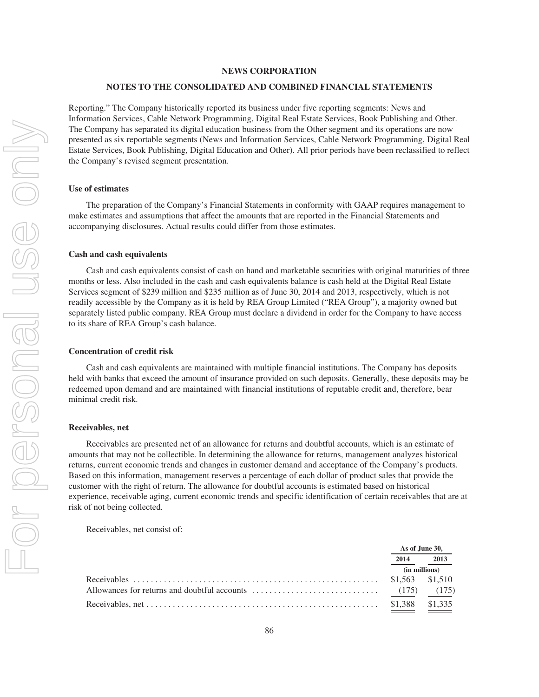# **NOTES TO THE CONSOLIDATED AND COMBINED FINANCIAL STATEMENTS**

Reporting." The Company historically reported its business under five reporting segments: News and Information Services, Cable Network Programming, Digital Real Estate Services, Book Publishing and Other. The Company has separated its digital education business from the Other segment and its operations are now presented as six reportable segments (News and Information Services, Cable Network Programming, Digital Real Estate Services, Book Publishing, Digital Education and Other). All prior periods have been reclassified to reflect the Company's revised segment presentation.

#### **Use of estimates**

The preparation of the Company's Financial Statements in conformity with GAAP requires management to make estimates and assumptions that affect the amounts that are reported in the Financial Statements and accompanying disclosures. Actual results could differ from those estimates.

#### **Cash and cash equivalents**

Cash and cash equivalents consist of cash on hand and marketable securities with original maturities of three months or less. Also included in the cash and cash equivalents balance is cash held at the Digital Real Estate Services segment of \$239 million and \$235 million as of June 30, 2014 and 2013, respectively, which is not readily accessible by the Company as it is held by REA Group Limited ("REA Group"), a majority owned but separately listed public company. REA Group must declare a dividend in order for the Company to have access to its share of REA Group's cash balance.

#### **Concentration of credit risk**

Cash and cash equivalents are maintained with multiple financial institutions. The Company has deposits held with banks that exceed the amount of insurance provided on such deposits. Generally, these deposits may be redeemed upon demand and are maintained with financial institutions of reputable credit and, therefore, bear minimal credit risk.

#### **Receivables, net**

Receivables are presented net of an allowance for returns and doubtful accounts, which is an estimate of amounts that may not be collectible. In determining the allowance for returns, management analyzes historical returns, current economic trends and changes in customer demand and acceptance of the Company's products. Based on this information, management reserves a percentage of each dollar of product sales that provide the customer with the right of return. The allowance for doubtful accounts is estimated based on historical experience, receivable aging, current economic trends and specific identification of certain receivables that are at risk of not being collected.

Receivables, net consist of:

|           | As of June 30, |
|-----------|----------------|
| 2014 2013 |                |
|           | (in millions)  |
|           |                |
|           |                |
|           |                |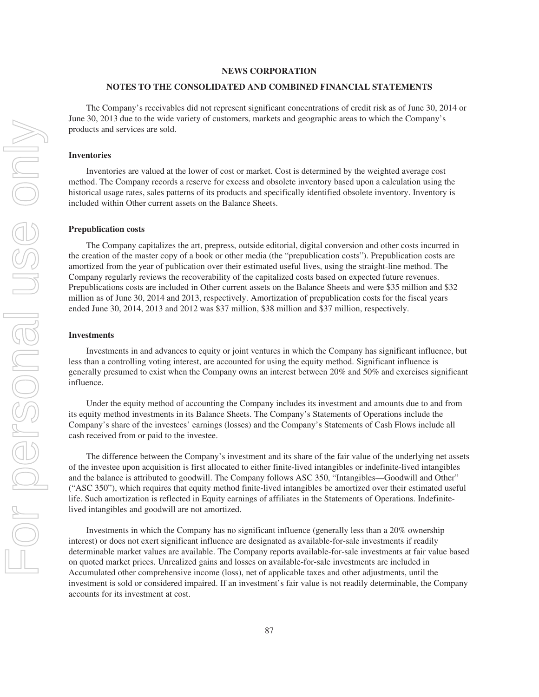# **NOTES TO THE CONSOLIDATED AND COMBINED FINANCIAL STATEMENTS**

The Company's receivables did not represent significant concentrations of credit risk as of June 30, 2014 or June 30, 2013 due to the wide variety of customers, markets and geographic areas to which the Company's products and services are sold.

#### **Inventories**

Inventories are valued at the lower of cost or market. Cost is determined by the weighted average cost method. The Company records a reserve for excess and obsolete inventory based upon a calculation using the historical usage rates, sales patterns of its products and specifically identified obsolete inventory. Inventory is included within Other current assets on the Balance Sheets.

#### **Prepublication costs**

The Company capitalizes the art, prepress, outside editorial, digital conversion and other costs incurred in the creation of the master copy of a book or other media (the "prepublication costs"). Prepublication costs are amortized from the year of publication over their estimated useful lives, using the straight-line method. The Company regularly reviews the recoverability of the capitalized costs based on expected future revenues. Prepublications costs are included in Other current assets on the Balance Sheets and were \$35 million and \$32 million as of June 30, 2014 and 2013, respectively. Amortization of prepublication costs for the fiscal years ended June 30, 2014, 2013 and 2012 was \$37 million, \$38 million and \$37 million, respectively.

#### **Investments**

Investments in and advances to equity or joint ventures in which the Company has significant influence, but less than a controlling voting interest, are accounted for using the equity method. Significant influence is generally presumed to exist when the Company owns an interest between 20% and 50% and exercises significant influence.

Under the equity method of accounting the Company includes its investment and amounts due to and from its equity method investments in its Balance Sheets. The Company's Statements of Operations include the Company's share of the investees' earnings (losses) and the Company's Statements of Cash Flows include all cash received from or paid to the investee.

The difference between the Company's investment and its share of the fair value of the underlying net assets of the investee upon acquisition is first allocated to either finite-lived intangibles or indefinite-lived intangibles and the balance is attributed to goodwill. The Company follows ASC 350, "Intangibles—Goodwill and Other" ("ASC 350"), which requires that equity method finite-lived intangibles be amortized over their estimated useful life. Such amortization is reflected in Equity earnings of affiliates in the Statements of Operations. Indefinitelived intangibles and goodwill are not amortized.

Investments in which the Company has no significant influence (generally less than a 20% ownership interest) or does not exert significant influence are designated as available-for-sale investments if readily determinable market values are available. The Company reports available-for-sale investments at fair value based on quoted market prices. Unrealized gains and losses on available-for-sale investments are included in Accumulated other comprehensive income (loss), net of applicable taxes and other adjustments, until the investment is sold or considered impaired. If an investment's fair value is not readily determinable, the Company accounts for its investment at cost.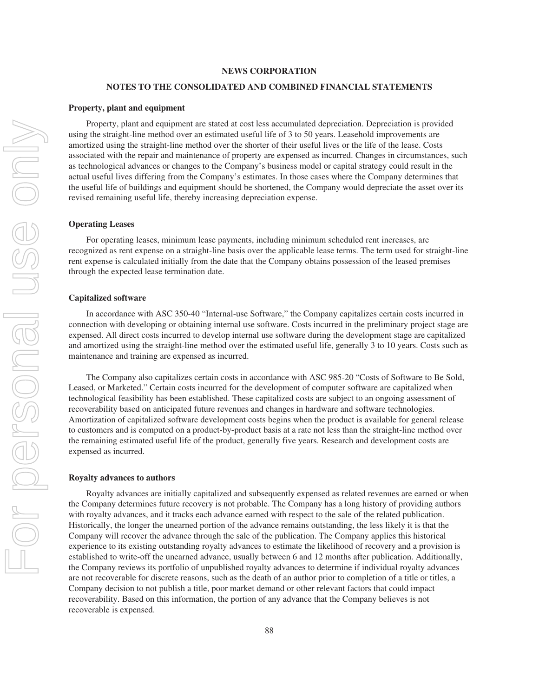# **NOTES TO THE CONSOLIDATED AND COMBINED FINANCIAL STATEMENTS**

#### **Property, plant and equipment**

Property, plant and equipment are stated at cost less accumulated depreciation. Depreciation is provided using the straight-line method over an estimated useful life of 3 to 50 years. Leasehold improvements are amortized using the straight-line method over the shorter of their useful lives or the life of the lease. Costs associated with the repair and maintenance of property are expensed as incurred. Changes in circumstances, such as technological advances or changes to the Company's business model or capital strategy could result in the actual useful lives differing from the Company's estimates. In those cases where the Company determines that the useful life of buildings and equipment should be shortened, the Company would depreciate the asset over its revised remaining useful life, thereby increasing depreciation expense.

#### **Operating Leases**

For operating leases, minimum lease payments, including minimum scheduled rent increases, are recognized as rent expense on a straight-line basis over the applicable lease terms. The term used for straight-line rent expense is calculated initially from the date that the Company obtains possession of the leased premises through the expected lease termination date.

#### **Capitalized software**

In accordance with ASC 350-40 "Internal-use Software," the Company capitalizes certain costs incurred in connection with developing or obtaining internal use software. Costs incurred in the preliminary project stage are expensed. All direct costs incurred to develop internal use software during the development stage are capitalized and amortized using the straight-line method over the estimated useful life, generally 3 to 10 years. Costs such as maintenance and training are expensed as incurred.

The Company also capitalizes certain costs in accordance with ASC 985-20 "Costs of Software to Be Sold, Leased, or Marketed." Certain costs incurred for the development of computer software are capitalized when technological feasibility has been established. These capitalized costs are subject to an ongoing assessment of recoverability based on anticipated future revenues and changes in hardware and software technologies. Amortization of capitalized software development costs begins when the product is available for general release to customers and is computed on a product-by-product basis at a rate not less than the straight-line method over the remaining estimated useful life of the product, generally five years. Research and development costs are expensed as incurred.

#### **Royalty advances to authors**

Royalty advances are initially capitalized and subsequently expensed as related revenues are earned or when the Company determines future recovery is not probable. The Company has a long history of providing authors with royalty advances, and it tracks each advance earned with respect to the sale of the related publication. Historically, the longer the unearned portion of the advance remains outstanding, the less likely it is that the Company will recover the advance through the sale of the publication. The Company applies this historical experience to its existing outstanding royalty advances to estimate the likelihood of recovery and a provision is established to write-off the unearned advance, usually between 6 and 12 months after publication. Additionally, the Company reviews its portfolio of unpublished royalty advances to determine if individual royalty advances are not recoverable for discrete reasons, such as the death of an author prior to completion of a title or titles, a Company decision to not publish a title, poor market demand or other relevant factors that could impact recoverability. Based on this information, the portion of any advance that the Company believes is not recoverable is expensed.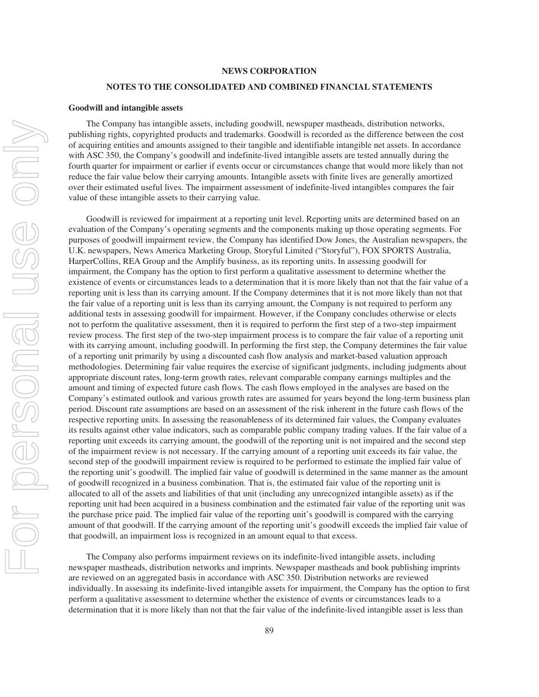# **NOTES TO THE CONSOLIDATED AND COMBINED FINANCIAL STATEMENTS**

#### **Goodwill and intangible assets**

The Company has intangible assets, including goodwill, newspaper mastheads, distribution networks, publishing rights, copyrighted products and trademarks. Goodwill is recorded as the difference between the cost of acquiring entities and amounts assigned to their tangible and identifiable intangible net assets. In accordance with ASC 350, the Company's goodwill and indefinite-lived intangible assets are tested annually during the fourth quarter for impairment or earlier if events occur or circumstances change that would more likely than not reduce the fair value below their carrying amounts. Intangible assets with finite lives are generally amortized over their estimated useful lives. The impairment assessment of indefinite-lived intangibles compares the fair value of these intangible assets to their carrying value.

Goodwill is reviewed for impairment at a reporting unit level. Reporting units are determined based on an evaluation of the Company's operating segments and the components making up those operating segments. For purposes of goodwill impairment review, the Company has identified Dow Jones, the Australian newspapers, the U.K. newspapers, News America Marketing Group, Storyful Limited ("Storyful"), FOX SPORTS Australia, HarperCollins, REA Group and the Amplify business, as its reporting units. In assessing goodwill for impairment, the Company has the option to first perform a qualitative assessment to determine whether the existence of events or circumstances leads to a determination that it is more likely than not that the fair value of a reporting unit is less than its carrying amount. If the Company determines that it is not more likely than not that the fair value of a reporting unit is less than its carrying amount, the Company is not required to perform any additional tests in assessing goodwill for impairment. However, if the Company concludes otherwise or elects not to perform the qualitative assessment, then it is required to perform the first step of a two-step impairment review process. The first step of the two-step impairment process is to compare the fair value of a reporting unit with its carrying amount, including goodwill. In performing the first step, the Company determines the fair value of a reporting unit primarily by using a discounted cash flow analysis and market-based valuation approach methodologies. Determining fair value requires the exercise of significant judgments, including judgments about appropriate discount rates, long-term growth rates, relevant comparable company earnings multiples and the amount and timing of expected future cash flows. The cash flows employed in the analyses are based on the Company's estimated outlook and various growth rates are assumed for years beyond the long-term business plan period. Discount rate assumptions are based on an assessment of the risk inherent in the future cash flows of the respective reporting units. In assessing the reasonableness of its determined fair values, the Company evaluates its results against other value indicators, such as comparable public company trading values. If the fair value of a reporting unit exceeds its carrying amount, the goodwill of the reporting unit is not impaired and the second step of the impairment review is not necessary. If the carrying amount of a reporting unit exceeds its fair value, the second step of the goodwill impairment review is required to be performed to estimate the implied fair value of the reporting unit's goodwill. The implied fair value of goodwill is determined in the same manner as the amount of goodwill recognized in a business combination. That is, the estimated fair value of the reporting unit is allocated to all of the assets and liabilities of that unit (including any unrecognized intangible assets) as if the reporting unit had been acquired in a business combination and the estimated fair value of the reporting unit was the purchase price paid. The implied fair value of the reporting unit's goodwill is compared with the carrying amount of that goodwill. If the carrying amount of the reporting unit's goodwill exceeds the implied fair value of that goodwill, an impairment loss is recognized in an amount equal to that excess.

The Company also performs impairment reviews on its indefinite-lived intangible assets, including newspaper mastheads, distribution networks and imprints. Newspaper mastheads and book publishing imprints are reviewed on an aggregated basis in accordance with ASC 350. Distribution networks are reviewed individually. In assessing its indefinite-lived intangible assets for impairment, the Company has the option to first perform a qualitative assessment to determine whether the existence of events or circumstances leads to a determination that it is more likely than not that the fair value of the indefinite-lived intangible asset is less than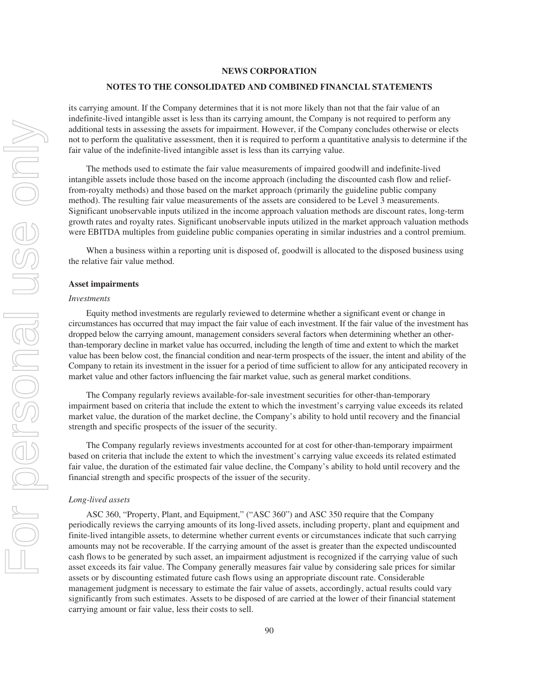# **NOTES TO THE CONSOLIDATED AND COMBINED FINANCIAL STATEMENTS**

its carrying amount. If the Company determines that it is not more likely than not that the fair value of an indefinite-lived intangible asset is less than its carrying amount, the Company is not required to perform any additional tests in assessing the assets for impairment. However, if the Company concludes otherwise or elects not to perform the qualitative assessment, then it is required to perform a quantitative analysis to determine if the fair value of the indefinite-lived intangible asset is less than its carrying value.

The methods used to estimate the fair value measurements of impaired goodwill and indefinite-lived intangible assets include those based on the income approach (including the discounted cash flow and relieffrom-royalty methods) and those based on the market approach (primarily the guideline public company method). The resulting fair value measurements of the assets are considered to be Level 3 measurements. Significant unobservable inputs utilized in the income approach valuation methods are discount rates, long-term growth rates and royalty rates. Significant unobservable inputs utilized in the market approach valuation methods were EBITDA multiples from guideline public companies operating in similar industries and a control premium.

When a business within a reporting unit is disposed of, goodwill is allocated to the disposed business using the relative fair value method.

#### **Asset impairments**

#### *Investments*

Equity method investments are regularly reviewed to determine whether a significant event or change in circumstances has occurred that may impact the fair value of each investment. If the fair value of the investment has dropped below the carrying amount, management considers several factors when determining whether an otherthan-temporary decline in market value has occurred, including the length of time and extent to which the market value has been below cost, the financial condition and near-term prospects of the issuer, the intent and ability of the Company to retain its investment in the issuer for a period of time sufficient to allow for any anticipated recovery in market value and other factors influencing the fair market value, such as general market conditions.

The Company regularly reviews available-for-sale investment securities for other-than-temporary impairment based on criteria that include the extent to which the investment's carrying value exceeds its related market value, the duration of the market decline, the Company's ability to hold until recovery and the financial strength and specific prospects of the issuer of the security.

The Company regularly reviews investments accounted for at cost for other-than-temporary impairment based on criteria that include the extent to which the investment's carrying value exceeds its related estimated fair value, the duration of the estimated fair value decline, the Company's ability to hold until recovery and the financial strength and specific prospects of the issuer of the security.

#### *Long-lived assets*

ASC 360, "Property, Plant, and Equipment," ("ASC 360") and ASC 350 require that the Company periodically reviews the carrying amounts of its long-lived assets, including property, plant and equipment and finite-lived intangible assets, to determine whether current events or circumstances indicate that such carrying amounts may not be recoverable. If the carrying amount of the asset is greater than the expected undiscounted cash flows to be generated by such asset, an impairment adjustment is recognized if the carrying value of such asset exceeds its fair value. The Company generally measures fair value by considering sale prices for similar assets or by discounting estimated future cash flows using an appropriate discount rate. Considerable management judgment is necessary to estimate the fair value of assets, accordingly, actual results could vary significantly from such estimates. Assets to be disposed of are carried at the lower of their financial statement carrying amount or fair value, less their costs to sell.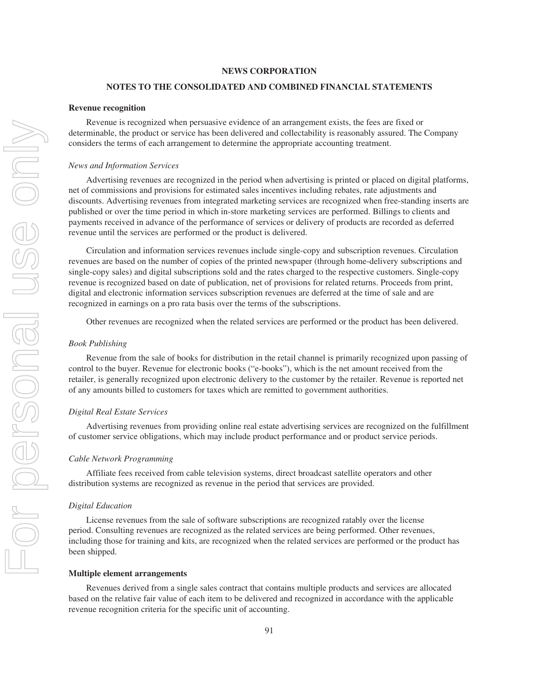# **NOTES TO THE CONSOLIDATED AND COMBINED FINANCIAL STATEMENTS**

#### **Revenue recognition**

Revenue is recognized when persuasive evidence of an arrangement exists, the fees are fixed or determinable, the product or service has been delivered and collectability is reasonably assured. The Company considers the terms of each arrangement to determine the appropriate accounting treatment.

#### *News and Information Services*

Advertising revenues are recognized in the period when advertising is printed or placed on digital platforms, net of commissions and provisions for estimated sales incentives including rebates, rate adjustments and discounts. Advertising revenues from integrated marketing services are recognized when free-standing inserts are published or over the time period in which in-store marketing services are performed. Billings to clients and payments received in advance of the performance of services or delivery of products are recorded as deferred revenue until the services are performed or the product is delivered.

Circulation and information services revenues include single-copy and subscription revenues. Circulation revenues are based on the number of copies of the printed newspaper (through home-delivery subscriptions and single-copy sales) and digital subscriptions sold and the rates charged to the respective customers. Single-copy revenue is recognized based on date of publication, net of provisions for related returns. Proceeds from print, digital and electronic information services subscription revenues are deferred at the time of sale and are recognized in earnings on a pro rata basis over the terms of the subscriptions.

Other revenues are recognized when the related services are performed or the product has been delivered.

#### *Book Publishing*

Revenue from the sale of books for distribution in the retail channel is primarily recognized upon passing of control to the buyer. Revenue for electronic books ("e-books"), which is the net amount received from the retailer, is generally recognized upon electronic delivery to the customer by the retailer. Revenue is reported net of any amounts billed to customers for taxes which are remitted to government authorities.

#### *Digital Real Estate Services*

Advertising revenues from providing online real estate advertising services are recognized on the fulfillment of customer service obligations, which may include product performance and or product service periods.

# *Cable Network Programming*

Affiliate fees received from cable television systems, direct broadcast satellite operators and other distribution systems are recognized as revenue in the period that services are provided.

#### *Digital Education*

License revenues from the sale of software subscriptions are recognized ratably over the license period. Consulting revenues are recognized as the related services are being performed. Other revenues, including those for training and kits, are recognized when the related services are performed or the product has been shipped.

#### **Multiple element arrangements**

Revenues derived from a single sales contract that contains multiple products and services are allocated based on the relative fair value of each item to be delivered and recognized in accordance with the applicable revenue recognition criteria for the specific unit of accounting.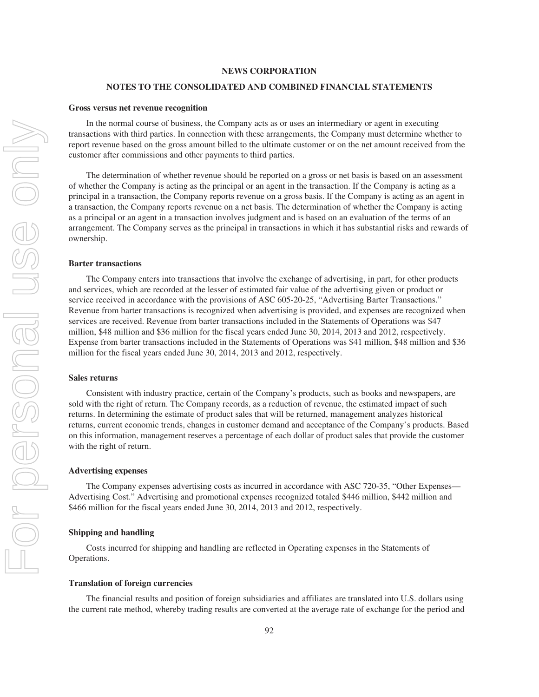# **NOTES TO THE CONSOLIDATED AND COMBINED FINANCIAL STATEMENTS**

#### **Gross versus net revenue recognition**

In the normal course of business, the Company acts as or uses an intermediary or agent in executing transactions with third parties. In connection with these arrangements, the Company must determine whether to report revenue based on the gross amount billed to the ultimate customer or on the net amount received from the customer after commissions and other payments to third parties.

The determination of whether revenue should be reported on a gross or net basis is based on an assessment of whether the Company is acting as the principal or an agent in the transaction. If the Company is acting as a principal in a transaction, the Company reports revenue on a gross basis. If the Company is acting as an agent in a transaction, the Company reports revenue on a net basis. The determination of whether the Company is acting as a principal or an agent in a transaction involves judgment and is based on an evaluation of the terms of an arrangement. The Company serves as the principal in transactions in which it has substantial risks and rewards of ownership.

#### **Barter transactions**

The Company enters into transactions that involve the exchange of advertising, in part, for other products and services, which are recorded at the lesser of estimated fair value of the advertising given or product or service received in accordance with the provisions of ASC 605-20-25, "Advertising Barter Transactions." Revenue from barter transactions is recognized when advertising is provided, and expenses are recognized when services are received. Revenue from barter transactions included in the Statements of Operations was \$47 million, \$48 million and \$36 million for the fiscal years ended June 30, 2014, 2013 and 2012, respectively. Expense from barter transactions included in the Statements of Operations was \$41 million, \$48 million and \$36 million for the fiscal years ended June 30, 2014, 2013 and 2012, respectively.

#### **Sales returns**

Consistent with industry practice, certain of the Company's products, such as books and newspapers, are sold with the right of return. The Company records, as a reduction of revenue, the estimated impact of such returns. In determining the estimate of product sales that will be returned, management analyzes historical returns, current economic trends, changes in customer demand and acceptance of the Company's products. Based on this information, management reserves a percentage of each dollar of product sales that provide the customer with the right of return.

#### **Advertising expenses**

The Company expenses advertising costs as incurred in accordance with ASC 720-35, "Other Expenses— Advertising Cost." Advertising and promotional expenses recognized totaled \$446 million, \$442 million and \$466 million for the fiscal years ended June 30, 2014, 2013 and 2012, respectively.

#### **Shipping and handling**

Costs incurred for shipping and handling are reflected in Operating expenses in the Statements of Operations.

#### **Translation of foreign currencies**

The financial results and position of foreign subsidiaries and affiliates are translated into U.S. dollars using the current rate method, whereby trading results are converted at the average rate of exchange for the period and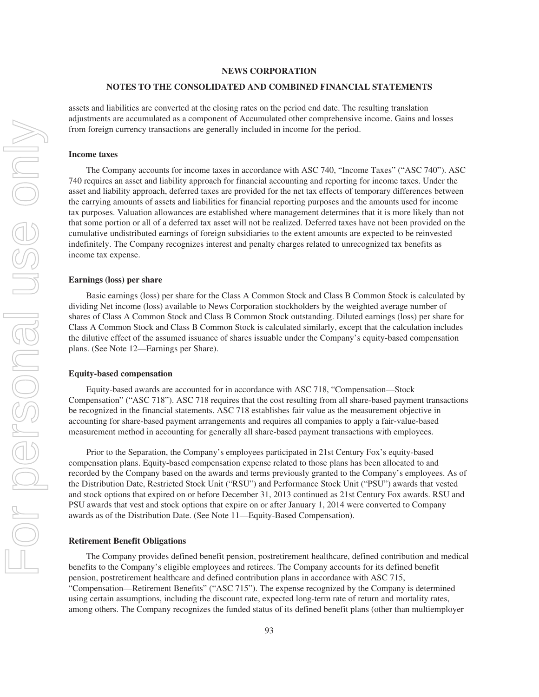# **NOTES TO THE CONSOLIDATED AND COMBINED FINANCIAL STATEMENTS**

assets and liabilities are converted at the closing rates on the period end date. The resulting translation adjustments are accumulated as a component of Accumulated other comprehensive income. Gains and losses from foreign currency transactions are generally included in income for the period.

#### **Income taxes**

The Company accounts for income taxes in accordance with ASC 740, "Income Taxes" ("ASC 740"). ASC 740 requires an asset and liability approach for financial accounting and reporting for income taxes. Under the asset and liability approach, deferred taxes are provided for the net tax effects of temporary differences between the carrying amounts of assets and liabilities for financial reporting purposes and the amounts used for income tax purposes. Valuation allowances are established where management determines that it is more likely than not that some portion or all of a deferred tax asset will not be realized. Deferred taxes have not been provided on the cumulative undistributed earnings of foreign subsidiaries to the extent amounts are expected to be reinvested indefinitely. The Company recognizes interest and penalty charges related to unrecognized tax benefits as income tax expense.

#### **Earnings (loss) per share**

Basic earnings (loss) per share for the Class A Common Stock and Class B Common Stock is calculated by dividing Net income (loss) available to News Corporation stockholders by the weighted average number of shares of Class A Common Stock and Class B Common Stock outstanding. Diluted earnings (loss) per share for Class A Common Stock and Class B Common Stock is calculated similarly, except that the calculation includes the dilutive effect of the assumed issuance of shares issuable under the Company's equity-based compensation plans. (See Note 12—Earnings per Share).

#### **Equity-based compensation**

Equity-based awards are accounted for in accordance with ASC 718, "Compensation—Stock Compensation" ("ASC 718"). ASC 718 requires that the cost resulting from all share-based payment transactions be recognized in the financial statements. ASC 718 establishes fair value as the measurement objective in accounting for share-based payment arrangements and requires all companies to apply a fair-value-based measurement method in accounting for generally all share-based payment transactions with employees.

Prior to the Separation, the Company's employees participated in 21st Century Fox's equity-based compensation plans. Equity-based compensation expense related to those plans has been allocated to and recorded by the Company based on the awards and terms previously granted to the Company's employees. As of the Distribution Date, Restricted Stock Unit ("RSU") and Performance Stock Unit ("PSU") awards that vested and stock options that expired on or before December 31, 2013 continued as 21st Century Fox awards. RSU and PSU awards that vest and stock options that expire on or after January 1, 2014 were converted to Company awards as of the Distribution Date. (See Note 11—Equity-Based Compensation).

#### **Retirement Benefit Obligations**

The Company provides defined benefit pension, postretirement healthcare, defined contribution and medical benefits to the Company's eligible employees and retirees. The Company accounts for its defined benefit pension, postretirement healthcare and defined contribution plans in accordance with ASC 715, "Compensation—Retirement Benefits" ("ASC 715"). The expense recognized by the Company is determined using certain assumptions, including the discount rate, expected long-term rate of return and mortality rates, among others. The Company recognizes the funded status of its defined benefit plans (other than multiemployer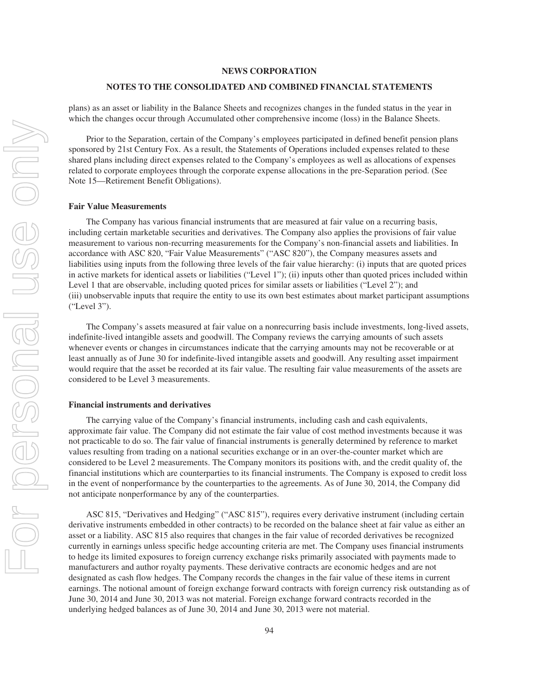# **NOTES TO THE CONSOLIDATED AND COMBINED FINANCIAL STATEMENTS**

plans) as an asset or liability in the Balance Sheets and recognizes changes in the funded status in the year in which the changes occur through Accumulated other comprehensive income (loss) in the Balance Sheets.

Prior to the Separation, certain of the Company's employees participated in defined benefit pension plans sponsored by 21st Century Fox. As a result, the Statements of Operations included expenses related to these shared plans including direct expenses related to the Company's employees as well as allocations of expenses related to corporate employees through the corporate expense allocations in the pre-Separation period. (See Note 15—Retirement Benefit Obligations).

#### **Fair Value Measurements**

The Company has various financial instruments that are measured at fair value on a recurring basis, including certain marketable securities and derivatives. The Company also applies the provisions of fair value measurement to various non-recurring measurements for the Company's non-financial assets and liabilities. In accordance with ASC 820, "Fair Value Measurements" ("ASC 820"), the Company measures assets and liabilities using inputs from the following three levels of the fair value hierarchy: (i) inputs that are quoted prices in active markets for identical assets or liabilities ("Level 1"); (ii) inputs other than quoted prices included within Level 1 that are observable, including quoted prices for similar assets or liabilities ("Level 2"); and (iii) unobservable inputs that require the entity to use its own best estimates about market participant assumptions ("Level 3").

The Company's assets measured at fair value on a nonrecurring basis include investments, long-lived assets, indefinite-lived intangible assets and goodwill. The Company reviews the carrying amounts of such assets whenever events or changes in circumstances indicate that the carrying amounts may not be recoverable or at least annually as of June 30 for indefinite-lived intangible assets and goodwill. Any resulting asset impairment would require that the asset be recorded at its fair value. The resulting fair value measurements of the assets are considered to be Level 3 measurements.

#### **Financial instruments and derivatives**

The carrying value of the Company's financial instruments, including cash and cash equivalents, approximate fair value. The Company did not estimate the fair value of cost method investments because it was not practicable to do so. The fair value of financial instruments is generally determined by reference to market values resulting from trading on a national securities exchange or in an over-the-counter market which are considered to be Level 2 measurements. The Company monitors its positions with, and the credit quality of, the financial institutions which are counterparties to its financial instruments. The Company is exposed to credit loss in the event of nonperformance by the counterparties to the agreements. As of June 30, 2014, the Company did not anticipate nonperformance by any of the counterparties.

ASC 815, "Derivatives and Hedging" ("ASC 815"), requires every derivative instrument (including certain derivative instruments embedded in other contracts) to be recorded on the balance sheet at fair value as either an asset or a liability. ASC 815 also requires that changes in the fair value of recorded derivatives be recognized currently in earnings unless specific hedge accounting criteria are met. The Company uses financial instruments to hedge its limited exposures to foreign currency exchange risks primarily associated with payments made to manufacturers and author royalty payments. These derivative contracts are economic hedges and are not designated as cash flow hedges. The Company records the changes in the fair value of these items in current earnings. The notional amount of foreign exchange forward contracts with foreign currency risk outstanding as of June 30, 2014 and June 30, 2013 was not material. Foreign exchange forward contracts recorded in the underlying hedged balances as of June 30, 2014 and June 30, 2013 were not material.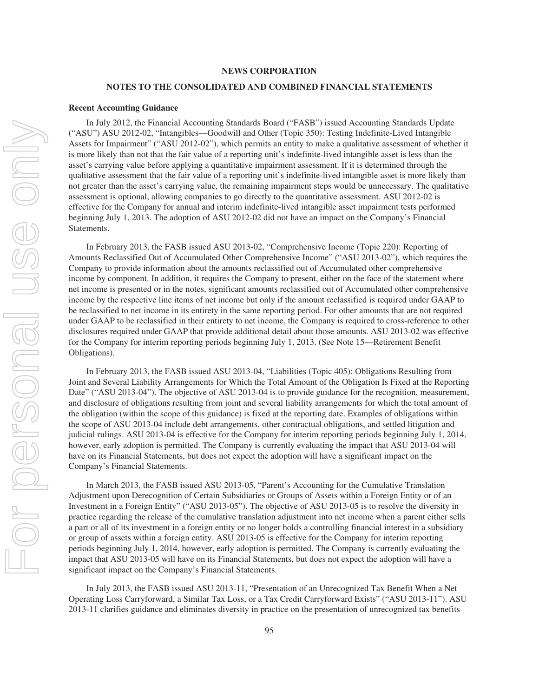# **NOTES TO THE CONSOLIDATED AND COMBINED FINANCIAL STATEMENTS**

#### **Recent Accounting Guidance**

In July 2012, the Financial Accounting Standards Board ("FASB") issued Accounting Standards Update ("ASU") ASU 2012-02, "Intangibles—Goodwill and Other (Topic 350): Testing Indefinite-Lived Intangible Assets for Impairment" ("ASU 2012-02"), which permits an entity to make a qualitative assessment of whether it is more likely than not that the fair value of a reporting unit's indefinite-lived intangible asset is less than the asset's carrying value before applying a quantitative impairment assessment. If it is determined through the qualitative assessment that the fair value of a reporting unit's indefinite-lived intangible asset is more likely than not greater than the asset's carrying value, the remaining impairment steps would be unnecessary. The qualitative assessment is optional, allowing companies to go directly to the quantitative assessment. ASU 2012-02 is effective for the Company for annual and interim indefinite-lived intangible asset impairment tests performed beginning July 1, 2013. The adoption of ASU 2012-02 did not have an impact on the Company's Financial Statements.

In February 2013, the FASB issued ASU 2013-02, "Comprehensive Income (Topic 220): Reporting of Amounts Reclassified Out of Accumulated Other Comprehensive Income" ("ASU 2013-02"), which requires the Company to provide information about the amounts reclassified out of Accumulated other comprehensive income by component. In addition, it requires the Company to present, either on the face of the statement where net income is presented or in the notes, significant amounts reclassified out of Accumulated other comprehensive income by the respective line items of net income but only if the amount reclassified is required under GAAP to be reclassified to net income in its entirety in the same reporting period. For other amounts that are not required under GAAP to be reclassified in their entirety to net income, the Company is required to cross-reference to other disclosures required under GAAP that provide additional detail about those amounts. ASU 2013-02 was effective for the Company for interim reporting periods beginning July 1, 2013. (See Note 15—Retirement Benefit Obligations).

In February 2013, the FASB issued ASU 2013-04, "Liabilities (Topic 405): Obligations Resulting from Joint and Several Liability Arrangements for Which the Total Amount of the Obligation Is Fixed at the Reporting Date" ("ASU 2013-04"). The objective of ASU 2013-04 is to provide guidance for the recognition, measurement, and disclosure of obligations resulting from joint and several liability arrangements for which the total amount of the obligation (within the scope of this guidance) is fixed at the reporting date. Examples of obligations within the scope of ASU 2013-04 include debt arrangements, other contractual obligations, and settled litigation and judicial rulings. ASU 2013-04 is effective for the Company for interim reporting periods beginning July 1, 2014, however, early adoption is permitted. The Company is currently evaluating the impact that ASU 2013-04 will have on its Financial Statements, but does not expect the adoption will have a significant impact on the Company's Financial Statements.

In March 2013, the FASB issued ASU 2013-05, "Parent's Accounting for the Cumulative Translation Adjustment upon Derecognition of Certain Subsidiaries or Groups of Assets within a Foreign Entity or of an Investment in a Foreign Entity" ("ASU 2013-05"). The objective of ASU 2013-05 is to resolve the diversity in practice regarding the release of the cumulative translation adjustment into net income when a parent either sells a part or all of its investment in a foreign entity or no longer holds a controlling financial interest in a subsidiary or group of assets within a foreign entity. ASU 2013-05 is effective for the Company for interim reporting periods beginning July 1, 2014, however, early adoption is permitted. The Company is currently evaluating the impact that ASU 2013-05 will have on its Financial Statements, but does not expect the adoption will have a significant impact on the Company's Financial Statements.

In July 2013, the FASB issued ASU 2013-11, "Presentation of an Unrecognized Tax Benefit When a Net Operating Loss Carryforward, a Similar Tax Loss, or a Tax Credit Carryforward Exists" ("ASU 2013-11"). ASU 2013-11 clarifies guidance and eliminates diversity in practice on the presentation of unrecognized tax benefits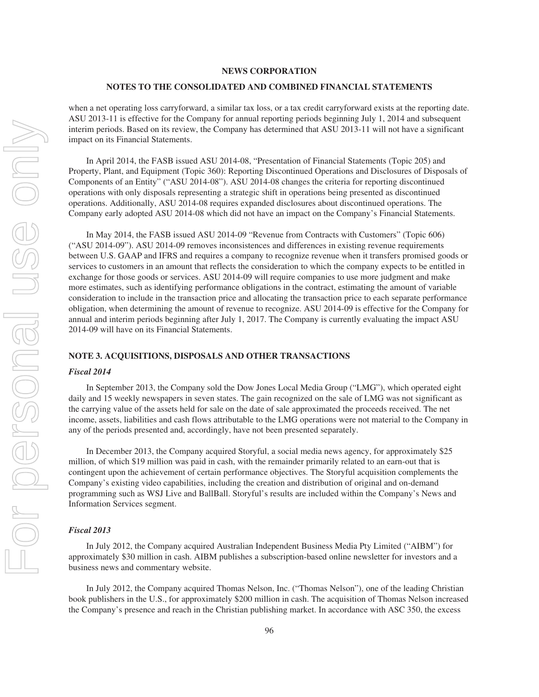# **NOTES TO THE CONSOLIDATED AND COMBINED FINANCIAL STATEMENTS**

when a net operating loss carryforward, a similar tax loss, or a tax credit carryforward exists at the reporting date. ASU 2013-11 is effective for the Company for annual reporting periods beginning July 1, 2014 and subsequent interim periods. Based on its review, the Company has determined that ASU 2013-11 will not have a significant impact on its Financial Statements.

In April 2014, the FASB issued ASU 2014-08, "Presentation of Financial Statements (Topic 205) and Property, Plant, and Equipment (Topic 360): Reporting Discontinued Operations and Disclosures of Disposals of Components of an Entity" ("ASU 2014-08"). ASU 2014-08 changes the criteria for reporting discontinued operations with only disposals representing a strategic shift in operations being presented as discontinued operations. Additionally, ASU 2014-08 requires expanded disclosures about discontinued operations. The Company early adopted ASU 2014-08 which did not have an impact on the Company's Financial Statements.

In May 2014, the FASB issued ASU 2014-09 "Revenue from Contracts with Customers" (Topic 606) ("ASU 2014-09"). ASU 2014-09 removes inconsistences and differences in existing revenue requirements between U.S. GAAP and IFRS and requires a company to recognize revenue when it transfers promised goods or services to customers in an amount that reflects the consideration to which the company expects to be entitled in exchange for those goods or services. ASU 2014-09 will require companies to use more judgment and make more estimates, such as identifying performance obligations in the contract, estimating the amount of variable consideration to include in the transaction price and allocating the transaction price to each separate performance obligation, when determining the amount of revenue to recognize. ASU 2014-09 is effective for the Company for annual and interim periods beginning after July 1, 2017. The Company is currently evaluating the impact ASU 2014-09 will have on its Financial Statements.

## **NOTE 3. ACQUISITIONS, DISPOSALS AND OTHER TRANSACTIONS**

# *Fiscal 2014*

In September 2013, the Company sold the Dow Jones Local Media Group ("LMG"), which operated eight daily and 15 weekly newspapers in seven states. The gain recognized on the sale of LMG was not significant as the carrying value of the assets held for sale on the date of sale approximated the proceeds received. The net income, assets, liabilities and cash flows attributable to the LMG operations were not material to the Company in any of the periods presented and, accordingly, have not been presented separately.

In December 2013, the Company acquired Storyful, a social media news agency, for approximately \$25 million, of which \$19 million was paid in cash, with the remainder primarily related to an earn-out that is contingent upon the achievement of certain performance objectives. The Storyful acquisition complements the Company's existing video capabilities, including the creation and distribution of original and on-demand programming such as WSJ Live and BallBall. Storyful's results are included within the Company's News and Information Services segment.

#### *Fiscal 2013*

In July 2012, the Company acquired Australian Independent Business Media Pty Limited ("AIBM") for approximately \$30 million in cash. AIBM publishes a subscription-based online newsletter for investors and a business news and commentary website.

In July 2012, the Company acquired Thomas Nelson, Inc. ("Thomas Nelson"), one of the leading Christian book publishers in the U.S., for approximately \$200 million in cash. The acquisition of Thomas Nelson increased the Company's presence and reach in the Christian publishing market. In accordance with ASC 350, the excess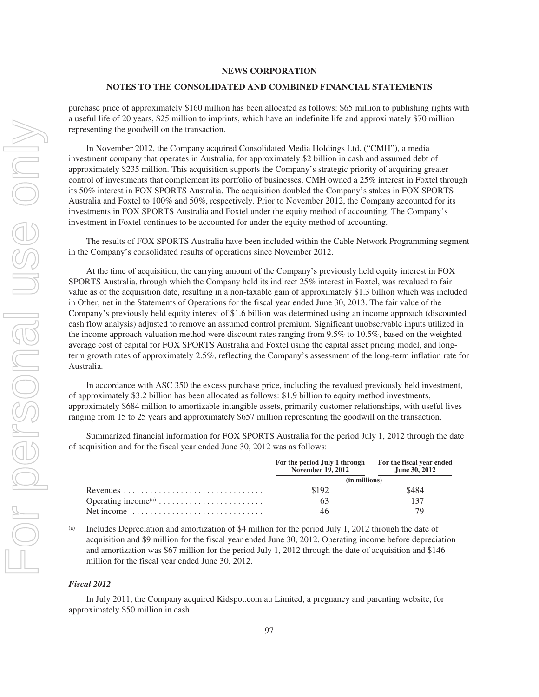# **NOTES TO THE CONSOLIDATED AND COMBINED FINANCIAL STATEMENTS**

purchase price of approximately \$160 million has been allocated as follows: \$65 million to publishing rights with a useful life of 20 years, \$25 million to imprints, which have an indefinite life and approximately \$70 million representing the goodwill on the transaction.

In November 2012, the Company acquired Consolidated Media Holdings Ltd. ("CMH"), a media investment company that operates in Australia, for approximately \$2 billion in cash and assumed debt of approximately \$235 million. This acquisition supports the Company's strategic priority of acquiring greater control of investments that complement its portfolio of businesses. CMH owned a 25% interest in Foxtel through its 50% interest in FOX SPORTS Australia. The acquisition doubled the Company's stakes in FOX SPORTS Australia and Foxtel to 100% and 50%, respectively. Prior to November 2012, the Company accounted for its investments in FOX SPORTS Australia and Foxtel under the equity method of accounting. The Company's investment in Foxtel continues to be accounted for under the equity method of accounting.

The results of FOX SPORTS Australia have been included within the Cable Network Programming segment in the Company's consolidated results of operations since November 2012.

At the time of acquisition, the carrying amount of the Company's previously held equity interest in FOX SPORTS Australia, through which the Company held its indirect 25% interest in Foxtel, was revalued to fair value as of the acquisition date, resulting in a non-taxable gain of approximately \$1.3 billion which was included in Other, net in the Statements of Operations for the fiscal year ended June 30, 2013. The fair value of the Company's previously held equity interest of \$1.6 billion was determined using an income approach (discounted cash flow analysis) adjusted to remove an assumed control premium. Significant unobservable inputs utilized in the income approach valuation method were discount rates ranging from 9.5% to 10.5%, based on the weighted average cost of capital for FOX SPORTS Australia and Foxtel using the capital asset pricing model, and longterm growth rates of approximately 2.5%, reflecting the Company's assessment of the long-term inflation rate for Australia.

In accordance with ASC 350 the excess purchase price, including the revalued previously held investment, of approximately \$3.2 billion has been allocated as follows: \$1.9 billion to equity method investments, approximately \$684 million to amortizable intangible assets, primarily customer relationships, with useful lives ranging from 15 to 25 years and approximately \$657 million representing the goodwill on the transaction.

Summarized financial information for FOX SPORTS Australia for the period July 1, 2012 through the date of acquisition and for the fiscal year ended June 30, 2012 was as follows:

|                                                                     | For the period July 1 through<br><b>November 19, 2012</b> | For the fiscal year ended<br>June 30, 2012 |
|---------------------------------------------------------------------|-----------------------------------------------------------|--------------------------------------------|
|                                                                     | (in millions)                                             |                                            |
|                                                                     | \$192                                                     | \$484                                      |
|                                                                     | 63                                                        |                                            |
| Net income $\ldots, \ldots, \ldots, \ldots, \ldots, \ldots, \ldots$ |                                                           |                                            |

(a) Includes Depreciation and amortization of \$4 million for the period July 1, 2012 through the date of acquisition and \$9 million for the fiscal year ended June 30, 2012. Operating income before depreciation and amortization was \$67 million for the period July 1, 2012 through the date of acquisition and \$146 million for the fiscal year ended June 30, 2012.

#### *Fiscal 2012*

In July 2011, the Company acquired Kidspot.com.au Limited, a pregnancy and parenting website, for approximately \$50 million in cash.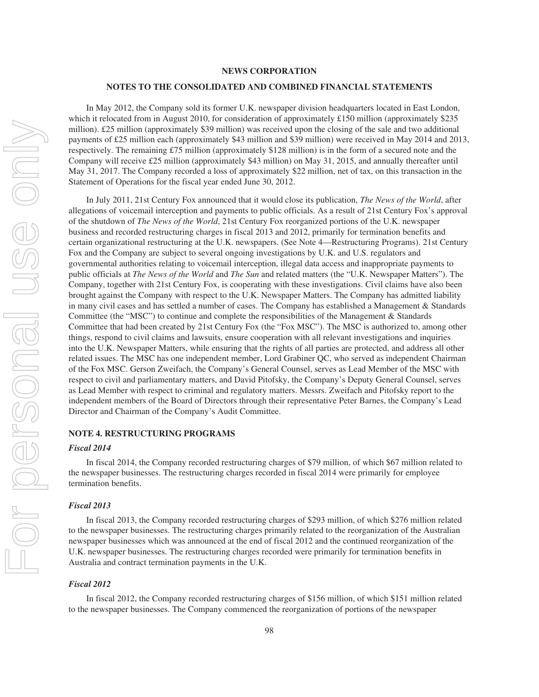# **NOTES TO THE CONSOLIDATED AND COMBINED FINANCIAL STATEMENTS**

In May 2012, the Company sold its former U.K. newspaper division headquarters located in East London, which it relocated from in August 2010, for consideration of approximately £150 million (approximately \$235 million). £25 million (approximately \$39 million) was received upon the closing of the sale and two additional payments of £25 million each (approximately \$43 million and \$39 million) were received in May 2014 and 2013, respectively. The remaining £75 million (approximately \$128 million) is in the form of a secured note and the Company will receive £25 million (approximately \$43 million) on May 31, 2015, and annually thereafter until May 31, 2017. The Company recorded a loss of approximately \$22 million, net of tax, on this transaction in the Statement of Operations for the fiscal year ended June 30, 2012.

In July 2011, 21st Century Fox announced that it would close its publication, *The News of the World*, after allegations of voicemail interception and payments to public officials. As a result of 21st Century Fox's approval of the shutdown of *The News of the World*, 21st Century Fox reorganized portions of the U.K. newspaper business and recorded restructuring charges in fiscal 2013 and 2012, primarily for termination benefits and certain organizational restructuring at the U.K. newspapers. (See Note 4—Restructuring Programs). 21st Century Fox and the Company are subject to several ongoing investigations by U.K. and U.S. regulators and governmental authorities relating to voicemail interception, illegal data access and inappropriate payments to public officials at *The News of the World* and *The Sun* and related matters (the "U.K. Newspaper Matters"). The Company, together with 21st Century Fox, is cooperating with these investigations. Civil claims have also been brought against the Company with respect to the U.K. Newspaper Matters. The Company has admitted liability in many civil cases and has settled a number of cases. The Company has established a Management & Standards Committee (the "MSC") to continue and complete the responsibilities of the Management & Standards Committee that had been created by 21st Century Fox (the "Fox MSC"). The MSC is authorized to, among other things, respond to civil claims and lawsuits, ensure cooperation with all relevant investigations and inquiries into the U.K. Newspaper Matters, while ensuring that the rights of all parties are protected, and address all other related issues. The MSC has one independent member, Lord Grabiner QC, who served as independent Chairman of the Fox MSC. Gerson Zweifach, the Company's General Counsel, serves as Lead Member of the MSC with respect to civil and parliamentary matters, and David Pitofsky, the Company's Deputy General Counsel, serves as Lead Member with respect to criminal and regulatory matters. Messrs. Zweifach and Pitofsky report to the independent members of the Board of Directors through their representative Peter Barnes, the Company's Lead Director and Chairman of the Company's Audit Committee.

# **NOTE 4. RESTRUCTURING PROGRAMS**

#### *Fiscal 2014*

In fiscal 2014, the Company recorded restructuring charges of \$79 million, of which \$67 million related to the newspaper businesses. The restructuring charges recorded in fiscal 2014 were primarily for employee termination benefits.

#### *Fiscal 2013*

In fiscal 2013, the Company recorded restructuring charges of \$293 million, of which \$276 million related to the newspaper businesses. The restructuring charges primarily related to the reorganization of the Australian newspaper businesses which was announced at the end of fiscal 2012 and the continued reorganization of the U.K. newspaper businesses. The restructuring charges recorded were primarily for termination benefits in Australia and contract termination payments in the U.K.

#### *Fiscal 2012*

In fiscal 2012, the Company recorded restructuring charges of \$156 million, of which \$151 million related to the newspaper businesses. The Company commenced the reorganization of portions of the newspaper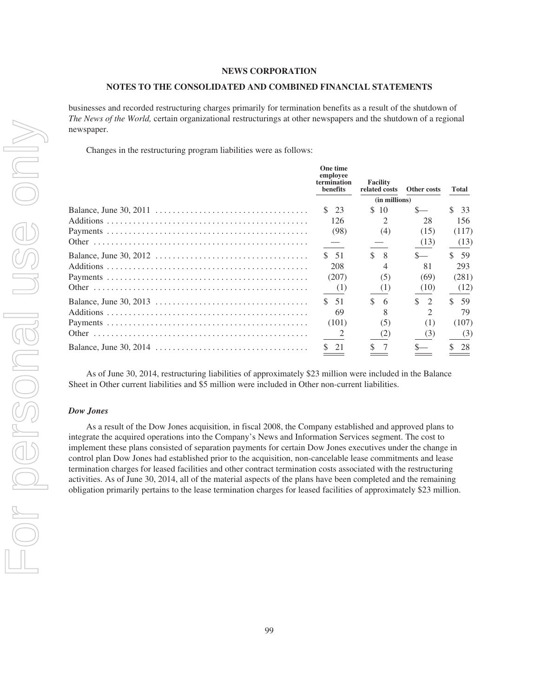# **NOTES TO THE CONSOLIDATED AND COMBINED FINANCIAL STATEMENTS**

businesses and recorded restructuring charges primarily for termination benefits as a result of the shutdown of *The News of the World,* certain organizational restructurings at other newspapers and the shutdown of a regional newspaper.

Changes in the restructuring program liabilities were as follows:

| One time<br>employee<br>termination<br>benefits | <b>Facility</b><br>related costs | Other costs                 | Total     |
|-------------------------------------------------|----------------------------------|-----------------------------|-----------|
|                                                 | (in millions)                    |                             |           |
| $\frac{1}{23}$                                  | \$10                             |                             | S.<br>-33 |
| 126                                             |                                  | 28                          | 156       |
| (98)                                            | (4)                              | (15)                        | (117)     |
|                                                 |                                  | (13)                        | (13)      |
| \$51                                            | $\frac{1}{2}$                    | $S-$                        | - 59      |
| 208                                             |                                  | 81                          | 293       |
| (207)                                           | (5)                              | (69)                        | (281)     |
| (1)                                             | (1)                              | (10)                        | (12)      |
| \$51                                            | -6                               | 2<br>$\mathcal{S}$          | 59        |
| 69                                              | 8                                | $\mathcal{D}_{\mathcal{A}}$ | 79        |
| (101)                                           | (5)                              | (1)                         | (107)     |
| 2                                               | (2)                              | (3)                         | (3)       |
| 21                                              |                                  |                             | 28        |

As of June 30, 2014, restructuring liabilities of approximately \$23 million were included in the Balance Sheet in Other current liabilities and \$5 million were included in Other non-current liabilities.

#### *Dow Jones*

As a result of the Dow Jones acquisition, in fiscal 2008, the Company established and approved plans to integrate the acquired operations into the Company's News and Information Services segment. The cost to implement these plans consisted of separation payments for certain Dow Jones executives under the change in control plan Dow Jones had established prior to the acquisition, non-cancelable lease commitments and lease termination charges for leased facilities and other contract termination costs associated with the restructuring activities. As of June 30, 2014, all of the material aspects of the plans have been completed and the remaining obligation primarily pertains to the lease termination charges for leased facilities of approximately \$23 million.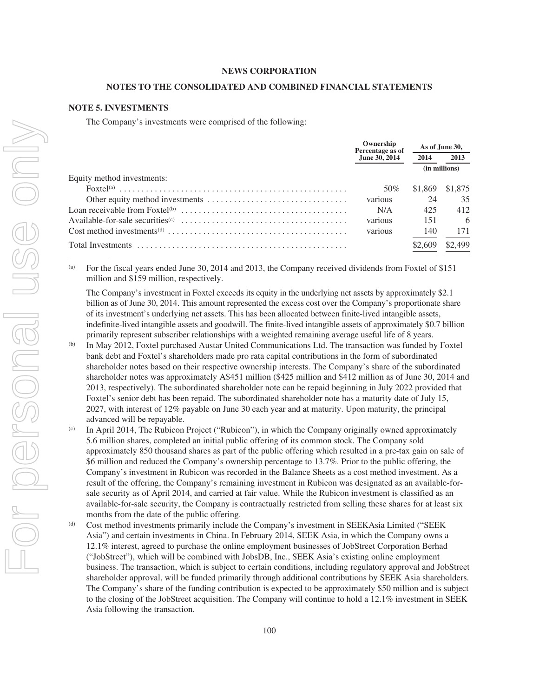# **NOTES TO THE CONSOLIDATED AND COMBINED FINANCIAL STATEMENTS**

## **NOTE 5. INVESTMENTS**

The Company's investments were comprised of the following:

|                            | Ownership<br>Percentage as of | As of June 30, |         |
|----------------------------|-------------------------------|----------------|---------|
|                            | June 30, 2014                 | 2014           | 2013    |
|                            |                               | (in millions)  |         |
| Equity method investments: |                               |                |         |
|                            | 50%                           | \$1,869        | \$1,875 |
|                            | various                       | 24             | 35      |
|                            | N/A                           | 425            | 412     |
|                            | various                       | 151            | -6      |
|                            | various                       | 140            | 171     |
|                            |                               | \$2.609        | \$2.499 |

(a) For the fiscal years ended June 30, 2014 and 2013, the Company received dividends from Foxtel of \$151 million and \$159 million, respectively.

The Company's investment in Foxtel exceeds its equity in the underlying net assets by approximately \$2.1 billion as of June 30, 2014. This amount represented the excess cost over the Company's proportionate share of its investment's underlying net assets. This has been allocated between finite-lived intangible assets, indefinite-lived intangible assets and goodwill. The finite-lived intangible assets of approximately \$0.7 billion primarily represent subscriber relationships with a weighted remaining average useful life of 8 years.

- (b) In May 2012, Foxtel purchased Austar United Communications Ltd. The transaction was funded by Foxtel bank debt and Foxtel's shareholders made pro rata capital contributions in the form of subordinated shareholder notes based on their respective ownership interests. The Company's share of the subordinated shareholder notes was approximately A\$451 million (\$425 million and \$412 million as of June 30, 2014 and 2013, respectively). The subordinated shareholder note can be repaid beginning in July 2022 provided that Foxtel's senior debt has been repaid. The subordinated shareholder note has a maturity date of July 15, 2027, with interest of 12% payable on June 30 each year and at maturity. Upon maturity, the principal advanced will be repayable.
- (c) In April 2014, The Rubicon Project ("Rubicon"), in which the Company originally owned approximately 5.6 million shares, completed an initial public offering of its common stock. The Company sold approximately 850 thousand shares as part of the public offering which resulted in a pre-tax gain on sale of \$6 million and reduced the Company's ownership percentage to 13.7%. Prior to the public offering, the Company's investment in Rubicon was recorded in the Balance Sheets as a cost method investment. As a result of the offering, the Company's remaining investment in Rubicon was designated as an available-forsale security as of April 2014, and carried at fair value. While the Rubicon investment is classified as an available-for-sale security, the Company is contractually restricted from selling these shares for at least six months from the date of the public offering.
- (d) Cost method investments primarily include the Company's investment in SEEKAsia Limited ("SEEK Asia") and certain investments in China. In February 2014, SEEK Asia, in which the Company owns a 12.1% interest, agreed to purchase the online employment businesses of JobStreet Corporation Berhad ("JobStreet"), which will be combined with JobsDB, Inc., SEEK Asia's existing online employment business. The transaction, which is subject to certain conditions, including regulatory approval and JobStreet shareholder approval, will be funded primarily through additional contributions by SEEK Asia shareholders. The Company's share of the funding contribution is expected to be approximately \$50 million and is subject to the closing of the JobStreet acquisition. The Company will continue to hold a 12.1% investment in SEEK Asia following the transaction.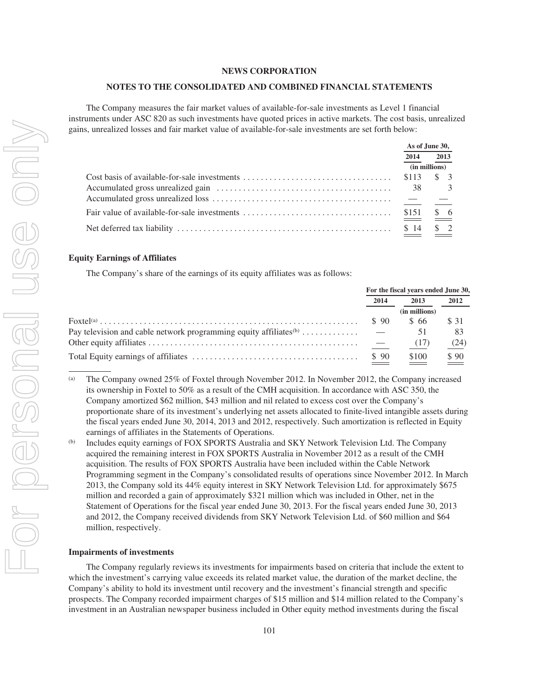# **NOTES TO THE CONSOLIDATED AND COMBINED FINANCIAL STATEMENTS**

The Company measures the fair market values of available-for-sale investments as Level 1 financial instruments under ASC 820 as such investments have quoted prices in active markets. The cost basis, unrealized gains, unrealized losses and fair market value of available-for-sale investments are set forth below:

|                                                                                                                        | As of June 30,                      |               |                           |
|------------------------------------------------------------------------------------------------------------------------|-------------------------------------|---------------|---------------------------|
|                                                                                                                        | 2014 2013                           |               |                           |
|                                                                                                                        | (in millions)                       |               |                           |
| Cost basis of available-for-sale investments $\dots \dots \dots \dots \dots \dots \dots \dots \dots \dots \dots$       | $$113 \t$3$                         |               |                           |
|                                                                                                                        |                                     |               | $\overline{\phantom{a}3}$ |
|                                                                                                                        |                                     |               |                           |
| Fair value of available-for-sale investments $\dots \dots \dots \dots \dots \dots \dots \dots \dots \dots \dots \dots$ | $\frac{$151}{2} \quad \frac{$6}{2}$ |               |                           |
|                                                                                                                        | \$14                                | $\frac{1}{2}$ |                           |

#### **Equity Earnings of Affiliates**

The Company's share of the earnings of its equity affiliates was as follows:

|                                                                               |        | For the fiscal vears ended June 30, |       |  |
|-------------------------------------------------------------------------------|--------|-------------------------------------|-------|--|
|                                                                               | 2014   | 2013                                | 2012  |  |
|                                                                               |        | (in millions)                       |       |  |
|                                                                               | \$90   | \$66                                | \$ 31 |  |
| Pay television and cable network programming equity affiliates <sup>(b)</sup> |        | 51                                  | 83    |  |
|                                                                               | $\sim$ | (17)                                | (24)  |  |
|                                                                               | \$90   | \$100                               | \$90  |  |

(a) The Company owned  $25\%$  of Foxtel through November 2012. In November 2012, the Company increased its ownership in Foxtel to 50% as a result of the CMH acquisition. In accordance with ASC 350, the Company amortized \$62 million, \$43 million and nil related to excess cost over the Company's proportionate share of its investment's underlying net assets allocated to finite-lived intangible assets during the fiscal years ended June 30, 2014, 2013 and 2012, respectively. Such amortization is reflected in Equity earnings of affiliates in the Statements of Operations.

(b) Includes equity earnings of FOX SPORTS Australia and SKY Network Television Ltd. The Company acquired the remaining interest in FOX SPORTS Australia in November 2012 as a result of the CMH acquisition. The results of FOX SPORTS Australia have been included within the Cable Network Programming segment in the Company's consolidated results of operations since November 2012. In March 2013, the Company sold its 44% equity interest in SKY Network Television Ltd. for approximately \$675 million and recorded a gain of approximately \$321 million which was included in Other, net in the Statement of Operations for the fiscal year ended June 30, 2013. For the fiscal years ended June 30, 2013 and 2012, the Company received dividends from SKY Network Television Ltd. of \$60 million and \$64 million, respectively.

#### **Impairments of investments**

The Company regularly reviews its investments for impairments based on criteria that include the extent to which the investment's carrying value exceeds its related market value, the duration of the market decline, the Company's ability to hold its investment until recovery and the investment's financial strength and specific prospects. The Company recorded impairment charges of \$15 million and \$14 million related to the Company's investment in an Australian newspaper business included in Other equity method investments during the fiscal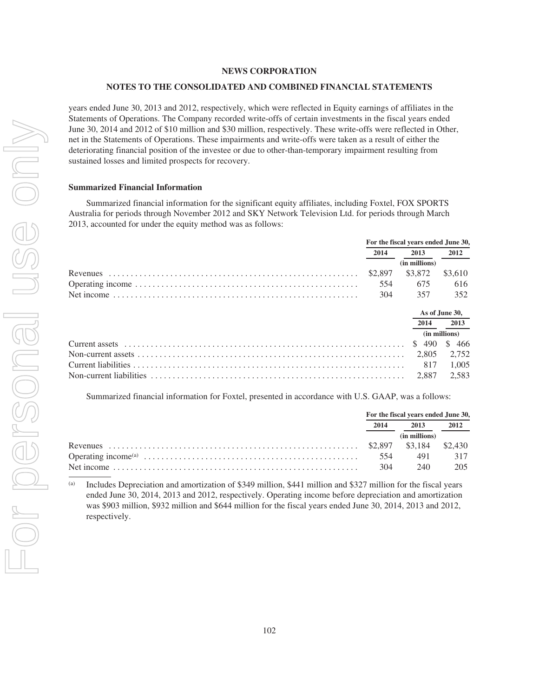# **NOTES TO THE CONSOLIDATED AND COMBINED FINANCIAL STATEMENTS**

years ended June 30, 2013 and 2012, respectively, which were reflected in Equity earnings of affiliates in the Statements of Operations. The Company recorded write-offs of certain investments in the fiscal years ended June 30, 2014 and 2012 of \$10 million and \$30 million, respectively. These write-offs were reflected in Other, net in the Statements of Operations. These impairments and write-offs were taken as a result of either the deteriorating financial position of the investee or due to other-than-temporary impairment resulting from sustained losses and limited prospects for recovery.

#### **Summarized Financial Information**

Summarized financial information for the significant equity affiliates, including Foxtel, FOX SPORTS Australia for periods through November 2012 and SKY Network Television Ltd. for periods through March 2013, accounted for under the equity method was as follows:

| For the fiscal years ended June 30, |               |                        |
|-------------------------------------|---------------|------------------------|
| 2014                                | 2013          | 2012                   |
|                                     | (in millions) |                        |
| \$2,897                             | \$3,872       | \$3,610                |
| 554                                 | 675           | 616                    |
| 304                                 | 357           | 352                    |
|                                     | 2014          | As of June 30,<br>2013 |
|                                     |               | (in millions)          |
|                                     | S.<br>490     | S.<br>466              |
|                                     | 2.805         | 2.752                  |
|                                     | 817           | 1.005                  |
|                                     | 2.887         | 2.583                  |

Summarized financial information for Foxtel, presented in accordance with U.S. GAAP, was a follows:

| For the fiscal years ended June 30. |               |      |
|-------------------------------------|---------------|------|
| 2014                                | 2013          | 2012 |
|                                     | (in millions) |      |
|                                     |               |      |
| 554                                 | 491           | 317  |
| 304                                 | 240           | 205  |

(a) Includes Depreciation and amortization of \$349 million, \$441 million and \$327 million for the fiscal years ended June 30, 2014, 2013 and 2012, respectively. Operating income before depreciation and amortization was \$903 million, \$932 million and \$644 million for the fiscal years ended June 30, 2014, 2013 and 2012, respectively.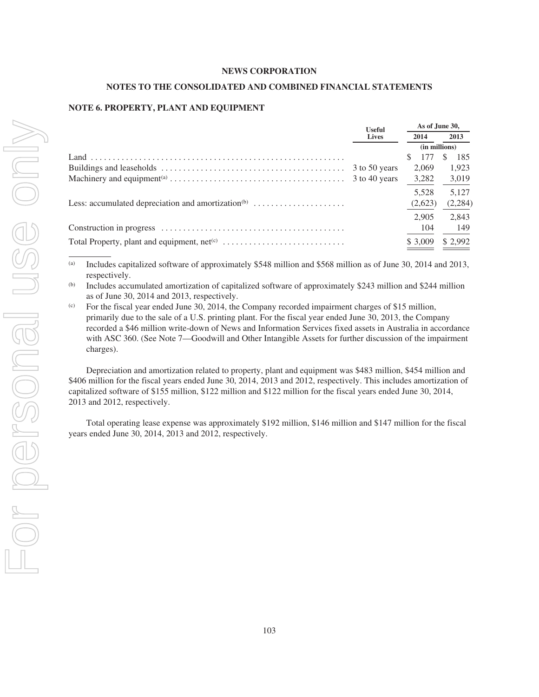# **NOTES TO THE CONSOLIDATED AND COMBINED FINANCIAL STATEMENTS**

# **NOTE 6. PROPERTY, PLANT AND EQUIPMENT**

| As of June 30, |
|----------------|
| 2013           |
| (in millions)  |
| - 185<br>S.    |
| 1,923          |
| 3,019          |
| 5,127          |
| (2, 284)       |
| 2,843          |
| 149            |
| \$2,992        |
|                |

(a) Includes capitalized software of approximately \$548 million and \$568 million as of June 30, 2014 and 2013, respectively.

(b) Includes accumulated amortization of capitalized software of approximately \$243 million and \$244 million as of June 30, 2014 and 2013, respectively.

 $\mu$ <sup>(c)</sup> For the fiscal year ended June 30, 2014, the Company recorded impairment charges of \$15 million, primarily due to the sale of a U.S. printing plant. For the fiscal year ended June 30, 2013, the Company recorded a \$46 million write-down of News and Information Services fixed assets in Australia in accordance with ASC 360. (See Note 7—Goodwill and Other Intangible Assets for further discussion of the impairment charges).

Depreciation and amortization related to property, plant and equipment was \$483 million, \$454 million and \$406 million for the fiscal years ended June 30, 2014, 2013 and 2012, respectively. This includes amortization of capitalized software of \$155 million, \$122 million and \$122 million for the fiscal years ended June 30, 2014, 2013 and 2012, respectively.

Total operating lease expense was approximately \$192 million, \$146 million and \$147 million for the fiscal years ended June 30, 2014, 2013 and 2012, respectively.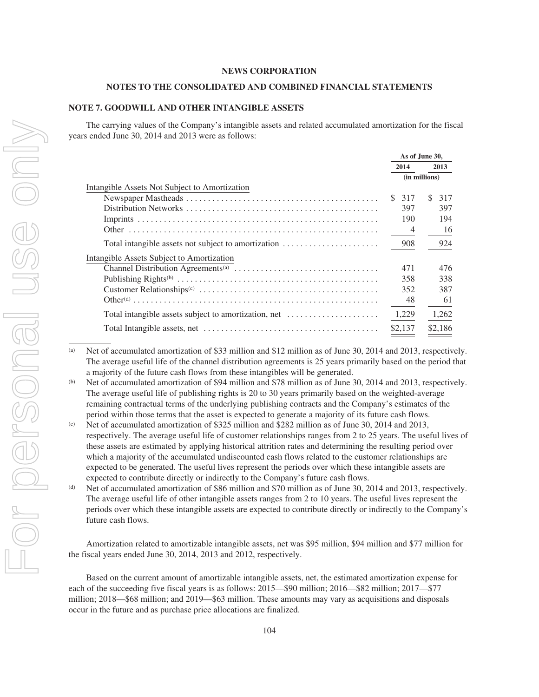# **NOTES TO THE CONSOLIDATED AND COMBINED FINANCIAL STATEMENTS**

#### **NOTE 7. GOODWILL AND OTHER INTANGIBLE ASSETS**

The carrying values of the Company's intangible assets and related accumulated amortization for the fiscal years ended June 30, 2014 and 2013 were as follows:

|                                                      | As of June 30, |           |
|------------------------------------------------------|----------------|-----------|
|                                                      | 2014           | 2013      |
|                                                      | (in millions)  |           |
| Intangible Assets Not Subject to Amortization        |                |           |
|                                                      | S.<br>317      | 317<br>S. |
|                                                      | 397            | 397       |
|                                                      | 190            | 194       |
|                                                      | 4              | 16        |
| Total intangible assets not subject to amortization  | 908            | 924       |
| Intangible Assets Subject to Amortization            |                |           |
|                                                      | 471            | 476       |
|                                                      | 358            | 338       |
|                                                      | 352            | 387       |
|                                                      | 48             | 61        |
| Total intangible assets subject to amortization, net | 1,229          | 1,262     |
|                                                      | \$2,137        | \$2.186   |

(a) Net of accumulated amortization of \$33 million and \$12 million as of June 30, 2014 and 2013, respectively. The average useful life of the channel distribution agreements is 25 years primarily based on the period that a majority of the future cash flows from these intangibles will be generated.

(b) Net of accumulated amortization of \$94 million and \$78 million as of June 30, 2014 and 2013, respectively. The average useful life of publishing rights is 20 to 30 years primarily based on the weighted-average remaining contractual terms of the underlying publishing contracts and the Company's estimates of the period within those terms that the asset is expected to generate a majority of its future cash flows.

- $\degree$  Net of accumulated amortization of \$325 million and \$282 million as of June 30, 2014 and 2013, respectively. The average useful life of customer relationships ranges from 2 to 25 years. The useful lives of these assets are estimated by applying historical attrition rates and determining the resulting period over which a majority of the accumulated undiscounted cash flows related to the customer relationships are expected to be generated. The useful lives represent the periods over which these intangible assets are expected to contribute directly or indirectly to the Company's future cash flows.
- (d) Net of accumulated amortization of \$86 million and \$70 million as of June 30, 2014 and 2013, respectively. The average useful life of other intangible assets ranges from 2 to 10 years. The useful lives represent the periods over which these intangible assets are expected to contribute directly or indirectly to the Company's future cash flows.

Amortization related to amortizable intangible assets, net was \$95 million, \$94 million and \$77 million for the fiscal years ended June 30, 2014, 2013 and 2012, respectively.

Based on the current amount of amortizable intangible assets, net, the estimated amortization expense for each of the succeeding five fiscal years is as follows: 2015—\$90 million; 2016—\$82 million; 2017—\$77 million; 2018—\$68 million; and 2019—\$63 million. These amounts may vary as acquisitions and disposals occur in the future and as purchase price allocations are finalized.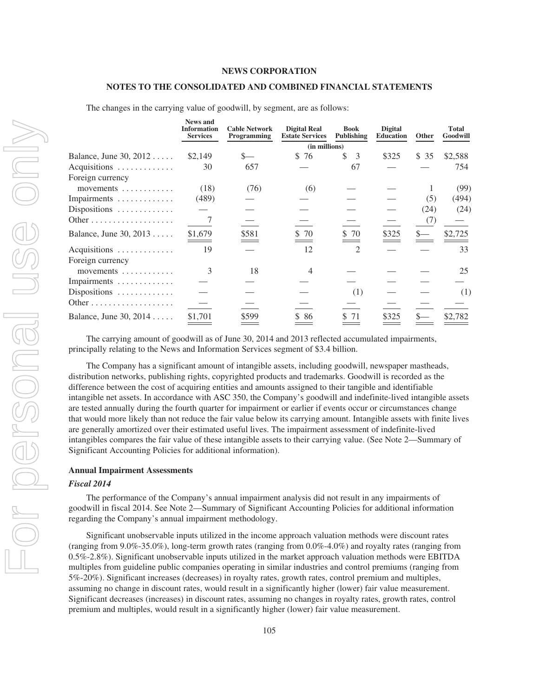#### **NOTES TO THE CONSOLIDATED AND COMBINED FINANCIAL STATEMENTS**

|                                     | <b>News and</b><br><b>Information</b><br><b>Services</b> | <b>Cable Network</b><br>Programming | <b>Digital Real</b><br><b>Estate Services</b> | <b>Book</b><br>Publishing | <b>Digital</b><br><b>Education</b> | Other | Total<br>Goodwill |  |
|-------------------------------------|----------------------------------------------------------|-------------------------------------|-----------------------------------------------|---------------------------|------------------------------------|-------|-------------------|--|
|                                     |                                                          |                                     | (in millions)                                 |                           |                                    |       |                   |  |
| Balance, June 30, 2012              | \$2,149                                                  |                                     | \$76                                          | \$.<br>3                  | \$325                              | \$35  | \$2,588           |  |
| Acquisitions                        | 30                                                       | 657                                 |                                               | 67                        |                                    |       | 754               |  |
| Foreign currency                    |                                                          |                                     |                                               |                           |                                    |       |                   |  |
| movements $\dots\dots\dots\dots$    | (18)                                                     | (76)                                | (6)                                           |                           |                                    |       | (99)              |  |
| Impairments                         | (489)                                                    |                                     |                                               |                           |                                    | (5)   | (494)             |  |
| $Dispositions \ldots \ldots \ldots$ |                                                          |                                     |                                               |                           |                                    | (24)  | (24)              |  |
|                                     |                                                          |                                     |                                               |                           |                                    | (7)   |                   |  |
| Balance, June 30, 2013              | \$1,679                                                  | \$581                               | \$ 70                                         | \$70                      | \$325                              |       | \$2,725           |  |
| Acquisitions                        | 19                                                       |                                     | 12                                            | $\mathfrak{2}$            |                                    |       | 33                |  |
| Foreign currency                    |                                                          |                                     |                                               |                           |                                    |       |                   |  |
| movements $\dots\dots\dots\dots$    | 3                                                        | 18                                  | $\overline{4}$                                |                           |                                    |       | 25                |  |
| Impairments                         |                                                          |                                     |                                               |                           |                                    |       |                   |  |
| $Dispositions \ldots \ldots \ldots$ |                                                          |                                     |                                               | (1)                       |                                    |       | (1)               |  |
|                                     |                                                          |                                     |                                               |                           |                                    |       |                   |  |
| Balance, June 30, 2014              | \$1.701                                                  | \$599                               | \$86                                          | \$71                      | \$325                              |       | \$2,782           |  |

The changes in the carrying value of goodwill, by segment, are as follows:

The carrying amount of goodwill as of June 30, 2014 and 2013 reflected accumulated impairments, principally relating to the News and Information Services segment of \$3.4 billion.

The Company has a significant amount of intangible assets, including goodwill, newspaper mastheads, distribution networks, publishing rights, copyrighted products and trademarks. Goodwill is recorded as the difference between the cost of acquiring entities and amounts assigned to their tangible and identifiable intangible net assets. In accordance with ASC 350, the Company's goodwill and indefinite-lived intangible assets are tested annually during the fourth quarter for impairment or earlier if events occur or circumstances change that would more likely than not reduce the fair value below its carrying amount. Intangible assets with finite lives are generally amortized over their estimated useful lives. The impairment assessment of indefinite-lived intangibles compares the fair value of these intangible assets to their carrying value. (See Note 2—Summary of Significant Accounting Policies for additional information).

#### **Annual Impairment Assessments**

#### *Fiscal 2014*

The performance of the Company's annual impairment analysis did not result in any impairments of goodwill in fiscal 2014. See Note 2—Summary of Significant Accounting Policies for additional information regarding the Company's annual impairment methodology.

Significant unobservable inputs utilized in the income approach valuation methods were discount rates (ranging from 9.0%-35.0%), long-term growth rates (ranging from 0.0%-4.0%) and royalty rates (ranging from 0.5%-2.8%). Significant unobservable inputs utilized in the market approach valuation methods were EBITDA multiples from guideline public companies operating in similar industries and control premiums (ranging from 5%-20%). Significant increases (decreases) in royalty rates, growth rates, control premium and multiples, assuming no change in discount rates, would result in a significantly higher (lower) fair value measurement. Significant decreases (increases) in discount rates, assuming no changes in royalty rates, growth rates, control premium and multiples, would result in a significantly higher (lower) fair value measurement.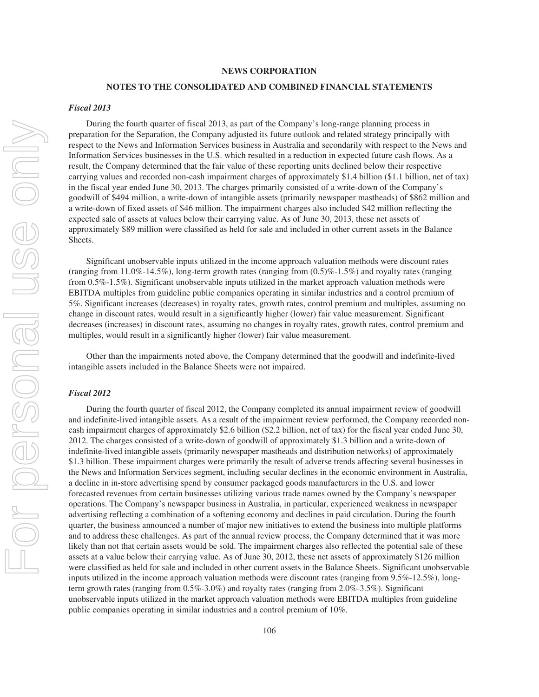# **NOTES TO THE CONSOLIDATED AND COMBINED FINANCIAL STATEMENTS**

## *Fiscal 2013*

During the fourth quarter of fiscal 2013, as part of the Company's long-range planning process in preparation for the Separation, the Company adjusted its future outlook and related strategy principally with respect to the News and Information Services business in Australia and secondarily with respect to the News and Information Services businesses in the U.S. which resulted in a reduction in expected future cash flows. As a result, the Company determined that the fair value of these reporting units declined below their respective carrying values and recorded non-cash impairment charges of approximately \$1.4 billion (\$1.1 billion, net of tax) in the fiscal year ended June 30, 2013. The charges primarily consisted of a write-down of the Company's goodwill of \$494 million, a write-down of intangible assets (primarily newspaper mastheads) of \$862 million and a write-down of fixed assets of \$46 million. The impairment charges also included \$42 million reflecting the expected sale of assets at values below their carrying value. As of June 30, 2013, these net assets of approximately \$89 million were classified as held for sale and included in other current assets in the Balance Sheets.

Significant unobservable inputs utilized in the income approach valuation methods were discount rates (ranging from 11.0%-14.5%), long-term growth rates (ranging from (0.5)%-1.5%) and royalty rates (ranging from 0.5%-1.5%). Significant unobservable inputs utilized in the market approach valuation methods were EBITDA multiples from guideline public companies operating in similar industries and a control premium of 5%. Significant increases (decreases) in royalty rates, growth rates, control premium and multiples, assuming no change in discount rates, would result in a significantly higher (lower) fair value measurement. Significant decreases (increases) in discount rates, assuming no changes in royalty rates, growth rates, control premium and multiples, would result in a significantly higher (lower) fair value measurement.

Other than the impairments noted above, the Company determined that the goodwill and indefinite-lived intangible assets included in the Balance Sheets were not impaired.

## *Fiscal 2012*

During the fourth quarter of fiscal 2012, the Company completed its annual impairment review of goodwill and indefinite-lived intangible assets. As a result of the impairment review performed, the Company recorded noncash impairment charges of approximately \$2.6 billion (\$2.2 billion, net of tax) for the fiscal year ended June 30, 2012. The charges consisted of a write-down of goodwill of approximately \$1.3 billion and a write-down of indefinite-lived intangible assets (primarily newspaper mastheads and distribution networks) of approximately \$1.3 billion. These impairment charges were primarily the result of adverse trends affecting several businesses in the News and Information Services segment, including secular declines in the economic environment in Australia, a decline in in-store advertising spend by consumer packaged goods manufacturers in the U.S. and lower forecasted revenues from certain businesses utilizing various trade names owned by the Company's newspaper operations. The Company's newspaper business in Australia, in particular, experienced weakness in newspaper advertising reflecting a combination of a softening economy and declines in paid circulation. During the fourth quarter, the business announced a number of major new initiatives to extend the business into multiple platforms and to address these challenges. As part of the annual review process, the Company determined that it was more likely than not that certain assets would be sold. The impairment charges also reflected the potential sale of these assets at a value below their carrying value. As of June 30, 2012, these net assets of approximately \$126 million were classified as held for sale and included in other current assets in the Balance Sheets. Significant unobservable inputs utilized in the income approach valuation methods were discount rates (ranging from 9.5%-12.5%), longterm growth rates (ranging from 0.5%-3.0%) and royalty rates (ranging from 2.0%-3.5%). Significant unobservable inputs utilized in the market approach valuation methods were EBITDA multiples from guideline public companies operating in similar industries and a control premium of 10%.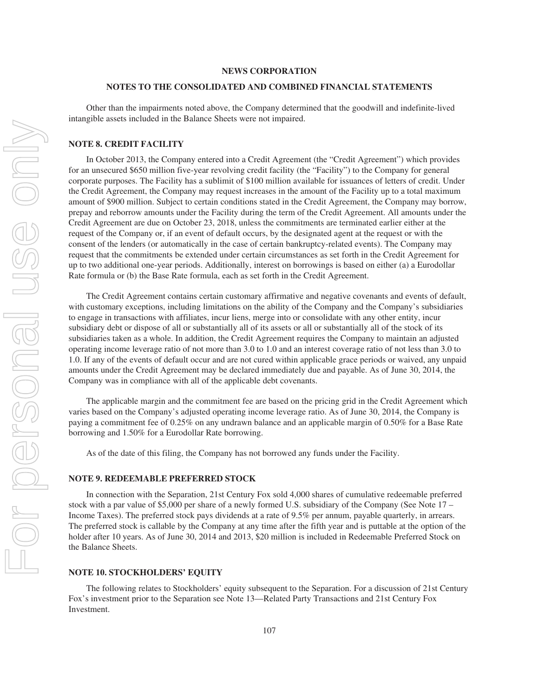# **NOTES TO THE CONSOLIDATED AND COMBINED FINANCIAL STATEMENTS**

Other than the impairments noted above, the Company determined that the goodwill and indefinite-lived intangible assets included in the Balance Sheets were not impaired.

## **NOTE 8. CREDIT FACILITY**

In October 2013, the Company entered into a Credit Agreement (the "Credit Agreement") which provides for an unsecured \$650 million five-year revolving credit facility (the "Facility") to the Company for general corporate purposes. The Facility has a sublimit of \$100 million available for issuances of letters of credit. Under the Credit Agreement, the Company may request increases in the amount of the Facility up to a total maximum amount of \$900 million. Subject to certain conditions stated in the Credit Agreement, the Company may borrow, prepay and reborrow amounts under the Facility during the term of the Credit Agreement. All amounts under the Credit Agreement are due on October 23, 2018, unless the commitments are terminated earlier either at the request of the Company or, if an event of default occurs, by the designated agent at the request or with the consent of the lenders (or automatically in the case of certain bankruptcy-related events). The Company may request that the commitments be extended under certain circumstances as set forth in the Credit Agreement for up to two additional one-year periods. Additionally, interest on borrowings is based on either (a) a Eurodollar Rate formula or (b) the Base Rate formula, each as set forth in the Credit Agreement.

The Credit Agreement contains certain customary affirmative and negative covenants and events of default, with customary exceptions, including limitations on the ability of the Company and the Company's subsidiaries to engage in transactions with affiliates, incur liens, merge into or consolidate with any other entity, incur subsidiary debt or dispose of all or substantially all of its assets or all or substantially all of the stock of its subsidiaries taken as a whole. In addition, the Credit Agreement requires the Company to maintain an adjusted operating income leverage ratio of not more than 3.0 to 1.0 and an interest coverage ratio of not less than 3.0 to 1.0. If any of the events of default occur and are not cured within applicable grace periods or waived, any unpaid amounts under the Credit Agreement may be declared immediately due and payable. As of June 30, 2014, the Company was in compliance with all of the applicable debt covenants.

The applicable margin and the commitment fee are based on the pricing grid in the Credit Agreement which varies based on the Company's adjusted operating income leverage ratio. As of June 30, 2014, the Company is paying a commitment fee of 0.25% on any undrawn balance and an applicable margin of 0.50% for a Base Rate borrowing and 1.50% for a Eurodollar Rate borrowing.

As of the date of this filing, the Company has not borrowed any funds under the Facility.

# **NOTE 9. REDEEMABLE PREFERRED STOCK**

In connection with the Separation, 21st Century Fox sold 4,000 shares of cumulative redeemable preferred stock with a par value of \$5,000 per share of a newly formed U.S. subsidiary of the Company (See Note 17 – Income Taxes). The preferred stock pays dividends at a rate of 9.5% per annum, payable quarterly, in arrears. The preferred stock is callable by the Company at any time after the fifth year and is puttable at the option of the holder after 10 years. As of June 30, 2014 and 2013, \$20 million is included in Redeemable Preferred Stock on the Balance Sheets.

## **NOTE 10. STOCKHOLDERS' EQUITY**

The following relates to Stockholders' equity subsequent to the Separation. For a discussion of 21st Century Fox's investment prior to the Separation see Note 13—Related Party Transactions and 21st Century Fox Investment.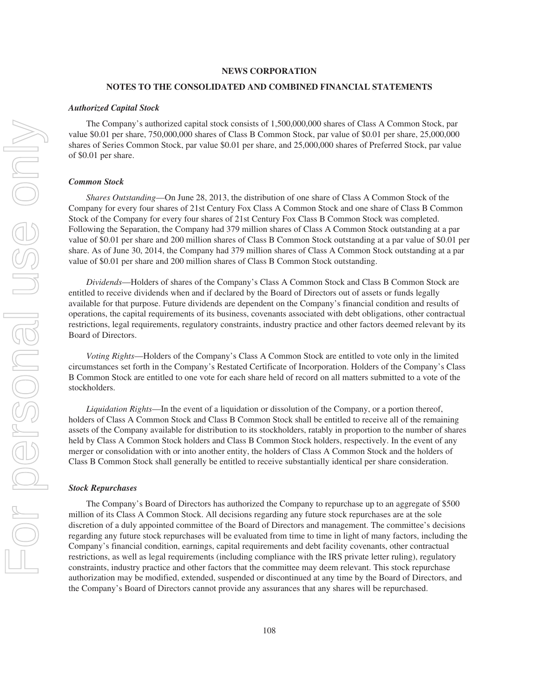# **NOTES TO THE CONSOLIDATED AND COMBINED FINANCIAL STATEMENTS**

#### *Authorized Capital Stock*

The Company's authorized capital stock consists of 1,500,000,000 shares of Class A Common Stock, par value \$0.01 per share, 750,000,000 shares of Class B Common Stock, par value of \$0.01 per share, 25,000,000 shares of Series Common Stock, par value \$0.01 per share, and 25,000,000 shares of Preferred Stock, par value of \$0.01 per share.

### *Common Stock*

*Shares Outstanding*—On June 28, 2013, the distribution of one share of Class A Common Stock of the Company for every four shares of 21st Century Fox Class A Common Stock and one share of Class B Common Stock of the Company for every four shares of 21st Century Fox Class B Common Stock was completed. Following the Separation, the Company had 379 million shares of Class A Common Stock outstanding at a par value of \$0.01 per share and 200 million shares of Class B Common Stock outstanding at a par value of \$0.01 per share. As of June 30, 2014, the Company had 379 million shares of Class A Common Stock outstanding at a par value of \$0.01 per share and 200 million shares of Class B Common Stock outstanding.

*Dividends*—Holders of shares of the Company's Class A Common Stock and Class B Common Stock are entitled to receive dividends when and if declared by the Board of Directors out of assets or funds legally available for that purpose. Future dividends are dependent on the Company's financial condition and results of operations, the capital requirements of its business, covenants associated with debt obligations, other contractual restrictions, legal requirements, regulatory constraints, industry practice and other factors deemed relevant by its Board of Directors.

*Voting Rights*—Holders of the Company's Class A Common Stock are entitled to vote only in the limited circumstances set forth in the Company's Restated Certificate of Incorporation. Holders of the Company's Class B Common Stock are entitled to one vote for each share held of record on all matters submitted to a vote of the stockholders.

*Liquidation Rights*—In the event of a liquidation or dissolution of the Company, or a portion thereof, holders of Class A Common Stock and Class B Common Stock shall be entitled to receive all of the remaining assets of the Company available for distribution to its stockholders, ratably in proportion to the number of shares held by Class A Common Stock holders and Class B Common Stock holders, respectively. In the event of any merger or consolidation with or into another entity, the holders of Class A Common Stock and the holders of Class B Common Stock shall generally be entitled to receive substantially identical per share consideration.

## *Stock Repurchases*

The Company's Board of Directors has authorized the Company to repurchase up to an aggregate of \$500 million of its Class A Common Stock. All decisions regarding any future stock repurchases are at the sole discretion of a duly appointed committee of the Board of Directors and management. The committee's decisions regarding any future stock repurchases will be evaluated from time to time in light of many factors, including the Company's financial condition, earnings, capital requirements and debt facility covenants, other contractual restrictions, as well as legal requirements (including compliance with the IRS private letter ruling), regulatory constraints, industry practice and other factors that the committee may deem relevant. This stock repurchase authorization may be modified, extended, suspended or discontinued at any time by the Board of Directors, and the Company's Board of Directors cannot provide any assurances that any shares will be repurchased.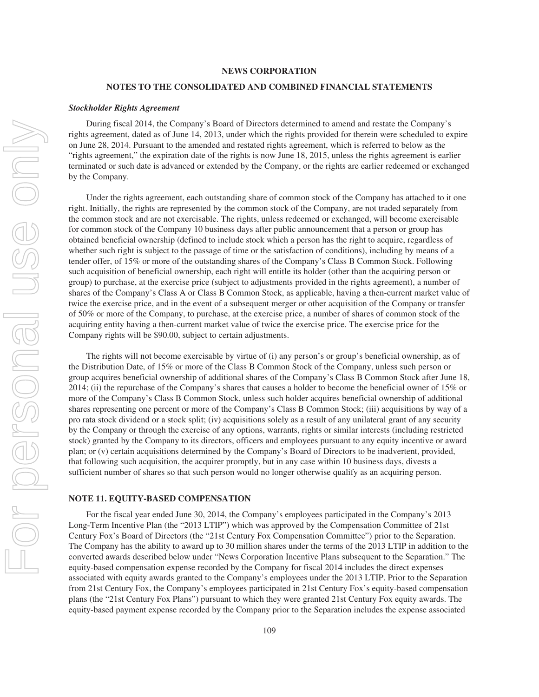# **NOTES TO THE CONSOLIDATED AND COMBINED FINANCIAL STATEMENTS**

#### *Stockholder Rights Agreement*

During fiscal 2014, the Company's Board of Directors determined to amend and restate the Company's rights agreement, dated as of June 14, 2013, under which the rights provided for therein were scheduled to expire on June 28, 2014. Pursuant to the amended and restated rights agreement, which is referred to below as the "rights agreement," the expiration date of the rights is now June 18, 2015, unless the rights agreement is earlier terminated or such date is advanced or extended by the Company, or the rights are earlier redeemed or exchanged by the Company.

Under the rights agreement, each outstanding share of common stock of the Company has attached to it one right. Initially, the rights are represented by the common stock of the Company, are not traded separately from the common stock and are not exercisable. The rights, unless redeemed or exchanged, will become exercisable for common stock of the Company 10 business days after public announcement that a person or group has obtained beneficial ownership (defined to include stock which a person has the right to acquire, regardless of whether such right is subject to the passage of time or the satisfaction of conditions), including by means of a tender offer, of 15% or more of the outstanding shares of the Company's Class B Common Stock. Following such acquisition of beneficial ownership, each right will entitle its holder (other than the acquiring person or group) to purchase, at the exercise price (subject to adjustments provided in the rights agreement), a number of shares of the Company's Class A or Class B Common Stock, as applicable, having a then-current market value of twice the exercise price, and in the event of a subsequent merger or other acquisition of the Company or transfer of 50% or more of the Company, to purchase, at the exercise price, a number of shares of common stock of the acquiring entity having a then-current market value of twice the exercise price. The exercise price for the Company rights will be \$90.00, subject to certain adjustments.

The rights will not become exercisable by virtue of (i) any person's or group's beneficial ownership, as of the Distribution Date, of 15% or more of the Class B Common Stock of the Company, unless such person or group acquires beneficial ownership of additional shares of the Company's Class B Common Stock after June 18, 2014; (ii) the repurchase of the Company's shares that causes a holder to become the beneficial owner of 15% or more of the Company's Class B Common Stock, unless such holder acquires beneficial ownership of additional shares representing one percent or more of the Company's Class B Common Stock; (iii) acquisitions by way of a pro rata stock dividend or a stock split; (iv) acquisitions solely as a result of any unilateral grant of any security by the Company or through the exercise of any options, warrants, rights or similar interests (including restricted stock) granted by the Company to its directors, officers and employees pursuant to any equity incentive or award plan; or (v) certain acquisitions determined by the Company's Board of Directors to be inadvertent, provided, that following such acquisition, the acquirer promptly, but in any case within 10 business days, divests a sufficient number of shares so that such person would no longer otherwise qualify as an acquiring person.

## **NOTE 11. EQUITY-BASED COMPENSATION**

For the fiscal year ended June 30, 2014, the Company's employees participated in the Company's 2013 Long-Term Incentive Plan (the "2013 LTIP") which was approved by the Compensation Committee of 21st Century Fox's Board of Directors (the "21st Century Fox Compensation Committee") prior to the Separation. The Company has the ability to award up to 30 million shares under the terms of the 2013 LTIP in addition to the converted awards described below under "News Corporation Incentive Plans subsequent to the Separation." The equity-based compensation expense recorded by the Company for fiscal 2014 includes the direct expenses associated with equity awards granted to the Company's employees under the 2013 LTIP. Prior to the Separation from 21st Century Fox, the Company's employees participated in 21st Century Fox's equity-based compensation plans (the "21st Century Fox Plans") pursuant to which they were granted 21st Century Fox equity awards. The equity-based payment expense recorded by the Company prior to the Separation includes the expense associated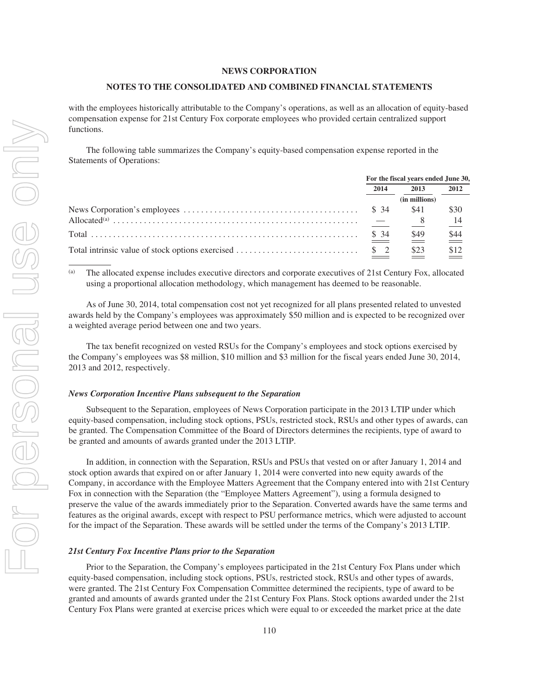## **NOTES TO THE CONSOLIDATED AND COMBINED FINANCIAL STATEMENTS**

with the employees historically attributable to the Company's operations, as well as an allocation of equity-based compensation expense for 21st Century Fox corporate employees who provided certain centralized support functions.

The following table summarizes the Company's equity-based compensation expense reported in the Statements of Operations:

| For the fiscal vears ended June 30.     |                |                 |
|-----------------------------------------|----------------|-----------------|
| 2014                                    | 2013           | 2012            |
|                                         | (in millions)  |                 |
|                                         | \$41           | \$30            |
| $\mathcal{L} \rightarrow \mathcal{L}$ . | 8 <sup>8</sup> | - 14            |
| \$34<br>$\qquad \qquad = \qquad$        | \$49           | $\frac{$44}{2}$ |
|                                         | \$23           | $\frac{$12}{2}$ |

(a) The allocated expense includes executive directors and corporate executives of 21st Century Fox, allocated using a proportional allocation methodology, which management has deemed to be reasonable.

As of June 30, 2014, total compensation cost not yet recognized for all plans presented related to unvested awards held by the Company's employees was approximately \$50 million and is expected to be recognized over a weighted average period between one and two years.

The tax benefit recognized on vested RSUs for the Company's employees and stock options exercised by the Company's employees was \$8 million, \$10 million and \$3 million for the fiscal years ended June 30, 2014, 2013 and 2012, respectively.

## *News Corporation Incentive Plans subsequent to the Separation*

Subsequent to the Separation, employees of News Corporation participate in the 2013 LTIP under which equity-based compensation, including stock options, PSUs, restricted stock, RSUs and other types of awards, can be granted. The Compensation Committee of the Board of Directors determines the recipients, type of award to be granted and amounts of awards granted under the 2013 LTIP.

In addition, in connection with the Separation, RSUs and PSUs that vested on or after January 1, 2014 and stock option awards that expired on or after January 1, 2014 were converted into new equity awards of the Company, in accordance with the Employee Matters Agreement that the Company entered into with 21st Century Fox in connection with the Separation (the "Employee Matters Agreement"), using a formula designed to preserve the value of the awards immediately prior to the Separation. Converted awards have the same terms and features as the original awards, except with respect to PSU performance metrics, which were adjusted to account for the impact of the Separation. These awards will be settled under the terms of the Company's 2013 LTIP.

## *21st Century Fox Incentive Plans prior to the Separation*

Prior to the Separation, the Company's employees participated in the 21st Century Fox Plans under which equity-based compensation, including stock options, PSUs, restricted stock, RSUs and other types of awards, were granted. The 21st Century Fox Compensation Committee determined the recipients, type of award to be granted and amounts of awards granted under the 21st Century Fox Plans. Stock options awarded under the 21st Century Fox Plans were granted at exercise prices which were equal to or exceeded the market price at the date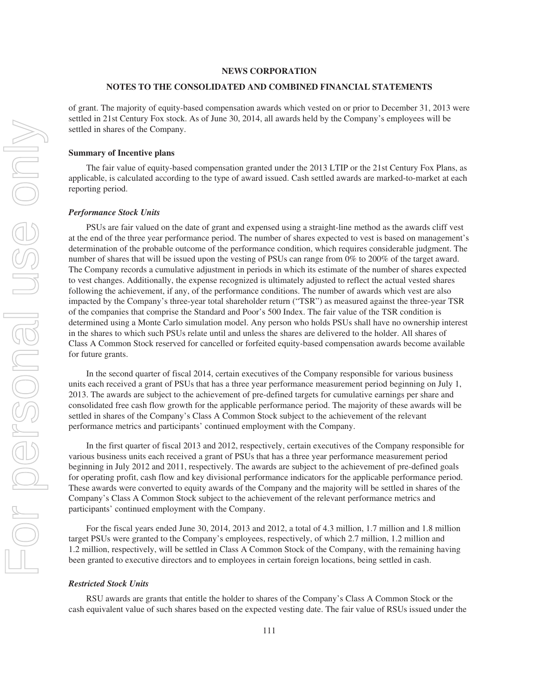# **NOTES TO THE CONSOLIDATED AND COMBINED FINANCIAL STATEMENTS**

of grant. The majority of equity-based compensation awards which vested on or prior to December 31, 2013 were settled in 21st Century Fox stock. As of June 30, 2014, all awards held by the Company's employees will be settled in shares of the Company.

### **Summary of Incentive plans**

The fair value of equity-based compensation granted under the 2013 LTIP or the 21st Century Fox Plans, as applicable, is calculated according to the type of award issued. Cash settled awards are marked-to-market at each reporting period.

## *Performance Stock Units*

PSUs are fair valued on the date of grant and expensed using a straight-line method as the awards cliff vest at the end of the three year performance period. The number of shares expected to vest is based on management's determination of the probable outcome of the performance condition, which requires considerable judgment. The number of shares that will be issued upon the vesting of PSUs can range from 0% to 200% of the target award. The Company records a cumulative adjustment in periods in which its estimate of the number of shares expected to vest changes. Additionally, the expense recognized is ultimately adjusted to reflect the actual vested shares following the achievement, if any, of the performance conditions. The number of awards which vest are also impacted by the Company's three-year total shareholder return ("TSR") as measured against the three-year TSR of the companies that comprise the Standard and Poor's 500 Index. The fair value of the TSR condition is determined using a Monte Carlo simulation model. Any person who holds PSUs shall have no ownership interest in the shares to which such PSUs relate until and unless the shares are delivered to the holder. All shares of Class A Common Stock reserved for cancelled or forfeited equity-based compensation awards become available for future grants.

In the second quarter of fiscal 2014, certain executives of the Company responsible for various business units each received a grant of PSUs that has a three year performance measurement period beginning on July 1, 2013. The awards are subject to the achievement of pre-defined targets for cumulative earnings per share and consolidated free cash flow growth for the applicable performance period. The majority of these awards will be settled in shares of the Company's Class A Common Stock subject to the achievement of the relevant performance metrics and participants' continued employment with the Company.

In the first quarter of fiscal 2013 and 2012, respectively, certain executives of the Company responsible for various business units each received a grant of PSUs that has a three year performance measurement period beginning in July 2012 and 2011, respectively. The awards are subject to the achievement of pre-defined goals for operating profit, cash flow and key divisional performance indicators for the applicable performance period. These awards were converted to equity awards of the Company and the majority will be settled in shares of the Company's Class A Common Stock subject to the achievement of the relevant performance metrics and participants' continued employment with the Company.

For the fiscal years ended June 30, 2014, 2013 and 2012, a total of 4.3 million, 1.7 million and 1.8 million target PSUs were granted to the Company's employees, respectively, of which 2.7 million, 1.2 million and 1.2 million, respectively, will be settled in Class A Common Stock of the Company, with the remaining having been granted to executive directors and to employees in certain foreign locations, being settled in cash.

## *Restricted Stock Units*

RSU awards are grants that entitle the holder to shares of the Company's Class A Common Stock or the cash equivalent value of such shares based on the expected vesting date. The fair value of RSUs issued under the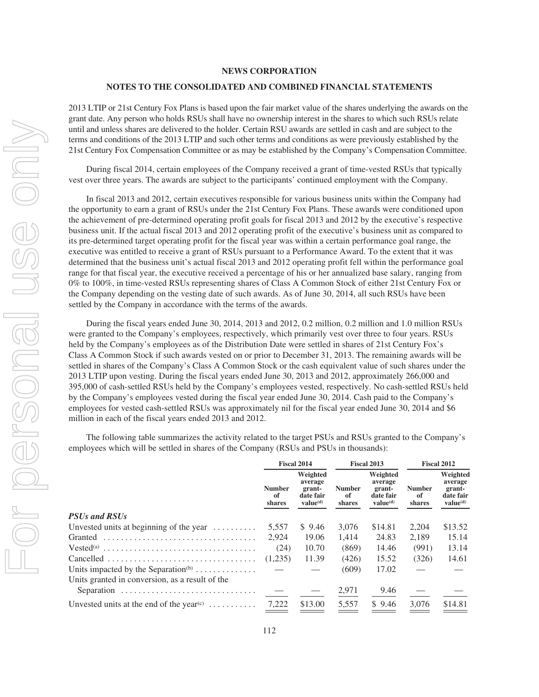# **NOTES TO THE CONSOLIDATED AND COMBINED FINANCIAL STATEMENTS**

2013 LTIP or 21st Century Fox Plans is based upon the fair market value of the shares underlying the awards on the grant date. Any person who holds RSUs shall have no ownership interest in the shares to which such RSUs relate until and unless shares are delivered to the holder. Certain RSU awards are settled in cash and are subject to the terms and conditions of the 2013 LTIP and such other terms and conditions as were previously established by the 21st Century Fox Compensation Committee or as may be established by the Company's Compensation Committee.

During fiscal 2014, certain employees of the Company received a grant of time-vested RSUs that typically vest over three years. The awards are subject to the participants' continued employment with the Company.

In fiscal 2013 and 2012, certain executives responsible for various business units within the Company had the opportunity to earn a grant of RSUs under the 21st Century Fox Plans. These awards were conditioned upon the achievement of pre-determined operating profit goals for fiscal 2013 and 2012 by the executive's respective business unit. If the actual fiscal 2013 and 2012 operating profit of the executive's business unit as compared to its pre-determined target operating profit for the fiscal year was within a certain performance goal range, the executive was entitled to receive a grant of RSUs pursuant to a Performance Award. To the extent that it was determined that the business unit's actual fiscal 2013 and 2012 operating profit fell within the performance goal range for that fiscal year, the executive received a percentage of his or her annualized base salary, ranging from 0% to 100%, in time-vested RSUs representing shares of Class A Common Stock of either 21st Century Fox or the Company depending on the vesting date of such awards. As of June 30, 2014, all such RSUs have been settled by the Company in accordance with the terms of the awards.

During the fiscal years ended June 30, 2014, 2013 and 2012, 0.2 million, 0.2 million and 1.0 million RSUs were granted to the Company's employees, respectively, which primarily vest over three to four years. RSUs held by the Company's employees as of the Distribution Date were settled in shares of 21st Century Fox's Class A Common Stock if such awards vested on or prior to December 31, 2013. The remaining awards will be settled in shares of the Company's Class A Common Stock or the cash equivalent value of such shares under the 2013 LTIP upon vesting. During the fiscal years ended June 30, 2013 and 2012, approximately 266,000 and 395,000 of cash-settled RSUs held by the Company's employees vested, respectively. No cash-settled RSUs held by the Company's employees vested during the fiscal year ended June 30, 2014. Cash paid to the Company's employees for vested cash-settled RSUs was approximately nil for the fiscal year ended June 30, 2014 and \$6 million in each of the fiscal years ended 2013 and 2012.

The following table summarizes the activity related to the target PSUs and RSUs granted to the Company's employees which will be settled in shares of the Company (RSUs and PSUs in thousands):

|                               |                                                                    |                               |                                                                    | <b>Fiscal 2012</b>            |                                                                    |
|-------------------------------|--------------------------------------------------------------------|-------------------------------|--------------------------------------------------------------------|-------------------------------|--------------------------------------------------------------------|
| <b>Number</b><br>оf<br>shares | Weighted<br>average<br>grant-<br>date fair<br>value <sup>(d)</sup> | <b>Number</b><br>of<br>shares | Weighted<br>average<br>grant-<br>date fair<br>value <sup>(d)</sup> | <b>Number</b><br>of<br>shares | Weighted<br>average<br>grant-<br>date fair<br>value <sup>(d)</sup> |
|                               |                                                                    |                               |                                                                    |                               |                                                                    |
| 5,557                         | \$9.46                                                             | 3.076                         | \$14.81                                                            | 2,204                         | \$13.52                                                            |
| 2.924                         | 19.06                                                              | 1.414                         | 24.83                                                              | 2.189                         | 15.14                                                              |
| (24)                          | 10.70                                                              | (869)                         | 14.46                                                              | (991)                         | 13.14                                                              |
| (1,235)                       | 11.39                                                              | (426)                         | 15.52                                                              | (326)                         | 14.61                                                              |
|                               |                                                                    | (609)                         | 17.02                                                              |                               |                                                                    |
|                               |                                                                    |                               |                                                                    |                               |                                                                    |
|                               |                                                                    | 2,971                         | 9.46                                                               |                               |                                                                    |
| 7.222                         | \$13.00                                                            | 5,557                         | \$9.46                                                             | 3.076                         | \$14.81                                                            |
|                               | Unvested units at the end of the year <sup>(c)</sup>               | <b>Fiscal 2014</b>            |                                                                    | <b>Fiscal 2013</b>            |                                                                    |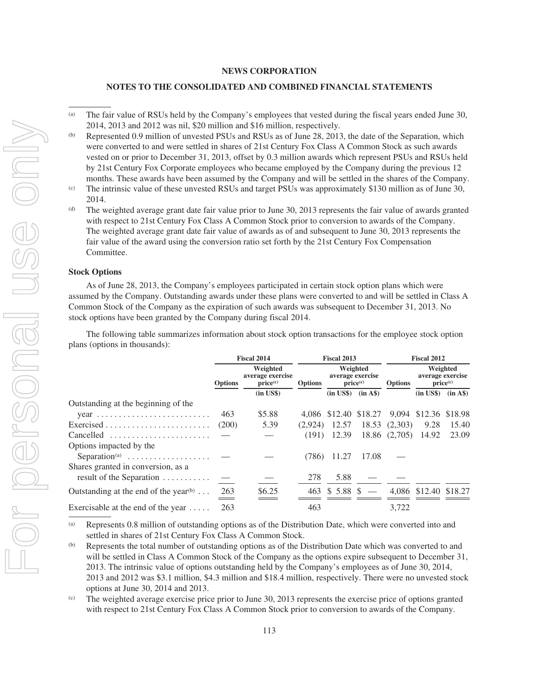# **NOTES TO THE CONSOLIDATED AND COMBINED FINANCIAL STATEMENTS**

- (a) The fair value of RSUs held by the Company's employees that vested during the fiscal years ended June 30, 2014, 2013 and 2012 was nil, \$20 million and \$16 million, respectively.
- (b) Represented 0.9 million of unvested PSUs and RSUs as of June 28, 2013, the date of the Separation, which were converted to and were settled in shares of 21st Century Fox Class A Common Stock as such awards vested on or prior to December 31, 2013, offset by 0.3 million awards which represent PSUs and RSUs held by 21st Century Fox Corporate employees who became employed by the Company during the previous 12 months. These awards have been assumed by the Company and will be settled in the shares of the Company.
- (c) The intrinsic value of these unvested RSUs and target PSUs was approximately \$130 million as of June 30, 2014.
- (d) The weighted average grant date fair value prior to June 30, 2013 represents the fair value of awards granted with respect to 21st Century Fox Class A Common Stock prior to conversion to awards of the Company. The weighted average grant date fair value of awards as of and subsequent to June 30, 2013 represents the fair value of the award using the conversion ratio set forth by the 21st Century Fox Compensation Committee.

## **Stock Options**

As of June 28, 2013, the Company's employees participated in certain stock option plans which were assumed by the Company. Outstanding awards under these plans were converted to and will be settled in Class A Common Stock of the Company as the expiration of such awards was subsequent to December 31, 2013. No stock options have been granted by the Company during fiscal 2014.

The following table summarizes information about stock option transactions for the employee stock option plans (options in thousands):

|                                                   | <b>Fiscal 2014</b> |                                                      |                                                                        | Fiscal 2013                           |                          | <b>Fiscal 2012</b>                          |                                                      |       |  |
|---------------------------------------------------|--------------------|------------------------------------------------------|------------------------------------------------------------------------|---------------------------------------|--------------------------|---------------------------------------------|------------------------------------------------------|-------|--|
|                                                   | <b>Options</b>     | Weighted<br>average exercise<br>price <sup>(c)</sup> | Weighted<br>average exercise<br><b>Options</b><br>price <sup>(c)</sup> |                                       | <b>Options</b>           |                                             | Weighted<br>average exercise<br>price <sup>(c)</sup> |       |  |
|                                                   |                    | $(in \text{ US}\$)$                                  |                                                                        | $(in \text{ US}\$)$ $(in \text{ AS})$ |                          |                                             | $(in \text{ US}\$)$ $(in \text{ AS})$                |       |  |
| Outstanding at the beginning of the               |                    |                                                      |                                                                        |                                       |                          |                                             |                                                      |       |  |
| year                                              | 463                | \$5.88                                               |                                                                        |                                       |                          | 4,086 \$12.40 \$18.27 9,094 \$12.36 \$18.98 |                                                      |       |  |
|                                                   | (200)              | 5.39                                                 | (2.924)                                                                | 12.57                                 |                          | 18.53 (2,303)                               | 9.28                                                 | 15.40 |  |
| Cancelled                                         |                    |                                                      | (191)                                                                  | 12.39                                 |                          | 18.86 (2,705) 14.92                         |                                                      | 23.09 |  |
| Options impacted by the                           |                    |                                                      |                                                                        |                                       |                          |                                             |                                                      |       |  |
| Separation <sup>(a)</sup>                         |                    |                                                      | (786)                                                                  | 11.27                                 | 17.08                    |                                             |                                                      |       |  |
| Shares granted in conversion, as a                |                    |                                                      |                                                                        |                                       |                          |                                             |                                                      |       |  |
| result of the Separation                          |                    |                                                      | 278                                                                    | 5.88                                  |                          |                                             |                                                      |       |  |
| Outstanding at the end of the year <sup>(b)</sup> | 263                | \$6.25                                               | 463                                                                    | \$5.88S                               | $\overline{\phantom{m}}$ |                                             | 4,086 \$12.40 \$18.27                                |       |  |
| Exercisable at the end of the year $\dots$ .      | 263                |                                                      | 463                                                                    |                                       |                          | 3.722                                       |                                                      |       |  |

(a) Represents 0.8 million of outstanding options as of the Distribution Date, which were converted into and settled in shares of 21st Century Fox Class A Common Stock.

(b) Represents the total number of outstanding options as of the Distribution Date which was converted to and will be settled in Class A Common Stock of the Company as the options expire subsequent to December 31, 2013. The intrinsic value of options outstanding held by the Company's employees as of June 30, 2014, 2013 and 2012 was \$3.1 million, \$4.3 million and \$18.4 million, respectively. There were no unvested stock options at June 30, 2014 and 2013.

(c) The weighted average exercise price prior to June 30, 2013 represents the exercise price of options granted with respect to 21st Century Fox Class A Common Stock prior to conversion to awards of the Company.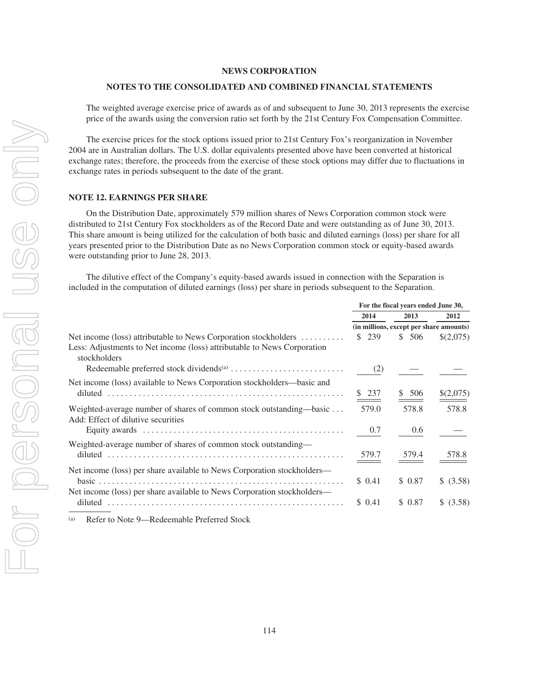# **NOTES TO THE CONSOLIDATED AND COMBINED FINANCIAL STATEMENTS**

The weighted average exercise price of awards as of and subsequent to June 30, 2013 represents the exercise price of the awards using the conversion ratio set forth by the 21st Century Fox Compensation Committee.

The exercise prices for the stock options issued prior to 21st Century Fox's reorganization in November 2004 are in Australian dollars. The U.S. dollar equivalents presented above have been converted at historical exchange rates; therefore, the proceeds from the exercise of these stock options may differ due to fluctuations in exchange rates in periods subsequent to the date of the grant.

## **NOTE 12. EARNINGS PER SHARE**

On the Distribution Date, approximately 579 million shares of News Corporation common stock were distributed to 21st Century Fox stockholders as of the Record Date and were outstanding as of June 30, 2013. This share amount is being utilized for the calculation of both basic and diluted earnings (loss) per share for all years presented prior to the Distribution Date as no News Corporation common stock or equity-based awards were outstanding prior to June 28, 2013.

The dilutive effect of the Company's equity-based awards issued in connection with the Separation is included in the computation of diluted earnings (loss) per share in periods subsequent to the Separation.

|                                                                                                                                                            |         | For the fiscal years ended June 30,     |                       |
|------------------------------------------------------------------------------------------------------------------------------------------------------------|---------|-----------------------------------------|-----------------------|
|                                                                                                                                                            | 2014    | 2013                                    | 2012                  |
|                                                                                                                                                            |         | (in millions, except per share amounts) |                       |
| Net income (loss) attributable to News Corporation stockholders<br>Less: Adjustments to Net income (loss) attributable to News Corporation<br>stockholders | \$239   | \$506                                   | \$(2,075)             |
|                                                                                                                                                            | (2)     |                                         |                       |
| Net income (loss) available to News Corporation stockholders—basic and                                                                                     | \$237   | \$506                                   | $\frac{\$(2,075)}{2}$ |
| Weighted-average number of shares of common stock outstanding—basic $\dots$<br>Add: Effect of dilutive securities                                          | 579.0   | 578.8                                   | 578.8                 |
|                                                                                                                                                            | 0.7     | 0.6                                     |                       |
| Weighted-average number of shares of common stock outstanding—                                                                                             | 579.7   | 579.4                                   | 578.8                 |
| Net income (loss) per share available to News Corporation stockholders—                                                                                    | \$ 0.41 | \$ 0.87                                 | \$ (3.58)             |
| Net income (loss) per share available to News Corporation stockholders—                                                                                    | \$ 0.41 | \$ 0.87                                 | \$ (3.58)             |
|                                                                                                                                                            |         |                                         |                       |

(a) Refer to Note 9—Redeemable Preferred Stock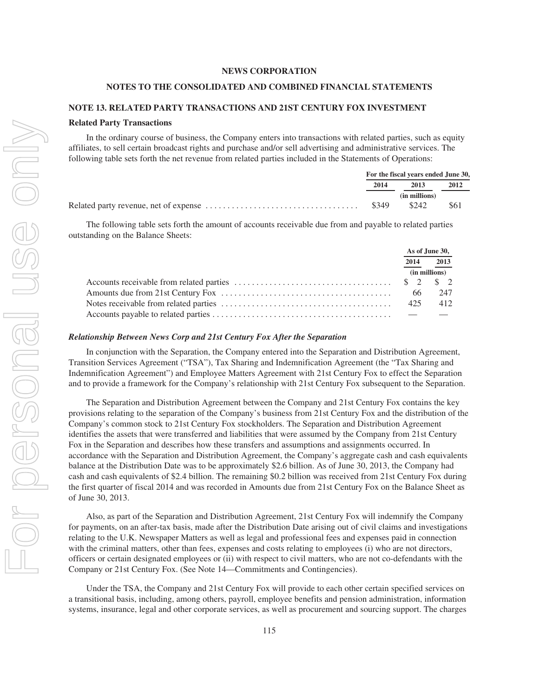## **NOTES TO THE CONSOLIDATED AND COMBINED FINANCIAL STATEMENTS**

## **NOTE 13. RELATED PARTY TRANSACTIONS AND 21ST CENTURY FOX INVESTMENT**

#### **Related Party Transactions**

In the ordinary course of business, the Company enters into transactions with related parties, such as equity affiliates, to sell certain broadcast rights and purchase and/or sell advertising and administrative services. The following table sets forth the net revenue from related parties included in the Statements of Operations:

|       | For the fiscal vears ended June 30. |      |
|-------|-------------------------------------|------|
| 2014  | 2013                                | 2012 |
|       | (in millions)                       |      |
| \$349 | \$242                               | \$61 |

The following table sets forth the amount of accounts receivable due from and payable to related parties outstanding on the Balance Sheets:

|      | As of June 30, |
|------|----------------|
| 2014 | 2013           |
|      | (in millions)  |
|      |                |
|      |                |
|      |                |
|      |                |

#### *Relationship Between News Corp and 21st Century Fox After the Separation*

In conjunction with the Separation, the Company entered into the Separation and Distribution Agreement, Transition Services Agreement ("TSA"), Tax Sharing and Indemnification Agreement (the "Tax Sharing and Indemnification Agreement") and Employee Matters Agreement with 21st Century Fox to effect the Separation and to provide a framework for the Company's relationship with 21st Century Fox subsequent to the Separation.

The Separation and Distribution Agreement between the Company and 21st Century Fox contains the key provisions relating to the separation of the Company's business from 21st Century Fox and the distribution of the Company's common stock to 21st Century Fox stockholders. The Separation and Distribution Agreement identifies the assets that were transferred and liabilities that were assumed by the Company from 21st Century Fox in the Separation and describes how these transfers and assumptions and assignments occurred. In accordance with the Separation and Distribution Agreement, the Company's aggregate cash and cash equivalents balance at the Distribution Date was to be approximately \$2.6 billion. As of June 30, 2013, the Company had cash and cash equivalents of \$2.4 billion. The remaining \$0.2 billion was received from 21st Century Fox during the first quarter of fiscal 2014 and was recorded in Amounts due from 21st Century Fox on the Balance Sheet as of June 30, 2013.

Also, as part of the Separation and Distribution Agreement, 21st Century Fox will indemnify the Company for payments, on an after-tax basis, made after the Distribution Date arising out of civil claims and investigations relating to the U.K. Newspaper Matters as well as legal and professional fees and expenses paid in connection with the criminal matters, other than fees, expenses and costs relating to employees (i) who are not directors, officers or certain designated employees or (ii) with respect to civil matters, who are not co-defendants with the Company or 21st Century Fox. (See Note 14—Commitments and Contingencies).

Under the TSA, the Company and 21st Century Fox will provide to each other certain specified services on a transitional basis, including, among others, payroll, employee benefits and pension administration, information systems, insurance, legal and other corporate services, as well as procurement and sourcing support. The charges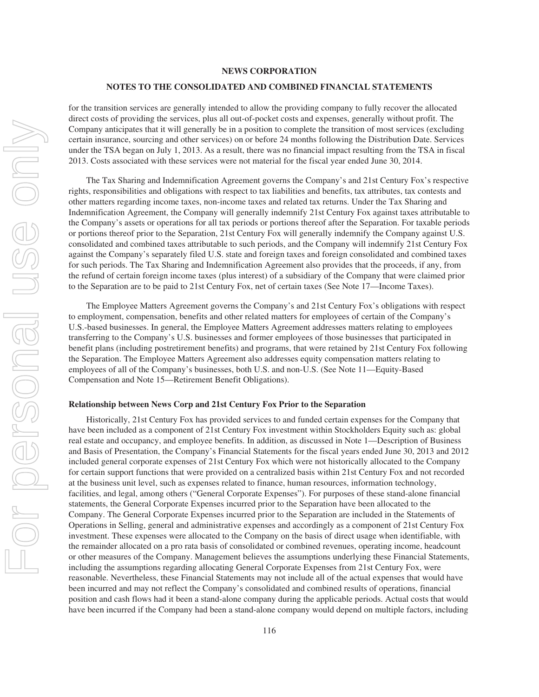# **NOTES TO THE CONSOLIDATED AND COMBINED FINANCIAL STATEMENTS**

for the transition services are generally intended to allow the providing company to fully recover the allocated direct costs of providing the services, plus all out-of-pocket costs and expenses, generally without profit. The Company anticipates that it will generally be in a position to complete the transition of most services (excluding certain insurance, sourcing and other services) on or before 24 months following the Distribution Date. Services under the TSA began on July 1, 2013. As a result, there was no financial impact resulting from the TSA in fiscal 2013. Costs associated with these services were not material for the fiscal year ended June 30, 2014.

The Tax Sharing and Indemnification Agreement governs the Company's and 21st Century Fox's respective rights, responsibilities and obligations with respect to tax liabilities and benefits, tax attributes, tax contests and other matters regarding income taxes, non-income taxes and related tax returns. Under the Tax Sharing and Indemnification Agreement, the Company will generally indemnify 21st Century Fox against taxes attributable to the Company's assets or operations for all tax periods or portions thereof after the Separation. For taxable periods or portions thereof prior to the Separation, 21st Century Fox will generally indemnify the Company against U.S. consolidated and combined taxes attributable to such periods, and the Company will indemnify 21st Century Fox against the Company's separately filed U.S. state and foreign taxes and foreign consolidated and combined taxes for such periods. The Tax Sharing and Indemnification Agreement also provides that the proceeds, if any, from the refund of certain foreign income taxes (plus interest) of a subsidiary of the Company that were claimed prior to the Separation are to be paid to 21st Century Fox, net of certain taxes (See Note 17—Income Taxes).

The Employee Matters Agreement governs the Company's and 21st Century Fox's obligations with respect to employment, compensation, benefits and other related matters for employees of certain of the Company's U.S.-based businesses. In general, the Employee Matters Agreement addresses matters relating to employees transferring to the Company's U.S. businesses and former employees of those businesses that participated in benefit plans (including postretirement benefits) and programs, that were retained by 21st Century Fox following the Separation. The Employee Matters Agreement also addresses equity compensation matters relating to employees of all of the Company's businesses, both U.S. and non-U.S. (See Note 11—Equity-Based Compensation and Note 15—Retirement Benefit Obligations).

#### **Relationship between News Corp and 21st Century Fox Prior to the Separation**

Historically, 21st Century Fox has provided services to and funded certain expenses for the Company that have been included as a component of 21st Century Fox investment within Stockholders Equity such as: global real estate and occupancy, and employee benefits. In addition, as discussed in Note 1—Description of Business and Basis of Presentation, the Company's Financial Statements for the fiscal years ended June 30, 2013 and 2012 included general corporate expenses of 21st Century Fox which were not historically allocated to the Company for certain support functions that were provided on a centralized basis within 21st Century Fox and not recorded at the business unit level, such as expenses related to finance, human resources, information technology, facilities, and legal, among others ("General Corporate Expenses"). For purposes of these stand-alone financial statements, the General Corporate Expenses incurred prior to the Separation have been allocated to the Company. The General Corporate Expenses incurred prior to the Separation are included in the Statements of Operations in Selling, general and administrative expenses and accordingly as a component of 21st Century Fox investment. These expenses were allocated to the Company on the basis of direct usage when identifiable, with the remainder allocated on a pro rata basis of consolidated or combined revenues, operating income, headcount or other measures of the Company. Management believes the assumptions underlying these Financial Statements, including the assumptions regarding allocating General Corporate Expenses from 21st Century Fox, were reasonable. Nevertheless, these Financial Statements may not include all of the actual expenses that would have been incurred and may not reflect the Company's consolidated and combined results of operations, financial position and cash flows had it been a stand-alone company during the applicable periods. Actual costs that would have been incurred if the Company had been a stand-alone company would depend on multiple factors, including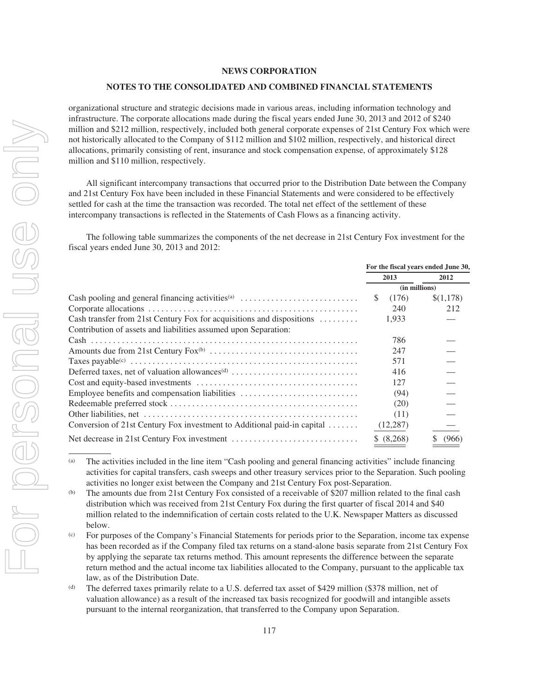## **NOTES TO THE CONSOLIDATED AND COMBINED FINANCIAL STATEMENTS**

organizational structure and strategic decisions made in various areas, including information technology and infrastructure. The corporate allocations made during the fiscal years ended June 30, 2013 and 2012 of \$240 million and \$212 million, respectively, included both general corporate expenses of 21st Century Fox which were not historically allocated to the Company of \$112 million and \$102 million, respectively, and historical direct allocations, primarily consisting of rent, insurance and stock compensation expense, of approximately \$128 million and \$110 million, respectively.

All significant intercompany transactions that occurred prior to the Distribution Date between the Company and 21st Century Fox have been included in these Financial Statements and were considered to be effectively settled for cash at the time the transaction was recorded. The total net effect of the settlement of these intercompany transactions is reflected in the Statements of Cash Flows as a financing activity.

The following table summarizes the components of the net decrease in 21st Century Fox investment for the fiscal years ended June 30, 2013 and 2012:

|                                                                                       | For the fiscal years ended June 30. |           |  |  |
|---------------------------------------------------------------------------------------|-------------------------------------|-----------|--|--|
|                                                                                       | 2013                                | 2012      |  |  |
|                                                                                       | (in millions)                       |           |  |  |
|                                                                                       | S.<br>(176)                         | \$(1,178) |  |  |
|                                                                                       | 240                                 | 212       |  |  |
| Cash transfer from 21st Century Fox for acquisitions and dispositions $\dots \dots$   | 1,933                               |           |  |  |
| Contribution of assets and liabilities assumed upon Separation:                       |                                     |           |  |  |
|                                                                                       | 786                                 |           |  |  |
|                                                                                       | 247                                 |           |  |  |
|                                                                                       | 571                                 |           |  |  |
|                                                                                       | 416                                 |           |  |  |
|                                                                                       | 127                                 |           |  |  |
| Employee benefits and compensation liabilities                                        | (94)                                |           |  |  |
|                                                                                       | (20)                                |           |  |  |
|                                                                                       | (11)                                |           |  |  |
| Conversion of 21st Century Fox investment to Additional paid-in capital $\dots \dots$ | (12, 287)                           |           |  |  |
|                                                                                       | \$ (8,268)                          | (966)     |  |  |

(a) The activities included in the line item "Cash pooling and general financing activities" include financing activities for capital transfers, cash sweeps and other treasury services prior to the Separation. Such pooling activities no longer exist between the Company and 21st Century Fox post-Separation.

(b) The amounts due from 21st Century Fox consisted of a receivable of \$207 million related to the final cash distribution which was received from 21st Century Fox during the first quarter of fiscal 2014 and \$40 million related to the indemnification of certain costs related to the U.K. Newspaper Matters as discussed below.

(c) For purposes of the Company's Financial Statements for periods prior to the Separation, income tax expense has been recorded as if the Company filed tax returns on a stand-alone basis separate from 21st Century Fox by applying the separate tax returns method. This amount represents the difference between the separate return method and the actual income tax liabilities allocated to the Company, pursuant to the applicable tax law, as of the Distribution Date.

(d) The deferred taxes primarily relate to a U.S. deferred tax asset of \$429 million (\$378 million, net of valuation allowance) as a result of the increased tax basis recognized for goodwill and intangible assets pursuant to the internal reorganization, that transferred to the Company upon Separation.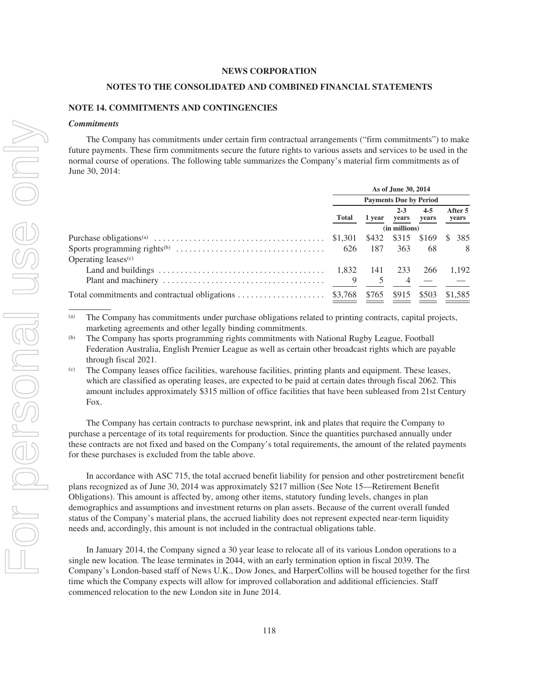## **NOTES TO THE CONSOLIDATED AND COMBINED FINANCIAL STATEMENTS**

## **NOTE 14. COMMITMENTS AND CONTINGENCIES**

#### *Commitments*

The Company has commitments under certain firm contractual arrangements ("firm commitments") to make future payments. These firm commitments secure the future rights to various assets and services to be used in the normal course of operations. The following table summarizes the Company's material firm commitments as of June 30, 2014:

|                        | As of June 30, 2014 |       |                               |                  |                  |  |  |
|------------------------|---------------------|-------|-------------------------------|------------------|------------------|--|--|
|                        |                     |       | <b>Payments Due by Period</b> |                  |                  |  |  |
|                        | Total<br>1 year     |       | $2 - 3$<br>years              | $4 - 5$<br>years | After 5<br>years |  |  |
|                        |                     |       | (in millions)                 |                  |                  |  |  |
|                        | \$1,301             | \$432 |                               | \$315 \$169 \$   | 385              |  |  |
|                        | 626                 | 187   | 363                           | 68               | - 8              |  |  |
| Operating leases $(c)$ |                     |       |                               |                  |                  |  |  |
|                        | 1,832               | -141  | 233                           | 266              | 1.192            |  |  |
|                        |                     | 5     |                               |                  |                  |  |  |
|                        |                     | \$765 | \$915                         | \$503            | \$1,585          |  |  |

(a) The Company has commitments under purchase obligations related to printing contracts, capital projects, marketing agreements and other legally binding commitments.

- (b) The Company has sports programming rights commitments with National Rugby League, Football Federation Australia, English Premier League as well as certain other broadcast rights which are payable through fiscal 2021.
- (c) The Company leases office facilities, warehouse facilities, printing plants and equipment. These leases, which are classified as operating leases, are expected to be paid at certain dates through fiscal 2062. This amount includes approximately \$315 million of office facilities that have been subleased from 21st Century Fox.

The Company has certain contracts to purchase newsprint, ink and plates that require the Company to purchase a percentage of its total requirements for production. Since the quantities purchased annually under these contracts are not fixed and based on the Company's total requirements, the amount of the related payments for these purchases is excluded from the table above.

In accordance with ASC 715, the total accrued benefit liability for pension and other postretirement benefit plans recognized as of June 30, 2014 was approximately \$217 million (See Note 15—Retirement Benefit Obligations). This amount is affected by, among other items, statutory funding levels, changes in plan demographics and assumptions and investment returns on plan assets. Because of the current overall funded status of the Company's material plans, the accrued liability does not represent expected near-term liquidity needs and, accordingly, this amount is not included in the contractual obligations table.

In January 2014, the Company signed a 30 year lease to relocate all of its various London operations to a single new location. The lease terminates in 2044, with an early termination option in fiscal 2039. The Company's London-based staff of News U.K., Dow Jones, and HarperCollins will be housed together for the first time which the Company expects will allow for improved collaboration and additional efficiencies. Staff commenced relocation to the new London site in June 2014.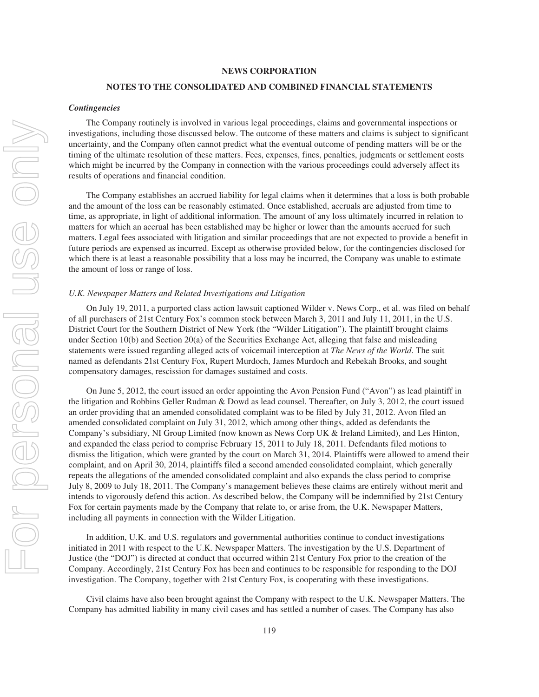# **NOTES TO THE CONSOLIDATED AND COMBINED FINANCIAL STATEMENTS**

## *Contingencies*

The Company routinely is involved in various legal proceedings, claims and governmental inspections or investigations, including those discussed below. The outcome of these matters and claims is subject to significant uncertainty, and the Company often cannot predict what the eventual outcome of pending matters will be or the timing of the ultimate resolution of these matters. Fees, expenses, fines, penalties, judgments or settlement costs which might be incurred by the Company in connection with the various proceedings could adversely affect its results of operations and financial condition.

The Company establishes an accrued liability for legal claims when it determines that a loss is both probable and the amount of the loss can be reasonably estimated. Once established, accruals are adjusted from time to time, as appropriate, in light of additional information. The amount of any loss ultimately incurred in relation to matters for which an accrual has been established may be higher or lower than the amounts accrued for such matters. Legal fees associated with litigation and similar proceedings that are not expected to provide a benefit in future periods are expensed as incurred. Except as otherwise provided below, for the contingencies disclosed for which there is at least a reasonable possibility that a loss may be incurred, the Company was unable to estimate the amount of loss or range of loss.

#### *U.K. Newspaper Matters and Related Investigations and Litigation*

On July 19, 2011, a purported class action lawsuit captioned Wilder v. News Corp., et al. was filed on behalf of all purchasers of 21st Century Fox's common stock between March 3, 2011 and July 11, 2011, in the U.S. District Court for the Southern District of New York (the "Wilder Litigation"). The plaintiff brought claims under Section 10(b) and Section 20(a) of the Securities Exchange Act, alleging that false and misleading statements were issued regarding alleged acts of voicemail interception at *The News of the World*. The suit named as defendants 21st Century Fox, Rupert Murdoch, James Murdoch and Rebekah Brooks, and sought compensatory damages, rescission for damages sustained and costs.

On June 5, 2012, the court issued an order appointing the Avon Pension Fund ("Avon") as lead plaintiff in the litigation and Robbins Geller Rudman & Dowd as lead counsel. Thereafter, on July 3, 2012, the court issued an order providing that an amended consolidated complaint was to be filed by July 31, 2012. Avon filed an amended consolidated complaint on July 31, 2012, which among other things, added as defendants the Company's subsidiary, NI Group Limited (now known as News Corp UK & Ireland Limited), and Les Hinton, and expanded the class period to comprise February 15, 2011 to July 18, 2011. Defendants filed motions to dismiss the litigation, which were granted by the court on March 31, 2014. Plaintiffs were allowed to amend their complaint, and on April 30, 2014, plaintiffs filed a second amended consolidated complaint, which generally repeats the allegations of the amended consolidated complaint and also expands the class period to comprise July 8, 2009 to July 18, 2011. The Company's management believes these claims are entirely without merit and intends to vigorously defend this action. As described below, the Company will be indemnified by 21st Century Fox for certain payments made by the Company that relate to, or arise from, the U.K. Newspaper Matters, including all payments in connection with the Wilder Litigation.

In addition, U.K. and U.S. regulators and governmental authorities continue to conduct investigations initiated in 2011 with respect to the U.K. Newspaper Matters. The investigation by the U.S. Department of Justice (the "DOJ") is directed at conduct that occurred within 21st Century Fox prior to the creation of the Company. Accordingly, 21st Century Fox has been and continues to be responsible for responding to the DOJ investigation. The Company, together with 21st Century Fox, is cooperating with these investigations.

Civil claims have also been brought against the Company with respect to the U.K. Newspaper Matters. The Company has admitted liability in many civil cases and has settled a number of cases. The Company has also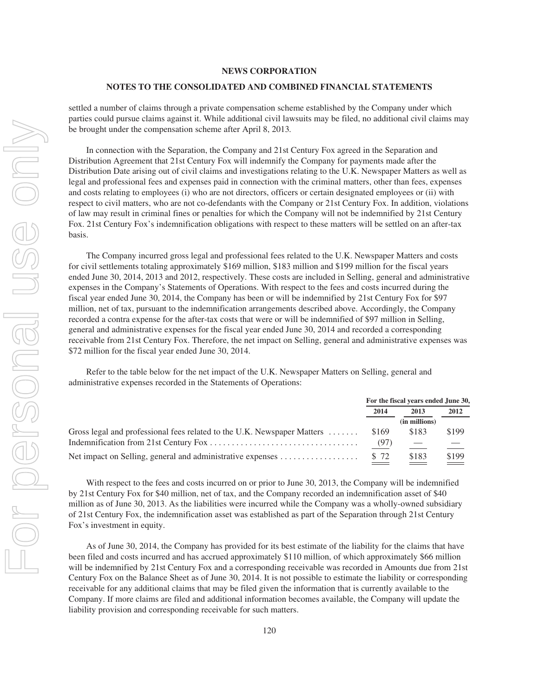## **NOTES TO THE CONSOLIDATED AND COMBINED FINANCIAL STATEMENTS**

settled a number of claims through a private compensation scheme established by the Company under which parties could pursue claims against it. While additional civil lawsuits may be filed, no additional civil claims may be brought under the compensation scheme after April 8, 2013*.*

In connection with the Separation, the Company and 21st Century Fox agreed in the Separation and Distribution Agreement that 21st Century Fox will indemnify the Company for payments made after the Distribution Date arising out of civil claims and investigations relating to the U.K. Newspaper Matters as well as legal and professional fees and expenses paid in connection with the criminal matters, other than fees, expenses and costs relating to employees (i) who are not directors, officers or certain designated employees or (ii) with respect to civil matters, who are not co-defendants with the Company or 21st Century Fox. In addition, violations of law may result in criminal fines or penalties for which the Company will not be indemnified by 21st Century Fox. 21st Century Fox's indemnification obligations with respect to these matters will be settled on an after-tax basis.

The Company incurred gross legal and professional fees related to the U.K. Newspaper Matters and costs for civil settlements totaling approximately \$169 million, \$183 million and \$199 million for the fiscal years ended June 30, 2014, 2013 and 2012, respectively. These costs are included in Selling, general and administrative expenses in the Company's Statements of Operations. With respect to the fees and costs incurred during the fiscal year ended June 30, 2014, the Company has been or will be indemnified by 21st Century Fox for \$97 million, net of tax, pursuant to the indemnification arrangements described above. Accordingly, the Company recorded a contra expense for the after-tax costs that were or will be indemnified of \$97 million in Selling, general and administrative expenses for the fiscal year ended June 30, 2014 and recorded a corresponding receivable from 21st Century Fox. Therefore, the net impact on Selling, general and administrative expenses was \$72 million for the fiscal year ended June 30, 2014.

Refer to the table below for the net impact of the U.K. Newspaper Matters on Selling, general and administrative expenses recorded in the Statements of Operations:

|                                                                                             |       | For the fiscal years ended June 30, |       |  |  |
|---------------------------------------------------------------------------------------------|-------|-------------------------------------|-------|--|--|
|                                                                                             | 2014  | 2013                                | 2012  |  |  |
|                                                                                             |       | (in millions)                       |       |  |  |
| Gross legal and professional fees related to the U.K. Newspaper Matters                     | \$169 | \$183                               | \$199 |  |  |
|                                                                                             | (97)  |                                     |       |  |  |
| Net impact on Selling, general and administrative expenses $\dots\dots\dots\dots\dots\dots$ | \$ 72 | \$183                               | \$199 |  |  |

With respect to the fees and costs incurred on or prior to June 30, 2013, the Company will be indemnified by 21st Century Fox for \$40 million, net of tax, and the Company recorded an indemnification asset of \$40 million as of June 30, 2013. As the liabilities were incurred while the Company was a wholly-owned subsidiary of 21st Century Fox, the indemnification asset was established as part of the Separation through 21st Century Fox's investment in equity.

As of June 30, 2014, the Company has provided for its best estimate of the liability for the claims that have been filed and costs incurred and has accrued approximately \$110 million, of which approximately \$66 million will be indemnified by 21st Century Fox and a corresponding receivable was recorded in Amounts due from 21st Century Fox on the Balance Sheet as of June 30, 2014. It is not possible to estimate the liability or corresponding receivable for any additional claims that may be filed given the information that is currently available to the Company. If more claims are filed and additional information becomes available, the Company will update the liability provision and corresponding receivable for such matters.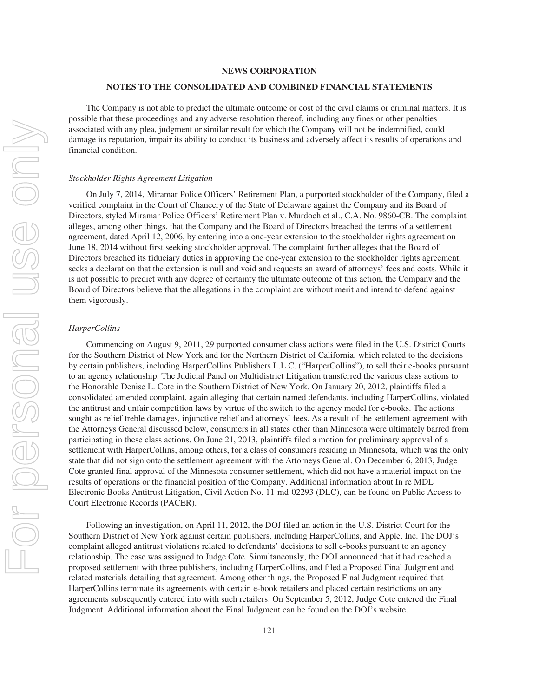# **NOTES TO THE CONSOLIDATED AND COMBINED FINANCIAL STATEMENTS**

The Company is not able to predict the ultimate outcome or cost of the civil claims or criminal matters. It is possible that these proceedings and any adverse resolution thereof, including any fines or other penalties associated with any plea, judgment or similar result for which the Company will not be indemnified, could damage its reputation, impair its ability to conduct its business and adversely affect its results of operations and financial condition.

## *Stockholder Rights Agreement Litigation*

On July 7, 2014, Miramar Police Officers' Retirement Plan, a purported stockholder of the Company, filed a verified complaint in the Court of Chancery of the State of Delaware against the Company and its Board of Directors, styled Miramar Police Officers' Retirement Plan v. Murdoch et al., C.A. No. 9860-CB. The complaint alleges, among other things, that the Company and the Board of Directors breached the terms of a settlement agreement, dated April 12, 2006, by entering into a one-year extension to the stockholder rights agreement on June 18, 2014 without first seeking stockholder approval. The complaint further alleges that the Board of Directors breached its fiduciary duties in approving the one-year extension to the stockholder rights agreement, seeks a declaration that the extension is null and void and requests an award of attorneys' fees and costs. While it is not possible to predict with any degree of certainty the ultimate outcome of this action, the Company and the Board of Directors believe that the allegations in the complaint are without merit and intend to defend against them vigorously.

## *HarperCollins*

Commencing on August 9, 2011, 29 purported consumer class actions were filed in the U.S. District Courts for the Southern District of New York and for the Northern District of California, which related to the decisions by certain publishers, including HarperCollins Publishers L.L.C. ("HarperCollins"), to sell their e-books pursuant to an agency relationship. The Judicial Panel on Multidistrict Litigation transferred the various class actions to the Honorable Denise L. Cote in the Southern District of New York. On January 20, 2012, plaintiffs filed a consolidated amended complaint, again alleging that certain named defendants, including HarperCollins, violated the antitrust and unfair competition laws by virtue of the switch to the agency model for e-books. The actions sought as relief treble damages, injunctive relief and attorneys' fees. As a result of the settlement agreement with the Attorneys General discussed below, consumers in all states other than Minnesota were ultimately barred from participating in these class actions. On June 21, 2013, plaintiffs filed a motion for preliminary approval of a settlement with HarperCollins, among others, for a class of consumers residing in Minnesota, which was the only state that did not sign onto the settlement agreement with the Attorneys General. On December 6, 2013, Judge Cote granted final approval of the Minnesota consumer settlement, which did not have a material impact on the results of operations or the financial position of the Company. Additional information about In re MDL Electronic Books Antitrust Litigation, Civil Action No. 11-md-02293 (DLC), can be found on Public Access to Court Electronic Records (PACER).

Following an investigation, on April 11, 2012, the DOJ filed an action in the U.S. District Court for the Southern District of New York against certain publishers, including HarperCollins, and Apple, Inc. The DOJ's complaint alleged antitrust violations related to defendants' decisions to sell e-books pursuant to an agency relationship. The case was assigned to Judge Cote. Simultaneously, the DOJ announced that it had reached a proposed settlement with three publishers, including HarperCollins, and filed a Proposed Final Judgment and related materials detailing that agreement. Among other things, the Proposed Final Judgment required that HarperCollins terminate its agreements with certain e-book retailers and placed certain restrictions on any agreements subsequently entered into with such retailers. On September 5, 2012, Judge Cote entered the Final Judgment. Additional information about the Final Judgment can be found on the DOJ's website.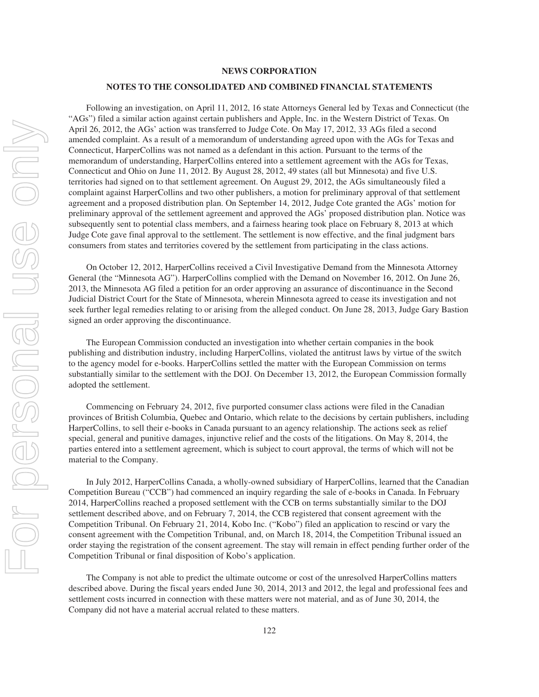# For personal use onlyFor personal use only

## **NEWS CORPORATION**

# **NOTES TO THE CONSOLIDATED AND COMBINED FINANCIAL STATEMENTS**

Following an investigation, on April 11, 2012, 16 state Attorneys General led by Texas and Connecticut (the "AGs") filed a similar action against certain publishers and Apple, Inc. in the Western District of Texas. On April 26, 2012, the AGs' action was transferred to Judge Cote. On May 17, 2012, 33 AGs filed a second amended complaint. As a result of a memorandum of understanding agreed upon with the AGs for Texas and Connecticut, HarperCollins was not named as a defendant in this action. Pursuant to the terms of the memorandum of understanding, HarperCollins entered into a settlement agreement with the AGs for Texas, Connecticut and Ohio on June 11, 2012. By August 28, 2012, 49 states (all but Minnesota) and five U.S. territories had signed on to that settlement agreement. On August 29, 2012, the AGs simultaneously filed a complaint against HarperCollins and two other publishers, a motion for preliminary approval of that settlement agreement and a proposed distribution plan. On September 14, 2012, Judge Cote granted the AGs' motion for preliminary approval of the settlement agreement and approved the AGs' proposed distribution plan. Notice was subsequently sent to potential class members, and a fairness hearing took place on February 8, 2013 at which Judge Cote gave final approval to the settlement. The settlement is now effective, and the final judgment bars consumers from states and territories covered by the settlement from participating in the class actions.

On October 12, 2012, HarperCollins received a Civil Investigative Demand from the Minnesota Attorney General (the "Minnesota AG"). HarperCollins complied with the Demand on November 16, 2012. On June 26, 2013, the Minnesota AG filed a petition for an order approving an assurance of discontinuance in the Second Judicial District Court for the State of Minnesota, wherein Minnesota agreed to cease its investigation and not seek further legal remedies relating to or arising from the alleged conduct. On June 28, 2013, Judge Gary Bastion signed an order approving the discontinuance.

The European Commission conducted an investigation into whether certain companies in the book publishing and distribution industry, including HarperCollins, violated the antitrust laws by virtue of the switch to the agency model for e-books. HarperCollins settled the matter with the European Commission on terms substantially similar to the settlement with the DOJ. On December 13, 2012, the European Commission formally adopted the settlement.

Commencing on February 24, 2012, five purported consumer class actions were filed in the Canadian provinces of British Columbia, Quebec and Ontario, which relate to the decisions by certain publishers, including HarperCollins, to sell their e-books in Canada pursuant to an agency relationship. The actions seek as relief special, general and punitive damages, injunctive relief and the costs of the litigations. On May 8, 2014, the parties entered into a settlement agreement, which is subject to court approval, the terms of which will not be material to the Company.

In July 2012, HarperCollins Canada, a wholly-owned subsidiary of HarperCollins, learned that the Canadian Competition Bureau ("CCB") had commenced an inquiry regarding the sale of e-books in Canada. In February 2014, HarperCollins reached a proposed settlement with the CCB on terms substantially similar to the DOJ settlement described above, and on February 7, 2014, the CCB registered that consent agreement with the Competition Tribunal. On February 21, 2014, Kobo Inc. ("Kobo") filed an application to rescind or vary the consent agreement with the Competition Tribunal, and, on March 18, 2014, the Competition Tribunal issued an order staying the registration of the consent agreement. The stay will remain in effect pending further order of the Competition Tribunal or final disposition of Kobo's application.

The Company is not able to predict the ultimate outcome or cost of the unresolved HarperCollins matters described above. During the fiscal years ended June 30, 2014, 2013 and 2012, the legal and professional fees and settlement costs incurred in connection with these matters were not material, and as of June 30, 2014, the Company did not have a material accrual related to these matters.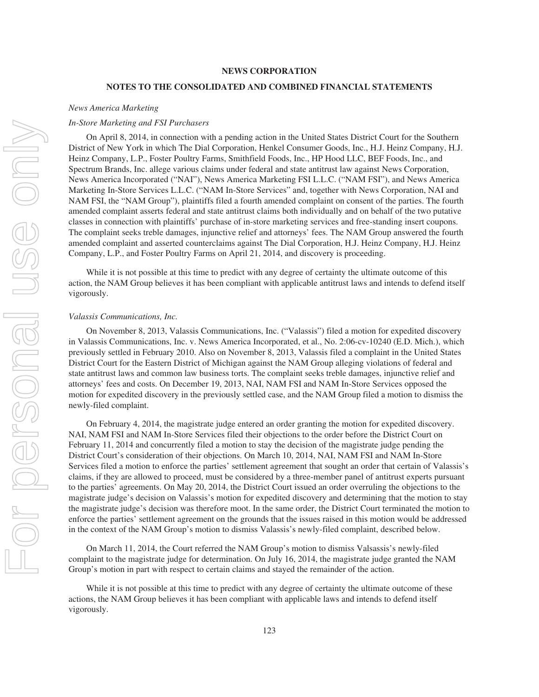## **NOTES TO THE CONSOLIDATED AND COMBINED FINANCIAL STATEMENTS**

#### *News America Marketing*

#### *In-Store Marketing and FSI Purchasers*

On April 8, 2014, in connection with a pending action in the United States District Court for the Southern District of New York in which The Dial Corporation, Henkel Consumer Goods, Inc., H.J. Heinz Company, H.J. Heinz Company, L.P., Foster Poultry Farms, Smithfield Foods, Inc., HP Hood LLC, BEF Foods, Inc., and Spectrum Brands, Inc. allege various claims under federal and state antitrust law against News Corporation, News America Incorporated ("NAI"), News America Marketing FSI L.L.C. ("NAM FSI"), and News America Marketing In-Store Services L.L.C. ("NAM In-Store Services" and, together with News Corporation, NAI and NAM FSI, the "NAM Group"), plaintiffs filed a fourth amended complaint on consent of the parties. The fourth amended complaint asserts federal and state antitrust claims both individually and on behalf of the two putative classes in connection with plaintiffs' purchase of in-store marketing services and free-standing insert coupons. The complaint seeks treble damages, injunctive relief and attorneys' fees. The NAM Group answered the fourth amended complaint and asserted counterclaims against The Dial Corporation, H.J. Heinz Company, H.J. Heinz Company, L.P., and Foster Poultry Farms on April 21, 2014, and discovery is proceeding.

While it is not possible at this time to predict with any degree of certainty the ultimate outcome of this action, the NAM Group believes it has been compliant with applicable antitrust laws and intends to defend itself vigorously.

#### *Valassis Communications, Inc.*

On November 8, 2013, Valassis Communications, Inc. ("Valassis") filed a motion for expedited discovery in Valassis Communications, Inc. v. News America Incorporated, et al., No. 2:06-cv-10240 (E.D. Mich.), which previously settled in February 2010. Also on November 8, 2013, Valassis filed a complaint in the United States District Court for the Eastern District of Michigan against the NAM Group alleging violations of federal and state antitrust laws and common law business torts. The complaint seeks treble damages, injunctive relief and attorneys' fees and costs. On December 19, 2013, NAI, NAM FSI and NAM In-Store Services opposed the motion for expedited discovery in the previously settled case, and the NAM Group filed a motion to dismiss the newly-filed complaint.

On February 4, 2014, the magistrate judge entered an order granting the motion for expedited discovery. NAI, NAM FSI and NAM In-Store Services filed their objections to the order before the District Court on February 11, 2014 and concurrently filed a motion to stay the decision of the magistrate judge pending the District Court's consideration of their objections. On March 10, 2014, NAI, NAM FSI and NAM In-Store Services filed a motion to enforce the parties' settlement agreement that sought an order that certain of Valassis's claims, if they are allowed to proceed, must be considered by a three-member panel of antitrust experts pursuant to the parties' agreements. On May 20, 2014, the District Court issued an order overruling the objections to the magistrate judge's decision on Valassis's motion for expedited discovery and determining that the motion to stay the magistrate judge's decision was therefore moot. In the same order, the District Court terminated the motion to enforce the parties' settlement agreement on the grounds that the issues raised in this motion would be addressed in the context of the NAM Group's motion to dismiss Valassis's newly-filed complaint, described below.

On March 11, 2014, the Court referred the NAM Group's motion to dismiss Valsassis's newly-filed complaint to the magistrate judge for determination. On July 16, 2014, the magistrate judge granted the NAM Group's motion in part with respect to certain claims and stayed the remainder of the action.

While it is not possible at this time to predict with any degree of certainty the ultimate outcome of these actions, the NAM Group believes it has been compliant with applicable laws and intends to defend itself vigorously.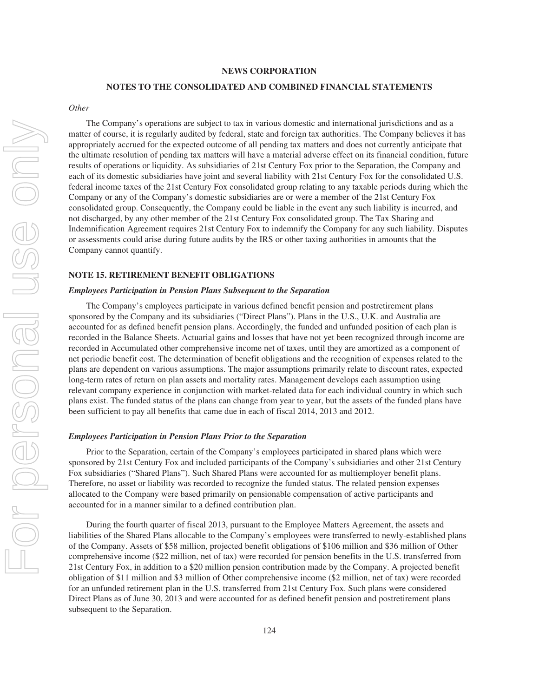# **NOTES TO THE CONSOLIDATED AND COMBINED FINANCIAL STATEMENTS**

## *Other*

The Company's operations are subject to tax in various domestic and international jurisdictions and as a matter of course, it is regularly audited by federal, state and foreign tax authorities. The Company believes it has appropriately accrued for the expected outcome of all pending tax matters and does not currently anticipate that the ultimate resolution of pending tax matters will have a material adverse effect on its financial condition, future results of operations or liquidity. As subsidiaries of 21st Century Fox prior to the Separation, the Company and each of its domestic subsidiaries have joint and several liability with 21st Century Fox for the consolidated U.S. federal income taxes of the 21st Century Fox consolidated group relating to any taxable periods during which the Company or any of the Company's domestic subsidiaries are or were a member of the 21st Century Fox consolidated group. Consequently, the Company could be liable in the event any such liability is incurred, and not discharged, by any other member of the 21st Century Fox consolidated group. The Tax Sharing and Indemnification Agreement requires 21st Century Fox to indemnify the Company for any such liability. Disputes or assessments could arise during future audits by the IRS or other taxing authorities in amounts that the Company cannot quantify.

## **NOTE 15. RETIREMENT BENEFIT OBLIGATIONS**

## *Employees Participation in Pension Plans Subsequent to the Separation*

The Company's employees participate in various defined benefit pension and postretirement plans sponsored by the Company and its subsidiaries ("Direct Plans"). Plans in the U.S., U.K. and Australia are accounted for as defined benefit pension plans. Accordingly, the funded and unfunded position of each plan is recorded in the Balance Sheets. Actuarial gains and losses that have not yet been recognized through income are recorded in Accumulated other comprehensive income net of taxes, until they are amortized as a component of net periodic benefit cost. The determination of benefit obligations and the recognition of expenses related to the plans are dependent on various assumptions. The major assumptions primarily relate to discount rates, expected long-term rates of return on plan assets and mortality rates. Management develops each assumption using relevant company experience in conjunction with market-related data for each individual country in which such plans exist. The funded status of the plans can change from year to year, but the assets of the funded plans have been sufficient to pay all benefits that came due in each of fiscal 2014, 2013 and 2012.

## *Employees Participation in Pension Plans Prior to the Separation*

Prior to the Separation, certain of the Company's employees participated in shared plans which were sponsored by 21st Century Fox and included participants of the Company's subsidiaries and other 21st Century Fox subsidiaries ("Shared Plans"). Such Shared Plans were accounted for as multiemployer benefit plans. Therefore, no asset or liability was recorded to recognize the funded status. The related pension expenses allocated to the Company were based primarily on pensionable compensation of active participants and accounted for in a manner similar to a defined contribution plan.

During the fourth quarter of fiscal 2013, pursuant to the Employee Matters Agreement, the assets and liabilities of the Shared Plans allocable to the Company's employees were transferred to newly-established plans of the Company. Assets of \$58 million, projected benefit obligations of \$106 million and \$36 million of Other comprehensive income (\$22 million, net of tax) were recorded for pension benefits in the U.S. transferred from 21st Century Fox, in addition to a \$20 million pension contribution made by the Company. A projected benefit obligation of \$11 million and \$3 million of Other comprehensive income (\$2 million, net of tax) were recorded for an unfunded retirement plan in the U.S. transferred from 21st Century Fox. Such plans were considered Direct Plans as of June 30, 2013 and were accounted for as defined benefit pension and postretirement plans subsequent to the Separation.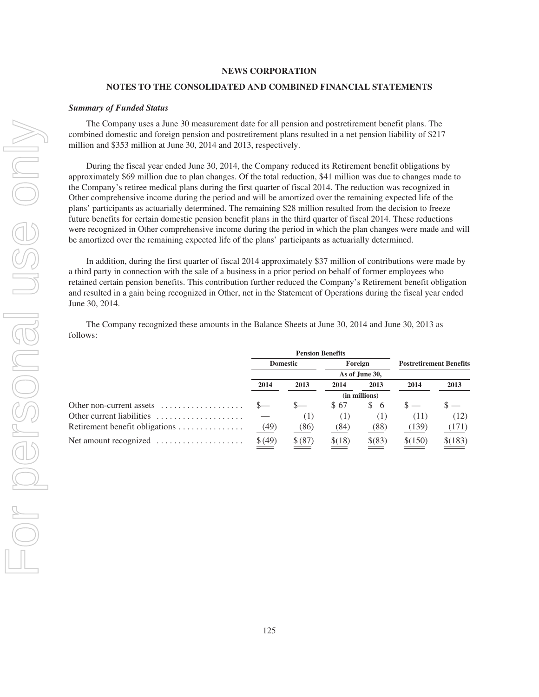# **NOTES TO THE CONSOLIDATED AND COMBINED FINANCIAL STATEMENTS**

## *Summary of Funded Status*

The Company uses a June 30 measurement date for all pension and postretirement benefit plans. The combined domestic and foreign pension and postretirement plans resulted in a net pension liability of \$217 million and \$353 million at June 30, 2014 and 2013, respectively.

During the fiscal year ended June 30, 2014, the Company reduced its Retirement benefit obligations by approximately \$69 million due to plan changes. Of the total reduction, \$41 million was due to changes made to the Company's retiree medical plans during the first quarter of fiscal 2014. The reduction was recognized in Other comprehensive income during the period and will be amortized over the remaining expected life of the plans' participants as actuarially determined. The remaining \$28 million resulted from the decision to freeze future benefits for certain domestic pension benefit plans in the third quarter of fiscal 2014. These reductions were recognized in Other comprehensive income during the period in which the plan changes were made and will be amortized over the remaining expected life of the plans' participants as actuarially determined.

In addition, during the first quarter of fiscal 2014 approximately \$37 million of contributions were made by a third party in connection with the sale of a business in a prior period on behalf of former employees who retained certain pension benefits. This contribution further reduced the Company's Retirement benefit obligation and resulted in a gain being recognized in Other, net in the Statement of Operations during the fiscal year ended June 30, 2014.

The Company recognized these amounts in the Balance Sheets at June 30, 2014 and June 30, 2013 as follows:

|                                                             |                 | <b>Pension Benefits</b> |         |          |         |                                |  |
|-------------------------------------------------------------|-----------------|-------------------------|---------|----------|---------|--------------------------------|--|
|                                                             | <b>Domestic</b> |                         | Foreign |          |         | <b>Postretirement Benefits</b> |  |
|                                                             | As of June 30,  |                         |         |          |         |                                |  |
|                                                             | 2014            | 2013                    | 2014    | 2013     | 2014    | 2013                           |  |
|                                                             |                 |                         |         |          |         |                                |  |
| Other non-current assets $\dots\dots\dots\dots\dots\dots$   |                 |                         | \$67    | S.<br>-6 |         |                                |  |
| Other current liabilities                                   |                 | (1)                     | (1)     | (1)      | (11)    | (12)                           |  |
| Retirement benefit obligations $\dots \dots \dots \dots$    | (49)            | (86)                    | (84)    | (88)     | (139)   | (171)                          |  |
| Net amount recognized $\dots\dots\dots\dots\dots\dots\dots$ | \$ (49)         | \$ (87)                 | \$(18)  | \$(83)   | \$(150) | \$(183)                        |  |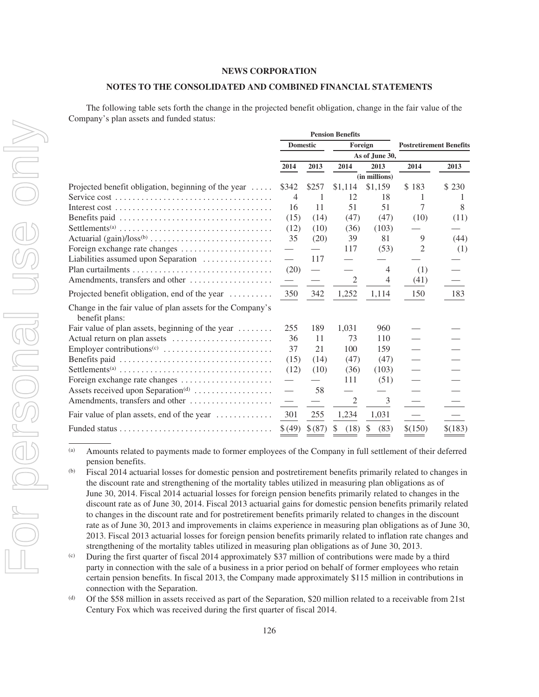# **NOTES TO THE CONSOLIDATED AND COMBINED FINANCIAL STATEMENTS**

The following table sets forth the change in the projected benefit obligation, change in the fair value of the Company's plan assets and funded status:

|                                                                                            |                               | <b>Pension Benefits</b> |                |                |                                |         |  |
|--------------------------------------------------------------------------------------------|-------------------------------|-------------------------|----------------|----------------|--------------------------------|---------|--|
|                                                                                            | <b>Domestic</b>               |                         | Foreign        |                | <b>Postretirement Benefits</b> |         |  |
|                                                                                            |                               |                         |                | As of June 30, |                                |         |  |
|                                                                                            | 2014                          | 2013                    | 2014           | 2013           | 2014                           | 2013    |  |
|                                                                                            |                               |                         |                | (in millions)  |                                |         |  |
| Projected benefit obligation, beginning of the year                                        | \$342                         | \$257                   | \$1,114        | \$1,159        | \$183                          | \$230   |  |
|                                                                                            | $\overline{4}$                | 1                       | 12             | 18             | 1                              |         |  |
|                                                                                            | 16                            | 11                      | 51             | 51             | 7                              | 8       |  |
| Benefits paid $\ldots, \ldots, \ldots, \ldots, \ldots, \ldots, \ldots, \ldots, \ldots$     | (15)                          | (14)                    | (47)           | (47)           | (10)                           | (11)    |  |
| $Setlements^{(a)} \dots \dots \dots \dots \dots \dots \dots \dots \dots \dots \dots \dots$ | (12)                          | (10)                    | (36)           | (103)          |                                |         |  |
| Actuarial $(gain)/loss^{(b)} \dots \dots \dots \dots \dots \dots \dots \dots \dots$        | 35                            | (20)                    | 39             | 81             | 9                              | (44)    |  |
| Foreign exchange rate changes                                                              |                               |                         | 117            | (53)           | 2                              | (1)     |  |
| Liabilities assumed upon Separation                                                        |                               | 117                     |                |                |                                |         |  |
|                                                                                            | (20)                          |                         |                | 4              | (1)                            |         |  |
| Amendments, transfers and other                                                            |                               |                         | 2              | 4              | (41)                           |         |  |
| Projected benefit obligation, end of the year                                              | 350                           | 342                     | 1,252          | 1,114          | 150                            | 183     |  |
| Change in the fair value of plan assets for the Company's<br>benefit plans:                |                               |                         |                |                |                                |         |  |
| Fair value of plan assets, beginning of the year                                           | 255                           | 189                     | 1,031          | 960            |                                |         |  |
| Actual return on plan assets                                                               | 36                            | 11                      | 73             | 110            |                                |         |  |
| Employer contributions <sup>(c)</sup>                                                      | 37                            | 21                      | 100            | 159            |                                |         |  |
|                                                                                            | (15)                          | (14)                    | (47)           | (47)           |                                |         |  |
| $Setlements^{(a)} \dots \dots \dots \dots \dots \dots \dots \dots \dots \dots \dots \dots$ | (12)                          | (10)                    | (36)           | (103)          |                                |         |  |
| Foreign exchange rate changes                                                              |                               |                         | 111            | (51)           |                                |         |  |
| Assets received upon Separation <sup>(d)</sup>                                             | $\overbrace{\phantom{aaaaa}}$ | 58                      |                |                |                                |         |  |
| Amendments, transfers and other                                                            |                               |                         | $\overline{2}$ | 3              |                                |         |  |
| Fair value of plan assets, end of the year                                                 | 301                           | 255                     | 1,234          | 1,031          |                                |         |  |
|                                                                                            | \$(49)                        | \$ (87)                 | \$<br>(18)     | \$<br>(83)     | \$(150)                        | \$(183) |  |

(a) Amounts related to payments made to former employees of the Company in full settlement of their deferred pension benefits.

(b) Fiscal 2014 actuarial losses for domestic pension and postretirement benefits primarily related to changes in the discount rate and strengthening of the mortality tables utilized in measuring plan obligations as of June 30, 2014. Fiscal 2014 actuarial losses for foreign pension benefits primarily related to changes in the discount rate as of June 30, 2014. Fiscal 2013 actuarial gains for domestic pension benefits primarily related to changes in the discount rate and for postretirement benefits primarily related to changes in the discount rate as of June 30, 2013 and improvements in claims experience in measuring plan obligations as of June 30, 2013. Fiscal 2013 actuarial losses for foreign pension benefits primarily related to inflation rate changes and strengthening of the mortality tables utilized in measuring plan obligations as of June 30, 2013.

(c) During the first quarter of fiscal 2014 approximately \$37 million of contributions were made by a third party in connection with the sale of a business in a prior period on behalf of former employees who retain certain pension benefits. In fiscal 2013, the Company made approximately \$115 million in contributions in connection with the Separation.

(d) Of the \$58 million in assets received as part of the Separation, \$20 million related to a receivable from 21st Century Fox which was received during the first quarter of fiscal 2014.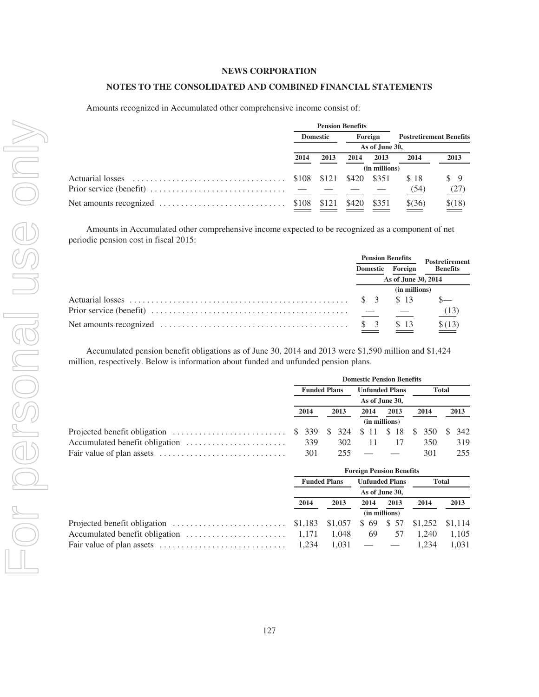# **NOTES TO THE CONSOLIDATED AND COMBINED FINANCIAL STATEMENTS**

Amounts recognized in Accumulated other comprehensive income consist of:

|                                                                                                   | <b>Pension Benefits</b> |             |         |       |                                |                   |  |
|---------------------------------------------------------------------------------------------------|-------------------------|-------------|---------|-------|--------------------------------|-------------------|--|
|                                                                                                   | <b>Domestic</b>         |             | Foreign |       | <b>Postretirement Benefits</b> |                   |  |
|                                                                                                   | As of June 30,          |             |         |       |                                |                   |  |
|                                                                                                   | 2014                    | 2013        | 2014    | 2013  | 2014                           | 2013              |  |
|                                                                                                   | (in millions)           |             |         |       |                                |                   |  |
|                                                                                                   |                         | \$108 \$121 | \$420   | \$351 | S 18                           | $\frac{1}{2}$     |  |
| Prior service (benefit) $\dots \dots \dots \dots \dots \dots \dots \dots \dots \dots \dots \dots$ |                         |             |         |       | (54)                           | (27)              |  |
|                                                                                                   |                         | \$121       | \$420   | \$351 | \$(36)                         | $\frac{$(18)}{2}$ |  |

Amounts in Accumulated other comprehensive income expected to be recognized as a component of net periodic pension cost in fiscal 2015:

|                                                                                                                     | <b>Pension Benefits</b> |                     | Postretirement  |
|---------------------------------------------------------------------------------------------------------------------|-------------------------|---------------------|-----------------|
|                                                                                                                     | <b>Domestic</b>         | Foreign             | <b>Benefits</b> |
|                                                                                                                     |                         | As of June 30, 2014 |                 |
|                                                                                                                     |                         | (in millions)       |                 |
|                                                                                                                     |                         | \$13                |                 |
| Prior service (benefit) $\dots \dots \dots \dots \dots \dots \dots \dots \dots \dots \dots \dots \dots \dots \dots$ |                         |                     | (13)            |
| Net amounts recognized $\dots \dots \dots \dots \dots \dots \dots \dots \dots \dots \dots \dots$ \$ 3               |                         | \$ 13               | \$(13)          |

Accumulated pension benefit obligations as of June 30, 2014 and 2013 were \$1,590 million and \$1,424 million, respectively. Below is information about funded and unfunded pension plans.

| <b>Domestic Pension Benefits</b> |      |  |                       |      |                |              |      |  |      |
|----------------------------------|------|--|-----------------------|------|----------------|--------------|------|--|------|
| <b>Funded Plans</b>              |      |  | <b>Unfunded Plans</b> |      |                | <b>Total</b> |      |  |      |
|                                  |      |  |                       |      | As of June 30, |              |      |  |      |
|                                  | 2014 |  | 2013                  | 2014 | 2013           |              | 2014 |  | 2013 |
|                                  |      |  |                       |      | (in millions)  |              |      |  |      |
|                                  |      |  |                       |      |                |              |      |  |      |
|                                  | 339  |  | 302                   |      |                |              | 350  |  | 319  |
|                                  | 301  |  | 255                   |      |                |              | 301  |  | 255  |

| <b>Foreign Pension Benefits</b> |                |                       |               |       |              |  |  |  |
|---------------------------------|----------------|-----------------------|---------------|-------|--------------|--|--|--|
| <b>Funded Plans</b>             |                | <b>Unfunded Plans</b> |               |       | <b>Total</b> |  |  |  |
|                                 | As of June 30, |                       |               |       |              |  |  |  |
| 2014                            | 2013           | 2014                  | 2013          | 2014  | 2013         |  |  |  |
|                                 |                |                       | (in millions) |       |              |  |  |  |
|                                 |                |                       |               |       |              |  |  |  |
|                                 | 1,048          | 69                    | 57            | 1.240 | 1,105        |  |  |  |
|                                 | 1.031          |                       |               | 1.234 | 1.031        |  |  |  |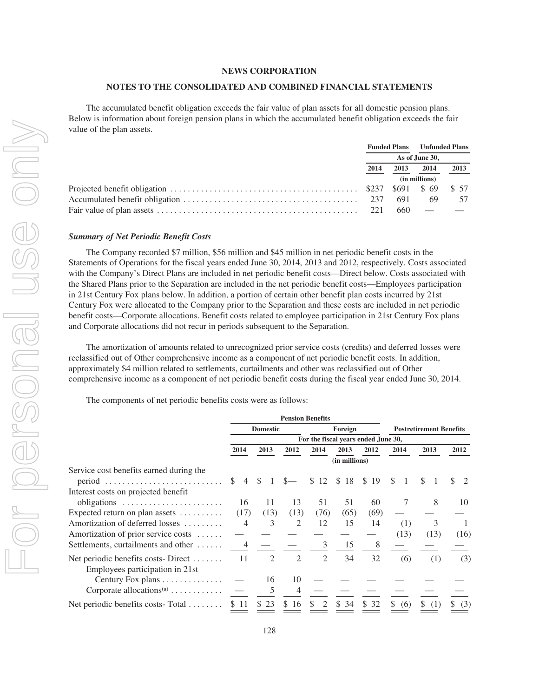## **NOTES TO THE CONSOLIDATED AND COMBINED FINANCIAL STATEMENTS**

The accumulated benefit obligation exceeds the fair value of plan assets for all domestic pension plans. Below is information about foreign pension plans in which the accumulated benefit obligation exceeds the fair value of the plan assets.

| <b>Funded Plans</b> Unfunded Plans |                |                                   |      |  |
|------------------------------------|----------------|-----------------------------------|------|--|
|                                    | As of June 30. |                                   |      |  |
| 2014                               | 2013           | 2014                              | 2013 |  |
|                                    |                | (in millions)                     |      |  |
|                                    |                |                                   |      |  |
|                                    | 691            | 69                                | 57   |  |
|                                    | 660            | and the state of the state of the |      |  |

## *Summary of Net Periodic Benefit Costs*

The Company recorded \$7 million, \$56 million and \$45 million in net periodic benefit costs in the Statements of Operations for the fiscal years ended June 30, 2014, 2013 and 2012, respectively. Costs associated with the Company's Direct Plans are included in net periodic benefit costs—Direct below. Costs associated with the Shared Plans prior to the Separation are included in the net periodic benefit costs—Employees participation in 21st Century Fox plans below. In addition, a portion of certain other benefit plan costs incurred by 21st Century Fox were allocated to the Company prior to the Separation and these costs are included in net periodic benefit costs—Corporate allocations. Benefit costs related to employee participation in 21st Century Fox plans and Corporate allocations did not recur in periods subsequent to the Separation.

The amortization of amounts related to unrecognized prior service costs (credits) and deferred losses were reclassified out of Other comprehensive income as a component of net periodic benefit costs. In addition, approximately \$4 million related to settlements, curtailments and other was reclassified out of Other comprehensive income as a component of net periodic benefit costs during the fiscal year ended June 30, 2014.

The components of net periodic benefits costs were as follows:

|                                                                                    |                      |                 | <b>Pension Benefits</b> |        |                    |                                     |                      |                                |          |
|------------------------------------------------------------------------------------|----------------------|-----------------|-------------------------|--------|--------------------|-------------------------------------|----------------------|--------------------------------|----------|
|                                                                                    |                      | <b>Domestic</b> |                         |        | Foreign            |                                     |                      | <b>Postretirement Benefits</b> |          |
|                                                                                    |                      |                 |                         |        |                    | For the fiscal years ended June 30, |                      |                                |          |
|                                                                                    | 2014                 | 2013            | 2012                    | 2014   | 2013               | 2012                                | 2014                 | 2013                           | 2012     |
|                                                                                    |                      |                 |                         |        | (in millions)      |                                     |                      |                                |          |
| Service cost benefits earned during the                                            |                      |                 |                         |        |                    |                                     |                      |                                |          |
| $period \dots \dots \dots \dots \dots \dots \dots \dots \dots \dots$               | S.<br>$\overline{4}$ |                 | $S-$                    |        | \$ 12 \$ 18 \$ 19  |                                     | <sup>\$</sup><br>- 1 | <sup>S</sup><br>-1             | -2       |
| Interest costs on projected benefit                                                |                      |                 |                         |        |                    |                                     |                      |                                |          |
| obligations                                                                        | 16                   | 11              | 13                      | 51     | 51                 | 60                                  |                      | 8                              | 10       |
| Expected return on plan assets                                                     | (17)                 | (13)            | (13)                    | (76)   | (65)               | (69)                                |                      |                                |          |
| Amortization of deferred losses                                                    | 4                    | 3               | 2                       | 12     | 15                 | 14                                  | (1)                  | 3                              | 1        |
| Amortization of prior service costs                                                |                      |                 |                         |        |                    |                                     | (13)                 | (13)                           | (16)     |
| Settlements, curtailments and other $\dots$ .                                      | 4                    |                 |                         | 3      | 15                 | 8                                   |                      |                                |          |
| Net periodic benefits costs-Direct $\dots\dots$<br>Employees participation in 21st | 11                   | 2               | 2                       | 2      | 34                 | 32                                  | (6)                  | (1)                            | (3)      |
| Century Fox plans $\dots \dots \dots \dots$                                        |                      | 16              | 10                      |        |                    |                                     |                      |                                |          |
|                                                                                    |                      | 5               | 4                       |        |                    |                                     |                      |                                |          |
| Net periodic benefits costs-Total $\dots\dots$                                     | \$11                 | 23<br>S         | $\mathbb{S}$<br>16      | S<br>2 | $\mathbb{S}$<br>34 | \$<br>32                            | \$<br>(6)            | S.<br>(1)                      | S<br>(3) |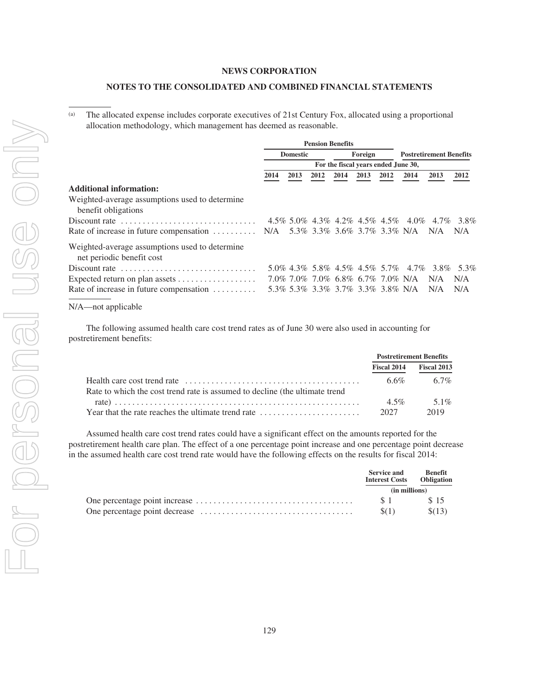# **NOTES TO THE CONSOLIDATED AND COMBINED FINANCIAL STATEMENTS**

(a) The allocated expense includes corporate executives of 21st Century Fox, allocated using a proportional allocation methodology, which management has deemed as reasonable.

|                                                                                |      |                 |      | <b>Pension Benefits</b>             |         |      |                                                       |      |      |
|--------------------------------------------------------------------------------|------|-----------------|------|-------------------------------------|---------|------|-------------------------------------------------------|------|------|
|                                                                                |      | <b>Domestic</b> |      |                                     | Foreign |      | <b>Postretirement Benefits</b>                        |      |      |
|                                                                                |      |                 |      | For the fiscal years ended June 30, |         |      |                                                       |      |      |
|                                                                                | 2014 | 2013            | 2012 | 2014                                | 2013    | 2012 | 2014                                                  | 2013 | 2012 |
| <b>Additional information:</b>                                                 |      |                 |      |                                     |         |      |                                                       |      |      |
| Weighted-average assumptions used to determine<br>benefit obligations          |      |                 |      |                                     |         |      |                                                       |      |      |
| Discount rate $\ldots \ldots \ldots \ldots \ldots \ldots \ldots \ldots \ldots$ |      |                 |      |                                     |         |      | 4.5\% 5.0\% 4.3\% 4.2\% 4.5\% 4.5\% 4.0\% 4.7\% 3.8\% |      |      |
| Rate of increase in future compensation  N/A 5.3% 3.3% 3.6% 3.7% 3.3% N/A      |      |                 |      |                                     |         |      |                                                       | N/A  | N/A  |
| Weighted-average assumptions used to determine<br>net periodic benefit cost    |      |                 |      |                                     |         |      |                                                       |      |      |
| Discount rate $\ldots \ldots \ldots \ldots \ldots \ldots \ldots \ldots \ldots$ |      |                 |      |                                     |         |      | 5.0% 4.3% 5.8% 4.5% 4.5% 5.7% 4.7% 3.8% 5.3%          |      |      |
|                                                                                |      |                 |      | 7.0% 7.0% 7.0% 6.8% 6.7% 7.0% N/A   |         |      |                                                       | N/A  | N/A  |
| Rate of increase in future compensation $\dots\dots\dots$                      |      |                 |      | 5.3% 5.3% 3.3% 3.7% 3.3% 3.8% N/A   |         |      |                                                       | N/A  | N/A  |

N/A—not applicable

The following assumed health care cost trend rates as of June 30 were also used in accounting for postretirement benefits:

|                                                                                                                                                                                                             |             | <b>Postretirement Benefits</b> |
|-------------------------------------------------------------------------------------------------------------------------------------------------------------------------------------------------------------|-------------|--------------------------------|
|                                                                                                                                                                                                             | Fiscal 2014 | <b>Fiscal 2013</b>             |
| Health care cost trend rate $\ldots$ , $\ldots$ , $\ldots$ , $\ldots$ , $\ldots$ , $\ldots$ , $\ldots$ , $\ldots$ , $\ldots$<br>Rate to which the cost trend rate is assumed to decline (the ultimate trend | 6.6%        | $67\%$                         |
|                                                                                                                                                                                                             | $4.5\%$     | $5.1\%$                        |
| Year that the rate reaches the ultimate trend rate                                                                                                                                                          | 2027        | 2019                           |

Assumed health care cost trend rates could have a significant effect on the amounts reported for the postretirement health care plan. The effect of a one percentage point increase and one percentage point decrease in the assumed health care cost trend rate would have the following effects on the results for fiscal 2014:

|                                                                                                   | <b>Service and</b><br><b>Interest Costs Obligation</b> | Benefit          |
|---------------------------------------------------------------------------------------------------|--------------------------------------------------------|------------------|
|                                                                                                   | (in millions)                                          |                  |
| One percentage point increase $\dots \dots \dots \dots \dots \dots \dots \dots \dots \dots \dots$ | $\sqrt{1}$                                             | $\frac{1}{2}$ 15 |
| One percentage point decrease $\dots \dots \dots \dots \dots \dots \dots \dots \dots \dots \dots$ | $\mathcal{S}(1)$                                       | $\$(13)$         |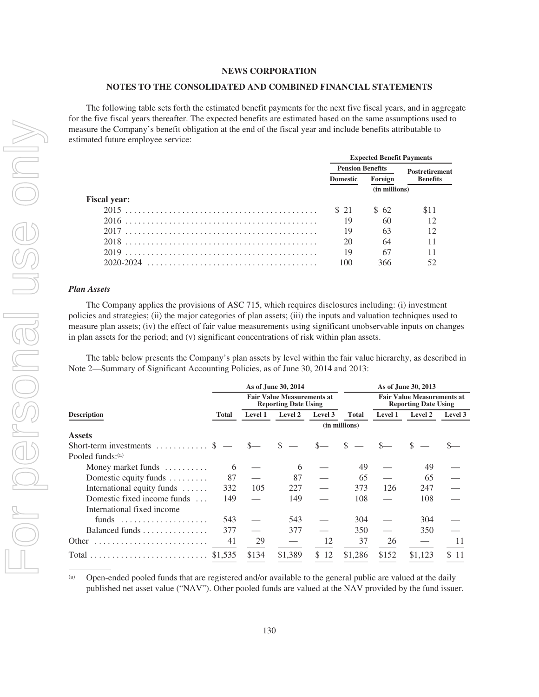# **NOTES TO THE CONSOLIDATED AND COMBINED FINANCIAL STATEMENTS**

The following table sets forth the estimated benefit payments for the next five fiscal years, and in aggregate for the five fiscal years thereafter. The expected benefits are estimated based on the same assumptions used to measure the Company's benefit obligation at the end of the fiscal year and include benefits attributable to estimated future employee service:

|                     | <b>Expected Benefit Payments</b> |               |                 |  |
|---------------------|----------------------------------|---------------|-----------------|--|
|                     | <b>Pension Benefits</b>          |               | Postretirement  |  |
|                     | <b>Domestic</b>                  | Foreign       | <b>Benefits</b> |  |
|                     |                                  | (in millions) |                 |  |
| <b>Fiscal year:</b> |                                  |               |                 |  |
|                     | \$ 21                            | \$ 62         | \$11            |  |
|                     | 19                               | 60            | 12              |  |
|                     | 19                               | 63            | 12              |  |
|                     | 20                               | 64            | 11              |  |
|                     | 19                               | 67            | 11              |  |
| 2020-2024           | 100                              | 366           | 52              |  |
|                     |                                  |               |                 |  |

## *Plan Assets*

The Company applies the provisions of ASC 715, which requires disclosures including: (i) investment policies and strategies; (ii) the major categories of plan assets; (iii) the inputs and valuation techniques used to measure plan assets; (iv) the effect of fair value measurements using significant unobservable inputs on changes in plan assets for the period; and (v) significant concentrations of risk within plan assets.

The table below presents the Company's plan assets by level within the fair value hierarchy, as described in Note 2—Summary of Significant Accounting Policies, as of June 30, 2014 and 2013:

|                                             |              |         | As of June 30, 2014                                              |         |               | As of June 30, 2013                                              |                |         |  |  |  |
|---------------------------------------------|--------------|---------|------------------------------------------------------------------|---------|---------------|------------------------------------------------------------------|----------------|---------|--|--|--|
|                                             |              |         | <b>Fair Value Measurements at</b><br><b>Reporting Date Using</b> |         |               | <b>Fair Value Measurements at</b><br><b>Reporting Date Using</b> |                |         |  |  |  |
| <b>Description</b>                          | <b>Total</b> | Level 1 | Level 2                                                          | Level 3 | <b>Total</b>  | <b>Level 1</b>                                                   | <b>Level 2</b> | Level 3 |  |  |  |
|                                             |              |         |                                                                  |         | (in millions) |                                                                  |                |         |  |  |  |
| <b>Assets</b>                               |              |         |                                                                  |         |               |                                                                  |                |         |  |  |  |
| Short-term investments $\dots\dots\dots$ \$ |              |         | <sup>\$</sup>                                                    |         |               |                                                                  |                |         |  |  |  |
| Pooled funds: $(a)$                         |              |         |                                                                  |         |               |                                                                  |                |         |  |  |  |
| Money market funds                          | 6            |         | 6                                                                |         | 49            |                                                                  | 49             |         |  |  |  |
| Domestic equity funds $\dots \dots$         | 87           |         | 87                                                               |         | 65            |                                                                  | 65             |         |  |  |  |
| International equity funds $\dots$          | 332          | 105     | 227                                                              |         | 373           | 126                                                              | 247            |         |  |  |  |
| Domestic fixed income funds                 | 149          |         | 149                                                              |         | 108           |                                                                  | 108            |         |  |  |  |
| International fixed income                  |              |         |                                                                  |         |               |                                                                  |                |         |  |  |  |
| funds $\ldots \ldots \ldots \ldots \ldots$  | 543          |         | 543                                                              |         | 304           |                                                                  | 304            |         |  |  |  |
| Balanced funds                              | 377          |         | 377                                                              |         | 350           |                                                                  | 350            |         |  |  |  |
| Other                                       | 41           | 29      |                                                                  | 12      | 37            | 26                                                               |                | 11      |  |  |  |
| $Total$                                     | \$1,535      | \$134   | \$1,389                                                          | \$ 12   | \$1,286       | \$152                                                            | \$1,123        | \$11    |  |  |  |

(a) Open-ended pooled funds that are registered and/or available to the general public are valued at the daily published net asset value ("NAV"). Other pooled funds are valued at the NAV provided by the fund issuer.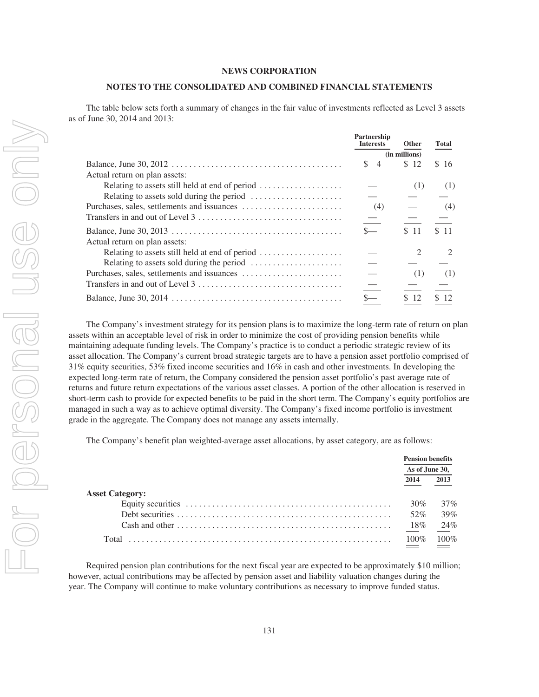# **NOTES TO THE CONSOLIDATED AND COMBINED FINANCIAL STATEMENTS**

The table below sets forth a summary of changes in the fair value of investments reflected as Level 3 assets as of June 30, 2014 and 2013:

|                                                                                 | Partnership<br><b>Interests</b> | Other | Total |  |
|---------------------------------------------------------------------------------|---------------------------------|-------|-------|--|
|                                                                                 | (in millions)                   |       |       |  |
|                                                                                 | S<br>4                          | \$12  | \$16  |  |
| Actual return on plan assets:                                                   |                                 |       |       |  |
|                                                                                 |                                 | (1)   | (1)   |  |
|                                                                                 |                                 |       |       |  |
|                                                                                 | (4)                             |       | (4)   |  |
|                                                                                 | $\overline{\phantom{0}}$        |       |       |  |
| Actual return on plan assets:                                                   |                                 | \$11  | \$11  |  |
| Relating to assets still held at end of period                                  |                                 | 2     | 2     |  |
| Relating to assets sold during the period $\dots \dots \dots \dots \dots \dots$ |                                 |       |       |  |
|                                                                                 |                                 | (1)   | (1)   |  |
|                                                                                 |                                 |       |       |  |
|                                                                                 |                                 | \$12  | -12   |  |

The Company's investment strategy for its pension plans is to maximize the long-term rate of return on plan assets within an acceptable level of risk in order to minimize the cost of providing pension benefits while maintaining adequate funding levels. The Company's practice is to conduct a periodic strategic review of its asset allocation. The Company's current broad strategic targets are to have a pension asset portfolio comprised of 31% equity securities, 53% fixed income securities and 16% in cash and other investments. In developing the expected long-term rate of return, the Company considered the pension asset portfolio's past average rate of returns and future return expectations of the various asset classes. A portion of the other allocation is reserved in short-term cash to provide for expected benefits to be paid in the short term. The Company's equity portfolios are managed in such a way as to achieve optimal diversity. The Company's fixed income portfolio is investment grade in the aggregate. The Company does not manage any assets internally.

The Company's benefit plan weighted-average asset allocations, by asset category, are as follows:

|                        | <b>Pension benefits</b> |         |
|------------------------|-------------------------|---------|
|                        | As of June 30,          |         |
|                        | 2014                    | 2013    |
| <b>Asset Category:</b> |                         |         |
|                        | 30%                     | 37%     |
|                        | 52%                     | 39%     |
|                        | 18%                     | 24%     |
| Total                  | $100\%$                 | $100\%$ |

Required pension plan contributions for the next fiscal year are expected to be approximately \$10 million; however, actual contributions may be affected by pension asset and liability valuation changes during the year. The Company will continue to make voluntary contributions as necessary to improve funded status.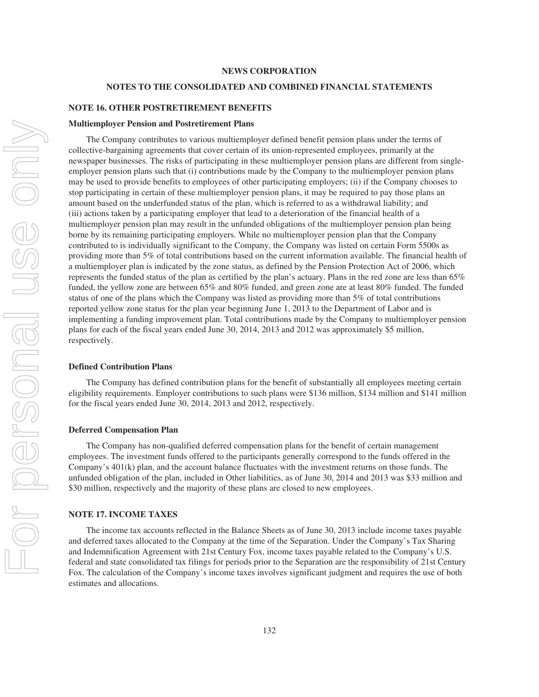# **NOTES TO THE CONSOLIDATED AND COMBINED FINANCIAL STATEMENTS**

## **NOTE 16. OTHER POSTRETIREMENT BENEFITS**

#### **Multiemployer Pension and Postretirement Plans**

The Company contributes to various multiemployer defined benefit pension plans under the terms of collective-bargaining agreements that cover certain of its union-represented employees, primarily at the newspaper businesses. The risks of participating in these multiemployer pension plans are different from singleemployer pension plans such that (i) contributions made by the Company to the multiemployer pension plans may be used to provide benefits to employees of other participating employers; (ii) if the Company chooses to stop participating in certain of these multiemployer pension plans, it may be required to pay those plans an amount based on the underfunded status of the plan, which is referred to as a withdrawal liability; and (iii) actions taken by a participating employer that lead to a deterioration of the financial health of a multiemployer pension plan may result in the unfunded obligations of the multiemployer pension plan being borne by its remaining participating employers. While no multiemployer pension plan that the Company contributed to is individually significant to the Company, the Company was listed on certain Form 5500s as providing more than 5% of total contributions based on the current information available. The financial health of a multiemployer plan is indicated by the zone status, as defined by the Pension Protection Act of 2006, which represents the funded status of the plan as certified by the plan's actuary. Plans in the red zone are less than 65% funded, the yellow zone are between 65% and 80% funded, and green zone are at least 80% funded. The funded status of one of the plans which the Company was listed as providing more than 5% of total contributions reported yellow zone status for the plan year beginning June 1, 2013 to the Department of Labor and is implementing a funding improvement plan. Total contributions made by the Company to multiemployer pension plans for each of the fiscal years ended June 30, 2014, 2013 and 2012 was approximately \$5 million, respectively.

### **Defined Contribution Plans**

The Company has defined contribution plans for the benefit of substantially all employees meeting certain eligibility requirements. Employer contributions to such plans were \$136 million, \$134 million and \$141 million for the fiscal years ended June 30, 2014, 2013 and 2012, respectively.

## **Deferred Compensation Plan**

The Company has non-qualified deferred compensation plans for the benefit of certain management employees. The investment funds offered to the participants generally correspond to the funds offered in the Company's 401(k) plan, and the account balance fluctuates with the investment returns on those funds. The unfunded obligation of the plan, included in Other liabilities, as of June 30, 2014 and 2013 was \$33 million and \$30 million, respectively and the majority of these plans are closed to new employees.

## **NOTE 17. INCOME TAXES**

The income tax accounts reflected in the Balance Sheets as of June 30, 2013 include income taxes payable and deferred taxes allocated to the Company at the time of the Separation. Under the Company's Tax Sharing and Indemnification Agreement with 21st Century Fox, income taxes payable related to the Company's U.S. federal and state consolidated tax filings for periods prior to the Separation are the responsibility of 21st Century Fox. The calculation of the Company's income taxes involves significant judgment and requires the use of both estimates and allocations.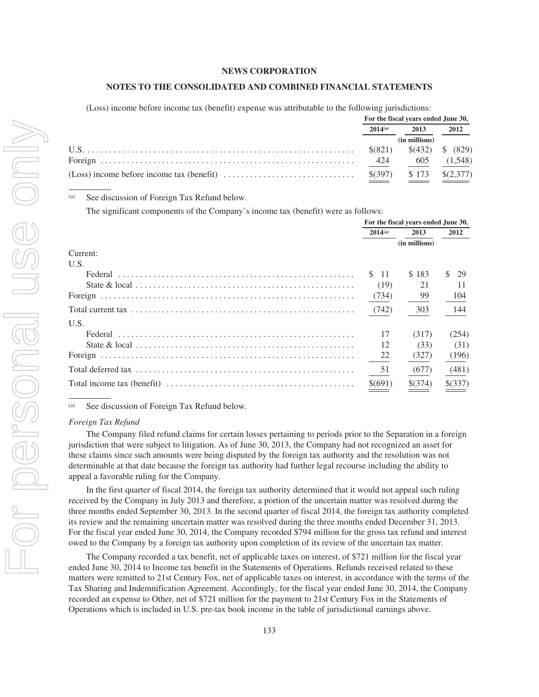## **NOTES TO THE CONSOLIDATED AND COMBINED FINANCIAL STATEMENTS**

(Loss) income before income tax (benefit) expense was attributable to the following jurisdictions:

|                                                                                                                      | For the fiscal years ended June 30, |                      |      |
|----------------------------------------------------------------------------------------------------------------------|-------------------------------------|----------------------|------|
|                                                                                                                      | $2014^{(a)}$                        | 2013                 | 2012 |
|                                                                                                                      |                                     | (in millions)        |      |
|                                                                                                                      | \$(821)                             | $\{(432)$ \$ $(829)$ |      |
|                                                                                                                      |                                     | 605 (1,548)          |      |
| (Loss) income before income tax (benefit) $\ldots \ldots \ldots \ldots \ldots \ldots \ldots$ \$(397) \$173 \$(2,377) |                                     |                      |      |

(a) See discussion of Foreign Tax Refund below.

The significant components of the Company's income tax (benefit) were as follows:

|          | For the fiscal years ended June 30, |               |                    |
|----------|-------------------------------------|---------------|--------------------|
|          | $2014^{(a)}$                        | 2013          | 2012               |
|          |                                     | (in millions) |                    |
| Current: |                                     |               |                    |
| U.S.     |                                     |               |                    |
| Federal  | \$ 11                               | \$183         | <sup>S</sup><br>29 |
|          | (19)                                | 21            | -11                |
|          | (734)                               | 99            | 104                |
|          | (742)                               | 303           | 144                |
| U.S.     |                                     |               |                    |
| Federal  | 17                                  | (317)         | (254)              |
|          | 12                                  | (33)          | (31)               |
|          | 22                                  | (327)         | (196)              |
|          | 51                                  | (677)         | (481)              |
|          | \$(691)                             | $$^{(374)}$   | \$(337)            |

(a) See discussion of Foreign Tax Refund below.

## *Foreign Tax Refund*

The Company filed refund claims for certain losses pertaining to periods prior to the Separation in a foreign jurisdiction that were subject to litigation. As of June 30, 2013, the Company had not recognized an asset for these claims since such amounts were being disputed by the foreign tax authority and the resolution was not determinable at that date because the foreign tax authority had further legal recourse including the ability to appeal a favorable ruling for the Company.

In the first quarter of fiscal 2014, the foreign tax authority determined that it would not appeal such ruling received by the Company in July 2013 and therefore, a portion of the uncertain matter was resolved during the three months ended September 30, 2013. In the second quarter of fiscal 2014, the foreign tax authority completed its review and the remaining uncertain matter was resolved during the three months ended December 31, 2013. For the fiscal year ended June 30, 2014, the Company recorded \$794 million for the gross tax refund and interest owed to the Company by a foreign tax authority upon completion of its review of the uncertain tax matter.

The Company recorded a tax benefit, net of applicable taxes on interest, of \$721 million for the fiscal year ended June 30, 2014 to Income tax benefit in the Statements of Operations. Refunds received related to these matters were remitted to 21st Century Fox, net of applicable taxes on interest, in accordance with the terms of the Tax Sharing and Indemnification Agreement. Accordingly, for the fiscal year ended June 30, 2014, the Company recorded an expense to Other, net of \$721 million for the payment to 21st Century Fox in the Statements of Operations which is included in U.S. pre-tax book income in the table of jurisdictional earnings above.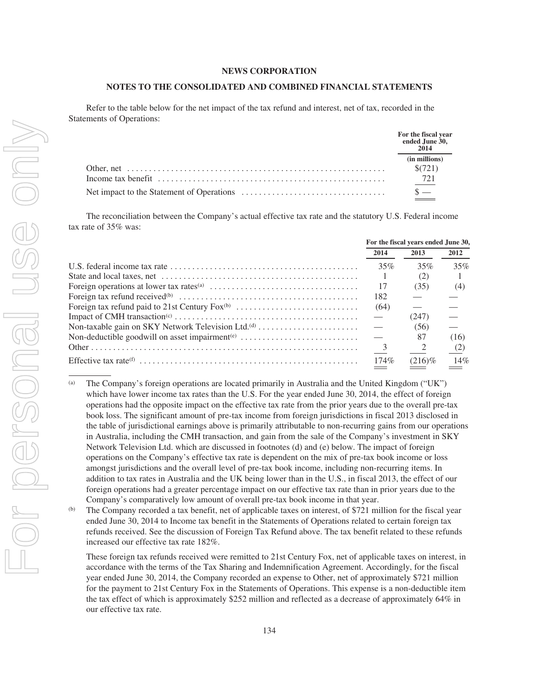# **NOTES TO THE CONSOLIDATED AND COMBINED FINANCIAL STATEMENTS**

Refer to the table below for the net impact of the tax refund and interest, net of tax, recorded in the Statements of Operations:

|                                                                                                                                                                 | For the fiscal year<br>ended June 30,<br>2014 |
|-----------------------------------------------------------------------------------------------------------------------------------------------------------------|-----------------------------------------------|
|                                                                                                                                                                 | (in millions)                                 |
|                                                                                                                                                                 | \$(721)                                       |
| Income tax benefit $\ldots$ , $\ldots$ , $\ldots$ , $\ldots$ , $\ldots$ , $\ldots$ , $\ldots$ , $\ldots$ , $\ldots$ , $\ldots$ , $\ldots$ , $\ldots$ , $\ldots$ | 721                                           |
|                                                                                                                                                                 | $\sqrt{$}$                                    |

The reconciliation between the Company's actual effective tax rate and the statutory U.S. Federal income tax rate of 35% was:

|                                                                                                               | For the fiscal vears ended June 30, |                |                          |
|---------------------------------------------------------------------------------------------------------------|-------------------------------------|----------------|--------------------------|
|                                                                                                               | 2014                                | 2013           | 2012                     |
| U.S. federal income tax rate $\ldots$ $\ldots$ $\ldots$ $\ldots$ $\ldots$ $\ldots$ $\ldots$ $\ldots$ $\ldots$ | 35%                                 | 35%            | 35%                      |
|                                                                                                               |                                     | (2)            |                          |
|                                                                                                               | 17                                  | (35)           | (4)                      |
|                                                                                                               | 182                                 |                |                          |
|                                                                                                               | (64)                                |                |                          |
|                                                                                                               |                                     | (247)          | $\overline{\phantom{m}}$ |
|                                                                                                               |                                     | (56)           | $\overline{\phantom{m}}$ |
|                                                                                                               |                                     | 87             | (16)                     |
|                                                                                                               | $\overline{\phantom{a}3}$           | $\overline{2}$ | (2)                      |
|                                                                                                               | 174%                                | $(216)\%$      | 14%                      |
|                                                                                                               |                                     |                |                          |

- (a) The Company's foreign operations are located primarily in Australia and the United Kingdom ("UK") which have lower income tax rates than the U.S. For the year ended June 30, 2014, the effect of foreign operations had the opposite impact on the effective tax rate from the prior years due to the overall pre-tax book loss. The significant amount of pre-tax income from foreign jurisdictions in fiscal 2013 disclosed in the table of jurisdictional earnings above is primarily attributable to non-recurring gains from our operations in Australia, including the CMH transaction, and gain from the sale of the Company's investment in SKY Network Television Ltd. which are discussed in footnotes (d) and (e) below. The impact of foreign operations on the Company's effective tax rate is dependent on the mix of pre-tax book income or loss amongst jurisdictions and the overall level of pre-tax book income, including non-recurring items. In addition to tax rates in Australia and the UK being lower than in the U.S., in fiscal 2013, the effect of our foreign operations had a greater percentage impact on our effective tax rate than in prior years due to the Company's comparatively low amount of overall pre-tax book income in that year.
- (b) The Company recorded a tax benefit, net of applicable taxes on interest, of \$721 million for the fiscal year ended June 30, 2014 to Income tax benefit in the Statements of Operations related to certain foreign tax refunds received. See the discussion of Foreign Tax Refund above. The tax benefit related to these refunds increased our effective tax rate 182%.

These foreign tax refunds received were remitted to 21st Century Fox, net of applicable taxes on interest, in accordance with the terms of the Tax Sharing and Indemnification Agreement. Accordingly, for the fiscal year ended June 30, 2014, the Company recorded an expense to Other, net of approximately \$721 million for the payment to 21st Century Fox in the Statements of Operations. This expense is a non-deductible item the tax effect of which is approximately \$252 million and reflected as a decrease of approximately 64% in our effective tax rate.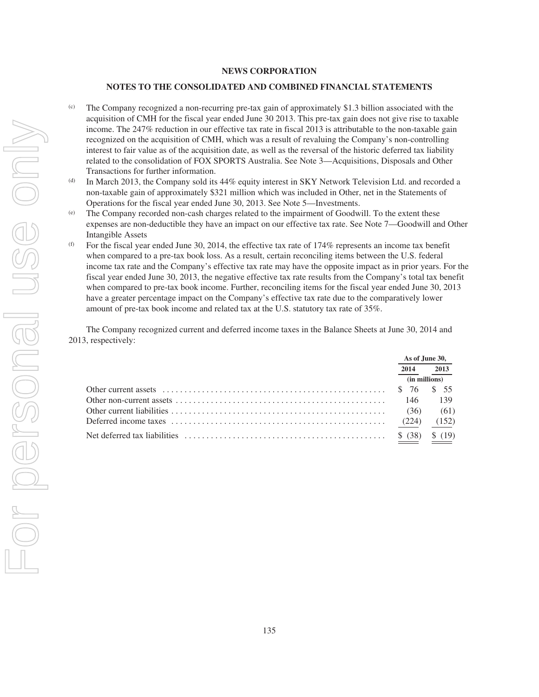## **NOTES TO THE CONSOLIDATED AND COMBINED FINANCIAL STATEMENTS**

- (c) The Company recognized a non-recurring pre-tax gain of approximately \$1.3 billion associated with the acquisition of CMH for the fiscal year ended June 30 2013. This pre-tax gain does not give rise to taxable income. The 247% reduction in our effective tax rate in fiscal 2013 is attributable to the non-taxable gain recognized on the acquisition of CMH, which was a result of revaluing the Company's non-controlling interest to fair value as of the acquisition date, as well as the reversal of the historic deferred tax liability related to the consolidation of FOX SPORTS Australia. See Note 3—Acquisitions, Disposals and Other Transactions for further information.
- (d) In March 2013, the Company sold its 44% equity interest in SKY Network Television Ltd. and recorded a non-taxable gain of approximately \$321 million which was included in Other, net in the Statements of Operations for the fiscal year ended June 30, 2013. See Note 5—Investments.
- (e) The Company recorded non-cash charges related to the impairment of Goodwill. To the extent these expenses are non-deductible they have an impact on our effective tax rate. See Note 7—Goodwill and Other Intangible Assets
- (f) For the fiscal year ended June 30, 2014, the effective tax rate of  $174\%$  represents an income tax benefit when compared to a pre-tax book loss. As a result, certain reconciling items between the U.S. federal income tax rate and the Company's effective tax rate may have the opposite impact as in prior years. For the fiscal year ended June 30, 2013, the negative effective tax rate results from the Company's total tax benefit when compared to pre-tax book income. Further, reconciling items for the fiscal year ended June 30, 2013 have a greater percentage impact on the Company's effective tax rate due to the comparatively lower amount of pre-tax book income and related tax at the U.S. statutory tax rate of 35%.

The Company recognized current and deferred income taxes in the Balance Sheets at June 30, 2014 and 2013, respectively:

|                                                            | As of June 30, |         |
|------------------------------------------------------------|----------------|---------|
|                                                            | 2014           | 2013    |
|                                                            | (in millions)  |         |
|                                                            |                |         |
|                                                            |                |         |
|                                                            |                | (61)    |
|                                                            |                | (152)   |
| Net deferred tax liabilities equation of the set of $(38)$ |                | \$ (19) |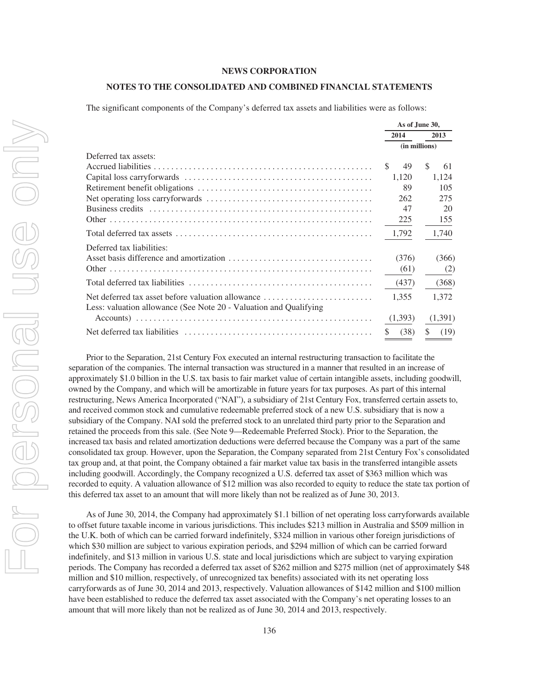# **NOTES TO THE CONSOLIDATED AND COMBINED FINANCIAL STATEMENTS**

The significant components of the Company's deferred tax assets and liabilities were as follows:

|                                                                   | As of June 30,        |           |
|-------------------------------------------------------------------|-----------------------|-----------|
|                                                                   | 2014                  | 2013      |
|                                                                   | (in millions)         |           |
| Deferred tax assets:                                              |                       |           |
|                                                                   | S.<br>49              | \$.<br>61 |
|                                                                   | 1,120                 | 1,124     |
|                                                                   | 89                    | 105       |
|                                                                   | 262                   | 275       |
|                                                                   | 47                    | 20        |
|                                                                   | 225                   | 155       |
|                                                                   | 1,792                 | 1,740     |
| Deferred tax liabilities:                                         |                       |           |
|                                                                   | (376)                 | (366)     |
|                                                                   | (61)                  | (2)       |
|                                                                   | (437)                 | (368)     |
| Net deferred tax asset before valuation allowance                 | 1,355                 | 1,372     |
| Less: valuation allowance (See Note 20 - Valuation and Qualifying |                       |           |
|                                                                   | (1,393)               | (1,391)   |
|                                                                   | <sup>\$</sup><br>(38) | (19)      |

Prior to the Separation, 21st Century Fox executed an internal restructuring transaction to facilitate the separation of the companies. The internal transaction was structured in a manner that resulted in an increase of approximately \$1.0 billion in the U.S. tax basis to fair market value of certain intangible assets, including goodwill, owned by the Company, and which will be amortizable in future years for tax purposes. As part of this internal restructuring, News America Incorporated ("NAI"), a subsidiary of 21st Century Fox, transferred certain assets to, and received common stock and cumulative redeemable preferred stock of a new U.S. subsidiary that is now a subsidiary of the Company. NAI sold the preferred stock to an unrelated third party prior to the Separation and retained the proceeds from this sale. (See Note 9—Redeemable Preferred Stock). Prior to the Separation, the increased tax basis and related amortization deductions were deferred because the Company was a part of the same consolidated tax group. However, upon the Separation, the Company separated from 21st Century Fox's consolidated tax group and, at that point, the Company obtained a fair market value tax basis in the transferred intangible assets including goodwill. Accordingly, the Company recognized a U.S. deferred tax asset of \$363 million which was recorded to equity. A valuation allowance of \$12 million was also recorded to equity to reduce the state tax portion of this deferred tax asset to an amount that will more likely than not be realized as of June 30, 2013.

As of June 30, 2014, the Company had approximately \$1.1 billion of net operating loss carryforwards available to offset future taxable income in various jurisdictions. This includes \$213 million in Australia and \$509 million in the U.K. both of which can be carried forward indefinitely, \$324 million in various other foreign jurisdictions of which \$30 million are subject to various expiration periods, and \$294 million of which can be carried forward indefinitely, and \$13 million in various U.S. state and local jurisdictions which are subject to varying expiration periods. The Company has recorded a deferred tax asset of \$262 million and \$275 million (net of approximately \$48 million and \$10 million, respectively, of unrecognized tax benefits) associated with its net operating loss carryforwards as of June 30, 2014 and 2013, respectively. Valuation allowances of \$142 million and \$100 million have been established to reduce the deferred tax asset associated with the Company's net operating losses to an amount that will more likely than not be realized as of June 30, 2014 and 2013, respectively.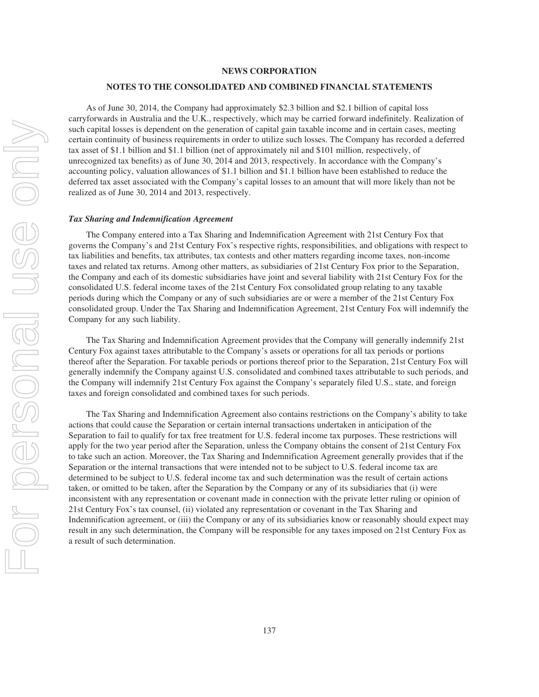# For personal use onlyFor personal use only

## **NEWS CORPORATION**

## **NOTES TO THE CONSOLIDATED AND COMBINED FINANCIAL STATEMENTS**

As of June 30, 2014, the Company had approximately \$2.3 billion and \$2.1 billion of capital loss carryforwards in Australia and the U.K., respectively, which may be carried forward indefinitely. Realization of such capital losses is dependent on the generation of capital gain taxable income and in certain cases, meeting certain continuity of business requirements in order to utilize such losses. The Company has recorded a deferred tax asset of \$1.1 billion and \$1.1 billion (net of approximately nil and \$101 million, respectively, of unrecognized tax benefits) as of June 30, 2014 and 2013, respectively. In accordance with the Company's accounting policy, valuation allowances of \$1.1 billion and \$1.1 billion have been established to reduce the deferred tax asset associated with the Company's capital losses to an amount that will more likely than not be realized as of June 30, 2014 and 2013, respectively.

## *Tax Sharing and Indemnification Agreement*

The Company entered into a Tax Sharing and Indemnification Agreement with 21st Century Fox that governs the Company's and 21st Century Fox's respective rights, responsibilities, and obligations with respect to tax liabilities and benefits, tax attributes, tax contests and other matters regarding income taxes, non-income taxes and related tax returns. Among other matters, as subsidiaries of 21st Century Fox prior to the Separation, the Company and each of its domestic subsidiaries have joint and several liability with 21st Century Fox for the consolidated U.S. federal income taxes of the 21st Century Fox consolidated group relating to any taxable periods during which the Company or any of such subsidiaries are or were a member of the 21st Century Fox consolidated group. Under the Tax Sharing and Indemnification Agreement, 21st Century Fox will indemnify the Company for any such liability.

The Tax Sharing and Indemnification Agreement provides that the Company will generally indemnify 21st Century Fox against taxes attributable to the Company's assets or operations for all tax periods or portions thereof after the Separation. For taxable periods or portions thereof prior to the Separation, 21st Century Fox will generally indemnify the Company against U.S. consolidated and combined taxes attributable to such periods, and the Company will indemnify 21st Century Fox against the Company's separately filed U.S., state, and foreign taxes and foreign consolidated and combined taxes for such periods.

The Tax Sharing and Indemnification Agreement also contains restrictions on the Company's ability to take actions that could cause the Separation or certain internal transactions undertaken in anticipation of the Separation to fail to qualify for tax free treatment for U.S. federal income tax purposes. These restrictions will apply for the two year period after the Separation, unless the Company obtains the consent of 21st Century Fox to take such an action. Moreover, the Tax Sharing and Indemnification Agreement generally provides that if the Separation or the internal transactions that were intended not to be subject to U.S. federal income tax are determined to be subject to U.S. federal income tax and such determination was the result of certain actions taken, or omitted to be taken, after the Separation by the Company or any of its subsidiaries that (i) were inconsistent with any representation or covenant made in connection with the private letter ruling or opinion of 21st Century Fox's tax counsel, (ii) violated any representation or covenant in the Tax Sharing and Indemnification agreement, or (iii) the Company or any of its subsidiaries know or reasonably should expect may result in any such determination, the Company will be responsible for any taxes imposed on 21st Century Fox as a result of such determination.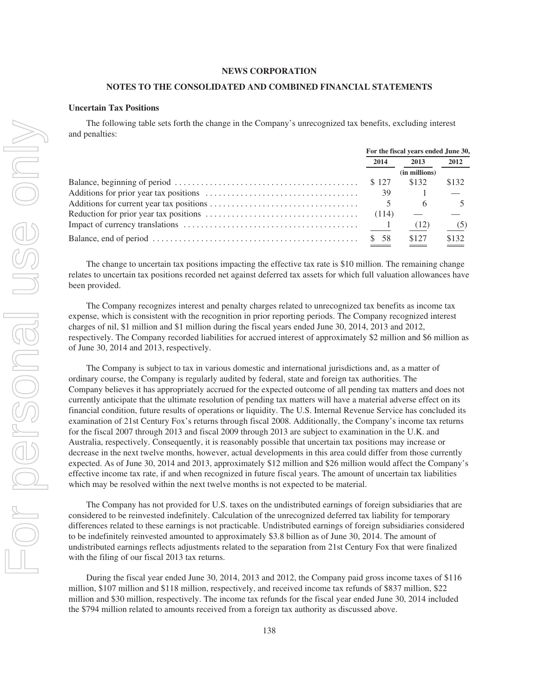# **NOTES TO THE CONSOLIDATED AND COMBINED FINANCIAL STATEMENTS**

## **Uncertain Tax Positions**

The following table sets forth the change in the Company's unrecognized tax benefits, excluding interest and penalties:

| For the fiscal years ended June 30, |               |                 |
|-------------------------------------|---------------|-----------------|
| 2014                                | 2013          | 2012            |
|                                     | (in millions) |                 |
| \$127                               | \$132         | \$132           |
| 39                                  |               |                 |
| 5                                   | $\sigma$      |                 |
| (114)                               |               |                 |
|                                     | (12)          | (5)             |
| \$58                                | \$127         | \$132<br>$\sim$ |

The change to uncertain tax positions impacting the effective tax rate is \$10 million. The remaining change relates to uncertain tax positions recorded net against deferred tax assets for which full valuation allowances have been provided.

The Company recognizes interest and penalty charges related to unrecognized tax benefits as income tax expense, which is consistent with the recognition in prior reporting periods. The Company recognized interest charges of nil, \$1 million and \$1 million during the fiscal years ended June 30, 2014, 2013 and 2012, respectively. The Company recorded liabilities for accrued interest of approximately \$2 million and \$6 million as of June 30, 2014 and 2013, respectively.

The Company is subject to tax in various domestic and international jurisdictions and, as a matter of ordinary course, the Company is regularly audited by federal, state and foreign tax authorities. The Company believes it has appropriately accrued for the expected outcome of all pending tax matters and does not currently anticipate that the ultimate resolution of pending tax matters will have a material adverse effect on its financial condition, future results of operations or liquidity. The U.S. Internal Revenue Service has concluded its examination of 21st Century Fox's returns through fiscal 2008. Additionally, the Company's income tax returns for the fiscal 2007 through 2013 and fiscal 2009 through 2013 are subject to examination in the U.K. and Australia, respectively. Consequently, it is reasonably possible that uncertain tax positions may increase or decrease in the next twelve months, however, actual developments in this area could differ from those currently expected. As of June 30, 2014 and 2013, approximately \$12 million and \$26 million would affect the Company's effective income tax rate, if and when recognized in future fiscal years. The amount of uncertain tax liabilities which may be resolved within the next twelve months is not expected to be material.

The Company has not provided for U.S. taxes on the undistributed earnings of foreign subsidiaries that are considered to be reinvested indefinitely. Calculation of the unrecognized deferred tax liability for temporary differences related to these earnings is not practicable. Undistributed earnings of foreign subsidiaries considered to be indefinitely reinvested amounted to approximately \$3.8 billion as of June 30, 2014. The amount of undistributed earnings reflects adjustments related to the separation from 21st Century Fox that were finalized with the filing of our fiscal 2013 tax returns.

During the fiscal year ended June 30, 2014, 2013 and 2012, the Company paid gross income taxes of \$116 million, \$107 million and \$118 million, respectively, and received income tax refunds of \$837 million, \$22 million and \$30 million, respectively. The income tax refunds for the fiscal year ended June 30, 2014 included the \$794 million related to amounts received from a foreign tax authority as discussed above.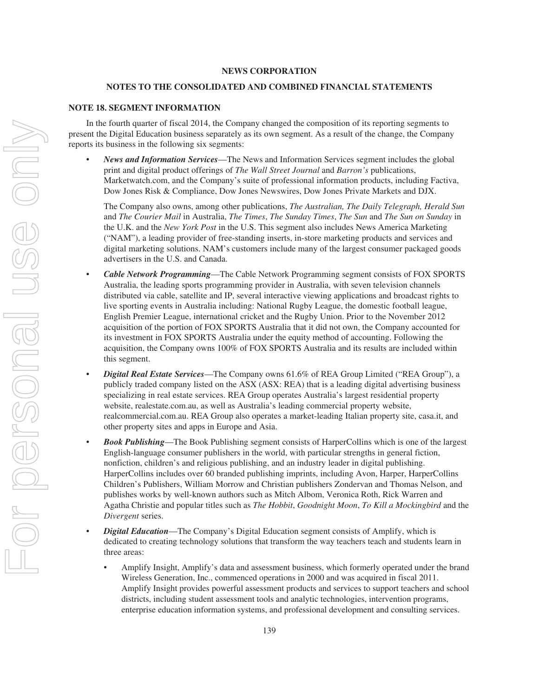# **NOTES TO THE CONSOLIDATED AND COMBINED FINANCIAL STATEMENTS**

## **NOTE 18. SEGMENT INFORMATION**

In the fourth quarter of fiscal 2014, the Company changed the composition of its reporting segments to present the Digital Education business separately as its own segment. As a result of the change, the Company reports its business in the following six segments:

• *News and Information Services*—The News and Information Services segment includes the global print and digital product offerings of *The Wall Street Journal* and *Barron's* publications, Marketwatch.com, and the Company's suite of professional information products, including Factiva, Dow Jones Risk & Compliance, Dow Jones Newswires, Dow Jones Private Markets and DJX.

The Company also owns, among other publications, *The Australian, The Daily Telegraph, Herald Sun* and *The Courier Mail* in Australia, *The Times*, *The Sunday Times*, *The Sun* and *The Sun on Sunday* in the U.K. and the *New York Post* in the U.S. This segment also includes News America Marketing ("NAM"), a leading provider of free-standing inserts, in-store marketing products and services and digital marketing solutions. NAM's customers include many of the largest consumer packaged goods advertisers in the U.S. and Canada.

- *Cable Network Programming*—The Cable Network Programming segment consists of FOX SPORTS Australia, the leading sports programming provider in Australia, with seven television channels distributed via cable, satellite and IP, several interactive viewing applications and broadcast rights to live sporting events in Australia including: National Rugby League, the domestic football league, English Premier League, international cricket and the Rugby Union. Prior to the November 2012 acquisition of the portion of FOX SPORTS Australia that it did not own, the Company accounted for its investment in FOX SPORTS Australia under the equity method of accounting. Following the acquisition, the Company owns 100% of FOX SPORTS Australia and its results are included within this segment.
- *Digital Real Estate Services*—The Company owns 61.6% of REA Group Limited ("REA Group"), a publicly traded company listed on the ASX (ASX: REA) that is a leading digital advertising business specializing in real estate services. REA Group operates Australia's largest residential property website, realestate.com.au, as well as Australia's leading commercial property website, realcommercial.com.au. REA Group also operates a market-leading Italian property site, casa.it, and other property sites and apps in Europe and Asia.
- *Book Publishing*—The Book Publishing segment consists of HarperCollins which is one of the largest English-language consumer publishers in the world, with particular strengths in general fiction, nonfiction, children's and religious publishing, and an industry leader in digital publishing. HarperCollins includes over 60 branded publishing imprints, including Avon, Harper, HarperCollins Children's Publishers, William Morrow and Christian publishers Zondervan and Thomas Nelson, and publishes works by well-known authors such as Mitch Albom, Veronica Roth, Rick Warren and Agatha Christie and popular titles such as *The Hobbit*, *Goodnight Moon*, *To Kill a Mockingbird* and the *Divergent* series.
- *Digital Education*—The Company's Digital Education segment consists of Amplify, which is dedicated to creating technology solutions that transform the way teachers teach and students learn in three areas:
	- Amplify Insight, Amplify's data and assessment business, which formerly operated under the brand Wireless Generation, Inc., commenced operations in 2000 and was acquired in fiscal 2011. Amplify Insight provides powerful assessment products and services to support teachers and school districts, including student assessment tools and analytic technologies, intervention programs, enterprise education information systems, and professional development and consulting services.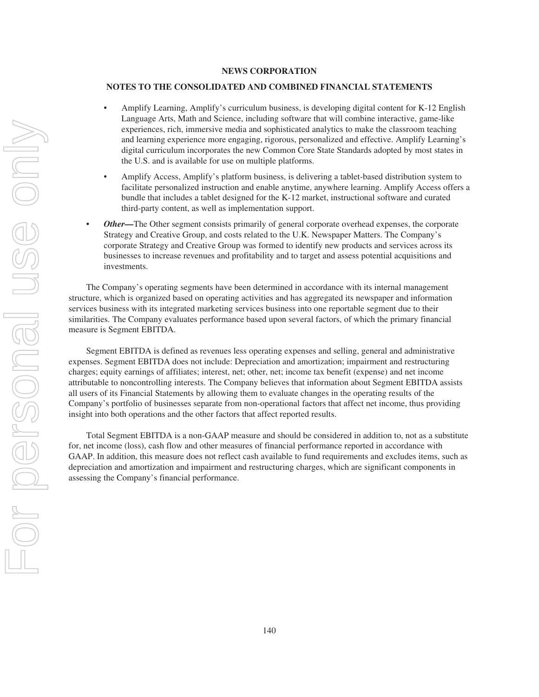# For personal use onlyFor personal use only

## **NEWS CORPORATION**

# **NOTES TO THE CONSOLIDATED AND COMBINED FINANCIAL STATEMENTS**

- Amplify Learning, Amplify's curriculum business, is developing digital content for K-12 English Language Arts, Math and Science, including software that will combine interactive, game-like experiences, rich, immersive media and sophisticated analytics to make the classroom teaching and learning experience more engaging, rigorous, personalized and effective. Amplify Learning's digital curriculum incorporates the new Common Core State Standards adopted by most states in the U.S. and is available for use on multiple platforms.
- Amplify Access, Amplify's platform business, is delivering a tablet-based distribution system to facilitate personalized instruction and enable anytime, anywhere learning. Amplify Access offers a bundle that includes a tablet designed for the K-12 market, instructional software and curated third-party content, as well as implementation support.
- *Other***—**The Other segment consists primarily of general corporate overhead expenses, the corporate Strategy and Creative Group, and costs related to the U.K. Newspaper Matters. The Company's corporate Strategy and Creative Group was formed to identify new products and services across its businesses to increase revenues and profitability and to target and assess potential acquisitions and investments.

The Company's operating segments have been determined in accordance with its internal management structure, which is organized based on operating activities and has aggregated its newspaper and information services business with its integrated marketing services business into one reportable segment due to their similarities. The Company evaluates performance based upon several factors, of which the primary financial measure is Segment EBITDA.

Segment EBITDA is defined as revenues less operating expenses and selling, general and administrative expenses. Segment EBITDA does not include: Depreciation and amortization; impairment and restructuring charges; equity earnings of affiliates; interest, net; other, net; income tax benefit (expense) and net income attributable to noncontrolling interests. The Company believes that information about Segment EBITDA assists all users of its Financial Statements by allowing them to evaluate changes in the operating results of the Company's portfolio of businesses separate from non-operational factors that affect net income, thus providing insight into both operations and the other factors that affect reported results.

Total Segment EBITDA is a non-GAAP measure and should be considered in addition to, not as a substitute for, net income (loss), cash flow and other measures of financial performance reported in accordance with GAAP. In addition, this measure does not reflect cash available to fund requirements and excludes items, such as depreciation and amortization and impairment and restructuring charges, which are significant components in assessing the Company's financial performance.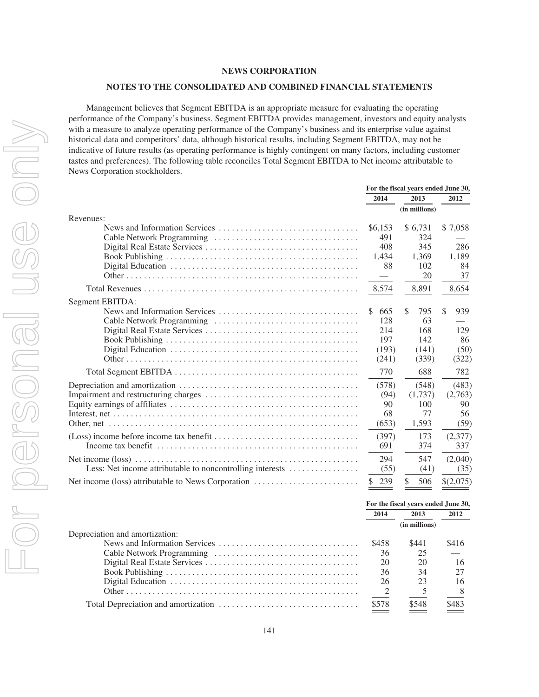# **NOTES TO THE CONSOLIDATED AND COMBINED FINANCIAL STATEMENTS**

Management believes that Segment EBITDA is an appropriate measure for evaluating the operating performance of the Company's business. Segment EBITDA provides management, investors and equity analysts with a measure to analyze operating performance of the Company's business and its enterprise value against historical data and competitors' data, although historical results, including Segment EBITDA, may not be indicative of future results (as operating performance is highly contingent on many factors, including customer tastes and preferences). The following table reconciles Total Segment EBITDA to Net income attributable to News Corporation stockholders.

|                                                           | For the fiscal vears ended June 30, |               |           |
|-----------------------------------------------------------|-------------------------------------|---------------|-----------|
|                                                           | 2014                                | 2013          | 2012      |
|                                                           |                                     | (in millions) |           |
| Revenues:                                                 |                                     |               |           |
|                                                           | \$6,153                             | \$6,731       | \$7,058   |
|                                                           | 491                                 | 324           |           |
|                                                           | 408                                 | 345           | 286       |
|                                                           | 1,434                               | 1,369         | 1,189     |
|                                                           | 88                                  | 102           | 84        |
|                                                           |                                     | 20            | 37        |
|                                                           | 8,574                               | 8,891         | 8,654     |
| Segment EBITDA:                                           |                                     |               |           |
|                                                           | \$.<br>665                          | \$<br>795     | \$<br>939 |
|                                                           | 128                                 | 63            |           |
|                                                           | 214                                 | 168           | 129       |
|                                                           | 197                                 | 142           | 86        |
|                                                           | (193)                               | (141)         | (50)      |
|                                                           | (241)                               | (339)         | (322)     |
|                                                           | 770                                 | 688           | 782       |
|                                                           | (578)                               | (548)         | (483)     |
|                                                           | (94)                                | (1,737)       | (2,763)   |
|                                                           | 90                                  | 100           | 90        |
|                                                           | 68                                  | 77            | 56        |
|                                                           | (653)                               | 1,593         | (59)      |
|                                                           | (397)                               | 173           | (2,377)   |
|                                                           | 691                                 | 374           | 337       |
|                                                           | 294                                 | 547           | (2,040)   |
| Less: Net income attributable to noncontrolling interests | (55)                                | (41)          | (35)      |
| Net income (loss) attributable to News Corporation        | \$<br>239                           | \$<br>506     | \$(2,075) |

|                                |       | For the fiscal years ended June 30, |       |  |
|--------------------------------|-------|-------------------------------------|-------|--|
|                                | 2014  | 2013                                | 2012  |  |
|                                |       | (in millions)                       |       |  |
| Depreciation and amortization: |       |                                     |       |  |
|                                | \$458 | \$441                               | \$416 |  |
|                                | 36    | 25                                  |       |  |
|                                | 20    | 20                                  |       |  |
|                                | 36    | 34                                  |       |  |
|                                | 26    | 23                                  |       |  |
|                                |       |                                     |       |  |
|                                | \$578 | \$548                               | \$483 |  |
|                                |       |                                     |       |  |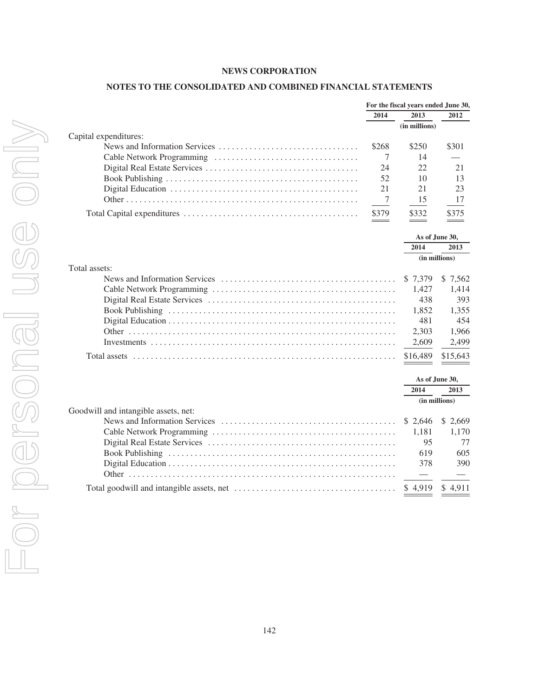## **NOTES TO THE CONSOLIDATED AND COMBINED FINANCIAL STATEMENTS**

|                                      | For the fiscal years ended June 30, |                |             |
|--------------------------------------|-------------------------------------|----------------|-------------|
|                                      | 2014                                | 2013           | 2012        |
|                                      |                                     | (in millions)  |             |
| Capital expenditures:                |                                     |                |             |
|                                      | \$268                               | \$250          | \$301       |
|                                      | 7                                   | 14             |             |
|                                      | 24                                  | 22             | 21          |
|                                      | 52                                  | 10             | 13          |
|                                      | 21                                  | 21             | 23          |
|                                      | 7                                   | 15             | 17          |
|                                      | \$379                               | \$332          | \$375       |
|                                      |                                     | As of June 30, |             |
|                                      |                                     | 2014           | 2013        |
|                                      |                                     | (in millions)  |             |
| Total assets:                        |                                     |                |             |
|                                      |                                     | \$7,379        | \$ 7,562    |
|                                      |                                     | 1,427          | 1,414       |
|                                      |                                     | 438            | 393         |
|                                      |                                     | 1,852          | 1,355       |
|                                      |                                     | 481            | 454         |
|                                      |                                     | 2,303          | 1,966       |
|                                      |                                     | 2,609          | 2,499       |
|                                      |                                     | \$16,489       | \$15,643    |
|                                      |                                     | As of June 30, |             |
|                                      |                                     | 2014           | 2013        |
|                                      |                                     | (in millions)  |             |
| Goodwill and intangible assets, net: |                                     |                |             |
|                                      |                                     | \$2,646        | \$<br>2,669 |
|                                      |                                     | 1,181          | 1,170       |
|                                      |                                     | 95             | 77          |
|                                      |                                     | 619            | 605         |
|                                      |                                     | 378            | 390         |
|                                      |                                     |                |             |
|                                      |                                     | \$4,919        | \$4.911     |
|                                      |                                     |                |             |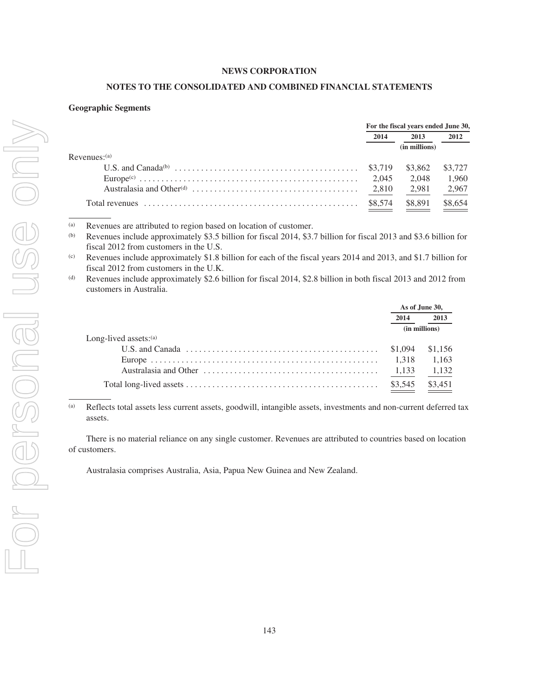## **NOTES TO THE CONSOLIDATED AND COMBINED FINANCIAL STATEMENTS**

### **Geographic Segments**

|                    | For the fiscal years ended June 30, |               |         |  |
|--------------------|-------------------------------------|---------------|---------|--|
|                    | 2014                                | 2013          | 2012    |  |
|                    |                                     | (in millions) |         |  |
| $Revenues$ : $(a)$ |                                     |               |         |  |
|                    |                                     | \$3.862       | \$3,727 |  |
|                    | 2.045                               | 2.048         | 1.960   |  |
|                    | 2,810                               | 2.981         | 2,967   |  |
|                    | \$8,574                             | \$8,891       | \$8,654 |  |

(a) Revenues are attributed to region based on location of customer.

(b) Revenues include approximately \$3.5 billion for fiscal 2014, \$3.7 billion for fiscal 2013 and \$3.6 billion for fiscal 2012 from customers in the U.S.

(c) Revenues include approximately \$1.8 billion for each of the fiscal years 2014 and 2013, and \$1.7 billion for fiscal 2012 from customers in the U.K.

(d) Revenues include approximately \$2.6 billion for fiscal 2014, \$2.8 billion in both fiscal 2013 and 2012 from customers in Australia.

|                                                                                                                                        | As of June 30, |         |
|----------------------------------------------------------------------------------------------------------------------------------------|----------------|---------|
|                                                                                                                                        | 2014           | 2013    |
|                                                                                                                                        | (in millions)  |         |
| Long-lived assets: $(a)$                                                                                                               |                |         |
| U.S. and Canada $\ldots$ , $\ldots$ , $\ldots$ , $\ldots$ , $\ldots$ , $\ldots$ , $\ldots$ , $\ldots$ , $\ldots$ , $\ldots$ , $\ldots$ | \$1,094        | \$1.156 |
|                                                                                                                                        | 1.318          | 1.163   |
|                                                                                                                                        | 1,133          | 1,132   |
|                                                                                                                                        | \$3,545        | \$3.451 |

(a) Reflects total assets less current assets, goodwill, intangible assets, investments and non-current deferred tax assets.

There is no material reliance on any single customer. Revenues are attributed to countries based on location of customers.

Australasia comprises Australia, Asia, Papua New Guinea and New Zealand.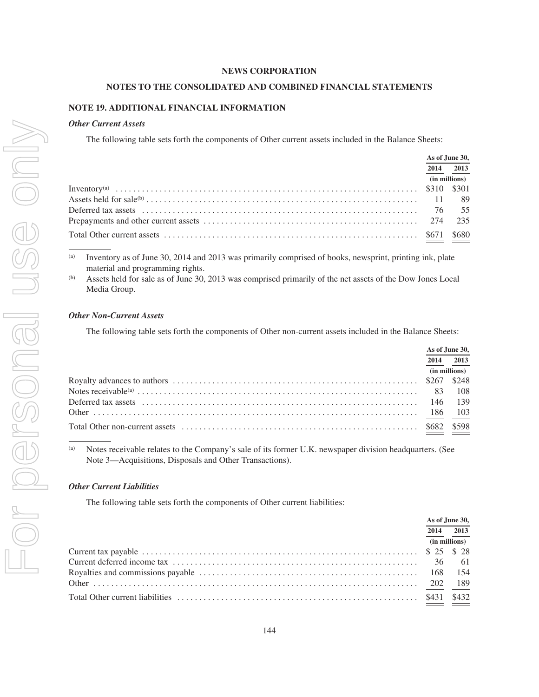## **NOTES TO THE CONSOLIDATED AND COMBINED FINANCIAL STATEMENTS**

## **NOTE 19. ADDITIONAL FINANCIAL INFORMATION**

### *Other Current Assets*

The following table sets forth the components of Other current assets included in the Balance Sheets:

|                                                                                                                                                                                                                                | As of June 30, |               |
|--------------------------------------------------------------------------------------------------------------------------------------------------------------------------------------------------------------------------------|----------------|---------------|
|                                                                                                                                                                                                                                | 2014 2013      |               |
|                                                                                                                                                                                                                                |                | (in millions) |
|                                                                                                                                                                                                                                |                |               |
|                                                                                                                                                                                                                                |                |               |
| Deferred tax assets (a) section (a) section (b) set of the set of the section of the set of the set of the set of the set of the set of the set of the set of the set of the set of the set of the set of the set of the set o |                |               |
|                                                                                                                                                                                                                                |                |               |
|                                                                                                                                                                                                                                |                |               |

(a) Inventory as of June 30, 2014 and 2013 was primarily comprised of books, newsprint, printing ink, plate material and programming rights.

(b) Assets held for sale as of June 30, 2013 was comprised primarily of the net assets of the Dow Jones Local Media Group.

### *Other Non-Current Assets*

The following table sets forth the components of Other non-current assets included in the Balance Sheets:

|                                                                                                                                                                                                                                |      | As of June 30, |
|--------------------------------------------------------------------------------------------------------------------------------------------------------------------------------------------------------------------------------|------|----------------|
|                                                                                                                                                                                                                                | 2014 | 2013           |
|                                                                                                                                                                                                                                |      | (in millions)  |
|                                                                                                                                                                                                                                |      |                |
|                                                                                                                                                                                                                                |      |                |
| Deferred tax assets (a) asset that the control of the control of the control of the control of the control of the control of the control of the control of the control of the control of the control of the control of the con |      |                |
|                                                                                                                                                                                                                                |      |                |
|                                                                                                                                                                                                                                |      |                |

(a) Notes receivable relates to the Company's sale of its former U.K. newspaper division headquarters. (See Note 3—Acquisitions, Disposals and Other Transactions).

## *Other Current Liabilities*

The following table sets forth the components of Other current liabilities:

| As of June 30, |               |
|----------------|---------------|
|                | 2014 2013     |
|                | (in millions) |
|                |               |
|                |               |
|                |               |
|                |               |
|                |               |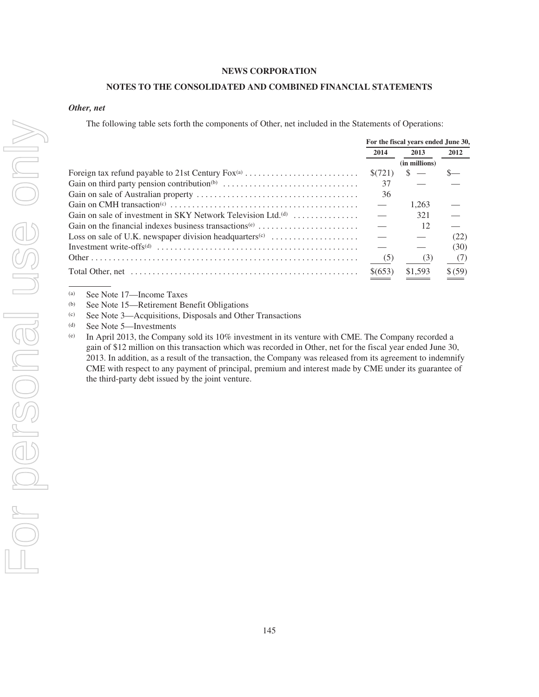## **NOTES TO THE CONSOLIDATED AND COMBINED FINANCIAL STATEMENTS**

### *Other, net*

The following table sets forth the components of Other, net included in the Statements of Operations:

|                                                                                         | For the fiscal vears ended June 30, |               |         |
|-----------------------------------------------------------------------------------------|-------------------------------------|---------------|---------|
|                                                                                         | 2014                                | 2013          | 2012    |
|                                                                                         |                                     | (in millions) |         |
|                                                                                         | \$(721)                             | $s =$         | $S-$    |
|                                                                                         | 37                                  |               |         |
|                                                                                         | 36                                  |               |         |
|                                                                                         |                                     | 1.263         |         |
| Gain on sale of investment in SKY Network Television Ltd. (d) $\dots \dots \dots \dots$ |                                     | 321           |         |
| Gain on the financial indexes business transactions <sup>(e)</sup>                      | $\overline{\phantom{a}}$            | 12            |         |
| Loss on sale of U.K. newspaper division headquarters <sup>(c)</sup>                     |                                     |               | (22)    |
|                                                                                         |                                     |               | (30)    |
|                                                                                         | (5)                                 | (3)           | (7)     |
|                                                                                         | \$(653)                             | \$1,593       | \$ (59) |

(a) See Note 17—Income Taxes

(b) See Note 15—Retirement Benefit Obligations

(c) See Note 3—Acquisitions, Disposals and Other Transactions

(d) See Note 5—Investments

(e) In April 2013, the Company sold its 10% investment in its venture with CME. The Company recorded a gain of \$12 million on this transaction which was recorded in Other, net for the fiscal year ended June 30, 2013. In addition, as a result of the transaction, the Company was released from its agreement to indemnify CME with respect to any payment of principal, premium and interest made by CME under its guarantee of the third-party debt issued by the joint venture.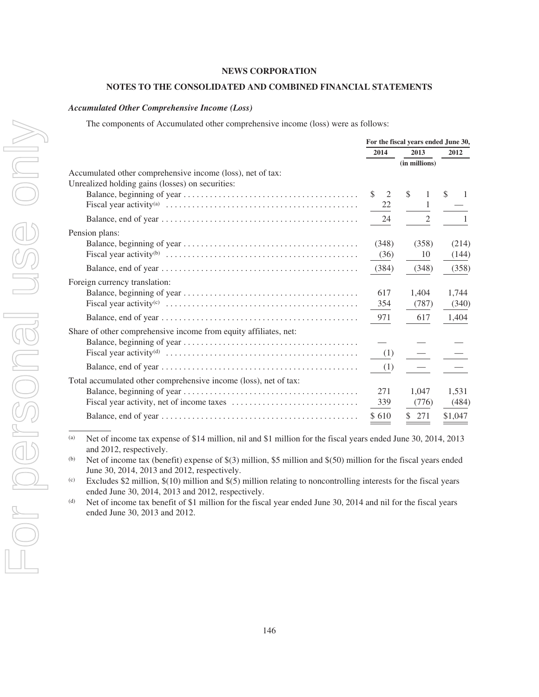## **NOTES TO THE CONSOLIDATED AND COMBINED FINANCIAL STATEMENTS**

### *Accumulated Other Comprehensive Income (Loss)*

The components of Accumulated other comprehensive income (loss) were as follows:

|                                                                                                                | For the fiscal years ended June 30, |                         |                |
|----------------------------------------------------------------------------------------------------------------|-------------------------------------|-------------------------|----------------|
|                                                                                                                | 2014                                | 2013                    | 2012           |
|                                                                                                                |                                     | (in millions)           |                |
| Accumulated other comprehensive income (loss), net of tax:<br>Unrealized holding gains (losses) on securities: |                                     |                         |                |
|                                                                                                                | <sup>\$</sup><br>2<br>22            | $\mathcal{S}$<br>1<br>1 | \$             |
|                                                                                                                | 24                                  | 2                       |                |
| Pension plans:                                                                                                 | (348)<br>(36)                       | (358)<br>10             | (214)<br>(144) |
|                                                                                                                | (384)                               | (348)                   | (358)          |
| Foreign currency translation:                                                                                  | 617<br>354                          | 1.404<br>(787)          | 1.744<br>(340) |
|                                                                                                                | 971                                 | 617                     | 1,404          |
| Share of other comprehensive income from equity affiliates, net:                                               | (1)                                 |                         |                |
|                                                                                                                | (1)                                 |                         |                |
| Total accumulated other comprehensive income (loss), net of tax:                                               | 271<br>339                          | 1,047<br>(776)          | 1,531<br>(484) |
|                                                                                                                | \$610                               | $\mathbb{S}$<br>271     | \$1,047        |

(a) Net of income tax expense of \$14 million, nil and \$1 million for the fiscal years ended June 30, 2014, 2013 and 2012, respectively.

(b) Net of income tax (benefit) expense of  $\S(3)$  million, \$5 million and  $\S(50)$  million for the fiscal years ended June 30, 2014, 2013 and 2012, respectively.

(c) Excludes  $$2$  million,  $$(10)$  million and  $$(5)$  million relating to noncontrolling interests for the fiscal years ended June 30, 2014, 2013 and 2012, respectively.

(d) Net of income tax benefit of \$1 million for the fiscal year ended June 30, 2014 and nil for the fiscal years ended June 30, 2013 and 2012.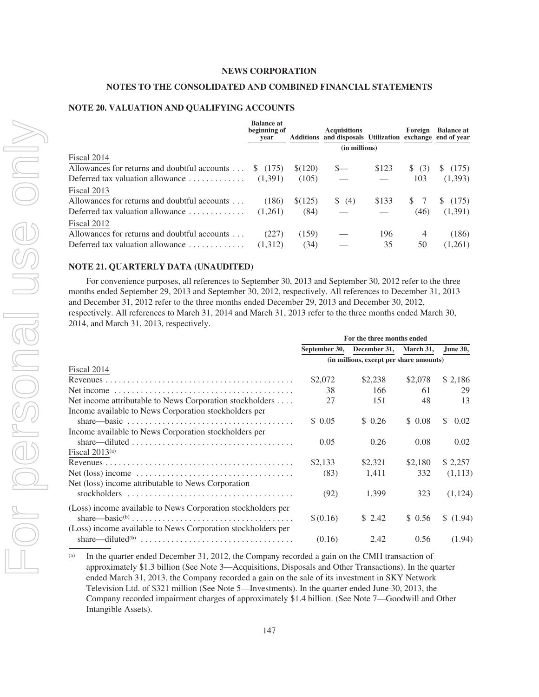## **NOTES TO THE CONSOLIDATED AND COMBINED FINANCIAL STATEMENTS**

### **NOTE 20. VALUATION AND QUALIFYING ACCOUNTS**

|                                                                    | <b>Balance at</b><br>beginning of<br>vear |         | <b>Acquisitions</b><br>Additions and disposals Utilization exchange end of year |       | Foreign        | <b>Balance at</b>     |
|--------------------------------------------------------------------|-------------------------------------------|---------|---------------------------------------------------------------------------------|-------|----------------|-----------------------|
|                                                                    |                                           |         | (in millions)                                                                   |       |                |                       |
| Fiscal 2014                                                        |                                           |         |                                                                                 |       |                |                       |
| Allowances for returns and doubtful accounts                       | $\frac{(175)}{2}$                         | \$(120) | $S-$                                                                            | \$123 | S(3)           | (175)<br>S.           |
| Deferred tax valuation allowance $\dots \dots \dots \dots$ (1,391) |                                           | (105)   |                                                                                 |       | 103            | (1,393)               |
| Fiscal 2013                                                        |                                           |         |                                                                                 |       |                |                       |
| Allowances for returns and doubtful accounts                       | (186)                                     | \$(125) | (4)                                                                             | \$133 | S <sub>7</sub> | (175)<br><sup>S</sup> |
| Deferred tax valuation allowance                                   | (1.261)                                   | (84)    |                                                                                 |       | (46)           | (1,391)               |
| Fiscal 2012                                                        |                                           |         |                                                                                 |       |                |                       |
| Allowances for returns and doubtful accounts                       | (227)                                     | (159)   |                                                                                 | 196   | 4              | (186)                 |
| Deferred tax valuation allowance $\dots\dots\dots\dots$            | (1,312)                                   | (34)    |                                                                                 | 35    | 50             | (1,261)               |
|                                                                    |                                           |         |                                                                                 |       |                |                       |

## **NOTE 21. QUARTERLY DATA (UNAUDITED)**

For convenience purposes, all references to September 30, 2013 and September 30, 2012 refer to the three months ended September 29, 2013 and September 30, 2012, respectively. All references to December 31, 2013 and December 31, 2012 refer to the three months ended December 29, 2013 and December 30, 2012, respectively. All references to March 31, 2014 and March 31, 2013 refer to the three months ended March 30, 2014, and March 31, 2013, respectively.

|                                                                                                  | For the three months ended              |                        |         |                 |
|--------------------------------------------------------------------------------------------------|-----------------------------------------|------------------------|---------|-----------------|
|                                                                                                  | September 30,                           | December 31, March 31, |         | <b>June 30,</b> |
|                                                                                                  | (in millions, except per share amounts) |                        |         |                 |
| Fiscal 2014                                                                                      |                                         |                        |         |                 |
|                                                                                                  | \$2,072                                 | \$2,238                | \$2,078 | \$2,186         |
| Net income $\dots \dots \dots \dots \dots \dots \dots \dots \dots \dots \dots \dots \dots \dots$ | 38                                      | 166                    | 61      | 29              |
| Net income attributable to News Corporation stockholders                                         | 27                                      | 151                    | 48      | 13              |
| Income available to News Corporation stockholders per                                            |                                         |                        |         |                 |
|                                                                                                  | \$0.05                                  | \$0.26                 | \$0.08  | S.<br>0.02      |
| Income available to News Corporation stockholders per                                            |                                         |                        |         |                 |
|                                                                                                  | 0.05                                    | 0.26                   | 0.08    | 0.02            |
| Fiscal $2013^{(a)}$                                                                              |                                         |                        |         |                 |
|                                                                                                  | \$2,133                                 | \$2,321                | \$2,180 | \$2,257         |
|                                                                                                  | (83)                                    | 1,411                  | 332     | (1,113)         |
| Net (loss) income attributable to News Corporation                                               |                                         |                        |         |                 |
|                                                                                                  | (92)                                    | 1,399                  | 323     | (1, 124)        |
| (Loss) income available to News Corporation stockholders per                                     |                                         |                        |         |                 |
|                                                                                                  | \$ (0.16)                               | \$2.42                 | \$0.56  | \$(1.94)        |
| (Loss) income available to News Corporation stockholders per                                     |                                         |                        |         |                 |
|                                                                                                  | (0.16)                                  | 2.42                   | 0.56    | (1.94)          |
|                                                                                                  |                                         |                        |         |                 |

(a) In the quarter ended December 31, 2012, the Company recorded a gain on the CMH transaction of approximately \$1.3 billion (See Note 3—Acquisitions, Disposals and Other Transactions). In the quarter ended March 31, 2013, the Company recorded a gain on the sale of its investment in SKY Network Television Ltd. of \$321 million (See Note 5—Investments). In the quarter ended June 30, 2013, the Company recorded impairment charges of approximately \$1.4 billion. (See Note 7—Goodwill and Other Intangible Assets).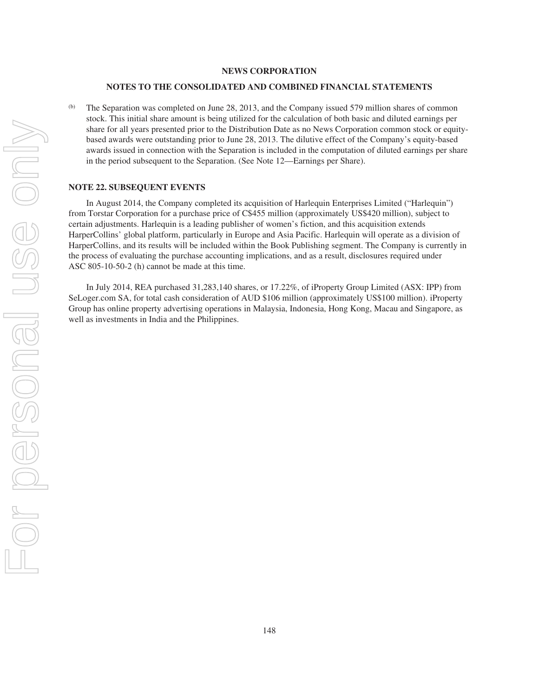## **NOTES TO THE CONSOLIDATED AND COMBINED FINANCIAL STATEMENTS**

(b) The Separation was completed on June 28, 2013, and the Company issued 579 million shares of common stock. This initial share amount is being utilized for the calculation of both basic and diluted earnings per share for all years presented prior to the Distribution Date as no News Corporation common stock or equitybased awards were outstanding prior to June 28, 2013. The dilutive effect of the Company's equity-based awards issued in connection with the Separation is included in the computation of diluted earnings per share in the period subsequent to the Separation. (See Note 12—Earnings per Share).

### **NOTE 22. SUBSEQUENT EVENTS**

In August 2014, the Company completed its acquisition of Harlequin Enterprises Limited ("Harlequin") from Torstar Corporation for a purchase price of C\$455 million (approximately US\$420 million), subject to certain adjustments. Harlequin is a leading publisher of women's fiction, and this acquisition extends HarperCollins' global platform, particularly in Europe and Asia Pacific. Harlequin will operate as a division of HarperCollins, and its results will be included within the Book Publishing segment. The Company is currently in the process of evaluating the purchase accounting implications, and as a result, disclosures required under ASC 805-10-50-2 (h) cannot be made at this time.

In July 2014, REA purchased 31,283,140 shares, or 17.22%, of iProperty Group Limited (ASX: IPP) from SeLoger.com SA, for total cash consideration of AUD \$106 million (approximately US\$100 million). iProperty Group has online property advertising operations in Malaysia, Indonesia, Hong Kong, Macau and Singapore, as well as investments in India and the Philippines.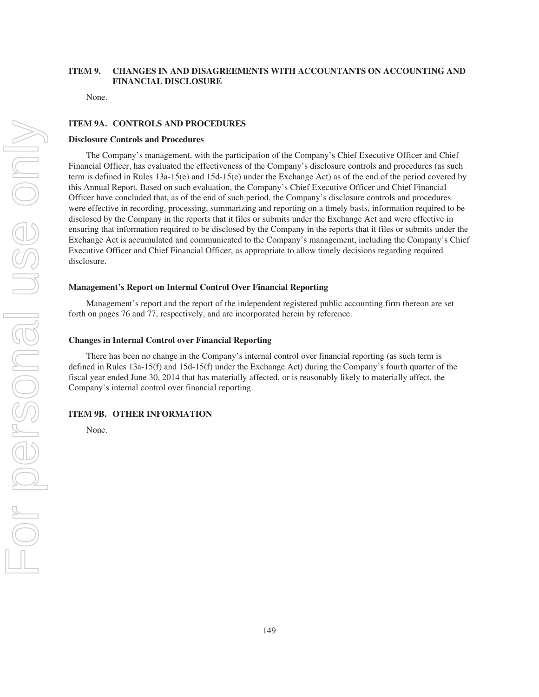## **ITEM 9. CHANGES IN AND DISAGREEMENTS WITH ACCOUNTANTS ON ACCOUNTING AND FINANCIAL DISCLOSURE**

None.

### **ITEM 9A. CONTROLS AND PROCEDURES**

### **Disclosure Controls and Procedures**

The Company's management, with the participation of the Company's Chief Executive Officer and Chief Financial Officer, has evaluated the effectiveness of the Company's disclosure controls and procedures (as such term is defined in Rules 13a-15(e) and 15d-15(e) under the Exchange Act) as of the end of the period covered by this Annual Report. Based on such evaluation, the Company's Chief Executive Officer and Chief Financial Officer have concluded that, as of the end of such period, the Company's disclosure controls and procedures were effective in recording, processing, summarizing and reporting on a timely basis, information required to be disclosed by the Company in the reports that it files or submits under the Exchange Act and were effective in ensuring that information required to be disclosed by the Company in the reports that it files or submits under the Exchange Act is accumulated and communicated to the Company's management, including the Company's Chief Executive Officer and Chief Financial Officer, as appropriate to allow timely decisions regarding required disclosure.

#### **Management's Report on Internal Control Over Financial Reporting**

Management's report and the report of the independent registered public accounting firm thereon are set forth on pages 76 and 77, respectively, and are incorporated herein by reference.

### **Changes in Internal Control over Financial Reporting**

There has been no change in the Company's internal control over financial reporting (as such term is defined in Rules 13a-15(f) and 15d-15(f) under the Exchange Act) during the Company's fourth quarter of the fiscal year ended June 30, 2014 that has materially affected, or is reasonably likely to materially affect, the Company's internal control over financial reporting.

### **ITEM 9B. OTHER INFORMATION**

None.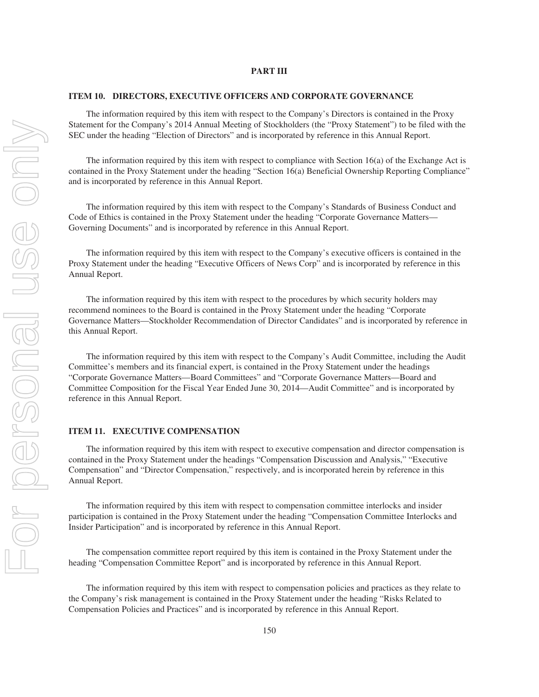### **PART III**

### **ITEM 10. DIRECTORS, EXECUTIVE OFFICERS AND CORPORATE GOVERNANCE**

The information required by this item with respect to the Company's Directors is contained in the Proxy Statement for the Company's 2014 Annual Meeting of Stockholders (the "Proxy Statement") to be filed with the SEC under the heading "Election of Directors" and is incorporated by reference in this Annual Report.

The information required by this item with respect to compliance with Section 16(a) of the Exchange Act is contained in the Proxy Statement under the heading "Section 16(a) Beneficial Ownership Reporting Compliance" and is incorporated by reference in this Annual Report.

The information required by this item with respect to the Company's Standards of Business Conduct and Code of Ethics is contained in the Proxy Statement under the heading "Corporate Governance Matters— Governing Documents" and is incorporated by reference in this Annual Report.

The information required by this item with respect to the Company's executive officers is contained in the Proxy Statement under the heading "Executive Officers of News Corp" and is incorporated by reference in this Annual Report.

The information required by this item with respect to the procedures by which security holders may recommend nominees to the Board is contained in the Proxy Statement under the heading "Corporate Governance Matters—Stockholder Recommendation of Director Candidates" and is incorporated by reference in this Annual Report.

The information required by this item with respect to the Company's Audit Committee, including the Audit Committee's members and its financial expert, is contained in the Proxy Statement under the headings "Corporate Governance Matters—Board Committees" and "Corporate Governance Matters—Board and Committee Composition for the Fiscal Year Ended June 30, 2014—Audit Committee" and is incorporated by reference in this Annual Report.

### **ITEM 11. EXECUTIVE COMPENSATION**

The information required by this item with respect to executive compensation and director compensation is contained in the Proxy Statement under the headings "Compensation Discussion and Analysis," "Executive Compensation" and "Director Compensation," respectively, and is incorporated herein by reference in this Annual Report.

The information required by this item with respect to compensation committee interlocks and insider participation is contained in the Proxy Statement under the heading "Compensation Committee Interlocks and Insider Participation" and is incorporated by reference in this Annual Report.

The compensation committee report required by this item is contained in the Proxy Statement under the heading "Compensation Committee Report" and is incorporated by reference in this Annual Report.

The information required by this item with respect to compensation policies and practices as they relate to the Company's risk management is contained in the Proxy Statement under the heading "Risks Related to Compensation Policies and Practices" and is incorporated by reference in this Annual Report.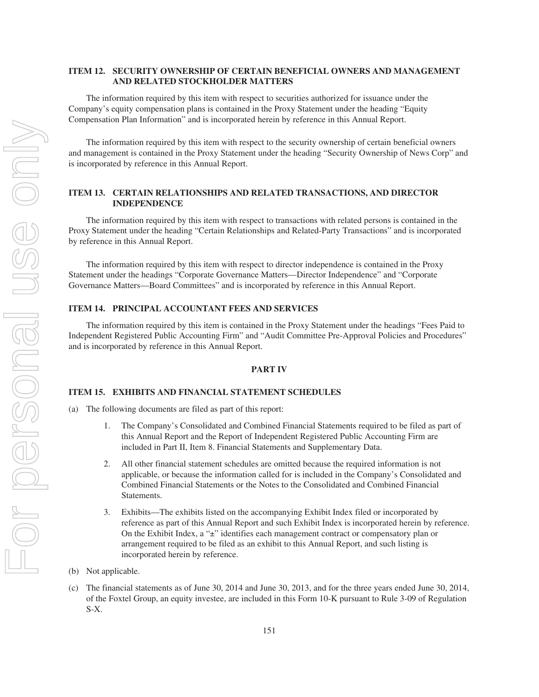## **ITEM 12. SECURITY OWNERSHIP OF CERTAIN BENEFICIAL OWNERS AND MANAGEMENT AND RELATED STOCKHOLDER MATTERS**

The information required by this item with respect to securities authorized for issuance under the Company's equity compensation plans is contained in the Proxy Statement under the heading "Equity Compensation Plan Information" and is incorporated herein by reference in this Annual Report.

The information required by this item with respect to the security ownership of certain beneficial owners and management is contained in the Proxy Statement under the heading "Security Ownership of News Corp" and is incorporated by reference in this Annual Report.

## **ITEM 13. CERTAIN RELATIONSHIPS AND RELATED TRANSACTIONS, AND DIRECTOR INDEPENDENCE**

The information required by this item with respect to transactions with related persons is contained in the Proxy Statement under the heading "Certain Relationships and Related-Party Transactions" and is incorporated by reference in this Annual Report.

The information required by this item with respect to director independence is contained in the Proxy Statement under the headings "Corporate Governance Matters—Director Independence" and "Corporate Governance Matters—Board Committees" and is incorporated by reference in this Annual Report.

### **ITEM 14. PRINCIPAL ACCOUNTANT FEES AND SERVICES**

The information required by this item is contained in the Proxy Statement under the headings "Fees Paid to Independent Registered Public Accounting Firm" and "Audit Committee Pre-Approval Policies and Procedures" and is incorporated by reference in this Annual Report.

### **PART IV**

## **ITEM 15. EXHIBITS AND FINANCIAL STATEMENT SCHEDULES**

- (a) The following documents are filed as part of this report:
	- 1. The Company's Consolidated and Combined Financial Statements required to be filed as part of this Annual Report and the Report of Independent Registered Public Accounting Firm are included in Part II, Item 8. Financial Statements and Supplementary Data.
	- 2. All other financial statement schedules are omitted because the required information is not applicable, or because the information called for is included in the Company's Consolidated and Combined Financial Statements or the Notes to the Consolidated and Combined Financial Statements.
	- 3. Exhibits—The exhibits listed on the accompanying Exhibit Index filed or incorporated by reference as part of this Annual Report and such Exhibit Index is incorporated herein by reference. On the Exhibit Index, a " $\pm$ " identifies each management contract or compensatory plan or arrangement required to be filed as an exhibit to this Annual Report, and such listing is incorporated herein by reference.
- (b) Not applicable.
- (c) The financial statements as of June 30, 2014 and June 30, 2013, and for the three years ended June 30, 2014, of the Foxtel Group, an equity investee, are included in this Form 10-K pursuant to Rule 3-09 of Regulation S-X.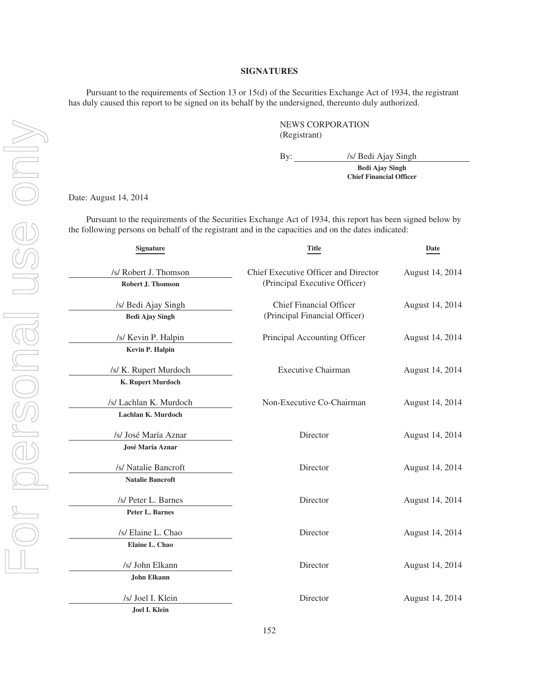### **SIGNATURES**

Pursuant to the requirements of Section 13 or 15(d) of the Securities Exchange Act of 1934, the registrant has duly caused this report to be signed on its behalf by the undersigned, thereunto duly authorized.

> NEWS CORPORATION (Registrant)

By: /s/ Bedi Ajay Singh **Bedi Ajay Singh Chief Financial Officer**

Date: August 14, 2014

Pursuant to the requirements of the Securities Exchange Act of 1934, this report has been signed below by the following persons on behalf of the registrant and in the capacities and on the dates indicated:

| Signature                                          | <b>Title</b>                                                          | Date            |
|----------------------------------------------------|-----------------------------------------------------------------------|-----------------|
| /s/ Robert J. Thomson<br>Robert J. Thomson         | Chief Executive Officer and Director<br>(Principal Executive Officer) | August 14, 2014 |
| /s/ Bedi Ajay Singh<br><b>Bedi Ajay Singh</b>      | <b>Chief Financial Officer</b><br>(Principal Financial Officer)       | August 14, 2014 |
| /s/ Kevin P. Halpin                                | Principal Accounting Officer                                          | August 14, 2014 |
| <b>Kevin P. Halpin</b><br>/s/ K. Rupert Murdoch    | <b>Executive Chairman</b>                                             | August 14, 2014 |
| <b>K. Rupert Murdoch</b><br>/s/ Lachlan K. Murdoch | Non-Executive Co-Chairman                                             | August 14, 2014 |
| Lachlan K. Murdoch<br>/s/ José María Aznar         | Director                                                              | August 14, 2014 |
| José María Aznar<br>/s/ Natalie Bancroft           | Director                                                              | August 14, 2014 |
| <b>Natalie Bancroft</b><br>/s/ Peter L. Barnes     | Director                                                              | August 14, 2014 |
| Peter L. Barnes<br>/s/ Elaine L. Chao              | Director                                                              | August 14, 2014 |
| Elaine L. Chao                                     |                                                                       |                 |
| /s/ John Elkann<br>John Elkann                     | Director                                                              | August 14, 2014 |
| /s/ Joel I. Klein<br>Joel I. Klein                 | Director                                                              | August 14, 2014 |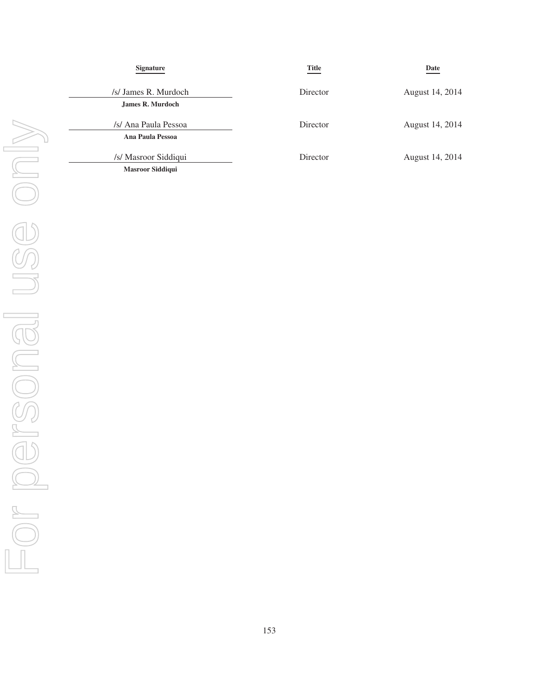| <b>Signature</b>        | <b>Title</b> | Date            |
|-------------------------|--------------|-----------------|
| /s/ James R. Murdoch    | Director     | August 14, 2014 |
| James R. Murdoch        |              |                 |
| /s/ Ana Paula Pessoa    | Director     | August 14, 2014 |
| Ana Paula Pessoa        |              |                 |
| /s/ Masroor Siddiqui    | Director     | August 14, 2014 |
| <b>Masroor Siddiqui</b> |              |                 |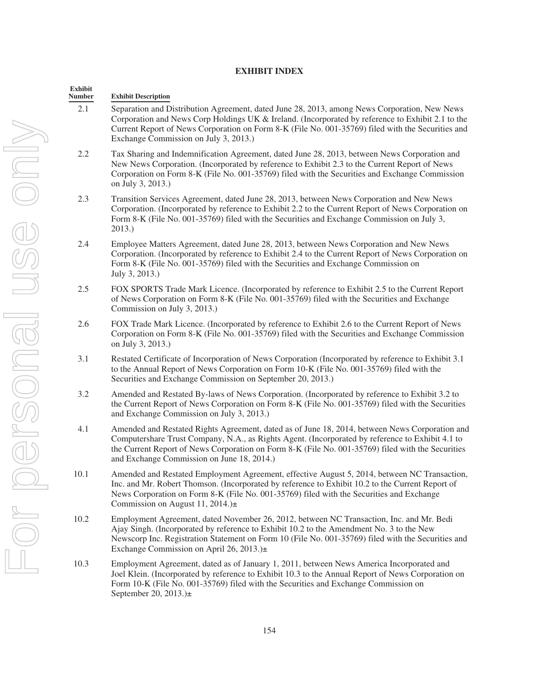### **EXHIBIT INDEX**

# **Exhibit Exhibit Description** 2.1 Separation and Distribution Agreement, dated June 28, 2013, among News Corporation, New News Corporation and News Corp Holdings UK & Ireland. (Incorporated by reference to Exhibit 2.1 to the Current Report of News Corporation on Form 8-K (File No. 001-35769) filed with the Securities and Exchange Commission on July 3, 2013.) 2.2 Tax Sharing and Indemnification Agreement, dated June 28, 2013, between News Corporation and

- New News Corporation. (Incorporated by reference to Exhibit 2.3 to the Current Report of News Corporation on Form 8-K (File No. 001-35769) filed with the Securities and Exchange Commission on July 3, 2013.)
- 2.3 Transition Services Agreement, dated June 28, 2013, between News Corporation and New News Corporation. (Incorporated by reference to Exhibit 2.2 to the Current Report of News Corporation on Form 8-K (File No. 001-35769) filed with the Securities and Exchange Commission on July 3, 2013.)
- 2.4 Employee Matters Agreement, dated June 28, 2013, between News Corporation and New News Corporation. (Incorporated by reference to Exhibit 2.4 to the Current Report of News Corporation on Form 8-K (File No. 001-35769) filed with the Securities and Exchange Commission on July 3, 2013.)
- 2.5 FOX SPORTS Trade Mark Licence. (Incorporated by reference to Exhibit 2.5 to the Current Report of News Corporation on Form 8-K (File No. 001-35769) filed with the Securities and Exchange Commission on July 3, 2013.)
- 2.6 FOX Trade Mark Licence. (Incorporated by reference to Exhibit 2.6 to the Current Report of News Corporation on Form 8-K (File No. 001-35769) filed with the Securities and Exchange Commission on July 3, 2013.)
- 3.1 Restated Certificate of Incorporation of News Corporation (Incorporated by reference to Exhibit 3.1 to the Annual Report of News Corporation on Form 10-K (File No. 001-35769) filed with the Securities and Exchange Commission on September 20, 2013.)
- 3.2 Amended and Restated By-laws of News Corporation. (Incorporated by reference to Exhibit 3.2 to the Current Report of News Corporation on Form 8-K (File No. 001-35769) filed with the Securities and Exchange Commission on July 3, 2013.)
- 4.1 Amended and Restated Rights Agreement, dated as of June 18, 2014, between News Corporation and Computershare Trust Company, N.A., as Rights Agent. (Incorporated by reference to Exhibit 4.1 to the Current Report of News Corporation on Form 8-K (File No. 001-35769) filed with the Securities and Exchange Commission on June 18, 2014.)
- 10.1 Amended and Restated Employment Agreement, effective August 5, 2014, between NC Transaction, Inc. and Mr. Robert Thomson. (Incorporated by reference to Exhibit 10.2 to the Current Report of News Corporation on Form 8-K (File No. 001-35769) filed with the Securities and Exchange Commission on August 11, 2014.)±
- 10.2 Employment Agreement, dated November 26, 2012, between NC Transaction, Inc. and Mr. Bedi Ajay Singh. (Incorporated by reference to Exhibit 10.2 to the Amendment No. 3 to the New Newscorp Inc. Registration Statement on Form 10 (File No. 001-35769) filed with the Securities and Exchange Commission on April 26, 2013.)±
- 10.3 Employment Agreement, dated as of January 1, 2011, between News America Incorporated and Joel Klein. (Incorporated by reference to Exhibit 10.3 to the Annual Report of News Corporation on Form 10-K (File No. 001-35769) filed with the Securities and Exchange Commission on September 20, 2013.)±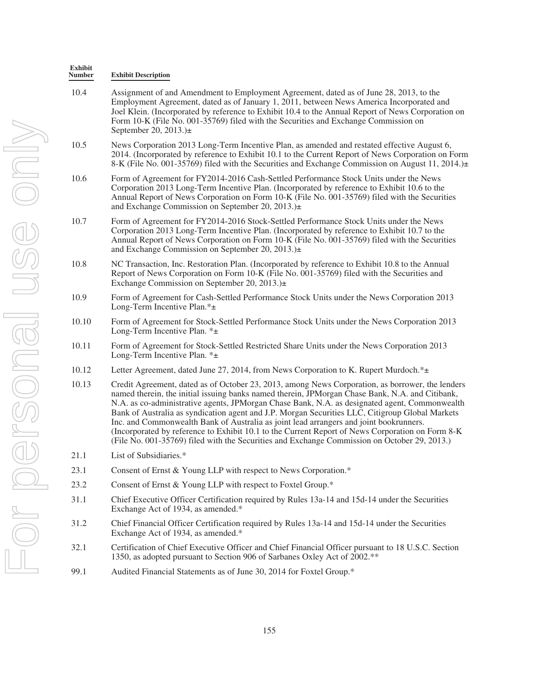#### **Exhibit Exhibit Description**

- 10.4 Assignment of and Amendment to Employment Agreement, dated as of June 28, 2013, to the Employment Agreement, dated as of January 1, 2011, between News America Incorporated and Joel Klein. (Incorporated by reference to Exhibit 10.4 to the Annual Report of News Corporation on Form 10-K (File No. 001-35769) filed with the Securities and Exchange Commission on September 20, 2013.)±
- 10.5 News Corporation 2013 Long-Term Incentive Plan, as amended and restated effective August 6, 2014. (Incorporated by reference to Exhibit 10.1 to the Current Report of News Corporation on Form 8-K (File No. 001-35769) filed with the Securities and Exchange Commission on August 11, 2014.)±
- 10.6 Form of Agreement for FY2014-2016 Cash-Settled Performance Stock Units under the News Corporation 2013 Long-Term Incentive Plan. (Incorporated by reference to Exhibit 10.6 to the Annual Report of News Corporation on Form 10-K (File No. 001-35769) filed with the Securities and Exchange Commission on September 20, 2013.)±
- 10.7 Form of Agreement for FY2014-2016 Stock-Settled Performance Stock Units under the News Corporation 2013 Long-Term Incentive Plan. (Incorporated by reference to Exhibit 10.7 to the Annual Report of News Corporation on Form 10-K (File No. 001-35769) filed with the Securities and Exchange Commission on September 20, 2013.)±
- 10.8 NC Transaction, Inc. Restoration Plan. (Incorporated by reference to Exhibit 10.8 to the Annual Report of News Corporation on Form 10-K (File No. 001-35769) filed with the Securities and Exchange Commission on September 20, 2013.)±
- 10.9 Form of Agreement for Cash-Settled Performance Stock Units under the News Corporation 2013 Long-Term Incentive Plan.\*±
- 10.10 Form of Agreement for Stock-Settled Performance Stock Units under the News Corporation 2013 Long-Term Incentive Plan. \*±
- 10.11 Form of Agreement for Stock-Settled Restricted Share Units under the News Corporation 2013 Long-Term Incentive Plan. \*±
- 10.12 Letter Agreement, dated June 27, 2014, from News Corporation to K. Rupert Murdoch.\* $\pm$
- 10.13 Credit Agreement, dated as of October 23, 2013, among News Corporation, as borrower, the lenders named therein, the initial issuing banks named therein, JPMorgan Chase Bank, N.A. and Citibank, N.A. as co-administrative agents, JPMorgan Chase Bank, N.A. as designated agent, Commonwealth Bank of Australia as syndication agent and J.P. Morgan Securities LLC, Citigroup Global Markets Inc. and Commonwealth Bank of Australia as joint lead arrangers and joint bookrunners. (Incorporated by reference to Exhibit 10.1 to the Current Report of News Corporation on Form 8-K (File No. 001-35769) filed with the Securities and Exchange Commission on October 29, 2013.)
- 21.1 List of Subsidiaries.\*
- 23.1 Consent of Ernst & Young LLP with respect to News Corporation.\*
- 23.2 Consent of Ernst & Young LLP with respect to Foxtel Group.\*
- 31.1 Chief Executive Officer Certification required by Rules 13a-14 and 15d-14 under the Securities Exchange Act of 1934, as amended.\*
- 31.2 Chief Financial Officer Certification required by Rules 13a-14 and 15d-14 under the Securities Exchange Act of 1934, as amended.\*
- 32.1 Certification of Chief Executive Officer and Chief Financial Officer pursuant to 18 U.S.C. Section 1350, as adopted pursuant to Section 906 of Sarbanes Oxley Act of 2002.\*\*
- 99.1 Audited Financial Statements as of June 30, 2014 for Foxtel Group.\*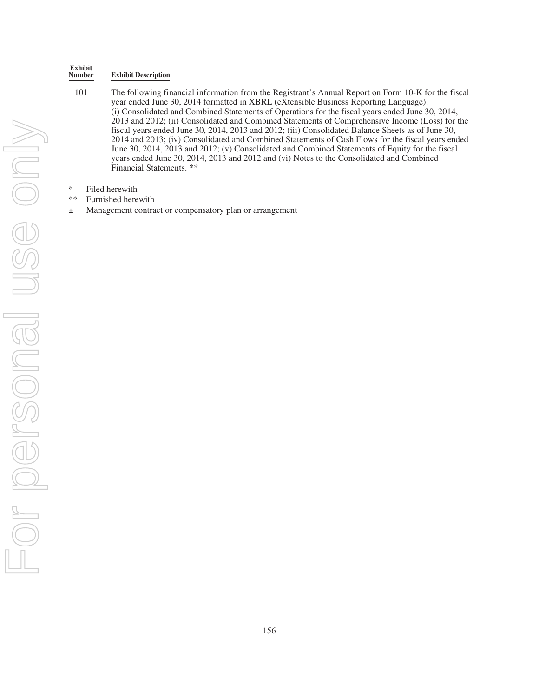#### **Exhibit Exhibit Description**

- 101 The following financial information from the Registrant's Annual Report on Form 10-K for the fiscal year ended June 30, 2014 formatted in XBRL (eXtensible Business Reporting Language): (i) Consolidated and Combined Statements of Operations for the fiscal years ended June 30, 2014, 2013 and 2012; (ii) Consolidated and Combined Statements of Comprehensive Income (Loss) for the fiscal years ended June 30, 2014, 2013 and 2012; (iii) Consolidated Balance Sheets as of June 30, 2014 and 2013; (iv) Consolidated and Combined Statements of Cash Flows for the fiscal years ended June 30, 2014, 2013 and 2012; (v) Consolidated and Combined Statements of Equity for the fiscal years ended June 30, 2014, 2013 and 2012 and (vi) Notes to the Consolidated and Combined Financial Statements. \*\*
- \* Filed herewith
- \*\* Furnished herewith
- ± Management contract or compensatory plan or arrangement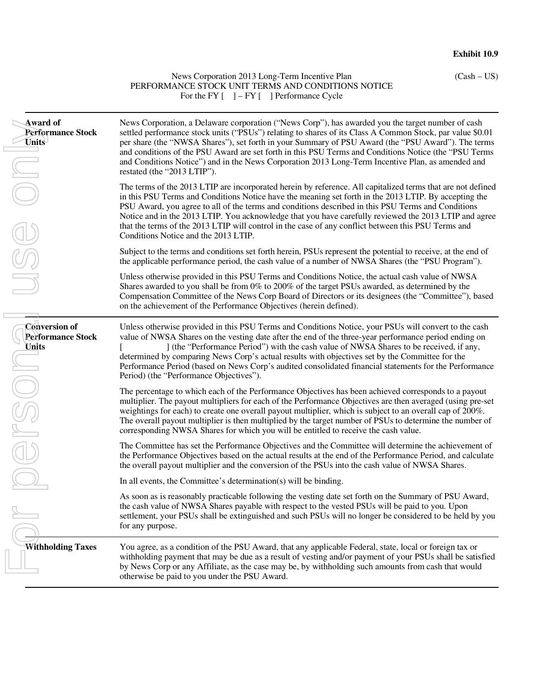## News Corporation 2013 Long-Term Incentive Plan (Cash – US) PERFORMANCE STOCK UNIT TERMS AND CONDITIONS NOTICE For the FY [ ] – FY [ ] Performance Cycle

| Award of<br><b>Performance Stock</b><br>Units <sup>1</sup> | News Corporation, a Delaware corporation ("News Corp"), has awarded you the target number of cash<br>settled performance stock units ("PSUs") relating to shares of its Class A Common Stock, par value \$0.01<br>per share (the "NWSA Shares"), set forth in your Summary of PSU Award (the "PSU Award"). The terms<br>and conditions of the PSU Award are set forth in this PSU Terms and Conditions Notice (the "PSU Terms<br>and Conditions Notice") and in the News Corporation 2013 Long-Term Incentive Plan, as amended and<br>restated (the "2013 LTIP").                  |
|------------------------------------------------------------|------------------------------------------------------------------------------------------------------------------------------------------------------------------------------------------------------------------------------------------------------------------------------------------------------------------------------------------------------------------------------------------------------------------------------------------------------------------------------------------------------------------------------------------------------------------------------------|
|                                                            | The terms of the 2013 LTIP are incorporated herein by reference. All capitalized terms that are not defined<br>in this PSU Terms and Conditions Notice have the meaning set forth in the 2013 LTIP. By accepting the<br>PSU Award, you agree to all of the terms and conditions described in this PSU Terms and Conditions<br>Notice and in the 2013 LTIP. You acknowledge that you have carefully reviewed the 2013 LTIP and agree<br>that the terms of the 2013 LTIP will control in the case of any conflict between this PSU Terms and<br>Conditions Notice and the 2013 LTIP. |
| $\mathbb{S}^{\mathbb{C}}$                                  | Subject to the terms and conditions set forth herein, PSUs represent the potential to receive, at the end of<br>the applicable performance period, the cash value of a number of NWSA Shares (the "PSU Program").                                                                                                                                                                                                                                                                                                                                                                  |
|                                                            | Unless otherwise provided in this PSU Terms and Conditions Notice, the actual cash value of NWSA<br>Shares awarded to you shall be from 0% to 200% of the target PSUs awarded, as determined by the<br>Compensation Committee of the News Corp Board of Directors or its designees (the "Committee"), based<br>on the achievement of the Performance Objectives (herein defined).                                                                                                                                                                                                  |
| <b>Conversion of</b><br><b>Performance Stock</b><br>Units  | Unless otherwise provided in this PSU Terms and Conditions Notice, your PSUs will convert to the cash<br>value of NWSA Shares on the vesting date after the end of the three-year performance period ending on<br>I (the "Performance Period") with the cash value of NWSA Shares to be received, if any,<br>determined by comparing News Corp's actual results with objectives set by the Committee for the<br>Performance Period (based on News Corp's audited consolidated financial statements for the Performance<br>Period) (the "Performance Objectives").                  |
| $0 \oplus \Gamma \oplus \mathbb{C}$                        | The percentage to which each of the Performance Objectives has been achieved corresponds to a payout<br>multiplier. The payout multipliers for each of the Performance Objectives are then averaged (using pre-set<br>weightings for each) to create one overall payout multiplier, which is subject to an overall cap of 200%.<br>The overall payout multiplier is then multiplied by the target number of PSUs to determine the number of<br>corresponding NWSA Shares for which you will be entitled to receive the cash value.                                                 |
|                                                            | The Committee has set the Performance Objectives and the Committee will determine the achievement of<br>the Performance Objectives based on the actual results at the end of the Performance Period, and calculate<br>the overall payout multiplier and the conversion of the PSUs into the cash value of NWSA Shares.                                                                                                                                                                                                                                                             |
|                                                            | In all events, the Committee's determination(s) will be binding.                                                                                                                                                                                                                                                                                                                                                                                                                                                                                                                   |
|                                                            | As soon as is reasonably practicable following the vesting date set forth on the Summary of PSU Award,<br>the cash value of NWSA Shares payable with respect to the vested PSUs will be paid to you. Upon<br>settlement, your PSUs shall be extinguished and such PSUs will no longer be considered to be held by you<br>for any purpose.                                                                                                                                                                                                                                          |
| <b>Withholding Taxes</b>                                   | You agree, as a condition of the PSU Award, that any applicable Federal, state, local or foreign tax or<br>withholding payment that may be due as a result of vesting and/or payment of your PSUs shall be satisfied<br>by News Corp or any Affiliate, as the case may be, by withholding such amounts from cash that would<br>otherwise be paid to you under the PSU Award.                                                                                                                                                                                                       |

l

┍

 $\overline{\phantom{a}}$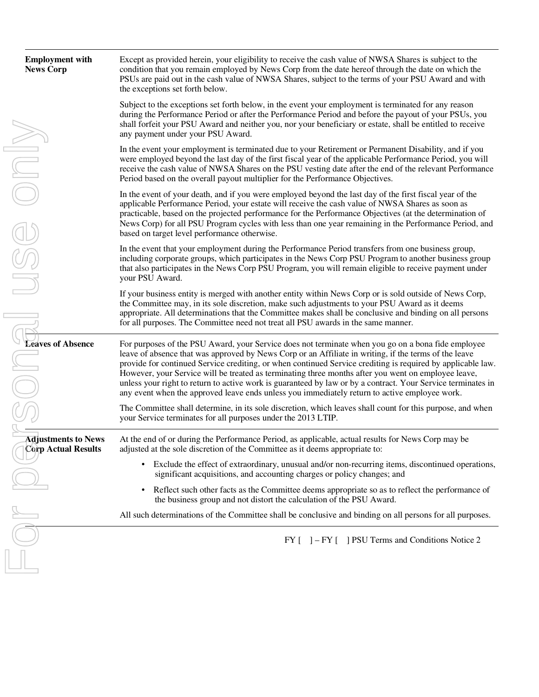| <b>Employment with</b><br><b>News Corp</b>               | Except as provided herein, your eligibility to receive the cash value of NWSA Shares is subject to the<br>condition that you remain employed by News Corp from the date hereof through the date on which the<br>PSUs are paid out in the cash value of NWSA Shares, subject to the terms of your PSU Award and with<br>the exceptions set forth below.                                                                                                                                                                                                                                                                                             |
|----------------------------------------------------------|----------------------------------------------------------------------------------------------------------------------------------------------------------------------------------------------------------------------------------------------------------------------------------------------------------------------------------------------------------------------------------------------------------------------------------------------------------------------------------------------------------------------------------------------------------------------------------------------------------------------------------------------------|
|                                                          | Subject to the exceptions set forth below, in the event your employment is terminated for any reason<br>during the Performance Period or after the Performance Period and before the payout of your PSUs, you<br>shall forfeit your PSU Award and neither you, nor your beneficiary or estate, shall be entitled to receive<br>any payment under your PSU Award.                                                                                                                                                                                                                                                                                   |
| JOU                                                      | In the event your employment is terminated due to your Retirement or Permanent Disability, and if you<br>were employed beyond the last day of the first fiscal year of the applicable Performance Period, you will<br>receive the cash value of NWSA Shares on the PSU vesting date after the end of the relevant Performance<br>Period based on the overall payout multiplier for the Performance Objectives.                                                                                                                                                                                                                                     |
|                                                          | In the event of your death, and if you were employed beyond the last day of the first fiscal year of the<br>applicable Performance Period, your estate will receive the cash value of NWSA Shares as soon as<br>practicable, based on the projected performance for the Performance Objectives (at the determination of<br>News Corp) for all PSU Program cycles with less than one year remaining in the Performance Period, and<br>based on target level performance otherwise.                                                                                                                                                                  |
|                                                          | In the event that your employment during the Performance Period transfers from one business group,<br>including corporate groups, which participates in the News Corp PSU Program to another business group<br>that also participates in the News Corp PSU Program, you will remain eligible to receive payment under<br>your PSU Award.                                                                                                                                                                                                                                                                                                           |
|                                                          | If your business entity is merged with another entity within News Corp or is sold outside of News Corp,<br>the Committee may, in its sole discretion, make such adjustments to your PSU Award as it deems<br>appropriate. All determinations that the Committee makes shall be conclusive and binding on all persons<br>for all purposes. The Committee need not treat all PSU awards in the same manner.                                                                                                                                                                                                                                          |
| <b>Leaves of Absence</b>                                 | For purposes of the PSU Award, your Service does not terminate when you go on a bona fide employee<br>leave of absence that was approved by News Corp or an Affiliate in writing, if the terms of the leave<br>provide for continued Service crediting, or when continued Service crediting is required by applicable law.<br>However, your Service will be treated as terminating three months after you went on employee leave,<br>unless your right to return to active work is guaranteed by law or by a contract. Your Service terminates in<br>any event when the approved leave ends unless you immediately return to active employee work. |
|                                                          | The Committee shall determine, in its sole discretion, which leaves shall count for this purpose, and when<br>your Service terminates for all purposes under the 2013 LTIP.                                                                                                                                                                                                                                                                                                                                                                                                                                                                        |
| <b>Adjustments to News</b><br><b>Corp Actual Results</b> | At the end of or during the Performance Period, as applicable, actual results for News Corp may be<br>adjusted at the sole discretion of the Committee as it deems appropriate to:                                                                                                                                                                                                                                                                                                                                                                                                                                                                 |
|                                                          | Exclude the effect of extraordinary, unusual and/or non-recurring items, discontinued operations,<br>significant acquisitions, and accounting charges or policy changes; and                                                                                                                                                                                                                                                                                                                                                                                                                                                                       |
|                                                          | Reflect such other facts as the Committee deems appropriate so as to reflect the performance of<br>$\bullet$<br>the business group and not distort the calculation of the PSU Award.                                                                                                                                                                                                                                                                                                                                                                                                                                                               |
|                                                          | All such determinations of the Committee shall be conclusive and binding on all persons for all purposes.                                                                                                                                                                                                                                                                                                                                                                                                                                                                                                                                          |
|                                                          | FY [ ] – FY [ ] PSU Terms and Conditions Notice 2                                                                                                                                                                                                                                                                                                                                                                                                                                                                                                                                                                                                  |
|                                                          |                                                                                                                                                                                                                                                                                                                                                                                                                                                                                                                                                                                                                                                    |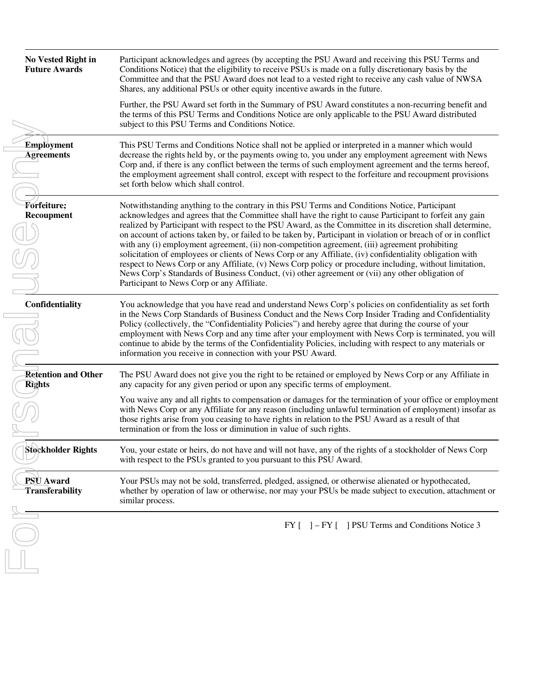| <b>No Vested Right in</b><br><b>Future Awards</b> | Participant acknowledges and agrees (by accepting the PSU Award and receiving this PSU Terms and<br>Conditions Notice) that the eligibility to receive PSUs is made on a fully discretionary basis by the<br>Committee and that the PSU Award does not lead to a vested right to receive any cash value of NWSA<br>Shares, any additional PSUs or other equity incentive awards in the future.                                                                                                                                                                                                                                                                                                                                                                                                                                                                                                                       |
|---------------------------------------------------|----------------------------------------------------------------------------------------------------------------------------------------------------------------------------------------------------------------------------------------------------------------------------------------------------------------------------------------------------------------------------------------------------------------------------------------------------------------------------------------------------------------------------------------------------------------------------------------------------------------------------------------------------------------------------------------------------------------------------------------------------------------------------------------------------------------------------------------------------------------------------------------------------------------------|
|                                                   | Further, the PSU Award set forth in the Summary of PSU Award constitutes a non-recurring benefit and<br>the terms of this PSU Terms and Conditions Notice are only applicable to the PSU Award distributed<br>subject to this PSU Terms and Conditions Notice.                                                                                                                                                                                                                                                                                                                                                                                                                                                                                                                                                                                                                                                       |
| <b>Employment</b><br><b>Agreements</b>            | This PSU Terms and Conditions Notice shall not be applied or interpreted in a manner which would<br>decrease the rights held by, or the payments owing to, you under any employment agreement with News<br>Corp and, if there is any conflict between the terms of such employment agreement and the terms hereof,<br>the employment agreement shall control, except with respect to the forfeiture and recoupment provisions<br>set forth below which shall control.                                                                                                                                                                                                                                                                                                                                                                                                                                                |
| Forfeiture;<br>Recoupment                         | Notwithstanding anything to the contrary in this PSU Terms and Conditions Notice, Participant<br>acknowledges and agrees that the Committee shall have the right to cause Participant to forfeit any gain<br>realized by Participant with respect to the PSU Award, as the Committee in its discretion shall determine,<br>on account of actions taken by, or failed to be taken by, Participant in violation or breach of or in conflict<br>with any (i) employment agreement, (ii) non-competition agreement, (iii) agreement prohibiting<br>solicitation of employees or clients of News Corp or any Affiliate, (iv) confidentiality obligation with<br>respect to News Corp or any Affiliate, (v) News Corp policy or procedure including, without limitation,<br>News Corp's Standards of Business Conduct, (vi) other agreement or (vii) any other obligation of<br>Participant to News Corp or any Affiliate. |
| Confidentiality                                   | You acknowledge that you have read and understand News Corp's policies on confidentiality as set forth<br>in the News Corp Standards of Business Conduct and the News Corp Insider Trading and Confidentiality<br>Policy (collectively, the "Confidentiality Policies") and hereby agree that during the course of your<br>employment with News Corp and any time after your employment with News Corp is terminated, you will<br>continue to abide by the terms of the Confidentiality Policies, including with respect to any materials or<br>information you receive in connection with your PSU Award.                                                                                                                                                                                                                                                                                                           |
| <b>Retention and Other</b><br><b>Rights</b>       | The PSU Award does not give you the right to be retained or employed by News Corp or any Affiliate in<br>any capacity for any given period or upon any specific terms of employment.                                                                                                                                                                                                                                                                                                                                                                                                                                                                                                                                                                                                                                                                                                                                 |
|                                                   | You waive any and all rights to compensation or damages for the termination of your office or employment<br>with News Corp or any Affiliate for any reason (including unlawful termination of employment) insofar as<br>those rights arise from you ceasing to have rights in relation to the PSU Award as a result of that<br>termination or from the loss or diminution in value of such rights.                                                                                                                                                                                                                                                                                                                                                                                                                                                                                                                   |
| <b>Stockholder Rights</b>                         | You, your estate or heirs, do not have and will not have, any of the rights of a stockholder of News Corp<br>with respect to the PSUs granted to you pursuant to this PSU Award.                                                                                                                                                                                                                                                                                                                                                                                                                                                                                                                                                                                                                                                                                                                                     |
| <b>PSU Award</b><br><b>Transferability</b>        | Your PSUs may not be sold, transferred, pledged, assigned, or otherwise alienated or hypothecated,<br>whether by operation of law or otherwise, nor may your PSUs be made subject to execution, attachment or<br>similar process.                                                                                                                                                                                                                                                                                                                                                                                                                                                                                                                                                                                                                                                                                    |
|                                                   | FY [ ] – FY [ ] PSU Terms and Conditions Notice 3                                                                                                                                                                                                                                                                                                                                                                                                                                                                                                                                                                                                                                                                                                                                                                                                                                                                    |
|                                                   |                                                                                                                                                                                                                                                                                                                                                                                                                                                                                                                                                                                                                                                                                                                                                                                                                                                                                                                      |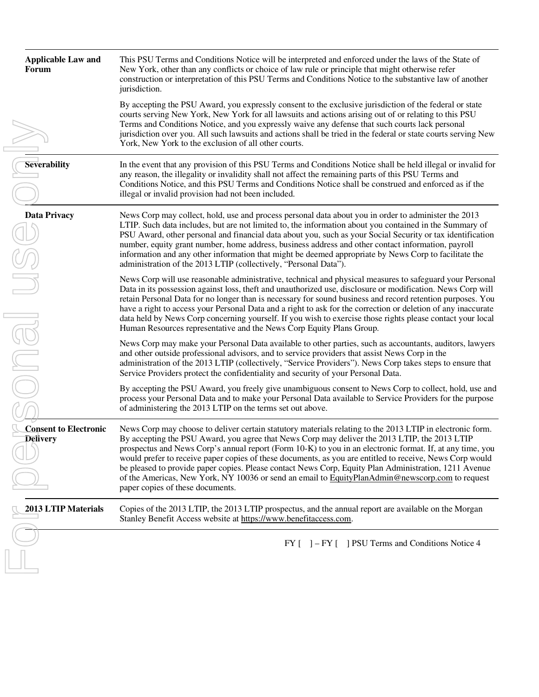| <b>Applicable Law and</b><br>Forum              | This PSU Terms and Conditions Notice will be interpreted and enforced under the laws of the State of<br>New York, other than any conflicts or choice of law rule or principle that might otherwise refer<br>construction or interpretation of this PSU Terms and Conditions Notice to the substantive law of another<br>jurisdiction.                                                                                                                                                                                                                                                                                                                                               |
|-------------------------------------------------|-------------------------------------------------------------------------------------------------------------------------------------------------------------------------------------------------------------------------------------------------------------------------------------------------------------------------------------------------------------------------------------------------------------------------------------------------------------------------------------------------------------------------------------------------------------------------------------------------------------------------------------------------------------------------------------|
|                                                 | By accepting the PSU Award, you expressly consent to the exclusive jurisdiction of the federal or state<br>courts serving New York, New York for all lawsuits and actions arising out of or relating to this PSU<br>Terms and Conditions Notice, and you expressly waive any defense that such courts lack personal<br>jurisdiction over you. All such lawsuits and actions shall be tried in the federal or state courts serving New<br>York, New York to the exclusion of all other courts.                                                                                                                                                                                       |
| Severability                                    | In the event that any provision of this PSU Terms and Conditions Notice shall be held illegal or invalid for<br>any reason, the illegality or invalidity shall not affect the remaining parts of this PSU Terms and<br>Conditions Notice, and this PSU Terms and Conditions Notice shall be construed and enforced as if the<br>illegal or invalid provision had not been included.                                                                                                                                                                                                                                                                                                 |
| <b>Data Privacy</b>                             | News Corp may collect, hold, use and process personal data about you in order to administer the 2013<br>LTIP. Such data includes, but are not limited to, the information about you contained in the Summary of<br>PSU Award, other personal and financial data about you, such as your Social Security or tax identification<br>number, equity grant number, home address, business address and other contact information, payroll<br>information and any other information that might be deemed appropriate by News Corp to facilitate the<br>administration of the 2013 LTIP (collectively, "Personal Data").                                                                    |
|                                                 | News Corp will use reasonable administrative, technical and physical measures to safeguard your Personal<br>Data in its possession against loss, theft and unauthorized use, disclosure or modification. News Corp will<br>retain Personal Data for no longer than is necessary for sound business and record retention purposes. You<br>have a right to access your Personal Data and a right to ask for the correction or deletion of any inaccurate<br>data held by News Corp concerning yourself. If you wish to exercise those rights please contact your local<br>Human Resources representative and the News Corp Equity Plans Group.                                        |
|                                                 | News Corp may make your Personal Data available to other parties, such as accountants, auditors, lawyers<br>and other outside professional advisors, and to service providers that assist News Corp in the<br>administration of the 2013 LTIP (collectively, "Service Providers"). News Corp takes steps to ensure that<br>Service Providers protect the confidentiality and security of your Personal Data.                                                                                                                                                                                                                                                                        |
|                                                 | By accepting the PSU Award, you freely give unambiguous consent to News Corp to collect, hold, use and<br>process your Personal Data and to make your Personal Data available to Service Providers for the purpose<br>of administering the 2013 LTIP on the terms set out above.                                                                                                                                                                                                                                                                                                                                                                                                    |
| <b>Consent to Electronic</b><br><b>Delivery</b> | News Corp may choose to deliver certain statutory materials relating to the 2013 LTIP in electronic form.<br>By accepting the PSU Award, you agree that News Corp may deliver the 2013 LTIP, the 2013 LTIP<br>prospectus and News Corp's annual report (Form 10-K) to you in an electronic format. If, at any time, you<br>would prefer to receive paper copies of these documents, as you are entitled to receive, News Corp would<br>be pleased to provide paper copies. Please contact News Corp, Equity Plan Administration, 1211 Avenue<br>of the Americas, New York, NY 10036 or send an email to EquityPlanAdmin@newscorp.com to request<br>paper copies of these documents. |
| 2013 LTIP Materials                             | Copies of the 2013 LTIP, the 2013 LTIP prospectus, and the annual report are available on the Morgan<br>Stanley Benefit Access website at https://www.benefitaccess.com.                                                                                                                                                                                                                                                                                                                                                                                                                                                                                                            |
|                                                 | FY [ ] – FY [ ] PSU Terms and Conditions Notice 4                                                                                                                                                                                                                                                                                                                                                                                                                                                                                                                                                                                                                                   |

 $\overline{\phantom{a}}$ 

 $\overline{\phantom{a}}$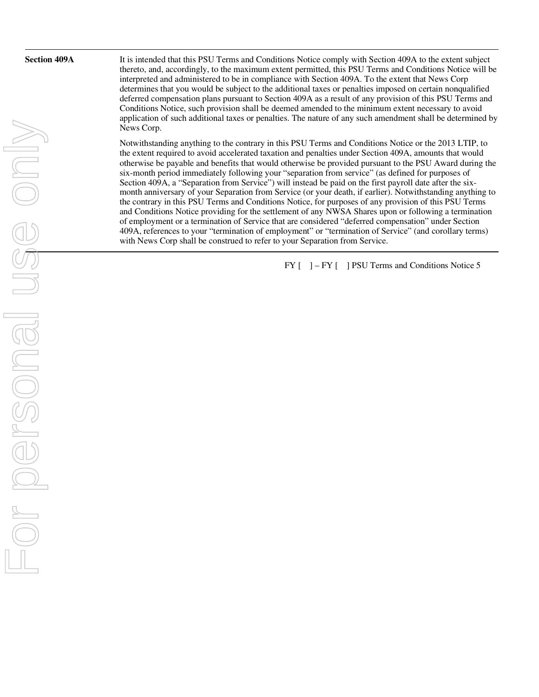### **Section 409A**

It is intended that this PSU Terms and Conditions Notice comply with Section 409A to the extent subject thereto, and, accordingly, to the maximum extent permitted, this PSU Terms and Conditions Notice will be interpreted and administered to be in compliance with Section 409A. To the extent that News Corp determines that you would be subject to the additional taxes or penalties imposed on certain nonqualified deferred compensation plans pursuant to Section 409A as a result of any provision of this PSU Terms and Conditions Notice, such provision shall be deemed amended to the minimum extent necessary to avoid application of such additional taxes or penalties. The nature of any such amendment shall be determined by News Corp.

Notwithstanding anything to the contrary in this PSU Terms and Conditions Notice or the 2013 LTIP, to the extent required to avoid accelerated taxation and penalties under Section 409A, amounts that would otherwise be payable and benefits that would otherwise be provided pursuant to the PSU Award during the six-month period immediately following your "separation from service" (as defined for purposes of Section 409A, a "Separation from Service") will instead be paid on the first payroll date after the sixmonth anniversary of your Separation from Service (or your death, if earlier). Notwithstanding anything to the contrary in this PSU Terms and Conditions Notice, for purposes of any provision of this PSU Terms and Conditions Notice providing for the settlement of any NWSA Shares upon or following a termination of employment or a termination of Service that are considered "deferred compensation" under Section 409A, references to your "termination of employment" or "termination of Service" (and corollary terms) with News Corp shall be construed to refer to your Separation from Service.

FY [ ] – FY [ ] PSU Terms and Conditions Notice 5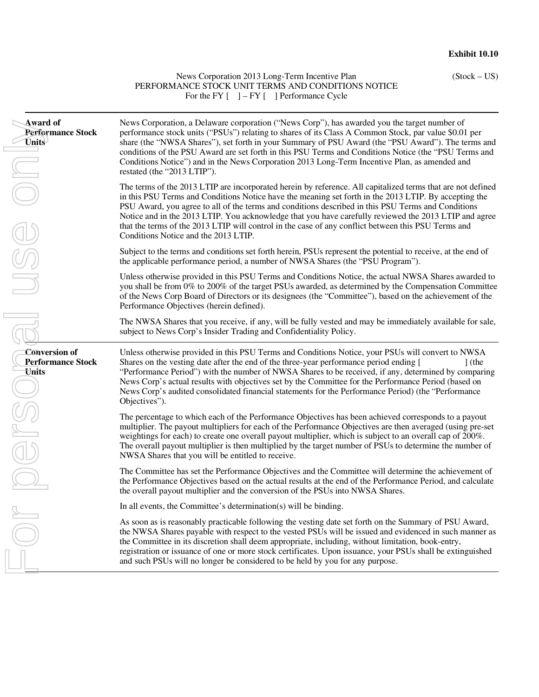## News Corporation 2013 Long-Term Incentive Plan (Stock – US) PERFORMANCE STOCK UNIT TERMS AND CONDITIONS NOTICE For the FY [ ] – FY [ ] Performance Cycle

| Award of<br><b>Performance Stock</b><br><b>Units</b>      | News Corporation, a Delaware corporation ("News Corp"), has awarded you the target number of<br>performance stock units ("PSUs") relating to shares of its Class A Common Stock, par value \$0.01 per<br>share (the "NWSA Shares"), set forth in your Summary of PSU Award (the "PSU Award"). The terms and<br>conditions of the PSU Award are set forth in this PSU Terms and Conditions Notice (the "PSU Terms and<br>Conditions Notice") and in the News Corporation 2013 Long-Term Incentive Plan, as amended and<br>restated (the "2013 LTIP").                               |
|-----------------------------------------------------------|------------------------------------------------------------------------------------------------------------------------------------------------------------------------------------------------------------------------------------------------------------------------------------------------------------------------------------------------------------------------------------------------------------------------------------------------------------------------------------------------------------------------------------------------------------------------------------|
|                                                           | The terms of the 2013 LTIP are incorporated herein by reference. All capitalized terms that are not defined<br>in this PSU Terms and Conditions Notice have the meaning set forth in the 2013 LTIP. By accepting the<br>PSU Award, you agree to all of the terms and conditions described in this PSU Terms and Conditions<br>Notice and in the 2013 LTIP. You acknowledge that you have carefully reviewed the 2013 LTIP and agree<br>that the terms of the 2013 LTIP will control in the case of any conflict between this PSU Terms and<br>Conditions Notice and the 2013 LTIP. |
|                                                           | Subject to the terms and conditions set forth herein, PSUs represent the potential to receive, at the end of<br>the applicable performance period, a number of NWSA Shares (the "PSU Program").                                                                                                                                                                                                                                                                                                                                                                                    |
|                                                           | Unless otherwise provided in this PSU Terms and Conditions Notice, the actual NWSA Shares awarded to<br>you shall be from 0% to 200% of the target PSUs awarded, as determined by the Compensation Committee<br>of the News Corp Board of Directors or its designees (the "Committee"), based on the achievement of the<br>Performance Objectives (herein defined).                                                                                                                                                                                                                |
|                                                           | The NWSA Shares that you receive, if any, will be fully vested and may be immediately available for sale,<br>subject to News Corp's Insider Trading and Confidentiality Policy.                                                                                                                                                                                                                                                                                                                                                                                                    |
|                                                           |                                                                                                                                                                                                                                                                                                                                                                                                                                                                                                                                                                                    |
| <b>Conversion of</b><br><b>Performance Stock</b><br>Units | Unless otherwise provided in this PSU Terms and Conditions Notice, your PSUs will convert to NWSA<br>Shares on the vesting date after the end of the three-year performance period ending [<br>$\frac{1}{\text{the}}$<br>"Performance Period") with the number of NWSA Shares to be received, if any, determined by comparing<br>News Corp's actual results with objectives set by the Committee for the Performance Period (based on<br>News Corp's audited consolidated financial statements for the Performance Period) (the "Performance"<br>Objectives").                     |
|                                                           | The percentage to which each of the Performance Objectives has been achieved corresponds to a payout<br>multiplier. The payout multipliers for each of the Performance Objectives are then averaged (using pre-set<br>weightings for each) to create one overall payout multiplier, which is subject to an overall cap of 200%.<br>The overall payout multiplier is then multiplied by the target number of PSUs to determine the number of<br>NWSA Shares that you will be entitled to receive.                                                                                   |
|                                                           | The Committee has set the Performance Objectives and the Committee will determine the achievement of<br>the Performance Objectives based on the actual results at the end of the Performance Period, and calculate<br>the overall payout multiplier and the conversion of the PSUs into NWSA Shares.                                                                                                                                                                                                                                                                               |
|                                                           | In all events, the Committee's determination(s) will be binding.                                                                                                                                                                                                                                                                                                                                                                                                                                                                                                                   |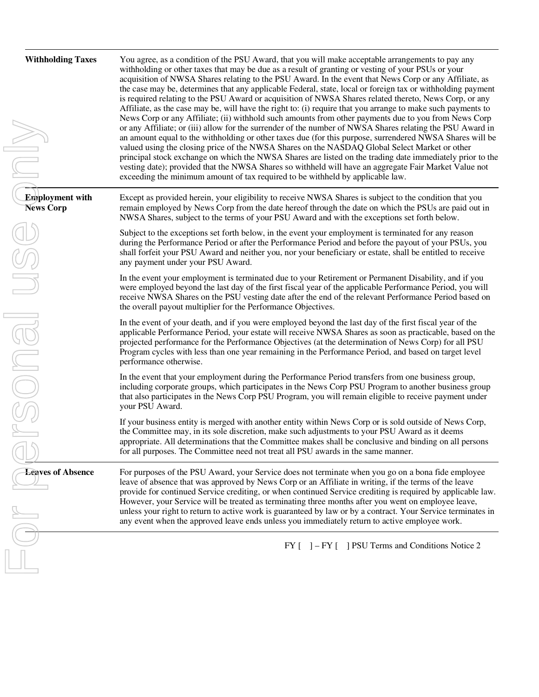| <b>Withholding Taxes</b><br>nir            | You agree, as a condition of the PSU Award, that you will make acceptable arrangements to pay any<br>withholding or other taxes that may be due as a result of granting or vesting of your PSUs or your<br>acquisition of NWSA Shares relating to the PSU Award. In the event that News Corp or any Affiliate, as<br>the case may be, determines that any applicable Federal, state, local or foreign tax or withholding payment<br>is required relating to the PSU Award or acquisition of NWSA Shares related thereto, News Corp, or any<br>Affiliate, as the case may be, will have the right to: (i) require that you arrange to make such payments to<br>News Corp or any Affiliate; (ii) withhold such amounts from other payments due to you from News Corp<br>or any Affiliate; or (iii) allow for the surrender of the number of NWSA Shares relating the PSU Award in<br>an amount equal to the withholding or other taxes due (for this purpose, surrendered NWSA Shares will be<br>valued using the closing price of the NWSA Shares on the NASDAQ Global Select Market or other<br>principal stock exchange on which the NWSA Shares are listed on the trading date immediately prior to the<br>vesting date); provided that the NWSA Shares so withheld will have an aggregate Fair Market Value not<br>exceeding the minimum amount of tax required to be withheld by applicable law. |
|--------------------------------------------|------------------------------------------------------------------------------------------------------------------------------------------------------------------------------------------------------------------------------------------------------------------------------------------------------------------------------------------------------------------------------------------------------------------------------------------------------------------------------------------------------------------------------------------------------------------------------------------------------------------------------------------------------------------------------------------------------------------------------------------------------------------------------------------------------------------------------------------------------------------------------------------------------------------------------------------------------------------------------------------------------------------------------------------------------------------------------------------------------------------------------------------------------------------------------------------------------------------------------------------------------------------------------------------------------------------------------------------------------------------------------------------------------|
| <b>Employment with</b><br><b>News Corp</b> | Except as provided herein, your eligibility to receive NWSA Shares is subject to the condition that you<br>remain employed by News Corp from the date hereof through the date on which the PSUs are paid out in<br>NWSA Shares, subject to the terms of your PSU Award and with the exceptions set forth below.                                                                                                                                                                                                                                                                                                                                                                                                                                                                                                                                                                                                                                                                                                                                                                                                                                                                                                                                                                                                                                                                                      |
|                                            | Subject to the exceptions set forth below, in the event your employment is terminated for any reason<br>during the Performance Period or after the Performance Period and before the payout of your PSUs, you<br>shall forfeit your PSU Award and neither you, nor your beneficiary or estate, shall be entitled to receive<br>any payment under your PSU Award.                                                                                                                                                                                                                                                                                                                                                                                                                                                                                                                                                                                                                                                                                                                                                                                                                                                                                                                                                                                                                                     |
|                                            | In the event your employment is terminated due to your Retirement or Permanent Disability, and if you<br>were employed beyond the last day of the first fiscal year of the applicable Performance Period, you will<br>receive NWSA Shares on the PSU vesting date after the end of the relevant Performance Period based on<br>the overall payout multiplier for the Performance Objectives.                                                                                                                                                                                                                                                                                                                                                                                                                                                                                                                                                                                                                                                                                                                                                                                                                                                                                                                                                                                                         |
| <b>PODE</b>                                | In the event of your death, and if you were employed beyond the last day of the first fiscal year of the<br>applicable Performance Period, your estate will receive NWSA Shares as soon as practicable, based on the<br>projected performance for the Performance Objectives (at the determination of News Corp) for all PSU<br>Program cycles with less than one year remaining in the Performance Period, and based on target level<br>performance otherwise.                                                                                                                                                                                                                                                                                                                                                                                                                                                                                                                                                                                                                                                                                                                                                                                                                                                                                                                                      |
|                                            | In the event that your employment during the Performance Period transfers from one business group,<br>including corporate groups, which participates in the News Corp PSU Program to another business group<br>that also participates in the News Corp PSU Program, you will remain eligible to receive payment under<br>your PSU Award.                                                                                                                                                                                                                                                                                                                                                                                                                                                                                                                                                                                                                                                                                                                                                                                                                                                                                                                                                                                                                                                             |
|                                            | If your business entity is merged with another entity within News Corp or is sold outside of News Corp,<br>the Committee may, in its sole discretion, make such adjustments to your PSU Award as it deems<br>appropriate. All determinations that the Committee makes shall be conclusive and binding on all persons<br>for all purposes. The Committee need not treat all PSU awards in the same manner.                                                                                                                                                                                                                                                                                                                                                                                                                                                                                                                                                                                                                                                                                                                                                                                                                                                                                                                                                                                            |
| <b>Leaves of Absence</b>                   | For purposes of the PSU Award, your Service does not terminate when you go on a bona fide employee<br>leave of absence that was approved by News Corp or an Affiliate in writing, if the terms of the leave<br>provide for continued Service crediting, or when continued Service crediting is required by applicable law.<br>However, your Service will be treated as terminating three months after you went on employee leave,<br>unless your right to return to active work is guaranteed by law or by a contract. Your Service terminates in<br>any event when the approved leave ends unless you immediately return to active employee work.                                                                                                                                                                                                                                                                                                                                                                                                                                                                                                                                                                                                                                                                                                                                                   |
|                                            | $FY$ $]-FY$ $ $ PSU Terms and Conditions Notice 2                                                                                                                                                                                                                                                                                                                                                                                                                                                                                                                                                                                                                                                                                                                                                                                                                                                                                                                                                                                                                                                                                                                                                                                                                                                                                                                                                    |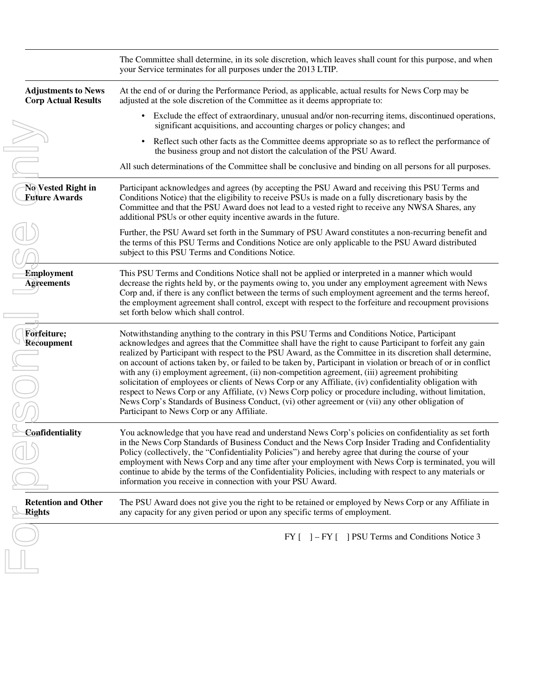|                                                          | The Committee shall determine, in its sole discretion, which leaves shall count for this purpose, and when<br>your Service terminates for all purposes under the 2013 LTIP.                                                                                                                                                                                                                                                                                                                                                                                                                                                                                                                                                                                                                                                                                                                                          |
|----------------------------------------------------------|----------------------------------------------------------------------------------------------------------------------------------------------------------------------------------------------------------------------------------------------------------------------------------------------------------------------------------------------------------------------------------------------------------------------------------------------------------------------------------------------------------------------------------------------------------------------------------------------------------------------------------------------------------------------------------------------------------------------------------------------------------------------------------------------------------------------------------------------------------------------------------------------------------------------|
| <b>Adjustments to News</b><br><b>Corp Actual Results</b> | At the end of or during the Performance Period, as applicable, actual results for News Corp may be<br>adjusted at the sole discretion of the Committee as it deems appropriate to:                                                                                                                                                                                                                                                                                                                                                                                                                                                                                                                                                                                                                                                                                                                                   |
|                                                          | • Exclude the effect of extraordinary, unusual and/or non-recurring items, discontinued operations,<br>significant acquisitions, and accounting charges or policy changes; and                                                                                                                                                                                                                                                                                                                                                                                                                                                                                                                                                                                                                                                                                                                                       |
|                                                          | Reflect such other facts as the Committee deems appropriate so as to reflect the performance of<br>the business group and not distort the calculation of the PSU Award.                                                                                                                                                                                                                                                                                                                                                                                                                                                                                                                                                                                                                                                                                                                                              |
|                                                          | All such determinations of the Committee shall be conclusive and binding on all persons for all purposes.                                                                                                                                                                                                                                                                                                                                                                                                                                                                                                                                                                                                                                                                                                                                                                                                            |
| <b>No Vested Right in</b><br><b>Future Awards</b>        | Participant acknowledges and agrees (by accepting the PSU Award and receiving this PSU Terms and<br>Conditions Notice) that the eligibility to receive PSUs is made on a fully discretionary basis by the<br>Committee and that the PSU Award does not lead to a vested right to receive any NWSA Shares, any<br>additional PSUs or other equity incentive awards in the future.                                                                                                                                                                                                                                                                                                                                                                                                                                                                                                                                     |
|                                                          | Further, the PSU Award set forth in the Summary of PSU Award constitutes a non-recurring benefit and<br>the terms of this PSU Terms and Conditions Notice are only applicable to the PSU Award distributed<br>subject to this PSU Terms and Conditions Notice.                                                                                                                                                                                                                                                                                                                                                                                                                                                                                                                                                                                                                                                       |
| <b>Employment</b><br><b>Agreements</b>                   | This PSU Terms and Conditions Notice shall not be applied or interpreted in a manner which would<br>decrease the rights held by, or the payments owing to, you under any employment agreement with News<br>Corp and, if there is any conflict between the terms of such employment agreement and the terms hereof,<br>the employment agreement shall control, except with respect to the forfeiture and recoupment provisions<br>set forth below which shall control.                                                                                                                                                                                                                                                                                                                                                                                                                                                |
| Forfeiture;<br>Recoupment                                | Notwithstanding anything to the contrary in this PSU Terms and Conditions Notice, Participant<br>acknowledges and agrees that the Committee shall have the right to cause Participant to forfeit any gain<br>realized by Participant with respect to the PSU Award, as the Committee in its discretion shall determine,<br>on account of actions taken by, or failed to be taken by, Participant in violation or breach of or in conflict<br>with any (i) employment agreement, (ii) non-competition agreement, (iii) agreement prohibiting<br>solicitation of employees or clients of News Corp or any Affiliate, (iv) confidentiality obligation with<br>respect to News Corp or any Affiliate, (v) News Corp policy or procedure including, without limitation,<br>News Corp's Standards of Business Conduct, (vi) other agreement or (vii) any other obligation of<br>Participant to News Corp or any Affiliate. |
| Confidentiality                                          | You acknowledge that you have read and understand News Corp's policies on confidentiality as set forth<br>in the News Corp Standards of Business Conduct and the News Corp Insider Trading and Confidentiality<br>Policy (collectively, the "Confidentiality Policies") and hereby agree that during the course of your<br>employment with News Corp and any time after your employment with News Corp is terminated, you will<br>continue to abide by the terms of the Confidentiality Policies, including with respect to any materials or<br>information you receive in connection with your PSU Award.                                                                                                                                                                                                                                                                                                           |
| <b>Retention and Other</b><br><b>Rights</b>              | The PSU Award does not give you the right to be retained or employed by News Corp or any Affiliate in<br>any capacity for any given period or upon any specific terms of employment.                                                                                                                                                                                                                                                                                                                                                                                                                                                                                                                                                                                                                                                                                                                                 |
|                                                          | FY [ ] – FY [ ] PSU Terms and Conditions Notice 3                                                                                                                                                                                                                                                                                                                                                                                                                                                                                                                                                                                                                                                                                                                                                                                                                                                                    |
|                                                          |                                                                                                                                                                                                                                                                                                                                                                                                                                                                                                                                                                                                                                                                                                                                                                                                                                                                                                                      |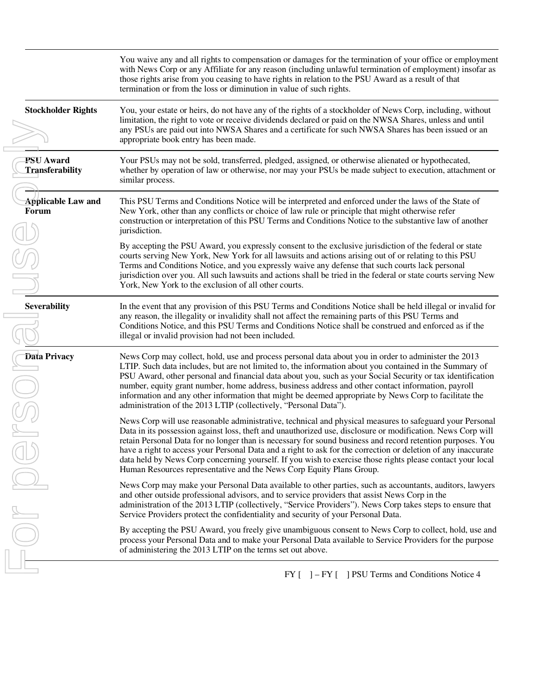|                                                                                                                                                                                                                                                                                                                                               | You waive any and all rights to compensation or damages for the termination of your office or employment<br>with News Corp or any Affiliate for any reason (including unlawful termination of employment) insofar as<br>those rights arise from you ceasing to have rights in relation to the PSU Award as a result of that<br>termination or from the loss or diminution in value of such rights.                                                                                                                                                                                                                                           |
|-----------------------------------------------------------------------------------------------------------------------------------------------------------------------------------------------------------------------------------------------------------------------------------------------------------------------------------------------|----------------------------------------------------------------------------------------------------------------------------------------------------------------------------------------------------------------------------------------------------------------------------------------------------------------------------------------------------------------------------------------------------------------------------------------------------------------------------------------------------------------------------------------------------------------------------------------------------------------------------------------------|
| <b>Stockholder Rights</b>                                                                                                                                                                                                                                                                                                                     | You, your estate or heirs, do not have any of the rights of a stockholder of News Corp, including, without<br>limitation, the right to vote or receive dividends declared or paid on the NWSA Shares, unless and until<br>any PSUs are paid out into NWSA Shares and a certificate for such NWSA Shares has been issued or an<br>appropriate book entry has been made.                                                                                                                                                                                                                                                                       |
| <b>PSU Award</b><br>Transferability                                                                                                                                                                                                                                                                                                           | Your PSUs may not be sold, transferred, pledged, assigned, or otherwise alienated or hypothecated,<br>whether by operation of law or otherwise, nor may your PSUs be made subject to execution, attachment or<br>similar process.                                                                                                                                                                                                                                                                                                                                                                                                            |
| Applicable Law and<br>Forum                                                                                                                                                                                                                                                                                                                   | This PSU Terms and Conditions Notice will be interpreted and enforced under the laws of the State of<br>New York, other than any conflicts or choice of law rule or principle that might otherwise refer<br>construction or interpretation of this PSU Terms and Conditions Notice to the substantive law of another<br>jurisdiction.                                                                                                                                                                                                                                                                                                        |
|                                                                                                                                                                                                                                                                                                                                               | By accepting the PSU Award, you expressly consent to the exclusive jurisdiction of the federal or state<br>courts serving New York, New York for all lawsuits and actions arising out of or relating to this PSU<br>Terms and Conditions Notice, and you expressly waive any defense that such courts lack personal<br>jurisdiction over you. All such lawsuits and actions shall be tried in the federal or state courts serving New<br>York, New York to the exclusion of all other courts.                                                                                                                                                |
| Severability                                                                                                                                                                                                                                                                                                                                  | In the event that any provision of this PSU Terms and Conditions Notice shall be held illegal or invalid for<br>any reason, the illegality or invalidity shall not affect the remaining parts of this PSU Terms and<br>Conditions Notice, and this PSU Terms and Conditions Notice shall be construed and enforced as if the<br>illegal or invalid provision had not been included.                                                                                                                                                                                                                                                          |
| Data Privacy                                                                                                                                                                                                                                                                                                                                  | News Corp may collect, hold, use and process personal data about you in order to administer the 2013<br>LTIP. Such data includes, but are not limited to, the information about you contained in the Summary of<br>PSU Award, other personal and financial data about you, such as your Social Security or tax identification<br>number, equity grant number, home address, business address and other contact information, payroll<br>information and any other information that might be deemed appropriate by News Corp to facilitate the<br>administration of the 2013 LTIP (collectively, "Personal Data").                             |
|                                                                                                                                                                                                                                                                                                                                               | News Corp will use reasonable administrative, technical and physical measures to safeguard your Personal<br>Data in its possession against loss, theft and unauthorized use, disclosure or modification. News Corp will<br>retain Personal Data for no longer than is necessary for sound business and record retention purposes. You<br>have a right to access your Personal Data and a right to ask for the correction or deletion of any inaccurate<br>data held by News Corp concerning yourself. If you wish to exercise those rights please contact your local<br>Human Resources representative and the News Corp Equity Plans Group. |
| $\begin{picture}(45,17) \put(0,0){\line(1,0){155}} \put(15,0){\line(1,0){155}} \put(15,0){\line(1,0){155}} \put(15,0){\line(1,0){155}} \put(15,0){\line(1,0){155}} \put(15,0){\line(1,0){155}} \put(15,0){\line(1,0){155}} \put(15,0){\line(1,0){155}} \put(15,0){\line(1,0){155}} \put(15,0){\line(1,0){155}} \put(15,0){\line(1,0){155}} \$ | News Corp may make your Personal Data available to other parties, such as accountants, auditors, lawyers<br>and other outside professional advisors, and to service providers that assist News Corp in the<br>administration of the 2013 LTIP (collectively, "Service Providers"). News Corp takes steps to ensure that<br>Service Providers protect the confidentiality and security of your Personal Data.                                                                                                                                                                                                                                 |
|                                                                                                                                                                                                                                                                                                                                               | By accepting the PSU Award, you freely give unambiguous consent to News Corp to collect, hold, use and<br>process your Personal Data and to make your Personal Data available to Service Providers for the purpose<br>of administering the 2013 LTIP on the terms set out above.                                                                                                                                                                                                                                                                                                                                                             |
|                                                                                                                                                                                                                                                                                                                                               |                                                                                                                                                                                                                                                                                                                                                                                                                                                                                                                                                                                                                                              |

 $\Box$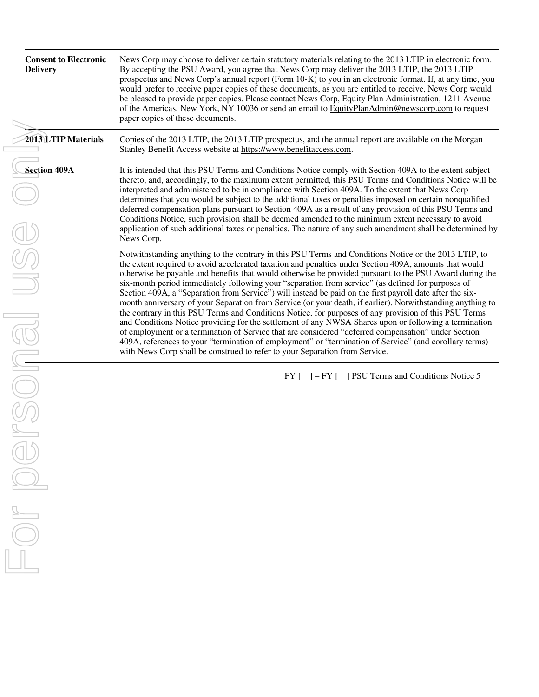| <b>Consent to Electronic</b><br><b>Delivery</b> | News Corp may choose to deliver certain statutory materials relating to the 2013 LTIP in electronic form.<br>By accepting the PSU Award, you agree that News Corp may deliver the 2013 LTIP, the 2013 LTIP<br>prospectus and News Corp's annual report (Form 10-K) to you in an electronic format. If, at any time, you<br>would prefer to receive paper copies of these documents, as you are entitled to receive, News Corp would<br>be pleased to provide paper copies. Please contact News Corp, Equity Plan Administration, 1211 Avenue<br>of the Americas, New York, NY 10036 or send an email to EquityPlanAdmin@newscorp.com to request<br>paper copies of these documents.                                                                                                                                                                                                                                                                                                                                                                                                                                                                                         |
|-------------------------------------------------|-----------------------------------------------------------------------------------------------------------------------------------------------------------------------------------------------------------------------------------------------------------------------------------------------------------------------------------------------------------------------------------------------------------------------------------------------------------------------------------------------------------------------------------------------------------------------------------------------------------------------------------------------------------------------------------------------------------------------------------------------------------------------------------------------------------------------------------------------------------------------------------------------------------------------------------------------------------------------------------------------------------------------------------------------------------------------------------------------------------------------------------------------------------------------------|
| 2013 LTIP Materials                             | Copies of the 2013 LTIP, the 2013 LTIP prospectus, and the annual report are available on the Morgan<br>Stanley Benefit Access website at https://www.benefitaccess.com.                                                                                                                                                                                                                                                                                                                                                                                                                                                                                                                                                                                                                                                                                                                                                                                                                                                                                                                                                                                                    |
| <b>Section 409A</b>                             | It is intended that this PSU Terms and Conditions Notice comply with Section 409A to the extent subject<br>thereto, and, accordingly, to the maximum extent permitted, this PSU Terms and Conditions Notice will be<br>interpreted and administered to be in compliance with Section 409A. To the extent that News Corp<br>determines that you would be subject to the additional taxes or penalties imposed on certain nonqualified<br>deferred compensation plans pursuant to Section 409A as a result of any provision of this PSU Terms and<br>Conditions Notice, such provision shall be deemed amended to the minimum extent necessary to avoid<br>application of such additional taxes or penalties. The nature of any such amendment shall be determined by<br>News Corp.                                                                                                                                                                                                                                                                                                                                                                                           |
|                                                 | Notwithstanding anything to the contrary in this PSU Terms and Conditions Notice or the 2013 LTIP, to<br>the extent required to avoid accelerated taxation and penalties under Section 409A, amounts that would<br>otherwise be payable and benefits that would otherwise be provided pursuant to the PSU Award during the<br>six-month period immediately following your "separation from service" (as defined for purposes of<br>Section 409A, a "Separation from Service") will instead be paid on the first payroll date after the six-<br>month anniversary of your Separation from Service (or your death, if earlier). Notwithstanding anything to<br>the contrary in this PSU Terms and Conditions Notice, for purposes of any provision of this PSU Terms<br>and Conditions Notice providing for the settlement of any NWSA Shares upon or following a termination<br>of employment or a termination of Service that are considered "deferred compensation" under Section<br>409A, references to your "termination of employment" or "termination of Service" (and corollary terms)<br>with News Corp shall be construed to refer to your Separation from Service. |
|                                                 | $FY$ $]-FY$ $ $ PSU Terms and Conditions Notice 5                                                                                                                                                                                                                                                                                                                                                                                                                                                                                                                                                                                                                                                                                                                                                                                                                                                                                                                                                                                                                                                                                                                           |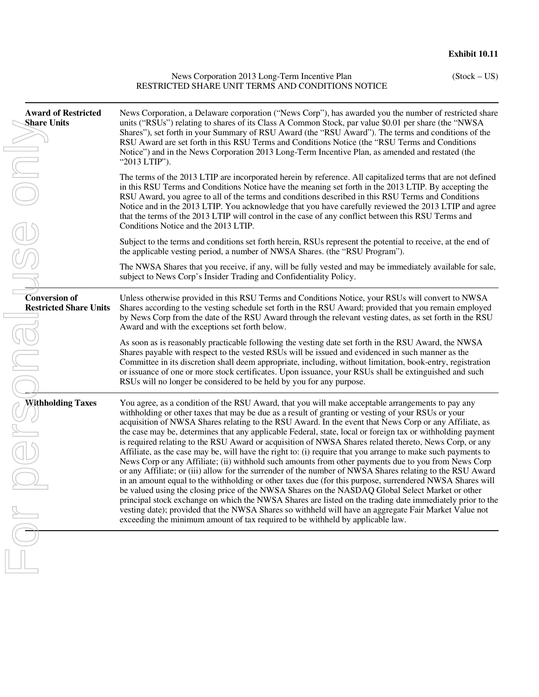## News Corporation 2013 Long-Term Incentive Plan (Stock – US) RESTRICTED SHARE UNIT TERMS AND CONDITIONS NOTICE

**Award of Restricted Share Units** News Corporation, a Delaware corporation ("News Corp"), has awarded you the number of restricted share units ("RSUs") relating to shares of its Class A Common Stock, par value \$0.01 per share (the "NWSA Shares"), set forth in your Summary of RSU Award (the "RSU Award"). The terms and conditions of the RSU Award are set forth in this RSU Terms and Conditions Notice (the "RSU Terms and Conditions Notice") and in the News Corporation 2013 Long-Term Incentive Plan, as amended and restated (the "2013 LTIP"). The terms of the 2013 LTIP are incorporated herein by reference. All capitalized terms that are not defined in this RSU Terms and Conditions Notice have the meaning set forth in the 2013 LTIP. By accepting the RSU Award, you agree to all of the terms and conditions described in this RSU Terms and Conditions Notice and in the 2013 LTIP. You acknowledge that you have carefully reviewed the 2013 LTIP and agree that the terms of the 2013 LTIP will control in the case of any conflict between this RSU Terms and Conditions Notice and the 2013 LTIP. Subject to the terms and conditions set forth herein, RSUs represent the potential to receive, at the end of the applicable vesting period, a number of NWSA Shares. (the "RSU Program"). The NWSA Shares that you receive, if any, will be fully vested and may be immediately available for sale, subject to News Corp's Insider Trading and Confidentiality Policy. **Conversion of Restricted Share Units** Unless otherwise provided in this RSU Terms and Conditions Notice, your RSUs will convert to NWSA Shares according to the vesting schedule set forth in the RSU Award; provided that you remain employed by News Corp from the date of the RSU Award through the relevant vesting dates, as set forth in the RSU Award and with the exceptions set forth below. As soon as is reasonably practicable following the vesting date set forth in the RSU Award, the NWSA Shares payable with respect to the vested RSUs will be issued and evidenced in such manner as the Committee in its discretion shall deem appropriate, including, without limitation, book-entry, registration or issuance of one or more stock certificates. Upon issuance, your RSUs shall be extinguished and such RSUs will no longer be considered to be held by you for any purpose. Withholding Taxes You agree, as a condition of the RSU Award, that you will make acceptable arrangements to pay any withholding or other taxes that may be due as a result of granting or vesting of your RSUs or your acquisition of NWSA Shares relating to the RSU Award. In the event that News Corp or any Affiliate, as the case may be, determines that any applicable Federal, state, local or foreign tax or withholding payment is required relating to the RSU Award or acquisition of NWSA Shares related thereto, News Corp, or any Affiliate, as the case may be, will have the right to: (i) require that you arrange to make such payments to News Corp or any Affiliate; (ii) withhold such amounts from other payments due to you from News Corp or any Affiliate; or (iii) allow for the surrender of the number of NWSA Shares relating to the RSU Award in an amount equal to the withholding or other taxes due (for this purpose, surrendered NWSA Shares will be valued using the closing price of the NWSA Shares on the NASDAQ Global Select Market or other principal stock exchange on which the NWSA Shares are listed on the trading date immediately prior to the vesting date); provided that the NWSA Shares so withheld will have an aggregate Fair Market Value not exceeding the minimum amount of tax required to be withheld by applicable law. For personal use only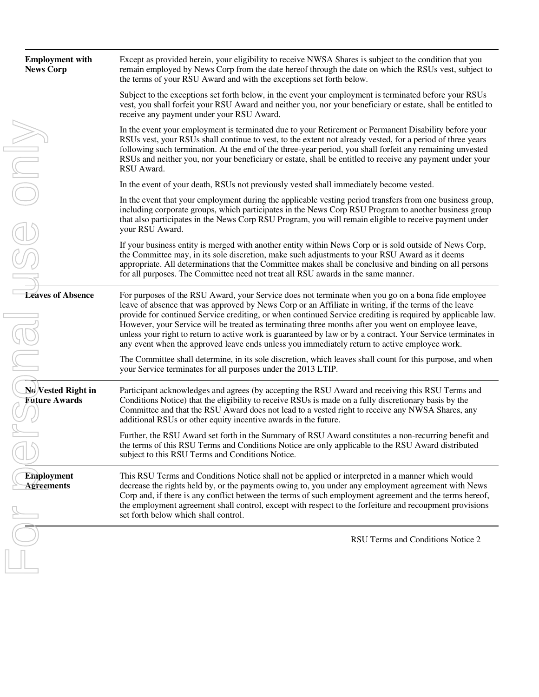| <b>Employment with</b><br><b>News Corp</b>         | Except as provided herein, your eligibility to receive NWSA Shares is subject to the condition that you<br>remain employed by News Corp from the date hereof through the date on which the RSUs vest, subject to<br>the terms of your RSU Award and with the exceptions set forth below.                                                                                                                                                                                                                                                                                                                                                           |
|----------------------------------------------------|----------------------------------------------------------------------------------------------------------------------------------------------------------------------------------------------------------------------------------------------------------------------------------------------------------------------------------------------------------------------------------------------------------------------------------------------------------------------------------------------------------------------------------------------------------------------------------------------------------------------------------------------------|
|                                                    | Subject to the exceptions set forth below, in the event your employment is terminated before your RSUs<br>vest, you shall forfeit your RSU Award and neither you, nor your beneficiary or estate, shall be entitled to<br>receive any payment under your RSU Award.                                                                                                                                                                                                                                                                                                                                                                                |
| VIDI                                               | In the event your employment is terminated due to your Retirement or Permanent Disability before your<br>RSUs vest, your RSUs shall continue to vest, to the extent not already vested, for a period of three years<br>following such termination. At the end of the three-year period, you shall forfeit any remaining unvested<br>RSUs and neither you, nor your beneficiary or estate, shall be entitled to receive any payment under your<br>RSU Award.                                                                                                                                                                                        |
|                                                    | In the event of your death, RSUs not previously vested shall immediately become vested.                                                                                                                                                                                                                                                                                                                                                                                                                                                                                                                                                            |
|                                                    | In the event that your employment during the applicable vesting period transfers from one business group,<br>including corporate groups, which participates in the News Corp RSU Program to another business group<br>that also participates in the News Corp RSU Program, you will remain eligible to receive payment under<br>your RSU Award.                                                                                                                                                                                                                                                                                                    |
|                                                    | If your business entity is merged with another entity within News Corp or is sold outside of News Corp,<br>the Committee may, in its sole discretion, make such adjustments to your RSU Award as it deems<br>appropriate. All determinations that the Committee makes shall be conclusive and binding on all persons<br>for all purposes. The Committee need not treat all RSU awards in the same manner.                                                                                                                                                                                                                                          |
| <b>Leaves of Absence</b>                           | For purposes of the RSU Award, your Service does not terminate when you go on a bona fide employee<br>leave of absence that was approved by News Corp or an Affiliate in writing, if the terms of the leave<br>provide for continued Service crediting, or when continued Service crediting is required by applicable law.<br>However, your Service will be treated as terminating three months after you went on employee leave,<br>unless your right to return to active work is guaranteed by law or by a contract. Your Service terminates in<br>any event when the approved leave ends unless you immediately return to active employee work. |
|                                                    | The Committee shall determine, in its sole discretion, which leaves shall count for this purpose, and when<br>your Service terminates for all purposes under the 2013 LTIP.                                                                                                                                                                                                                                                                                                                                                                                                                                                                        |
| <b>No</b> /Vested Right in<br><b>Future Awards</b> | Participant acknowledges and agrees (by accepting the RSU Award and receiving this RSU Terms and<br>Conditions Notice) that the eligibility to receive RSUs is made on a fully discretionary basis by the<br>Committee and that the RSU Award does not lead to a vested right to receive any NWSA Shares, any<br>additional RSUs or other equity incentive awards in the future.                                                                                                                                                                                                                                                                   |
|                                                    | Further, the RSU Award set forth in the Summary of RSU Award constitutes a non-recurring benefit and<br>the terms of this RSU Terms and Conditions Notice are only applicable to the RSU Award distributed<br>subject to this RSU Terms and Conditions Notice.                                                                                                                                                                                                                                                                                                                                                                                     |
| <b>Employment</b><br><b>Agreements</b>             | This RSU Terms and Conditions Notice shall not be applied or interpreted in a manner which would<br>decrease the rights held by, or the payments owing to, you under any employment agreement with News<br>Corp and, if there is any conflict between the terms of such employment agreement and the terms hereof,<br>the employment agreement shall control, except with respect to the forfeiture and recoupment provisions<br>set forth below which shall control.                                                                                                                                                                              |
|                                                    | RSU Terms and Conditions Notice 2                                                                                                                                                                                                                                                                                                                                                                                                                                                                                                                                                                                                                  |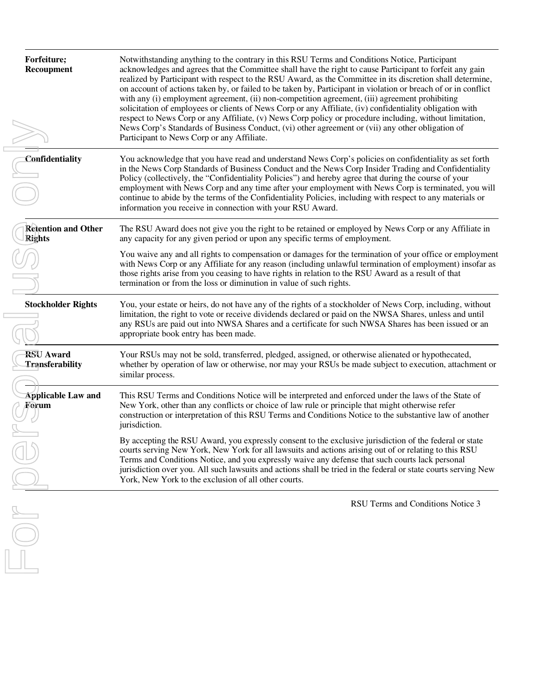| Forfeiture;<br>Recoupment            | Notwithstanding anything to the contrary in this RSU Terms and Conditions Notice, Participant<br>acknowledges and agrees that the Committee shall have the right to cause Participant to forfeit any gain<br>realized by Participant with respect to the RSU Award, as the Committee in its discretion shall determine,<br>on account of actions taken by, or failed to be taken by, Participant in violation or breach of or in conflict<br>with any (i) employment agreement, (ii) non-competition agreement, (iii) agreement prohibiting<br>solicitation of employees or clients of News Corp or any Affiliate, (iv) confidentiality obligation with<br>respect to News Corp or any Affiliate, (v) News Corp policy or procedure including, without limitation,<br>News Corp's Standards of Business Conduct, (vi) other agreement or (vii) any other obligation of<br>Participant to News Corp or any Affiliate. |
|--------------------------------------|----------------------------------------------------------------------------------------------------------------------------------------------------------------------------------------------------------------------------------------------------------------------------------------------------------------------------------------------------------------------------------------------------------------------------------------------------------------------------------------------------------------------------------------------------------------------------------------------------------------------------------------------------------------------------------------------------------------------------------------------------------------------------------------------------------------------------------------------------------------------------------------------------------------------|
| Confidentiality                      | You acknowledge that you have read and understand News Corp's policies on confidentiality as set forth<br>in the News Corp Standards of Business Conduct and the News Corp Insider Trading and Confidentiality<br>Policy (collectively, the "Confidentiality Policies") and hereby agree that during the course of your<br>employment with News Corp and any time after your employment with News Corp is terminated, you will<br>continue to abide by the terms of the Confidentiality Policies, including with respect to any materials or<br>information you receive in connection with your RSU Award.                                                                                                                                                                                                                                                                                                           |
| <b>Retention and Other</b><br>Rights | The RSU Award does not give you the right to be retained or employed by News Corp or any Affiliate in<br>any capacity for any given period or upon any specific terms of employment.                                                                                                                                                                                                                                                                                                                                                                                                                                                                                                                                                                                                                                                                                                                                 |
|                                      | You waive any and all rights to compensation or damages for the termination of your office or employment<br>with News Corp or any Affiliate for any reason (including unlawful termination of employment) insofar as<br>those rights arise from you ceasing to have rights in relation to the RSU Award as a result of that<br>termination or from the loss or diminution in value of such rights.                                                                                                                                                                                                                                                                                                                                                                                                                                                                                                                   |
| <b>Stockholder Rights</b>            | You, your estate or heirs, do not have any of the rights of a stockholder of News Corp, including, without<br>limitation, the right to vote or receive dividends declared or paid on the NWSA Shares, unless and until<br>any RSUs are paid out into NWSA Shares and a certificate for such NWSA Shares has been issued or an<br>appropriate book entry has been made.                                                                                                                                                                                                                                                                                                                                                                                                                                                                                                                                               |
| <b>RSU Award</b><br>Transferability  | Your RSUs may not be sold, transferred, pledged, assigned, or otherwise alienated or hypothecated,<br>whether by operation of law or otherwise, nor may your RSUs be made subject to execution, attachment or<br>similar process.                                                                                                                                                                                                                                                                                                                                                                                                                                                                                                                                                                                                                                                                                    |
| <b>Applicable Law and</b><br>Forum   | This RSU Terms and Conditions Notice will be interpreted and enforced under the laws of the State of<br>New York, other than any conflicts or choice of law rule or principle that might otherwise refer<br>construction or interpretation of this RSU Terms and Conditions Notice to the substantive law of another<br>jurisdiction.                                                                                                                                                                                                                                                                                                                                                                                                                                                                                                                                                                                |
|                                      | By accepting the RSU Award, you expressly consent to the exclusive jurisdiction of the federal or state<br>courts serving New York, New York for all lawsuits and actions arising out of or relating to this RSU<br>Terms and Conditions Notice, and you expressly waive any defense that such courts lack personal<br>jurisdiction over you. All such lawsuits and actions shall be tried in the federal or state courts serving New<br>York, New York to the exclusion of all other courts.                                                                                                                                                                                                                                                                                                                                                                                                                        |
|                                      | RSU Terms and Conditions Notice 3                                                                                                                                                                                                                                                                                                                                                                                                                                                                                                                                                                                                                                                                                                                                                                                                                                                                                    |
|                                      |                                                                                                                                                                                                                                                                                                                                                                                                                                                                                                                                                                                                                                                                                                                                                                                                                                                                                                                      |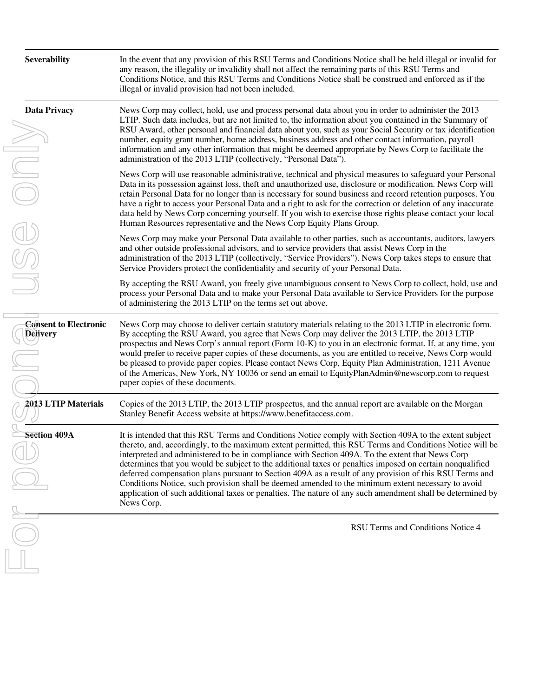| <b>Severability</b>                      | In the event that any provision of this RSU Terms and Conditions Notice shall be held illegal or invalid for<br>any reason, the illegality or invalidity shall not affect the remaining parts of this RSU Terms and<br>Conditions Notice, and this RSU Terms and Conditions Notice shall be construed and enforced as if the<br>illegal or invalid provision had not been included.                                                                                                                                                                                                                                                                                                                                                                                               |
|------------------------------------------|-----------------------------------------------------------------------------------------------------------------------------------------------------------------------------------------------------------------------------------------------------------------------------------------------------------------------------------------------------------------------------------------------------------------------------------------------------------------------------------------------------------------------------------------------------------------------------------------------------------------------------------------------------------------------------------------------------------------------------------------------------------------------------------|
| <b>Data Privacy</b><br>NICI              | News Corp may collect, hold, use and process personal data about you in order to administer the 2013<br>LTIP. Such data includes, but are not limited to, the information about you contained in the Summary of<br>RSU Award, other personal and financial data about you, such as your Social Security or tax identification<br>number, equity grant number, home address, business address and other contact information, payroll<br>information and any other information that might be deemed appropriate by News Corp to facilitate the<br>administration of the 2013 LTIP (collectively, "Personal Data").                                                                                                                                                                  |
|                                          | News Corp will use reasonable administrative, technical and physical measures to safeguard your Personal<br>Data in its possession against loss, theft and unauthorized use, disclosure or modification. News Corp will<br>retain Personal Data for no longer than is necessary for sound business and record retention purposes. You<br>have a right to access your Personal Data and a right to ask for the correction or deletion of any inaccurate<br>data held by News Corp concerning yourself. If you wish to exercise those rights please contact your local<br>Human Resources representative and the News Corp Equity Plans Group.                                                                                                                                      |
|                                          | News Corp may make your Personal Data available to other parties, such as accountants, auditors, lawyers<br>and other outside professional advisors, and to service providers that assist News Corp in the<br>administration of the 2013 LTIP (collectively, "Service Providers"). News Corp takes steps to ensure that<br>Service Providers protect the confidentiality and security of your Personal Data.                                                                                                                                                                                                                                                                                                                                                                      |
|                                          | By accepting the RSU Award, you freely give unambiguous consent to News Corp to collect, hold, use and<br>process your Personal Data and to make your Personal Data available to Service Providers for the purpose<br>of administering the 2013 LTIP on the terms set out above.                                                                                                                                                                                                                                                                                                                                                                                                                                                                                                  |
| Consent to Electronic<br><b>Delivery</b> | News Corp may choose to deliver certain statutory materials relating to the 2013 LTIP in electronic form.<br>By accepting the RSU Award, you agree that News Corp may deliver the 2013 LTIP, the 2013 LTIP<br>prospectus and News Corp's annual report (Form 10-K) to you in an electronic format. If, at any time, you<br>would prefer to receive paper copies of these documents, as you are entitled to receive, News Corp would<br>be pleased to provide paper copies. Please contact News Corp, Equity Plan Administration, 1211 Avenue<br>of the Americas, New York, NY 10036 or send an email to EquityPlanAdmin@newscorp.com to request<br>paper copies of these documents.                                                                                               |
| 2013 LTIP Materials                      | Copies of the 2013 LTIP, the 2013 LTIP prospectus, and the annual report are available on the Morgan<br>Stanley Benefit Access website at https://www.benefitaccess.com.                                                                                                                                                                                                                                                                                                                                                                                                                                                                                                                                                                                                          |
| <b>Section 409A</b>                      | It is intended that this RSU Terms and Conditions Notice comply with Section 409A to the extent subject<br>thereto, and, accordingly, to the maximum extent permitted, this RSU Terms and Conditions Notice will be<br>interpreted and administered to be in compliance with Section 409A. To the extent that News Corp<br>determines that you would be subject to the additional taxes or penalties imposed on certain nonqualified<br>deferred compensation plans pursuant to Section 409A as a result of any provision of this RSU Terms and<br>Conditions Notice, such provision shall be deemed amended to the minimum extent necessary to avoid<br>application of such additional taxes or penalties. The nature of any such amendment shall be determined by<br>News Corp. |
|                                          | RSU Terms and Conditions Notice 4                                                                                                                                                                                                                                                                                                                                                                                                                                                                                                                                                                                                                                                                                                                                                 |
|                                          |                                                                                                                                                                                                                                                                                                                                                                                                                                                                                                                                                                                                                                                                                                                                                                                   |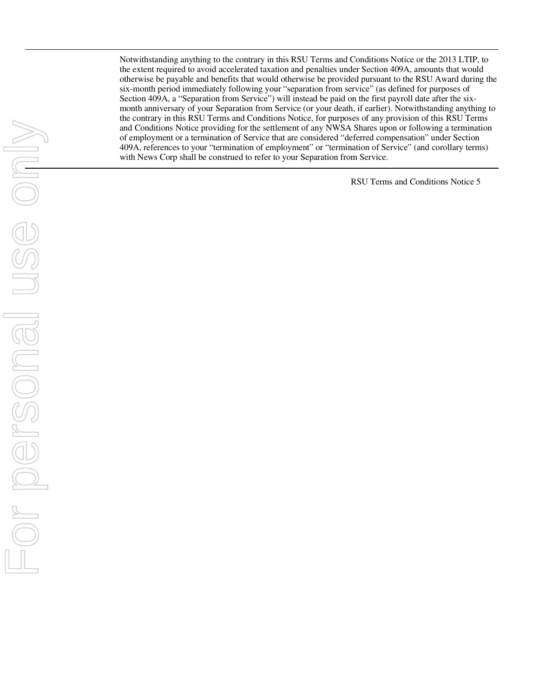Notwithstanding anything to the contrary in this RSU Terms and Conditions Notice or the 2013 LTIP, to the extent required to avoid accelerated taxation and penalties under Section 409A, amounts that would otherwise be payable and benefits that would otherwise be provided pursuant to the RSU Award during the six-month period immediately following your "separation from service" (as defined for purposes of Section 409A, a "Separation from Service") will instead be paid on the first payroll date after the sixmonth anniversary of your Separation from Service (or your death, if earlier). Notwithstanding anything to the contrary in this RSU Terms and Conditions Notice, for purposes of any provision of this RSU Terms and Conditions Notice providing for the settlement of any NWSA Shares upon or following a termination of employment or a termination of Service that are considered "deferred compensation" under Section 409A, references to your "termination of employment" or "termination of Service" (and corollary terms) with News Corp shall be construed to refer to your Separation from Service.

RSU Terms and Conditions Notice 5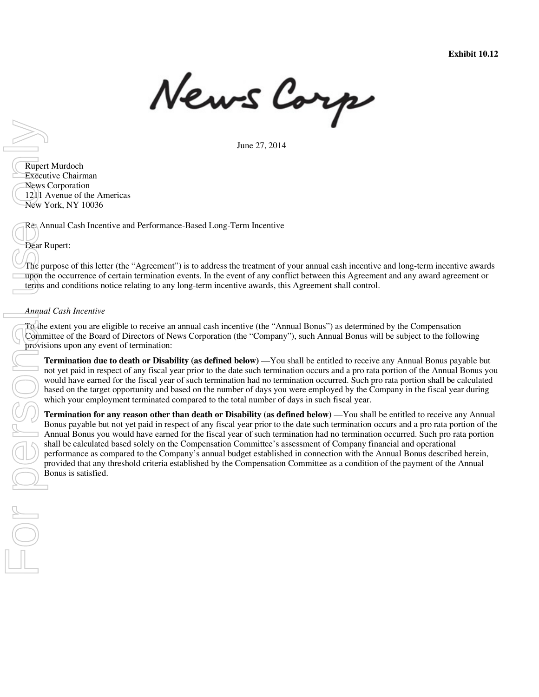**Exhibit 10.12** 

June 27, 2014

Rupert Murdoch Executive Chairman News Corporation 1211 Avenue of the Americas New York, NY 10036

Re: Annual Cash Incentive and Performance-Based Long-Term Incentive

Dear Rupert:

The purpose of this letter (the "Agreement") is to address the treatment of your annual cash incentive and long-term incentive awards upon the occurrence of certain termination events. In the event of any conflict between this Agreement and any award agreement or terms and conditions notice relating to any long-term incentive awards, this Agreement shall control.

## *Annual Cash Incentive*

To the extent you are eligible to receive an annual cash incentive (the "Annual Bonus") as determined by the Compensation Committee of the Board of Directors of News Corporation (the "Company"), such Annual Bonus will be subject to the following provisions upon any event of termination:

**Termination due to death or Disability (as defined below)** —You shall be entitled to receive any Annual Bonus payable but not yet paid in respect of any fiscal year prior to the date such termination occurs and a pro rata portion of the Annual Bonus you would have earned for the fiscal year of such termination had no termination occurred. Such pro rata portion shall be calculated based on the target opportunity and based on the number of days you were employed by the Company in the fiscal year during which your employment terminated compared to the total number of days in such fiscal year.

**Termination for any reason other than death or Disability (as defined below)** —You shall be entitled to receive any Annual Bonus payable but not yet paid in respect of any fiscal year prior to the date such termination occurs and a pro rata portion of the Annual Bonus you would have earned for the fiscal year of such termination had no termination occurred. Such pro rata portion shall be calculated based solely on the Compensation Committee's assessment of Company financial and operational performance as compared to the Company's annual budget established in connection with the Annual Bonus described herein, provided that any threshold criteria established by the Compensation Committee as a condition of the payment of the Annual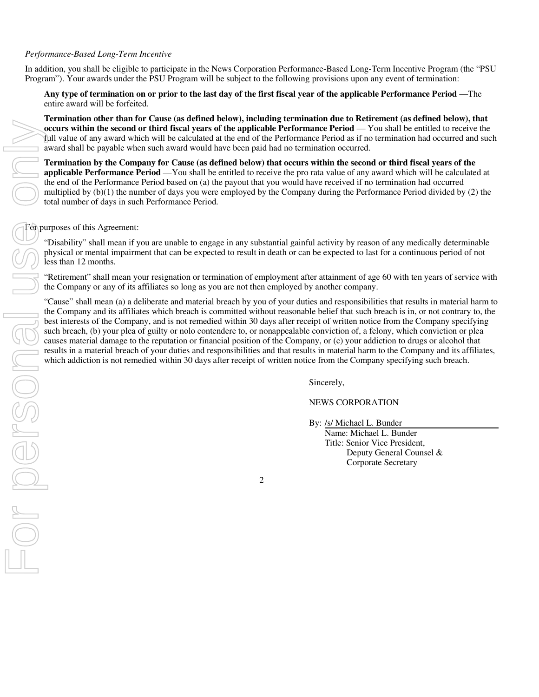## *Performance-Based Long-Term Incentive*

In addition, you shall be eligible to participate in the News Corporation Performance-Based Long-Term Incentive Program (the "PSU Program"). Your awards under the PSU Program will be subject to the following provisions upon any event of termination:

## **Any type of termination on or prior to the last day of the first fiscal year of the applicable Performance Period** —The entire award will be forfeited.

**Termination other than for Cause (as defined below), including termination due to Retirement (as defined below), that occurs within the second or third fiscal years of the applicable Performance Period** — You shall be entitled to receive the full value of any award which will be calculated at the end of the Performance Period as if no termination had occurred and such award shall be payable when such award would have been paid had no termination occurred.

**Termination by the Company for Cause (as defined below) that occurs within the second or third fiscal years of the applicable Performance Period** —You shall be entitled to receive the pro rata value of any award which will be calculated at the end of the Performance Period based on (a) the payout that you would have received if no termination had occurred multiplied by (b)(1) the number of days you were employed by the Company during the Performance Period divided by (2) the total number of days in such Performance Period.

For purposes of this Agreement:

"Disability" shall mean if you are unable to engage in any substantial gainful activity by reason of any medically determinable physical or mental impairment that can be expected to result in death or can be expected to last for a continuous period of not less than 12 months.

"Retirement" shall mean your resignation or termination of employment after attainment of age 60 with ten years of service with the Company or any of its affiliates so long as you are not then employed by another company.

"Cause" shall mean (a) a deliberate and material breach by you of your duties and responsibilities that results in material harm to the Company and its affiliates which breach is committed without reasonable belief that such breach is in, or not contrary to, the best interests of the Company, and is not remedied within 30 days after receipt of written notice from the Company specifying such breach, (b) your plea of guilty or nolo contendere to, or nonappealable conviction of, a felony, which conviction or plea causes material damage to the reputation or financial position of the Company, or (c) your addiction to drugs or alcohol that results in a material breach of your duties and responsibilities and that results in material harm to the Company and its affiliates, which addiction is not remedied within 30 days after receipt of written notice from the Company specifying such breach.

2

Sincerely,

NEWS CORPORATION

By: /s/ Michael L. Bunder

Name: Michael L. Bunder Title: Senior Vice President, Deputy General Counsel & Corporate Secretary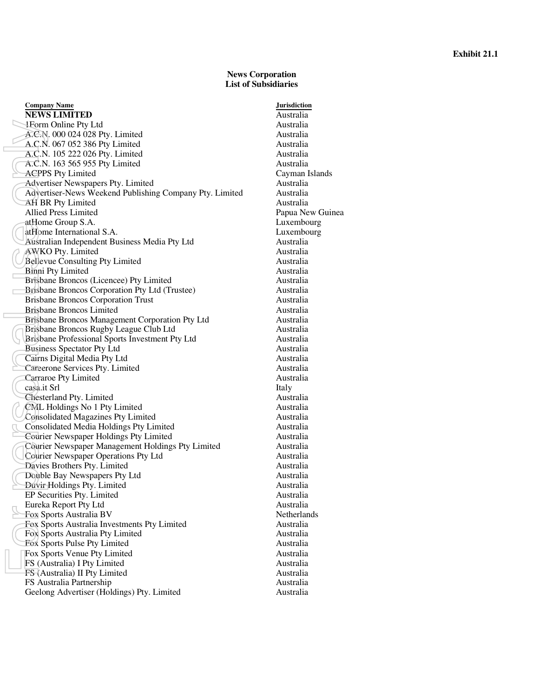### **News Corporation List of Subsidiaries**

**Company Name Jurisdiction NEWS LIMITED** Australia<br> **Australia**<br> **Australia**<br>
Australia 1Form Online Pty Ltd Australia A.C.N. 000 024 028 Pty. Limited Australia A.C.N. 067 052 386 Pty Limited A.C.N. 105 222 026 Pty. Limited Australia A.C.N. 163 565 955 Pty Limited ACPPS Pty Limited Ca Advertiser Newspapers Pty. Limited Australia Advertiser-News Weekend Publishing Company Pty. Limited Australia AH BR Pty Limited Australia Allied Press Limited atHome Group S.A. p S.A. Luxembour g atHome International S.A. <br>Australian Independent Business Media Pty Ltd Australia Australian Inde pendent Business Media Pty Ltd Australia AWKO Pty. Limited Australia Bellevue Consulting Pty Limited Australia Binni Pty Limited **Australia** Brisbane Broncos (Licencee) Pty Limited Australia Brisbane Broncos Corporation Pty Ltd (Trustee) Australia Brisbane Broncos Cor poration Trust Australia Brisbane Broncos Limited<br>
Brisbane Broncos Management Corporation Pty Ltd
<br>
Australia Brisbane Broncos Management Corporation Pty Ltd Australia Brisbane Broncos Rugby League Club Ltd Australia Brisbane Professional Sports Investment Pty Ltd Australia Business S pectator Pt Cairns Di gital Media Pt Careerone Services Pty. Limited Australia Carraroe Pty Limited **Australia** Australia casa.it Srl Ital Chesterland Pty. Limited Australia CML Holdings No 1 Pty Limited Australia Consolidated Magazines Pty Limited **Australia** Australia Consolidated Media Holdings Pty Limited **Australia** Australia Courier Newspaper Holdings Pty Limited Australia Courier Newspaper Management Holdings Pty Limited Australia Courier Newspaper Operations Pty Ltd Australia Davies Brothers Pty. Limited Australia Double Bay Newspapers Pty Ltd Australia Duvir Holdin gs Pt y. Limited Australia EP Securities Pty. Limited Australia Eureka Re port Pt Fox Sports Australia BV and Security and Security Netherlands Fox Sports Australia Investments Pty Limited Australia Fox Sports Australia Pty Limited Australia Fox Sports Pulse Pty Limited Australia Fox Sports Venue Pty Limited Australia FS (Australia) I Pty Limited Australia FS (Australia) II Pty Limited Australia FS Australia Partnershi Geelong Advertiser (Holdings) Pty. Limited Australia Form<br>
A.C.N<br>
A.C.N<br>
A.C.N<br>
A.C.N<br>
A.C.N<br>
A.C.N<br>
A.C.N<br>
A.C.N<br>
A.C.N<br>
A.C.N<br>
A.C.N<br>
A.C.N<br>
A.C.N<br>
Adver<br>
Adver<br>
Adver<br>
Allied<br>
atHom<br>
austra<br>
Brisba<br>
Brisba<br>
Brisba<br>
Brisba<br>
Brisba<br>
Brisba<br>
Brisba<br>
Brisba<br>
Brisba<br>
Brisba<br>
B

Cayman Islands<br>Australia Papua New Guinea Luxembourg Australia Australia<br>Australia Italy Australia<br>Netherlands **Australia**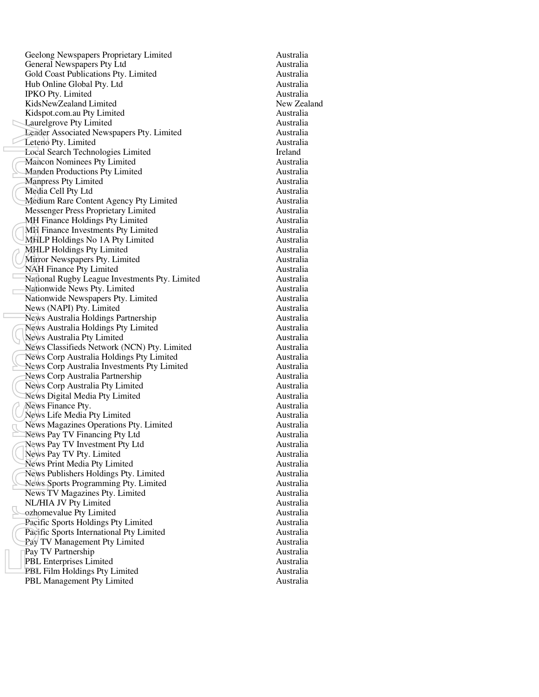Geelong Newspapers Proprietary Limited Australia General News p apers Pt Gold Coast Publications Pty. Limited Australia Hub Online Global Pt IPKO Pty. Limited Australia<br>
KidsNewZealand Limited Australia Australia<br>
New Zealand KidsNew Zealand Limited Kidspot.com.au Pty Limited Australia Laurelgrove Pty Limited **Australia** Australia Leader Associated Newspapers Pty. Limited **Australia** Australia Leteno Pty. Limited **Australia** Local Search Technolo gies Limited Ireland Mancon Nominees Pty Limited Australia Manden Productions Pty Limited Australia Manpress Pty Limited and Australia Australia<br>
Media Cell Pty Ltd Media Cell Pty Ltd Australia Medium Rare Content Agency Pty Limited Australia Messenger Press Proprietary Limited Australia MH Finance Holdings Pty Limited **Australia** Australia MH Finance Investments Pty Limited Australia MHLP Holdings No 1A Pty Limited Australia MHLP Holdings Pty Limited **Australia** Australia Mirror Newspapers Pty. Limited **Australia** Australia NAH Finance Pty Limited **Australia** Australia National Rugby League Investments Pty. Limited Australia Nationwide News Pty. Limited **Australia** Australia Nationwide Newspapers Pty. Limited **Australia** News (NAPI) Pty. Limited Australia News Australia Holdin gs Partnershi News Australia Holdings Pty Limited Australia News Australia Pty Limited Australia Australia News Classifieds Network (NCN) Pty. Limited Australia News Corp Australia Holdings Pty Limited https://www.australia News Corp Australia Investments Pty Limited Australia News Cor p Australia Partnershi News Corp Australia Pty Limited Australia News Di gital Media Pt y Limited Australia News Finance Pty News Life Media Pty Limited Australia News Magazines Operations Pty. Limited Australia News Pa y TV Financin g Pt News Pay TV Investment Pty Ltd Australia News Pay TV Pty. Limited Australia News Print Media Pty Limited<br>
News Publishers Holdings Pty. Limited<br>
Australia News Publishers Holdings Pty. Limited Australia News Sports Programming Pty. Limited Australia News TV Magazines Pty. Limited Australia NL/HIA JV Pty Limited Australia ozhomevalue Pty Limited<br>Pacific Sports Holdings Pty Limited Australia Pacific Sports Holdings Pty Limited Australia Pacific Sports International Pty Limited Australia Pay TV Management Pty Limited Australia Pa y TV Partnershi PBL Enterprises Limited Australia PBL Film Holdings Pty Limited **Australia** Australia Laurelgrov<br>
Leader Ass<br>
Leteno Pty<br>
Local Sear<br>
Mancon No<br>
Manden Pr<br>
Mangress I<br>
Media Cell<br>
Media Cell<br>
Media Incorpersonal Ressenger<br>
MH Finan<br>
MHLP Hol<br>
MHLP Hol<br>
MHLP Hol<br>
MHLP Hol<br>
MHLP Hol<br>
MHLP Hol<br>
Micro News Aust PBL Management Pty Limited Australia

Australia Australia<br>Australia **Australia Australia** . Australia Australia<br>Australia Australia<br>Australia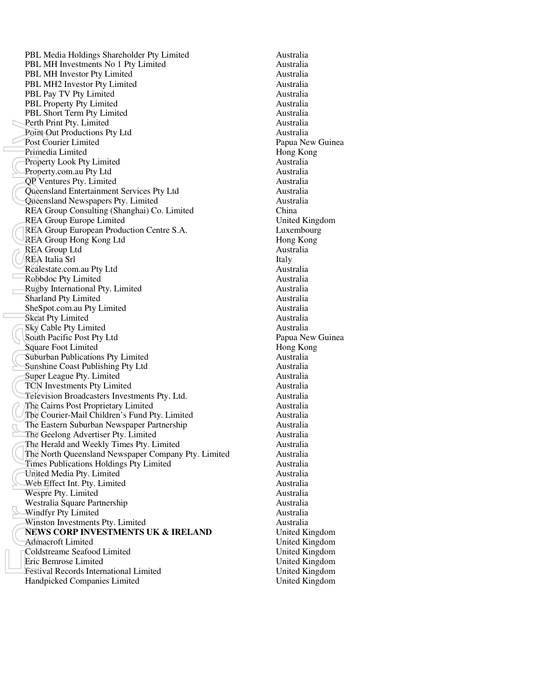PBL Media Holdings Shareholder Pty Limited Australia<br>
PBL MH Investments No 1 Ptv Limited Australia PBL MH Investments No 1 Pty Limited PBL MH Investor Pty Limited Australia PBL MH2 Investor Pty Limited Australia<br>
PBL Pav TV Ptv Limited Australia<br>
Australia PBL Pay TV Pty Limited Australia<br>
PBL Property Pty Limited Australia PBL Property Pty Limited Australia<br>
PBL Short Term Ptv Limited Australia PBL Short Term Pty Limited Perth Print Pty. Limited Australia Point Out Productions Pty Ltd<br>
Post Courier Limited<br>
Post Courier Limited Post Courier Limited **Papua New Guinea**<br>Primedia Limited Papua New Guinea<br>Primedia Limited **Papua New Guinea** Primedia Limited Hong Kong Property Look Pty Limited Australia<br>
Property.com.au Pty Ltd Australia Property.com.au Pty Ltd QP Ventures Pty. Limited Australia Queensland Entertainment Services Pty Ltd Australia Queensland Newspapers Pty. Limited REA Group Consulting (Shanghai) Co. Limited China REA Group Europe Limited United United United Kingdom REA Group European Production Centre S.A. Luxembourg REA Group Hong Kong Ltd<br>REA Group Ltd Australia REA Group Ltd REA Italia Srl Italy Realestate.com.au Pty Ltd Australia Robbdoc Pty Limited **Australia** Australia Rugby International Pty. Limited Australia Sharland Pty Limited Australia<br>
SheSpot.com.au Pty Limited Australia SheSpot.com.au Pty Limited Skeat Pty Limited Australia **Sky Cable Pty Limited Australia** South Pacific Post Pty Ltd Papua New Guinea Square Foot Limited **Foot Limited** Hong Kong<br>
Suburban Publications Ptv Limited **Foot Australia** Suburban Publications Pty Limited Australia Sunshine Coast Publishing Pty Ltd Super League Pty. Limited **Australia** Australia TCN Investments Pty Limited<br>
Television Broadcasters Investments Ptv. Ltd. Australia Television Broadcasters Investments Pty. Ltd. Australia The Cairns Post Proprietary Limited<br>The Courier-Mail Children's Fund Pty. Limited Australia The Courier-Mail Children's Fund Pty. Limited The Eastern Suburban Newspaper Partnership **Australia**<br>
The Geelong Advertiser Ptv. Limited **Australia** The Geelong Advertiser Pty. Limited<br>
The Herald and Weekly Times Pty. Limited Australia The Herald and Weekly Times Pty. Limited The North Queensland Newspaper Company Pty. Limited Australia Times Publications Holdings Pty Limited and Australia<br>
Thited Media Ptv. Limited Australia United Media Pty. Limited Australia<br>
Web Effect Int. Pty. Limited Australia Web Effect Int. Pty. Limited Australia<br>
Wespre Pty. Limited Australia Wespre Pty. Limited and Australia Australia<br>Westralia Square Partnership Westralia Square Partnership and a state of the Australia Australia<br>Australia Australia Windfyr Pty Limited **Australia**<br>Winston Investments Ptv. Limited **Australia** Winston Investments Pty. Limited<br> **NEWS CORP INVESTMENTS UK & IRELAND** United Kingdom **NEWS CORP INVESTMENTS UK & IRELAND**<br>Admacroft Limited Coldstreame Seafood Limited United Kingdom Eric Bemrose Limited<br>
Festival Records International Limited<br>
United Kingdom<br>
United Kingdom Festival Records International Limited Perth Print<br>
Point Out<br>
Tost Couri<br>
Property L<br>
Property C<br>
Property C<br>
Property C<br>
Op Ventur<br>
Queenslan<br>
REA Grou<br>
REA Grou<br>
REA Grou<br>
REA Grou<br>
REA Grou<br>
REA Grou<br>
REA Grou<br>
REA Grou<br>
REA Grou<br>
REA Grou<br>
REA Grou<br>
REA Gr picked Companies Limited United Kingdom

United Kingdom<br>United Kingdom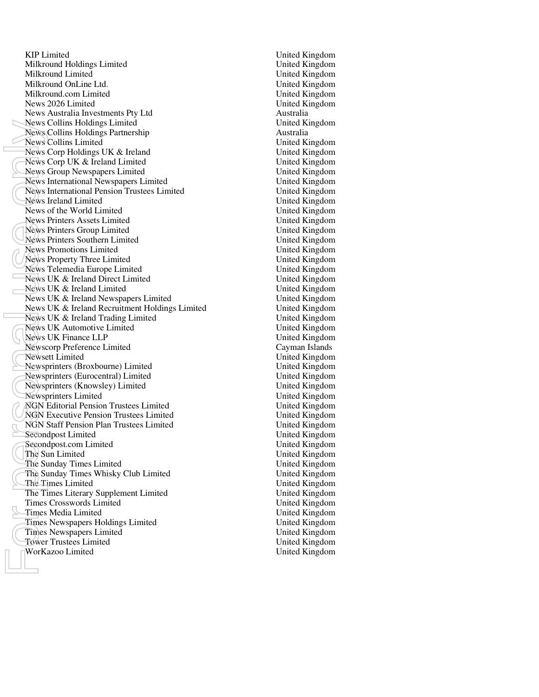KIP Limited Milkround Holdings Limited gs Limited **Example 2** United Kingdom Milkround Limited Milkround OnLine Ltd. Milkround.com Limited News 2026 Limited News Australia Investments Pt News Collins Holdin gs Limited **Exercise Server Access 1** United Kingdom News Collins Holdin gs Partnershi News Collins Limited News Corp Holdings UK & Ireland United Kin News Corp UK & Ireland Limited United Kin News Group Newspapers Limited **Example 2** United Kin News International News p a pers Limited **United Kingdom** News International Pension Trustees Limited News Ireland Limited News of the World Limited News Printers Assets Limited News Printers Grou p Limited **United Kingdom** News Printers Southern Limited News Promotions Limited News Property Three Limited **Example 2** United Kin News Telemedia Euro pe Limited United Kin gdom News UK & Ireland Direct Limited News UK & Ireland Limited News UK & Ireland Newspapers Limited The United Kin News UK & Ireland Recruitment Holdings Limited News UK & Ireland Trading Limited g Limited **Example 2** United Kingdom News UK Automotive Limited News UK Finance LLP Newscor p Preference Limited Ca Newsett Limited Newsprinters (Broxbourne) Limited View Area and Muslim United Kin Newsprinters (Eurocentral) Limited View and Muslim United Kin News printers (Knowsle y) Limited United Kingdom Newsprinters Limited **Example 2** United Kin NGN Editorial Pension Trustees Limited NGN Executive Pension Trustees Limited NGN Staff Pension Plan Trustees Limited **Secondpost Limited** post Limited **Example 2** United Kingdom Secondpost.com Limited **United Kin** The Sun Limited **The Sunday Times Limited Contact Contact Contact Contact Contact Contact Contact Contact Contact Contact Contact Contact Contact Contact Contact Contact Contact Contact Contact Contact Contact Contact Contact Contact Cont** The Sunday Times Whisky Club Limited The Sunday Times Whisky Club Limited The Times Limited The Times Literary Supplement Limited The United Kin Times Crosswords Limited Times Media Limited Times News p a pers Holdin gs Limited **Example 2** United Kingdom Times Newspapers Limited **Exercise 2** United Kin **Tower Trustees Limited** WorKazoo Limited News<br>
News<br>
News<br>
News<br>
News<br>
News<br>
News<br>
News<br>
News<br>
News<br>
News<br>
News<br>
News<br>
News<br>
News<br>
News<br>
News<br>
News<br>
News<br>
News<br>
News<br>
News<br>
News<br>
News<br>
News<br>
News<br>
News<br>
News<br>
News<br>
News<br>
News<br>
News<br>
News<br>
News<br>
News<br>
News<br>
News<br>

United Kingdom United Kingdom United Kingdom United Kingdom United Kingdom Australia **Australia** United Kingdom United Kingdom United Kingdom United Kingdom United Kingdom United Kingdom United Kingdom United Kingdom United Kingdom United Kingdom United Kingdom United Kingdom United Kingdom United Kingdom gs Limited United Kin gdom United Kingdom United Kingdom Cayman Islands United Kingdom United Kingdom United Kingdom United Kingdom United Kingdom United Kingdom United Kingdom United Kingdom United Kingdom United Kingdom United Kingdom United Kingdom United Kingdom United Kingdom United Kingdom United Kingdom United Kingdom United Kingdom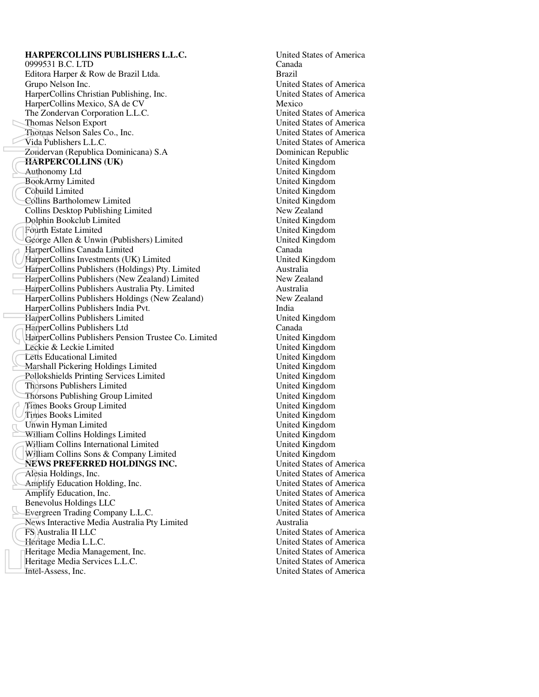# **HARPERCOLLINS PUBLISHERS L.L.C.** United States of America

0999531 B.C. LTD Canada Editora Harper & Row de Brazil Ltda. Brazil HarperCollins Christian Publishing, Inc. United States of America HarperCollins Mexico, SA de CV The Zondervan Corporation L.L.C.<br>
Thomas Nelson Export<br>
United States of America<br>
United States of America Thomas Nelson Sales Co., Inc.<br>
Vida Publishers L.L.C.<br>
United States of America<br>
United States of America Zondervan (Republica Dominicana) S.A **HARPERCOLLINS (UK)** United Kingdom Authonomy Ltd United Kingdom BookArmy Limited United Kingdom Collins Bartholomew Limited Collins Desktop Publishing Limited New Zealand Dolphin Bookclub Limited United United Kingdom Fourth Estate Limited<br>
George Allen & Unwin (Publishers) Limited<br>
United Kingdom<br>
United Kingdom George Allen  $&$  Unwin (Publishers) Limited HarperCollins Canada Limited Canada HarperCollins Investments (UK) Limited HarperCollins Publishers (Holdings) Pty. Limited Australia HarperCollins Publishers (New Zealand) Limited New Zealand HarperCollins Publishers Australia Pty. Limited **Australia** Australia<br>HarperCollins Publishers Holdings (New Zealand) New Zealand HarperCollins Publishers Holdings (New Zealand) HarperCollins Publishers India Pvt. India HarperCollins Publishers Limited United Kingdom HarperCollins Publishers Ltd Canada HarperCollins Publishers Pension Trustee Co. Limited United Kingdom Leckie & Leckie Limited<br>
Letts Educational Limited<br>
United Kingdom<br>
United Kingdom Letts Educational Limited<br>
Marshall Pickering Holdings Limited<br>
United Kingdom<br>
United Kingdom Marshall Pickering Holdings Limited Pollokshields Printing Services Limited United Kingdom Thorsons Publishers Limited United Wingdom United Kingdom Thorsons Publishing Group Limited<br>Times Books Group Limited United United Kingdom Times Books Group Limited<br>
Times Books Limited 
Times Books United 
United Kingdom Times Books Limited Unwin Hyman Limited<br>
William Collins Holdings Limited<br>
United Kingdom William Collins Holdings Limited<br>
William Collins International Limited<br>
United Kingdom William Collins International Limited William Collins Sons & Company Limited United United Kingdom<br>
NEWS PREFERRED HOLDINGS INC. United States of America **NEWS PREFERRED HOLDINGS INC.** Alesia Holdings, Inc. United States of America Amplify Education Holding, Inc.<br>
Amplify Education, Inc.<br>
United States of America<br>
United States of America Amplify Education, Inc.<br>
Benevolus Holdings LLC<br>
United States of America Benevolus Holdings LLC<br>
Evergreen Trading Company L.L.C.<br>
United States of America<br>
United States of America Evergreen Trading Company L.L.C. News Interactive Media Australia Pty Limited<br>
FS Australia II LLC<br>
United St FS Australia II LLC<br>
Heritage Media L.L.C.<br>
United States of America<br>
United States of America Heritage Media Management, Inc.<br>
Heritage Media Services L.L.C.<br>
United States of America Heritage Media Services L.L.C.<br>Intel-Assess, Inc. Thomas Nelson F<br>
Thomas Nelson S<br>
Thomas Nelson S<br>
Thomas Nelson S<br>
Todervan (Republishers I<br>
Zondervan (Republishers I<br>
Book Army Limited<br>
Cobuild Limited<br>
Cobuild Limited<br>
Collins Besktop Dolphin Bookclu<br>
Fourth Estate L

United States of America<br>United States of America United States of America United States of America<br>Dominican Republic United Kingdom<br>United Kingdom United States of America<br>United States of America United States of America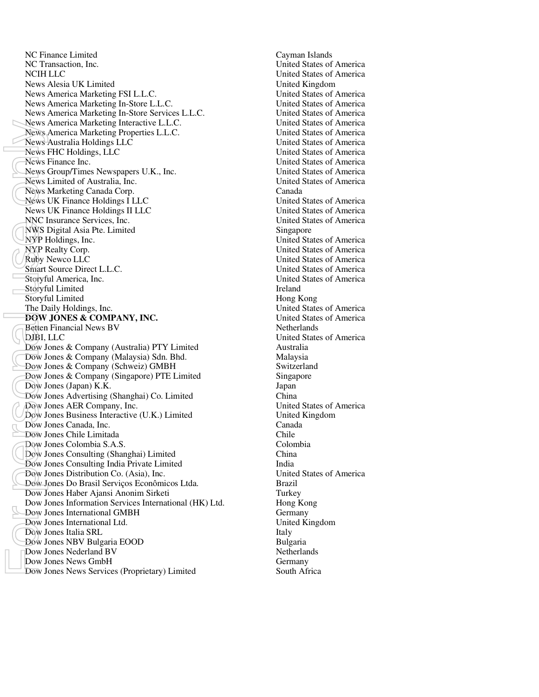NC Finance Limited Cayman Islands<br>
NC Transaction. Inc. Cayman Islands<br>
United States of NCIH LLC United States of America News Alesia UK Limited<br>
News America Marketing FSI L.L.C.<br>
United States of America News America Marketing FSI L.L.C.<br>
News America Marketing In-Store L.L.C.<br>
United States of America News America Marketing In-Store L.L.C. News America Marketing In-Store Services L.L.C. United States of America News America Marketing Interactive L.L.C. United States of America News America Marketing Properties L.L.C.<br>News Australia Holdings LLC<br>United States of America News Australia Holdings LLC<br>News FHC Holdings LLC United States of America News FHC Holdings, LLC News Finance Inc.<br>
News Group/Times Newspapers U.K., Inc.<br>
United States of America<br>
United States of America News Group/Times Newspapers U.K., Inc. News Limited of Australia, Inc. United States of America News Marketing Canada Corp. Canada News UK Finance Holdings I LLC United States of America News UK Finance Holdings II LLC United States of America NNC Insurance Services, Inc. United States of America NWS Digital Asia Pte. Limited Singapore Singapore<br>NYP Holdings, Inc. Singapore Singapore Singapore NYP Holdings, Inc.<br>
NYP Realty Corp.<br>
United States of America<br>
United States of America NYP Realty Corp. United States of America Smart Source Direct L.L.C. United States of America Storyful America, Inc. United States of America Storyful Limited Ireland Storyful Limited Hong Kong The Daily Holdings, Inc. United States of America **DOW JONES & COMPANY, INC.** United States of America Betten Financial News BV Netherlands **DJBI, LLC** United States of America Dow Jones & Company (Australia) PTY Limited Australia Dow Jones & Company (Malaysia) Sdn. Bhd. Malaysia Dow Jones & Company (Schweiz) GMBH Switzerland Dow Jones & Company (Singapore) PTE Limited Singapore Dow Jones (Japan) K.K. Japan Dow Jones Advertising (Shanghai) Co. Limited China<br>
Dow Jones AER Company, Inc. Co. Limited China<br>
United States of America Dow Jones AER Company, Inc.<br>
Dow Jones Business Interactive (U.K.) Limited Company, United Kingdom Dow Jones Business Interactive (U.K.) Limited Dow Jones Canada, Inc. Canada Canada Canada Canada Chile Canada Chile Canada Chile Canada Chile Chile Chile Chile Chile Chile Chile Chile Chile Chile Chile Chile Chile Chile Chile Chile Chile Chile Chile Chile Chile Chile Dow Jones Chile Limitada<br>
Dow Jones Colombia S.A.S. Colombia Dow Jones Colombia S.A.S. Dow Jones Consulting (Shanghai) Limited China Dow Jones Consulting India Private Limited India Dow Jones Distribution Co. (Asia), Inc. (2008)<br>Dow Jones Do Brasil Servicos Econômicos Ltda. (2008) Brazil Dow Jones Do Brasil Serviços Econômicos Ltda. Brazil<br>Dow Jones Haber Ajansi Anonim Sirketi Christianus Christev Dow Jones Haber Ajansi Anonim Sirketi Turkey<br>Dow Jones Information Services International (HK) Ltd. Hong Kong Dow Jones Information Services International (HK) Ltd. Hong Kong<br>Dow Jones International GMBH Germany Dow Jones International GMBH<br>
Dow Jones International Ltd. Some and the United Kingdom Dow Jones International Ltd. United Kingdom United Kingdom United Kingdom United Kingdom United Kingdom United Kingdom United Kingdom United Kingdom United Kingdom United Kingdom United Kingdom United Kingdom United Kingdo Dow Jones Italia SRL<br>
Dow Jones NBV Bulgaria EOOD<br>
Bulgaria Dow Jones NBV Bulgaria EOOD Bulgaria<br>
Dow Jones Nederland BV Bulgaria Bulgaria Dow Jones Nederland BV Dow Jones News GmbH Germany News America Marketing Inter<br>
News Australia Holdings LLC<br>
News Australia Holdings LLC<br>
News FHC Holdings, LLC<br>
News Cimence Inc.<br>
News Cimence Inc.<br>
News Orong/Times Newspaper<br>
News UK Finance Holdings II<br>
News UK Finance **Dow Jones News Services (Proprietary) Limited South Africa** 

United States of America **United States of America**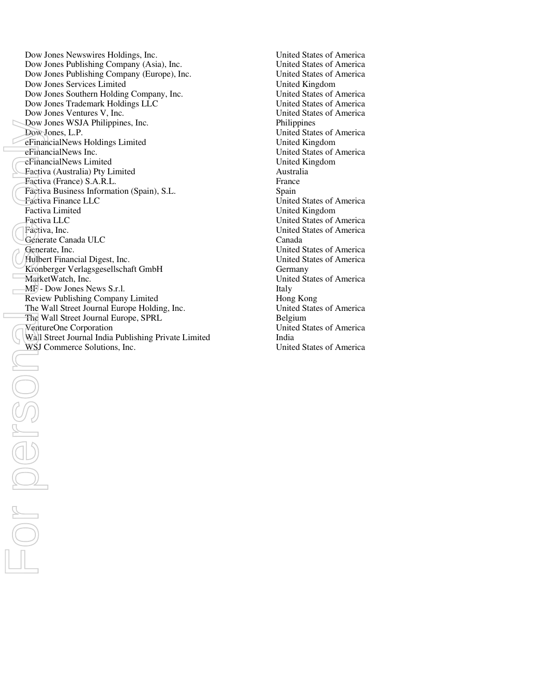Dow Jones Newswires Holdings, Inc. United States of America Dow Jones Publishing Company (Asia), Inc. United States of America Dow Jones Publishing Company (Europe), Inc. United States of America Dow Jones Services Limited<br>
Dow Jones Southern Holding Company, Inc.<br>
United States of America Dow Jones Southern Holding Company, Inc. United States of America Dow Jones Trademark Holdings LLC Dow Jones Ventures V, Inc. United States of America Dow Jones WSJA Philippines, Inc. Philippines Philippines Dow Jones, L.P.<br>
eFinancialNews Holdings Limited<br>
United Kingdom<br>
United Kingdom eFinancialNews Holdings Limited<br>eFinancialNews Inc. eFinancialNews Limited United United Kingdom Factiva (Australia) Pty Limited Australia Factiva (France) S.A.R.L. France Factiva Business Information (Spain), S.L. Spain Factiva Finance LLC United States of America Factiva Limited United Singdom United Kingdom Factiva LLC **States of America** United States of America Factiva, Inc. United States of America Génerate Canada ULC Canada Canada Canada Canada Canada Canada Canada Canada Canada Canada Canada Canada Canada Generate, Inc. United States of America Hulbert Financial Digest, Inc. United States of America Kronberger Verlagsgesellschaft GmbH Germany MarketWatch, Inc. United States of America MF - Dow Jones News S.r.l. Italy Review Publishing Company Limited Hong Kong<br>
The Wall Street Journal Europe Holding, Inc. United States of America The Wall Street Journal Europe Holding, Inc. The Wall Street Journal Europe, SPRL Belgium VentureOne Corporation United States of America Wall Street Journal India Publishing Private Limited India Now More W3M Philippines, Inc. This includes of America Formical United States of America Formical United States of America Formical United States of America Formical Distributions (Figure 1). The Markov Comment of Persona

United States of America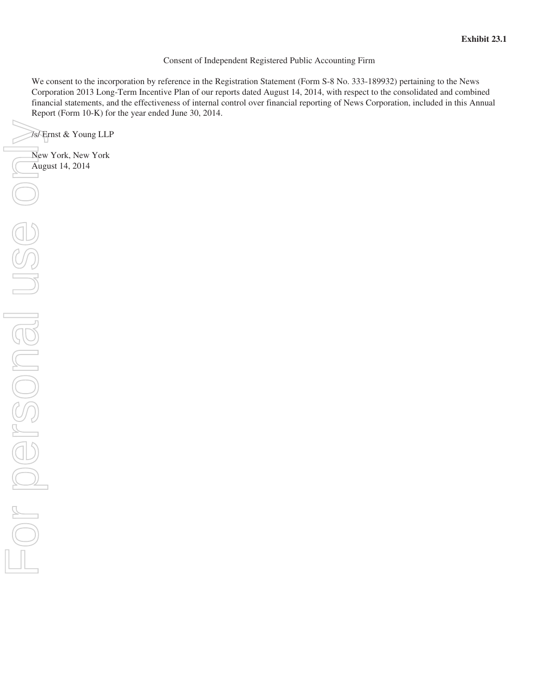### Consent of Independent Registered Public Accounting Firm

We consent to the incorporation by reference in the Registration Statement (Form S-8 No. 333-189932) pertaining to the News Corporation 2013 Long-Term Incentive Plan of our reports dated August 14, 2014, with respect to the consolidated and combined financial statements, and the effectiveness of internal control over financial reporting of News Corporation, included in this Annual Report (Form 10-K) for the year ended June 30, 2014.

/s/ Ernst & Young LLP

New York, New York August 14, 2014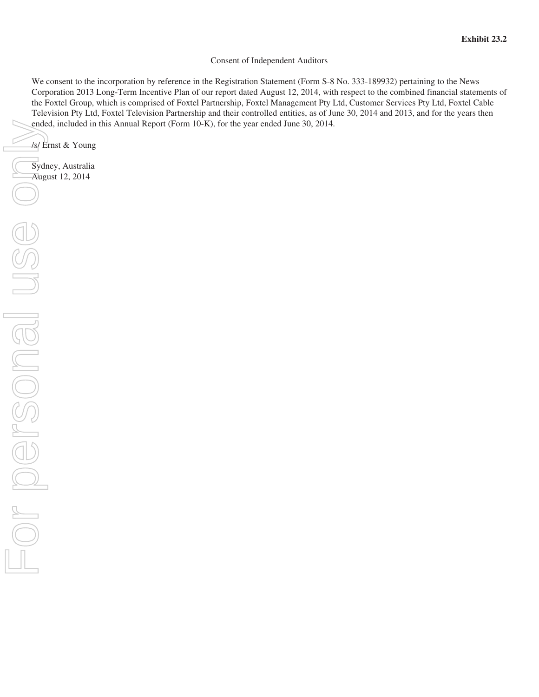### Consent of Independent Auditors

We consent to the incorporation by reference in the Registration Statement (Form S-8 No. 333-189932) pertaining to the News Corporation 2013 Long-Term Incentive Plan of our report dated August 12, 2014, with respect to the combined financial statements of the Foxtel Group, which is comprised of Foxtel Partnership, Foxtel Management Pty Ltd, Customer Services Pty Ltd, Foxtel Cable Television Pty Ltd, Foxtel Television Partnership and their controlled entities, as of June 30, 2014 and 2013, and for the years then ended, included in this Annual Report (Form 10-K), for the year ended June 30, 2014.

/s/ Ernst & Young

Sydney, Australia August 12, 2014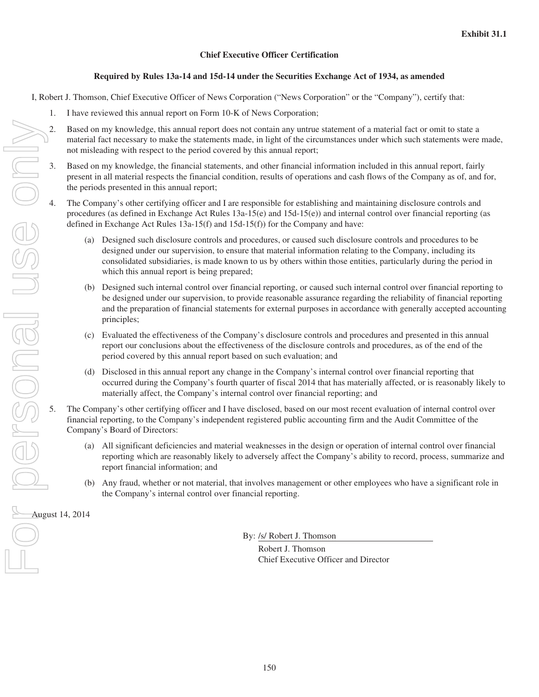# **Chief Executive Officer Certification**

# **Required by Rules 13a-14 and 15d-14 under the Securities Exchange Act of 1934, as amended**

I, Robert J. Thomson, Chief Executive Officer of News Corporation ("News Corporation" or the "Company"), certify that:

- 1. I have reviewed this annual report on Form 10-K of News Corporation;
- material fact necessary to make the statements made, in light of the circumstances under which such statements were made, not misleading with respect to the period covered by this annual report;
- 3. Based on my knowledge, the financial statements, and other financial information included in this annual report, fairly present in all material respects the financial condition, results of operations and cash flows of the Company as of, and for, the periods presented in this annual report;
- The Company's other certifying officer and I are responsible for establishing and maintaining disclosure controls and procedures (as defined in Exchange Act Rules 13a-15(e) and 15d-15(e)) and internal control over financial reporting (as defined in Exchange Act Rules  $13a-15(f)$  and  $15d-15(f)$  for the Company and have:
	- (a) Designed such disclosure controls and procedures, or caused such disclosure controls and procedures to be designed under our supervision, to ensure that material information relating to the Company, including its consolidated subsidiaries, is made known to us by others within those entities, particularly during the period in which this annual report is being prepared;
- 2. Based on my knowledge, this smannal report does not contain any untrue statement of a material fact or contito state and method for a material report of a material field or the period correct or phis annual report. The (b) Designed such internal control over financial reporting, or caused such internal control over financial reporting to be designed under our supervision, to provide reasonable assurance regarding the reliability of financial reporting and the preparation of financial statements for external purposes in accordance with generally accepted accounting principles;
	- (c) Evaluated the effectiveness of the Company's disclosure controls and procedures and presented in this annual report our conclusions about the effectiveness of the disclosure controls and procedures, as of the end of the period covered by this annual report based on such evaluation; and
	- (d) Disclosed in this annual report any change in the Company's internal control over financial reporting that occurred during the Company's fourth quarter of fiscal 2014 that has materially affected, or is reasonably likely to materially affect, the Company's internal control over financial reporting; and
	- 5. The Company's other certifying officer and I have disclosed, based on our most recent evaluation of internal control over financial reporting, to the Company's independent registered public accounting firm and the Audit Committee of the Company's Board of Directors:
		- (a) All significant deficiencies and material weaknesses in the design or operation of internal control over financial reporting which are reasonably likely to adversely affect the Company's ability to record, process, summarize and report financial information; and
		- (b) Any fraud, whether or not material, that involves management or other employees who have a significant role in the Company's internal control over financial reporting.

August 14, 2014

By: /s/ Robert J. Thomson

Robert J. Thomson Chief Executive Officer and Director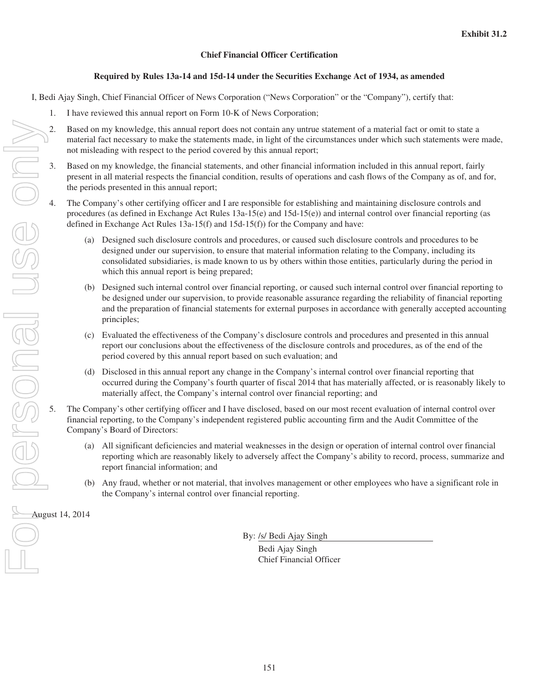# **Chief Financial Officer Certification**

# **Required by Rules 13a-14 and 15d-14 under the Securities Exchange Act of 1934, as amended**

I, Bedi Ajay Singh, Chief Financial Officer of News Corporation ("News Corporation" or the "Company"), certify that:

- 1. I have reviewed this annual report on Form 10-K of News Corporation;
- material fact necessary to make the statements made, in light of the circumstances under which such statements were made, not misleading with respect to the period covered by this annual report;
- 3. Based on my knowledge, the financial statements, and other financial information included in this annual report, fairly present in all material respects the financial condition, results of operations and cash flows of the Company as of, and for, the periods presented in this annual report;
- The Company's other certifying officer and I are responsible for establishing and maintaining disclosure controls and procedures (as defined in Exchange Act Rules 13a-15(e) and 15d-15(e)) and internal control over financial reporting (as defined in Exchange Act Rules 13a-15(f) and 15d-15(f)) for the Company and have:
	- (a) Designed such disclosure controls and procedures, or caused such disclosure controls and procedures to be designed under our supervision, to ensure that material information relating to the Company, including its consolidated subsidiaries, is made known to us by others within those entities, particularly during the period in which this annual report is being prepared;
- 2. Based on my knowledge, this small report does not contain any untrue statement of a material fact or conit of a material report of a material report of a material report of a material report of a material report of a m (b) Designed such internal control over financial reporting, or caused such internal control over financial reporting to be designed under our supervision, to provide reasonable assurance regarding the reliability of financial reporting and the preparation of financial statements for external purposes in accordance with generally accepted accounting principles;
	- (c) Evaluated the effectiveness of the Company's disclosure controls and procedures and presented in this annual report our conclusions about the effectiveness of the disclosure controls and procedures, as of the end of the period covered by this annual report based on such evaluation; and
	- (d) Disclosed in this annual report any change in the Company's internal control over financial reporting that occurred during the Company's fourth quarter of fiscal 2014 that has materially affected, or is reasonably likely to materially affect, the Company's internal control over financial reporting; and
	- 5. The Company's other certifying officer and I have disclosed, based on our most recent evaluation of internal control over financial reporting, to the Company's independent registered public accounting firm and the Audit Committee of the Company's Board of Directors:
		- (a) All significant deficiencies and material weaknesses in the design or operation of internal control over financial reporting which are reasonably likely to adversely affect the Company's ability to record, process, summarize and report financial information; and
		- (b) Any fraud, whether or not material, that involves management or other employees who have a significant role in the Company's internal control over financial reporting.

August 14, 2014

By: /s/ Bedi Ajay Singh

Bedi Ajay Singh Chief Financial Officer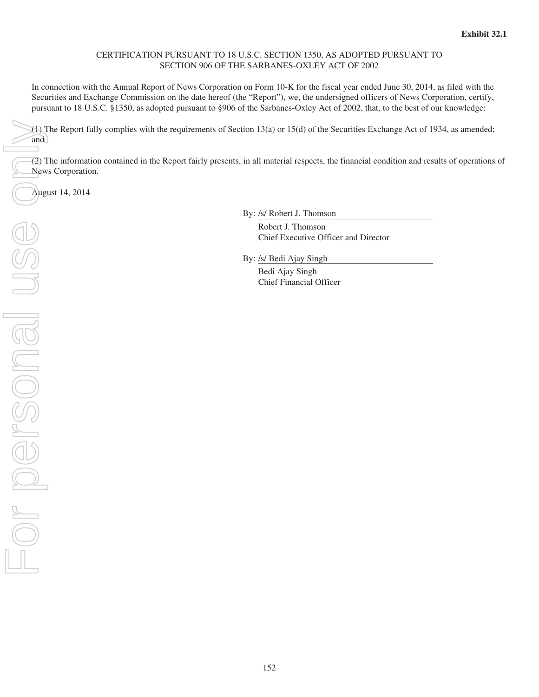### CERTIFICATION PURSUANT TO 18 U.S.C. SECTION 1350, AS ADOPTED PURSUANT TO SECTION 906 OF THE SARBANES-OXLEY ACT OF 2002

In connection with the Annual Report of News Corporation on Form 10-K for the fiscal year ended June 30, 2014, as filed with the Securities and Exchange Commission on the date hereof (the "Report"), we, the undersigned officers of News Corporation, certify, pursuant to 18 U.S.C. §1350, as adopted pursuant to §906 of the Sarbanes-Oxley Act of 2002, that, to the best of our knowledge:

 $(1)$  The Report fully complies with the requirements of Section 13(a) or 15(d) of the Securities Exchange Act of 1934, as amended; and

 $\overline{P(2)}$  The information contained in the Report fairly presents, in all material respects, the financial condition and results of operations of News Corporation.

August 14, 2014

By: /s/ Robert J. Thomson

Robert J. Thomson Chief Executive Officer and Director

By: /s/ Bedi Ajay Singh

Bedi Ajay Singh Chief Financial Officer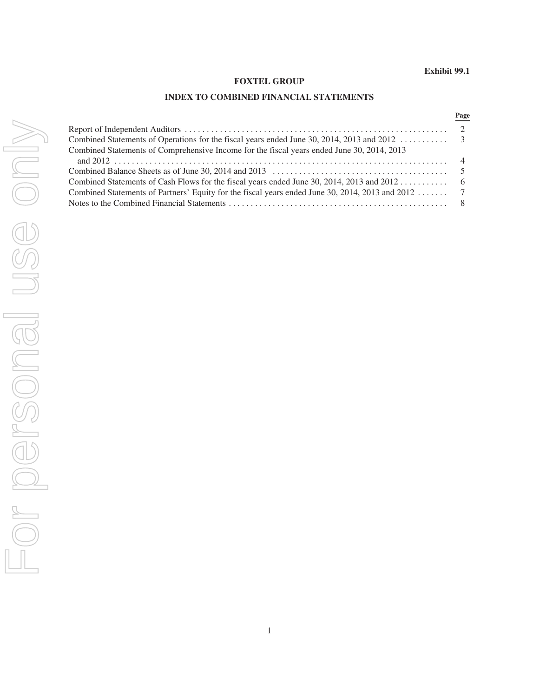# **INDEX TO COMBINED FINANCIAL STATEMENTS**

# **Page**

| Combined Statements of Comprehensive Income for the fiscal years ended June 30, 2014, 2013 |  |
|--------------------------------------------------------------------------------------------|--|
|                                                                                            |  |
|                                                                                            |  |
|                                                                                            |  |
|                                                                                            |  |
|                                                                                            |  |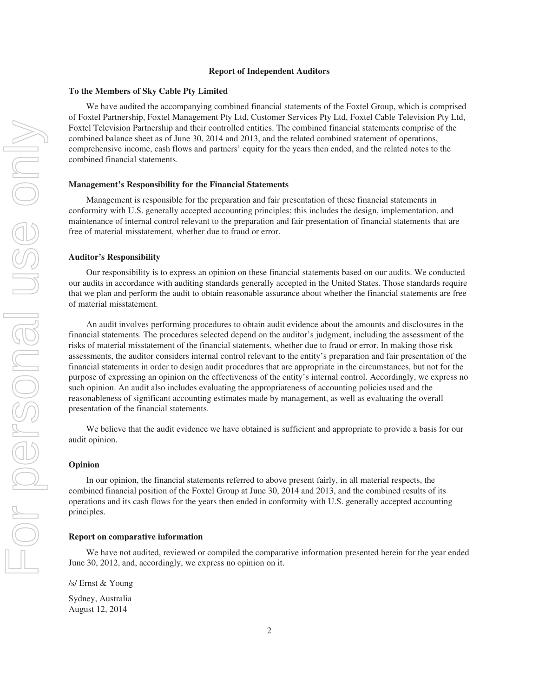#### **Report of Independent Auditors**

#### **To the Members of Sky Cable Pty Limited**

We have audited the accompanying combined financial statements of the Foxtel Group, which is comprised of Foxtel Partnership, Foxtel Management Pty Ltd, Customer Services Pty Ltd, Foxtel Cable Television Pty Ltd, Foxtel Television Partnership and their controlled entities. The combined financial statements comprise of the combined balance sheet as of June 30, 2014 and 2013, and the related combined statement of operations, comprehensive income, cash flows and partners' equity for the years then ended, and the related notes to the combined financial statements.

#### **Management's Responsibility for the Financial Statements**

Management is responsible for the preparation and fair presentation of these financial statements in conformity with U.S. generally accepted accounting principles; this includes the design, implementation, and maintenance of internal control relevant to the preparation and fair presentation of financial statements that are free of material misstatement, whether due to fraud or error.

#### **Auditor's Responsibility**

Our responsibility is to express an opinion on these financial statements based on our audits. We conducted our audits in accordance with auditing standards generally accepted in the United States. Those standards require that we plan and perform the audit to obtain reasonable assurance about whether the financial statements are free of material misstatement.

An audit involves performing procedures to obtain audit evidence about the amounts and disclosures in the financial statements. The procedures selected depend on the auditor's judgment, including the assessment of the risks of material misstatement of the financial statements, whether due to fraud or error. In making those risk assessments, the auditor considers internal control relevant to the entity's preparation and fair presentation of the financial statements in order to design audit procedures that are appropriate in the circumstances, but not for the purpose of expressing an opinion on the effectiveness of the entity's internal control. Accordingly, we express no such opinion. An audit also includes evaluating the appropriateness of accounting policies used and the reasonableness of significant accounting estimates made by management, as well as evaluating the overall presentation of the financial statements.

We believe that the audit evidence we have obtained is sufficient and appropriate to provide a basis for our audit opinion.

#### **Opinion**

In our opinion, the financial statements referred to above present fairly, in all material respects, the combined financial position of the Foxtel Group at June 30, 2014 and 2013, and the combined results of its operations and its cash flows for the years then ended in conformity with U.S. generally accepted accounting principles.

#### **Report on comparative information**

We have not audited, reviewed or compiled the comparative information presented herein for the year ended June 30, 2012, and, accordingly, we express no opinion on it.

/s/ Ernst & Young

Sydney, Australia August 12, 2014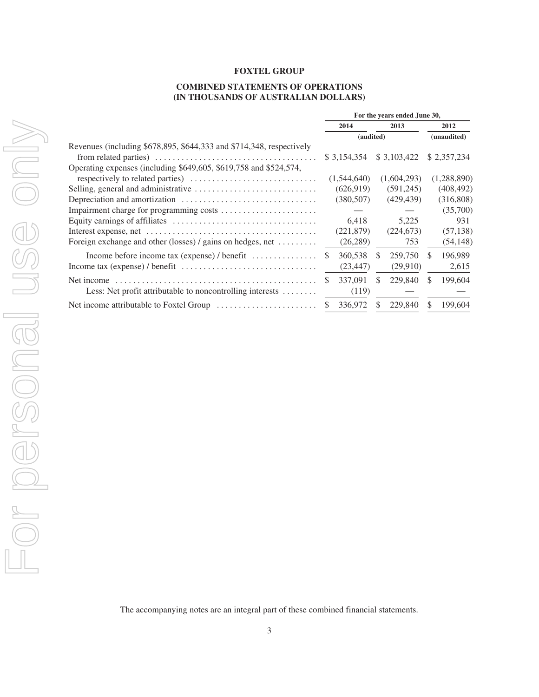# **COMBINED STATEMENTS OF OPERATIONS (IN THOUSANDS OF AUSTRALIAN DOLLARS)**

|                                                                              | For the years ended June 30, |             |    |             |               |             |
|------------------------------------------------------------------------------|------------------------------|-------------|----|-------------|---------------|-------------|
|                                                                              |                              | 2014        |    | 2013        |               | 2012        |
|                                                                              | (audited)                    |             |    |             | (unaudited)   |             |
| Revenues (including \$678,895, \$644,333 and \$714,348, respectively         |                              | \$3,154,354 |    | \$3,103,422 |               | \$2,357,234 |
| Operating expenses (including \$649,605, \$619,758 and \$524,574,            |                              |             |    |             |               |             |
|                                                                              |                              | (1,544,640) |    | (1,604,293) |               | (1,288,890) |
|                                                                              |                              | (626, 919)  |    | (591, 245)  |               | (408, 492)  |
|                                                                              |                              | (380, 507)  |    | (429, 439)  |               | (316,808)   |
|                                                                              |                              |             |    |             |               | (35,700)    |
|                                                                              |                              | 6,418       |    | 5,225       |               | 931         |
|                                                                              |                              | (221, 879)  |    | (224, 673)  |               | (57, 138)   |
| Foreign exchange and other (losses) / gains on hedges, net $\dots\dots\dots$ |                              | (26, 289)   |    | 753         |               | (54, 148)   |
| Income before income tax (expense) / benefit $\dots\dots\dots\dots\dots$     | S                            | 360,538     | S  | 259,750     | S.            | 196,989     |
|                                                                              |                              | (23, 447)   |    | (29,910)    |               | 2,615       |
| Net income                                                                   | \$.                          | 337,091     | S. | 229,840     | <sup>\$</sup> | 199,604     |
| Less: Net profit attributable to noncontrolling interests                    |                              | (119)       |    |             |               |             |
|                                                                              | \$                           | 336,972     | S  | 229,840     | S.            | 199.604     |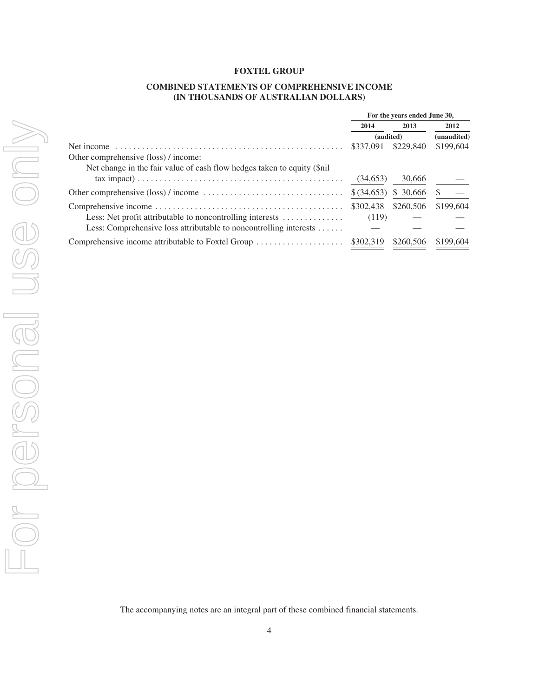# **COMBINED STATEMENTS OF COMPREHENSIVE INCOME (IN THOUSANDS OF AUSTRALIAN DOLLARS)**

| For the years ended June 30, |           |                         |  |
|------------------------------|-----------|-------------------------|--|
| 2014                         | 2013      | 2012                    |  |
|                              |           | (unaudited)             |  |
| \$337,091                    | \$229,840 | \$199,604               |  |
|                              |           |                         |  |
|                              |           |                         |  |
| (34,653)                     | 30,666    |                         |  |
|                              | \$ 30,666 |                         |  |
| \$302,438                    | \$260,506 | \$199,604               |  |
| (119)                        |           |                         |  |
|                              |           |                         |  |
| \$302.319                    | \$260,506 | \$199,604               |  |
|                              |           | (audited)<br>\$(34,653) |  |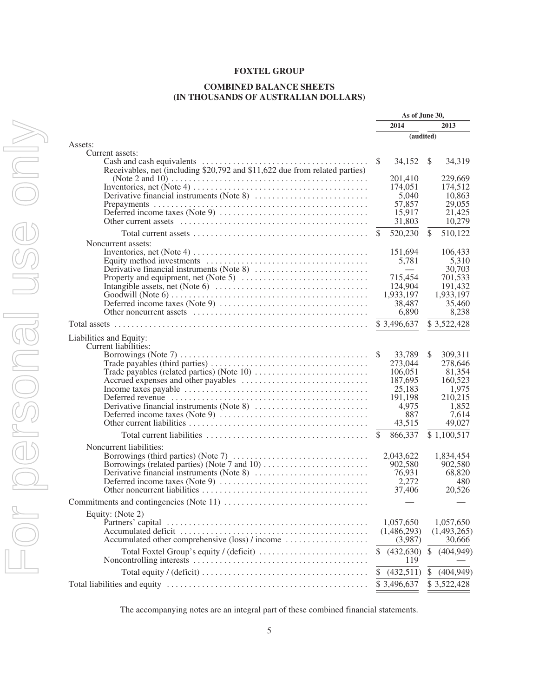# **COMBINED BALANCE SHEETS (IN THOUSANDS OF AUSTRALIAN DOLLARS)**

|                                                                                                                                                                                                                                                                    |    |                                                                                        |               | As of June 30,                                                                          |  |  |
|--------------------------------------------------------------------------------------------------------------------------------------------------------------------------------------------------------------------------------------------------------------------|----|----------------------------------------------------------------------------------------|---------------|-----------------------------------------------------------------------------------------|--|--|
|                                                                                                                                                                                                                                                                    |    | 2014                                                                                   |               | 2013                                                                                    |  |  |
|                                                                                                                                                                                                                                                                    |    | (audited)                                                                              |               |                                                                                         |  |  |
| Assets:                                                                                                                                                                                                                                                            |    |                                                                                        |               |                                                                                         |  |  |
| Current assets:<br>Receivables, net (including \$20,792 and \$11,622 due from related parties)                                                                                                                                                                     | \$ | 34,152                                                                                 | \$            | 34,319                                                                                  |  |  |
|                                                                                                                                                                                                                                                                    |    | 201,410<br>174,051<br>5,040<br>57,857                                                  |               | 229,669<br>174,512<br>10.863<br>29,055                                                  |  |  |
|                                                                                                                                                                                                                                                                    |    | 15,917<br>31,803                                                                       |               | 21,425<br>10,279                                                                        |  |  |
|                                                                                                                                                                                                                                                                    | \$ | 520,230                                                                                | $\mathcal{S}$ | 510,122                                                                                 |  |  |
| Noncurrent assets:<br>Inventories, net (Note 4) $\dots \dots \dots \dots \dots \dots \dots \dots \dots \dots \dots \dots \dots \dots$                                                                                                                              |    | 151,694<br>5,781<br>715,454<br>124,904<br>1,933,197<br>38,487<br>6,890                 |               | 106,433<br>5,310<br>30,703<br>701,533<br>191,432<br>1,933,197<br>35,460<br>8,238        |  |  |
|                                                                                                                                                                                                                                                                    |    |                                                                                        |               |                                                                                         |  |  |
|                                                                                                                                                                                                                                                                    |    | \$3,496,637                                                                            |               | \$3,522,428                                                                             |  |  |
| Liabilities and Equity:<br>Current liabilities:<br>Borrowings (Note 7) $\dots \dots \dots \dots \dots \dots \dots \dots \dots \dots \dots \dots \dots \dots$<br>Deferred income taxes (Note 9) $\dots \dots \dots \dots \dots \dots \dots \dots \dots \dots \dots$ | \$ | 33,789<br>273,044<br>106,051<br>187,695<br>25,183<br>191,198<br>4,975<br>887<br>43,515 | \$            | 309,311<br>278,646<br>81,354<br>160,523<br>1,975<br>210,215<br>1,852<br>7,614<br>49,027 |  |  |
|                                                                                                                                                                                                                                                                    | S  | 866,337                                                                                |               | \$1,100,517                                                                             |  |  |
| Noncurrent liabilities:                                                                                                                                                                                                                                            |    | 2,043,622<br>902,580<br>76,931<br>2,272<br>37,406                                      |               | 1,834,454<br>902,580<br>68,820<br>480<br>20,526                                         |  |  |
|                                                                                                                                                                                                                                                                    |    |                                                                                        |               |                                                                                         |  |  |
| Equity: (Note 2)<br>Accumulated other comprehensive (loss) / income                                                                                                                                                                                                |    | 1,057,650<br>(1,486,293)<br>(3,987)                                                    |               | 1,057,650<br>(1,493,265)<br>30,666                                                      |  |  |
| Total Foxtel Group's equity / (deficit)                                                                                                                                                                                                                            |    | (432, 630)<br>119                                                                      | S             | (404, 949)                                                                              |  |  |
|                                                                                                                                                                                                                                                                    | \$ | (432,511)                                                                              | \$            | (404, 949)                                                                              |  |  |
|                                                                                                                                                                                                                                                                    |    | \$3,496,637                                                                            |               | \$3,522,428                                                                             |  |  |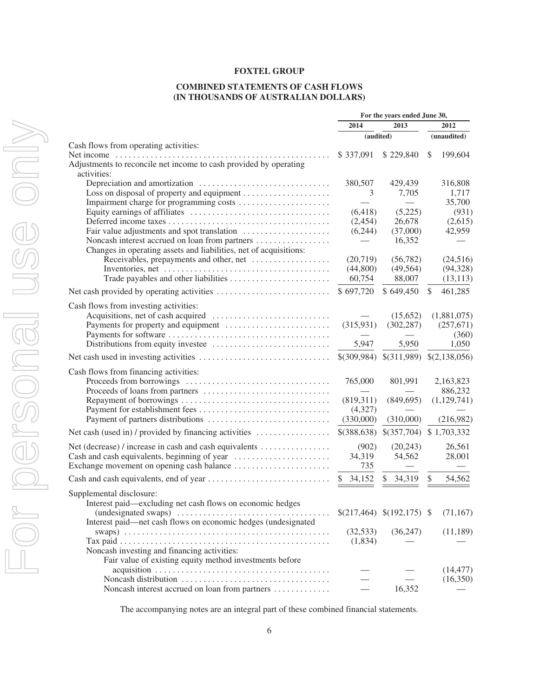# **COMBINED STATEMENTS OF CASH FLOWS (IN THOUSANDS OF AUSTRALIAN DOLLARS)**

| 2014<br>2013<br>2012<br>(audited)<br>Cash flows from operating activities:<br>\$337,091<br>\$229,840<br>S<br>Adjustments to reconcile net income to cash provided by operating<br>activities:<br>380,507<br>429,439<br>7,705<br>3<br>Impairment charge for programming costs<br>(6, 418)<br>(5,225)<br>(2,454)<br>26,678<br>(6,244)<br>(37,000)<br>Noncash interest accrued on loan from partners<br>16,352<br>Changes in operating assets and liabilities, net of acquisitions:<br>Receivables, prepayments and other, net<br>(20,719)<br>(56, 782)<br>(44,800)<br>(49, 564)<br>60,754<br>88,007<br>(13, 113)<br>\$649,450<br>\$<br>\$697,720<br>Cash flows from investing activities:<br>(15,652)<br>(315,931)<br>(302, 287)<br>5,947<br>5,950<br>1,050<br>\$(309,984) |  | For the years ended June 30, |               |  |
|--------------------------------------------------------------------------------------------------------------------------------------------------------------------------------------------------------------------------------------------------------------------------------------------------------------------------------------------------------------------------------------------------------------------------------------------------------------------------------------------------------------------------------------------------------------------------------------------------------------------------------------------------------------------------------------------------------------------------------------------------------------------------|--|------------------------------|---------------|--|
|                                                                                                                                                                                                                                                                                                                                                                                                                                                                                                                                                                                                                                                                                                                                                                          |  |                              |               |  |
|                                                                                                                                                                                                                                                                                                                                                                                                                                                                                                                                                                                                                                                                                                                                                                          |  |                              | (unaudited)   |  |
|                                                                                                                                                                                                                                                                                                                                                                                                                                                                                                                                                                                                                                                                                                                                                                          |  |                              |               |  |
|                                                                                                                                                                                                                                                                                                                                                                                                                                                                                                                                                                                                                                                                                                                                                                          |  |                              | 199,604       |  |
|                                                                                                                                                                                                                                                                                                                                                                                                                                                                                                                                                                                                                                                                                                                                                                          |  |                              | 316,808       |  |
|                                                                                                                                                                                                                                                                                                                                                                                                                                                                                                                                                                                                                                                                                                                                                                          |  |                              | 1,717         |  |
|                                                                                                                                                                                                                                                                                                                                                                                                                                                                                                                                                                                                                                                                                                                                                                          |  |                              | 35,700        |  |
|                                                                                                                                                                                                                                                                                                                                                                                                                                                                                                                                                                                                                                                                                                                                                                          |  |                              | (931)         |  |
|                                                                                                                                                                                                                                                                                                                                                                                                                                                                                                                                                                                                                                                                                                                                                                          |  |                              | (2,615)       |  |
|                                                                                                                                                                                                                                                                                                                                                                                                                                                                                                                                                                                                                                                                                                                                                                          |  |                              | 42,959        |  |
|                                                                                                                                                                                                                                                                                                                                                                                                                                                                                                                                                                                                                                                                                                                                                                          |  |                              |               |  |
|                                                                                                                                                                                                                                                                                                                                                                                                                                                                                                                                                                                                                                                                                                                                                                          |  |                              | (24,516)      |  |
|                                                                                                                                                                                                                                                                                                                                                                                                                                                                                                                                                                                                                                                                                                                                                                          |  |                              | (94, 328)     |  |
|                                                                                                                                                                                                                                                                                                                                                                                                                                                                                                                                                                                                                                                                                                                                                                          |  |                              |               |  |
|                                                                                                                                                                                                                                                                                                                                                                                                                                                                                                                                                                                                                                                                                                                                                                          |  |                              | 461,285       |  |
|                                                                                                                                                                                                                                                                                                                                                                                                                                                                                                                                                                                                                                                                                                                                                                          |  |                              |               |  |
|                                                                                                                                                                                                                                                                                                                                                                                                                                                                                                                                                                                                                                                                                                                                                                          |  |                              | (1,881,075)   |  |
|                                                                                                                                                                                                                                                                                                                                                                                                                                                                                                                                                                                                                                                                                                                                                                          |  |                              | (257,671)     |  |
|                                                                                                                                                                                                                                                                                                                                                                                                                                                                                                                                                                                                                                                                                                                                                                          |  |                              | (360)         |  |
|                                                                                                                                                                                                                                                                                                                                                                                                                                                                                                                                                                                                                                                                                                                                                                          |  |                              |               |  |
|                                                                                                                                                                                                                                                                                                                                                                                                                                                                                                                                                                                                                                                                                                                                                                          |  | \$(311,989)                  | \$(2,138,056) |  |
| Cash flows from financing activities:                                                                                                                                                                                                                                                                                                                                                                                                                                                                                                                                                                                                                                                                                                                                    |  |                              |               |  |
| 765,000<br>801,991                                                                                                                                                                                                                                                                                                                                                                                                                                                                                                                                                                                                                                                                                                                                                       |  |                              | 2,163,823     |  |
|                                                                                                                                                                                                                                                                                                                                                                                                                                                                                                                                                                                                                                                                                                                                                                          |  |                              | 886,232       |  |
| (819,311)<br>(849, 695)                                                                                                                                                                                                                                                                                                                                                                                                                                                                                                                                                                                                                                                                                                                                                  |  |                              | (1, 129, 741) |  |
| (4,327)                                                                                                                                                                                                                                                                                                                                                                                                                                                                                                                                                                                                                                                                                                                                                                  |  |                              |               |  |
| (310,000)<br>(330,000)                                                                                                                                                                                                                                                                                                                                                                                                                                                                                                                                                                                                                                                                                                                                                   |  |                              | (216,982)     |  |
| $$(357,704)$ \$ 1,703,332<br>\$(388,638)<br>Net cash (used in) / provided by financing activities                                                                                                                                                                                                                                                                                                                                                                                                                                                                                                                                                                                                                                                                        |  |                              |               |  |
| Net (decrease) / increase in cash and cash equivalents<br>(902)<br>(20, 243)                                                                                                                                                                                                                                                                                                                                                                                                                                                                                                                                                                                                                                                                                             |  |                              | 26,561        |  |
| 34,319<br>54,562                                                                                                                                                                                                                                                                                                                                                                                                                                                                                                                                                                                                                                                                                                                                                         |  |                              | 28,001        |  |
| 735                                                                                                                                                                                                                                                                                                                                                                                                                                                                                                                                                                                                                                                                                                                                                                      |  |                              |               |  |
| \$<br>\$34,152<br>\$<br>34,319                                                                                                                                                                                                                                                                                                                                                                                                                                                                                                                                                                                                                                                                                                                                           |  |                              | 54,562        |  |
| Supplemental disclosure:                                                                                                                                                                                                                                                                                                                                                                                                                                                                                                                                                                                                                                                                                                                                                 |  |                              |               |  |
| Interest paid—excluding net cash flows on economic hedges                                                                                                                                                                                                                                                                                                                                                                                                                                                                                                                                                                                                                                                                                                                |  |                              |               |  |
| $$(217,464) $(192,175)$ \                                                                                                                                                                                                                                                                                                                                                                                                                                                                                                                                                                                                                                                                                                                                                |  |                              | (71, 167)     |  |
| Interest paid—net cash flows on economic hedges (undesignated                                                                                                                                                                                                                                                                                                                                                                                                                                                                                                                                                                                                                                                                                                            |  |                              |               |  |
| (32, 533)<br>(36, 247)                                                                                                                                                                                                                                                                                                                                                                                                                                                                                                                                                                                                                                                                                                                                                   |  |                              | (11, 189)     |  |
| (1,834)                                                                                                                                                                                                                                                                                                                                                                                                                                                                                                                                                                                                                                                                                                                                                                  |  |                              |               |  |
| Noncash investing and financing activities:                                                                                                                                                                                                                                                                                                                                                                                                                                                                                                                                                                                                                                                                                                                              |  |                              |               |  |
| Fair value of existing equity method investments before                                                                                                                                                                                                                                                                                                                                                                                                                                                                                                                                                                                                                                                                                                                  |  |                              | (14, 477)     |  |
|                                                                                                                                                                                                                                                                                                                                                                                                                                                                                                                                                                                                                                                                                                                                                                          |  |                              | (16,350)      |  |
| Noncash interest accrued on loan from partners<br>16,352                                                                                                                                                                                                                                                                                                                                                                                                                                                                                                                                                                                                                                                                                                                 |  |                              |               |  |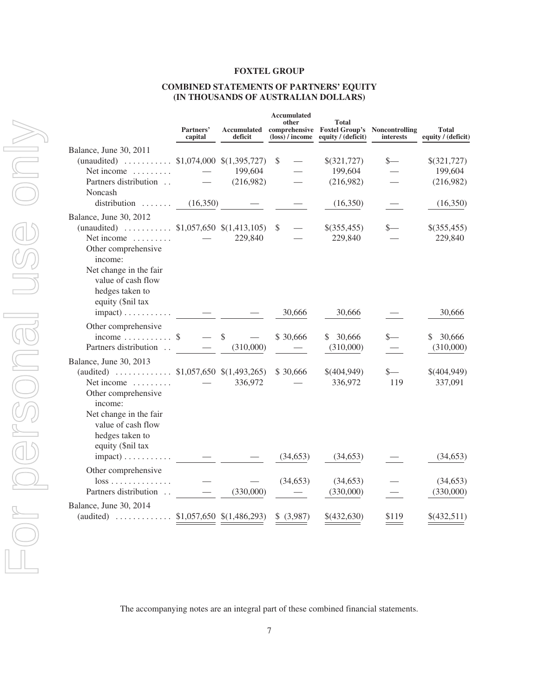# **COMBINED STATEMENTS OF PARTNERS' EQUITY (IN THOUSANDS OF AUSTRALIAN DOLLARS)**

|                                                                                                                        | Partners'<br>capital | Accumulated<br>deficit | <b>Accumulated</b><br>other<br>(loss) / income | <b>Total</b><br>comprehensive Foxtel Group's Noncontrolling<br>equity / (deficit) | interests   | <b>Total</b><br>equity / (deficit) |
|------------------------------------------------------------------------------------------------------------------------|----------------------|------------------------|------------------------------------------------|-----------------------------------------------------------------------------------|-------------|------------------------------------|
| Balance, June 30, 2011                                                                                                 |                      |                        |                                                |                                                                                   |             |                                    |
| (unaudited)  \$1,074,000 \$(1,395,727)                                                                                 |                      |                        | S.                                             | \$(321,727)                                                                       | $S-$        | \$(321,727)                        |
| Net income                                                                                                             |                      | 199,604                |                                                | 199,604                                                                           |             | 199,604                            |
| Partners distribution<br>Noncash                                                                                       |                      | (216,982)              |                                                | (216,982)                                                                         |             | (216,982)                          |
| distribution $(16,350)$                                                                                                |                      |                        |                                                | (16,350)                                                                          |             | (16,350)                           |
| Balance, June 30, 2012                                                                                                 |                      |                        |                                                |                                                                                   |             |                                    |
| (unaudited)  \$1,057,650 \$(1,413,105)                                                                                 |                      |                        | S.                                             | \$(355,455)                                                                       |             | \$(355,455)                        |
| Net income $\dots\dots\dots$<br>Other comprehensive<br>income:                                                         |                      | 229,840                |                                                | 229,840                                                                           |             | 229,840                            |
| Net change in the fair<br>value of cash flow<br>hedges taken to<br>equity (\$nil tax<br>$impact) \ldots \ldots \ldots$ |                      |                        | 30,666                                         | 30,666                                                                            |             | 30,666                             |
| Other comprehensive                                                                                                    |                      |                        |                                                |                                                                                   |             |                                    |
| income $\dots \dots \dots$ \$                                                                                          | $-$ \$               |                        | \$30,666                                       | \$30,666                                                                          |             | \$ 30,666                          |
| Partners distribution                                                                                                  |                      | (310,000)              |                                                | (310,000)                                                                         |             | (310,000)                          |
|                                                                                                                        |                      |                        |                                                |                                                                                   |             |                                    |
| Balance, June 30, 2013                                                                                                 |                      |                        |                                                |                                                                                   |             |                                    |
| (audited) $\ldots \ldots \ldots$ , \$1,057,650 \$(1,493,265)                                                           |                      | 336,972                | \$30,666                                       | \$(404,949)<br>336,972                                                            | $s-$<br>119 | \$(404,949)                        |
| Net income $\dots\dots\dots$<br>Other comprehensive                                                                    |                      |                        |                                                |                                                                                   |             | 337,091                            |
| income:<br>Net change in the fair<br>value of cash flow<br>hedges taken to<br>equity (\$nil tax                        |                      |                        |                                                |                                                                                   |             |                                    |
| $impact) \ldots \ldots \ldots$                                                                                         |                      |                        | (34, 653)                                      | (34, 653)                                                                         |             | (34, 653)                          |
| Other comprehensive                                                                                                    |                      |                        |                                                |                                                                                   |             |                                    |
| $loss \ldots \ldots \ldots \ldots$                                                                                     |                      |                        | (34, 653)                                      | (34, 653)                                                                         |             | (34, 653)                          |
| Partners distribution                                                                                                  |                      | (330,000)              |                                                | (330,000)                                                                         |             | (330,000)                          |
| Balance, June 30, 2014                                                                                                 |                      |                        | \$ (3,987)                                     |                                                                                   | \$119       |                                    |
| (audited) $\ldots \ldots \ldots$ , \$1,057,650 \$(1,486,293)                                                           |                      |                        |                                                | \$(432,630)                                                                       |             | \$(432,511)                        |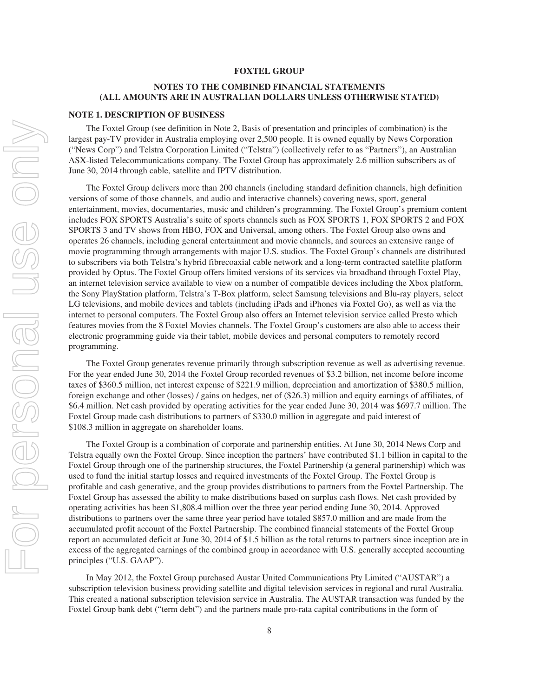# **NOTES TO THE COMBINED FINANCIAL STATEMENTS (ALL AMOUNTS ARE IN AUSTRALIAN DOLLARS UNLESS OTHERWISE STATED)**

#### **NOTE 1. DESCRIPTION OF BUSINESS**

The Foxtel Group (see definition in Note 2, Basis of presentation and principles of combination) is the largest pay-TV provider in Australia employing over 2,500 people. It is owned equally by News Corporation ("News Corp") and Telstra Corporation Limited ("Telstra") (collectively refer to as "Partners"), an Australian ASX-listed Telecommunications company. The Foxtel Group has approximately 2.6 million subscribers as of June 30, 2014 through cable, satellite and IPTV distribution.

The Foxtel Group delivers more than 200 channels (including standard definition channels, high definition versions of some of those channels, and audio and interactive channels) covering news, sport, general entertainment, movies, documentaries, music and children's programming. The Foxtel Group's premium content includes FOX SPORTS Australia's suite of sports channels such as FOX SPORTS 1, FOX SPORTS 2 and FOX SPORTS 3 and TV shows from HBO, FOX and Universal, among others. The Foxtel Group also owns and operates 26 channels, including general entertainment and movie channels, and sources an extensive range of movie programming through arrangements with major U.S. studios. The Foxtel Group's channels are distributed to subscribers via both Telstra's hybrid fibrecoaxial cable network and a long-term contracted satellite platform provided by Optus. The Foxtel Group offers limited versions of its services via broadband through Foxtel Play, an internet television service available to view on a number of compatible devices including the Xbox platform, the Sony PlayStation platform, Telstra's T-Box platform, select Samsung televisions and Blu-ray players, select LG televisions, and mobile devices and tablets (including iPads and iPhones via Foxtel Go), as well as via the internet to personal computers. The Foxtel Group also offers an Internet television service called Presto which features movies from the 8 Foxtel Movies channels. The Foxtel Group's customers are also able to access their electronic programming guide via their tablet, mobile devices and personal computers to remotely record programming.

The Foxtel Group generates revenue primarily through subscription revenue as well as advertising revenue. For the year ended June 30, 2014 the Foxtel Group recorded revenues of \$3.2 billion, net income before income taxes of \$360.5 million, net interest expense of \$221.9 million, depreciation and amortization of \$380.5 million, foreign exchange and other (losses) / gains on hedges, net of (\$26.3) million and equity earnings of affiliates, of \$6.4 million. Net cash provided by operating activities for the year ended June 30, 2014 was \$697.7 million. The Foxtel Group made cash distributions to partners of \$330.0 million in aggregate and paid interest of \$108.3 million in aggregate on shareholder loans.

The Foxtel Group is a combination of corporate and partnership entities. At June 30, 2014 News Corp and Telstra equally own the Foxtel Group. Since inception the partners' have contributed \$1.1 billion in capital to the Foxtel Group through one of the partnership structures, the Foxtel Partnership (a general partnership) which was used to fund the initial startup losses and required investments of the Foxtel Group. The Foxtel Group is profitable and cash generative, and the group provides distributions to partners from the Foxtel Partnership. The Foxtel Group has assessed the ability to make distributions based on surplus cash flows. Net cash provided by operating activities has been \$1,808.4 million over the three year period ending June 30, 2014. Approved distributions to partners over the same three year period have totaled \$857.0 million and are made from the accumulated profit account of the Foxtel Partnership. The combined financial statements of the Foxtel Group report an accumulated deficit at June 30, 2014 of \$1.5 billion as the total returns to partners since inception are in excess of the aggregated earnings of the combined group in accordance with U.S. generally accepted accounting principles ("U.S. GAAP").

In May 2012, the Foxtel Group purchased Austar United Communications Pty Limited ("AUSTAR") a subscription television business providing satellite and digital television services in regional and rural Australia. This created a national subscription television service in Australia. The AUSTAR transaction was funded by the Foxtel Group bank debt ("term debt") and the partners made pro-rata capital contributions in the form of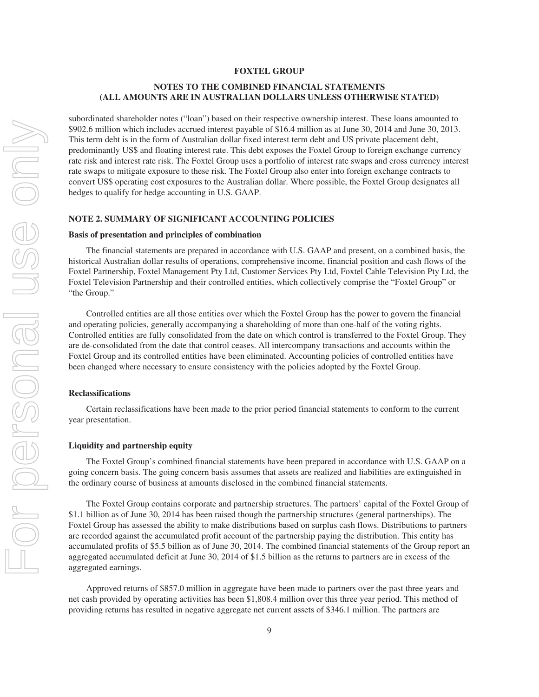# **NOTES TO THE COMBINED FINANCIAL STATEMENTS (ALL AMOUNTS ARE IN AUSTRALIAN DOLLARS UNLESS OTHERWISE STATED)**

subordinated shareholder notes ("loan") based on their respective ownership interest. These loans amounted to \$902.6 million which includes accrued interest payable of \$16.4 million as at June 30, 2014 and June 30, 2013. This term debt is in the form of Australian dollar fixed interest term debt and US private placement debt, predominantly US\$ and floating interest rate. This debt exposes the Foxtel Group to foreign exchange currency rate risk and interest rate risk. The Foxtel Group uses a portfolio of interest rate swaps and cross currency interest rate swaps to mitigate exposure to these risk. The Foxtel Group also enter into foreign exchange contracts to convert US\$ operating cost exposures to the Australian dollar. Where possible, the Foxtel Group designates all hedges to qualify for hedge accounting in U.S. GAAP.

### **NOTE 2. SUMMARY OF SIGNIFICANT ACCOUNTING POLICIES**

#### **Basis of presentation and principles of combination**

The financial statements are prepared in accordance with U.S. GAAP and present, on a combined basis, the historical Australian dollar results of operations, comprehensive income, financial position and cash flows of the Foxtel Partnership, Foxtel Management Pty Ltd, Customer Services Pty Ltd, Foxtel Cable Television Pty Ltd, the Foxtel Television Partnership and their controlled entities, which collectively comprise the "Foxtel Group" or "the Group."

Controlled entities are all those entities over which the Foxtel Group has the power to govern the financial and operating policies, generally accompanying a shareholding of more than one-half of the voting rights. Controlled entities are fully consolidated from the date on which control is transferred to the Foxtel Group. They are de-consolidated from the date that control ceases. All intercompany transactions and accounts within the Foxtel Group and its controlled entities have been eliminated. Accounting policies of controlled entities have been changed where necessary to ensure consistency with the policies adopted by the Foxtel Group.

#### **Reclassifications**

Certain reclassifications have been made to the prior period financial statements to conform to the current year presentation.

#### **Liquidity and partnership equity**

The Foxtel Group's combined financial statements have been prepared in accordance with U.S. GAAP on a going concern basis. The going concern basis assumes that assets are realized and liabilities are extinguished in the ordinary course of business at amounts disclosed in the combined financial statements.

The Foxtel Group contains corporate and partnership structures. The partners' capital of the Foxtel Group of \$1.1 billion as of June 30, 2014 has been raised though the partnership structures (general partnerships). The Foxtel Group has assessed the ability to make distributions based on surplus cash flows. Distributions to partners are recorded against the accumulated profit account of the partnership paying the distribution. This entity has accumulated profits of \$5.5 billion as of June 30, 2014. The combined financial statements of the Group report an aggregated accumulated deficit at June 30, 2014 of \$1.5 billion as the returns to partners are in excess of the aggregated earnings.

Approved returns of \$857.0 million in aggregate have been made to partners over the past three years and net cash provided by operating activities has been \$1,808.4 million over this three year period. This method of providing returns has resulted in negative aggregate net current assets of \$346.1 million. The partners are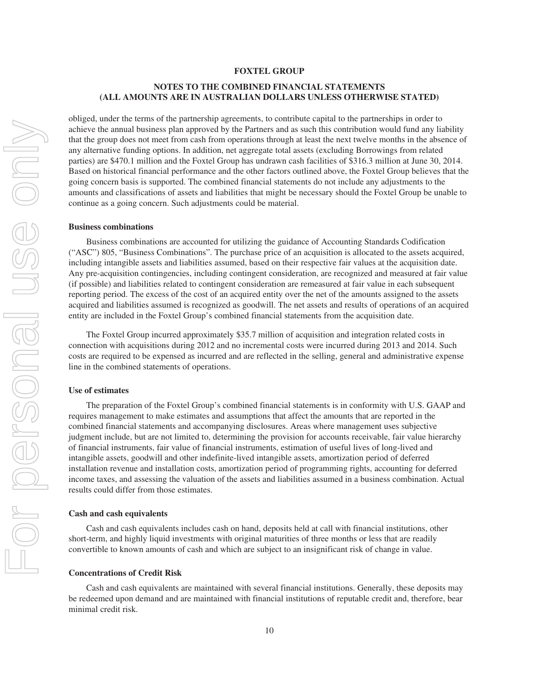# **NOTES TO THE COMBINED FINANCIAL STATEMENTS (ALL AMOUNTS ARE IN AUSTRALIAN DOLLARS UNLESS OTHERWISE STATED)**

obliged, under the terms of the partnership agreements, to contribute capital to the partnerships in order to achieve the annual business plan approved by the Partners and as such this contribution would fund any liability that the group does not meet from cash from operations through at least the next twelve months in the absence of any alternative funding options. In addition, net aggregate total assets (excluding Borrowings from related parties) are \$470.1 million and the Foxtel Group has undrawn cash facilities of \$316.3 million at June 30, 2014. Based on historical financial performance and the other factors outlined above, the Foxtel Group believes that the going concern basis is supported. The combined financial statements do not include any adjustments to the amounts and classifications of assets and liabilities that might be necessary should the Foxtel Group be unable to continue as a going concern. Such adjustments could be material.

#### **Business combinations**

Business combinations are accounted for utilizing the guidance of Accounting Standards Codification ("ASC") 805, "Business Combinations". The purchase price of an acquisition is allocated to the assets acquired, including intangible assets and liabilities assumed, based on their respective fair values at the acquisition date. Any pre-acquisition contingencies, including contingent consideration, are recognized and measured at fair value (if possible) and liabilities related to contingent consideration are remeasured at fair value in each subsequent reporting period. The excess of the cost of an acquired entity over the net of the amounts assigned to the assets acquired and liabilities assumed is recognized as goodwill. The net assets and results of operations of an acquired entity are included in the Foxtel Group's combined financial statements from the acquisition date.

The Foxtel Group incurred approximately \$35.7 million of acquisition and integration related costs in connection with acquisitions during 2012 and no incremental costs were incurred during 2013 and 2014. Such costs are required to be expensed as incurred and are reflected in the selling, general and administrative expense line in the combined statements of operations.

#### **Use of estimates**

The preparation of the Foxtel Group's combined financial statements is in conformity with U.S. GAAP and requires management to make estimates and assumptions that affect the amounts that are reported in the combined financial statements and accompanying disclosures. Areas where management uses subjective judgment include, but are not limited to, determining the provision for accounts receivable, fair value hierarchy of financial instruments, fair value of financial instruments, estimation of useful lives of long-lived and intangible assets, goodwill and other indefinite-lived intangible assets, amortization period of deferred installation revenue and installation costs, amortization period of programming rights, accounting for deferred income taxes, and assessing the valuation of the assets and liabilities assumed in a business combination. Actual results could differ from those estimates.

#### **Cash and cash equivalents**

Cash and cash equivalents includes cash on hand, deposits held at call with financial institutions, other short-term, and highly liquid investments with original maturities of three months or less that are readily convertible to known amounts of cash and which are subject to an insignificant risk of change in value.

#### **Concentrations of Credit Risk**

Cash and cash equivalents are maintained with several financial institutions. Generally, these deposits may be redeemed upon demand and are maintained with financial institutions of reputable credit and, therefore, bear minimal credit risk.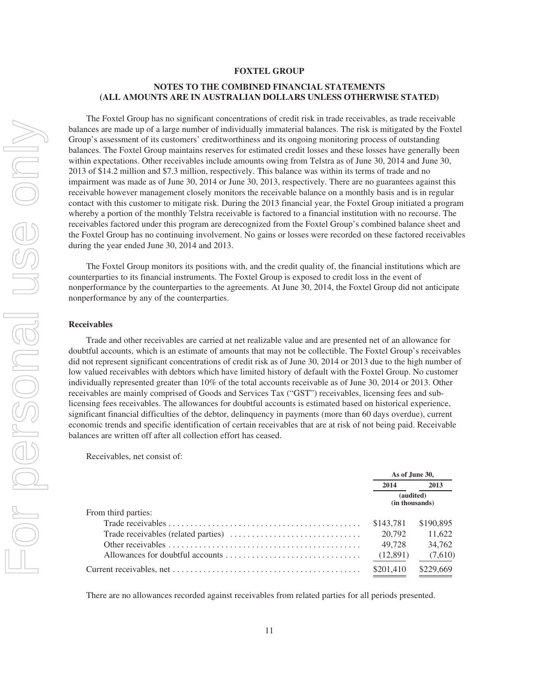# **NOTES TO THE COMBINED FINANCIAL STATEMENTS (ALL AMOUNTS ARE IN AUSTRALIAN DOLLARS UNLESS OTHERWISE STATED)**

The Foxtel Group has no significant concentrations of credit risk in trade receivables, as trade receivable balances are made up of a large number of individually immaterial balances. The risk is mitigated by the Foxtel Group's assessment of its customers' creditworthiness and its ongoing monitoring process of outstanding balances. The Foxtel Group maintains reserves for estimated credit losses and these losses have generally been within expectations. Other receivables include amounts owing from Telstra as of June 30, 2014 and June 30, 2013 of \$14.2 million and \$7.3 million, respectively. This balance was within its terms of trade and no impairment was made as of June 30, 2014 or June 30, 2013, respectively. There are no guarantees against this receivable however management closely monitors the receivable balance on a monthly basis and is in regular contact with this customer to mitigate risk. During the 2013 financial year, the Foxtel Group initiated a program whereby a portion of the monthly Telstra receivable is factored to a financial institution with no recourse. The receivables factored under this program are derecognized from the Foxtel Group's combined balance sheet and the Foxtel Group has no continuing involvement. No gains or losses were recorded on these factored receivables during the year ended June 30, 2014 and 2013.

The Foxtel Group monitors its positions with, and the credit quality of, the financial institutions which are counterparties to its financial instruments. The Foxtel Group is exposed to credit loss in the event of nonperformance by the counterparties to the agreements. At June 30, 2014, the Foxtel Group did not anticipate nonperformance by any of the counterparties.

#### **Receivables**

Trade and other receivables are carried at net realizable value and are presented net of an allowance for doubtful accounts, which is an estimate of amounts that may not be collectible. The Foxtel Group's receivables did not represent significant concentrations of credit risk as of June 30, 2014 or 2013 due to the high number of low valued receivables with debtors which have limited history of default with the Foxtel Group. No customer individually represented greater than 10% of the total accounts receivable as of June 30, 2014 or 2013. Other receivables are mainly comprised of Goods and Services Tax ("GST") receivables, licensing fees and sublicensing fees receivables. The allowances for doubtful accounts is estimated based on historical experience, significant financial difficulties of the debtor, delinquency in payments (more than 60 days overdue), current economic trends and specific identification of certain receivables that are at risk of not being paid. Receivable balances are written off after all collection effort has ceased.

Receivables, net consist of:

|                     | As of June 30,              |           |  |
|---------------------|-----------------------------|-----------|--|
|                     | 2014                        | 2013      |  |
|                     | (audited)<br>(in thousands) |           |  |
| From third parties: |                             |           |  |
|                     | \$143.781                   | \$190,895 |  |
|                     | 20,792                      | 11.622    |  |
|                     | 49.728                      | 34.762    |  |
|                     | (12,891)                    | (7,610)   |  |
|                     | \$201,410                   | \$229,669 |  |

There are no allowances recorded against receivables from related parties for all periods presented.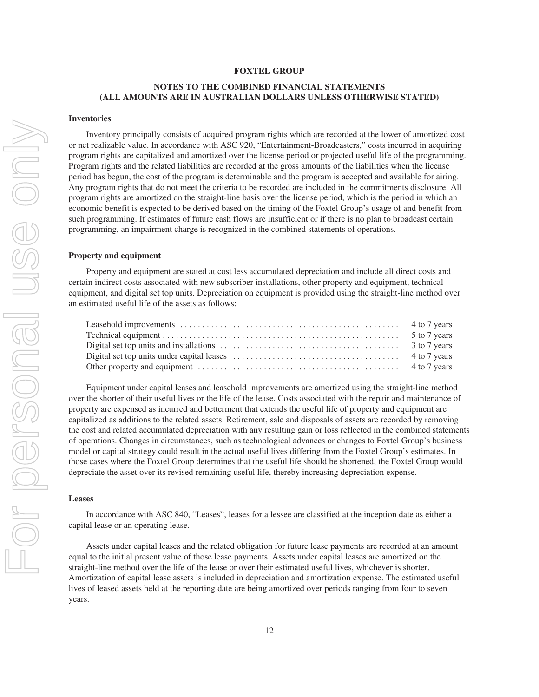# **NOTES TO THE COMBINED FINANCIAL STATEMENTS (ALL AMOUNTS ARE IN AUSTRALIAN DOLLARS UNLESS OTHERWISE STATED)**

#### **Inventories**

Inventory principally consists of acquired program rights which are recorded at the lower of amortized cost or net realizable value. In accordance with ASC 920, "Entertainment-Broadcasters," costs incurred in acquiring program rights are capitalized and amortized over the license period or projected useful life of the programming. Program rights and the related liabilities are recorded at the gross amounts of the liabilities when the license period has begun, the cost of the program is determinable and the program is accepted and available for airing. Any program rights that do not meet the criteria to be recorded are included in the commitments disclosure. All program rights are amortized on the straight-line basis over the license period, which is the period in which an economic benefit is expected to be derived based on the timing of the Foxtel Group's usage of and benefit from such programming. If estimates of future cash flows are insufficient or if there is no plan to broadcast certain programming, an impairment charge is recognized in the combined statements of operations.

#### **Property and equipment**

Property and equipment are stated at cost less accumulated depreciation and include all direct costs and certain indirect costs associated with new subscriber installations, other property and equipment, technical equipment, and digital set top units. Depreciation on equipment is provided using the straight-line method over an estimated useful life of the assets as follows:

Equipment under capital leases and leasehold improvements are amortized using the straight-line method over the shorter of their useful lives or the life of the lease. Costs associated with the repair and maintenance of property are expensed as incurred and betterment that extends the useful life of property and equipment are capitalized as additions to the related assets. Retirement, sale and disposals of assets are recorded by removing the cost and related accumulated depreciation with any resulting gain or loss reflected in the combined statements of operations. Changes in circumstances, such as technological advances or changes to Foxtel Group's business model or capital strategy could result in the actual useful lives differing from the Foxtel Group's estimates. In those cases where the Foxtel Group determines that the useful life should be shortened, the Foxtel Group would depreciate the asset over its revised remaining useful life, thereby increasing depreciation expense.

#### **Leases**

In accordance with ASC 840, "Leases", leases for a lessee are classified at the inception date as either a capital lease or an operating lease.

Assets under capital leases and the related obligation for future lease payments are recorded at an amount equal to the initial present value of those lease payments. Assets under capital leases are amortized on the straight-line method over the life of the lease or over their estimated useful lives, whichever is shorter. Amortization of capital lease assets is included in depreciation and amortization expense. The estimated useful lives of leased assets held at the reporting date are being amortized over periods ranging from four to seven years.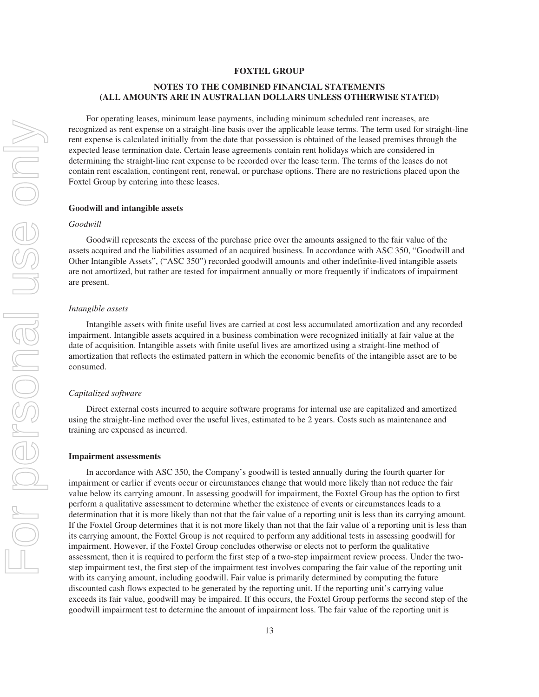# **NOTES TO THE COMBINED FINANCIAL STATEMENTS (ALL AMOUNTS ARE IN AUSTRALIAN DOLLARS UNLESS OTHERWISE STATED)**

For operating leases, minimum lease payments, including minimum scheduled rent increases, are recognized as rent expense on a straight-line basis over the applicable lease terms. The term used for straight-line rent expense is calculated initially from the date that possession is obtained of the leased premises through the expected lease termination date. Certain lease agreements contain rent holidays which are considered in determining the straight-line rent expense to be recorded over the lease term. The terms of the leases do not contain rent escalation, contingent rent, renewal, or purchase options. There are no restrictions placed upon the Foxtel Group by entering into these leases.

#### **Goodwill and intangible assets**

#### *Goodwill*

Goodwill represents the excess of the purchase price over the amounts assigned to the fair value of the assets acquired and the liabilities assumed of an acquired business. In accordance with ASC 350, "Goodwill and Other Intangible Assets", ("ASC 350") recorded goodwill amounts and other indefinite-lived intangible assets are not amortized, but rather are tested for impairment annually or more frequently if indicators of impairment are present.

#### *Intangible assets*

Intangible assets with finite useful lives are carried at cost less accumulated amortization and any recorded impairment. Intangible assets acquired in a business combination were recognized initially at fair value at the date of acquisition. Intangible assets with finite useful lives are amortized using a straight-line method of amortization that reflects the estimated pattern in which the economic benefits of the intangible asset are to be consumed.

#### *Capitalized software*

Direct external costs incurred to acquire software programs for internal use are capitalized and amortized using the straight-line method over the useful lives, estimated to be 2 years. Costs such as maintenance and training are expensed as incurred.

#### **Impairment assessments**

In accordance with ASC 350, the Company's goodwill is tested annually during the fourth quarter for impairment or earlier if events occur or circumstances change that would more likely than not reduce the fair value below its carrying amount. In assessing goodwill for impairment, the Foxtel Group has the option to first perform a qualitative assessment to determine whether the existence of events or circumstances leads to a determination that it is more likely than not that the fair value of a reporting unit is less than its carrying amount. If the Foxtel Group determines that it is not more likely than not that the fair value of a reporting unit is less than its carrying amount, the Foxtel Group is not required to perform any additional tests in assessing goodwill for impairment. However, if the Foxtel Group concludes otherwise or elects not to perform the qualitative assessment, then it is required to perform the first step of a two-step impairment review process. Under the twostep impairment test, the first step of the impairment test involves comparing the fair value of the reporting unit with its carrying amount, including goodwill. Fair value is primarily determined by computing the future discounted cash flows expected to be generated by the reporting unit. If the reporting unit's carrying value exceeds its fair value, goodwill may be impaired. If this occurs, the Foxtel Group performs the second step of the goodwill impairment test to determine the amount of impairment loss. The fair value of the reporting unit is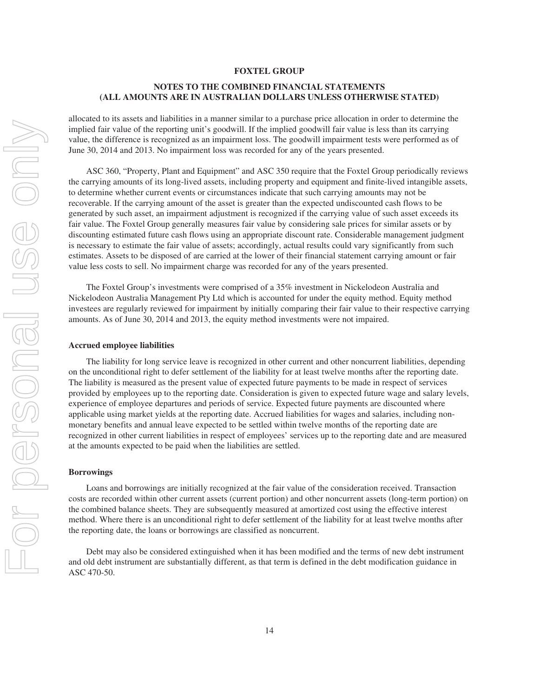# **NOTES TO THE COMBINED FINANCIAL STATEMENTS (ALL AMOUNTS ARE IN AUSTRALIAN DOLLARS UNLESS OTHERWISE STATED)**

allocated to its assets and liabilities in a manner similar to a purchase price allocation in order to determine the implied fair value of the reporting unit's goodwill. If the implied goodwill fair value is less than its carrying value, the difference is recognized as an impairment loss. The goodwill impairment tests were performed as of June 30, 2014 and 2013. No impairment loss was recorded for any of the years presented.

ASC 360, "Property, Plant and Equipment" and ASC 350 require that the Foxtel Group periodically reviews the carrying amounts of its long-lived assets, including property and equipment and finite-lived intangible assets, to determine whether current events or circumstances indicate that such carrying amounts may not be recoverable. If the carrying amount of the asset is greater than the expected undiscounted cash flows to be generated by such asset, an impairment adjustment is recognized if the carrying value of such asset exceeds its fair value. The Foxtel Group generally measures fair value by considering sale prices for similar assets or by discounting estimated future cash flows using an appropriate discount rate. Considerable management judgment is necessary to estimate the fair value of assets; accordingly, actual results could vary significantly from such estimates. Assets to be disposed of are carried at the lower of their financial statement carrying amount or fair value less costs to sell. No impairment charge was recorded for any of the years presented.

The Foxtel Group's investments were comprised of a 35% investment in Nickelodeon Australia and Nickelodeon Australia Management Pty Ltd which is accounted for under the equity method. Equity method investees are regularly reviewed for impairment by initially comparing their fair value to their respective carrying amounts. As of June 30, 2014 and 2013, the equity method investments were not impaired.

#### **Accrued employee liabilities**

The liability for long service leave is recognized in other current and other noncurrent liabilities, depending on the unconditional right to defer settlement of the liability for at least twelve months after the reporting date. The liability is measured as the present value of expected future payments to be made in respect of services provided by employees up to the reporting date. Consideration is given to expected future wage and salary levels, experience of employee departures and periods of service. Expected future payments are discounted where applicable using market yields at the reporting date. Accrued liabilities for wages and salaries, including nonmonetary benefits and annual leave expected to be settled within twelve months of the reporting date are recognized in other current liabilities in respect of employees' services up to the reporting date and are measured at the amounts expected to be paid when the liabilities are settled.

#### **Borrowings**

Loans and borrowings are initially recognized at the fair value of the consideration received. Transaction costs are recorded within other current assets (current portion) and other noncurrent assets (long-term portion) on the combined balance sheets. They are subsequently measured at amortized cost using the effective interest method. Where there is an unconditional right to defer settlement of the liability for at least twelve months after the reporting date, the loans or borrowings are classified as noncurrent.

Debt may also be considered extinguished when it has been modified and the terms of new debt instrument and old debt instrument are substantially different, as that term is defined in the debt modification guidance in ASC 470-50.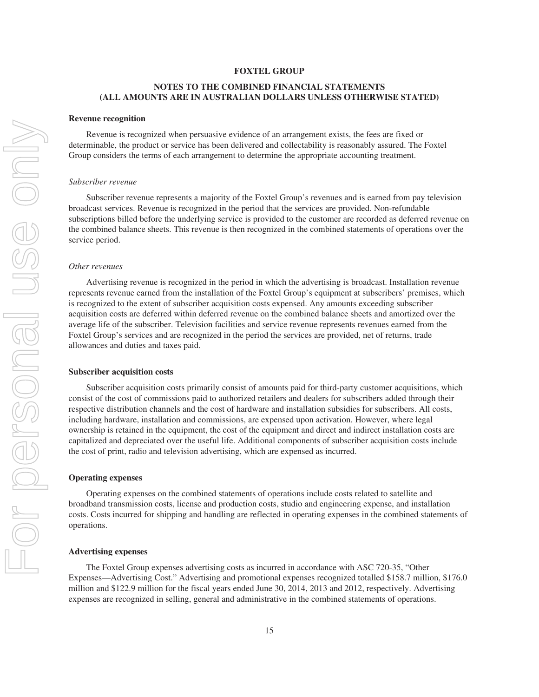# **NOTES TO THE COMBINED FINANCIAL STATEMENTS (ALL AMOUNTS ARE IN AUSTRALIAN DOLLARS UNLESS OTHERWISE STATED)**

#### **Revenue recognition**

Revenue is recognized when persuasive evidence of an arrangement exists, the fees are fixed or determinable, the product or service has been delivered and collectability is reasonably assured. The Foxtel Group considers the terms of each arrangement to determine the appropriate accounting treatment.

#### *Subscriber revenue*

Subscriber revenue represents a majority of the Foxtel Group's revenues and is earned from pay television broadcast services. Revenue is recognized in the period that the services are provided. Non-refundable subscriptions billed before the underlying service is provided to the customer are recorded as deferred revenue on the combined balance sheets. This revenue is then recognized in the combined statements of operations over the service period.

#### *Other revenues*

Advertising revenue is recognized in the period in which the advertising is broadcast. Installation revenue represents revenue earned from the installation of the Foxtel Group's equipment at subscribers' premises, which is recognized to the extent of subscriber acquisition costs expensed. Any amounts exceeding subscriber acquisition costs are deferred within deferred revenue on the combined balance sheets and amortized over the average life of the subscriber. Television facilities and service revenue represents revenues earned from the Foxtel Group's services and are recognized in the period the services are provided, net of returns, trade allowances and duties and taxes paid.

#### **Subscriber acquisition costs**

Subscriber acquisition costs primarily consist of amounts paid for third-party customer acquisitions, which consist of the cost of commissions paid to authorized retailers and dealers for subscribers added through their respective distribution channels and the cost of hardware and installation subsidies for subscribers. All costs, including hardware, installation and commissions, are expensed upon activation. However, where legal ownership is retained in the equipment, the cost of the equipment and direct and indirect installation costs are capitalized and depreciated over the useful life. Additional components of subscriber acquisition costs include the cost of print, radio and television advertising, which are expensed as incurred.

#### **Operating expenses**

Operating expenses on the combined statements of operations include costs related to satellite and broadband transmission costs, license and production costs, studio and engineering expense, and installation costs. Costs incurred for shipping and handling are reflected in operating expenses in the combined statements of operations.

#### **Advertising expenses**

The Foxtel Group expenses advertising costs as incurred in accordance with ASC 720-35, "Other Expenses—Advertising Cost." Advertising and promotional expenses recognized totalled \$158.7 million, \$176.0 million and \$122.9 million for the fiscal years ended June 30, 2014, 2013 and 2012, respectively. Advertising expenses are recognized in selling, general and administrative in the combined statements of operations.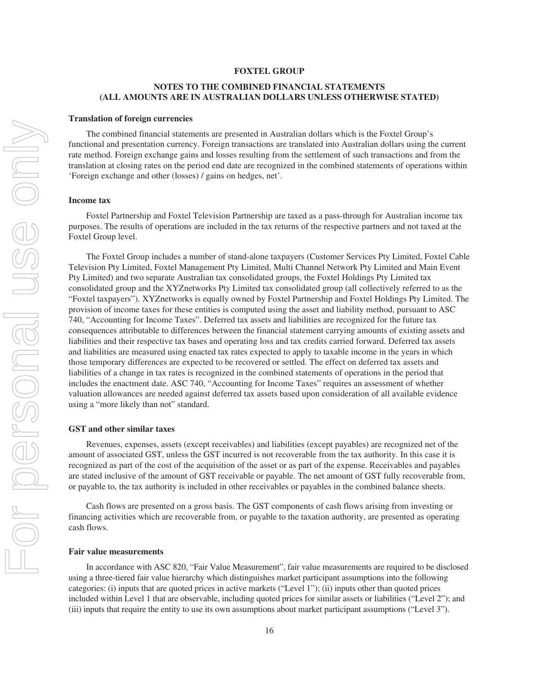# **NOTES TO THE COMBINED FINANCIAL STATEMENTS (ALL AMOUNTS ARE IN AUSTRALIAN DOLLARS UNLESS OTHERWISE STATED)**

#### **Translation of foreign currencies**

The combined financial statements are presented in Australian dollars which is the Foxtel Group's functional and presentation currency. Foreign transactions are translated into Australian dollars using the current rate method. Foreign exchange gains and losses resulting from the settlement of such transactions and from the translation at closing rates on the period end date are recognized in the combined statements of operations within 'Foreign exchange and other (losses) / gains on hedges, net'.

#### **Income tax**

Foxtel Partnership and Foxtel Television Partnership are taxed as a pass-through for Australian income tax purposes. The results of operations are included in the tax returns of the respective partners and not taxed at the Foxtel Group level.

The Foxtel Group includes a number of stand-alone taxpayers (Customer Services Pty Limited, Foxtel Cable Television Pty Limited, Foxtel Management Pty Limited, Multi Channel Network Pty Limited and Main Event Pty Limited) and two separate Australian tax consolidated groups, the Foxtel Holdings Pty Limited tax consolidated group and the XYZnetworks Pty Limited tax consolidated group (all collectively referred to as the "Foxtel taxpayers"). XYZnetworks is equally owned by Foxtel Partnership and Foxtel Holdings Pty Limited. The provision of income taxes for these entities is computed using the asset and liability method, pursuant to ASC 740, "Accounting for Income Taxes". Deferred tax assets and liabilities are recognized for the future tax consequences attributable to differences between the financial statement carrying amounts of existing assets and liabilities and their respective tax bases and operating loss and tax credits carried forward. Deferred tax assets and liabilities are measured using enacted tax rates expected to apply to taxable income in the years in which those temporary differences are expected to be recovered or settled. The effect on deferred tax assets and liabilities of a change in tax rates is recognized in the combined statements of operations in the period that includes the enactment date. ASC 740, "Accounting for Income Taxes" requires an assessment of whether valuation allowances are needed against deferred tax assets based upon consideration of all available evidence using a "more likely than not" standard.

#### **GST and other similar taxes**

Revenues, expenses, assets (except receivables) and liabilities (except payables) are recognized net of the amount of associated GST, unless the GST incurred is not recoverable from the tax authority. In this case it is recognized as part of the cost of the acquisition of the asset or as part of the expense. Receivables and payables are stated inclusive of the amount of GST receivable or payable. The net amount of GST fully recoverable from, or payable to, the tax authority is included in other receivables or payables in the combined balance sheets.

Cash flows are presented on a gross basis. The GST components of cash flows arising from investing or financing activities which are recoverable from, or payable to the taxation authority, are presented as operating cash flows.

#### **Fair value measurements**

In accordance with ASC 820, "Fair Value Measurement", fair value measurements are required to be disclosed using a three-tiered fair value hierarchy which distinguishes market participant assumptions into the following categories: (i) inputs that are quoted prices in active markets ("Level 1"); (ii) inputs other than quoted prices included within Level 1 that are observable, including quoted prices for similar assets or liabilities ("Level 2"); and (iii) inputs that require the entity to use its own assumptions about market participant assumptions ("Level 3").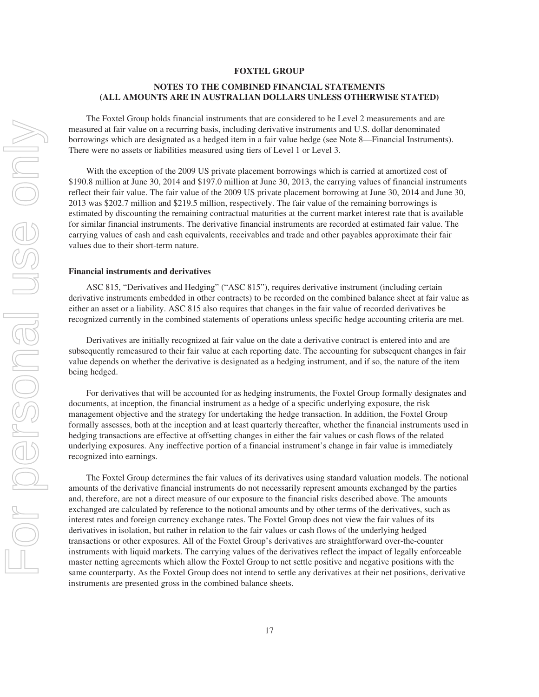# **NOTES TO THE COMBINED FINANCIAL STATEMENTS (ALL AMOUNTS ARE IN AUSTRALIAN DOLLARS UNLESS OTHERWISE STATED)**

The Foxtel Group holds financial instruments that are considered to be Level 2 measurements and are measured at fair value on a recurring basis, including derivative instruments and U.S. dollar denominated borrowings which are designated as a hedged item in a fair value hedge (see Note 8—Financial Instruments). There were no assets or liabilities measured using tiers of Level 1 or Level 3.

With the exception of the 2009 US private placement borrowings which is carried at amortized cost of \$190.8 million at June 30, 2014 and \$197.0 million at June 30, 2013, the carrying values of financial instruments reflect their fair value. The fair value of the 2009 US private placement borrowing at June 30, 2014 and June 30, 2013 was \$202.7 million and \$219.5 million, respectively. The fair value of the remaining borrowings is estimated by discounting the remaining contractual maturities at the current market interest rate that is available for similar financial instruments. The derivative financial instruments are recorded at estimated fair value. The carrying values of cash and cash equivalents, receivables and trade and other payables approximate their fair values due to their short-term nature.

#### **Financial instruments and derivatives**

ASC 815, "Derivatives and Hedging" ("ASC 815"), requires derivative instrument (including certain derivative instruments embedded in other contracts) to be recorded on the combined balance sheet at fair value as either an asset or a liability. ASC 815 also requires that changes in the fair value of recorded derivatives be recognized currently in the combined statements of operations unless specific hedge accounting criteria are met.

Derivatives are initially recognized at fair value on the date a derivative contract is entered into and are subsequently remeasured to their fair value at each reporting date. The accounting for subsequent changes in fair value depends on whether the derivative is designated as a hedging instrument, and if so, the nature of the item being hedged.

For derivatives that will be accounted for as hedging instruments, the Foxtel Group formally designates and documents, at inception, the financial instrument as a hedge of a specific underlying exposure, the risk management objective and the strategy for undertaking the hedge transaction. In addition, the Foxtel Group formally assesses, both at the inception and at least quarterly thereafter, whether the financial instruments used in hedging transactions are effective at offsetting changes in either the fair values or cash flows of the related underlying exposures. Any ineffective portion of a financial instrument's change in fair value is immediately recognized into earnings.

The Foxtel Group determines the fair values of its derivatives using standard valuation models. The notional amounts of the derivative financial instruments do not necessarily represent amounts exchanged by the parties and, therefore, are not a direct measure of our exposure to the financial risks described above. The amounts exchanged are calculated by reference to the notional amounts and by other terms of the derivatives, such as interest rates and foreign currency exchange rates. The Foxtel Group does not view the fair values of its derivatives in isolation, but rather in relation to the fair values or cash flows of the underlying hedged transactions or other exposures. All of the Foxtel Group's derivatives are straightforward over-the-counter instruments with liquid markets. The carrying values of the derivatives reflect the impact of legally enforceable master netting agreements which allow the Foxtel Group to net settle positive and negative positions with the same counterparty. As the Foxtel Group does not intend to settle any derivatives at their net positions, derivative instruments are presented gross in the combined balance sheets.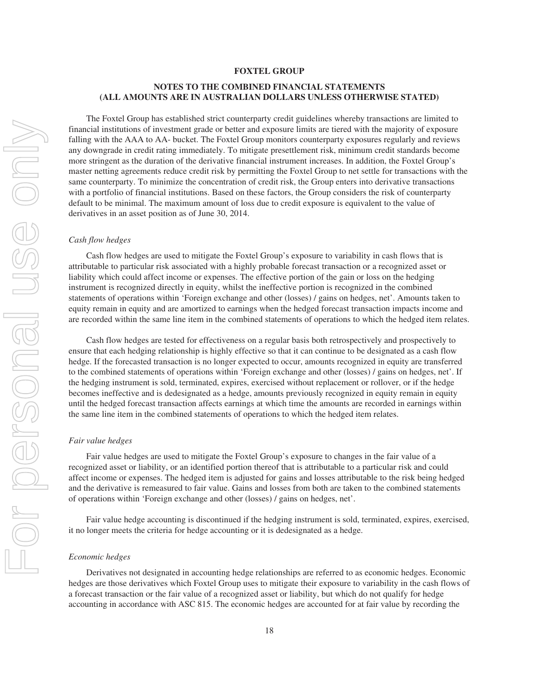# **NOTES TO THE COMBINED FINANCIAL STATEMENTS (ALL AMOUNTS ARE IN AUSTRALIAN DOLLARS UNLESS OTHERWISE STATED)**

The Foxtel Group has established strict counterparty credit guidelines whereby transactions are limited to financial institutions of investment grade or better and exposure limits are tiered with the majority of exposure falling with the AAA to AA- bucket. The Foxtel Group monitors counterparty exposures regularly and reviews any downgrade in credit rating immediately. To mitigate presettlement risk, minimum credit standards become more stringent as the duration of the derivative financial instrument increases. In addition, the Foxtel Group's master netting agreements reduce credit risk by permitting the Foxtel Group to net settle for transactions with the same counterparty. To minimize the concentration of credit risk, the Group enters into derivative transactions with a portfolio of financial institutions. Based on these factors, the Group considers the risk of counterparty default to be minimal. The maximum amount of loss due to credit exposure is equivalent to the value of derivatives in an asset position as of June 30, 2014.

#### *Cash flow hedges*

Cash flow hedges are used to mitigate the Foxtel Group's exposure to variability in cash flows that is attributable to particular risk associated with a highly probable forecast transaction or a recognized asset or liability which could affect income or expenses. The effective portion of the gain or loss on the hedging instrument is recognized directly in equity, whilst the ineffective portion is recognized in the combined statements of operations within 'Foreign exchange and other (losses) / gains on hedges, net'. Amounts taken to equity remain in equity and are amortized to earnings when the hedged forecast transaction impacts income and are recorded within the same line item in the combined statements of operations to which the hedged item relates.

Cash flow hedges are tested for effectiveness on a regular basis both retrospectively and prospectively to ensure that each hedging relationship is highly effective so that it can continue to be designated as a cash flow hedge. If the forecasted transaction is no longer expected to occur, amounts recognized in equity are transferred to the combined statements of operations within 'Foreign exchange and other (losses) / gains on hedges, net'. If the hedging instrument is sold, terminated, expires, exercised without replacement or rollover, or if the hedge becomes ineffective and is dedesignated as a hedge, amounts previously recognized in equity remain in equity until the hedged forecast transaction affects earnings at which time the amounts are recorded in earnings within the same line item in the combined statements of operations to which the hedged item relates.

#### *Fair value hedges*

Fair value hedges are used to mitigate the Foxtel Group's exposure to changes in the fair value of a recognized asset or liability, or an identified portion thereof that is attributable to a particular risk and could affect income or expenses. The hedged item is adjusted for gains and losses attributable to the risk being hedged and the derivative is remeasured to fair value. Gains and losses from both are taken to the combined statements of operations within 'Foreign exchange and other (losses) / gains on hedges, net'.

Fair value hedge accounting is discontinued if the hedging instrument is sold, terminated, expires, exercised, it no longer meets the criteria for hedge accounting or it is dedesignated as a hedge.

#### *Economic hedges*

Derivatives not designated in accounting hedge relationships are referred to as economic hedges. Economic hedges are those derivatives which Foxtel Group uses to mitigate their exposure to variability in the cash flows of a forecast transaction or the fair value of a recognized asset or liability, but which do not qualify for hedge accounting in accordance with ASC 815. The economic hedges are accounted for at fair value by recording the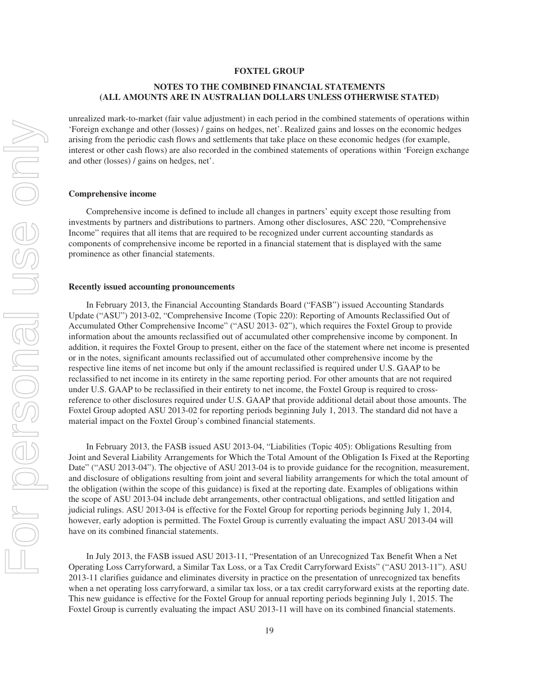# **NOTES TO THE COMBINED FINANCIAL STATEMENTS (ALL AMOUNTS ARE IN AUSTRALIAN DOLLARS UNLESS OTHERWISE STATED)**

unrealized mark-to-market (fair value adjustment) in each period in the combined statements of operations within 'Foreign exchange and other (losses) / gains on hedges, net'. Realized gains and losses on the economic hedges arising from the periodic cash flows and settlements that take place on these economic hedges (for example, interest or other cash flows) are also recorded in the combined statements of operations within 'Foreign exchange and other (losses) / gains on hedges, net'.

#### **Comprehensive income**

Comprehensive income is defined to include all changes in partners' equity except those resulting from investments by partners and distributions to partners. Among other disclosures, ASC 220, "Comprehensive Income" requires that all items that are required to be recognized under current accounting standards as components of comprehensive income be reported in a financial statement that is displayed with the same prominence as other financial statements.

#### **Recently issued accounting pronouncements**

In February 2013, the Financial Accounting Standards Board ("FASB") issued Accounting Standards Update ("ASU") 2013-02, "Comprehensive Income (Topic 220): Reporting of Amounts Reclassified Out of Accumulated Other Comprehensive Income" ("ASU 2013- 02"), which requires the Foxtel Group to provide information about the amounts reclassified out of accumulated other comprehensive income by component. In addition, it requires the Foxtel Group to present, either on the face of the statement where net income is presented or in the notes, significant amounts reclassified out of accumulated other comprehensive income by the respective line items of net income but only if the amount reclassified is required under U.S. GAAP to be reclassified to net income in its entirety in the same reporting period. For other amounts that are not required under U.S. GAAP to be reclassified in their entirety to net income, the Foxtel Group is required to crossreference to other disclosures required under U.S. GAAP that provide additional detail about those amounts. The Foxtel Group adopted ASU 2013-02 for reporting periods beginning July 1, 2013. The standard did not have a material impact on the Foxtel Group's combined financial statements.

In February 2013, the FASB issued ASU 2013-04, "Liabilities (Topic 405): Obligations Resulting from Joint and Several Liability Arrangements for Which the Total Amount of the Obligation Is Fixed at the Reporting Date" ("ASU 2013-04"). The objective of ASU 2013-04 is to provide guidance for the recognition, measurement, and disclosure of obligations resulting from joint and several liability arrangements for which the total amount of the obligation (within the scope of this guidance) is fixed at the reporting date. Examples of obligations within the scope of ASU 2013-04 include debt arrangements, other contractual obligations, and settled litigation and judicial rulings. ASU 2013-04 is effective for the Foxtel Group for reporting periods beginning July 1, 2014, however, early adoption is permitted. The Foxtel Group is currently evaluating the impact ASU 2013-04 will have on its combined financial statements.

In July 2013, the FASB issued ASU 2013-11, "Presentation of an Unrecognized Tax Benefit When a Net Operating Loss Carryforward, a Similar Tax Loss, or a Tax Credit Carryforward Exists" ("ASU 2013-11"). ASU 2013-11 clarifies guidance and eliminates diversity in practice on the presentation of unrecognized tax benefits when a net operating loss carryforward, a similar tax loss, or a tax credit carryforward exists at the reporting date. This new guidance is effective for the Foxtel Group for annual reporting periods beginning July 1, 2015. The Foxtel Group is currently evaluating the impact ASU 2013-11 will have on its combined financial statements.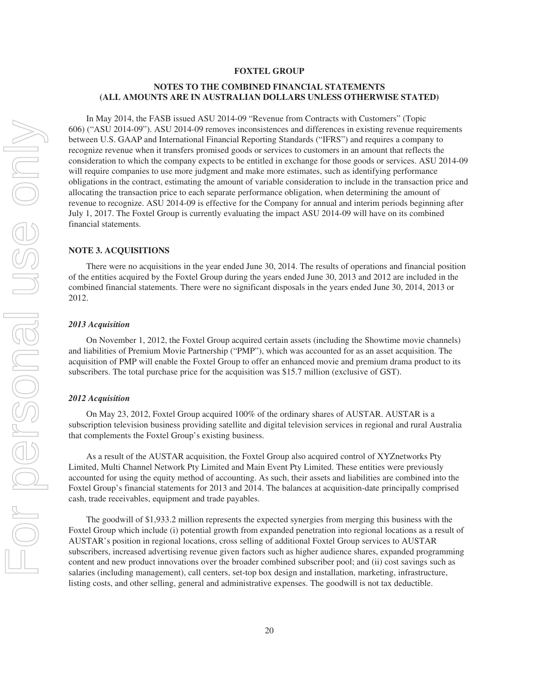# **NOTES TO THE COMBINED FINANCIAL STATEMENTS (ALL AMOUNTS ARE IN AUSTRALIAN DOLLARS UNLESS OTHERWISE STATED)**

In May 2014, the FASB issued ASU 2014-09 "Revenue from Contracts with Customers" (Topic 606) ("ASU 2014-09"). ASU 2014-09 removes inconsistences and differences in existing revenue requirements between U.S. GAAP and International Financial Reporting Standards ("IFRS") and requires a company to recognize revenue when it transfers promised goods or services to customers in an amount that reflects the consideration to which the company expects to be entitled in exchange for those goods or services. ASU 2014-09 will require companies to use more judgment and make more estimates, such as identifying performance obligations in the contract, estimating the amount of variable consideration to include in the transaction price and allocating the transaction price to each separate performance obligation, when determining the amount of revenue to recognize. ASU 2014-09 is effective for the Company for annual and interim periods beginning after July 1, 2017. The Foxtel Group is currently evaluating the impact ASU 2014-09 will have on its combined financial statements.

#### **NOTE 3. ACQUISITIONS**

There were no acquisitions in the year ended June 30, 2014. The results of operations and financial position of the entities acquired by the Foxtel Group during the years ended June 30, 2013 and 2012 are included in the combined financial statements. There were no significant disposals in the years ended June 30, 2014, 2013 or 2012.

#### *2013 Acquisition*

On November 1, 2012, the Foxtel Group acquired certain assets (including the Showtime movie channels) and liabilities of Premium Movie Partnership ("PMP"), which was accounted for as an asset acquisition. The acquisition of PMP will enable the Foxtel Group to offer an enhanced movie and premium drama product to its subscribers. The total purchase price for the acquisition was \$15.7 million (exclusive of GST).

#### *2012 Acquisition*

On May 23, 2012, Foxtel Group acquired 100% of the ordinary shares of AUSTAR. AUSTAR is a subscription television business providing satellite and digital television services in regional and rural Australia that complements the Foxtel Group's existing business.

As a result of the AUSTAR acquisition, the Foxtel Group also acquired control of XYZnetworks Pty Limited, Multi Channel Network Pty Limited and Main Event Pty Limited. These entities were previously accounted for using the equity method of accounting. As such, their assets and liabilities are combined into the Foxtel Group's financial statements for 2013 and 2014. The balances at acquisition-date principally comprised cash, trade receivables, equipment and trade payables.

The goodwill of \$1,933.2 million represents the expected synergies from merging this business with the Foxtel Group which include (i) potential growth from expanded penetration into regional locations as a result of AUSTAR's position in regional locations, cross selling of additional Foxtel Group services to AUSTAR subscribers, increased advertising revenue given factors such as higher audience shares, expanded programming content and new product innovations over the broader combined subscriber pool; and (ii) cost savings such as salaries (including management), call centers, set-top box design and installation, marketing, infrastructure, listing costs, and other selling, general and administrative expenses. The goodwill is not tax deductible.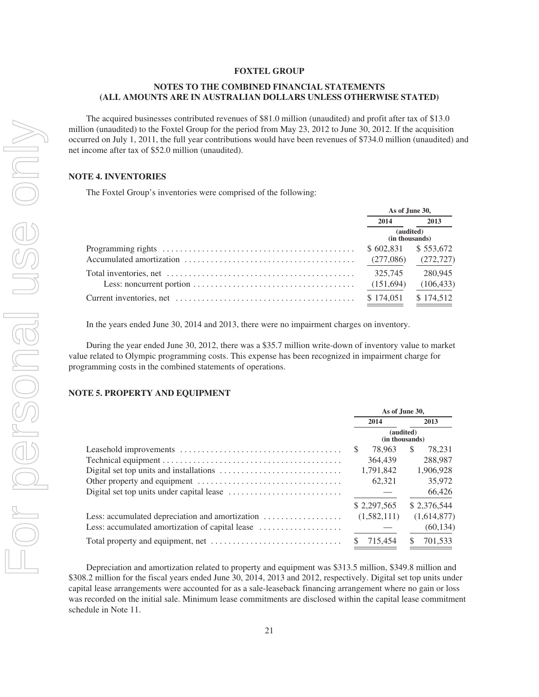# **NOTES TO THE COMBINED FINANCIAL STATEMENTS (ALL AMOUNTS ARE IN AUSTRALIAN DOLLARS UNLESS OTHERWISE STATED)**

The acquired businesses contributed revenues of \$81.0 million (unaudited) and profit after tax of \$13.0 million (unaudited) to the Foxtel Group for the period from May 23, 2012 to June 30, 2012. If the acquisition occurred on July 1, 2011, the full year contributions would have been revenues of \$734.0 million (unaudited) and net income after tax of \$52.0 million (unaudited).

#### **NOTE 4. INVENTORIES**

The Foxtel Group's inventories were comprised of the following:

| As of June 30,              |                       |  |
|-----------------------------|-----------------------|--|
| 2014                        | 2013                  |  |
| (audited)<br>(in thousands) |                       |  |
| $$602,831$ $$553,672$       |                       |  |
| (277,086)                   | (272, 727)            |  |
| 325,745<br>(151,694)        | 280,945<br>(106, 433) |  |
| \$174,051                   | \$174.512             |  |

In the years ended June 30, 2014 and 2013, there were no impairment charges on inventory.

During the year ended June 30, 2012, there was a \$35.7 million write-down of inventory value to market value related to Olympic programming costs. This expense has been recognized in impairment charge for programming costs in the combined statements of operations.

### **NOTE 5. PROPERTY AND EQUIPMENT**

|                                                 |                             | As of June 30, |               |             |
|-------------------------------------------------|-----------------------------|----------------|---------------|-------------|
|                                                 |                             | 2014           |               | 2013        |
|                                                 | (audited)<br>(in thousands) |                |               |             |
|                                                 | <b>S</b>                    | 78.963         | <sup>\$</sup> | 78,231      |
|                                                 |                             | 364,439        |               | 288,987     |
|                                                 |                             | 1.791.842      |               | 1,906,928   |
|                                                 |                             | 62,321         |               | 35,972      |
|                                                 |                             |                |               | 66,426      |
|                                                 |                             | \$2,297,565    |               | \$2.376.544 |
|                                                 |                             | (1,582,111)    |               | (1,614,877) |
| Less: accumulated amortization of capital lease |                             |                |               | (60, 134)   |
|                                                 | <sup>S</sup>                | 715.454        | S             | 701.533     |

Depreciation and amortization related to property and equipment was \$313.5 million, \$349.8 million and \$308.2 million for the fiscal years ended June 30, 2014, 2013 and 2012, respectively. Digital set top units under capital lease arrangements were accounted for as a sale-leaseback financing arrangement where no gain or loss was recorded on the initial sale. Minimum lease commitments are disclosed within the capital lease commitment schedule in Note 11.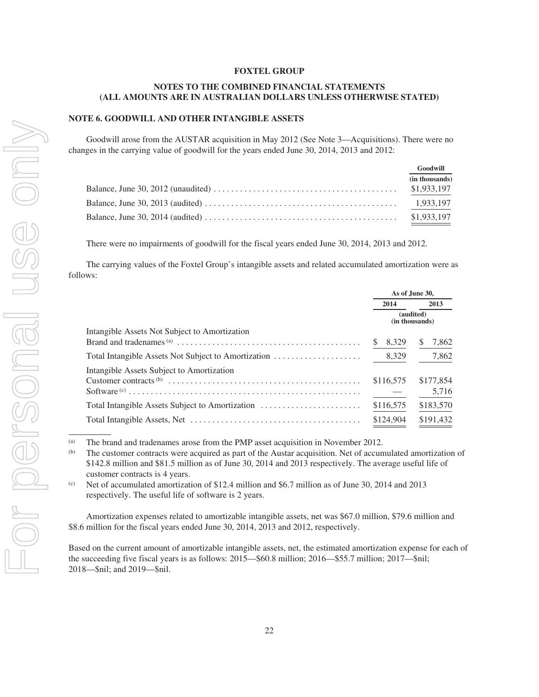# **NOTES TO THE COMBINED FINANCIAL STATEMENTS (ALL AMOUNTS ARE IN AUSTRALIAN DOLLARS UNLESS OTHERWISE STATED)**

#### **NOTE 6. GOODWILL AND OTHER INTANGIBLE ASSETS**

Goodwill arose from the AUSTAR acquisition in May 2012 (See Note 3—Acquisitions). There were no changes in the carrying value of goodwill for the years ended June 30, 2014, 2013 and 2012:

| Goodwill       |
|----------------|
| (in thousands) |
| \$1,933,197    |
|                |
| \$1,933,197    |

There were no impairments of goodwill for the fiscal years ended June 30, 2014, 2013 and 2012.

The carrying values of the Foxtel Group's intangible assets and related accumulated amortization were as follows:

|                                                     |             | As of June 30,              |
|-----------------------------------------------------|-------------|-----------------------------|
|                                                     | 2014        | 2013                        |
|                                                     |             | (audited)<br>(in thousands) |
| Intangible Assets Not Subject to Amortization       |             |                             |
|                                                     | 8.329<br>S. | 7,862<br>S.                 |
| Total Intangible Assets Not Subject to Amortization | 8.329       | 7,862                       |
| Intangible Assets Subject to Amortization           |             |                             |
|                                                     | \$116,575   | \$177,854                   |
|                                                     |             | 5,716                       |
| Total Intangible Assets Subject to Amortization     | \$116,575   | \$183,570                   |
|                                                     | \$124,904   | \$191,432                   |

(a) The brand and tradenames arose from the PMP asset acquisition in November 2012.

(b) The customer contracts were acquired as part of the Austar acquisition. Net of accumulated amortization of \$142.8 million and \$81.5 million as of June 30, 2014 and 2013 respectively. The average useful life of customer contracts is 4 years.

(c) Net of accumulated amortization of \$12.4 million and \$6.7 million as of June 30, 2014 and 2013 respectively. The useful life of software is 2 years.

Amortization expenses related to amortizable intangible assets, net was \$67.0 million, \$79.6 million and \$8.6 million for the fiscal years ended June 30, 2014, 2013 and 2012, respectively.

Based on the current amount of amortizable intangible assets, net, the estimated amortization expense for each of the succeeding five fiscal years is as follows: 2015—\$60.8 million; 2016—\$55.7 million; 2017—\$nil; 2018—\$nil; and 2019—\$nil.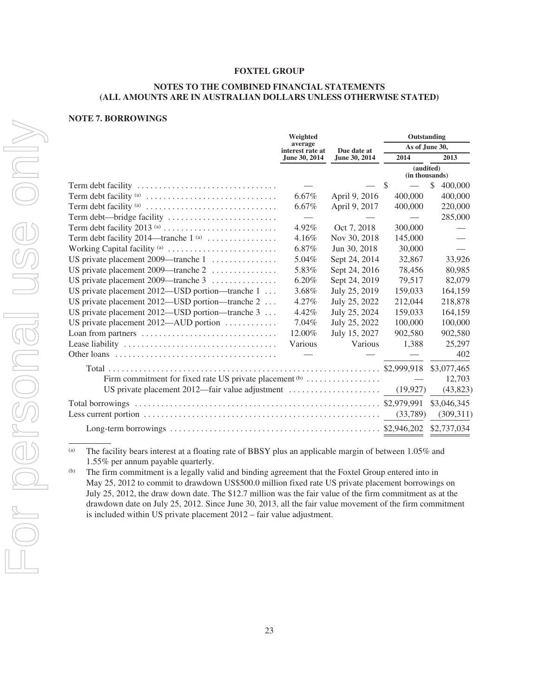# **NOTES TO THE COMBINED FINANCIAL STATEMENTS (ALL AMOUNTS ARE IN AUSTRALIAN DOLLARS UNLESS OTHERWISE STATED)**

#### **NOTE 7. BORROWINGS**

|                                                                                                | Weighted<br>average<br>interest rate at<br>June 30, 2014 | Due date at<br>June 30, 2014 | Outstanding    |                             |  |
|------------------------------------------------------------------------------------------------|----------------------------------------------------------|------------------------------|----------------|-----------------------------|--|
|                                                                                                |                                                          |                              | As of June 30, |                             |  |
|                                                                                                |                                                          |                              | 2014           | 2013                        |  |
|                                                                                                |                                                          |                              |                | (audited)<br>(in thousands) |  |
| $Term \text{ debt facility} \dots \dots \dots \dots \dots \dots \dots \dots \dots \dots \dots$ |                                                          |                              | -\$            | 400,000<br>S                |  |
|                                                                                                | 6.67%                                                    | April 9, 2016                | 400,000        | 400,000                     |  |
|                                                                                                | 6.67%                                                    | April 9, 2017                | 400,000        | 220,000                     |  |
| Term debt—bridge facility                                                                      |                                                          |                              |                | 285,000                     |  |
|                                                                                                | 4.92%                                                    | Oct 7, 2018                  | 300,000        |                             |  |
| Term debt facility 2014—tranche 1 (a)                                                          | 4.16%                                                    | Nov 30, 2018                 | 145,000        |                             |  |
| Working Capital facility <sup>(a)</sup>                                                        | 6.87%                                                    | Jun 30, 2018                 | 30,000         |                             |  |
| US private placement 2009—tranche 1                                                            | 5.04%                                                    | Sept 24, 2014                | 32,867         | 33,926                      |  |
| US private placement 2009—tranche 2                                                            | 5.83%                                                    | Sept 24, 2016                | 78,456         | 80,985                      |  |
| US private placement 2009—tranche 3                                                            | 6.20%                                                    | Sept 24, 2019                | 79,517         | 82,079                      |  |
| US private placement 2012—USD portion—tranche 1                                                | 3.68%                                                    | July 25, 2019                | 159,033        | 164,159                     |  |
| US private placement 2012—USD portion—tranche 2                                                | 4.27%                                                    | July 25, 2022                | 212,044        | 218,878                     |  |
| US private placement $2012$ —USD portion—tranche 3                                             | 4.42%                                                    | July 25, 2024                | 159,033        | 164,159                     |  |
| US private placement 2012—AUD portion                                                          | 7.04%                                                    | July 25, 2022                | 100,000        | 100,000                     |  |
| Loan from partners                                                                             | 12.00%                                                   | July 15, 2027                | 902,580        | 902,580                     |  |
|                                                                                                | Various                                                  | Various                      | 1.388          | 25,297                      |  |
|                                                                                                |                                                          |                              |                | 402                         |  |
|                                                                                                |                                                          |                              |                | \$3,077,465                 |  |
| Firm commitment for fixed rate US private placement $(b)$                                      |                                                          |                              |                | 12,703                      |  |
| US private placement 2012—fair value adjustment                                                |                                                          |                              | (19, 927)      | (43, 823)                   |  |
|                                                                                                |                                                          |                              |                | \$3,046,345                 |  |
|                                                                                                |                                                          |                              | (33,789)       | (309, 311)                  |  |
|                                                                                                |                                                          |                              |                | \$2,737,034                 |  |

(a) The facility bears interest at a floating rate of BBSY plus an applicable margin of between  $1.05\%$  and 1.55% per annum payable quarterly.

(b) The firm commitment is a legally valid and binding agreement that the Foxtel Group entered into in May 25, 2012 to commit to drawdown US\$500.0 million fixed rate US private placement borrowings on July 25, 2012, the draw down date. The \$12.7 million was the fair value of the firm commitment as at the drawdown date on July 25, 2012. Since June 30, 2013, all the fair value movement of the firm commitment is included within US private placement 2012 – fair value adjustment.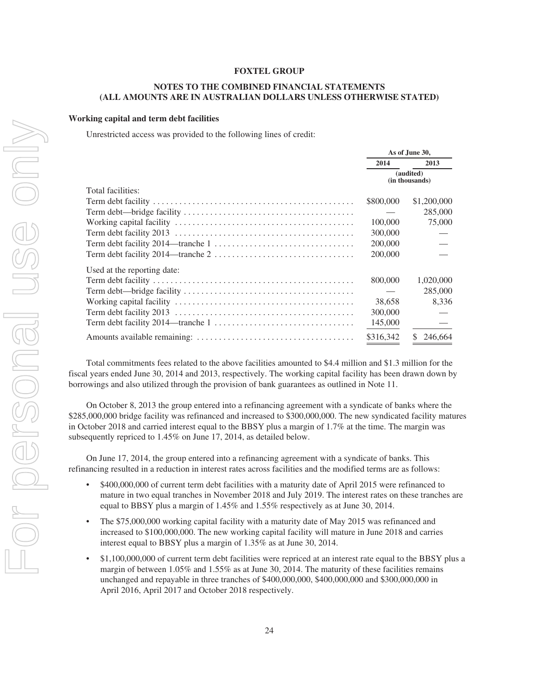# **NOTES TO THE COMBINED FINANCIAL STATEMENTS (ALL AMOUNTS ARE IN AUSTRALIAN DOLLARS UNLESS OTHERWISE STATED)**

#### **Working capital and term debt facilities**

Unrestricted access was provided to the following lines of credit:

|                             | As of June 30,              |             |
|-----------------------------|-----------------------------|-------------|
|                             | 2014                        | 2013        |
|                             | (audited)<br>(in thousands) |             |
| Total facilities:           |                             |             |
|                             | \$800,000                   | \$1,200,000 |
|                             |                             | 285,000     |
|                             | 100,000                     | 75,000      |
|                             | 300,000                     |             |
|                             | 200,000                     |             |
|                             | 200,000                     |             |
| Used at the reporting date: |                             |             |
|                             | 800,000                     | 1.020.000   |
|                             |                             | 285,000     |
|                             | 38,658                      | 8,336       |
|                             | 300,000                     |             |
|                             | 145,000                     |             |
|                             | \$316,342                   | 246,664     |
|                             |                             |             |

Total commitments fees related to the above facilities amounted to \$4.4 million and \$1.3 million for the fiscal years ended June 30, 2014 and 2013, respectively. The working capital facility has been drawn down by borrowings and also utilized through the provision of bank guarantees as outlined in Note 11.

On October 8, 2013 the group entered into a refinancing agreement with a syndicate of banks where the \$285,000,000 bridge facility was refinanced and increased to \$300,000,000. The new syndicated facility matures in October 2018 and carried interest equal to the BBSY plus a margin of 1.7% at the time. The margin was subsequently repriced to 1.45% on June 17, 2014, as detailed below.

On June 17, 2014, the group entered into a refinancing agreement with a syndicate of banks. This refinancing resulted in a reduction in interest rates across facilities and the modified terms are as follows:

- \$400,000,000 of current term debt facilities with a maturity date of April 2015 were refinanced to mature in two equal tranches in November 2018 and July 2019. The interest rates on these tranches are equal to BBSY plus a margin of 1.45% and 1.55% respectively as at June 30, 2014.
- The \$75,000,000 working capital facility with a maturity date of May 2015 was refinanced and increased to \$100,000,000. The new working capital facility will mature in June 2018 and carries interest equal to BBSY plus a margin of 1.35% as at June 30, 2014.
- \$1,100,000,000 of current term debt facilities were repriced at an interest rate equal to the BBSY plus a margin of between 1.05% and 1.55% as at June 30, 2014. The maturity of these facilities remains unchanged and repayable in three tranches of \$400,000,000, \$400,000,000 and \$300,000,000 in April 2016, April 2017 and October 2018 respectively.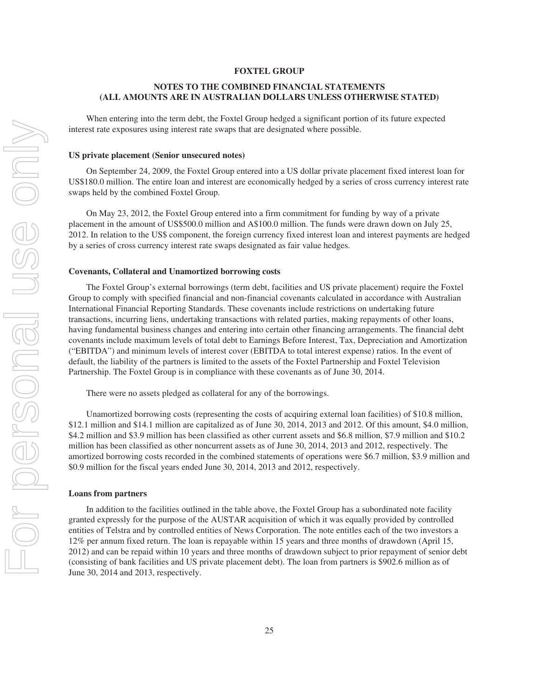# **NOTES TO THE COMBINED FINANCIAL STATEMENTS (ALL AMOUNTS ARE IN AUSTRALIAN DOLLARS UNLESS OTHERWISE STATED)**

When entering into the term debt, the Foxtel Group hedged a significant portion of its future expected interest rate exposures using interest rate swaps that are designated where possible.

#### **US private placement (Senior unsecured notes)**

On September 24, 2009, the Foxtel Group entered into a US dollar private placement fixed interest loan for US\$180.0 million. The entire loan and interest are economically hedged by a series of cross currency interest rate swaps held by the combined Foxtel Group.

On May 23, 2012, the Foxtel Group entered into a firm commitment for funding by way of a private placement in the amount of US\$500.0 million and A\$100.0 million. The funds were drawn down on July 25, 2012. In relation to the US\$ component, the foreign currency fixed interest loan and interest payments are hedged by a series of cross currency interest rate swaps designated as fair value hedges.

#### **Covenants, Collateral and Unamortized borrowing costs**

The Foxtel Group's external borrowings (term debt, facilities and US private placement) require the Foxtel Group to comply with specified financial and non-financial covenants calculated in accordance with Australian International Financial Reporting Standards. These covenants include restrictions on undertaking future transactions, incurring liens, undertaking transactions with related parties, making repayments of other loans, having fundamental business changes and entering into certain other financing arrangements. The financial debt covenants include maximum levels of total debt to Earnings Before Interest, Tax, Depreciation and Amortization ("EBITDA") and minimum levels of interest cover (EBITDA to total interest expense) ratios. In the event of default, the liability of the partners is limited to the assets of the Foxtel Partnership and Foxtel Television Partnership. The Foxtel Group is in compliance with these covenants as of June 30, 2014.

There were no assets pledged as collateral for any of the borrowings.

Unamortized borrowing costs (representing the costs of acquiring external loan facilities) of \$10.8 million, \$12.1 million and \$14.1 million are capitalized as of June 30, 2014, 2013 and 2012. Of this amount, \$4.0 million, \$4.2 million and \$3.9 million has been classified as other current assets and \$6.8 million, \$7.9 million and \$10.2 million has been classified as other noncurrent assets as of June 30, 2014, 2013 and 2012, respectively. The amortized borrowing costs recorded in the combined statements of operations were \$6.7 million, \$3.9 million and \$0.9 million for the fiscal years ended June 30, 2014, 2013 and 2012, respectively.

#### **Loans from partners**

In addition to the facilities outlined in the table above, the Foxtel Group has a subordinated note facility granted expressly for the purpose of the AUSTAR acquisition of which it was equally provided by controlled entities of Telstra and by controlled entities of News Corporation. The note entitles each of the two investors a 12% per annum fixed return. The loan is repayable within 15 years and three months of drawdown (April 15, 2012) and can be repaid within 10 years and three months of drawdown subject to prior repayment of senior debt (consisting of bank facilities and US private placement debt). The loan from partners is \$902.6 million as of June 30, 2014 and 2013, respectively.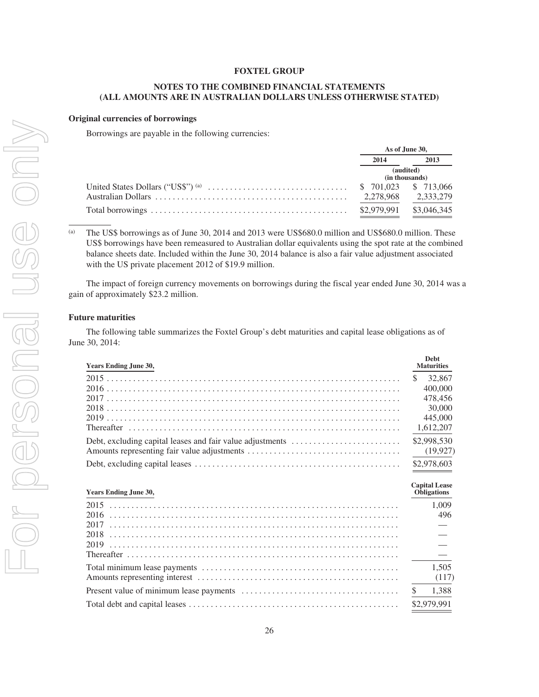# **NOTES TO THE COMBINED FINANCIAL STATEMENTS (ALL AMOUNTS ARE IN AUSTRALIAN DOLLARS UNLESS OTHERWISE STATED)**

#### **Original currencies of borrowings**

Borrowings are payable in the following currencies:

| As of June 30,              |             |  |
|-----------------------------|-------------|--|
| 2014                        | 2013        |  |
| (audited)<br>(in thousands) |             |  |
|                             |             |  |
| 2,278,968                   | 2.333.279   |  |
| \$2,979.991                 | \$3,046,345 |  |

(a) The US\$ borrowings as of June 30, 2014 and 2013 were US\$680.0 million and US\$680.0 million. These US\$ borrowings have been remeasured to Australian dollar equivalents using the spot rate at the combined balance sheets date. Included within the June 30, 2014 balance is also a fair value adjustment associated with the US private placement 2012 of \$19.9 million.

The impact of foreign currency movements on borrowings during the fiscal year ended June 30, 2014 was a gain of approximately \$23.2 million.

#### **Future maturities**

The following table summarizes the Foxtel Group's debt maturities and capital lease obligations as of June 30, 2014:

| <b>Years Ending June 30,</b>                              | <b>Debt</b><br><b>Maturities</b>                                                |
|-----------------------------------------------------------|---------------------------------------------------------------------------------|
|                                                           | $\mathcal{S}$<br>32,867<br>400,000<br>478,456<br>30,000<br>445,000<br>1,612,207 |
| Debt, excluding capital leases and fair value adjustments | \$2,998,530<br>(19, 927)                                                        |
|                                                           | \$2,978,603                                                                     |
| <b>Years Ending June 30,</b>                              | <b>Capital Lease</b><br><b>Obligations</b>                                      |
| 2018<br>2019                                              | 1,009<br>496                                                                    |
|                                                           | 1,505<br>(117)                                                                  |
|                                                           | \$<br>1,388                                                                     |
|                                                           | \$2,979,991                                                                     |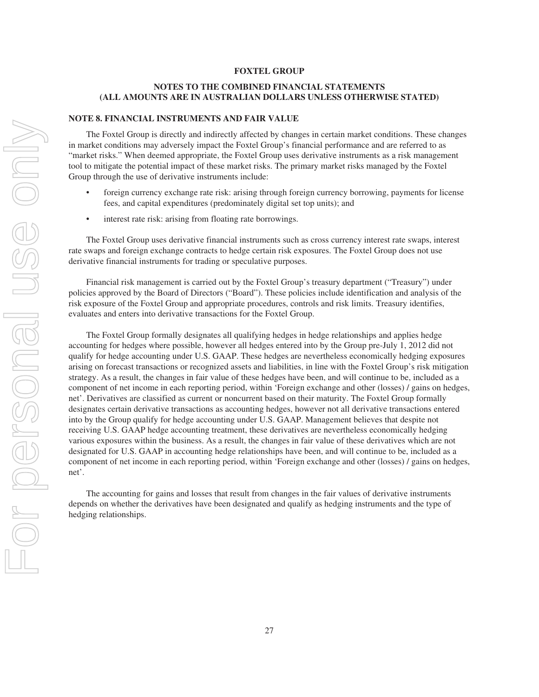# **NOTES TO THE COMBINED FINANCIAL STATEMENTS (ALL AMOUNTS ARE IN AUSTRALIAN DOLLARS UNLESS OTHERWISE STATED)**

#### **NOTE 8. FINANCIAL INSTRUMENTS AND FAIR VALUE**

The Foxtel Group is directly and indirectly affected by changes in certain market conditions. These changes in market conditions may adversely impact the Foxtel Group's financial performance and are referred to as "market risks." When deemed appropriate, the Foxtel Group uses derivative instruments as a risk management tool to mitigate the potential impact of these market risks. The primary market risks managed by the Foxtel Group through the use of derivative instruments include:

- foreign currency exchange rate risk: arising through foreign currency borrowing, payments for license fees, and capital expenditures (predominately digital set top units); and
- interest rate risk: arising from floating rate borrowings.

The Foxtel Group uses derivative financial instruments such as cross currency interest rate swaps, interest rate swaps and foreign exchange contracts to hedge certain risk exposures. The Foxtel Group does not use derivative financial instruments for trading or speculative purposes.

Financial risk management is carried out by the Foxtel Group's treasury department ("Treasury") under policies approved by the Board of Directors ("Board"). These policies include identification and analysis of the risk exposure of the Foxtel Group and appropriate procedures, controls and risk limits. Treasury identifies, evaluates and enters into derivative transactions for the Foxtel Group.

The Foxtel Group formally designates all qualifying hedges in hedge relationships and applies hedge accounting for hedges where possible, however all hedges entered into by the Group pre-July 1, 2012 did not qualify for hedge accounting under U.S. GAAP. These hedges are nevertheless economically hedging exposures arising on forecast transactions or recognized assets and liabilities, in line with the Foxtel Group's risk mitigation strategy. As a result, the changes in fair value of these hedges have been, and will continue to be, included as a component of net income in each reporting period, within 'Foreign exchange and other (losses) / gains on hedges, net'. Derivatives are classified as current or noncurrent based on their maturity. The Foxtel Group formally designates certain derivative transactions as accounting hedges, however not all derivative transactions entered into by the Group qualify for hedge accounting under U.S. GAAP. Management believes that despite not receiving U.S. GAAP hedge accounting treatment, these derivatives are nevertheless economically hedging various exposures within the business. As a result, the changes in fair value of these derivatives which are not designated for U.S. GAAP in accounting hedge relationships have been, and will continue to be, included as a component of net income in each reporting period, within 'Foreign exchange and other (losses) / gains on hedges, net'.

The accounting for gains and losses that result from changes in the fair values of derivative instruments depends on whether the derivatives have been designated and qualify as hedging instruments and the type of hedging relationships.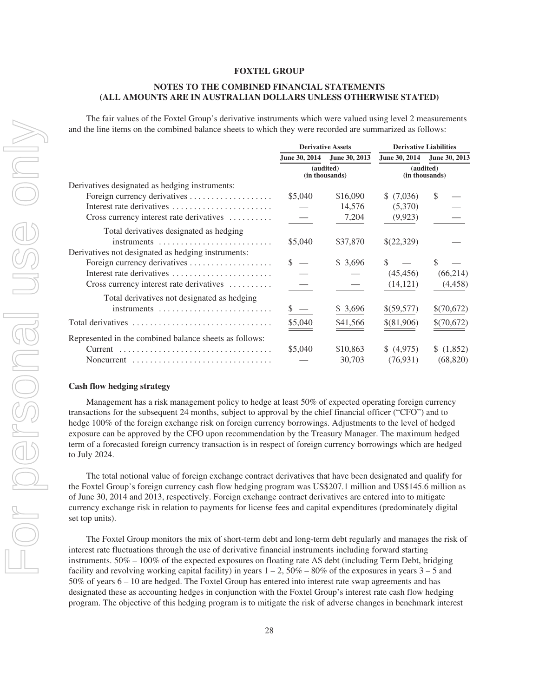# **NOTES TO THE COMBINED FINANCIAL STATEMENTS (ALL AMOUNTS ARE IN AUSTRALIAN DOLLARS UNLESS OTHERWISE STATED)**

The fair values of the Foxtel Group's derivative instruments which were valued using level 2 measurements and the line items on the combined balance sheets to which they were recorded are summarized as follows:

|                                                        | <b>Derivative Assets</b>    |               | <b>Derivative Liabilities</b> |               |
|--------------------------------------------------------|-----------------------------|---------------|-------------------------------|---------------|
|                                                        | June 30, 2014               | June 30, 2013 | June 30, 2014                 | June 30, 2013 |
|                                                        | (audited)<br>(in thousands) |               | (audited)<br>(in thousands)   |               |
| Derivatives designated as hedging instruments:         |                             |               |                               |               |
| Foreign currency derivatives                           | \$5,040                     | \$16,090      | \$(7,036)                     | \$            |
| Interest rate derivatives                              |                             | 14,576        | (5,370)                       |               |
| Cross currency interest rate derivatives               |                             | 7,204         | (9,923)                       |               |
| Total derivatives designated as hedging                |                             |               |                               |               |
| $instruments$                                          | \$5,040                     | \$37,870      | \$(22,329)                    |               |
| Derivatives not designated as hedging instruments:     |                             |               |                               |               |
|                                                        |                             | \$ 3,696      | \$.                           | \$            |
| Interest rate derivatives                              |                             |               | (45, 456)                     | (66, 214)     |
| Cross currency interest rate derivatives               |                             |               | (14, 121)                     | (4,458)       |
| Total derivatives not designated as hedging            |                             |               |                               |               |
|                                                        |                             | \$ 3,696      | \$(59,577)                    | \$(70,672)    |
| Total derivatives                                      | \$5,040                     | \$41,566      | \$(81,906)                    | \$(70,672)    |
| Represented in the combined balance sheets as follows: |                             |               |                               |               |
|                                                        | \$5,040                     | \$10,863      | (4,975)                       | (1,852)       |
|                                                        |                             | 30,703        | (76, 931)                     | (68, 820)     |
|                                                        |                             |               |                               |               |

#### **Cash flow hedging strategy**

Management has a risk management policy to hedge at least 50% of expected operating foreign currency transactions for the subsequent 24 months, subject to approval by the chief financial officer ("CFO") and to hedge 100% of the foreign exchange risk on foreign currency borrowings. Adjustments to the level of hedged exposure can be approved by the CFO upon recommendation by the Treasury Manager. The maximum hedged term of a forecasted foreign currency transaction is in respect of foreign currency borrowings which are hedged to July 2024.

The total notional value of foreign exchange contract derivatives that have been designated and qualify for the Foxtel Group's foreign currency cash flow hedging program was US\$207.1 million and US\$145.6 million as of June 30, 2014 and 2013, respectively. Foreign exchange contract derivatives are entered into to mitigate currency exchange risk in relation to payments for license fees and capital expenditures (predominately digital set top units).

The Foxtel Group monitors the mix of short-term debt and long-term debt regularly and manages the risk of interest rate fluctuations through the use of derivative financial instruments including forward starting instruments. 50% – 100% of the expected exposures on floating rate A\$ debt (including Term Debt, bridging facility and revolving working capital facility) in years  $1 - 2$ ,  $50\% - 80\%$  of the exposures in years  $3 - 5$  and 50% of years 6 – 10 are hedged. The Foxtel Group has entered into interest rate swap agreements and has designated these as accounting hedges in conjunction with the Foxtel Group's interest rate cash flow hedging program. The objective of this hedging program is to mitigate the risk of adverse changes in benchmark interest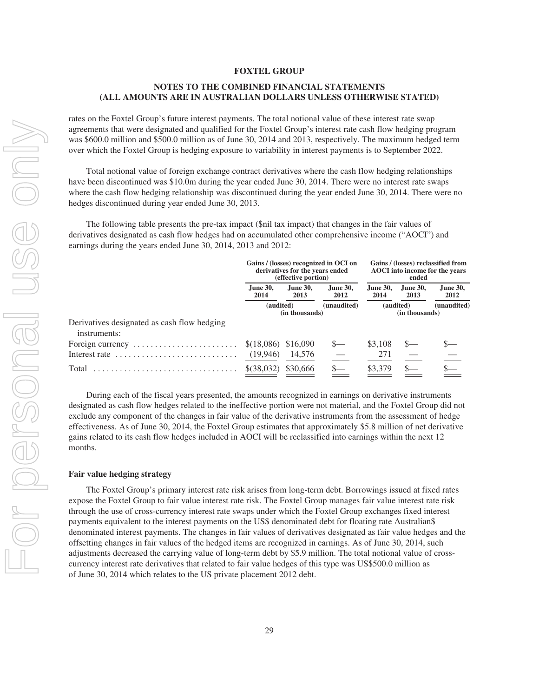## **NOTES TO THE COMBINED FINANCIAL STATEMENTS (ALL AMOUNTS ARE IN AUSTRALIAN DOLLARS UNLESS OTHERWISE STATED)**

rates on the Foxtel Group's future interest payments. The total notional value of these interest rate swap agreements that were designated and qualified for the Foxtel Group's interest rate cash flow hedging program was \$600.0 million and \$500.0 million as of June 30, 2014 and 2013, respectively. The maximum hedged term over which the Foxtel Group is hedging exposure to variability in interest payments is to September 2022.

Total notional value of foreign exchange contract derivatives where the cash flow hedging relationships have been discontinued was \$10.0m during the year ended June 30, 2014. There were no interest rate swaps where the cash flow hedging relationship was discontinued during the year ended June 30, 2014. There were no hedges discontinued during year ended June 30, 2013.

The following table presents the pre-tax impact (\$nil tax impact) that changes in the fair values of derivatives designated as cash flow hedges had on accumulated other comprehensive income ("AOCI") and earnings during the years ended June 30, 2014, 2013 and 2012:

|                                                              | Gains / (losses) recognized in OCI on<br>derivatives for the years ended<br>(effective portion) |                         | Gains / (losses) reclassified from<br><b>AOCI</b> into income for the years<br>ended |                         |                         |                  |
|--------------------------------------------------------------|-------------------------------------------------------------------------------------------------|-------------------------|--------------------------------------------------------------------------------------|-------------------------|-------------------------|------------------|
|                                                              | <b>June 30.</b><br>2014                                                                         | <b>June 30.</b><br>2013 | <b>June 30.</b><br>2012                                                              | <b>June 30.</b><br>2014 | <b>June 30.</b><br>2013 | June 30,<br>2012 |
|                                                              | (audited)<br>(unaudited)<br>(in thousands)                                                      |                         | (unaudited)<br>(audited)<br>(in thousands)                                           |                         |                         |                  |
| Derivatives designated as cash flow hedging<br>instruments:  |                                                                                                 |                         |                                                                                      |                         |                         |                  |
| Foreign currency $\dots \dots \dots \dots \dots \dots \dots$ | \$(18,086)                                                                                      | \$16,090                |                                                                                      | \$3,108                 |                         |                  |
| Interest rate                                                | (19.946)                                                                                        | 14.576                  |                                                                                      | 271                     |                         |                  |
| Total                                                        | \$(38,032)                                                                                      | \$30,666                |                                                                                      | \$3,379                 |                         |                  |

During each of the fiscal years presented, the amounts recognized in earnings on derivative instruments designated as cash flow hedges related to the ineffective portion were not material, and the Foxtel Group did not exclude any component of the changes in fair value of the derivative instruments from the assessment of hedge effectiveness. As of June 30, 2014, the Foxtel Group estimates that approximately \$5.8 million of net derivative gains related to its cash flow hedges included in AOCI will be reclassified into earnings within the next 12 months.

### **Fair value hedging strategy**

The Foxtel Group's primary interest rate risk arises from long-term debt. Borrowings issued at fixed rates expose the Foxtel Group to fair value interest rate risk. The Foxtel Group manages fair value interest rate risk through the use of cross-currency interest rate swaps under which the Foxtel Group exchanges fixed interest payments equivalent to the interest payments on the US\$ denominated debt for floating rate Australian\$ denominated interest payments. The changes in fair values of derivatives designated as fair value hedges and the offsetting changes in fair values of the hedged items are recognized in earnings. As of June 30, 2014, such adjustments decreased the carrying value of long-term debt by \$5.9 million. The total notional value of crosscurrency interest rate derivatives that related to fair value hedges of this type was US\$500.0 million as of June 30, 2014 which relates to the US private placement 2012 debt.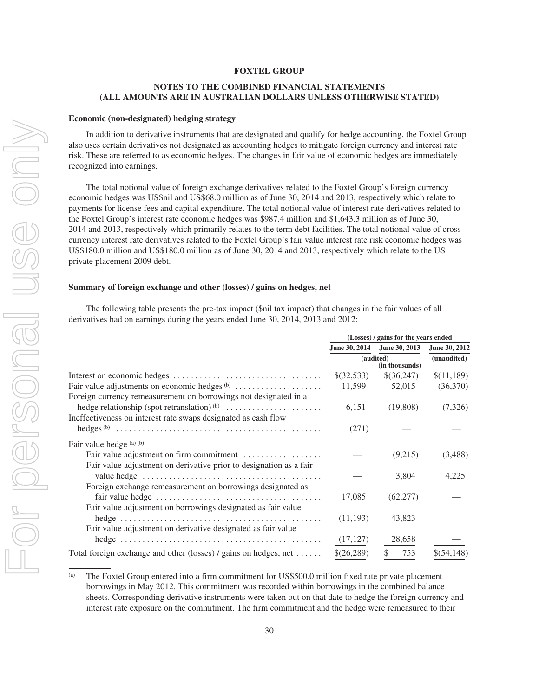# **NOTES TO THE COMBINED FINANCIAL STATEMENTS (ALL AMOUNTS ARE IN AUSTRALIAN DOLLARS UNLESS OTHERWISE STATED)**

#### **Economic (non-designated) hedging strategy**

In addition to derivative instruments that are designated and qualify for hedge accounting, the Foxtel Group also uses certain derivatives not designated as accounting hedges to mitigate foreign currency and interest rate risk. These are referred to as economic hedges. The changes in fair value of economic hedges are immediately recognized into earnings.

The total notional value of foreign exchange derivatives related to the Foxtel Group's foreign currency economic hedges was US\$nil and US\$68.0 million as of June 30, 2014 and 2013, respectively which relate to payments for license fees and capital expenditure. The total notional value of interest rate derivatives related to the Foxtel Group's interest rate economic hedges was \$987.4 million and \$1,643.3 million as of June 30, 2014 and 2013, respectively which primarily relates to the term debt facilities. The total notional value of cross currency interest rate derivatives related to the Foxtel Group's fair value interest rate risk economic hedges was US\$180.0 million and US\$180.0 million as of June 30, 2014 and 2013, respectively which relate to the US private placement 2009 debt.

#### **Summary of foreign exchange and other (losses) / gains on hedges, net**

The following table presents the pre-tax impact (\$nil tax impact) that changes in the fair values of all derivatives had on earnings during the years ended June 30, 2014, 2013 and 2012:

|                                                                                                                                    | (Losses) / gains for the years ended |                             |               |  |
|------------------------------------------------------------------------------------------------------------------------------------|--------------------------------------|-----------------------------|---------------|--|
|                                                                                                                                    | June 30, 2014                        | June 30, 2013               | June 30, 2012 |  |
|                                                                                                                                    |                                      | (audited)<br>(in thousands) | (unaudited)   |  |
|                                                                                                                                    | \$(32,533)                           | \$(36,247)                  | \$(11,189)    |  |
|                                                                                                                                    | 11,599                               | 52,015                      | (36,370)      |  |
| Foreign currency remeasurement on borrowings not designated in a<br>Ineffectiveness on interest rate swaps designated as cash flow | 6,151                                | (19,808)                    | (7,326)       |  |
|                                                                                                                                    | (271)                                |                             |               |  |
| Fair value hedge (a) (b)                                                                                                           |                                      |                             |               |  |
| Fair value adjustment on firm commitment                                                                                           |                                      | (9,215)                     | (3,488)       |  |
| Fair value adjustment on derivative prior to designation as a fair                                                                 |                                      | 3,804                       | 4,225         |  |
| Foreign exchange remeasurement on borrowings designated as                                                                         | 17,085                               | (62, 277)                   |               |  |
| Fair value adjustment on borrowings designated as fair value<br>Fair value adjustment on derivative designated as fair value       | (11, 193)                            | 43,823                      |               |  |
|                                                                                                                                    | (17, 127)                            | 28,658                      |               |  |
| Total foreign exchange and other (losses) / gains on hedges, net                                                                   | \$(26,289)                           | 753<br>S.                   | \$(54,148)    |  |

<sup>(</sup>a) The Foxtel Group entered into a firm commitment for US\$500.0 million fixed rate private placement borrowings in May 2012. This commitment was recorded within borrowings in the combined balance sheets. Corresponding derivative instruments were taken out on that date to hedge the foreign currency and interest rate exposure on the commitment. The firm commitment and the hedge were remeasured to their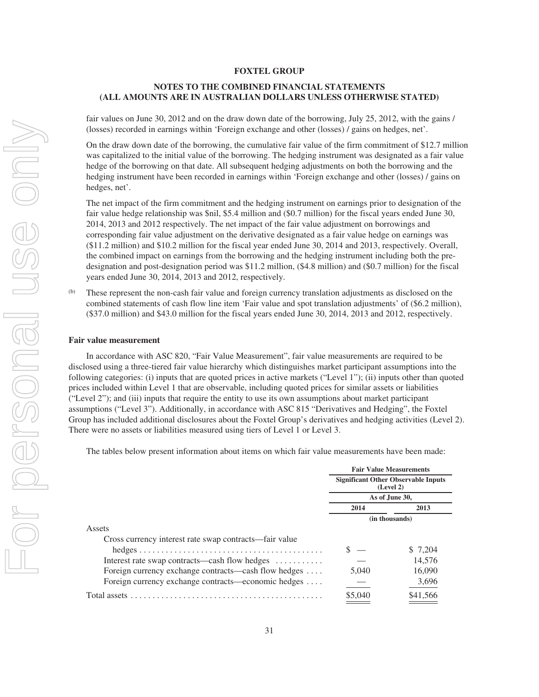## **NOTES TO THE COMBINED FINANCIAL STATEMENTS (ALL AMOUNTS ARE IN AUSTRALIAN DOLLARS UNLESS OTHERWISE STATED)**

fair values on June 30, 2012 and on the draw down date of the borrowing, July 25, 2012, with the gains / (losses) recorded in earnings within 'Foreign exchange and other (losses) / gains on hedges, net'.

On the draw down date of the borrowing, the cumulative fair value of the firm commitment of \$12.7 million was capitalized to the initial value of the borrowing. The hedging instrument was designated as a fair value hedge of the borrowing on that date. All subsequent hedging adjustments on both the borrowing and the hedging instrument have been recorded in earnings within 'Foreign exchange and other (losses) / gains on hedges, net'.

The net impact of the firm commitment and the hedging instrument on earnings prior to designation of the fair value hedge relationship was \$nil, \$5.4 million and (\$0.7 million) for the fiscal years ended June 30, 2014, 2013 and 2012 respectively. The net impact of the fair value adjustment on borrowings and corresponding fair value adjustment on the derivative designated as a fair value hedge on earnings was (\$11.2 million) and \$10.2 million for the fiscal year ended June 30, 2014 and 2013, respectively. Overall, the combined impact on earnings from the borrowing and the hedging instrument including both the predesignation and post-designation period was \$11.2 million, (\$4.8 million) and (\$0.7 million) for the fiscal years ended June 30, 2014, 2013 and 2012, respectively.

(b) These represent the non-cash fair value and foreign currency translation adjustments as disclosed on the combined statements of cash flow line item 'Fair value and spot translation adjustments' of (\$6.2 million), (\$37.0 million) and \$43.0 million for the fiscal years ended June 30, 2014, 2013 and 2012, respectively.

#### **Fair value measurement**

In accordance with ASC 820, "Fair Value Measurement", fair value measurements are required to be disclosed using a three-tiered fair value hierarchy which distinguishes market participant assumptions into the following categories: (i) inputs that are quoted prices in active markets ("Level 1"); (ii) inputs other than quoted prices included within Level 1 that are observable, including quoted prices for similar assets or liabilities ("Level 2"); and (iii) inputs that require the entity to use its own assumptions about market participant assumptions ("Level 3"). Additionally, in accordance with ASC 815 "Derivatives and Hedging", the Foxtel Group has included additional disclosures about the Foxtel Group's derivatives and hedging activities (Level 2). There were no assets or liabilities measured using tiers of Level 1 or Level 3.

The tables below present information about items on which fair value measurements have been made:

|                                                        | <b>Fair Value Measurements</b> |                                                         |  |
|--------------------------------------------------------|--------------------------------|---------------------------------------------------------|--|
|                                                        |                                | <b>Significant Other Observable Inputs</b><br>(Level 2) |  |
|                                                        |                                | As of June 30,                                          |  |
|                                                        | 2014                           | 2013                                                    |  |
|                                                        | (in thousands)                 |                                                         |  |
| Assets                                                 |                                |                                                         |  |
| Cross currency interest rate swap contracts—fair value |                                |                                                         |  |
|                                                        |                                | \$ 7.204                                                |  |
| Interest rate swap contracts—cash flow hedges          |                                | 14,576                                                  |  |
| Foreign currency exchange contracts—cash flow hedges   | 5,040                          | 16,090                                                  |  |
| Foreign currency exchange contracts—economic hedges    |                                | 3,696                                                   |  |
|                                                        | \$5,040                        | \$41,566                                                |  |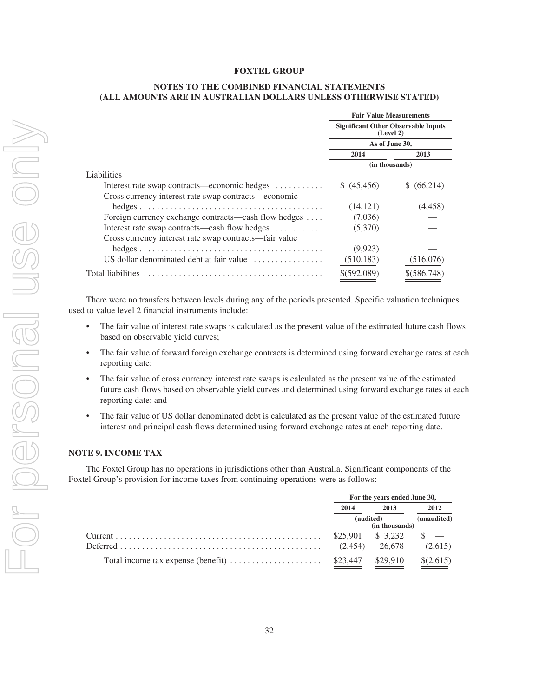# **NOTES TO THE COMBINED FINANCIAL STATEMENTS (ALL AMOUNTS ARE IN AUSTRALIAN DOLLARS UNLESS OTHERWISE STATED)**

|                                                        | <b>Fair Value Measurements</b>                          |             |  |
|--------------------------------------------------------|---------------------------------------------------------|-------------|--|
|                                                        | <b>Significant Other Observable Inputs</b><br>(Level 2) |             |  |
|                                                        | As of June 30,                                          |             |  |
|                                                        | 2014                                                    | 2013        |  |
|                                                        | (in thousands)                                          |             |  |
| Liabilities                                            |                                                         |             |  |
| Interest rate swap contracts—economic hedges           | \$ (45, 456)                                            | \$ (66,214) |  |
| Cross currency interest rate swap contracts—economic   |                                                         |             |  |
|                                                        | (14, 121)                                               | (4, 458)    |  |
| Foreign currency exchange contracts—cash flow hedges   | (7,036)                                                 |             |  |
| Interest rate swap contracts—cash flow hedges          | (5,370)                                                 |             |  |
| Cross currency interest rate swap contracts—fair value |                                                         |             |  |
|                                                        | (9,923)                                                 |             |  |
| US dollar denominated debt at fair value               | (510, 183)                                              | (516,076)   |  |
|                                                        | \$(592,089)                                             | \$(586,748) |  |

There were no transfers between levels during any of the periods presented. Specific valuation techniques used to value level 2 financial instruments include:

- The fair value of interest rate swaps is calculated as the present value of the estimated future cash flows based on observable yield curves;
- The fair value of forward foreign exchange contracts is determined using forward exchange rates at each reporting date;
- The fair value of cross currency interest rate swaps is calculated as the present value of the estimated future cash flows based on observable yield curves and determined using forward exchange rates at each reporting date; and
- The fair value of US dollar denominated debt is calculated as the present value of the estimated future interest and principal cash flows determined using forward exchange rates at each reporting date.

### **NOTE 9. INCOME TAX**

The Foxtel Group has no operations in jurisdictions other than Australia. Significant components of the Foxtel Group's provision for income taxes from continuing operations were as follows:

|                                                                                                             | For the years ended June 30, |                               |           |  |
|-------------------------------------------------------------------------------------------------------------|------------------------------|-------------------------------|-----------|--|
|                                                                                                             | 2014                         | 2013                          | 2012      |  |
|                                                                                                             | (audited)                    | (unaudited)<br>(in thousands) |           |  |
|                                                                                                             | $$25.901$ \ \$ 3.232         |                               |           |  |
| $\text{Deferred} \dots \dots \dots \dots \dots \dots \dots \dots \dots \dots \dots \dots \dots \dots \dots$ | (2.454)                      | 26,678                        | (2,615)   |  |
|                                                                                                             |                              | \$29.910                      | \$(2,615) |  |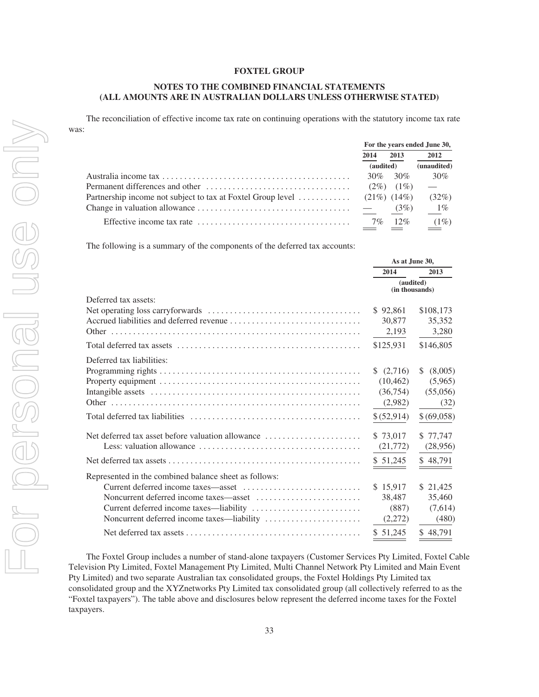## **NOTES TO THE COMBINED FINANCIAL STATEMENTS (ALL AMOUNTS ARE IN AUSTRALIAN DOLLARS UNLESS OTHERWISE STATED)**

The reconciliation of effective income tax rate on continuing operations with the statutory income tax rate was:

|                                                             | For the years ended June 30,                      |                 |                                   |  |
|-------------------------------------------------------------|---------------------------------------------------|-----------------|-----------------------------------|--|
|                                                             | 2014                                              | 2013            | 2012                              |  |
|                                                             | (audited)                                         |                 | (unaudited)                       |  |
|                                                             |                                                   | $30\% - 30\%$   | 30%                               |  |
|                                                             |                                                   | $(2\%)$ $(1\%)$ | <b>Contract Contract Contract</b> |  |
| Partnership income not subject to tax at Foxtel Group level |                                                   | $(21\%) (14\%)$ | (32%)                             |  |
|                                                             | $\frac{1}{2}$ and $\frac{1}{2}$ and $\frac{1}{2}$ | (3%)            | $1\%$                             |  |
|                                                             |                                                   | 12%             | $(1\%)$                           |  |

The following is a summary of the components of the deferred tax accounts:

|                                                                                                                                                              | As at June 30,                                 |                                              |
|--------------------------------------------------------------------------------------------------------------------------------------------------------------|------------------------------------------------|----------------------------------------------|
|                                                                                                                                                              | 2014                                           | 2013                                         |
|                                                                                                                                                              | (audited)<br>(in thousands)                    |                                              |
| Deferred tax assets:<br>Accrued liabilities and deferred revenue                                                                                             | \$92,861<br>30,877<br>2,193                    | \$108,173<br>35,352<br>3,280                 |
|                                                                                                                                                              | \$125,931                                      | \$146,805                                    |
| Deferred tax liabilities:                                                                                                                                    | \$ (2,716)<br>(10, 462)<br>(36,754)<br>(2,982) | (8,005)<br>S.<br>(5,965)<br>(55,056)<br>(32) |
|                                                                                                                                                              | \$ (52,914)                                    | \$(69,058)                                   |
| Net deferred tax asset before valuation allowance<br>Less: valuation allowance $\dots\dots\dots\dots\dots\dots\dots\dots\dots\dots\dots\dots\dots\dots\dots$ | \$73,017<br>(21,772)<br>\$51,245               | \$ 77,747<br>(28,956)<br>\$48,791            |
| Represented in the combined balance sheet as follows:                                                                                                        | \$15.917<br>38,487<br>(887)<br>(2,272)         | \$21,425<br>35,460<br>(7,614)<br>(480)       |
|                                                                                                                                                              | \$51,245                                       | \$48,791                                     |

The Foxtel Group includes a number of stand-alone taxpayers (Customer Services Pty Limited, Foxtel Cable Television Pty Limited, Foxtel Management Pty Limited, Multi Channel Network Pty Limited and Main Event Pty Limited) and two separate Australian tax consolidated groups, the Foxtel Holdings Pty Limited tax consolidated group and the XYZnetworks Pty Limited tax consolidated group (all collectively referred to as the "Foxtel taxpayers"). The table above and disclosures below represent the deferred income taxes for the Foxtel taxpayers.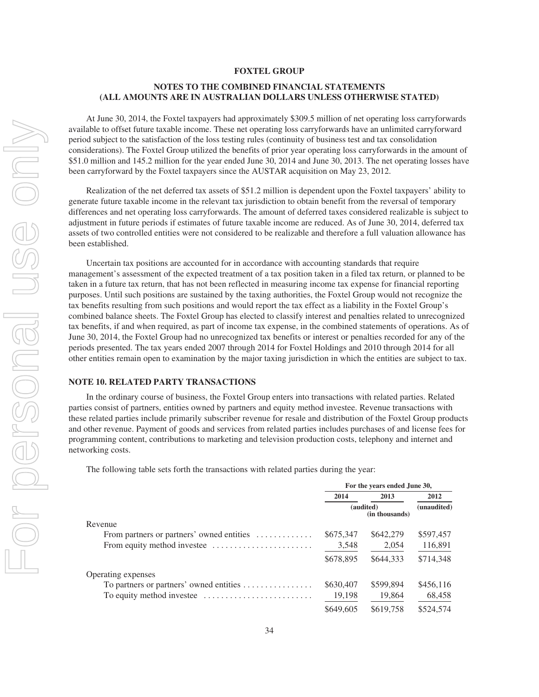# **NOTES TO THE COMBINED FINANCIAL STATEMENTS (ALL AMOUNTS ARE IN AUSTRALIAN DOLLARS UNLESS OTHERWISE STATED)**

At June 30, 2014, the Foxtel taxpayers had approximately \$309.5 million of net operating loss carryforwards available to offset future taxable income. These net operating loss carryforwards have an unlimited carryforward period subject to the satisfaction of the loss testing rules (continuity of business test and tax consolidation considerations). The Foxtel Group utilized the benefits of prior year operating loss carryforwards in the amount of \$51.0 million and 145.2 million for the year ended June 30, 2014 and June 30, 2013. The net operating losses have been carryforward by the Foxtel taxpayers since the AUSTAR acquisition on May 23, 2012.

Realization of the net deferred tax assets of \$51.2 million is dependent upon the Foxtel taxpayers' ability to generate future taxable income in the relevant tax jurisdiction to obtain benefit from the reversal of temporary differences and net operating loss carryforwards. The amount of deferred taxes considered realizable is subject to adjustment in future periods if estimates of future taxable income are reduced. As of June 30, 2014, deferred tax assets of two controlled entities were not considered to be realizable and therefore a full valuation allowance has been established.

Uncertain tax positions are accounted for in accordance with accounting standards that require management's assessment of the expected treatment of a tax position taken in a filed tax return, or planned to be taken in a future tax return, that has not been reflected in measuring income tax expense for financial reporting purposes. Until such positions are sustained by the taxing authorities, the Foxtel Group would not recognize the tax benefits resulting from such positions and would report the tax effect as a liability in the Foxtel Group's combined balance sheets. The Foxtel Group has elected to classify interest and penalties related to unrecognized tax benefits, if and when required, as part of income tax expense, in the combined statements of operations. As of June 30, 2014, the Foxtel Group had no unrecognized tax benefits or interest or penalties recorded for any of the periods presented. The tax years ended 2007 through 2014 for Foxtel Holdings and 2010 through 2014 for all other entities remain open to examination by the major taxing jurisdiction in which the entities are subject to tax.

### **NOTE 10. RELATED PARTY TRANSACTIONS**

In the ordinary course of business, the Foxtel Group enters into transactions with related parties. Related parties consist of partners, entities owned by partners and equity method investee. Revenue transactions with these related parties include primarily subscriber revenue for resale and distribution of the Foxtel Group products and other revenue. Payment of goods and services from related parties includes purchases of and license fees for programming content, contributions to marketing and television production costs, telephony and internet and networking costs.

The following table sets forth the transactions with related parties during the year:

|                                                                           | For the years ended June 30, |                               |           |  |
|---------------------------------------------------------------------------|------------------------------|-------------------------------|-----------|--|
|                                                                           | 2014                         | 2013                          | 2012      |  |
|                                                                           | (audited)                    | (unaudited)<br>(in thousands) |           |  |
| Revenue                                                                   |                              |                               |           |  |
| From partners or partners' owned entities                                 | \$675,347                    | \$642,279                     | \$597,457 |  |
| From equity method investee                                               | 3,548                        | 2,054                         | 116,891   |  |
|                                                                           | \$678,895                    | \$644,333                     | \$714,348 |  |
| Operating expenses                                                        |                              |                               |           |  |
| To partners or partners' owned entities $\dots \dots \dots \dots$         | \$630,407                    | \$599,894                     | \$456,116 |  |
| To equity method investee $\dots\dots\dots\dots\dots\dots\dots\dots\dots$ | 19,198                       | 19,864                        | 68,458    |  |
|                                                                           | \$649,605                    | \$619,758                     | \$524,574 |  |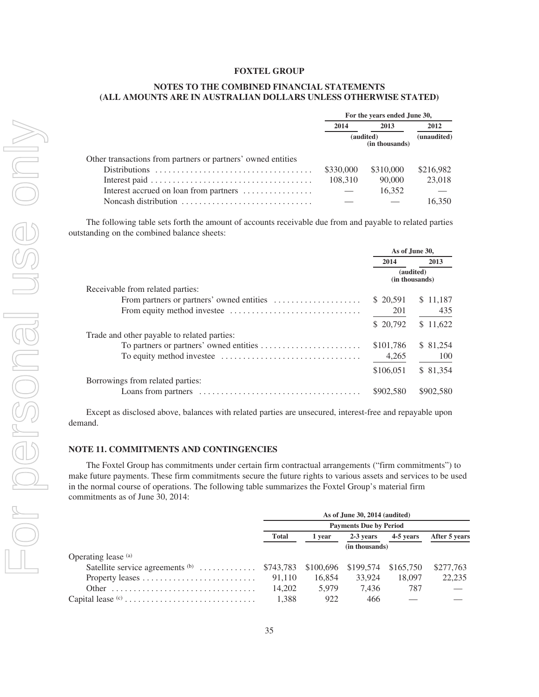### **NOTES TO THE COMBINED FINANCIAL STATEMENTS (ALL AMOUNTS ARE IN AUSTRALIAN DOLLARS UNLESS OTHERWISE STATED)**

|                                                              | For the years ended June 30, |                               |           |  |
|--------------------------------------------------------------|------------------------------|-------------------------------|-----------|--|
|                                                              | 2014                         | 2013                          | 2012      |  |
|                                                              | (audited)                    | (unaudited)<br>(in thousands) |           |  |
| Other transactions from partners or partners' owned entities |                              |                               |           |  |
|                                                              | \$330,000                    | \$310,000                     | \$216,982 |  |
|                                                              | 108,310                      | 90,000                        | 23,018    |  |
| Interest accrued on loan from partners                       |                              | 16,352                        |           |  |
|                                                              |                              |                               | 16.350    |  |

The following table sets forth the amount of accounts receivable due from and payable to related parties outstanding on the combined balance sheets:

|                                             | As of June 30,              |           |  |
|---------------------------------------------|-----------------------------|-----------|--|
|                                             | 2014                        | 2013      |  |
|                                             | (audited)<br>(in thousands) |           |  |
| Receivable from related parties:            |                             |           |  |
| From partners or partners' owned entities   | \$ 20,591                   | \$11,187  |  |
|                                             | 201                         | 435       |  |
|                                             | \$20,792                    | \$11,622  |  |
| Trade and other payable to related parties: |                             |           |  |
|                                             | \$101,786                   | \$ 81,254 |  |
|                                             | 4,265                       | 100       |  |
|                                             | \$106.051                   | \$81.354  |  |
| Borrowings from related parties:            |                             |           |  |
|                                             | \$902,580                   | \$902,580 |  |

Except as disclosed above, balances with related parties are unsecured, interest-free and repayable upon demand.

### **NOTE 11. COMMITMENTS AND CONTINGENCIES**

The Foxtel Group has commitments under certain firm contractual arrangements ("firm commitments") to make future payments. These firm commitments secure the future rights to various assets and services to be used in the normal course of operations. The following table summarizes the Foxtel Group's material firm commitments as of June 30, 2014:

|                     | As of June $30, 2014$ (audited) |        |           |           |               |  |  |
|---------------------|---------------------------------|--------|-----------|-----------|---------------|--|--|
|                     | <b>Payments Due by Period</b>   |        |           |           |               |  |  |
|                     | <b>Total</b>                    | 1 year | 2-3 years | 4-5 years | After 5 years |  |  |
|                     | (in thousands)                  |        |           |           |               |  |  |
| Operating lease (a) |                                 |        |           |           |               |  |  |
|                     |                                 |        |           |           | \$277,763     |  |  |
|                     | 91,110                          | 16.854 | 33.924    | 18,097    | 22,235        |  |  |
|                     | 14,202                          | 5.979  | 7.436     | 787       |               |  |  |
|                     | 1,388                           | 922    | 466       |           |               |  |  |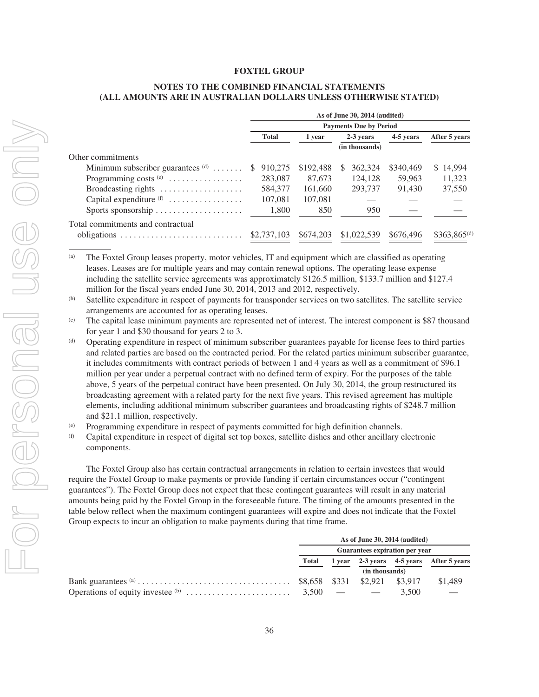|                                     | As of June 30, 2014 (audited) |           |                |           |                  |  |  |
|-------------------------------------|-------------------------------|-----------|----------------|-----------|------------------|--|--|
|                                     | <b>Payments Due by Period</b> |           |                |           |                  |  |  |
|                                     | <b>Total</b>                  | 1 year    | 2-3 years      | 4-5 years | After 5 years    |  |  |
|                                     |                               |           | (in thousands) |           |                  |  |  |
| Other commitments                   |                               |           |                |           |                  |  |  |
| Minimum subscriber guarantees $(d)$ | 910,275<br><sup>S</sup>       | \$192,488 | 362,324<br>S.  | \$340,469 | \$14,994         |  |  |
| Programming costs $(e)$             | 283,087                       | 87,673    | 124,128        | 59,963    | 11,323           |  |  |
| Broadcasting rights                 | 584,377                       | 161,660   | 293,737        | 91.430    | 37,550           |  |  |
| Capital expenditure $(f)$           | 107,081                       | 107,081   |                |           |                  |  |  |
| Sports sponsorship                  | 1,800                         | 850       | 950            |           |                  |  |  |
| Total commitments and contractual   |                               |           |                |           |                  |  |  |
|                                     | \$2,737,103                   | \$674,203 | \$1,022,539    | \$676,496 | $$363,865^{(d)}$ |  |  |

# **NOTES TO THE COMBINED FINANCIAL STATEMENTS (ALL AMOUNTS ARE IN AUSTRALIAN DOLLARS UNLESS OTHERWISE STATED)**

(a) The Foxtel Group leases property, motor vehicles, IT and equipment which are classified as operating leases. Leases are for multiple years and may contain renewal options. The operating lease expense including the satellite service agreements was approximately \$126.5 million, \$133.7 million and \$127.4 million for the fiscal years ended June 30, 2014, 2013 and 2012, respectively.

(b) Satellite expenditure in respect of payments for transponder services on two satellites. The satellite service arrangements are accounted for as operating leases.

(c) The capital lease minimum payments are represented net of interest. The interest component is \$87 thousand for year 1 and \$30 thousand for years 2 to 3.

(d) Operating expenditure in respect of minimum subscriber guarantees payable for license fees to third parties and related parties are based on the contracted period. For the related parties minimum subscriber guarantee, it includes commitments with contract periods of between 1 and 4 years as well as a commitment of \$96.1 million per year under a perpetual contract with no defined term of expiry. For the purposes of the table above, 5 years of the perpetual contract have been presented. On July 30, 2014, the group restructured its broadcasting agreement with a related party for the next five years. This revised agreement has multiple elements, including additional minimum subscriber guarantees and broadcasting rights of \$248.7 million and \$21.1 million, respectively.

- (e) Programming expenditure in respect of payments committed for high definition channels.
- (f) Capital expenditure in respect of digital set top boxes, satellite dishes and other ancillary electronic components.

The Foxtel Group also has certain contractual arrangements in relation to certain investees that would require the Foxtel Group to make payments or provide funding if certain circumstances occur ("contingent guarantees"). The Foxtel Group does not expect that these contingent guarantees will result in any material amounts being paid by the Foxtel Group in the foreseeable future. The timing of the amounts presented in the table below reflect when the maximum contingent guarantees will expire and does not indicate that the Foxtel Group expects to incur an obligation to make payments during that time frame.

| As of June $30, 2014$ (audited) |  |                 |       |                                          |
|---------------------------------|--|-----------------|-------|------------------------------------------|
| Guarantees expiration per year  |  |                 |       |                                          |
| <b>Total</b>                    |  |                 |       | 1 year 2-3 years 4-5 years After 5 years |
| (in thousands)                  |  |                 |       |                                          |
|                                 |  | \$2,921 \$3,917 |       | \$1,489                                  |
|                                 |  |                 | 3.500 | $\overline{\phantom{a}}$                 |